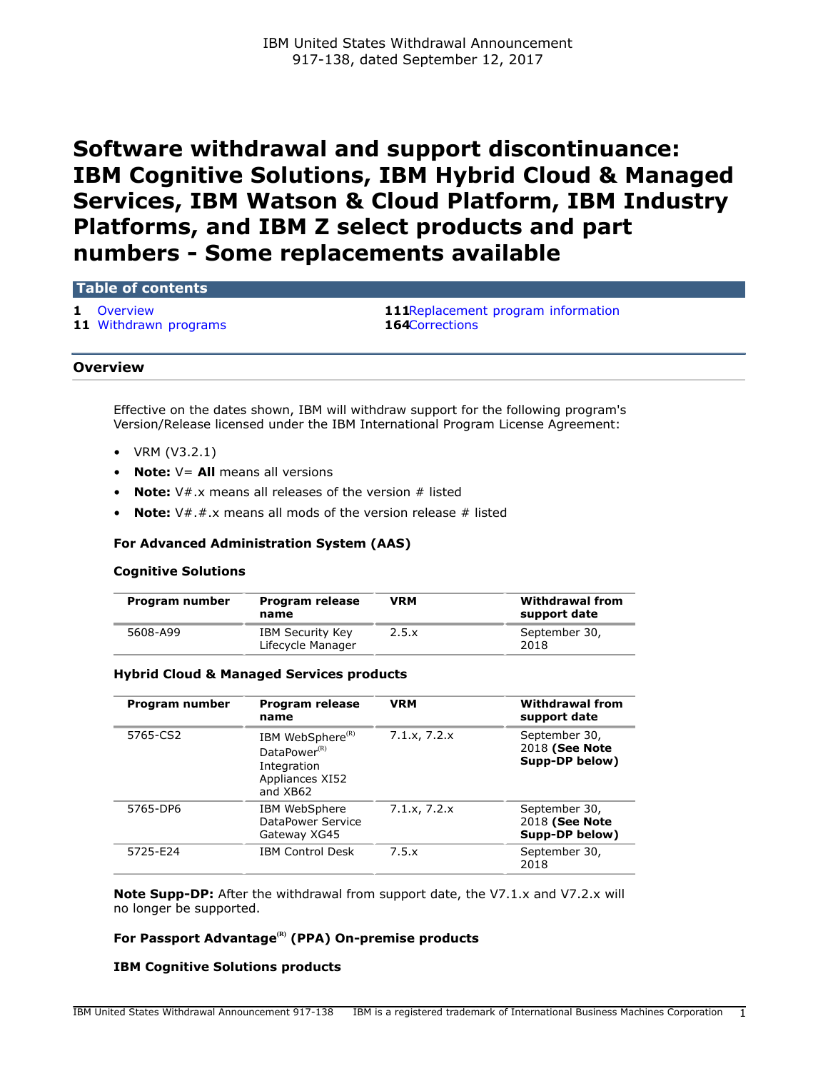# **Software withdrawal and support discontinuance: IBM Cognitive Solutions, IBM Hybrid Cloud & Managed Services, IBM Watson & Cloud Platform, IBM Industry Platforms, and IBM Z select products and part numbers - Some replacements available**

### **Table of contents**

**11** [Withdrawn programs](#page-10-0) **164**[Corrections](#page-163-0)

**1** [Overview](#page-0-0) **111**[Replacement program information](#page-110-0)

## <span id="page-0-0"></span>**Overview**

Effective on the dates shown, IBM will withdraw support for the following program's Version/Release licensed under the IBM International Program License Agreement:

- VRM (V3.2.1)
- **Note:** V= **All** means all versions
- **Note:**  $V#$ .x means all releases of the version # listed
- **Note:**  $V#.*.*.*$  means all mods of the version release # listed

# **For Advanced Administration System (AAS)**

## **Cognitive Solutions**

| Program number | Program release<br>name                      | <b>VRM</b> | <b>Withdrawal from</b><br>support date |
|----------------|----------------------------------------------|------------|----------------------------------------|
| 5608-A99       | <b>IBM Security Key</b><br>Lifecycle Manager | 2.5.x      | September 30,<br>2018                  |

## **Hybrid Cloud & Managed Services products**

| Program number | Program release<br>name                                                                                | <b>VRM</b>   | <b>Withdrawal from</b><br>support date            |
|----------------|--------------------------------------------------------------------------------------------------------|--------------|---------------------------------------------------|
| 5765-CS2       | IBM WebSphere <sup>(R)</sup><br>DataPower <sup>(R)</sup><br>Integration<br>Appliances XI52<br>and XB62 | 7.1.x, 7.2.x | September 30,<br>2018 (See Note<br>Supp-DP below) |
| 5765-DP6       | IBM WebSphere<br>DataPower Service<br>Gateway XG45                                                     | 7.1.x, 7.2.x | September 30,<br>2018 (See Note<br>Supp-DP below) |
| 5725-E24       | <b>IBM Control Desk</b>                                                                                | 7.5.x        | September 30,<br>2018                             |

**Note Supp-DP:** After the withdrawal from support date, the V7.1.x and V7.2.x will no longer be supported.

# **For Passport Advantage(R) (PPA) On-premise products**

# **IBM Cognitive Solutions products**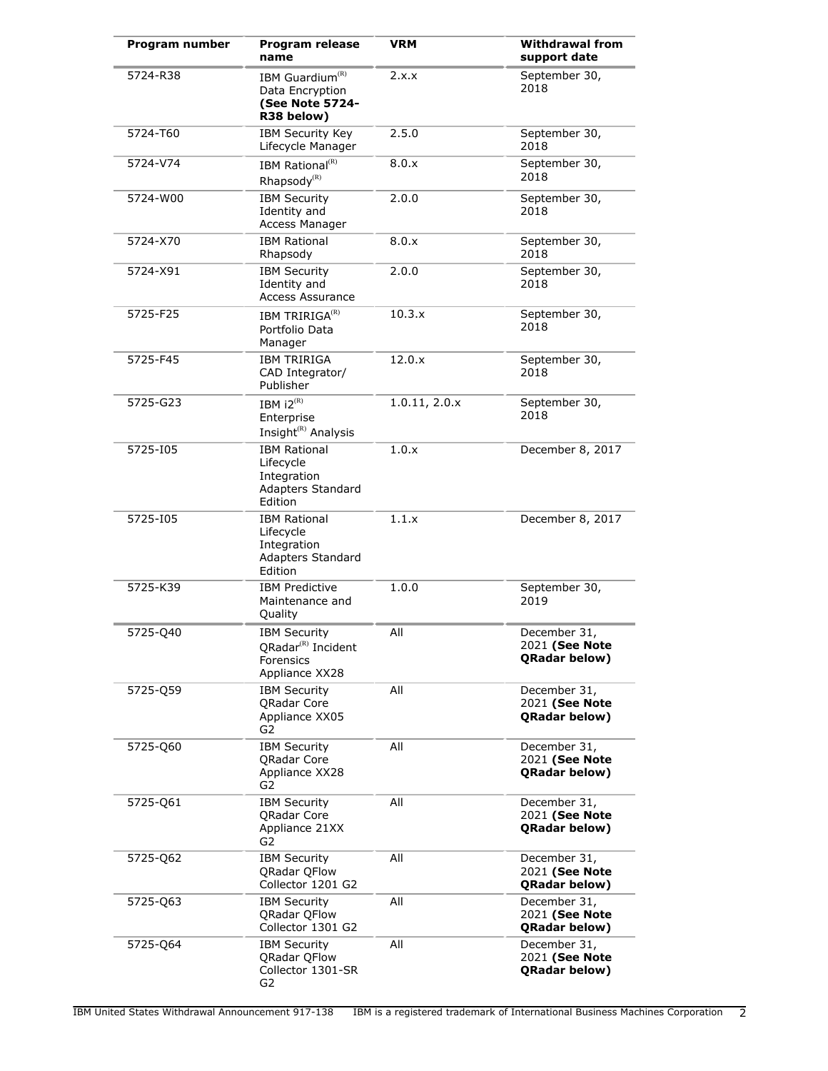| Program number | Program release<br>name                                                                                          | <b>VRM</b>    | <b>Withdrawal from</b><br>support date                 |
|----------------|------------------------------------------------------------------------------------------------------------------|---------------|--------------------------------------------------------|
| 5724-R38       | IBM Guardium <sup>(R)</sup><br>Data Encryption<br>(See Note 5724-<br>R38 below)                                  | 2.x.x         | September 30,<br>2018                                  |
| 5724-T60       | <b>IBM Security Key</b><br>Lifecycle Manager                                                                     | 2.5.0         | September 30,<br>2018                                  |
| 5724-V74       | IBM Rational <sup>(R)</sup><br>Rhapsody <sup>(R)</sup>                                                           | 8.0.x         | September 30,<br>2018                                  |
| 5724-W00       | <b>IBM Security</b><br>Identity and<br>Access Manager                                                            | 2.0.0         | September 30,<br>2018                                  |
| 5724-X70       | <b>IBM Rational</b><br>Rhapsody                                                                                  | 8.0.x         | September 30,<br>2018                                  |
| 5724-X91       | <b>IBM Security</b><br>Identity and<br><b>Access Assurance</b>                                                   | 2.0.0         | September 30,<br>2018                                  |
| 5725-F25       | IBM TRIRIGA <sup>(R)</sup><br>Portfolio Data<br>Manager                                                          | 10.3.x        | September 30,<br>2018                                  |
| 5725-F45       | <b>IBM TRIRIGA</b><br>CAD Integrator/<br>Publisher                                                               | 12.0.x        | September 30,<br>2018                                  |
| 5725-G23       | IBM $i2^{(R)}$<br>Enterprise<br>$\mathop{\mathsf{Insight}}\nolimits^{\scriptscriptstyle{\mathsf{(R)}}}$ Analysis | 1.0.11, 2.0.x | September 30,<br>2018                                  |
| 5725-I05       | <b>IBM Rational</b><br>Lifecycle<br>Integration<br>Adapters Standard<br>Edition                                  | 1.0.x         | December 8, 2017                                       |
| 5725-105       | <b>IBM Rational</b><br>Lifecycle<br>Integration<br>Adapters Standard<br>Edition                                  | 1.1.x         | December 8, 2017                                       |
| 5725-K39       | <b>IBM Predictive</b><br>Maintenance and<br>Quality                                                              | 1.0.0         | September 30,<br>2019                                  |
| 5725-Q40       | <b>IBM Security</b><br>QRadar <sup>(R)</sup> Incident<br>Forensics<br>Appliance XX28                             | All           | December 31,<br>2021 (See Note<br><b>ORadar below)</b> |
| 5725-Q59       | IBM Security<br><b>QRadar Core</b><br>Appliance XX05<br>G2                                                       | All           | December 31,<br>2021 (See Note<br><b>QRadar below)</b> |
| 5725-Q60       | <b>IBM Security</b><br><b>QRadar Core</b><br>Appliance XX28<br>G2                                                | All           | December 31,<br>2021 (See Note<br><b>ORadar below)</b> |
| 5725-Q61       | <b>IBM Security</b><br><b>ORadar Core</b><br>Appliance 21XX<br>G2                                                | All           | December 31,<br>2021 (See Note<br><b>QRadar below)</b> |
| 5725-Q62       | <b>IBM Security</b><br>QRadar QFlow<br>Collector 1201 G2                                                         | All           | December 31,<br>2021 (See Note<br><b>QRadar below)</b> |
| 5725-Q63       | <b>IBM Security</b><br>QRadar QFlow<br>Collector 1301 G2                                                         | All           | December 31,<br>2021 (See Note<br><b>QRadar below)</b> |
| 5725-Q64       | <b>IBM Security</b><br>QRadar QFlow<br>Collector 1301-SR<br>G2                                                   | All           | December 31,<br>2021 (See Note<br>QRadar below)        |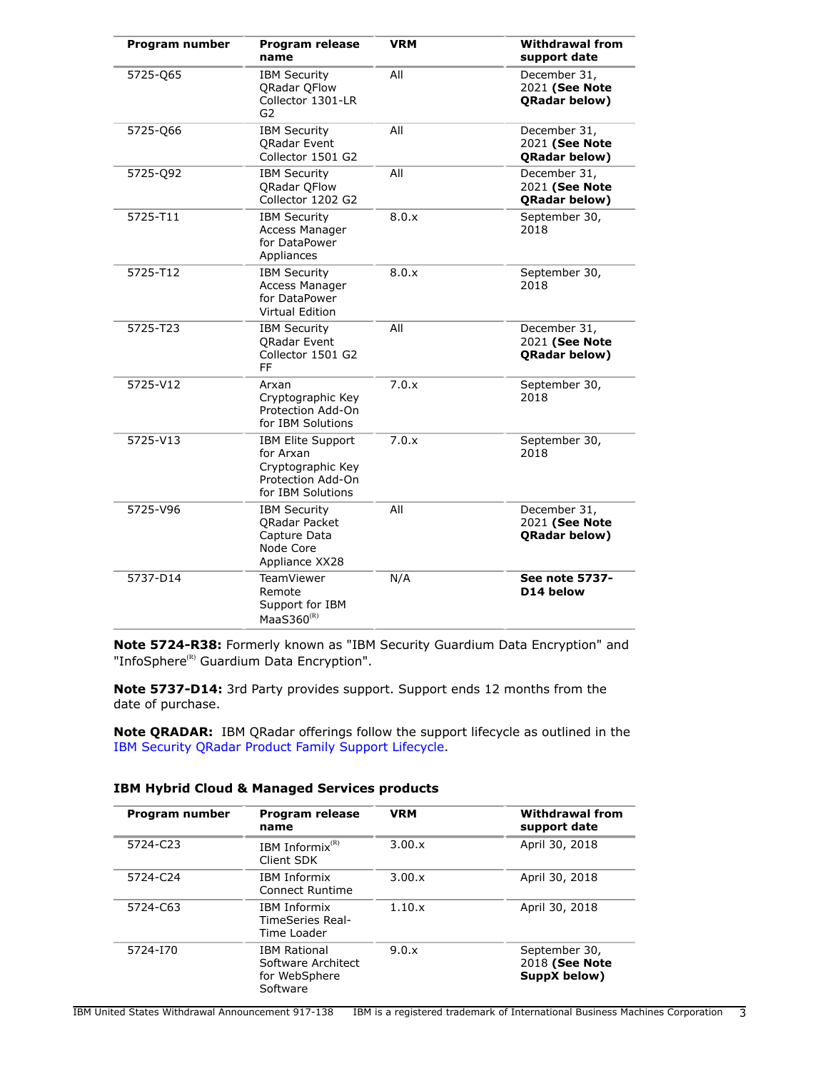| Program number | <b>Program release</b><br>name                                                                       | <b>VRM</b> | <b>Withdrawal from</b><br>support date                 |
|----------------|------------------------------------------------------------------------------------------------------|------------|--------------------------------------------------------|
| 5725-Q65       | <b>IBM Security</b><br>QRadar QFlow<br>Collector 1301-LR<br>G <sub>2</sub>                           | All        | December 31,<br>2021 (See Note<br><b>QRadar below)</b> |
| 5725-Q66       | <b>IBM Security</b><br>QRadar Event<br>Collector 1501 G2                                             | All        | December 31,<br>2021 (See Note<br>QRadar below)        |
| 5725-Q92       | <b>IBM Security</b><br>QRadar QFlow<br>Collector 1202 G2                                             | All        | December 31,<br>2021 (See Note<br>QRadar below)        |
| 5725-T11       | <b>IBM Security</b><br>Access Manager<br>for DataPower<br>Appliances                                 | 8.0.x      | September 30,<br>2018                                  |
| 5725-T12       | <b>IBM Security</b><br>Access Manager<br>for DataPower<br><b>Virtual Edition</b>                     | 8.0.x      | September 30,<br>2018                                  |
| 5725-T23       | <b>IBM Security</b><br><b>QRadar Event</b><br>Collector 1501 G2<br>FF                                | All        | December 31,<br>2021 (See Note<br><b>QRadar below)</b> |
| 5725-V12       | Arxan<br>Cryptographic Key<br>Protection Add-On<br>for IBM Solutions                                 | 7.0.x      | September 30,<br>2018                                  |
| 5725-V13       | <b>IBM Elite Support</b><br>for Arxan<br>Cryptographic Key<br>Protection Add-On<br>for IBM Solutions | 7.0.x      | September 30,<br>2018                                  |
| 5725-V96       | <b>IBM Security</b><br>QRadar Packet<br>Capture Data<br>Node Core<br>Appliance XX28                  | All        | December 31,<br>2021 (See Note<br><b>ORadar below)</b> |
| 5737-D14       | <b>TeamViewer</b><br>Remote<br>Support for IBM<br>MaaS360 $(R)$                                      | N/A        | <b>See note 5737-</b><br>D14 below                     |

**Note 5724-R38:** Formerly known as "IBM Security Guardium Data Encryption" and "InfoSphere<sup>(R)</sup> Guardium Data Encryption".

**Note 5737-D14:** 3rd Party provides support. Support ends 12 months from the date of purchase.

**Note QRADAR:** IBM QRadar offerings follow the support lifecycle as outlined in the [IBM Security QRadar Product Family Support Lifecycle.](http://www-01.ibm.com/support/docview.wss?uid=swg21991083)

# **IBM Hybrid Cloud & Managed Services products**

| Program number | Program release<br>name                                                | <b>VRM</b>    | <b>Withdrawal from</b><br>support date          |
|----------------|------------------------------------------------------------------------|---------------|-------------------------------------------------|
| 5724-C23       | IBM Informix $(R)$<br>Client SDK                                       | $3.00 \times$ | April 30, 2018                                  |
| 5724-C24       | <b>IBM Informix</b><br>Connect Runtime                                 | $3.00 \times$ | April 30, 2018                                  |
| 5724-C63       | <b>IBM Informix</b><br>TimeSeries Real-<br>Time Loader                 | 1.10.x        | April 30, 2018                                  |
| 5724-170       | <b>IBM Rational</b><br>Software Architect<br>for WebSphere<br>Software | 9.0.x         | September 30,<br>2018 (See Note<br>SuppX below) |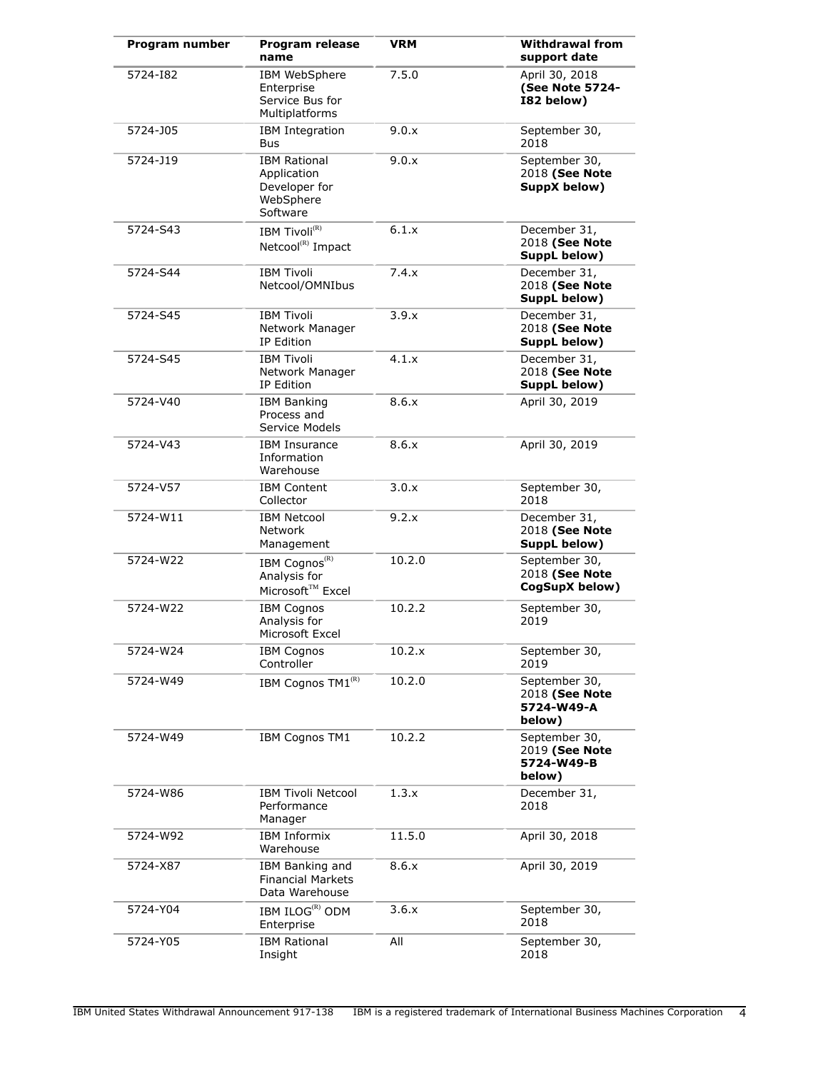| Program number | Program release<br>name                                                      | <b>VRM</b> | <b>Withdrawal from</b><br>support date                  |
|----------------|------------------------------------------------------------------------------|------------|---------------------------------------------------------|
| 5724-182       | <b>IBM WebSphere</b><br>Enterprise<br>Service Bus for<br>Multiplatforms      | 7.5.0      | April 30, 2018<br>(See Note 5724-<br>I82 below)         |
| 5724-J05       | <b>IBM Integration</b><br>Bus                                                | 9.0.x      | September 30,<br>2018                                   |
| 5724-J19       | <b>IBM Rational</b><br>Application<br>Developer for<br>WebSphere<br>Software | 9.0.x      | September 30,<br>2018 (See Note<br>SuppX below)         |
| 5724-S43       | IBM Tivoli <sup>(R)</sup><br>Netcool <sup>(R)</sup> Impact                   | 6.1.x      | December 31,<br>2018 (See Note<br>SuppL below)          |
| 5724-S44       | <b>IBM Tivoli</b><br>Netcool/OMNIbus                                         | 7.4.x      | December 31,<br>2018 (See Note<br>SuppL below)          |
| 5724-S45       | <b>IBM Tivoli</b><br>Network Manager<br>IP Edition                           | 3.9.x      | December 31,<br>2018 (See Note<br>SuppL below)          |
| 5724-S45       | <b>IBM Tivoli</b><br>Network Manager<br>IP Edition                           | 4.1.x      | December 31,<br>2018 (See Note<br>SuppL below)          |
| 5724-V40       | <b>IBM Banking</b><br>Process and<br>Service Models                          | 8.6.x      | April 30, 2019                                          |
| 5724-V43       | <b>IBM Insurance</b><br>Information<br>Warehouse                             | 8.6.x      | April 30, 2019                                          |
| 5724-V57       | <b>IBM Content</b><br>Collector                                              | 3.0.x      | September 30,<br>2018                                   |
| 5724-W11       | <b>IBM Netcool</b><br><b>Network</b><br>Management                           | 9.2.x      | December 31,<br>2018 (See Note<br>SuppL below)          |
| 5724-W22       | IBM Cognos <sup>(R)</sup><br>Analysis for<br>Microsoft™ Excel                | 10.2.0     | September 30,<br>2018 (See Note<br>CogSupX below)       |
| 5724-W22       | <b>IBM Cognos</b><br>Analysis for<br>Microsoft Excel                         | 10.2.2     | September 30,<br>2019                                   |
| 5724-W24       | <b>IBM Cognos</b><br>Controller                                              | 10.2.x     | September 30,<br>2019                                   |
| 5724-W49       | IBM Cognos TM1(R)                                                            | 10.2.0     | September 30,<br>2018 (See Note<br>5724-W49-A<br>below) |
| 5724-W49       | IBM Cognos TM1                                                               | 10.2.2     | September 30,<br>2019 (See Note<br>5724-W49-B<br>below) |
| 5724-W86       | <b>IBM Tivoli Netcool</b><br>Performance<br>Manager                          | 1.3.x      | December 31,<br>2018                                    |
| 5724-W92       | IBM Informix<br>Warehouse                                                    | 11.5.0     | April 30, 2018                                          |
| 5724-X87       | IBM Banking and<br><b>Financial Markets</b><br>Data Warehouse                | 8.6.x      | April 30, 2019                                          |
| 5724-Y04       | IBM ILOG <sup>(R)</sup> ODM<br>Enterprise                                    | 3.6.x      | September 30,<br>2018                                   |
| 5724-Y05       | <b>IBM Rational</b><br>Insight                                               | All        | September 30,<br>2018                                   |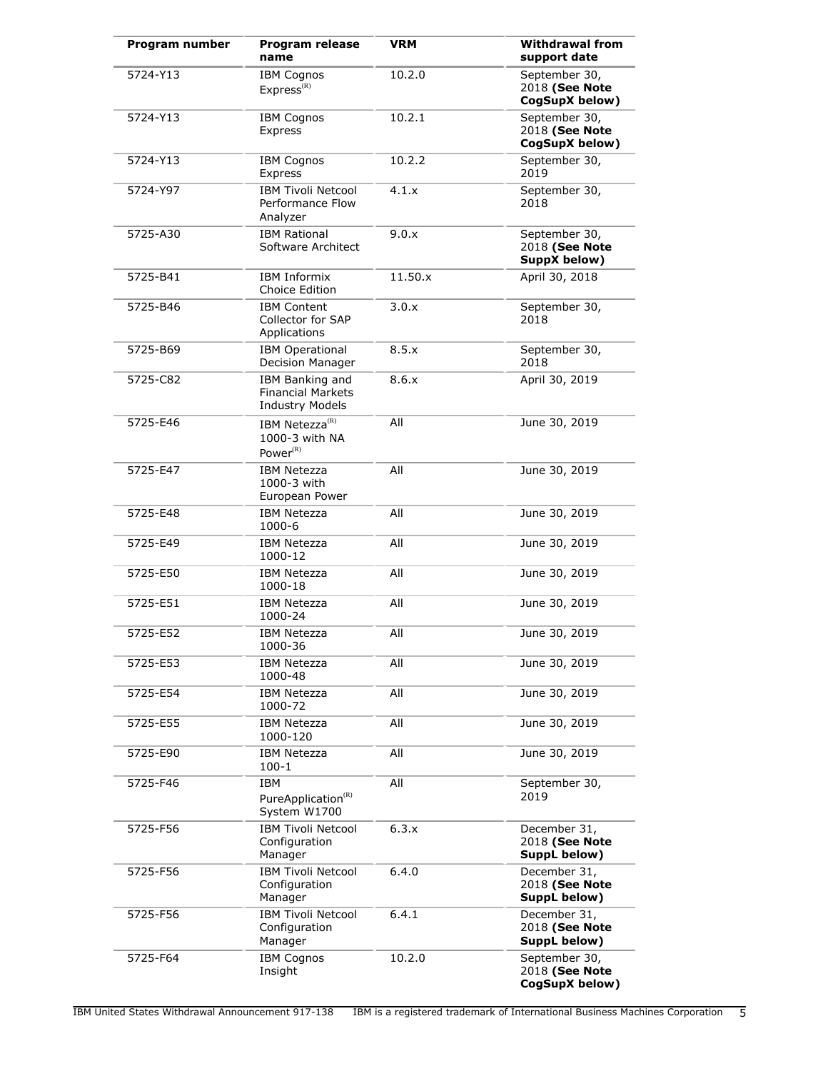| Program number | Program release<br>name                                               | <b>VRM</b> | <b>Withdrawal from</b><br>support date            |
|----------------|-----------------------------------------------------------------------|------------|---------------------------------------------------|
| 5724-Y13       | <b>IBM Cognos</b><br>Express <sup>(R)</sup>                           | 10.2.0     | September 30,<br>2018 (See Note<br>CogSupX below) |
| 5724-Y13       | <b>IBM Cognos</b><br>Express                                          | 10.2.1     | September 30,<br>2018 (See Note<br>CogSupX below) |
| 5724-Y13       | <b>IBM Cognos</b><br>Express                                          | 10.2.2     | September 30,<br>2019                             |
| 5724-Y97       | <b>IBM Tivoli Netcool</b><br>Performance Flow<br>Analyzer             | 4.1.x      | September 30,<br>2018                             |
| 5725-A30       | <b>IBM Rational</b><br>Software Architect                             | 9.0.x      | September 30,<br>2018 (See Note<br>SuppX below)   |
| 5725-B41       | <b>IBM Informix</b><br>Choice Edition                                 | 11.50.x    | April 30, 2018                                    |
| 5725-B46       | <b>IBM Content</b><br>Collector for SAP<br>Applications               | 3.0.x      | September 30,<br>2018                             |
| 5725-B69       | <b>IBM Operational</b><br>Decision Manager                            | 8.5.x      | September 30,<br>2018                             |
| 5725-C82       | IBM Banking and<br><b>Financial Markets</b><br><b>Industry Models</b> | 8.6.x      | April 30, 2019                                    |
| 5725-E46       | IBM Netezza <sup>(R)</sup><br>1000-3 with NA<br>Power <sup>(R)</sup>  | All        | June 30, 2019                                     |
| 5725-E47       | <b>IBM Netezza</b><br>1000-3 with<br>European Power                   | All        | June 30, 2019                                     |
| 5725-E48       | <b>IBM Netezza</b><br>1000-6                                          | All        | June 30, 2019                                     |
| 5725-E49       | <b>IBM Netezza</b><br>1000-12                                         | All        | June 30, 2019                                     |
| 5725-E50       | <b>IBM Netezza</b><br>1000-18                                         | All        | June 30, 2019                                     |
| 5725-E51       | <b>IBM Netezza</b><br>1000-24                                         | All        | June 30, 2019                                     |
| 5725-E52       | <b>IBM Netezza</b><br>1000-36                                         | All        | June 30, 2019                                     |
| 5725-E53       | <b>IBM Netezza</b><br>1000-48                                         | All        | June 30, 2019                                     |
| 5725-E54       | <b>IBM Netezza</b><br>1000-72                                         | All        | June 30, 2019                                     |
| 5725-E55       | <b>IBM Netezza</b><br>1000-120                                        | All        | June 30, 2019                                     |
| 5725-E90       | <b>IBM Netezza</b><br>$100-1$                                         | All        | June 30, 2019                                     |
| 5725-F46       | <b>IBM</b><br>PureApplication <sup>(R)</sup><br>System W1700          | All        | September 30,<br>2019                             |
| 5725-F56       | <b>IBM Tivoli Netcool</b><br>Configuration<br>Manager                 | 6.3.x      | December 31,<br>2018 (See Note<br>SuppL below)    |
| 5725-F56       | <b>IBM Tivoli Netcool</b><br>Configuration<br>Manager                 | 6.4.0      | December 31,<br>2018 (See Note<br>SuppL below)    |
| 5725-F56       | <b>IBM Tivoli Netcool</b><br>Configuration<br>Manager                 | 6.4.1      | December 31,<br>2018 (See Note<br>SuppL below)    |
| 5725-F64       | <b>IBM Cognos</b><br>Insight                                          | 10.2.0     | September 30,<br>2018 (See Note<br>CogSupX below) |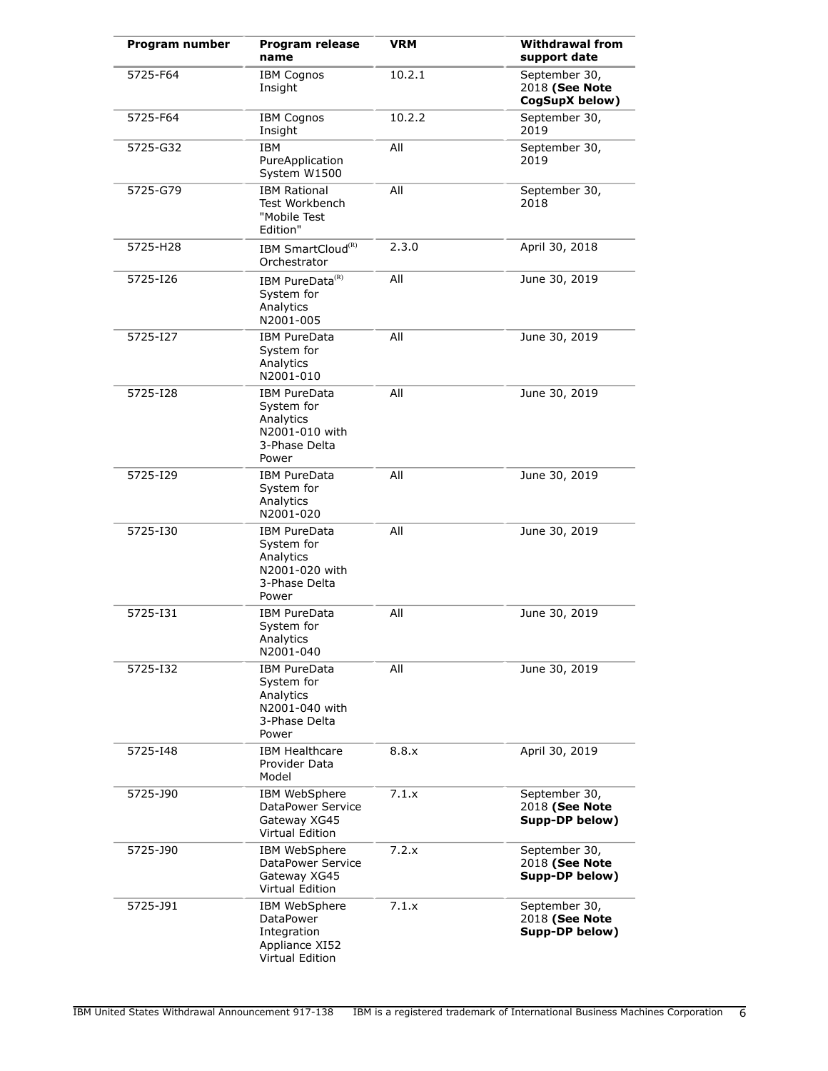| Program number | Program release<br>name                                                                    | <b>VRM</b> | <b>Withdrawal from</b><br>support date            |
|----------------|--------------------------------------------------------------------------------------------|------------|---------------------------------------------------|
| 5725-F64       | <b>IBM Cognos</b><br>Insight                                                               | 10.2.1     | September 30,<br>2018 (See Note<br>CogSupX below) |
| 5725-F64       | <b>IBM Cognos</b><br>Insight                                                               | 10.2.2     | September 30,<br>2019                             |
| 5725-G32       | <b>IBM</b><br>PureApplication<br>System W1500                                              | All        | September 30,<br>2019                             |
| 5725-G79       | <b>IBM Rational</b><br>Test Workbench<br>"Mobile Test<br>Edition"                          | All        | September 30,<br>2018                             |
| 5725-H28       | IBM SmartCloud <sup>(R)</sup><br>Orchestrator                                              | 2.3.0      | April 30, 2018                                    |
| 5725-126       | IBM PureData <sup>(R)</sup><br>System for<br>Analytics<br>N2001-005                        | All        | June 30, 2019                                     |
| 5725-127       | <b>IBM PureData</b><br>System for<br>Analytics<br>N2001-010                                | All        | June 30, 2019                                     |
| 5725-128       | <b>IBM PureData</b><br>System for<br>Analytics<br>N2001-010 with<br>3-Phase Delta<br>Power | All        | June 30, 2019                                     |
| 5725-129       | <b>IBM PureData</b><br>System for<br>Analytics<br>N2001-020                                | All        | June 30, 2019                                     |
| 5725-130       | <b>IBM PureData</b><br>System for<br>Analytics<br>N2001-020 with<br>3-Phase Delta<br>Power | All        | June 30, 2019                                     |
| 5725-131       | <b>IBM PureData</b><br>System for<br>Analytics<br>N2001-040                                | All        | June 30, 2019                                     |
| 5725-132       | <b>IBM PureData</b><br>System for<br>Analytics<br>N2001-040 with<br>3-Phase Delta<br>Power | All        | June 30, 2019                                     |
| 5725-148       | <b>IBM Healthcare</b><br>Provider Data<br>Model                                            | 8.8.x      | April 30, 2019                                    |
| 5725-J90       | IBM WebSphere<br>DataPower Service<br>Gateway XG45<br><b>Virtual Edition</b>               | 7.1.x      | September 30,<br>2018 (See Note<br>Supp-DP below) |
| 5725-J90       | IBM WebSphere<br>DataPower Service<br>Gateway XG45<br>Virtual Edition                      | 7.2.x      | September 30,<br>2018 (See Note<br>Supp-DP below) |
| 5725-J91       | IBM WebSphere<br>DataPower<br>Integration<br>Appliance XI52<br>Virtual Edition             | 7.1.x      | September 30,<br>2018 (See Note<br>Supp-DP below) |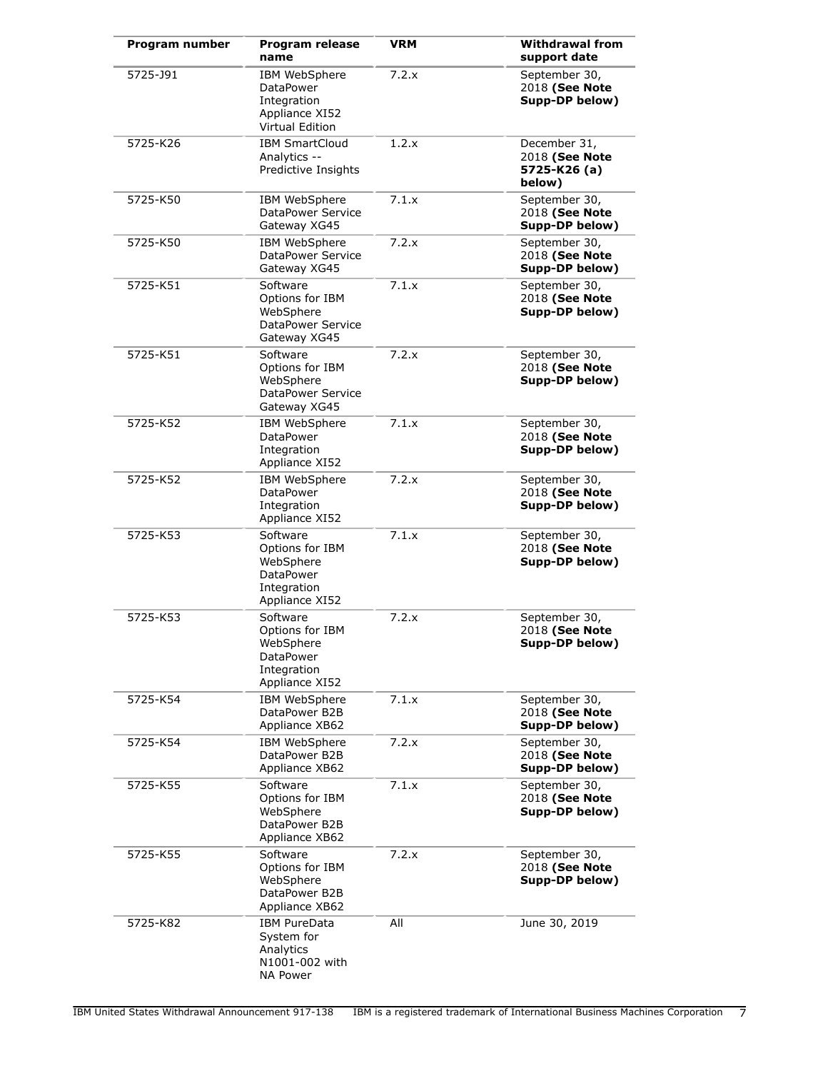| Program number | <b>Program release</b><br>name                                                         | <b>VRM</b> | <b>Withdrawal from</b><br>support date                   |
|----------------|----------------------------------------------------------------------------------------|------------|----------------------------------------------------------|
| 5725-J91       | IBM WebSphere<br>DataPower<br>Integration<br>Appliance XI52<br><b>Virtual Edition</b>  | 7.2.x      | September 30,<br>2018 (See Note<br>Supp-DP below)        |
| 5725-K26       | <b>IBM SmartCloud</b><br>Analytics --<br>Predictive Insights                           | 1.2.x      | December 31,<br>2018 (See Note<br>5725-K26 (a)<br>below) |
| 5725-K50       | IBM WebSphere<br>DataPower Service<br>Gateway XG45                                     | 7.1.x      | September 30,<br>2018 (See Note<br>Supp-DP below)        |
| 5725-K50       | IBM WebSphere<br>DataPower Service<br>Gateway XG45                                     | 7.2.x      | September 30,<br>2018 (See Note<br>Supp-DP below)        |
| 5725-K51       | Software<br>Options for IBM<br>WebSphere<br>DataPower Service<br>Gateway XG45          | 7.1.x      | September 30,<br>2018 (See Note<br>Supp-DP below)        |
| 5725-K51       | Software<br>Options for IBM<br>WebSphere<br>DataPower Service<br>Gateway XG45          | 7.2.x      | September 30,<br>2018 (See Note<br>Supp-DP below)        |
| 5725-K52       | IBM WebSphere<br><b>DataPower</b><br>Integration<br>Appliance XI52                     | 7.1.x      | September 30,<br>2018 (See Note<br>Supp-DP below)        |
| 5725-K52       | IBM WebSphere<br><b>DataPower</b><br>Integration<br>Appliance XI52                     | 7.2.x      | September 30,<br>2018 (See Note<br>Supp-DP below)        |
| 5725-K53       | Software<br>Options for IBM<br>WebSphere<br>DataPower<br>Integration<br>Appliance XI52 | 7.1.x      | September 30,<br>2018 (See Note<br>Supp-DP below)        |
| 5725-K53       | Software<br>Options for IBM<br>WebSphere<br>DataPower<br>Integration<br>Appliance XI52 | 7.2.x      | September 30,<br>2018 (See Note<br>Supp-DP below)        |
| 5725-K54       | IBM WebSphere<br>DataPower B2B<br>Appliance XB62                                       | 7.1.x      | September 30,<br>2018 (See Note<br>Supp-DP below)        |
| 5725-K54       | <b>IBM WebSphere</b><br>DataPower B2B<br>Appliance XB62                                | 7.2.x      | September 30,<br>2018 (See Note<br>Supp-DP below)        |
| 5725-K55       | Software<br>Options for IBM<br>WebSphere<br>DataPower B2B<br>Appliance XB62            | 7.1.x      | September 30,<br>2018 (See Note<br>Supp-DP below)        |
| 5725-K55       | Software<br>Options for IBM<br>WebSphere<br>DataPower B2B<br>Appliance XB62            | 7.2.x      | September 30,<br>2018 (See Note<br>Supp-DP below)        |
| 5725-K82       | IBM PureData<br>System for<br>Analytics<br>N1001-002 with<br>NA Power                  | All        | June 30, 2019                                            |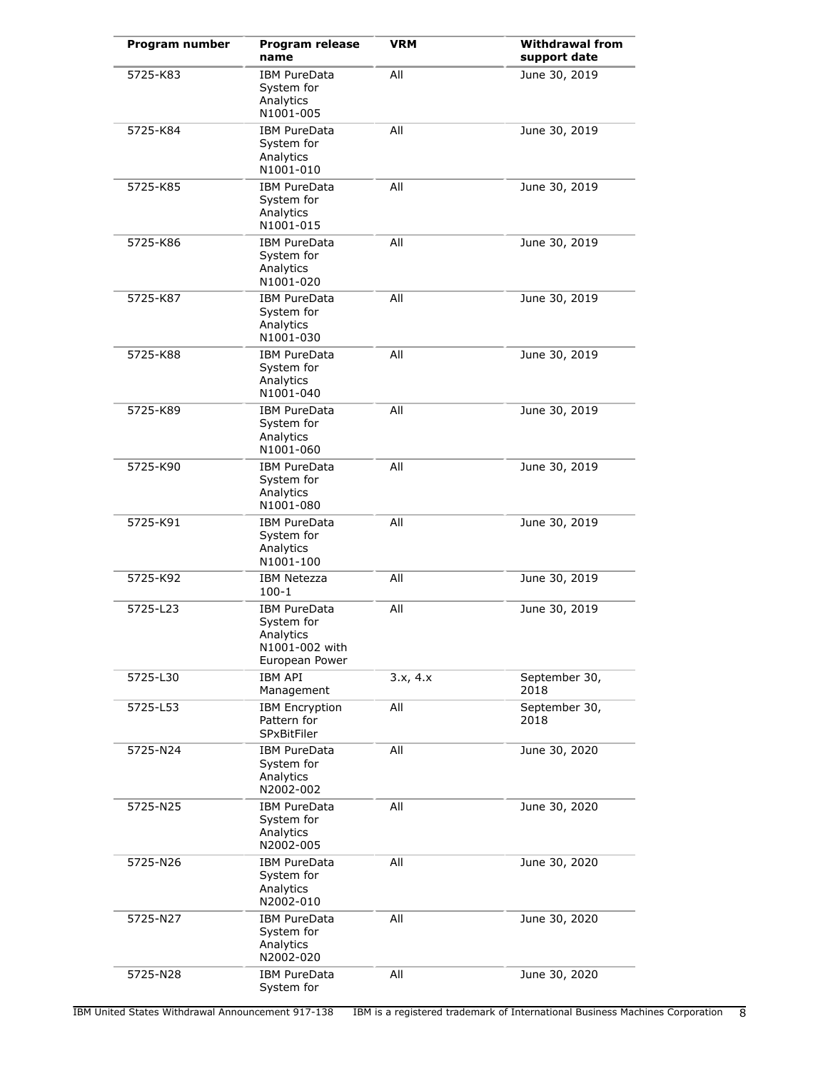| Program number | <b>Program release</b><br>name                                                     | <b>VRM</b> | <b>Withdrawal from</b><br>support date |
|----------------|------------------------------------------------------------------------------------|------------|----------------------------------------|
| 5725-K83       | <b>IBM PureData</b><br>System for<br>Analytics<br>N1001-005                        | All        | June 30, 2019                          |
| 5725-K84       | <b>IBM PureData</b><br>System for<br>Analytics<br>N1001-010                        | All        | June 30, 2019                          |
| 5725-K85       | <b>IBM PureData</b><br>System for<br>Analytics<br>N1001-015                        | All        | June 30, 2019                          |
| 5725-K86       | <b>IBM PureData</b><br>System for<br>Analytics<br>N1001-020                        | All        | June 30, 2019                          |
| 5725-K87       | <b>IBM PureData</b><br>System for<br>Analytics<br>N1001-030                        | All        | June 30, 2019                          |
| 5725-K88       | <b>IBM PureData</b><br>System for<br>Analytics<br>N1001-040                        | All        | June 30, 2019                          |
| 5725-K89       | <b>IBM PureData</b><br>System for<br>Analytics<br>N1001-060                        | All        | June 30, 2019                          |
| 5725-K90       | <b>IBM PureData</b><br>System for<br>Analytics<br>N1001-080                        | All        | June 30, 2019                          |
| 5725-K91       | <b>IBM PureData</b><br>System for<br>Analytics<br>N1001-100                        | All        | June 30, 2019                          |
| 5725-K92       | <b>IBM Netezza</b><br>$100 - 1$                                                    | All        | June 30, 2019                          |
| 5725-L23       | <b>IBM PureData</b><br>System for<br>Analytics<br>N1001-002 with<br>European Power | All        | June 30, 2019                          |
| 5725-L30       | <b>IBM API</b><br>Management                                                       | 3.x, 4.x   | September 30,<br>2018                  |
| 5725-L53       | <b>IBM Encryption</b><br>Pattern for<br><b>SPxBitFiler</b>                         | All        | September 30,<br>2018                  |
| 5725-N24       | <b>IBM PureData</b><br>System for<br>Analytics<br>N2002-002                        | All        | June 30, 2020                          |
| 5725-N25       | <b>IBM PureData</b><br>System for<br>Analytics<br>N2002-005                        | All        | June 30, 2020                          |
| 5725-N26       | <b>IBM PureData</b><br>System for<br>Analytics<br>N2002-010                        | All        | June 30, 2020                          |
| 5725-N27       | <b>IBM PureData</b><br>System for<br>Analytics<br>N2002-020                        | All        | June 30, 2020                          |
| 5725-N28       | <b>IBM PureData</b><br>System for                                                  | All        | June 30, 2020                          |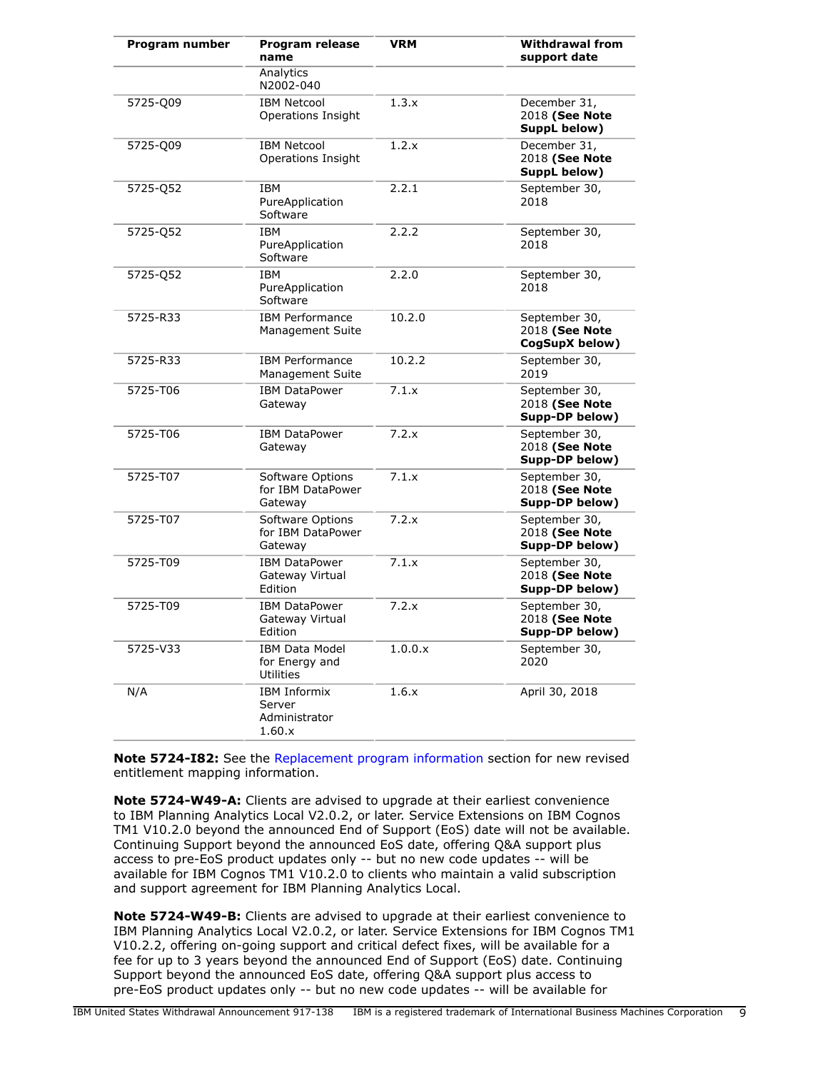| Program number | <b>Program release</b><br>name                           | <b>VRM</b> | <b>Withdrawal from</b><br>support date            |
|----------------|----------------------------------------------------------|------------|---------------------------------------------------|
|                | Analytics<br>N2002-040                                   |            |                                                   |
| 5725-Q09       | <b>IBM Netcool</b><br>Operations Insight                 | 1.3.x      | December 31,<br>2018 (See Note<br>SuppL below)    |
| 5725-Q09       | <b>IBM Netcool</b><br>Operations Insight                 | 1.2.x      | December 31,<br>2018 (See Note<br>SuppL below)    |
| 5725-052       | IBM<br>PureApplication<br>Software                       | 2.2.1      | September 30,<br>2018                             |
| 5725-Q52       | IBM<br>PureApplication<br>Software                       | 2.2.2      | September 30,<br>2018                             |
| 5725-Q52       | IBM<br>PureApplication<br>Software                       | 2.2.0      | September 30,<br>2018                             |
| 5725-R33       | <b>IBM</b> Performance<br>Management Suite               | 10.2.0     | September 30,<br>2018 (See Note<br>CogSupX below) |
| 5725-R33       | <b>IBM Performance</b><br><b>Management Suite</b>        | 10.2.2     | September 30,<br>2019                             |
| 5725-T06       | <b>IBM DataPower</b><br>Gateway                          | 7.1.x      | September 30,<br>2018 (See Note<br>Supp-DP below) |
| 5725-T06       | <b>IBM DataPower</b><br>Gateway                          | 7.2.x      | September 30,<br>2018 (See Note<br>Supp-DP below) |
| 5725-T07       | Software Options<br>for IBM DataPower<br>Gateway         | 7.1.x      | September 30,<br>2018 (See Note<br>Supp-DP below) |
| 5725-T07       | Software Options<br>for IBM DataPower<br>Gateway         | 7.2.x      | September 30,<br>2018 (See Note<br>Supp-DP below) |
| 5725-T09       | <b>IBM DataPower</b><br>Gateway Virtual<br>Edition       | 7.1.x      | September 30,<br>2018 (See Note<br>Supp-DP below) |
| 5725-T09       | <b>IBM DataPower</b><br>Gateway Virtual<br>Edition       | 7.2.x      | September 30,<br>2018 (See Note<br>Supp-DP below) |
| 5725-V33       | <b>IBM Data Model</b><br>for Energy and<br>Utilities     | 1.0.0.x    | September 30,<br>2020                             |
| N/A            | <b>IBM Informix</b><br>Server<br>Administrator<br>1.60.x | 1.6.x      | April 30, 2018                                    |

**Note 5724-I82:** See the [Replacement program information](#page-110-0) section for new revised entitlement mapping information.

**Note 5724-W49-A:** Clients are advised to upgrade at their earliest convenience to IBM Planning Analytics Local V2.0.2, or later. Service Extensions on IBM Cognos TM1 V10.2.0 beyond the announced End of Support (EoS) date will not be available. Continuing Support beyond the announced EoS date, offering Q&A support plus access to pre-EoS product updates only -- but no new code updates -- will be available for IBM Cognos TM1 V10.2.0 to clients who maintain a valid subscription and support agreement for IBM Planning Analytics Local.

**Note 5724-W49-B:** Clients are advised to upgrade at their earliest convenience to IBM Planning Analytics Local V2.0.2, or later. Service Extensions for IBM Cognos TM1 V10.2.2, offering on-going support and critical defect fixes, will be available for a fee for up to 3 years beyond the announced End of Support (EoS) date. Continuing Support beyond the announced EoS date, offering Q&A support plus access to pre-EoS product updates only -- but no new code updates -- will be available for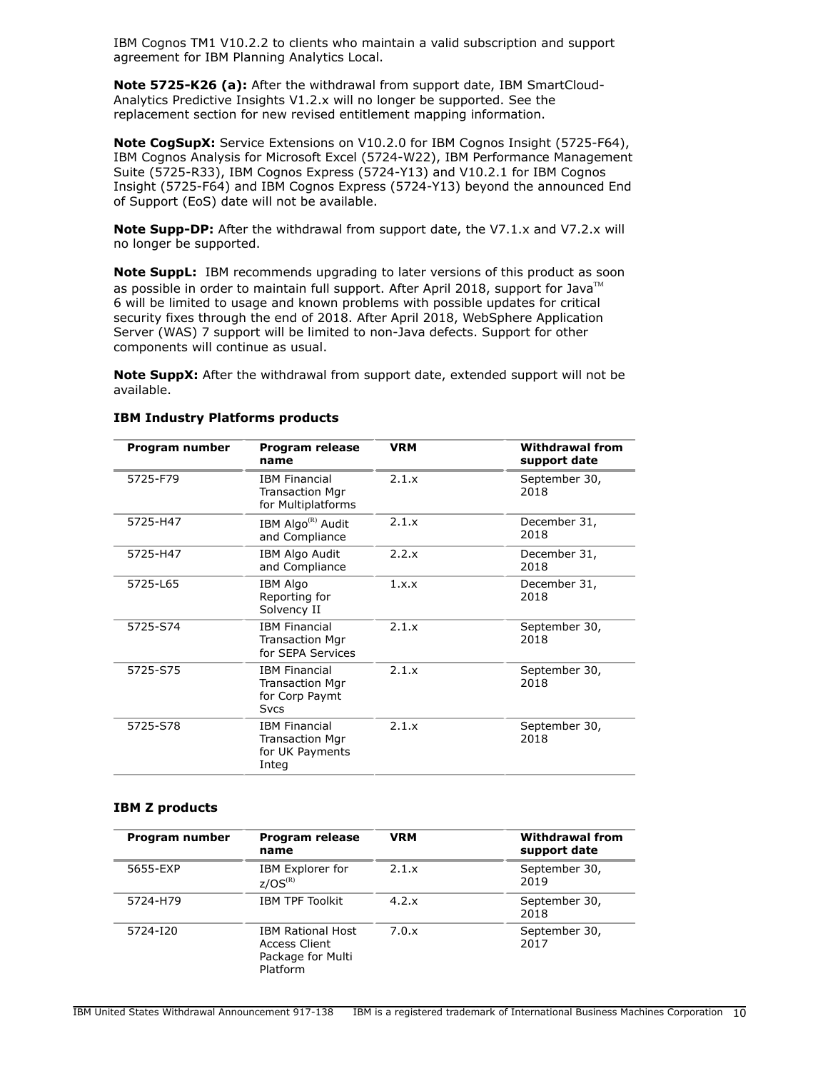IBM Cognos TM1 V10.2.2 to clients who maintain a valid subscription and support agreement for IBM Planning Analytics Local.

**Note 5725-K26 (a):** After the withdrawal from support date, IBM SmartCloud-Analytics Predictive Insights V1.2.x will no longer be supported. See the replacement section for new revised entitlement mapping information.

**Note CogSupX:** Service Extensions on V10.2.0 for IBM Cognos Insight (5725-F64), IBM Cognos Analysis for Microsoft Excel (5724-W22), IBM Performance Management Suite (5725-R33), IBM Cognos Express (5724-Y13) and V10.2.1 for IBM Cognos Insight (5725-F64) and IBM Cognos Express (5724-Y13) beyond the announced End of Support (EoS) date will not be available.

**Note Supp-DP:** After the withdrawal from support date, the V7.1.x and V7.2.x will no longer be supported.

**Note SuppL:** IBM recommends upgrading to later versions of this product as soon as possible in order to maintain full support. After April 2018, support for Java<sup>TM</sup> 6 will be limited to usage and known problems with possible updates for critical security fixes through the end of 2018. After April 2018, WebSphere Application Server (WAS) 7 support will be limited to non-Java defects. Support for other components will continue as usual.

**Note SuppX:** After the withdrawal from support date, extended support will not be available.

| Program number | Program release<br>name                                                         | <b>VRM</b> | <b>Withdrawal from</b><br>support date |
|----------------|---------------------------------------------------------------------------------|------------|----------------------------------------|
| 5725-F79       | <b>IBM Financial</b><br><b>Transaction Mgr</b><br>for Multiplatforms            | 2.1.x      | September 30,<br>2018                  |
| 5725-H47       | IBM Algo <sup>(R)</sup> Audit<br>and Compliance                                 | 2.1.x      | December 31,<br>2018                   |
| 5725-H47       | IBM Algo Audit<br>and Compliance                                                | 2.2.x      | December 31,<br>2018                   |
| 5725-L65       | <b>IBM Algo</b><br>Reporting for<br>Solvency II                                 | 1 x x      | December 31,<br>2018                   |
| 5725-S74       | <b>IBM Financial</b><br><b>Transaction Mgr</b><br>for SEPA Services             | 2.1.x      | September 30,<br>2018                  |
| 5725-S75       | <b>IBM Financial</b><br><b>Transaction Mgr</b><br>for Corp Paymt<br><b>Svcs</b> | 2.1.x      | September 30,<br>2018                  |
| 5725-S78       | <b>IBM Financial</b><br>Transaction Mgr<br>for UK Payments<br>Integ             | 2.1.x      | September 30,<br>2018                  |

## **IBM Industry Platforms products**

#### **IBM Z products**

| Program number | Program release<br>name                                                           | <b>VRM</b>   | <b>Withdrawal from</b><br>support date |
|----------------|-----------------------------------------------------------------------------------|--------------|----------------------------------------|
| 5655-EXP       | IBM Explorer for<br>$Z/OS^{(R)}$                                                  | 2.1.x        | September 30,<br>2019                  |
| 5724-H79       | <b>IBM TPF Toolkit</b>                                                            | $4.2 \times$ | September 30,<br>2018                  |
| 5724-I20       | <b>IBM Rational Host</b><br><b>Access Client</b><br>Package for Multi<br>Platform | 7.0.x        | September 30,<br>2017                  |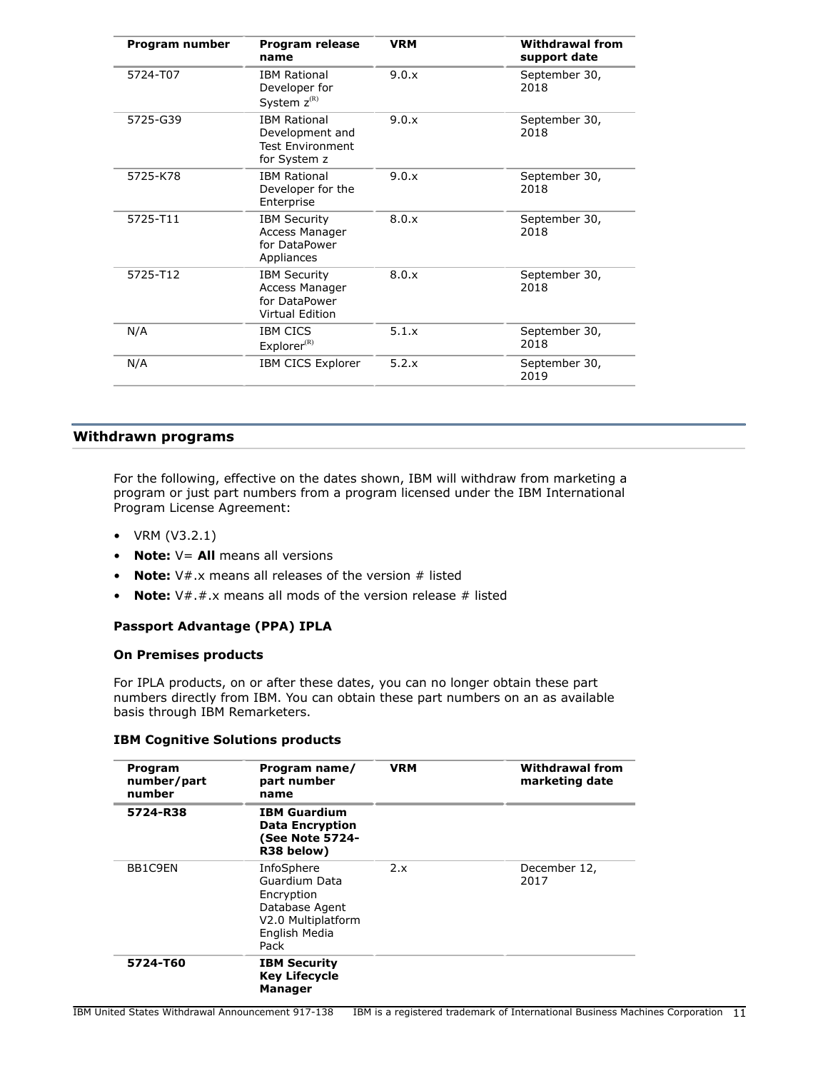| Program number | Program release<br>name                                                           | <b>VRM</b> | <b>Withdrawal from</b><br>support date |
|----------------|-----------------------------------------------------------------------------------|------------|----------------------------------------|
| 5724-T07       | <b>IBM Rational</b><br>Developer for<br>System $z^{(R)}$                          | 9.0.x      | September 30,<br>2018                  |
| 5725-G39       | <b>IBM Rational</b><br>Development and<br><b>Test Environment</b><br>for System z | 9.0.x      | September 30,<br>2018                  |
| 5725-K78       | <b>IBM Rational</b><br>Developer for the<br>Enterprise                            | 9.0.x      | September 30,<br>2018                  |
| 5725-T11       | <b>IBM Security</b><br>Access Manager<br>for DataPower<br>Appliances              | 8.0.x      | September 30,<br>2018                  |
| 5725-T12       | <b>IBM Security</b><br>Access Manager<br>for DataPower<br><b>Virtual Edition</b>  | 8.0.x      | September 30,<br>2018                  |
| N/A            | <b>IBM CICS</b><br>$Explorer^{(R)}$                                               | 5.1.x      | September 30,<br>2018                  |
| N/A            | <b>IBM CICS Explorer</b>                                                          | 5.2.x      | September 30,<br>2019                  |

# <span id="page-10-0"></span>**Withdrawn programs**

For the following, effective on the dates shown, IBM will withdraw from marketing a program or just part numbers from a program licensed under the IBM International Program License Agreement:

- VRM (V3.2.1)
- **Note:** V= **All** means all versions
- **Note:** V#.x means all releases of the version # listed
- **Note:** V#.#.x means all mods of the version release # listed

# **Passport Advantage (PPA) IPLA**

# **On Premises products**

For IPLA products, on or after these dates, you can no longer obtain these part numbers directly from IBM. You can obtain these part numbers on an as available basis through IBM Remarketers.

## **IBM Cognitive Solutions products**

| Program<br>number/part<br>number | Program name/<br>part number<br>name                                                                       | <b>VRM</b> | <b>Withdrawal from</b><br>marketing date |
|----------------------------------|------------------------------------------------------------------------------------------------------------|------------|------------------------------------------|
| 5724-R38                         | <b>IBM Guardium</b><br><b>Data Encryption</b><br>(See Note 5724-<br>R38 below)                             |            |                                          |
| BB1C9EN                          | InfoSphere<br>Guardium Data<br>Encryption<br>Database Agent<br>V2.0 Multiplatform<br>English Media<br>Pack | 2.x        | December 12,<br>2017                     |
| 5724-T60                         | <b>IBM Security</b><br><b>Key Lifecycle</b><br><b>Manager</b>                                              |            |                                          |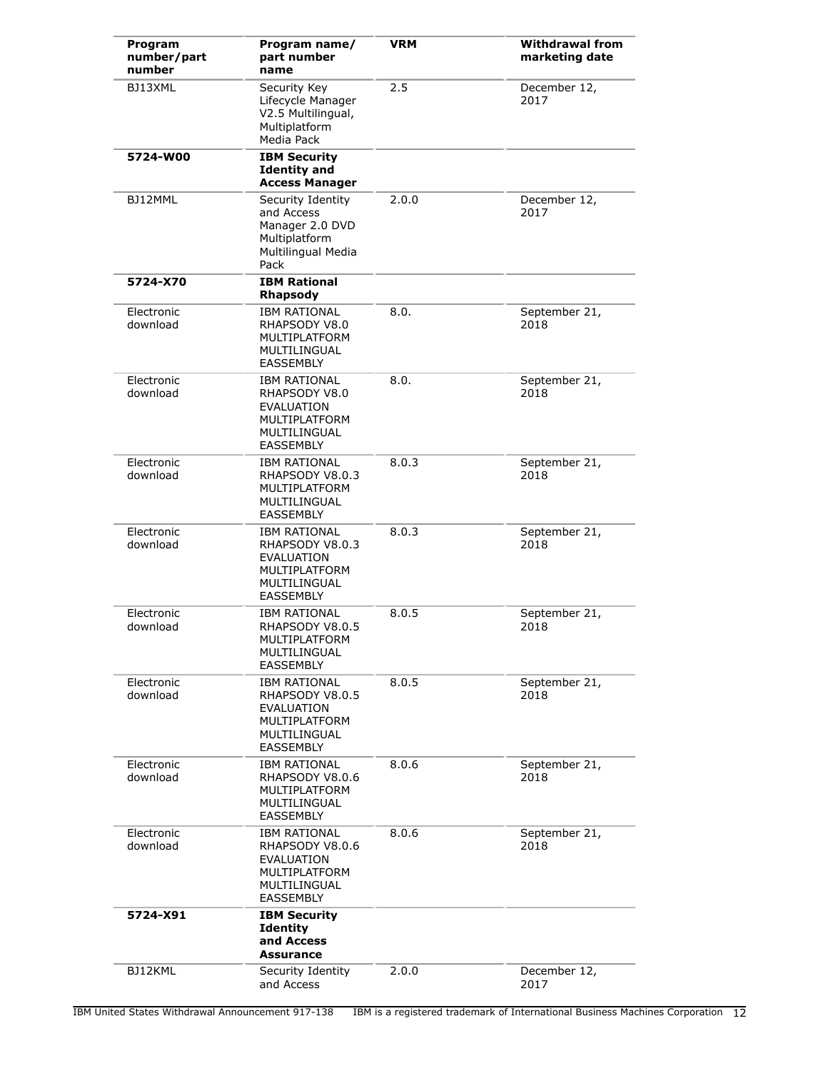| Program<br>number/part<br>number | Program name/<br>part number<br>name                                                                             | <b>VRM</b> | <b>Withdrawal from</b><br>marketing date |
|----------------------------------|------------------------------------------------------------------------------------------------------------------|------------|------------------------------------------|
| BJ13XML                          | Security Key<br>Lifecycle Manager<br>V2.5 Multilingual,<br>Multiplatform<br>Media Pack                           | 2.5        | December 12,<br>2017                     |
| 5724-W00                         | <b>IBM Security</b><br><b>Identity and</b><br><b>Access Manager</b>                                              |            |                                          |
| BJ12MML                          | Security Identity<br>and Access<br>Manager 2.0 DVD<br>Multiplatform<br>Multilingual Media<br>Pack                | 2.0.0      | December 12,<br>2017                     |
| 5724-X70                         | <b>IBM Rational</b><br><b>Rhapsody</b>                                                                           |            |                                          |
| Electronic<br>download           | <b>IBM RATIONAL</b><br>RHAPSODY V8.0<br>MULTIPLATFORM<br>MULTILINGUAL<br><b>EASSEMBLY</b>                        | 8.0.       | September 21,<br>2018                    |
| Electronic<br>download           | <b>IBM RATIONAL</b><br>RHAPSODY V8.0<br><b>EVALUATION</b><br>MULTIPLATFORM<br>MULTILINGUAL<br><b>EASSEMBLY</b>   | 8.0.       | September 21,<br>2018                    |
| Electronic<br>download           | <b>IBM RATIONAL</b><br>RHAPSODY V8.0.3<br>MULTIPLATFORM<br>MULTILINGUAL<br><b>EASSEMBLY</b>                      | 8.0.3      | September 21,<br>2018                    |
| Electronic<br>download           | <b>IBM RATIONAL</b><br>RHAPSODY V8.0.3<br><b>EVALUATION</b><br>MULTIPLATFORM<br>MULTILINGUAL<br><b>EASSEMBLY</b> | 8.0.3      | September 21,<br>2018                    |
| Electronic<br>download           | <b>IBM RATIONAL</b><br>RHAPSODY V8.0.5<br>MULTIPLATFORM<br>MULTILINGUAL<br>EASSEMBLY                             | 8.0.5      | September 21,<br>2018                    |
| Electronic<br>download           | <b>IBM RATIONAL</b><br>RHAPSODY V8.0.5<br>EVALUATION<br>MULTIPLATFORM<br>MULTILINGUAL<br><b>EASSEMBLY</b>        | 8.0.5      | September 21,<br>2018                    |
| Electronic<br>download           | <b>IBM RATIONAL</b><br>RHAPSODY V8.0.6<br>MULTIPLATFORM<br>MULTILINGUAL<br><b>EASSEMBLY</b>                      | 8.0.6      | September 21,<br>2018                    |
| Electronic<br>download           | <b>IBM RATIONAL</b><br>RHAPSODY V8.0.6<br>EVALUATION<br>MULTIPLATFORM<br>MULTILINGUAL<br><b>EASSEMBLY</b>        | 8.0.6      | September 21,<br>2018                    |
| 5724-X91                         | <b>IBM Security</b><br><b>Identity</b><br>and Access<br><b>Assurance</b>                                         |            |                                          |
| BJ12KML                          | Security Identity<br>and Access                                                                                  | 2.0.0      | December 12,<br>2017                     |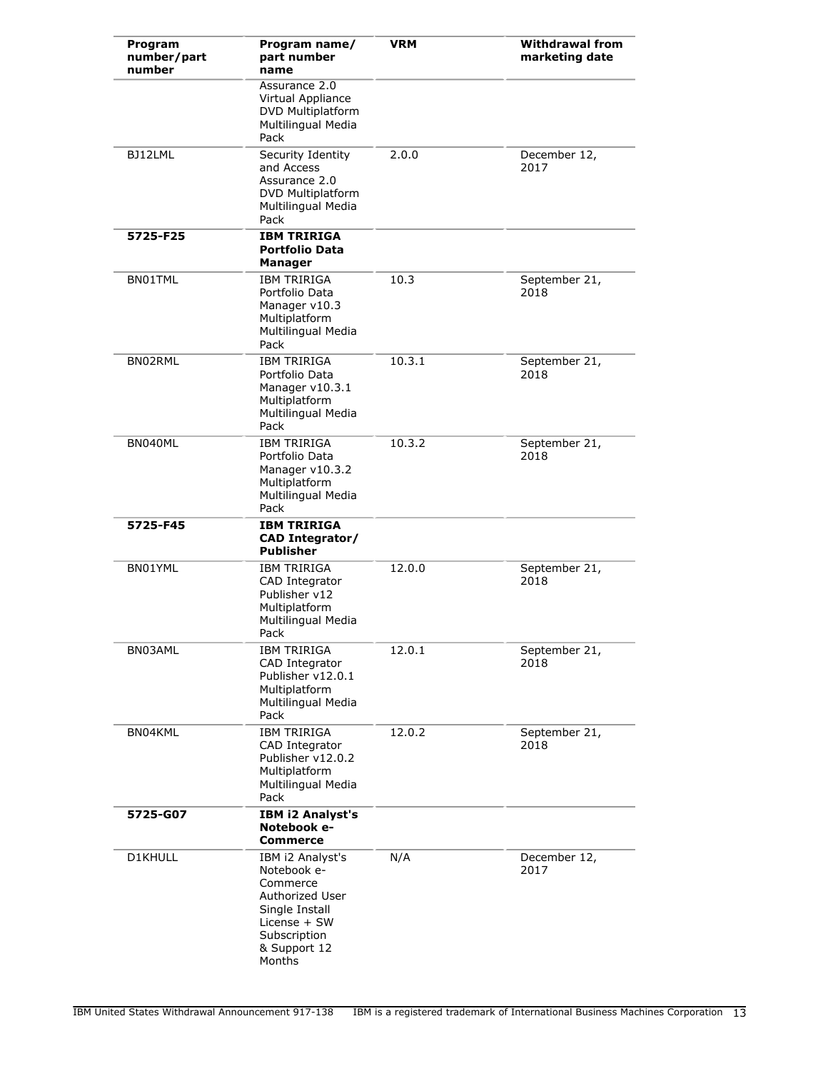| Program<br>number/part<br>number | Program name/<br>part number<br>name                                                                                                       | <b>VRM</b> | <b>Withdrawal from</b><br>marketing date |
|----------------------------------|--------------------------------------------------------------------------------------------------------------------------------------------|------------|------------------------------------------|
|                                  | Assurance 2.0<br>Virtual Appliance<br>DVD Multiplatform<br>Multilingual Media<br>Pack                                                      |            |                                          |
| BJ12LML                          | Security Identity<br>and Access<br>Assurance 2.0<br>DVD Multiplatform<br>Multilingual Media<br>Pack                                        | 2.0.0      | December 12,<br>2017                     |
| 5725-F25                         | <b>IBM TRIRIGA</b><br><b>Portfolio Data</b><br>Manager                                                                                     |            |                                          |
| BN01TML                          | <b>IBM TRIRIGA</b><br>Portfolio Data<br>Manager v10.3<br>Multiplatform<br>Multilingual Media<br>Pack                                       | 10.3       | September 21,<br>2018                    |
| BN02RML                          | <b>IBM TRIRIGA</b><br>Portfolio Data<br>Manager v10.3.1<br>Multiplatform<br>Multilingual Media<br>Pack                                     | 10.3.1     | September 21,<br>2018                    |
| BN040ML                          | <b>IBM TRIRIGA</b><br>Portfolio Data<br>Manager v10.3.2<br>Multiplatform<br>Multilingual Media<br>Pack                                     | 10.3.2     | September 21,<br>2018                    |
| 5725-F45                         | <b>IBM TRIRIGA</b><br><b>CAD Integrator/</b><br><b>Publisher</b>                                                                           |            |                                          |
| BN01YML                          | <b>IBM TRIRIGA</b><br>CAD Integrator<br>Publisher v12<br>Multiplatform<br>Multilingual Media<br>Pack                                       | 12.0.0     | September 21,<br>2018                    |
| BN03AML                          | <b>IBM TRIRIGA</b><br>CAD Integrator<br>Publisher v12.0.1<br>Multiplatform<br>Multilingual Media<br>Pack                                   | 12.0.1     | September 21,<br>2018                    |
| BN04KML                          | IBM TRIRIGA<br>CAD Integrator<br>Publisher v12.0.2<br>Multiplatform<br>Multilingual Media<br>Pack                                          | 12.0.2     | September 21,<br>2018                    |
| 5725-G07                         | <b>IBM i2 Analyst's</b><br>Notebook e-<br>Commerce                                                                                         |            |                                          |
| D1KHULL                          | IBM i2 Analyst's<br>Notebook e-<br>Commerce<br>Authorized User<br>Single Install<br>License + SW<br>Subscription<br>& Support 12<br>Months | N/A        | December 12,<br>2017                     |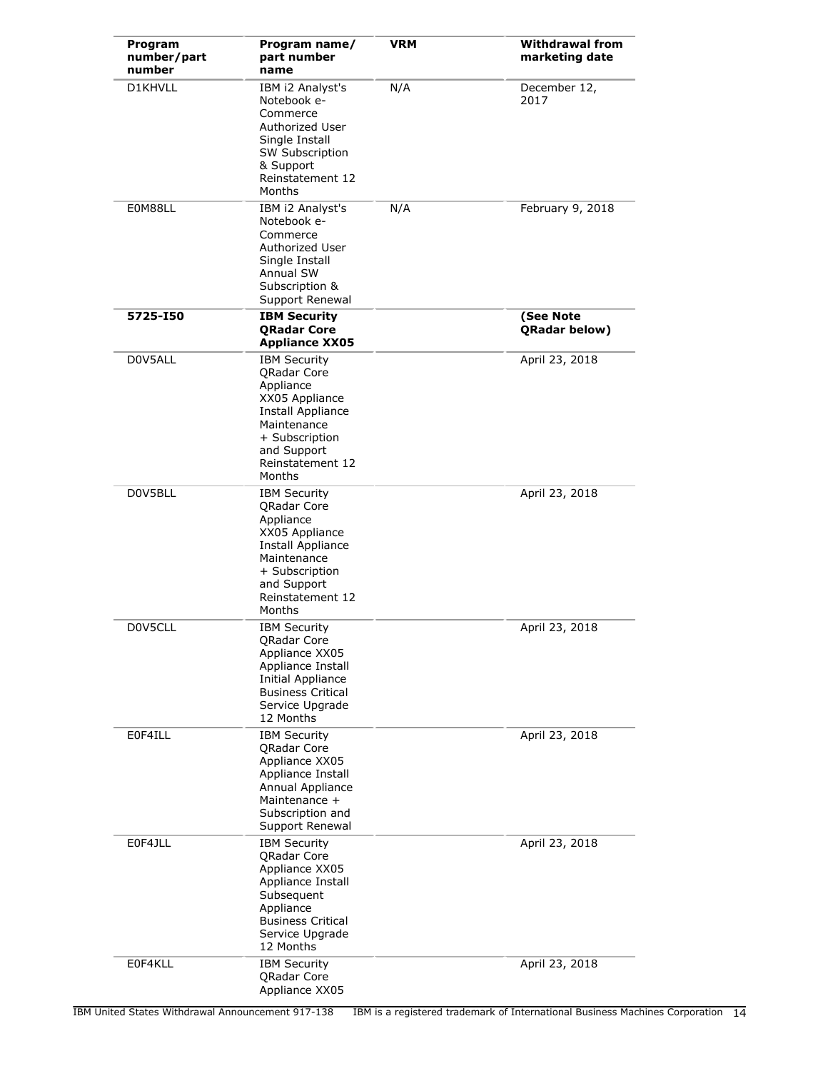| Program<br>number/part<br>number | Program name/<br>part number<br>name                                                                                                                                        | <b>VRM</b> | <b>Withdrawal from</b><br>marketing date |
|----------------------------------|-----------------------------------------------------------------------------------------------------------------------------------------------------------------------------|------------|------------------------------------------|
| D1KHVLL                          | IBM i2 Analyst's<br>Notebook e-<br>Commerce<br>Authorized User<br>Single Install<br>SW Subscription<br>& Support<br>Reinstatement 12<br>Months                              | N/A        | December 12,<br>2017                     |
| E0M88LL                          | IBM i2 Analyst's<br>Notebook e-<br>Commerce<br>Authorized User<br>Single Install<br>Annual SW<br>Subscription &<br>Support Renewal                                          | N/A        | February 9, 2018                         |
| 5725-150                         | <b>IBM Security</b><br><b>ORadar Core</b><br><b>Appliance XX05</b>                                                                                                          |            | (See Note<br>QRadar below)               |
| D0V5ALL                          | <b>IBM Security</b><br>QRadar Core<br>Appliance<br>XX05 Appliance<br>Install Appliance<br>Maintenance<br>+ Subscription<br>and Support<br>Reinstatement 12<br>Months        |            | April 23, 2018                           |
| D0V5BLL                          | <b>IBM Security</b><br><b>QRadar Core</b><br>Appliance<br>XX05 Appliance<br>Install Appliance<br>Maintenance<br>+ Subscription<br>and Support<br>Reinstatement 12<br>Months |            | April 23, 2018                           |
| D0V5CLL                          | <b>IBM Security</b><br>QRadar Core<br>Appliance XX05<br>Appliance Install<br>Initial Appliance<br><b>Business Critical</b><br>Service Upgrade<br>12 Months                  |            | April 23, 2018                           |
| E0F4ILL                          | <b>IBM Security</b><br>QRadar Core<br>Appliance XX05<br>Appliance Install<br>Annual Appliance<br>Maintenance +<br>Subscription and<br>Support Renewal                       |            | April 23, 2018                           |
| E0F4JLL                          | <b>IBM Security</b><br><b>QRadar Core</b><br>Appliance XX05<br>Appliance Install<br>Subsequent<br>Appliance<br><b>Business Critical</b><br>Service Upgrade<br>12 Months     |            | April 23, 2018                           |
| E0F4KLL                          | <b>IBM Security</b><br><b>QRadar Core</b><br>Appliance XX05                                                                                                                 |            | April 23, 2018                           |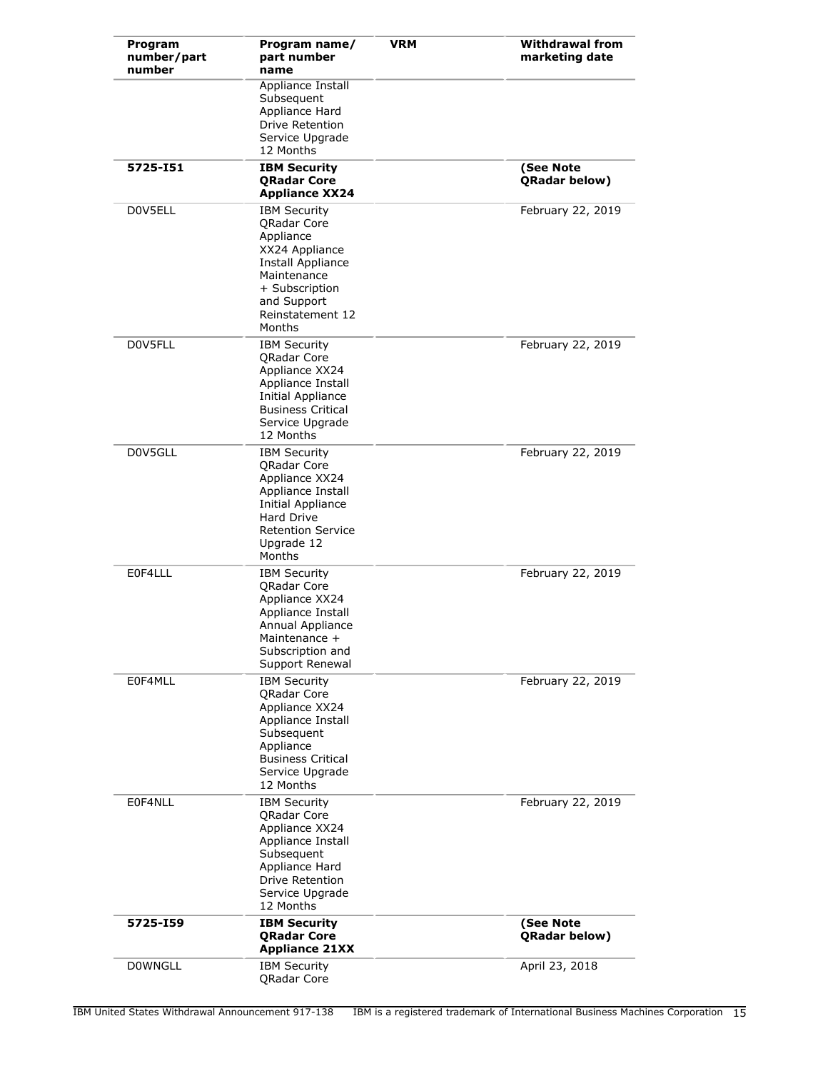| Program<br>number/part<br>number | Program name/<br>part number<br>name                                                                                                                                    | <b>VRM</b> | <b>Withdrawal from</b><br>marketing date |
|----------------------------------|-------------------------------------------------------------------------------------------------------------------------------------------------------------------------|------------|------------------------------------------|
|                                  | Appliance Install<br>Subsequent<br>Appliance Hard<br><b>Drive Retention</b><br>Service Upgrade<br>12 Months                                                             |            |                                          |
| 5725-151                         | <b>IBM Security</b><br><b>QRadar Core</b><br><b>Appliance XX24</b>                                                                                                      |            | (See Note<br>QRadar below)               |
| D0V5ELL                          | <b>IBM Security</b><br>QRadar Core<br>Appliance<br>XX24 Appliance<br>Install Appliance<br>Maintenance<br>+ Subscription<br>and Support<br>Reinstatement 12<br>Months    |            | February 22, 2019                        |
| D0V5FLL                          | <b>IBM Security</b><br><b>QRadar Core</b><br>Appliance XX24<br>Appliance Install<br>Initial Appliance<br><b>Business Critical</b><br>Service Upgrade<br>12 Months       |            | February 22, 2019                        |
| D0V5GLL                          | <b>IBM Security</b><br><b>QRadar Core</b><br>Appliance XX24<br>Appliance Install<br>Initial Appliance<br>Hard Drive<br><b>Retention Service</b><br>Upgrade 12<br>Months |            | February 22, 2019                        |
| E0F4LLL                          | <b>IBM Security</b><br><b>QRadar Core</b><br>Appliance XX24<br>Appliance Install<br>Annual Appliance<br>Maintenance +<br>Subscription and<br>Support Renewal            |            | February 22, 2019                        |
| E0F4MLL                          | <b>IBM Security</b><br>QRadar Core<br>Appliance XX24<br>Appliance Install<br>Subsequent<br>Appliance<br><b>Business Critical</b><br>Service Upgrade<br>12 Months        |            | February 22, 2019                        |
| E0F4NLL                          | <b>IBM Security</b><br><b>QRadar Core</b><br>Appliance XX24<br>Appliance Install<br>Subsequent<br>Appliance Hard<br>Drive Retention<br>Service Upgrade<br>12 Months     |            | February 22, 2019                        |
| 5725-159                         | <b>IBM Security</b><br><b>QRadar Core</b><br><b>Appliance 21XX</b>                                                                                                      |            | (See Note<br>QRadar below)               |
| <b>DOWNGLL</b>                   | <b>IBM Security</b><br>QRadar Core                                                                                                                                      |            | April 23, 2018                           |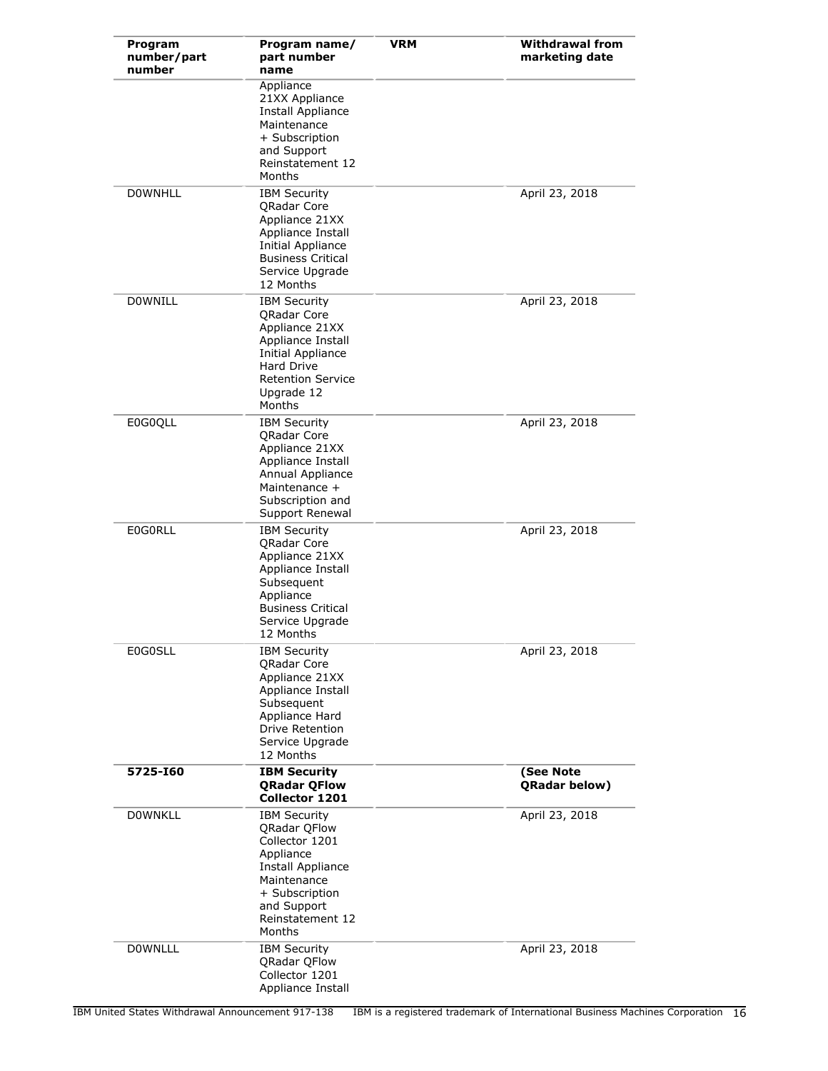| Program<br>number/part<br>number | Program name/<br>part number<br>name                                                                                                                                           | <b>VRM</b> | <b>Withdrawal from</b><br>marketing date |
|----------------------------------|--------------------------------------------------------------------------------------------------------------------------------------------------------------------------------|------------|------------------------------------------|
|                                  | Appliance<br>21XX Appliance<br><b>Install Appliance</b><br>Maintenance<br>+ Subscription<br>and Support<br>Reinstatement 12<br>Months                                          |            |                                          |
| <b>DOWNHLL</b>                   | <b>IBM Security</b><br><b>QRadar Core</b><br>Appliance 21XX<br>Appliance Install<br>Initial Appliance<br><b>Business Critical</b><br>Service Upgrade<br>12 Months              |            | April 23, 2018                           |
| <b>DOWNILL</b>                   | <b>IBM Security</b><br><b>ORadar Core</b><br>Appliance 21XX<br>Appliance Install<br>Initial Appliance<br><b>Hard Drive</b><br><b>Retention Service</b><br>Upgrade 12<br>Months |            | April 23, 2018                           |
| E0G0QLL                          | <b>IBM Security</b><br><b>QRadar Core</b><br>Appliance 21XX<br>Appliance Install<br>Annual Appliance<br>Maintenance +<br>Subscription and<br>Support Renewal                   |            | April 23, 2018                           |
| <b>EOGORLL</b>                   | <b>IBM Security</b><br><b>QRadar Core</b><br>Appliance 21XX<br>Appliance Install<br>Subsequent<br>Appliance<br><b>Business Critical</b><br>Service Upgrade<br>12 Months        |            | April 23, 2018                           |
| <b>E0G0SLL</b>                   | <b>IBM Security</b><br>QRadar Core<br>Appliance 21XX<br>Appliance Install<br>Subsequent<br>Appliance Hard<br>Drive Retention<br>Service Upgrade<br>12 Months                   |            | April 23, 2018                           |
| 5725-160                         | <b>IBM Security</b><br><b>QRadar QFlow</b><br>Collector 1201                                                                                                                   |            | (See Note<br><b>QRadar below)</b>        |
| <b>DOWNKLL</b>                   | <b>IBM Security</b><br><b>QRadar QFlow</b><br>Collector 1201<br>Appliance<br>Install Appliance<br>Maintenance<br>+ Subscription<br>and Support<br>Reinstatement 12<br>Months   |            | April 23, 2018                           |
| <b>DOWNLLL</b>                   | <b>IBM Security</b><br>QRadar QFlow<br>Collector 1201<br>Appliance Install                                                                                                     |            | April 23, 2018                           |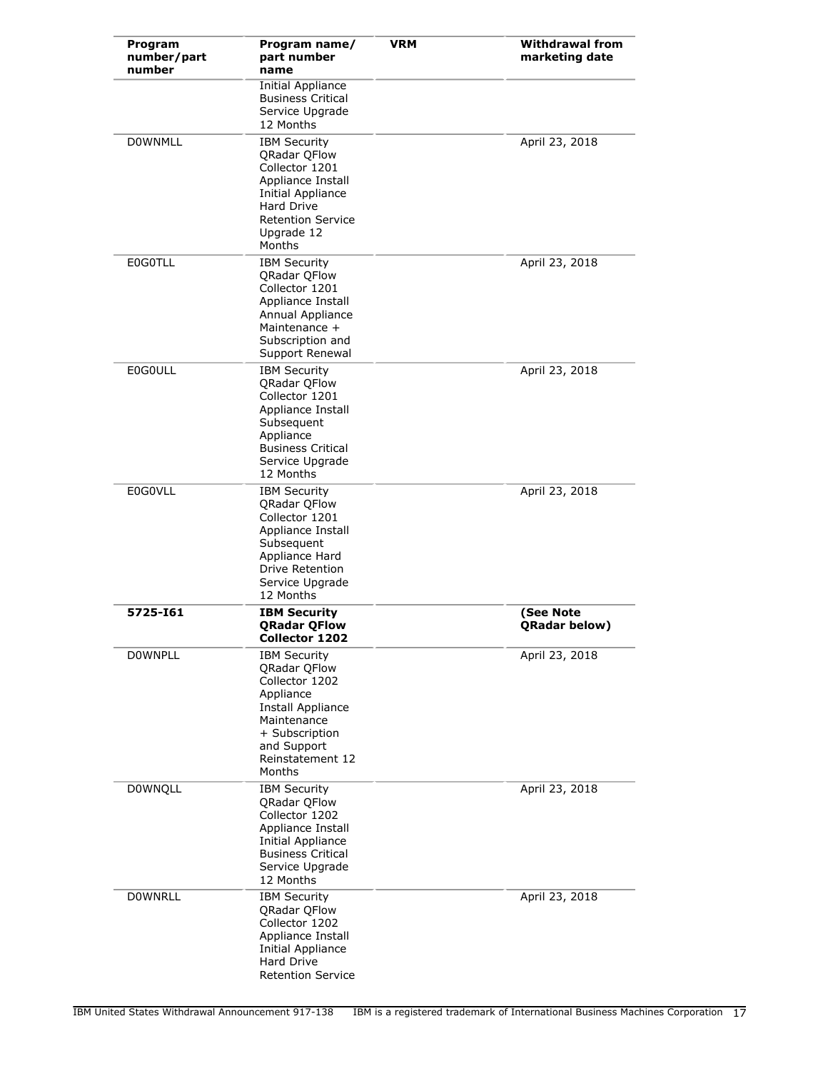| Program<br>number/part<br>number | Program name/<br>part number<br>name                                                                                                                                                   | <b>VRM</b> | <b>Withdrawal from</b><br>marketing date |
|----------------------------------|----------------------------------------------------------------------------------------------------------------------------------------------------------------------------------------|------------|------------------------------------------|
|                                  | <b>Initial Appliance</b><br><b>Business Critical</b><br>Service Upgrade<br>12 Months                                                                                                   |            |                                          |
| <b>DOWNMLL</b>                   | <b>IBM Security</b><br><b>QRadar QFlow</b><br>Collector 1201<br>Appliance Install<br><b>Initial Appliance</b><br><b>Hard Drive</b><br><b>Retention Service</b><br>Upgrade 12<br>Months |            | April 23, 2018                           |
| <b>E0G0TLL</b>                   | <b>IBM Security</b><br>QRadar QFlow<br>Collector 1201<br>Appliance Install<br>Annual Appliance<br>Maintenance +<br>Subscription and<br>Support Renewal                                 |            | April 23, 2018                           |
| <b>E0G0ULL</b>                   | <b>IBM Security</b><br><b>QRadar QFlow</b><br>Collector 1201<br>Appliance Install<br>Subsequent<br>Appliance<br><b>Business Critical</b><br>Service Upgrade<br>12 Months               |            | April 23, 2018                           |
| E0G0VLL                          | <b>IBM Security</b><br><b>QRadar QFlow</b><br>Collector 1201<br>Appliance Install<br>Subsequent<br>Appliance Hard<br>Drive Retention<br>Service Upgrade<br>12 Months                   |            | April 23, 2018                           |
| 5725-161                         | <b>IBM Security</b><br><b>QRadar QFlow</b><br>Collector 1202                                                                                                                           |            | (See Note<br><b>ORadar below)</b>        |
| <b>DOWNPLL</b>                   | <b>IBM Security</b><br><b>QRadar QFlow</b><br>Collector 1202<br>Appliance<br>Install Appliance<br>Maintenance<br>+ Subscription<br>and Support<br>Reinstatement 12<br>Months           |            | April 23, 2018                           |
| <b>DOWNQLL</b>                   | <b>IBM Security</b><br><b>QRadar QFlow</b><br>Collector 1202<br>Appliance Install<br>Initial Appliance<br><b>Business Critical</b><br>Service Upgrade<br>12 Months                     |            | April 23, 2018                           |
| <b>DOWNRLL</b>                   | <b>IBM Security</b><br><b>QRadar QFlow</b><br>Collector 1202<br>Appliance Install<br><b>Initial Appliance</b><br>Hard Drive<br><b>Retention Service</b>                                |            | April 23, 2018                           |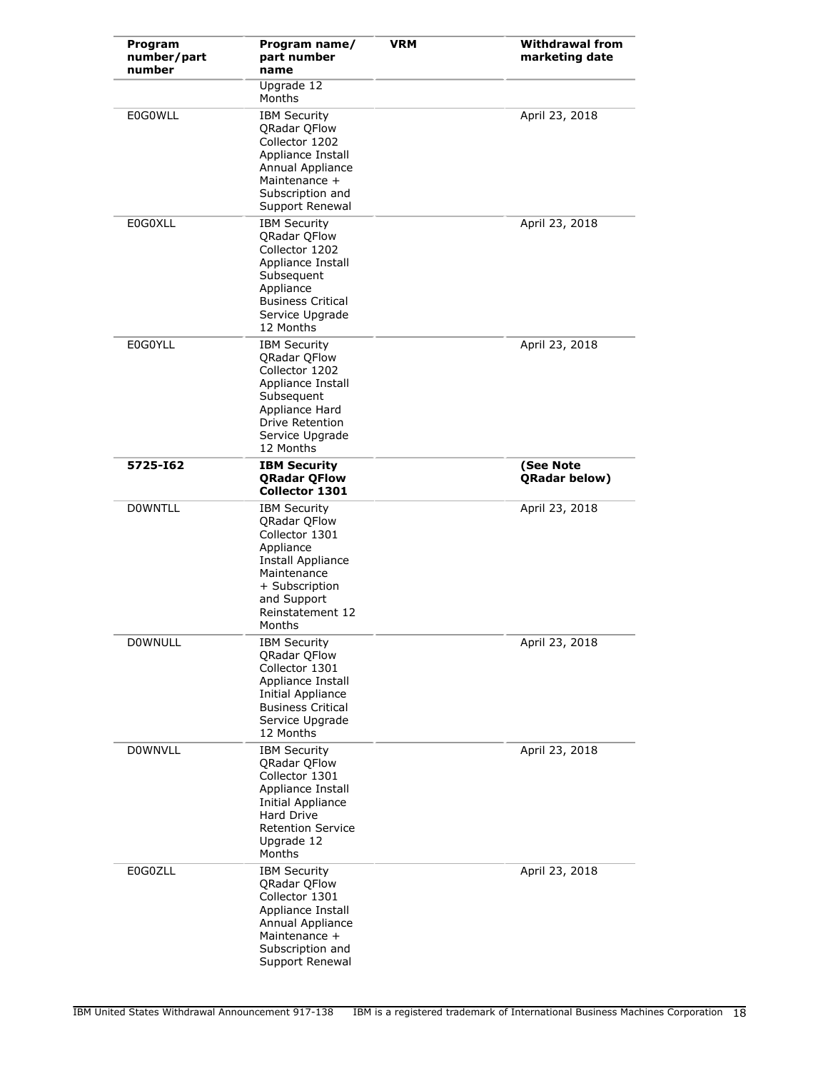| Program<br>number/part<br>number | Program name/<br>part number<br>name                                                                                                                                         | <b>VRM</b> | <b>Withdrawal from</b><br>marketing date |
|----------------------------------|------------------------------------------------------------------------------------------------------------------------------------------------------------------------------|------------|------------------------------------------|
|                                  | Upgrade 12<br>Months                                                                                                                                                         |            |                                          |
| <b>E0G0WLL</b>                   | <b>IBM Security</b><br>QRadar QFlow<br>Collector 1202<br>Appliance Install<br>Annual Appliance<br>Maintenance +<br>Subscription and<br>Support Renewal                       |            | April 23, 2018                           |
| E0G0XLL                          | <b>IBM Security</b><br><b>QRadar QFlow</b><br>Collector 1202<br>Appliance Install<br>Subsequent<br>Appliance<br><b>Business Critical</b><br>Service Upgrade<br>12 Months     |            | April 23, 2018                           |
| <b>E0G0YLL</b>                   | <b>IBM Security</b><br>QRadar QFlow<br>Collector 1202<br>Appliance Install<br>Subsequent<br>Appliance Hard<br><b>Drive Retention</b><br>Service Upgrade<br>12 Months         |            | April 23, 2018                           |
| 5725-162                         | <b>IBM Security</b><br><b>QRadar QFlow</b><br>Collector 1301                                                                                                                 |            | (See Note<br>QRadar below)               |
| <b>DOWNTLL</b>                   | <b>IBM Security</b><br><b>QRadar QFlow</b><br>Collector 1301<br>Appliance<br>Install Appliance<br>Maintenance<br>+ Subscription<br>and Support<br>Reinstatement 12<br>Months |            | April 23, 2018                           |
| <b>DOWNULL</b>                   | <b>IBM Security</b><br><b>ORadar OFlow</b><br>Collector 1301<br>Appliance Install<br><b>Initial Appliance</b><br><b>Business Critical</b><br>Service Upgrade<br>12 Months    |            | April 23, 2018                           |
| <b>DOWNVLL</b>                   | <b>IBM Security</b><br><b>QRadar QFlow</b><br>Collector 1301<br>Appliance Install<br>Initial Appliance<br>Hard Drive<br><b>Retention Service</b><br>Upgrade 12<br>Months     |            | April 23, 2018                           |
| E0G0ZLL                          | <b>IBM Security</b><br><b>QRadar QFlow</b><br>Collector 1301<br>Appliance Install<br>Annual Appliance<br>Maintenance +<br>Subscription and<br>Support Renewal                |            | April 23, 2018                           |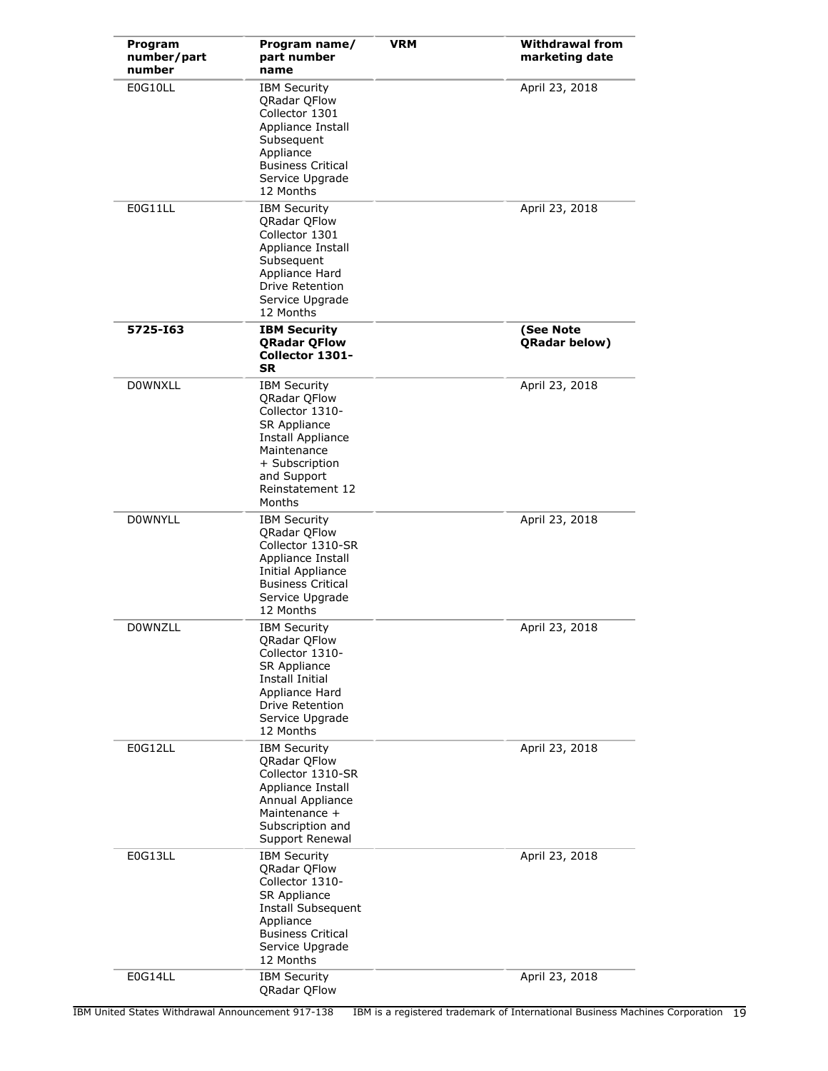| Program<br>number/part<br>number | Program name/<br>part number<br>name                                                                                                                                             | <b>VRM</b> | <b>Withdrawal from</b><br>marketing date |
|----------------------------------|----------------------------------------------------------------------------------------------------------------------------------------------------------------------------------|------------|------------------------------------------|
| E0G10LL                          | <b>IBM Security</b><br><b>QRadar QFlow</b><br>Collector 1301<br>Appliance Install<br>Subsequent<br>Appliance<br><b>Business Critical</b><br>Service Upgrade<br>12 Months         |            | April 23, 2018                           |
| E0G11LL                          | <b>IBM Security</b><br>QRadar QFlow<br>Collector 1301<br>Appliance Install<br>Subsequent<br>Appliance Hard<br>Drive Retention<br>Service Upgrade<br>12 Months                    |            | April 23, 2018                           |
| 5725-163                         | <b>IBM Security</b><br><b>QRadar QFlow</b><br>Collector 1301-<br><b>SR</b>                                                                                                       |            | (See Note<br><b>QRadar below)</b>        |
| <b>DOWNXLL</b>                   | <b>IBM Security</b><br>QRadar QFlow<br>Collector 1310-<br><b>SR Appliance</b><br>Install Appliance<br>Maintenance<br>+ Subscription<br>and Support<br>Reinstatement 12<br>Months |            | April 23, 2018                           |
| <b>DOWNYLL</b>                   | <b>IBM Security</b><br>QRadar QFlow<br>Collector 1310-SR<br>Appliance Install<br><b>Initial Appliance</b><br><b>Business Critical</b><br>Service Upgrade<br>12 Months            |            | April 23, 2018                           |
| <b>DOWNZLL</b>                   | <b>IBM Security</b><br>QRadar QFlow<br>Collector 1310-<br><b>SR Appliance</b><br>Install Initial<br>Appliance Hard<br>Drive Retention<br>Service Upgrade<br>12 Months            |            | April 23, 2018                           |
| E0G12LL                          | <b>IBM Security</b><br><b>QRadar QFlow</b><br>Collector 1310-SR<br>Appliance Install<br>Annual Appliance<br>Maintenance +<br>Subscription and<br>Support Renewal                 |            | April 23, 2018                           |
| E0G13LL                          | <b>IBM Security</b><br>QRadar QFlow<br>Collector 1310-<br><b>SR Appliance</b><br>Install Subsequent<br>Appliance<br><b>Business Critical</b><br>Service Upgrade<br>12 Months     |            | April 23, 2018                           |
| E0G14LL                          | <b>IBM Security</b><br>QRadar QFlow                                                                                                                                              |            | April 23, 2018                           |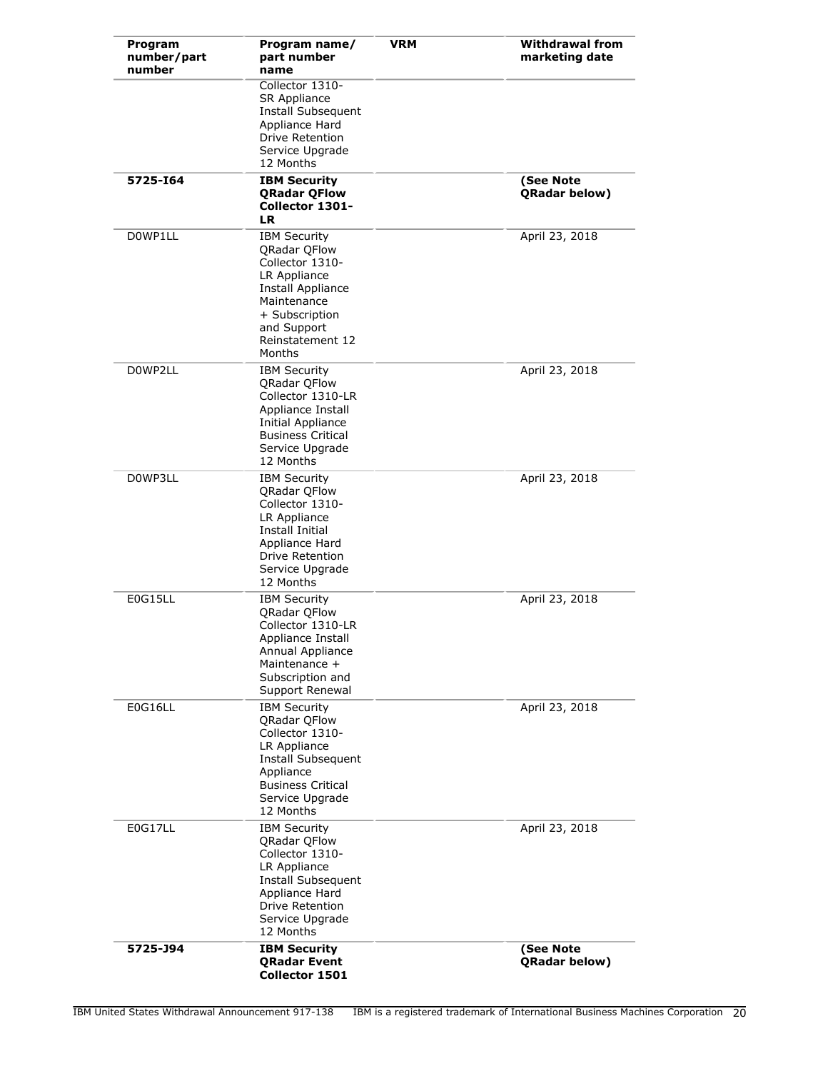| Program<br>number/part<br>number | Program name/<br>part number<br>name                                                                                                                                                | <b>VRM</b> | <b>Withdrawal from</b><br>marketing date |
|----------------------------------|-------------------------------------------------------------------------------------------------------------------------------------------------------------------------------------|------------|------------------------------------------|
|                                  | Collector 1310-<br>SR Appliance<br>Install Subsequent<br>Appliance Hard<br><b>Drive Retention</b><br>Service Upgrade<br>12 Months                                                   |            |                                          |
| 5725-164                         | <b>IBM Security</b><br><b>QRadar QFlow</b><br>Collector 1301-<br><b>LR</b>                                                                                                          |            | (See Note<br><b>QRadar below)</b>        |
| D0WP1LL                          | <b>IBM Security</b><br>QRadar QFlow<br>Collector 1310-<br>LR Appliance<br>Install Appliance<br>Maintenance<br>+ Subscription<br>and Support<br>Reinstatement 12<br>Months           |            | April 23, 2018                           |
| D0WP2LL                          | <b>IBM Security</b><br><b>QRadar QFlow</b><br>Collector 1310-LR<br>Appliance Install<br>Initial Appliance<br><b>Business Critical</b><br>Service Upgrade<br>12 Months               |            | April 23, 2018                           |
| D0WP3LL                          | <b>IBM Security</b><br>QRadar QFlow<br>Collector 1310-<br>LR Appliance<br>Install Initial<br>Appliance Hard<br>Drive Retention<br>Service Upgrade<br>12 Months                      |            | April 23, 2018                           |
| <b>E0G15LL</b>                   | <b>IBM Security</b><br><b>QRadar QFlow</b><br>Collector 1310-LR<br>Appliance Install<br>Annual Appliance<br>Maintenance +<br>Subscription and<br>Support Renewal                    |            | April 23, 2018                           |
| <b>E0G16LL</b>                   | <b>IBM Security</b><br><b>QRadar QFlow</b><br>Collector 1310-<br>LR Appliance<br><b>Install Subsequent</b><br>Appliance<br><b>Business Critical</b><br>Service Upgrade<br>12 Months |            | April 23, 2018                           |
| <b>E0G17LL</b>                   | <b>IBM Security</b><br>QRadar QFlow<br>Collector 1310-<br>LR Appliance<br>Install Subsequent<br>Appliance Hard<br>Drive Retention<br>Service Upgrade<br>12 Months                   |            | April 23, 2018                           |
| 5725-J94                         | <b>IBM Security</b><br><b>QRadar Event</b><br>Collector 1501                                                                                                                        |            | (See Note<br>QRadar below)               |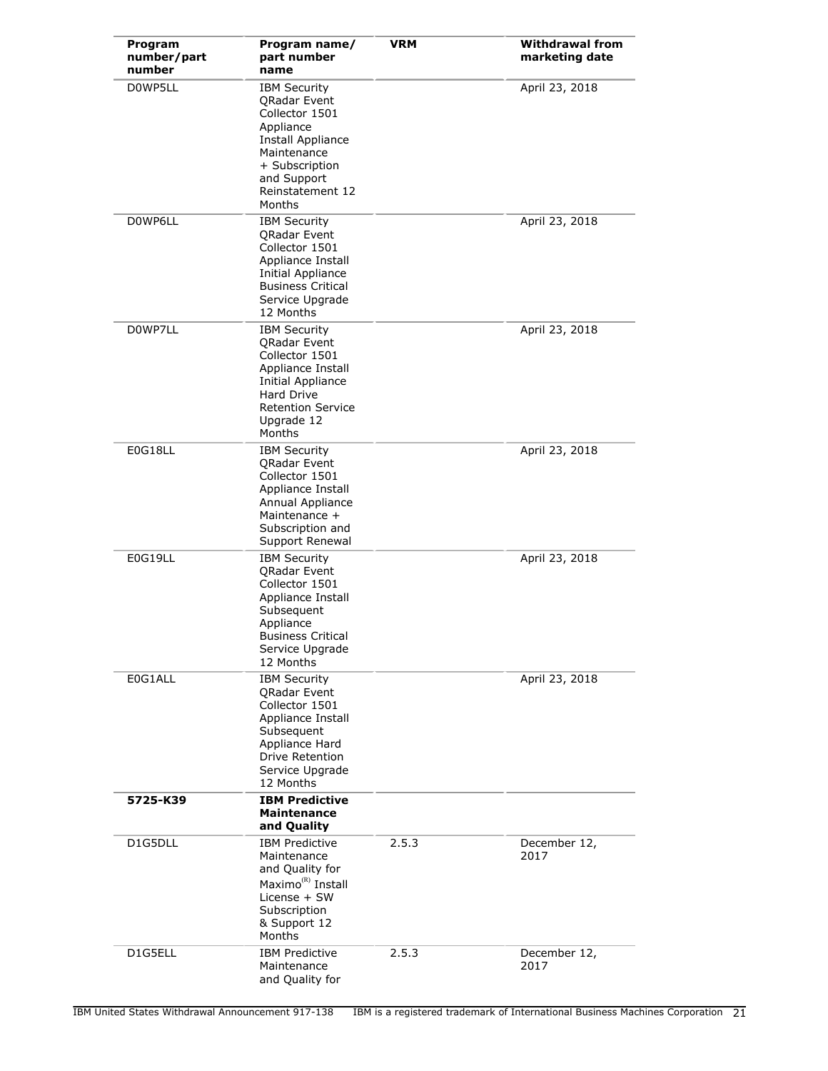| Program<br>number/part<br>number | Program name/<br>part number<br>name                                                                                                                                            | <b>VRM</b> | <b>Withdrawal from</b><br>marketing date |
|----------------------------------|---------------------------------------------------------------------------------------------------------------------------------------------------------------------------------|------------|------------------------------------------|
| D0WP5LL                          | <b>IBM Security</b><br>QRadar Event<br>Collector 1501<br>Appliance<br>Install Appliance<br>Maintenance<br>+ Subscription<br>and Support<br>Reinstatement 12<br>Months           |            | April 23, 2018                           |
| D0WP6LL                          | <b>IBM Security</b><br><b>QRadar Event</b><br>Collector 1501<br>Appliance Install<br>Initial Appliance<br><b>Business Critical</b><br>Service Upgrade<br>12 Months              |            | April 23, 2018                           |
| D0WP7LL                          | <b>IBM Security</b><br>QRadar Event<br>Collector 1501<br>Appliance Install<br><b>Initial Appliance</b><br><b>Hard Drive</b><br><b>Retention Service</b><br>Upgrade 12<br>Months |            | April 23, 2018                           |
| E0G18LL                          | <b>IBM Security</b><br><b>ORadar Event</b><br>Collector 1501<br>Appliance Install<br>Annual Appliance<br>Maintenance +<br>Subscription and<br>Support Renewal                   |            | April 23, 2018                           |
| E0G19LL                          | <b>IBM Security</b><br>QRadar Event<br>Collector 1501<br>Appliance Install<br>Subsequent<br>Appliance<br><b>Business Critical</b><br>Service Upgrade<br>12 Months               |            | April 23, 2018                           |
| E0G1ALL                          | <b>IBM Security</b><br>QRadar Event<br>Collector 1501<br>Appliance Install<br>Subsequent<br>Appliance Hard<br><b>Drive Retention</b><br>Service Upgrade<br>12 Months            |            | April 23, 2018                           |
| 5725-K39                         | <b>IBM Predictive</b><br><b>Maintenance</b><br>and Quality                                                                                                                      |            |                                          |
| D1G5DLL                          | <b>IBM Predictive</b><br>Maintenance<br>and Quality for<br>Maximo <sup>(R)</sup> Install<br>License $+$ SW<br>Subscription<br>& Support 12<br>Months                            | 2.5.3      | December 12,<br>2017                     |
| D1G5ELL                          | <b>IBM Predictive</b><br>Maintenance<br>and Quality for                                                                                                                         | 2.5.3      | December 12,<br>2017                     |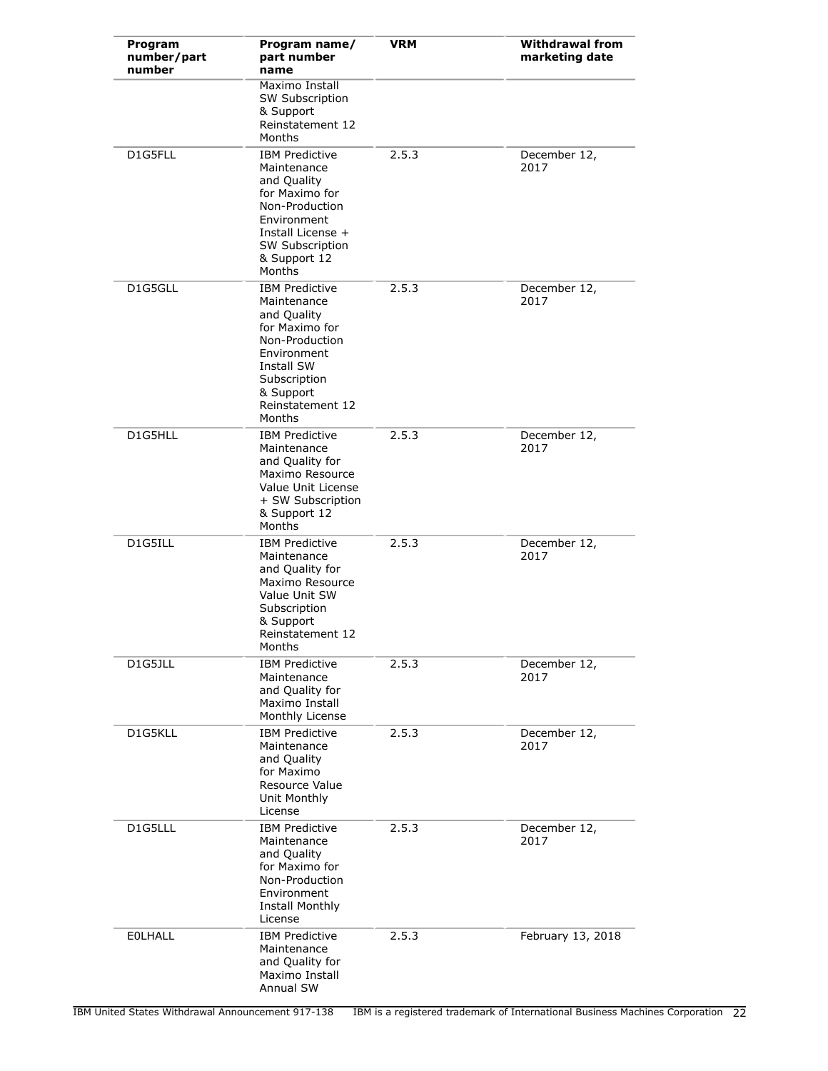| Program<br>number/part<br>number | Program name/<br>part number<br>name                                                                                                                                            | <b>VRM</b> | <b>Withdrawal from</b><br>marketing date |
|----------------------------------|---------------------------------------------------------------------------------------------------------------------------------------------------------------------------------|------------|------------------------------------------|
|                                  | Maximo Install<br><b>SW Subscription</b><br>& Support<br>Reinstatement 12<br>Months                                                                                             |            |                                          |
| D1G5FLL                          | <b>IBM Predictive</b><br>Maintenance<br>and Quality<br>for Maximo for<br>Non-Production<br>Environment<br>Install License +<br><b>SW Subscription</b><br>& Support 12<br>Months | 2.5.3      | December 12,<br>2017                     |
| D1G5GLL                          | <b>IBM Predictive</b><br>Maintenance<br>and Quality<br>for Maximo for<br>Non-Production<br>Environment<br>Install SW<br>Subscription<br>& Support<br>Reinstatement 12<br>Months | 2.5.3      | December 12,<br>2017                     |
| D1G5HLL                          | <b>IBM Predictive</b><br>Maintenance<br>and Quality for<br>Maximo Resource<br>Value Unit License<br>+ SW Subscription<br>& Support 12<br>Months                                 | 2.5.3      | December 12,<br>2017                     |
| D1G5ILL                          | <b>IBM Predictive</b><br>Maintenance<br>and Quality for<br>Maximo Resource<br>Value Unit SW<br>Subscription<br>& Support<br>Reinstatement 12<br>Months                          | 2.5.3      | December 12,<br>2017                     |
| D1G5JLL                          | <b>IBM Predictive</b><br>Maintenance<br>and Quality for<br>Maximo Install<br>Monthly License                                                                                    | 2.5.3      | December 12,<br>2017                     |
| D1G5KLL                          | <b>IBM Predictive</b><br>Maintenance<br>and Quality<br>for Maximo<br>Resource Value<br>Unit Monthly<br>License                                                                  | 2.5.3      | December 12,<br>2017                     |
| D1G5LLL                          | <b>IBM Predictive</b><br>Maintenance<br>and Quality<br>for Maximo for<br>Non-Production<br>Environment<br>Install Monthly<br>License                                            | 2.5.3      | December 12,<br>2017                     |
| <b>EOLHALL</b>                   | <b>IBM Predictive</b><br>Maintenance<br>and Quality for<br>Maximo Install<br>Annual SW                                                                                          | 2.5.3      | February 13, 2018                        |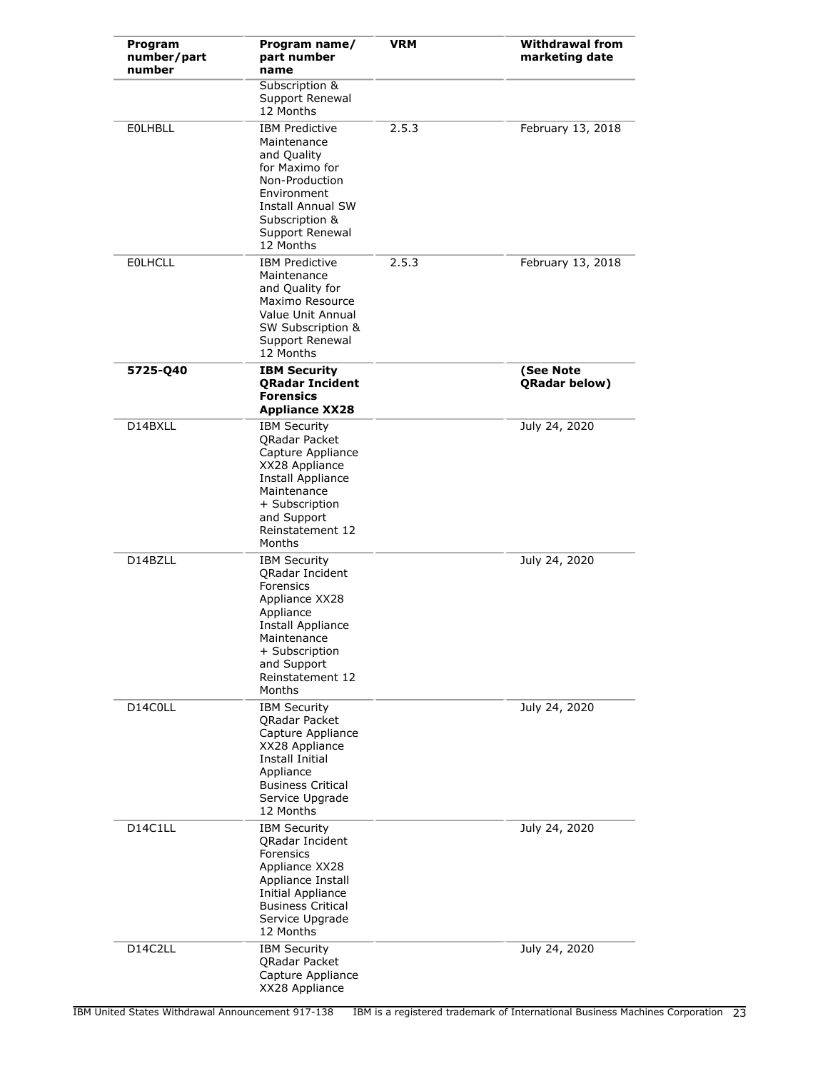| Program<br>number/part<br>number | Program name/<br>part number<br>name                                                                                                                                                         | <b>VRM</b> | <b>Withdrawal from</b><br>marketing date |
|----------------------------------|----------------------------------------------------------------------------------------------------------------------------------------------------------------------------------------------|------------|------------------------------------------|
|                                  | Subscription &<br>Support Renewal<br>12 Months                                                                                                                                               |            |                                          |
| <b>EOLHBLL</b>                   | <b>IBM Predictive</b><br>Maintenance<br>and Quality<br>for Maximo for<br>Non-Production<br>Environment<br>Install Annual SW<br>Subscription &<br>Support Renewal<br>12 Months                | 2.5.3      | February 13, 2018                        |
| <b>EOLHCLL</b>                   | <b>IBM Predictive</b><br>Maintenance<br>and Quality for<br>Maximo Resource<br>Value Unit Annual<br>SW Subscription &<br>Support Renewal<br>12 Months                                         | 2.5.3      | February 13, 2018                        |
| 5725-Q40                         | <b>IBM Security</b><br><b>QRadar Incident</b><br><b>Forensics</b><br><b>Appliance XX28</b>                                                                                                   |            | (See Note<br><b>QRadar below)</b>        |
| D14BXLL                          | <b>IBM Security</b><br>QRadar Packet<br>Capture Appliance<br>XX28 Appliance<br>Install Appliance<br>Maintenance<br>+ Subscription<br>and Support<br>Reinstatement 12<br>Months               |            | July 24, 2020                            |
| D14BZLL                          | <b>IBM Security</b><br><b>ORadar Incident</b><br>Forensics<br>Appliance XX28<br>Appliance<br>Install Appliance<br>Maintenance<br>+ Subscription<br>and Support<br>Reinstatement 12<br>Months |            | July 24, 2020                            |
| D14C0LL                          | <b>IBM Security</b><br>QRadar Packet<br>Capture Appliance<br>XX28 Appliance<br>Install Initial<br>Appliance<br><b>Business Critical</b><br>Service Upgrade<br>12 Months                      |            | July 24, 2020                            |
| D14C1LL                          | <b>IBM Security</b><br>QRadar Incident<br>Forensics<br>Appliance XX28<br>Appliance Install<br><b>Initial Appliance</b><br><b>Business Critical</b><br>Service Upgrade<br>12 Months           |            | July 24, 2020                            |
| D14C2LL                          | <b>IBM Security</b><br>QRadar Packet<br>Capture Appliance<br>XX28 Appliance                                                                                                                  |            | July 24, 2020                            |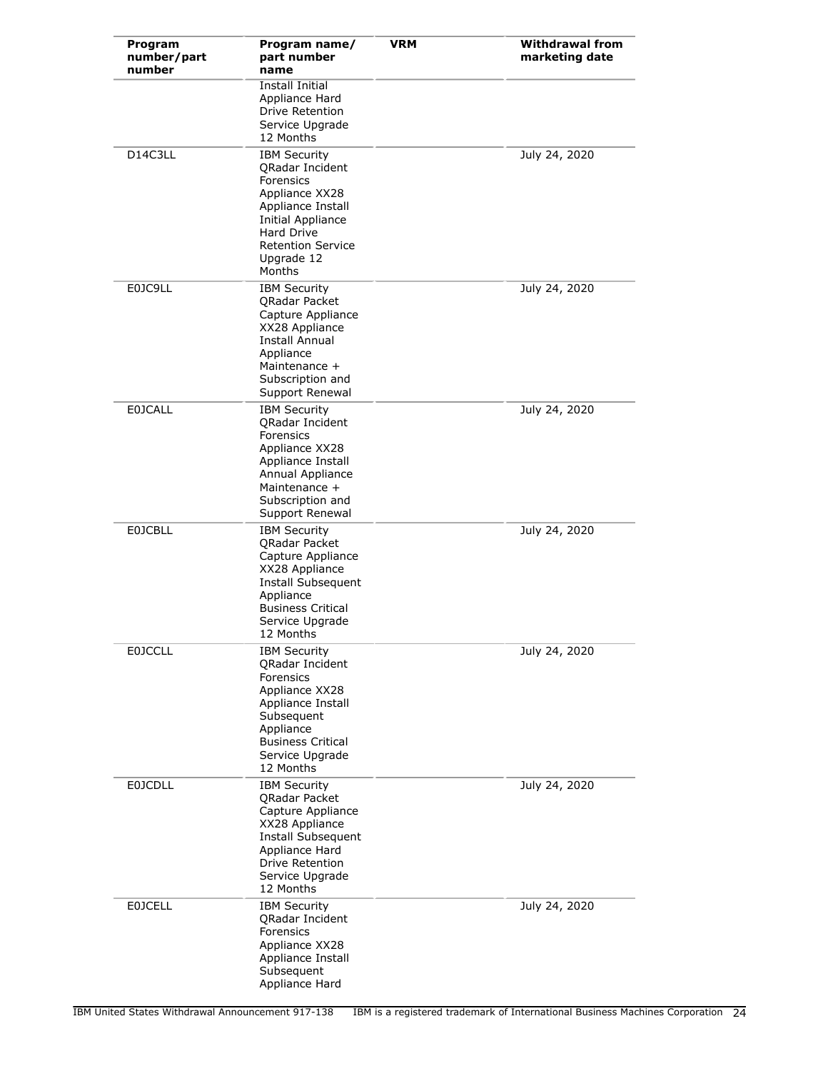| Program<br>number/part<br>number | Program name/<br>part number<br>name                                                                                                                                                            | <b>VRM</b> | <b>Withdrawal from</b><br>marketing date |
|----------------------------------|-------------------------------------------------------------------------------------------------------------------------------------------------------------------------------------------------|------------|------------------------------------------|
|                                  | Install Initial<br>Appliance Hard<br>Drive Retention<br>Service Upgrade<br>12 Months                                                                                                            |            |                                          |
| D14C3LL                          | <b>IBM Security</b><br><b>ORadar Incident</b><br>Forensics<br>Appliance XX28<br>Appliance Install<br>Initial Appliance<br><b>Hard Drive</b><br><b>Retention Service</b><br>Upgrade 12<br>Months |            | July 24, 2020                            |
| E0JC9LL                          | <b>IBM Security</b><br><b>ORadar Packet</b><br>Capture Appliance<br>XX28 Appliance<br>Install Annual<br>Appliance<br>Maintenance +<br>Subscription and<br>Support Renewal                       |            | July 24, 2020                            |
| <b>E0JCALL</b>                   | <b>IBM Security</b><br>QRadar Incident<br>Forensics<br>Appliance XX28<br>Appliance Install<br>Annual Appliance<br>Maintenance +<br>Subscription and<br>Support Renewal                          |            | July 24, 2020                            |
| <b>E0JCBLL</b>                   | <b>IBM Security</b><br><b>QRadar Packet</b><br>Capture Appliance<br>XX28 Appliance<br>Install Subsequent<br>Appliance<br><b>Business Critical</b><br>Service Upgrade<br>12 Months               |            | July 24, 2020                            |
| <b>E0JCCLL</b>                   | <b>IBM Security</b><br>QRadar Incident<br>Forensics<br>Appliance XX28<br>Appliance Install<br>Subsequent<br>Appliance<br><b>Business Critical</b><br>Service Upgrade<br>12 Months               |            | July 24, 2020                            |
| <b>E0JCDLL</b>                   | <b>IBM Security</b><br>QRadar Packet<br>Capture Appliance<br>XX28 Appliance<br>Install Subsequent<br>Appliance Hard<br>Drive Retention<br>Service Upgrade<br>12 Months                          |            | July 24, 2020                            |
| <b>EOJCELL</b>                   | <b>IBM Security</b><br>QRadar Incident<br>Forensics<br>Appliance XX28<br>Appliance Install<br>Subsequent<br>Appliance Hard                                                                      |            | July 24, 2020                            |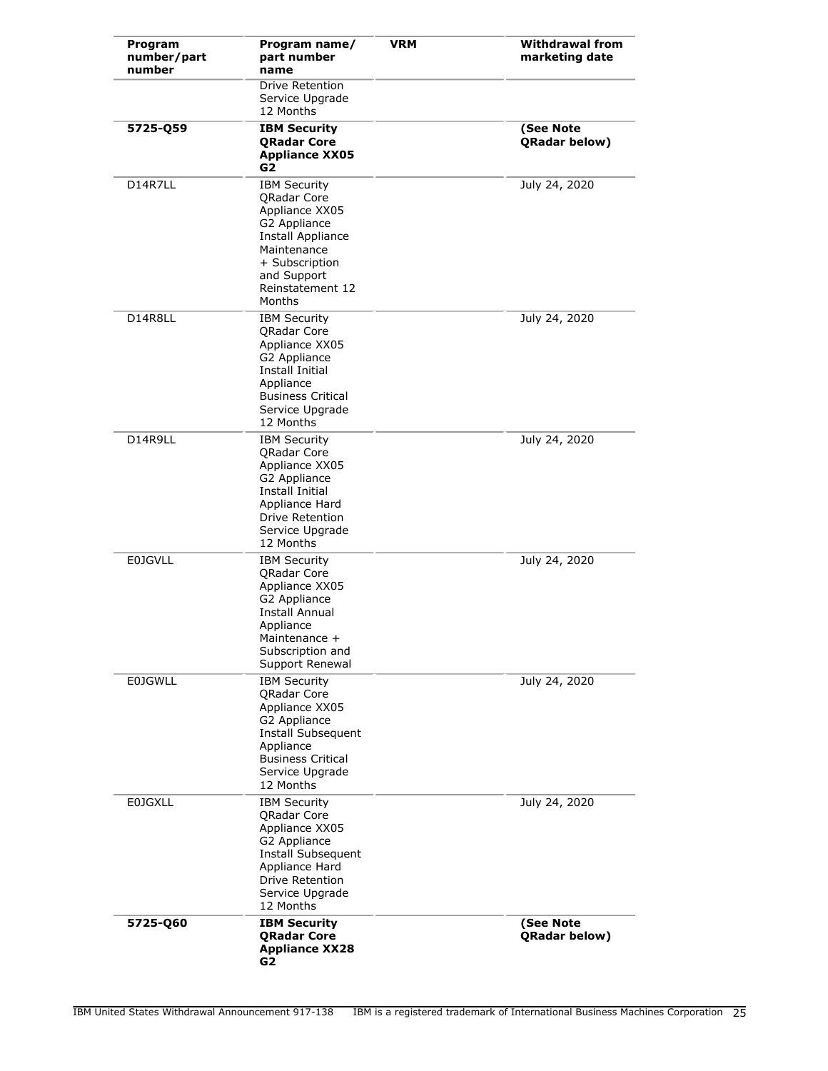| Program<br>number/part<br>number | Program name/<br>part number<br>name                                                                                                                                           | <b>VRM</b> | <b>Withdrawal from</b><br>marketing date |
|----------------------------------|--------------------------------------------------------------------------------------------------------------------------------------------------------------------------------|------------|------------------------------------------|
|                                  | Drive Retention<br>Service Upgrade<br>12 Months                                                                                                                                |            |                                          |
| 5725-Q59                         | <b>IBM Security</b><br><b>QRadar Core</b><br><b>Appliance XX05</b><br>G2                                                                                                       |            | (See Note<br>QRadar below)               |
| D14R7LL                          | <b>IBM Security</b><br><b>ORadar Core</b><br>Appliance XX05<br>G2 Appliance<br>Install Appliance<br>Maintenance<br>+ Subscription<br>and Support<br>Reinstatement 12<br>Months |            | July 24, 2020                            |
| D14R8LL                          | <b>IBM Security</b><br><b>QRadar Core</b><br>Appliance XX05<br>G2 Appliance<br>Install Initial<br>Appliance<br><b>Business Critical</b><br>Service Upgrade<br>12 Months        |            | July 24, 2020                            |
| D14R9LL                          | <b>IBM Security</b><br><b>QRadar Core</b><br>Appliance XX05<br>G2 Appliance<br><b>Install Initial</b><br>Appliance Hard<br>Drive Retention<br>Service Upgrade<br>12 Months     |            | July 24, 2020                            |
| <b>E0JGVLL</b>                   | <b>IBM Security</b><br><b>QRadar Core</b><br>Appliance XX05<br>G2 Appliance<br>Install Annual<br>Appliance<br>Maintenance +<br>Subscription and<br>Support Renewal             |            | July 24, 2020                            |
| <b>E0JGWLL</b>                   | <b>IBM Security</b><br><b>QRadar Core</b><br>Appliance XX05<br>G2 Appliance<br>Install Subsequent<br>Appliance<br><b>Business Critical</b><br>Service Upgrade<br>12 Months     |            | July 24, 2020                            |
| <b>E0JGXLL</b>                   | <b>IBM Security</b><br><b>QRadar Core</b><br>Appliance XX05<br>G2 Appliance<br>Install Subsequent<br>Appliance Hard<br><b>Drive Retention</b><br>Service Upgrade<br>12 Months  |            | July 24, 2020                            |
| 5725-Q60                         | <b>IBM Security</b><br><b>QRadar Core</b><br><b>Appliance XX28</b><br>G2                                                                                                       |            | (See Note<br>QRadar below)               |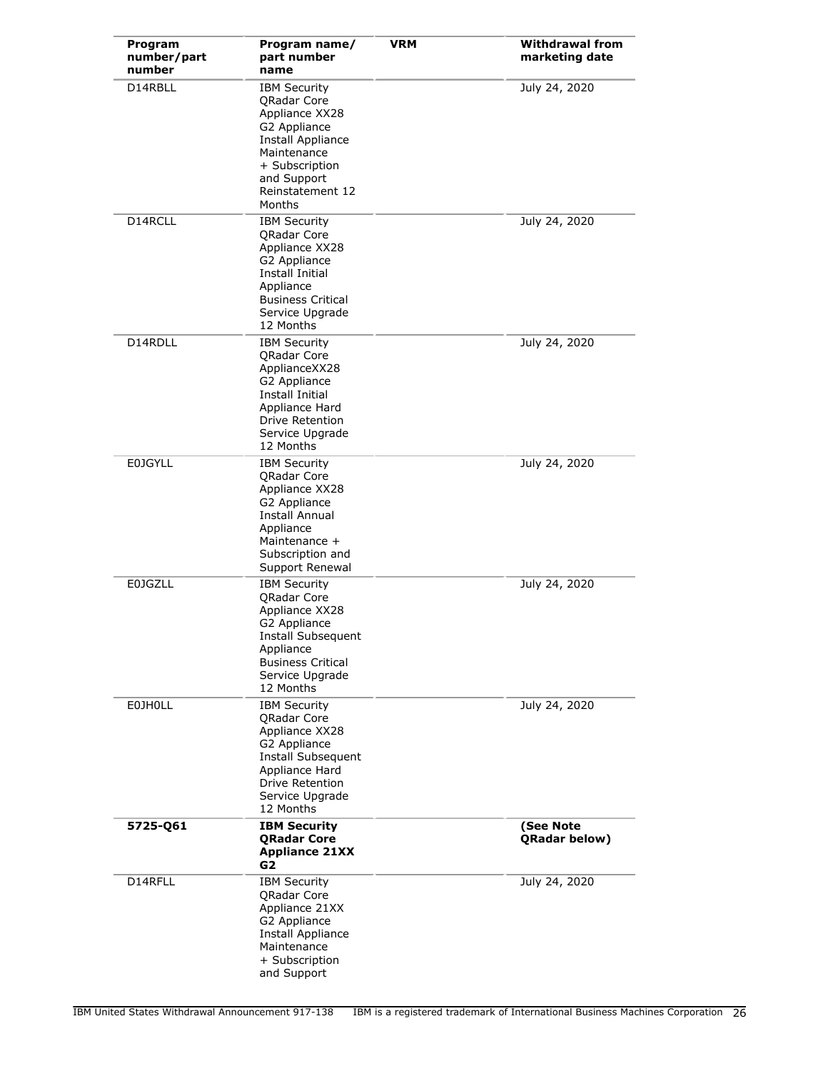| Program<br>number/part<br>number | Program name/<br>part number<br>name                                                                                                                                             | <b>VRM</b> | <b>Withdrawal from</b><br>marketing date |
|----------------------------------|----------------------------------------------------------------------------------------------------------------------------------------------------------------------------------|------------|------------------------------------------|
| D14RBLL                          | <b>IBM Security</b><br><b>QRadar Core</b><br>Appliance XX28<br>G2 Appliance<br>Install Appliance<br>Maintenance<br>+ Subscription<br>and Support<br>Reinstatement 12<br>Months   |            | July 24, 2020                            |
| D14RCLL                          | <b>IBM Security</b><br><b>QRadar Core</b><br>Appliance XX28<br>G2 Appliance<br>Install Initial<br>Appliance<br><b>Business Critical</b><br>Service Upgrade<br>12 Months          |            | July 24, 2020                            |
| D14RDLL                          | <b>IBM Security</b><br><b>ORadar Core</b><br>ApplianceXX28<br>G2 Appliance<br><b>Install Initial</b><br>Appliance Hard<br><b>Drive Retention</b><br>Service Upgrade<br>12 Months |            | July 24, 2020                            |
| <b>E0JGYLL</b>                   | <b>IBM Security</b><br><b>QRadar Core</b><br>Appliance XX28<br>G2 Appliance<br>Install Annual<br>Appliance<br>Maintenance +<br>Subscription and<br>Support Renewal               |            | July 24, 2020                            |
| <b>E0JGZLL</b>                   | <b>IBM Security</b><br>QRadar Core<br>Appliance XX28<br>G2 Appliance<br><b>Install Subsequent</b><br>Appliance<br><b>Business Critical</b><br>Service Upgrade<br>12 Months       |            | July 24, 2020                            |
| <b>EOJHOLL</b>                   | <b>IBM Security</b><br><b>QRadar Core</b><br>Appliance XX28<br>G2 Appliance<br>Install Subsequent<br>Appliance Hard<br>Drive Retention<br>Service Upgrade<br>12 Months           |            | July 24, 2020                            |
| 5725-Q61                         | <b>IBM Security</b><br><b>QRadar Core</b><br><b>Appliance 21XX</b><br>G2                                                                                                         |            | (See Note<br>QRadar below)               |
| D14RFLL                          | <b>IBM Security</b><br><b>QRadar Core</b><br>Appliance 21XX<br>G2 Appliance<br>Install Appliance<br>Maintenance<br>+ Subscription<br>and Support                                 |            | July 24, 2020                            |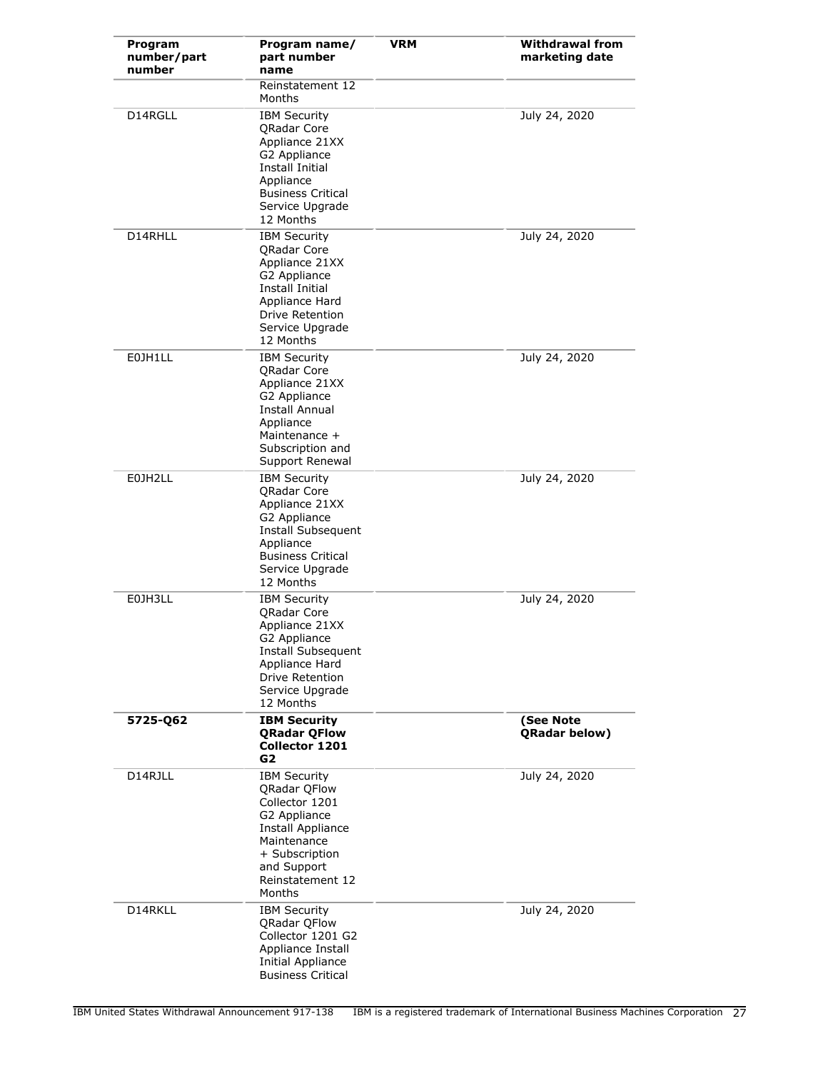| Program<br>number/part<br>number | Program name/<br>part number<br>name                                                                                                                                                   | <b>VRM</b> | <b>Withdrawal from</b><br>marketing date |
|----------------------------------|----------------------------------------------------------------------------------------------------------------------------------------------------------------------------------------|------------|------------------------------------------|
|                                  | Reinstatement 12<br>Months                                                                                                                                                             |            |                                          |
| D14RGLL                          | <b>IBM Security</b><br><b>ORadar Core</b><br>Appliance 21XX<br>G2 Appliance<br>Install Initial<br>Appliance<br><b>Business Critical</b><br>Service Upgrade<br>12 Months                |            | July 24, 2020                            |
| D14RHLL                          | <b>IBM Security</b><br><b>QRadar Core</b><br>Appliance 21XX<br>G2 Appliance<br>Install Initial<br>Appliance Hard<br>Drive Retention<br>Service Upgrade<br>12 Months                    |            | July 24, 2020                            |
| E0JH1LL                          | <b>IBM Security</b><br><b>QRadar Core</b><br>Appliance 21XX<br>G2 Appliance<br><b>Install Annual</b><br>Appliance<br>Maintenance +<br>Subscription and<br>Support Renewal              |            | July 24, 2020                            |
| E0JH2LL                          | <b>IBM Security</b><br><b>ORadar Core</b><br>Appliance 21XX<br>G2 Appliance<br>Install Subsequent<br>Appliance<br><b>Business Critical</b><br>Service Upgrade<br>12 Months             |            | July 24, 2020                            |
| E0JH3LL                          | <b>IBM Security</b><br><b>ORadar Core</b><br>Appliance 21XX<br>G2 Appliance<br>Install Subsequent<br>Appliance Hard<br>Drive Retention<br>Service Upgrade<br>12 Months                 |            | July 24, 2020                            |
| 5725-Q62                         | <b>IBM Security</b><br><b>QRadar QFlow</b><br>Collector 1201<br>G2                                                                                                                     |            | (See Note<br>QRadar below)               |
| D14RJLL                          | <b>IBM Security</b><br><b>QRadar QFlow</b><br>Collector 1201<br>G2 Appliance<br><b>Install Appliance</b><br>Maintenance<br>+ Subscription<br>and Support<br>Reinstatement 12<br>Months |            | July 24, 2020                            |
| D14RKLL                          | <b>IBM Security</b><br><b>QRadar QFlow</b><br>Collector 1201 G2<br>Appliance Install<br>Initial Appliance<br><b>Business Critical</b>                                                  |            | July 24, 2020                            |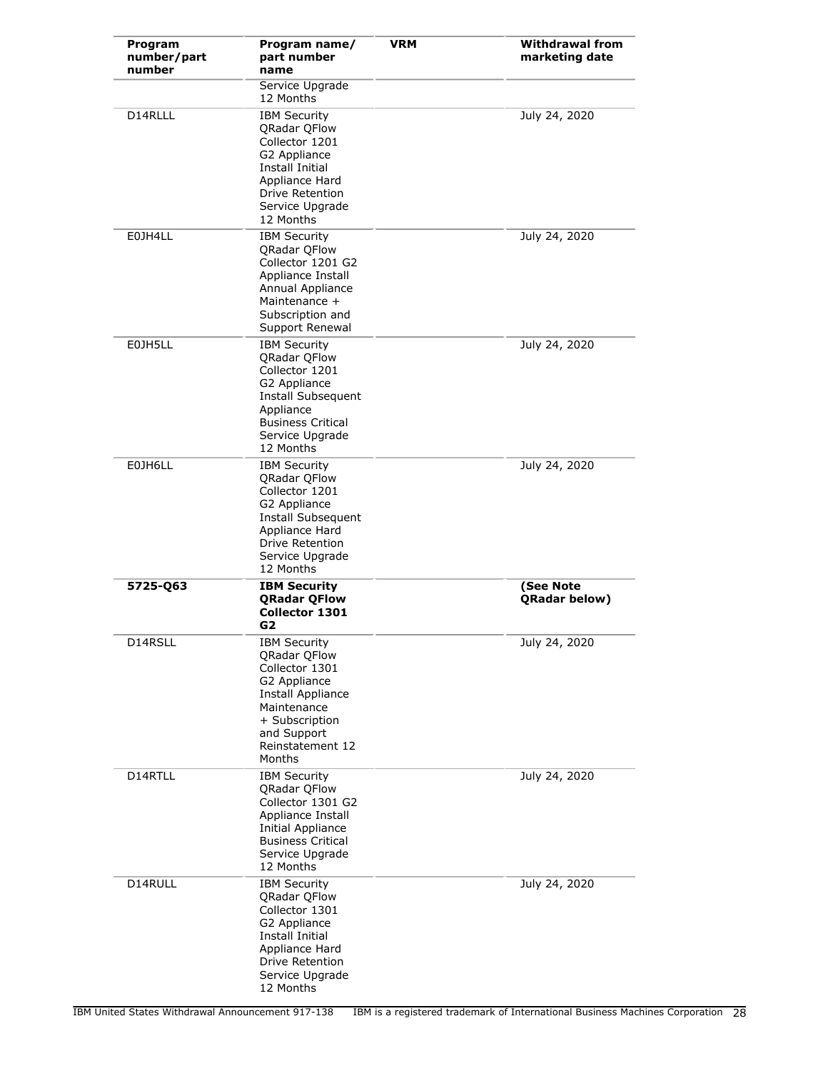| Program<br>number/part<br>number | Program name/<br>part number<br>name                                                                                                                                            | <b>VRM</b> | <b>Withdrawal from</b><br>marketing date |
|----------------------------------|---------------------------------------------------------------------------------------------------------------------------------------------------------------------------------|------------|------------------------------------------|
|                                  | Service Upgrade<br>12 Months                                                                                                                                                    |            |                                          |
| D14RLLL                          | <b>IBM Security</b><br>QRadar QFlow<br>Collector 1201<br>G2 Appliance<br>Install Initial<br>Appliance Hard<br>Drive Retention<br>Service Upgrade<br>12 Months                   |            | July 24, 2020                            |
| E0JH4LL                          | <b>IBM Security</b><br><b>QRadar QFlow</b><br>Collector 1201 G2<br>Appliance Install<br>Annual Appliance<br>Maintenance +<br>Subscription and<br>Support Renewal                |            | July 24, 2020                            |
| E0JH5LL                          | <b>IBM Security</b><br><b>QRadar QFlow</b><br>Collector 1201<br>G2 Appliance<br>Install Subsequent<br>Appliance<br><b>Business Critical</b><br>Service Upgrade<br>12 Months     |            | July 24, 2020                            |
| E0JH6LL                          | <b>IBM Security</b><br><b>QRadar QFlow</b><br>Collector 1201<br>G2 Appliance<br>Install Subsequent<br>Appliance Hard<br><b>Drive Retention</b><br>Service Upgrade<br>12 Months  |            | July 24, 2020                            |
| 5725-Q63                         | <b>IBM Security</b><br><b>QRadar QFlow</b><br><b>Collector 1301</b><br>G2                                                                                                       |            | (See Note<br><b>QRadar below)</b>        |
| D14RSLL                          | <b>IBM Security</b><br><b>ORadar OFlow</b><br>Collector 1301<br>G2 Appliance<br>Install Appliance<br>Maintenance<br>+ Subscription<br>and Support<br>Reinstatement 12<br>Months |            | July 24, 2020                            |
| D14RTLL                          | <b>IBM Security</b><br><b>ORadar OFlow</b><br>Collector 1301 G2<br>Appliance Install<br>Initial Appliance<br><b>Business Critical</b><br>Service Upgrade<br>12 Months           |            | July 24, 2020                            |
| D14RULL                          | <b>IBM Security</b><br><b>QRadar QFlow</b><br>Collector 1301<br>G2 Appliance<br><b>Install Initial</b><br>Appliance Hard<br>Drive Retention<br>Service Upgrade<br>12 Months     |            | July 24, 2020                            |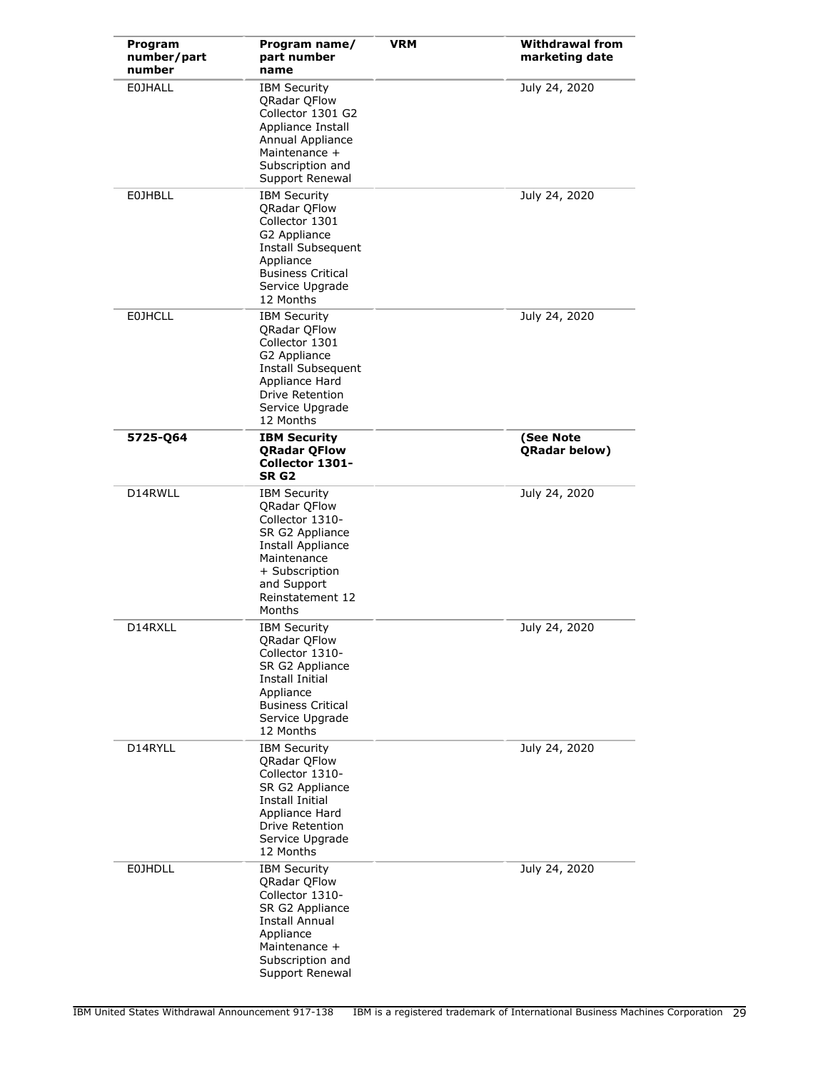| Program<br>number/part<br>number | Program name/<br>part number<br>name                                                                                                                                                | <b>VRM</b> | <b>Withdrawal from</b><br>marketing date |
|----------------------------------|-------------------------------------------------------------------------------------------------------------------------------------------------------------------------------------|------------|------------------------------------------|
| <b>EOJHALL</b>                   | <b>IBM Security</b><br><b>QRadar QFlow</b><br>Collector 1301 G2<br>Appliance Install<br>Annual Appliance<br>Maintenance +<br>Subscription and<br>Support Renewal                    |            | July 24, 2020                            |
| <b>EOJHBLL</b>                   | <b>IBM Security</b><br><b>QRadar QFlow</b><br>Collector 1301<br>G2 Appliance<br>Install Subsequent<br>Appliance<br><b>Business Critical</b><br>Service Upgrade<br>12 Months         |            | July 24, 2020                            |
| <b>E0JHCLL</b>                   | <b>IBM Security</b><br>QRadar QFlow<br>Collector 1301<br>G2 Appliance<br><b>Install Subsequent</b><br>Appliance Hard<br>Drive Retention<br>Service Upgrade<br>12 Months             |            | July 24, 2020                            |
| 5725-Q64                         | <b>IBM Security</b><br><b>QRadar QFlow</b><br>Collector 1301-<br>SR <sub>G2</sub>                                                                                                   |            | (See Note<br>QRadar below)               |
| D14RWLL                          | <b>IBM Security</b><br><b>QRadar QFlow</b><br>Collector 1310-<br>SR G2 Appliance<br>Install Appliance<br>Maintenance<br>+ Subscription<br>and Support<br>Reinstatement 12<br>Months |            | July 24, 2020                            |
| D14RXLL                          | <b>IBM Security</b><br>QRadar QFlow<br>Collector 1310-<br>SR G2 Appliance<br>Install Initial<br>Appliance<br><b>Business Critical</b><br>Service Upgrade<br>12 Months               |            | July 24, 2020                            |
| D14RYLL                          | <b>IBM Security</b><br><b>QRadar QFlow</b><br>Collector 1310-<br>SR G2 Appliance<br>Install Initial<br>Appliance Hard<br>Drive Retention<br>Service Upgrade<br>12 Months            |            | July 24, 2020                            |
| <b>E0JHDLL</b>                   | <b>IBM Security</b><br>QRadar QFlow<br>Collector 1310-<br>SR G2 Appliance<br><b>Install Annual</b><br>Appliance<br>Maintenance +<br>Subscription and<br>Support Renewal             |            | July 24, 2020                            |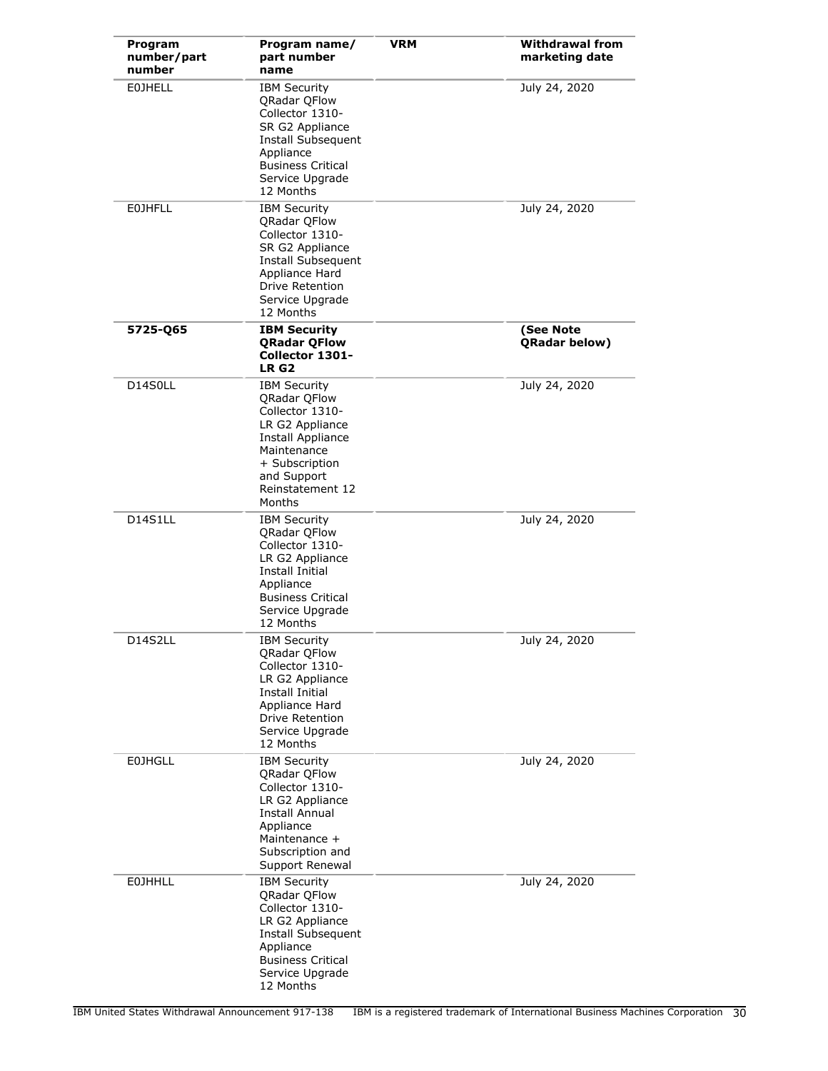| Program<br>number/part<br>number | Program name/<br>part number<br>name                                                                                                                                                       | <b>VRM</b> | <b>Withdrawal from</b><br>marketing date |
|----------------------------------|--------------------------------------------------------------------------------------------------------------------------------------------------------------------------------------------|------------|------------------------------------------|
| <b>EOJHELL</b>                   | <b>IBM Security</b><br><b>QRadar QFlow</b><br>Collector 1310-<br>SR G2 Appliance<br>Install Subsequent<br>Appliance<br><b>Business Critical</b><br>Service Upgrade<br>12 Months            |            | July 24, 2020                            |
| <b>EOJHFLL</b>                   | <b>IBM Security</b><br><b>QRadar QFlow</b><br>Collector 1310-<br>SR G2 Appliance<br>Install Subsequent<br>Appliance Hard<br>Drive Retention<br>Service Upgrade<br>12 Months                |            | July 24, 2020                            |
| 5725-Q65                         | <b>IBM Security</b><br><b>ORadar OFlow</b><br>Collector 1301-<br>LR <sub>G2</sub>                                                                                                          |            | (See Note<br>QRadar below)               |
| D14S0LL                          | <b>IBM Security</b><br><b>QRadar QFlow</b><br>Collector 1310-<br>LR G2 Appliance<br><b>Install Appliance</b><br>Maintenance<br>+ Subscription<br>and Support<br>Reinstatement 12<br>Months |            | July 24, 2020                            |
| D14S1LL                          | <b>IBM Security</b><br>QRadar QFlow<br>Collector 1310-<br>LR G2 Appliance<br><b>Install Initial</b><br>Appliance<br><b>Business Critical</b><br>Service Upgrade<br>12 Months               |            | July 24, 2020                            |
| D14S2LL                          | <b>IBM Security</b><br>QRadar QFlow<br>Collector 1310-<br>LR G2 Appliance<br><b>Install Initial</b><br>Appliance Hard<br>Drive Retention<br>Service Upgrade<br>12 Months                   |            | July 24, 2020                            |
| <b>E0JHGLL</b>                   | <b>IBM Security</b><br><b>QRadar QFlow</b><br>Collector 1310-<br>LR G2 Appliance<br>Install Annual<br>Appliance<br>Maintenance +<br>Subscription and<br>Support Renewal                    |            | July 24, 2020                            |
| <b>EOJHHLL</b>                   | <b>IBM Security</b><br><b>QRadar QFlow</b><br>Collector 1310-<br>LR G2 Appliance<br>Install Subsequent<br>Appliance<br><b>Business Critical</b><br>Service Upgrade<br>12 Months            |            | July 24, 2020                            |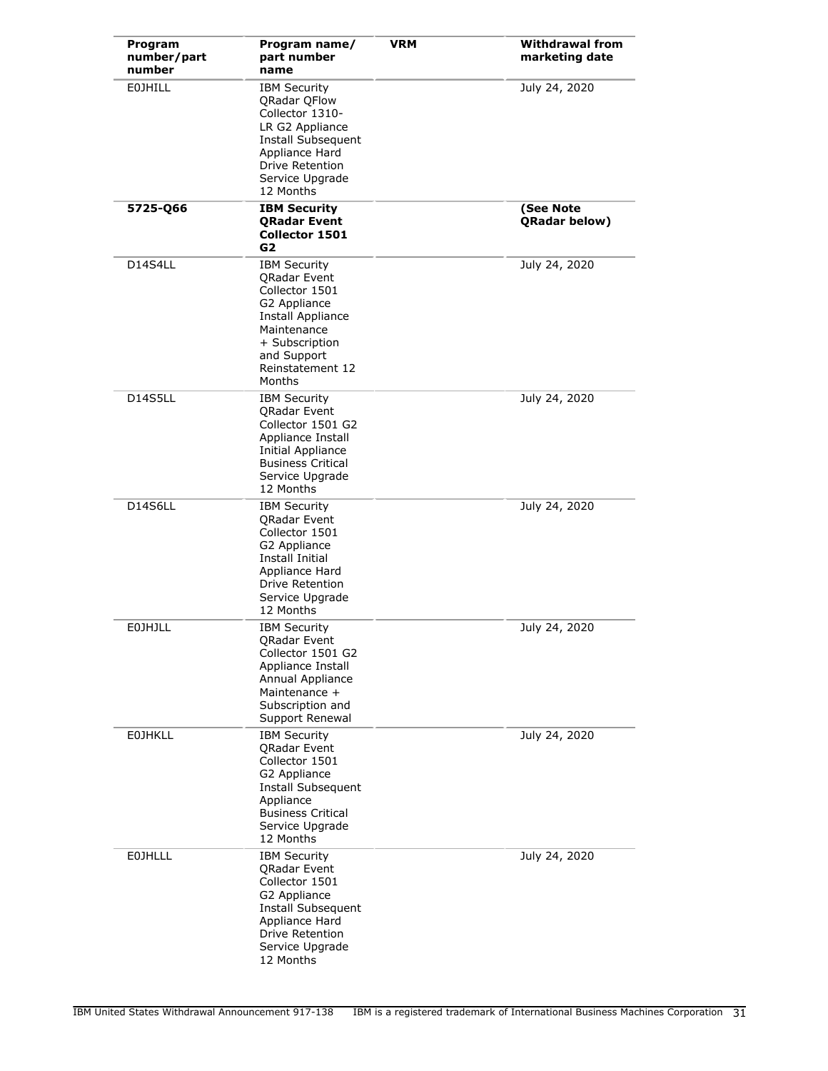| Program<br>number/part<br>number | Program name/<br>part number<br>name                                                                                                                                               | <b>VRM</b> | <b>Withdrawal from</b><br>marketing date |
|----------------------------------|------------------------------------------------------------------------------------------------------------------------------------------------------------------------------------|------------|------------------------------------------|
| <b>EOJHILL</b>                   | <b>IBM Security</b><br><b>QRadar QFlow</b><br>Collector 1310-<br>LR G2 Appliance<br>Install Subsequent<br>Appliance Hard<br><b>Drive Retention</b><br>Service Upgrade<br>12 Months |            | July 24, 2020                            |
| 5725-066                         | <b>IBM Security</b><br><b>QRadar Event</b><br>Collector 1501<br>G2                                                                                                                 |            | (See Note<br>QRadar below)               |
| D14S4LL                          | <b>IBM Security</b><br><b>QRadar Event</b><br>Collector 1501<br>G2 Appliance<br>Install Appliance<br>Maintenance<br>+ Subscription<br>and Support<br>Reinstatement 12<br>Months    |            | July 24, 2020                            |
| D14S5LL                          | <b>IBM Security</b><br><b>ORadar Event</b><br>Collector 1501 G2<br>Appliance Install<br>Initial Appliance<br><b>Business Critical</b><br>Service Upgrade<br>12 Months              |            | July 24, 2020                            |
| D14S6LL                          | <b>IBM Security</b><br>QRadar Event<br>Collector 1501<br>G2 Appliance<br>Install Initial<br>Appliance Hard<br><b>Drive Retention</b><br>Service Upgrade<br>12 Months               |            | July 24, 2020                            |
| <b>EOJHJLL</b>                   | <b>IBM Security</b><br>QRadar Event<br>Collector 1501 G2<br>Appliance Install<br>Annual Appliance<br>Maintenance +<br>Subscription and<br>Support Renewal                          |            | July 24, 2020                            |
| <b>EOJHKLL</b>                   | <b>IBM Security</b><br><b>ORadar Event</b><br>Collector 1501<br>G2 Appliance<br>Install Subsequent<br>Appliance<br><b>Business Critical</b><br>Service Upgrade<br>12 Months        |            | July 24, 2020                            |
| <b>EOJHLLL</b>                   | <b>IBM Security</b><br>QRadar Event<br>Collector 1501<br>G2 Appliance<br>Install Subsequent<br>Appliance Hard<br>Drive Retention<br>Service Upgrade<br>12 Months                   |            | July 24, 2020                            |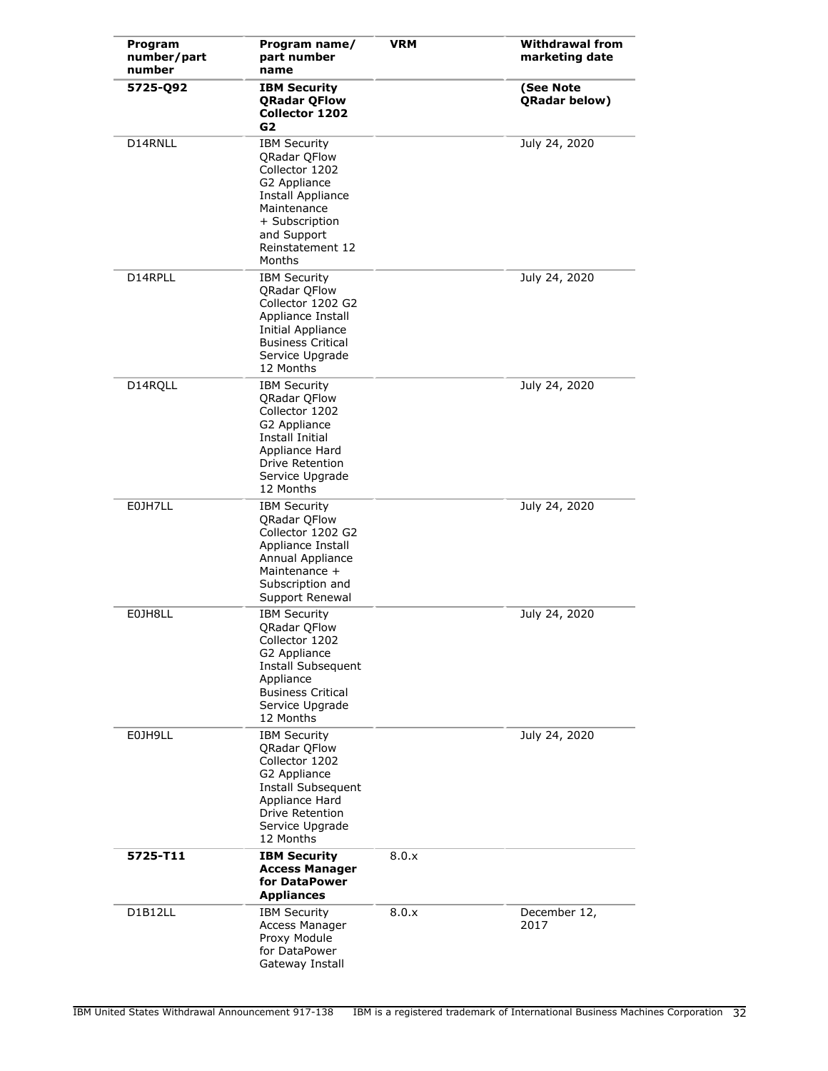| Program<br>number/part<br>number | Program name/<br>part number<br>name                                                                                                                                            | <b>VRM</b> | <b>Withdrawal from</b><br>marketing date |
|----------------------------------|---------------------------------------------------------------------------------------------------------------------------------------------------------------------------------|------------|------------------------------------------|
| 5725-Q92                         | <b>IBM Security</b><br><b>QRadar QFlow</b><br><b>Collector 1202</b><br>G <sub>2</sub>                                                                                           |            | (See Note<br>QRadar below)               |
| D14RNLL                          | <b>IBM Security</b><br><b>QRadar QFlow</b><br>Collector 1202<br>G2 Appliance<br>Install Appliance<br>Maintenance<br>+ Subscription<br>and Support<br>Reinstatement 12<br>Months |            | July 24, 2020                            |
| D14RPLL                          | <b>IBM Security</b><br>QRadar QFlow<br>Collector 1202 G2<br>Appliance Install<br>Initial Appliance<br><b>Business Critical</b><br>Service Upgrade<br>12 Months                  |            | July 24, 2020                            |
| D14RQLL                          | <b>IBM Security</b><br>QRadar QFlow<br>Collector 1202<br>G2 Appliance<br>Install Initial<br>Appliance Hard<br>Drive Retention<br>Service Upgrade<br>12 Months                   |            | July 24, 2020                            |
| E0JH7LL                          | <b>IBM Security</b><br>QRadar QFlow<br>Collector 1202 G2<br>Appliance Install<br>Annual Appliance<br>Maintenance +<br>Subscription and<br>Support Renewal                       |            | July 24, 2020                            |
| E0JH8LL                          | <b>IBM Security</b><br>QRadar QFlow<br>Collector 1202<br>G2 Appliance<br>Install Subsequent<br>Appliance<br><b>Business Critical</b><br>Service Upgrade<br>12 Months            |            | July 24, 2020                            |
| E0JH9LL                          | <b>IBM Security</b><br><b>QRadar QFlow</b><br>Collector 1202<br>G2 Appliance<br>Install Subsequent<br>Appliance Hard<br><b>Drive Retention</b><br>Service Upgrade<br>12 Months  |            | July 24, 2020                            |
| 5725-T11                         | <b>IBM Security</b><br><b>Access Manager</b><br>for DataPower<br><b>Appliances</b>                                                                                              | 8.0.x      |                                          |
| D1B12LL                          | <b>IBM Security</b><br>Access Manager<br>Proxy Module<br>for DataPower<br>Gateway Install                                                                                       | 8.0.x      | December 12,<br>2017                     |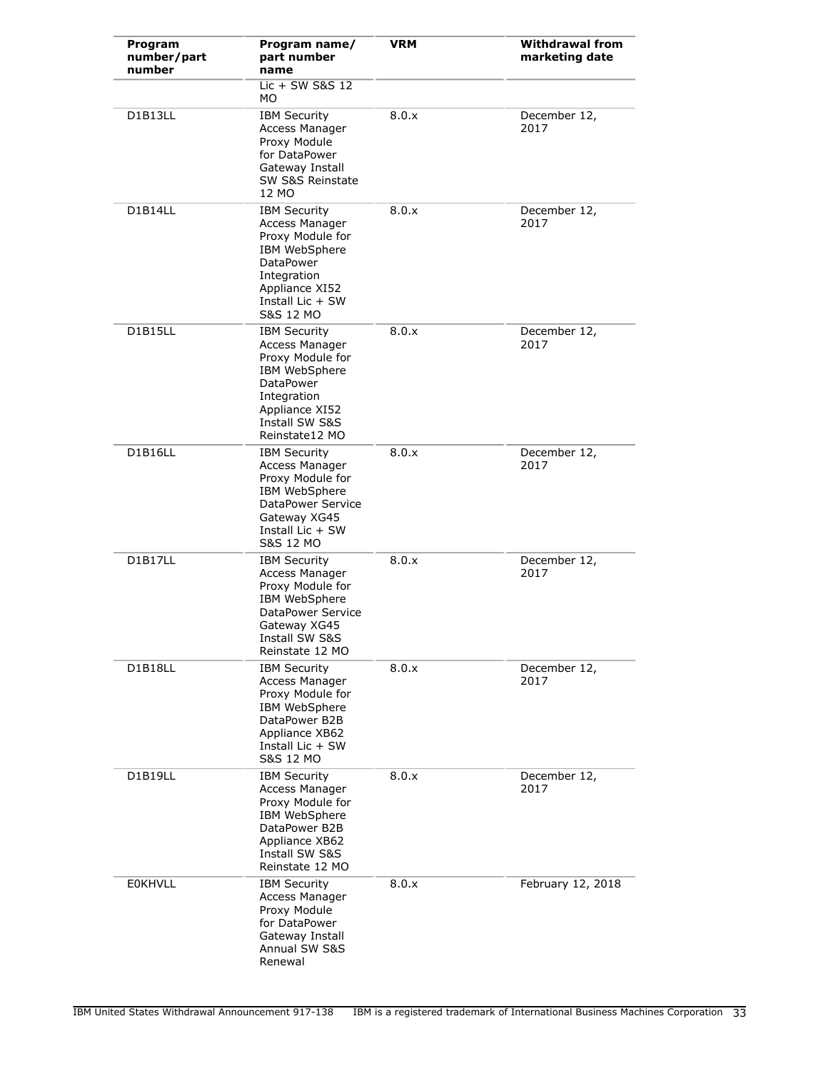| Program<br>number/part<br>number | Program name/<br>part number<br>name                                                                                                                                          | <b>VRM</b> | <b>Withdrawal from</b><br>marketing date |
|----------------------------------|-------------------------------------------------------------------------------------------------------------------------------------------------------------------------------|------------|------------------------------------------|
|                                  | $Lie + SW$ S&S 12<br>MO.                                                                                                                                                      |            |                                          |
| D1B13LL                          | <b>IBM Security</b><br>Access Manager<br>Proxy Module<br>for DataPower<br>Gateway Install<br>SW S&S Reinstate<br>12 MO                                                        | 8.0.x      | December 12,<br>2017                     |
| D1B14LL                          | <b>IBM Security</b><br>Access Manager<br>Proxy Module for<br>IBM WebSphere<br><b>DataPower</b><br>Integration<br>Appliance XI52<br>Install Lic $+$ SW<br><b>S&amp;S 12 MO</b> | 8.0.x      | December 12,<br>2017                     |
| <b>D1B15LL</b>                   | <b>IBM Security</b><br>Access Manager<br>Proxy Module for<br>IBM WebSphere<br><b>DataPower</b><br>Integration<br>Appliance XI52<br>Install SW S&S<br>Reinstate12 MO           | 8.0.x      | December 12,<br>2017                     |
| D1B16LL                          | <b>IBM Security</b><br>Access Manager<br>Proxy Module for<br>IBM WebSphere<br>DataPower Service<br>Gateway XG45<br>Install Lic $+$ SW<br><b>S&amp;S 12 MO</b>                 | 8.0.x      | December 12,<br>2017                     |
| D1B17LL                          | <b>IBM Security</b><br>Access Manager<br>Proxy Module for<br>IBM WebSphere<br>DataPower Service<br>Gateway XG45<br>Install SW S&S<br>Reinstate 12 MO                          | 8.0.x      | December 12,<br>2017                     |
| D1B18LL                          | <b>IBM Security</b><br>Access Manager<br>Proxy Module for<br>IBM WebSphere<br>DataPower B2B<br>Appliance XB62<br>Install Lic + SW<br>S&S 12 MO                                | 8.0.x      | December 12,<br>2017                     |
| D1B19LL                          | <b>IBM Security</b><br>Access Manager<br>Proxy Module for<br>IBM WebSphere<br>DataPower B2B<br>Appliance XB62<br>Install SW S&S<br>Reinstate 12 MO                            | 8.0.x      | December 12,<br>2017                     |
| <b>EOKHVLL</b>                   | <b>IBM Security</b><br>Access Manager<br>Proxy Module<br>for DataPower<br>Gateway Install<br>Annual SW S&S<br>Renewal                                                         | 8.0.x      | February 12, 2018                        |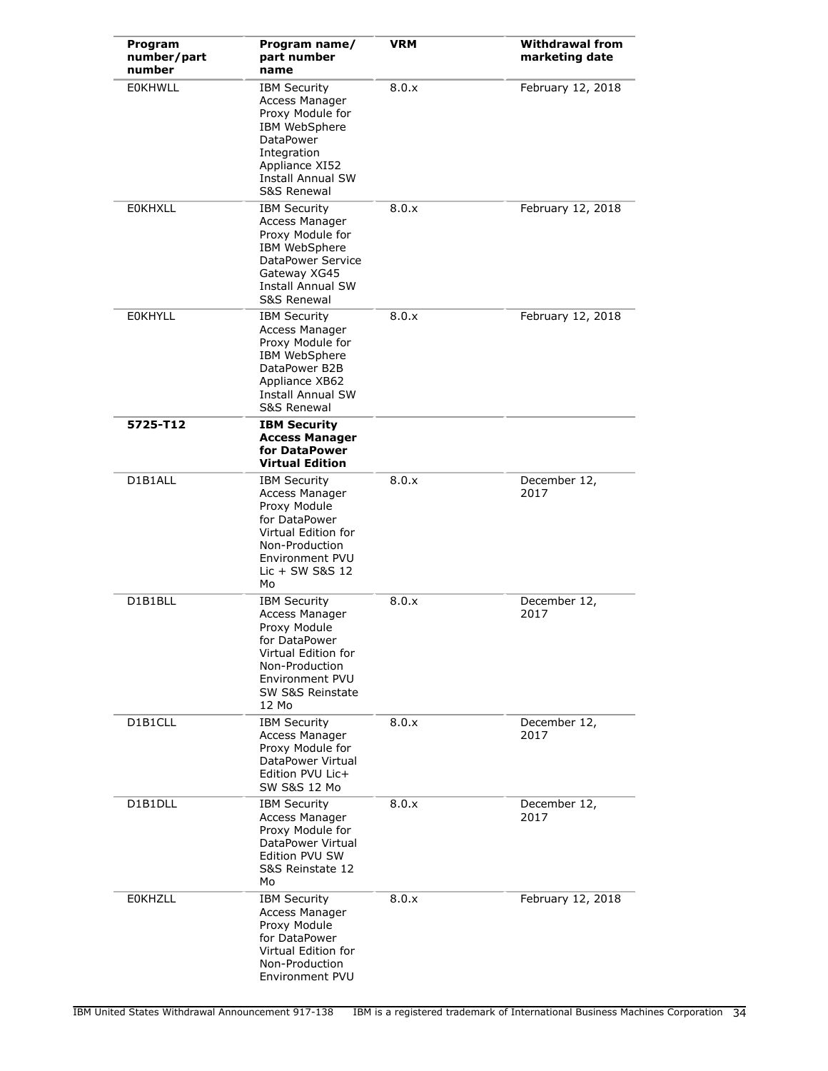| Program<br>number/part<br>number | Program name/<br>part number<br>name                                                                                                                                | <b>VRM</b> | <b>Withdrawal from</b><br>marketing date |
|----------------------------------|---------------------------------------------------------------------------------------------------------------------------------------------------------------------|------------|------------------------------------------|
| <b>EOKHWLL</b>                   | <b>IBM Security</b><br>Access Manager<br>Proxy Module for<br>IBM WebSphere<br>DataPower<br>Integration<br>Appliance XI52<br><b>Install Annual SW</b><br>S&S Renewal | 8.0.x      | February 12, 2018                        |
| <b>EOKHXLL</b>                   | <b>IBM Security</b><br>Access Manager<br>Proxy Module for<br>IBM WebSphere<br>DataPower Service<br>Gateway XG45<br>Install Annual SW<br><b>S&amp;S Renewal</b>      | 8.0.x      | February 12, 2018                        |
| <b>EOKHYLL</b>                   | <b>IBM Security</b><br>Access Manager<br>Proxy Module for<br>IBM WebSphere<br>DataPower B2B<br>Appliance XB62<br><b>Install Annual SW</b><br>S&S Renewal            | 8.0.x      | February 12, 2018                        |
| 5725-T12                         | <b>IBM Security</b><br><b>Access Manager</b><br>for DataPower<br><b>Virtual Edition</b>                                                                             |            |                                          |
| D1B1ALL                          | <b>IBM Security</b><br>Access Manager<br>Proxy Module<br>for DataPower<br>Virtual Edition for<br>Non-Production<br>Environment PVU<br>Lic $+$ SW S&S 12<br>Mo       | 8.0.x      | December 12,<br>2017                     |
| D1B1BLL                          | <b>IBM Security</b><br>Access Manager<br>Proxy Module<br>for DataPower<br>Virtual Edition for<br>Non-Production<br>Environment PVU<br>SW S&S Reinstate<br>12 Mo     | 8.0.x      | December 12,<br>2017                     |
| D1B1CLL                          | <b>IBM Security</b><br>Access Manager<br>Proxy Module for<br>DataPower Virtual<br>Edition PVU Lic+<br><b>SW S&amp;S 12 Mo</b>                                       | 8.0.x      | December 12,<br>2017                     |
| D1B1DLL                          | <b>IBM Security</b><br>Access Manager<br>Proxy Module for<br>DataPower Virtual<br>Edition PVU SW<br>S&S Reinstate 12<br>Mo                                          | 8.0.x      | December 12,<br>2017                     |
| <b>EOKHZLL</b>                   | <b>IBM Security</b><br>Access Manager<br>Proxy Module<br>for DataPower<br>Virtual Edition for<br>Non-Production<br>Environment PVU                                  | 8.0.x      | February 12, 2018                        |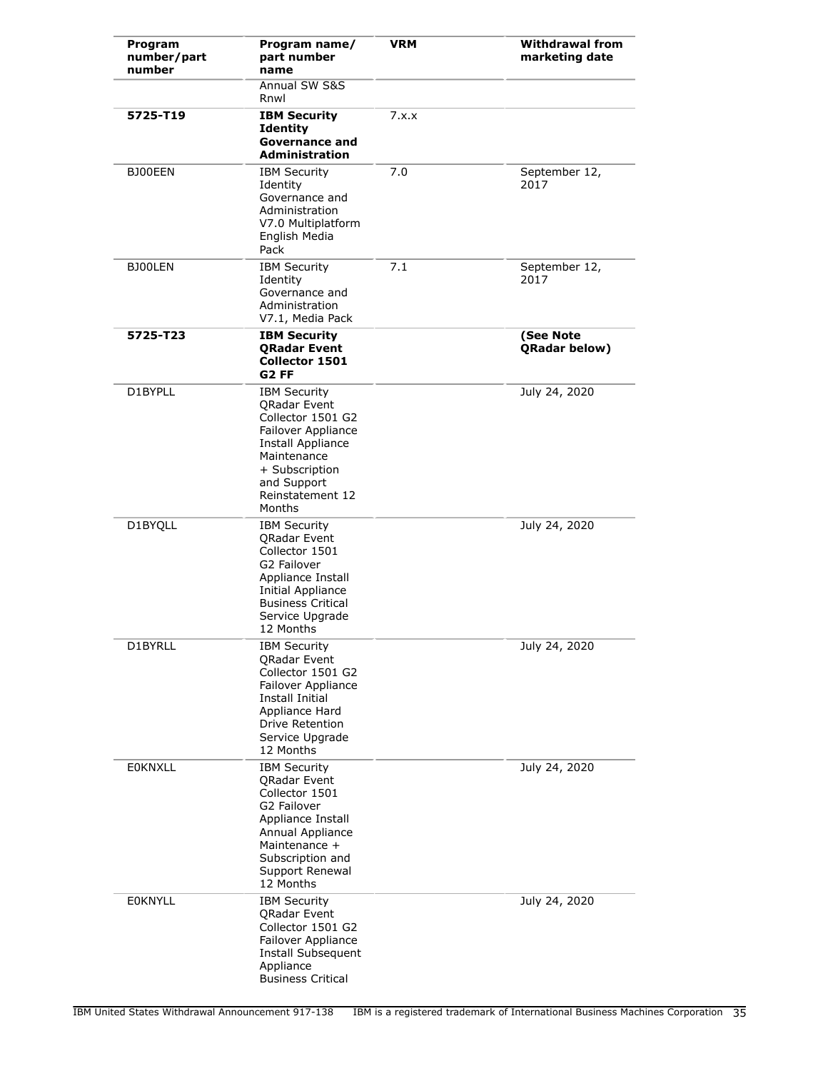| Program<br>number/part<br>number | Program name/<br>part number<br>name                                                                                                                                                      | <b>VRM</b> | <b>Withdrawal from</b><br>marketing date |
|----------------------------------|-------------------------------------------------------------------------------------------------------------------------------------------------------------------------------------------|------------|------------------------------------------|
|                                  | Annual SW S&S<br>Rnwl                                                                                                                                                                     |            |                                          |
| 5725-T19                         | <b>IBM Security</b><br><b>Identity</b><br><b>Governance and</b><br><b>Administration</b>                                                                                                  | 7.x.x      |                                          |
| BJ00EEN                          | <b>IBM Security</b><br>Identity<br>Governance and<br>Administration<br>V7.0 Multiplatform<br>English Media<br>Pack                                                                        | 7.0        | September 12,<br>2017                    |
| BJ00LEN                          | <b>IBM Security</b><br>Identity<br>Governance and<br>Administration<br>V7.1, Media Pack                                                                                                   | 7.1        | September 12,<br>2017                    |
| 5725-T23                         | <b>IBM Security</b><br><b>ORadar Event</b><br><b>Collector 1501</b><br>G <sub>2</sub> FF                                                                                                  |            | (See Note<br><b>QRadar below)</b>        |
| D1BYPLL                          | <b>IBM Security</b><br>QRadar Event<br>Collector 1501 G2<br>Failover Appliance<br><b>Install Appliance</b><br>Maintenance<br>+ Subscription<br>and Support<br>Reinstatement 12<br>Months  |            | July 24, 2020                            |
| D1BYQLL                          | <b>IBM Security</b><br><b>ORadar Event</b><br>Collector 1501<br>G2 Failover<br>Appliance Install<br>Initial Appliance<br><b>Business Critical</b><br>Service Upgrade<br>12 Months         |            | July 24, 2020                            |
| D1BYRLL                          | <b>IBM Security</b><br><b>QRadar Event</b><br>Collector 1501 G2<br>Failover Appliance<br>Install Initial<br>Appliance Hard<br>Drive Retention<br>Service Upgrade<br>12 Months             |            | July 24, 2020                            |
| <b>EOKNXLL</b>                   | <b>IBM Security</b><br><b>QRadar Event</b><br>Collector 1501<br>G2 Failover<br>Appliance Install<br>Annual Appliance<br>Maintenance +<br>Subscription and<br>Support Renewal<br>12 Months |            | July 24, 2020                            |
| <b>EOKNYLL</b>                   | <b>IBM Security</b><br><b>QRadar Event</b><br>Collector 1501 G2<br>Failover Appliance<br>Install Subsequent<br>Appliance<br><b>Business Critical</b>                                      |            | July 24, 2020                            |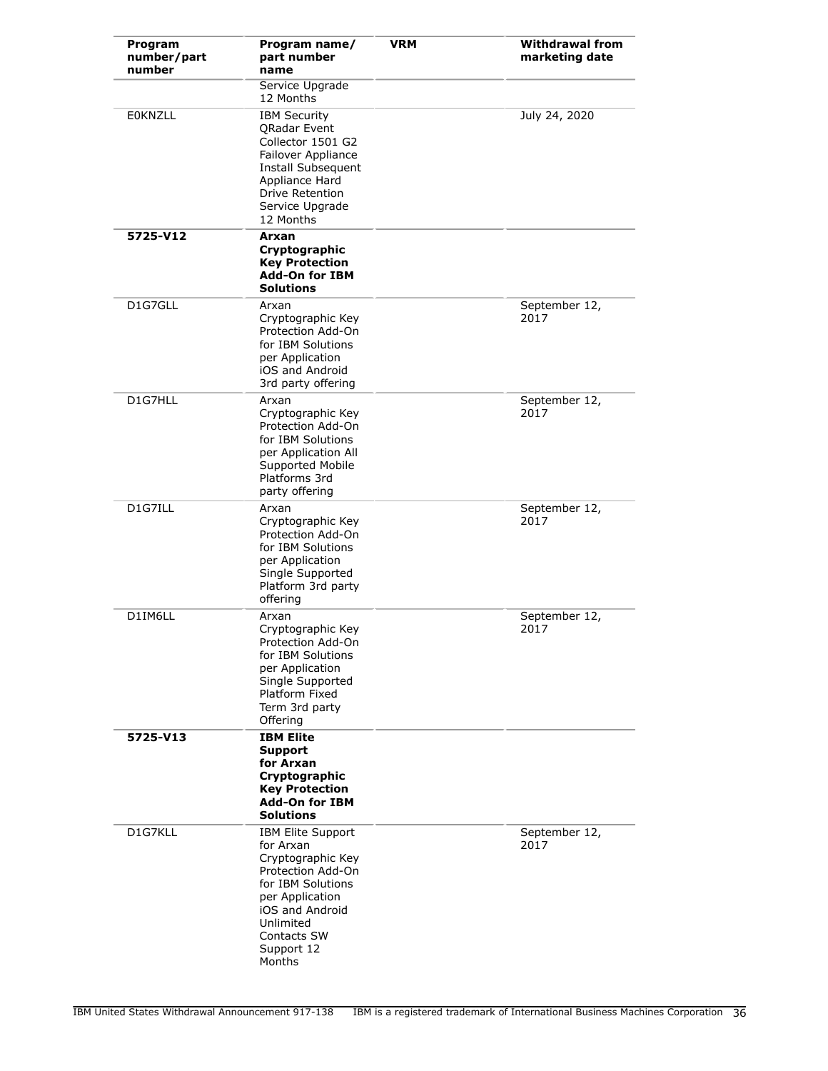| Program<br>number/part<br>number | Program name/<br>part number<br>name                                                                                                                                                                  | <b>VRM</b> | <b>Withdrawal from</b><br>marketing date |
|----------------------------------|-------------------------------------------------------------------------------------------------------------------------------------------------------------------------------------------------------|------------|------------------------------------------|
|                                  | Service Upgrade<br>12 Months                                                                                                                                                                          |            |                                          |
| <b>EOKNZLL</b>                   | <b>IBM Security</b><br><b>ORadar Event</b><br>Collector 1501 G2<br>Failover Appliance<br>Install Subsequent<br>Appliance Hard<br>Drive Retention<br>Service Upgrade<br>12 Months                      |            | July 24, 2020                            |
| 5725-V12                         | Arxan<br>Cryptographic<br><b>Key Protection</b><br><b>Add-On for IBM</b><br>Solutions                                                                                                                 |            |                                          |
| D1G7GLL                          | Arxan<br>Cryptographic Key<br>Protection Add-On<br>for IBM Solutions<br>per Application<br>iOS and Android<br>3rd party offering                                                                      |            | September 12,<br>2017                    |
| D1G7HLL                          | Arxan<br>Cryptographic Key<br>Protection Add-On<br>for IBM Solutions<br>per Application All<br>Supported Mobile<br>Platforms 3rd<br>party offering                                                    |            | September 12,<br>2017                    |
| D1G7ILL                          | Arxan<br>Cryptographic Key<br>Protection Add-On<br>for IBM Solutions<br>per Application<br>Single Supported<br>Platform 3rd party<br>offering                                                         |            | September 12,<br>2017                    |
| D1IM6LL                          | Arxan<br>Cryptographic Key<br>Protection Add-On<br>for IBM Solutions<br>per Application<br>Single Supported<br>Platform Fixed<br>Term 3rd party<br>Offering                                           |            | September 12,<br>2017                    |
| 5725-V13                         | <b>IBM Elite</b><br>Support<br>for Arxan<br>Cryptographic<br><b>Key Protection</b><br><b>Add-On for IBM</b><br>Solutions                                                                              |            |                                          |
| D1G7KLL                          | <b>IBM Elite Support</b><br>for Arxan<br>Cryptographic Key<br>Protection Add-On<br>for IBM Solutions<br>per Application<br>iOS and Android<br>Unlimited<br><b>Contacts SW</b><br>Support 12<br>Months |            | September 12,<br>2017                    |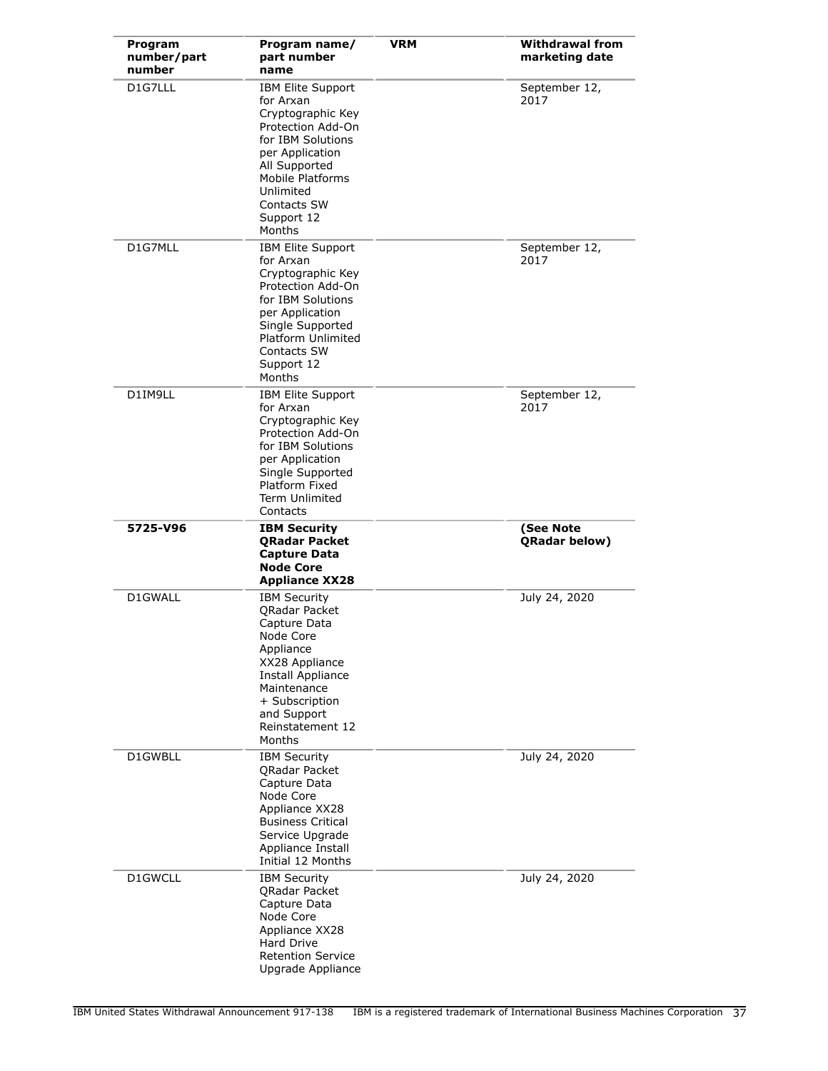| Program<br>number/part<br>number | Program name/<br>part number<br>name                                                                                                                                                                              | <b>VRM</b> | <b>Withdrawal from</b><br>marketing date |
|----------------------------------|-------------------------------------------------------------------------------------------------------------------------------------------------------------------------------------------------------------------|------------|------------------------------------------|
| D1G7LLL                          | IBM Elite Support<br>for Arxan<br>Cryptographic Key<br>Protection Add-On<br>for IBM Solutions<br>per Application<br>All Supported<br>Mobile Platforms<br>Unlimited<br>Contacts SW<br>Support 12<br>Months         |            | September 12,<br>2017                    |
| D1G7MLL                          | <b>IBM Elite Support</b><br>for Arxan<br>Cryptographic Key<br>Protection Add-On<br>for IBM Solutions<br>per Application<br>Single Supported<br>Platform Unlimited<br>Contacts SW<br>Support 12<br>Months          |            | September 12,<br>2017                    |
| D1IM9LL                          | IBM Elite Support<br>for Arxan<br>Cryptographic Key<br>Protection Add-On<br>for IBM Solutions<br>per Application<br>Single Supported<br>Platform Fixed<br><b>Term Unlimited</b><br>Contacts                       |            | September 12,<br>2017                    |
| 5725-V96                         | <b>IBM Security</b><br><b>QRadar Packet</b><br><b>Capture Data</b><br><b>Node Core</b><br><b>Appliance XX28</b>                                                                                                   |            | (See Note<br>QRadar below)               |
| D1GWALL                          | <b>IBM Security</b><br><b>QRadar Packet</b><br>Capture Data<br>Node Core<br>Appliance<br>XX28 Appliance<br><b>Install Appliance</b><br>Maintenance<br>+ Subscription<br>and Support<br>Reinstatement 12<br>Months |            | July 24, 2020                            |
| D1GWBLL                          | <b>IBM Security</b><br>QRadar Packet<br>Capture Data<br>Node Core<br>Appliance XX28<br><b>Business Critical</b><br>Service Upgrade<br>Appliance Install<br>Initial 12 Months                                      |            | July 24, 2020                            |
| D1GWCLL                          | <b>IBM Security</b><br><b>QRadar Packet</b><br>Capture Data<br>Node Core<br>Appliance XX28<br>Hard Drive<br><b>Retention Service</b><br>Upgrade Appliance                                                         |            | July 24, 2020                            |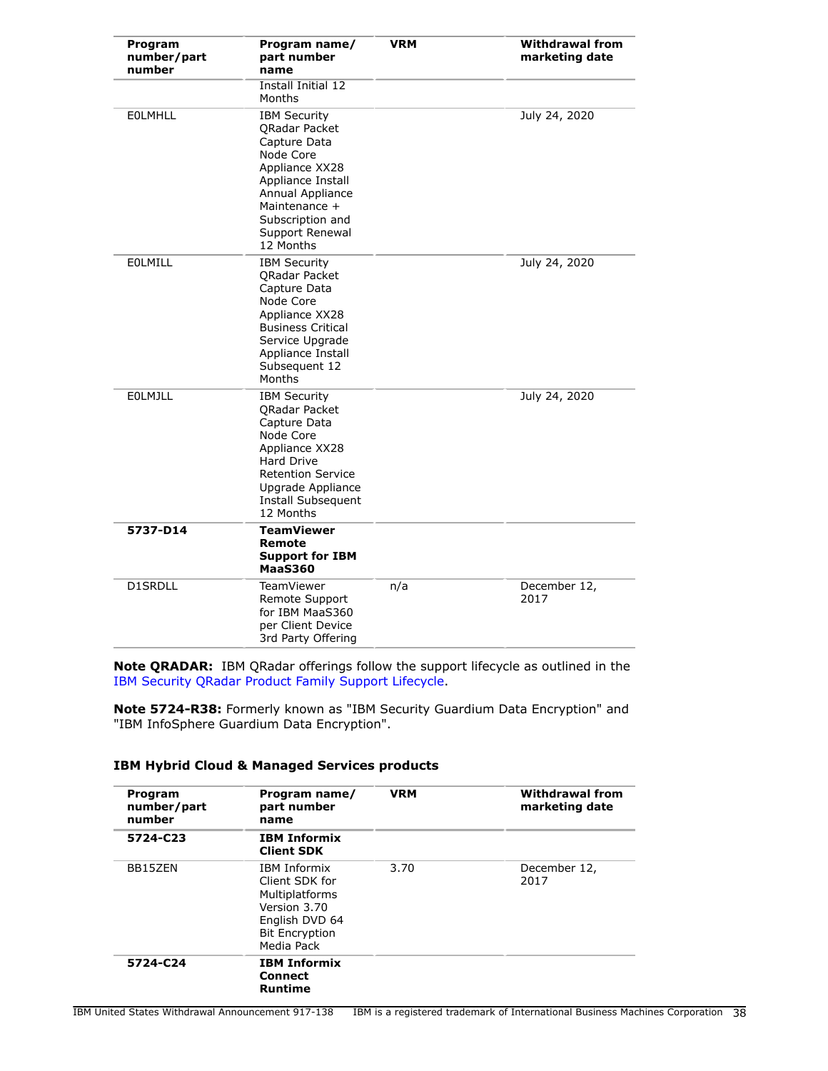| Program<br>number/part<br>number | Program name/<br>part number<br>name                                                                                                                                                              | <b>VRM</b> | <b>Withdrawal from</b><br>marketing date |
|----------------------------------|---------------------------------------------------------------------------------------------------------------------------------------------------------------------------------------------------|------------|------------------------------------------|
|                                  | Install Initial 12<br>Months                                                                                                                                                                      |            |                                          |
| <b>EOLMHLL</b>                   | <b>IBM Security</b><br>QRadar Packet<br>Capture Data<br>Node Core<br>Appliance XX28<br>Appliance Install<br>Annual Appliance<br>Maintenance +<br>Subscription and<br>Support Renewal<br>12 Months |            | July 24, 2020                            |
| <b>EOLMILL</b>                   | <b>IBM Security</b><br><b>ORadar Packet</b><br>Capture Data<br>Node Core<br>Appliance XX28<br><b>Business Critical</b><br>Service Upgrade<br>Appliance Install<br>Subsequent 12<br>Months         |            | July 24, 2020                            |
| <b>EOLMJLL</b>                   | <b>IBM Security</b><br><b>ORadar Packet</b><br>Capture Data<br>Node Core<br>Appliance XX28<br>Hard Drive<br>Retention Service<br>Upgrade Appliance<br><b>Install Subsequent</b><br>12 Months      |            | July 24, 2020                            |
| 5737-D14                         | <b>TeamViewer</b><br>Remote<br><b>Support for IBM</b><br><b>MaaS360</b>                                                                                                                           |            |                                          |
| <b>D1SRDLL</b>                   | <b>TeamViewer</b><br>Remote Support<br>for IBM MaaS360<br>per Client Device<br>3rd Party Offering                                                                                                 | n/a        | December 12,<br>2017                     |

**Note QRADAR:** IBM QRadar offerings follow the support lifecycle as outlined in the [IBM Security QRadar Product Family Support Lifecycle.](http://www-01.ibm.com/support/docview.wss?uid=swg21991083)

**Note 5724-R38:** Formerly known as "IBM Security Guardium Data Encryption" and "IBM InfoSphere Guardium Data Encryption".

## **IBM Hybrid Cloud & Managed Services products**

| Program<br>number/part<br>number | Program name/<br>part number<br>name                                                                                      | <b>VRM</b> | <b>Withdrawal from</b><br>marketing date |
|----------------------------------|---------------------------------------------------------------------------------------------------------------------------|------------|------------------------------------------|
| 5724-C23                         | <b>IBM Informix</b><br><b>Client SDK</b>                                                                                  |            |                                          |
| BB15ZEN                          | IBM Informix<br>Client SDK for<br>Multiplatforms<br>Version 3.70<br>English DVD 64<br><b>Bit Encryption</b><br>Media Pack | 3.70       | December 12,<br>2017                     |
| 5724-C24                         | <b>IBM Informix</b><br>Connect<br><b>Runtime</b>                                                                          |            |                                          |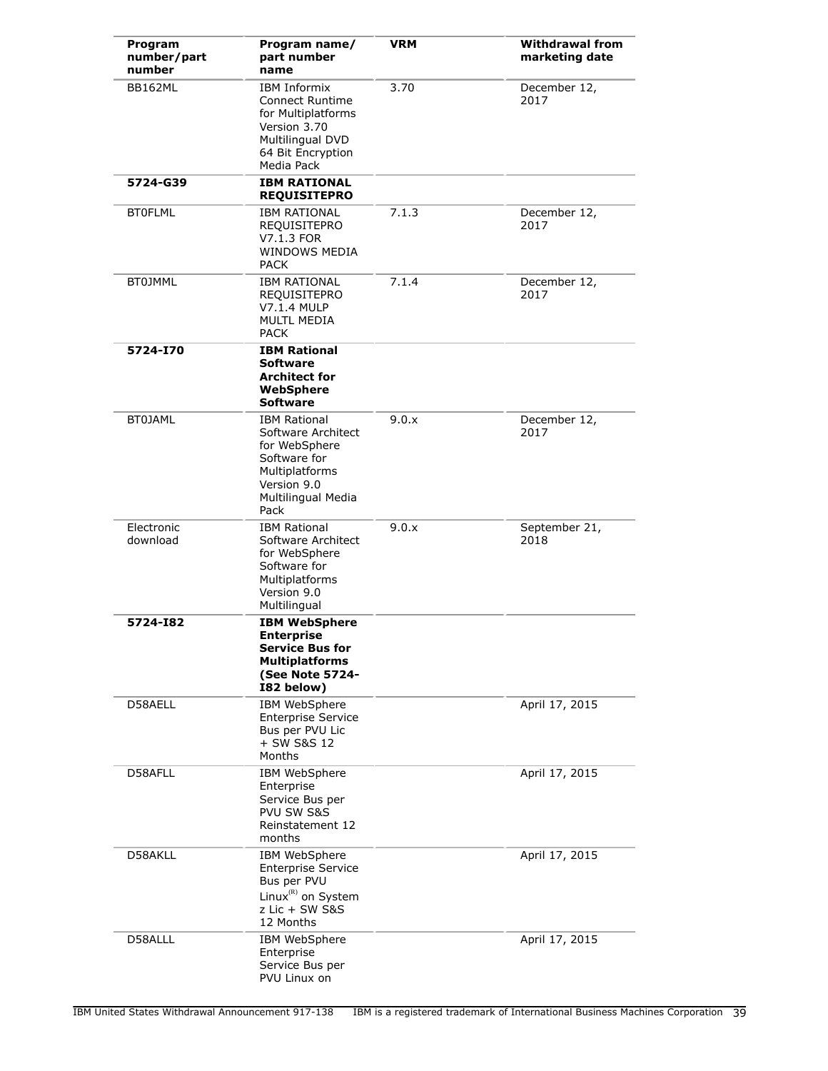| Program<br>number/part<br>number | Program name/<br>part number<br>name                                                                                                      | <b>VRM</b> | <b>Withdrawal from</b><br>marketing date |
|----------------------------------|-------------------------------------------------------------------------------------------------------------------------------------------|------------|------------------------------------------|
| BB162ML                          | <b>IBM Informix</b><br>Connect Runtime<br>for Multiplatforms<br>Version 3.70<br>Multilingual DVD<br>64 Bit Encryption<br>Media Pack       | 3.70       | December 12,<br>2017                     |
| 5724-G39                         | <b>IBM RATIONAL</b><br><b>REQUISITEPRO</b>                                                                                                |            |                                          |
| <b>BTOFLML</b>                   | <b>IBM RATIONAL</b><br><b>REQUISITEPRO</b><br>V7.1.3 FOR<br><b>WINDOWS MEDIA</b><br><b>PACK</b>                                           | 7.1.3      | December 12,<br>2017                     |
| <b>BT0JMML</b>                   | <b>IBM RATIONAL</b><br><b>REQUISITEPRO</b><br>V7.1.4 MULP<br><b>MULTL MEDIA</b><br><b>PACK</b>                                            | 7.1.4      | December 12,<br>2017                     |
| 5724-I70                         | <b>IBM Rational</b><br><b>Software</b><br><b>Architect for</b><br>WebSphere<br><b>Software</b>                                            |            |                                          |
| <b>BT0JAML</b>                   | <b>IBM Rational</b><br>Software Architect<br>for WebSphere<br>Software for<br>Multiplatforms<br>Version 9.0<br>Multilingual Media<br>Pack | 9.0.x      | December 12,<br>2017                     |
| Electronic<br>download           | <b>IBM Rational</b><br>Software Architect<br>for WebSphere<br>Software for<br>Multiplatforms<br>Version 9.0<br>Multilingual               | 9.0.x      | September 21,<br>2018                    |
| 5724-182                         | <b>IBM WebSphere</b><br><b>Enterprise</b><br><b>Service Bus for</b><br><b>Multiplatforms</b><br>(See Note 5724-<br>I82 below)             |            |                                          |
| D58AELL                          | IBM WebSphere<br><b>Enterprise Service</b><br>Bus per PVU Lic<br>+ SW S&S 12<br>Months                                                    |            | April 17, 2015                           |
| D58AFLL                          | IBM WebSphere<br>Enterprise<br>Service Bus per<br>PVU SW S&S<br>Reinstatement 12<br>months                                                |            | April 17, 2015                           |
| D58AKLL                          | IBM WebSphere<br><b>Enterprise Service</b><br>Bus per PVU<br>Linux <sup>(R)</sup> on System<br>z Lic + SW S&S<br>12 Months                |            | April 17, 2015                           |
| D58ALLL                          | IBM WebSphere<br>Enterprise<br>Service Bus per<br>PVU Linux on                                                                            |            | April 17, 2015                           |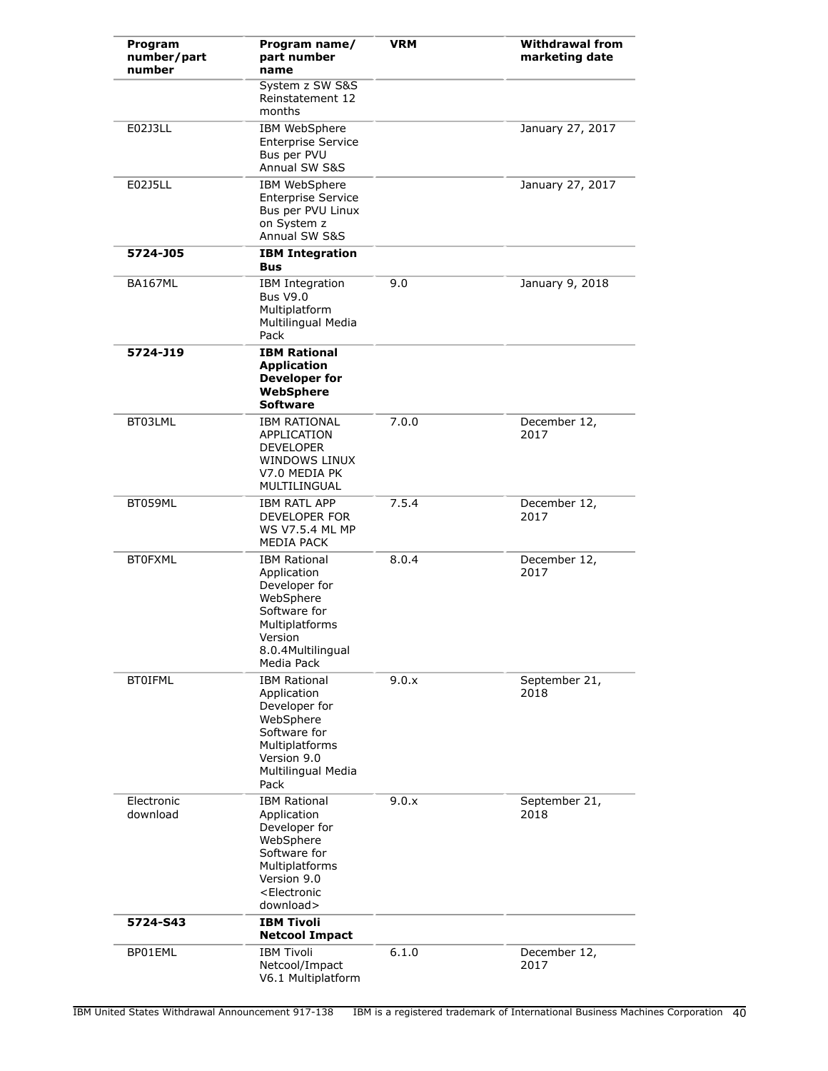| Program<br>number/part<br>number | Program name/<br>part number<br>name                                                                                                                             | <b>VRM</b> | <b>Withdrawal from</b><br>marketing date |
|----------------------------------|------------------------------------------------------------------------------------------------------------------------------------------------------------------|------------|------------------------------------------|
|                                  | System z SW S&S<br>Reinstatement 12<br>months                                                                                                                    |            |                                          |
| E02J3LL                          | IBM WebSphere<br><b>Enterprise Service</b><br>Bus per PVU<br>Annual SW S&S                                                                                       |            | January 27, 2017                         |
| E02J5LL                          | IBM WebSphere<br><b>Enterprise Service</b><br>Bus per PVU Linux<br>on System z<br>Annual SW S&S                                                                  |            | January 27, 2017                         |
| 5724-J05                         | <b>IBM Integration</b><br>Bus                                                                                                                                    |            |                                          |
| <b>BA167ML</b>                   | <b>IBM</b> Integration<br><b>Bus V9.0</b><br>Multiplatform<br>Multilingual Media<br>Pack                                                                         | 9.0        | January 9, 2018                          |
| 5724-J19                         | <b>IBM Rational</b><br><b>Application</b><br><b>Developer for</b><br>WebSphere<br><b>Software</b>                                                                |            |                                          |
| BT03LML                          | <b>IBM RATIONAL</b><br>APPLICATION<br><b>DEVELOPER</b><br>WINDOWS LINUX<br>V7.0 MEDIA PK<br>MULTILINGUAL                                                         | 7.0.0      | December 12,<br>2017                     |
| BT059ML                          | <b>IBM RATL APP</b><br>DEVELOPER FOR<br>WS V7.5.4 ML MP<br><b>MEDIA PACK</b>                                                                                     | 7.5.4      | December 12,<br>2017                     |
| <b>BT0FXML</b>                   | <b>IBM Rational</b><br>Application<br>Developer for<br>WebSphere<br>Software for<br>Multiplatforms<br>Version<br>8.0.4Multilingual<br>Media Pack                 | 8.0.4      | December 12,<br>2017                     |
| <b>BTOIFML</b>                   | <b>IBM Rational</b><br>Application<br>Developer for<br>WebSphere<br>Software for<br>Multiplatforms<br>Version 9.0<br>Multilingual Media<br>Pack                  | 9.0.x      | September 21,<br>2018                    |
| Electronic<br>download           | <b>IBM Rational</b><br>Application<br>Developer for<br>WebSphere<br>Software for<br>Multiplatforms<br>Version 9.0<br><electronic<br>download&gt;</electronic<br> | 9.0.x      | September 21,<br>2018                    |
| 5724-S43                         | <b>IBM Tivoli</b><br><b>Netcool Impact</b>                                                                                                                       |            |                                          |
| BP01EML                          | <b>IBM Tivoli</b><br>Netcool/Impact<br>V6.1 Multiplatform                                                                                                        | 6.1.0      | December 12,<br>2017                     |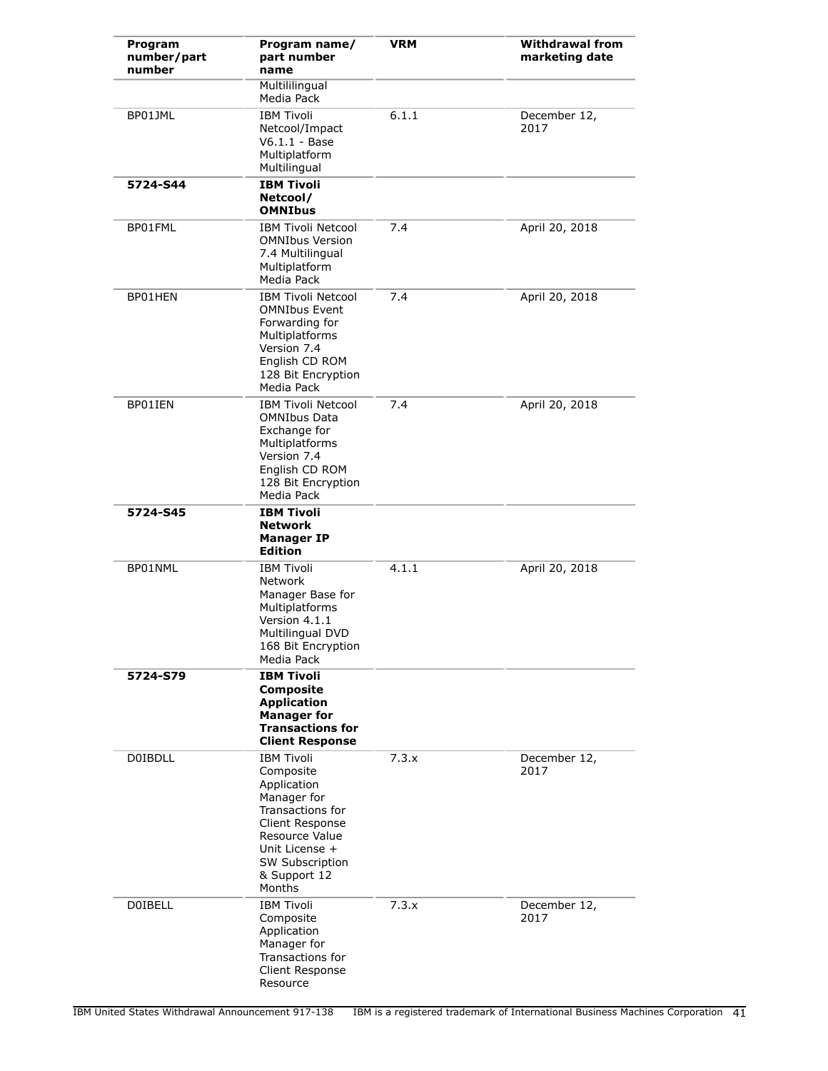| Program<br>number/part<br>number | Program name/<br>part number<br>name                                                                                                                                                 | <b>VRM</b> | <b>Withdrawal from</b><br>marketing date |
|----------------------------------|--------------------------------------------------------------------------------------------------------------------------------------------------------------------------------------|------------|------------------------------------------|
|                                  | Multililingual<br>Media Pack                                                                                                                                                         |            |                                          |
| BP01JML                          | <b>IBM Tivoli</b><br>Netcool/Impact<br>$V6.1.1 - Base$<br>Multiplatform<br>Multilingual                                                                                              | 6.1.1      | December 12,<br>2017                     |
| 5724-S44                         | <b>IBM Tivoli</b><br>Netcool/<br><b>OMNIbus</b>                                                                                                                                      |            |                                          |
| BP01FML                          | <b>IBM Tivoli Netcool</b><br><b>OMNIbus Version</b><br>7.4 Multilingual<br>Multiplatform<br>Media Pack                                                                               | 7.4        | April 20, 2018                           |
| BP01HEN                          | <b>IBM Tivoli Netcool</b><br><b>OMNIbus Event</b><br>Forwarding for<br>Multiplatforms<br>Version 7.4<br>English CD ROM<br>128 Bit Encryption<br>Media Pack                           | 7.4        | April 20, 2018                           |
| BP01IEN                          | <b>IBM Tivoli Netcool</b><br><b>OMNIbus Data</b><br>Exchange for<br>Multiplatforms<br>Version 7.4<br>English CD ROM<br>128 Bit Encryption<br>Media Pack                              | 7.4        | April 20, 2018                           |
| 5724-S45                         | <b>IBM Tivoli</b><br><b>Network</b><br><b>Manager IP</b><br><b>Edition</b>                                                                                                           |            |                                          |
| BP01NML                          | <b>IBM Tivoli</b><br><b>Network</b><br>Manager Base for<br>Multiplatforms<br>Version 4.1.1<br><b>Multilingual DVD</b><br>168 Bit Encryption<br>Media Pack                            | 4.1.1      | April 20, 2018                           |
| 5724-S79                         | <b>IBM Tivoli</b><br><b>Composite</b><br><b>Application</b><br><b>Manager for</b><br><b>Transactions for</b><br><b>Client Response</b>                                               |            |                                          |
| <b>DOIBDLL</b>                   | <b>IBM Tivoli</b><br>Composite<br>Application<br>Manager for<br>Transactions for<br>Client Response<br>Resource Value<br>Unit License +<br>SW Subscription<br>& Support 12<br>Months | 7.3.x      | December 12,<br>2017                     |
| <b>DOIBELL</b>                   | <b>IBM Tivoli</b><br>Composite<br>Application<br>Manager for<br>Transactions for<br>Client Response<br>Resource                                                                      | 7.3.x      | December 12,<br>2017                     |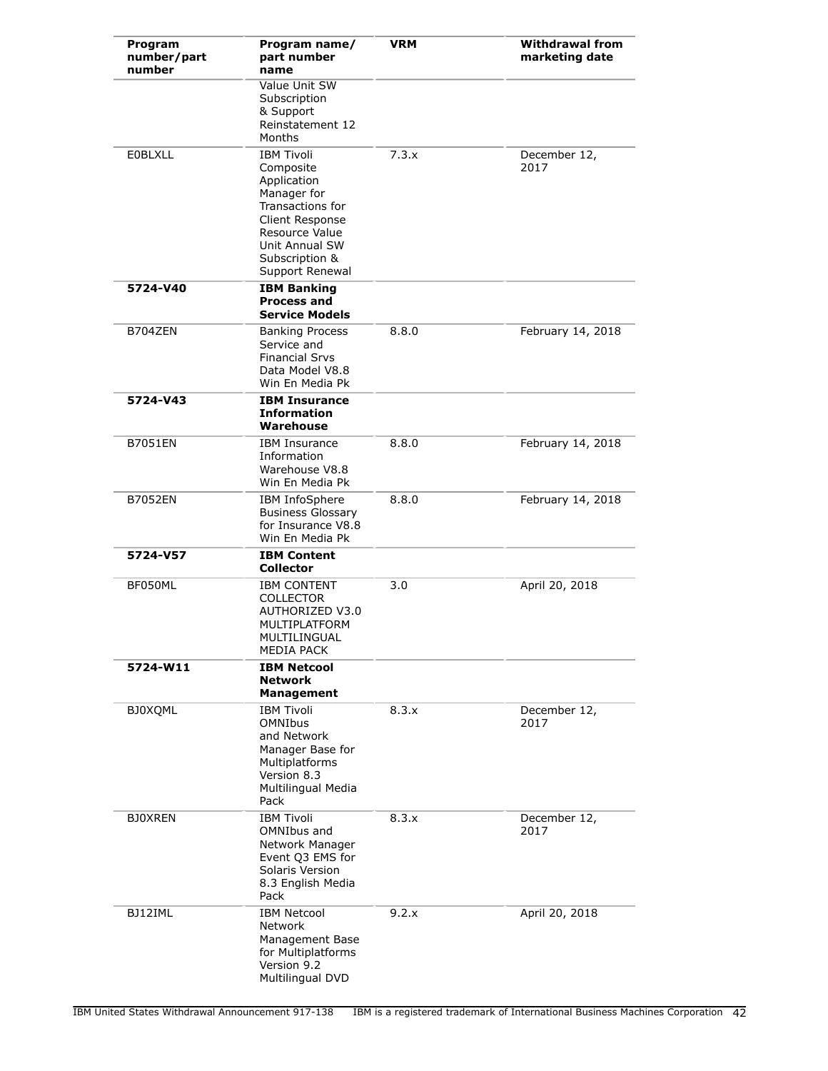| Program<br>number/part<br>number | Program name/<br>part number<br>name                                                                                                                                         | <b>VRM</b> | <b>Withdrawal from</b><br>marketing date |
|----------------------------------|------------------------------------------------------------------------------------------------------------------------------------------------------------------------------|------------|------------------------------------------|
|                                  | Value Unit SW<br>Subscription<br>& Support<br>Reinstatement 12<br>Months                                                                                                     |            |                                          |
| <b>EOBLXLL</b>                   | <b>IBM Tivoli</b><br>Composite<br>Application<br>Manager for<br>Transactions for<br>Client Response<br>Resource Value<br>Unit Annual SW<br>Subscription &<br>Support Renewal | 7.3.x      | December 12,<br>2017                     |
| 5724-V40                         | <b>IBM Banking</b><br><b>Process and</b><br><b>Service Models</b>                                                                                                            |            |                                          |
| B704ZEN                          | <b>Banking Process</b><br>Service and<br><b>Financial Srvs</b><br>Data Model V8.8<br>Win En Media Pk                                                                         | 8.8.0      | February 14, 2018                        |
| 5724-V43                         | <b>IBM Insurance</b><br><b>Information</b><br>Warehouse                                                                                                                      |            |                                          |
| <b>B7051EN</b>                   | <b>IBM Insurance</b><br>Information<br>Warehouse V8.8<br>Win En Media Pk                                                                                                     | 8.8.0      | February 14, 2018                        |
| <b>B7052EN</b>                   | IBM InfoSphere<br><b>Business Glossary</b><br>for Insurance V8.8<br>Win En Media Pk                                                                                          | 8.8.0      | February 14, 2018                        |
| 5724-V57                         | <b>IBM Content</b><br><b>Collector</b>                                                                                                                                       |            |                                          |
| BF050ML                          | <b>IBM CONTENT</b><br><b>COLLECTOR</b><br>AUTHORIZED V3.0<br>MULTIPLATFORM<br>MULTILINGUAL<br><b>MEDIA PACK</b>                                                              | 3.0        | April 20, 2018                           |
| 5724-W11                         | <b>IBM Netcool</b><br><b>Network</b><br><b>Management</b>                                                                                                                    |            |                                          |
| <b>BJ0XQML</b>                   | <b>IBM Tivoli</b><br><b>OMNIbus</b><br>and Network<br>Manager Base for<br>Multiplatforms<br>Version 8.3<br>Multilingual Media<br>Pack                                        | 8.3.x      | December 12,<br>2017                     |
| <b>BJOXREN</b>                   | <b>IBM Tivoli</b><br>OMNIbus and<br>Network Manager<br>Event Q3 EMS for<br>Solaris Version<br>8.3 English Media<br>Pack                                                      | 8.3.x      | December 12,<br>2017                     |
| BJ12IML                          | <b>IBM Netcool</b><br>Network<br>Management Base<br>for Multiplatforms<br>Version 9.2<br>Multilingual DVD                                                                    | 9.2.x      | April 20, 2018                           |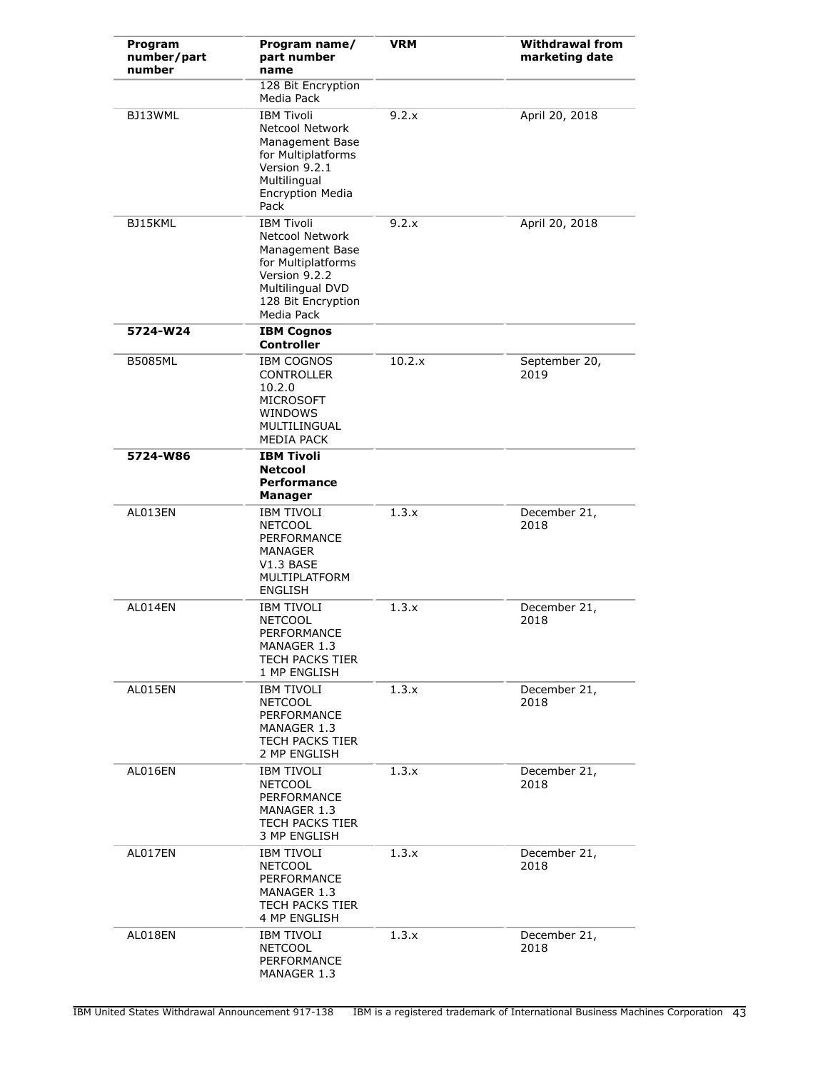| Program<br>number/part<br>number | Program name/<br>part number<br>name                                                                                                                   | <b>VRM</b> | <b>Withdrawal from</b><br>marketing date |
|----------------------------------|--------------------------------------------------------------------------------------------------------------------------------------------------------|------------|------------------------------------------|
|                                  | 128 Bit Encryption<br>Media Pack                                                                                                                       |            |                                          |
| BJ13WML                          | <b>IBM Tivoli</b><br>Netcool Network<br>Management Base<br>for Multiplatforms<br>Version 9.2.1<br>Multilingual<br><b>Encryption Media</b><br>Pack      | 9.2.x      | April 20, 2018                           |
| BJ15KML                          | <b>IBM Tivoli</b><br>Netcool Network<br>Management Base<br>for Multiplatforms<br>Version 9.2.2<br>Multilingual DVD<br>128 Bit Encryption<br>Media Pack | 9.2.x      | April 20, 2018                           |
| 5724-W24                         | <b>IBM Coanos</b><br><b>Controller</b>                                                                                                                 |            |                                          |
| <b>B5085ML</b>                   | <b>IBM COGNOS</b><br><b>CONTROLLER</b><br>10.2.0<br><b>MICROSOFT</b><br>WINDOWS<br>MULTILINGUAL<br>MEDIA PACK                                          | 10.2.x     | September 20,<br>2019                    |
| 5724-W86                         | <b>IBM Tivoli</b><br><b>Netcool</b><br><b>Performance</b><br><b>Manager</b>                                                                            |            |                                          |
| AL013EN                          | <b>IBM TIVOLI</b><br><b>NETCOOL</b><br><b>PERFORMANCE</b><br>MANAGER<br>V1.3 BASE<br>MULTIPLATFORM<br><b>ENGLISH</b>                                   | 1.3.x      | December 21,<br>2018                     |
| AL014EN                          | <b>IBM TIVOLI</b><br><b>NETCOOL</b><br>PERFORMANCE<br>MANAGER 1.3<br><b>TECH PACKS TIER</b><br>1 MP ENGLISH                                            | 1.3.x      | December 21,<br>2018                     |
| AL015EN                          | IBM TIVOLI<br><b>NETCOOL</b><br>PERFORMANCE<br>MANAGER 1.3<br><b>TECH PACKS TIER</b><br>2 MP ENGLISH                                                   | 1.3.x      | December 21,<br>2018                     |
| AL016EN                          | IBM TIVOLI<br><b>NETCOOL</b><br>PERFORMANCE<br>MANAGER 1.3<br>TECH PACKS TIER<br>3 MP ENGLISH                                                          | 1.3.x      | December 21,<br>2018                     |
| AL017EN                          | <b>IBM TIVOLI</b><br><b>NETCOOL</b><br>PERFORMANCE<br>MANAGER 1.3<br>TECH PACKS TIER<br>4 MP ENGLISH                                                   | 1.3.x      | December 21,<br>2018                     |
| AL018EN                          | <b>IBM TIVOLI</b><br><b>NETCOOL</b><br>PERFORMANCE<br>MANAGER 1.3                                                                                      | 1.3.x      | December 21,<br>2018                     |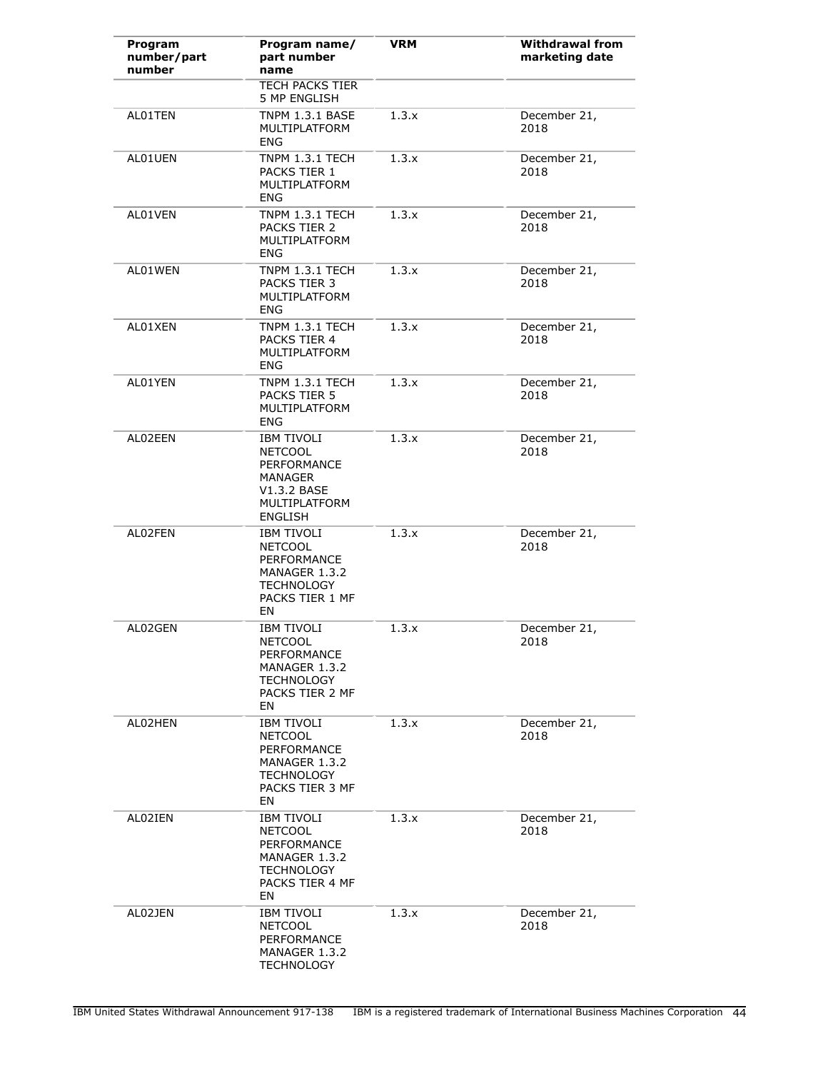| Program<br>number/part<br>number | Program name/<br>part number<br>name                                                                              | <b>VRM</b> | <b>Withdrawal from</b><br>marketing date |
|----------------------------------|-------------------------------------------------------------------------------------------------------------------|------------|------------------------------------------|
|                                  | <b>TECH PACKS TIER</b><br>5 MP ENGLISH                                                                            |            |                                          |
| AL01TEN                          | <b>TNPM 1.3.1 BASE</b><br>MULTIPLATFORM<br><b>ENG</b>                                                             | 1.3.x      | December 21,<br>2018                     |
| AL01UEN                          | TNPM 1.3.1 TECH<br>PACKS TIER 1<br>MULTIPLATFORM<br>ENG                                                           | 1.3.x      | December 21,<br>2018                     |
| AL01VEN                          | TNPM 1.3.1 TECH<br>PACKS TIER 2<br>MULTIPLATFORM<br>ENG                                                           | 1.3.x      | December 21,<br>2018                     |
| AL01WEN                          | TNPM 1.3.1 TECH<br>PACKS TIER 3<br>MULTIPLATFORM<br>ENG                                                           | 1.3.x      | December 21,<br>2018                     |
| AL01XEN                          | TNPM 1.3.1 TECH<br>PACKS TIER 4<br>MULTIPLATFORM<br>ENG                                                           | 1.3.x      | December 21,<br>2018                     |
| AL01YEN                          | TNPM 1.3.1 TECH<br>PACKS TIER 5<br>MULTIPLATFORM<br><b>ENG</b>                                                    | 1.3.x      | December 21,<br>2018                     |
| AL02EEN                          | IBM TIVOLI<br><b>NETCOOL</b><br>PERFORMANCE<br><b>MANAGER</b><br>V1.3.2 BASE<br>MULTIPLATFORM<br><b>ENGLISH</b>   | 1.3.x      | December 21,<br>2018                     |
| AL02FEN                          | <b>IBM TIVOLI</b><br><b>NETCOOL</b><br>PERFORMANCE<br>MANAGER 1.3.2<br><b>TECHNOLOGY</b><br>PACKS TIER 1 MF<br>EN | 1.3.x      | December 21,<br>2018                     |
| AL02GEN                          | <b>IBM TIVOLI</b><br><b>NETCOOL</b><br>PERFORMANCE<br>MANAGER 1.3.2<br><b>TECHNOLOGY</b><br>PACKS TIER 2 MF<br>EN | 1.3.x      | December 21,<br>2018                     |
| AL02HEN                          | <b>IBM TIVOLI</b><br><b>NETCOOL</b><br>PERFORMANCE<br>MANAGER 1.3.2<br><b>TECHNOLOGY</b><br>PACKS TIER 3 MF<br>EN | 1.3.x      | December 21,<br>2018                     |
| AL02IEN                          | <b>IBM TIVOLI</b><br><b>NETCOOL</b><br>PERFORMANCE<br>MANAGER 1.3.2<br><b>TECHNOLOGY</b><br>PACKS TIER 4 MF<br>EN | 1.3.x      | December 21,<br>2018                     |
| AL02JEN                          | IBM TIVOLI<br><b>NETCOOL</b><br>PERFORMANCE<br>MANAGER 1.3.2<br><b>TECHNOLOGY</b>                                 | 1.3.x      | December 21,<br>2018                     |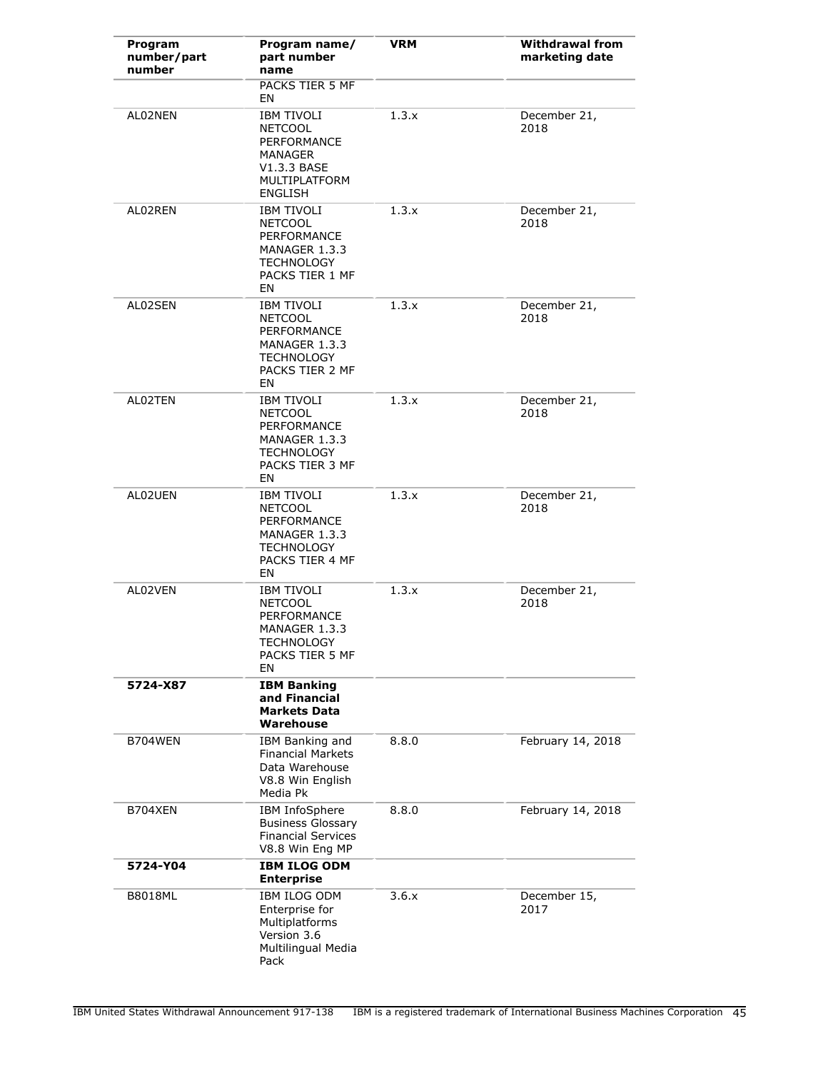| Program<br>number/part<br>number | Program name/<br>part number<br>name                                                                                     | <b>VRM</b> | <b>Withdrawal from</b><br>marketing date |
|----------------------------------|--------------------------------------------------------------------------------------------------------------------------|------------|------------------------------------------|
|                                  | PACKS TIER 5 MF<br>EN                                                                                                    |            |                                          |
| AL02NEN                          | <b>IBM TIVOLI</b><br><b>NETCOOL</b><br>PERFORMANCE<br>MANAGER<br>V1.3.3 BASE<br>MULTIPLATFORM<br><b>ENGLISH</b>          | 1.3.x      | December 21,<br>2018                     |
| AL02REN                          | <b>IBM TIVOLI</b><br><b>NETCOOL</b><br>PERFORMANCE<br>MANAGER 1.3.3<br><b>TECHNOLOGY</b><br>PACKS TIER 1 MF<br>EN        | 1.3.x      | December 21,<br>2018                     |
| AL02SEN                          | <b>IBM TIVOLI</b><br><b>NETCOOL</b><br><b>PERFORMANCE</b><br>MANAGER 1.3.3<br><b>TECHNOLOGY</b><br>PACKS TIER 2 MF<br>EN | 1.3.x      | December 21,<br>2018                     |
| AL02TEN                          | <b>IBM TIVOLI</b><br><b>NETCOOL</b><br><b>PERFORMANCE</b><br>MANAGER 1.3.3<br><b>TECHNOLOGY</b><br>PACKS TIER 3 MF<br>EN | 1.3.x      | December 21,<br>2018                     |
| AL02UEN                          | <b>IBM TIVOLI</b><br><b>NETCOOL</b><br>PERFORMANCE<br>MANAGER 1.3.3<br><b>TECHNOLOGY</b><br>PACKS TIER 4 MF<br>EN        | 1.3.x      | December 21,<br>2018                     |
| AL02VEN                          | <b>IBM TIVOLI</b><br><b>NETCOOL</b><br>PERFORMANCE<br>MANAGER 1.3.3<br><b>I ECHNOLOGY</b><br>PACKS TIER 5 MF<br>EN       | 1.3.x      | December 21,<br>2018                     |
| 5724-X87                         | <b>IBM Banking</b><br>and Financial<br><b>Markets Data</b><br>Warehouse                                                  |            |                                          |
| B704WEN                          | IBM Banking and<br><b>Financial Markets</b><br>Data Warehouse<br>V8.8 Win English<br>Media Pk                            | 8.8.0      | February 14, 2018                        |
| B704XEN                          | IBM InfoSphere<br><b>Business Glossary</b><br><b>Financial Services</b><br>V8.8 Win Eng MP                               | 8.8.0      | February 14, 2018                        |
| 5724-Y04                         | <b>IBM ILOG ODM</b><br><b>Enterprise</b>                                                                                 |            |                                          |
| <b>B8018ML</b>                   | IBM ILOG ODM<br>Enterprise for<br>Multiplatforms<br>Version 3.6<br>Multilingual Media<br>Pack                            | 3.6.x      | December 15,<br>2017                     |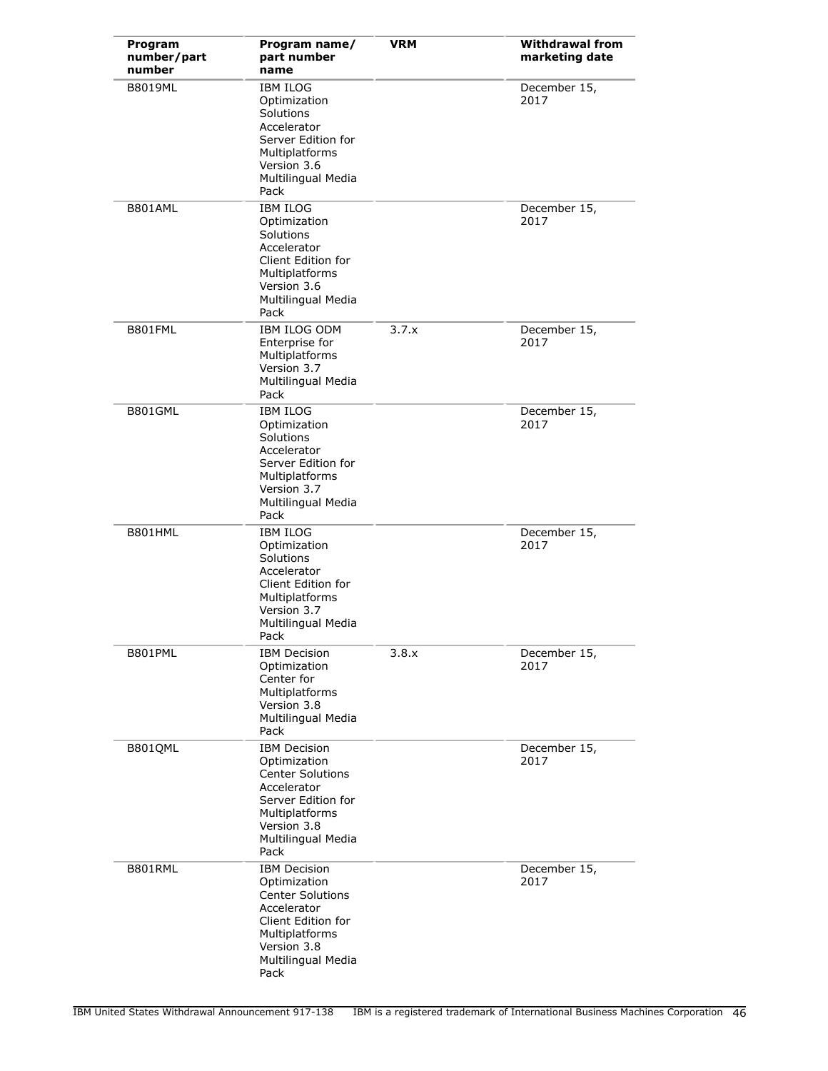| Program<br>number/part<br>number | Program name/<br>part number<br>name                                                                                                                               | <b>VRM</b> | <b>Withdrawal from</b><br>marketing date |
|----------------------------------|--------------------------------------------------------------------------------------------------------------------------------------------------------------------|------------|------------------------------------------|
| <b>B8019ML</b>                   | <b>IBM ILOG</b><br>Optimization<br>Solutions<br>Accelerator<br>Server Edition for<br>Multiplatforms<br>Version 3.6<br>Multilingual Media<br>Pack                   |            | December 15,<br>2017                     |
| B801AML                          | <b>IBM ILOG</b><br>Optimization<br>Solutions<br>Accelerator<br>Client Edition for<br>Multiplatforms<br>Version 3.6<br>Multilingual Media<br>Pack                   |            | December 15,<br>2017                     |
| B801FML                          | <b>IBM ILOG ODM</b><br>Enterprise for<br>Multiplatforms<br>Version 3.7<br>Multilingual Media<br>Pack                                                               | 3.7.x      | December 15,<br>2017                     |
| B801GML                          | <b>IBM ILOG</b><br>Optimization<br>Solutions<br>Accelerator<br>Server Edition for<br>Multiplatforms<br>Version 3.7<br>Multilingual Media<br>Pack                   |            | December 15,<br>2017                     |
| B801HML                          | <b>IBM ILOG</b><br>Optimization<br>Solutions<br>Accelerator<br>Client Edition for<br>Multiplatforms<br>Version 3.7<br>Multilingual Media<br>Pack                   |            | December 15,<br>2017                     |
| B801PML                          | <b>IBM Decision</b><br>Optimization<br>Center for<br>Multiplatforms<br>Version 3.8<br>Multilingual Media<br>Pack                                                   | 3.8.x      | December 15,<br>2017                     |
| B801QML                          | <b>IBM Decision</b><br>Optimization<br><b>Center Solutions</b><br>Accelerator<br>Server Edition for<br>Multiplatforms<br>Version 3.8<br>Multilingual Media<br>Pack |            | December 15,<br>2017                     |
| B801RML                          | <b>IBM Decision</b><br>Optimization<br><b>Center Solutions</b><br>Accelerator<br>Client Edition for<br>Multiplatforms<br>Version 3.8<br>Multilingual Media<br>Pack |            | December 15,<br>2017                     |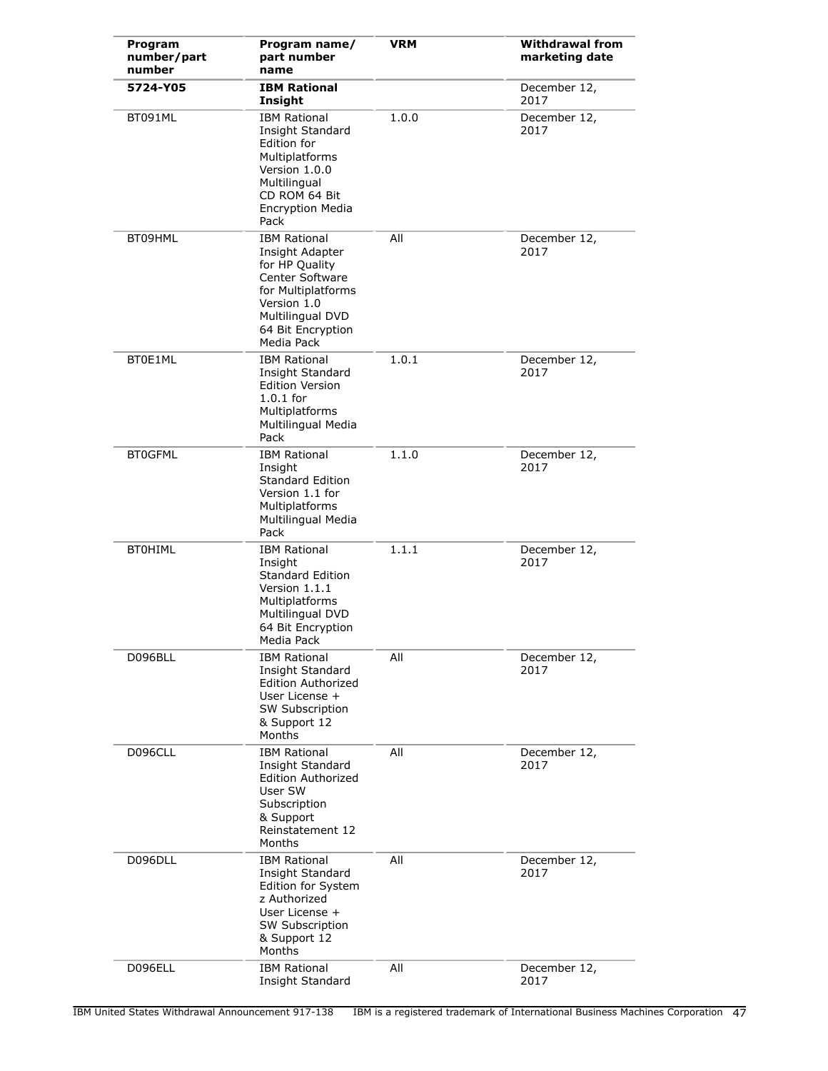| Program<br>number/part<br>number | Program name/<br>part number<br>name                                                                                                                                    | <b>VRM</b> | <b>Withdrawal from</b><br>marketing date |
|----------------------------------|-------------------------------------------------------------------------------------------------------------------------------------------------------------------------|------------|------------------------------------------|
| 5724-Y05                         | <b>IBM Rational</b><br>Insight                                                                                                                                          |            | December 12,<br>2017                     |
| BT091ML                          | <b>IBM Rational</b><br>Insight Standard<br>Edition for<br>Multiplatforms<br>Version 1.0.0<br>Multilingual<br>CD ROM 64 Bit<br><b>Encryption Media</b><br>Pack           | 1.0.0      | December 12,<br>2017                     |
| BT09HML                          | <b>IBM Rational</b><br>Insight Adapter<br>for HP Quality<br>Center Software<br>for Multiplatforms<br>Version 1.0<br>Multilingual DVD<br>64 Bit Encryption<br>Media Pack | All        | December 12,<br>2017                     |
| BT0E1ML                          | <b>IBM Rational</b><br>Insight Standard<br><b>Edition Version</b><br>$1.0.1$ for<br>Multiplatforms<br>Multilingual Media<br>Pack                                        | 1.0.1      | December 12,<br>2017                     |
| <b>BT0GFML</b>                   | <b>IBM Rational</b><br>Insight<br><b>Standard Edition</b><br>Version 1.1 for<br>Multiplatforms<br>Multilingual Media<br>Pack                                            | 1.1.0      | December 12,<br>2017                     |
| <b>BT0HIML</b>                   | <b>IBM Rational</b><br>Insight<br><b>Standard Edition</b><br>Version 1.1.1<br>Multiplatforms<br>Multilingual DVD<br>64 Bit Encryption<br>Media Pack                     | 1.1.1      | December 12,<br>2017                     |
| D096BLL                          | <b>IBM Rational</b><br>Insight Standard<br><b>Edition Authorized</b><br>User License +<br><b>SW Subscription</b><br>& Support 12<br>Months                              | All        | December 12,<br>2017                     |
| D096CLL                          | <b>IBM Rational</b><br>Insight Standard<br><b>Edition Authorized</b><br>User SW<br>Subscription<br>& Support<br>Reinstatement 12<br>Months                              | All        | December 12,<br>2017                     |
| D096DLL                          | <b>IBM Rational</b><br>Insight Standard<br>Edition for System<br>z Authorized<br>User License +<br>SW Subscription<br>& Support 12<br>Months                            | All        | December 12,<br>2017                     |
| D096ELL                          | <b>IBM Rational</b><br>Insight Standard                                                                                                                                 | All        | December 12,<br>2017                     |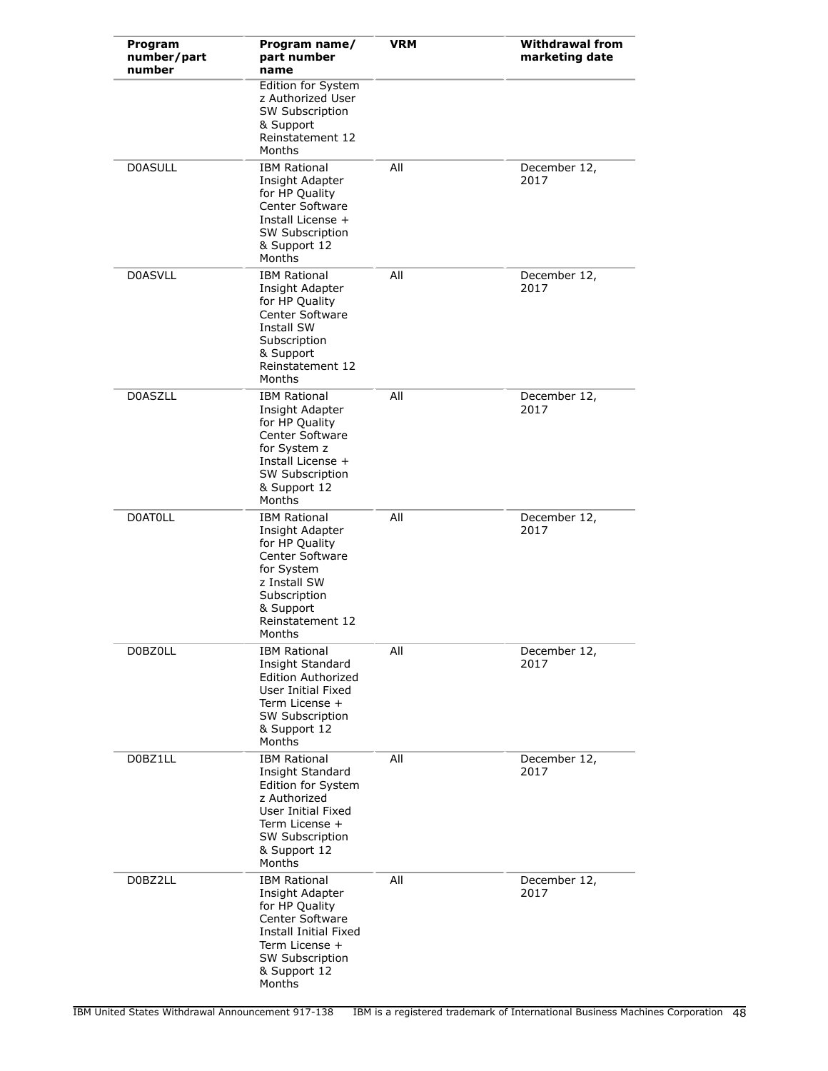| Program<br>number/part<br>number | Program name/<br>part number<br>name                                                                                                                                      | <b>VRM</b> | <b>Withdrawal from</b><br>marketing date |
|----------------------------------|---------------------------------------------------------------------------------------------------------------------------------------------------------------------------|------------|------------------------------------------|
|                                  | Edition for System<br>z Authorized User<br>SW Subscription<br>& Support<br>Reinstatement 12<br>Months                                                                     |            |                                          |
| <b>D0ASULL</b>                   | <b>IBM Rational</b><br>Insight Adapter<br>for HP Quality<br>Center Software<br>Install License +<br><b>SW Subscription</b><br>& Support 12<br>Months                      | All        | December 12,<br>2017                     |
| <b>D0ASVLL</b>                   | <b>IBM Rational</b><br>Insight Adapter<br>for HP Quality<br>Center Software<br>Install SW<br>Subscription<br>& Support<br>Reinstatement 12<br>Months                      | All        | December 12,<br>2017                     |
| <b>D0ASZLL</b>                   | <b>IBM Rational</b><br>Insight Adapter<br>for HP Quality<br>Center Software<br>for System z<br>Install License +<br>SW Subscription<br>& Support 12<br>Months             | All        | December 12,<br>2017                     |
| <b>DOATOLL</b>                   | <b>IBM Rational</b><br>Insight Adapter<br>for HP Quality<br>Center Software<br>for System<br>z Install SW<br>Subscription<br>& Support<br>Reinstatement 12<br>Months      | All        | December 12,<br>2017                     |
| D0BZ0LL                          | <b>IBM Rational</b><br>Insight Standard<br><b>Edition Authorized</b><br>User Initial Fixed<br>Term License +<br><b>SW Subscription</b><br>& Support 12<br>Months          | All        | December 12,<br>2017                     |
| D0BZ1LL                          | <b>IBM Rational</b><br>Insight Standard<br>Edition for System<br>z Authorized<br>User Initial Fixed<br>Term License +<br><b>SW Subscription</b><br>& Support 12<br>Months | All        | December 12,<br>2017                     |
| D0BZ2LL                          | <b>IBM Rational</b><br>Insight Adapter<br>for HP Quality<br>Center Software<br>Install Initial Fixed<br>Term License +<br>SW Subscription<br>& Support 12<br>Months       | All        | December 12,<br>2017                     |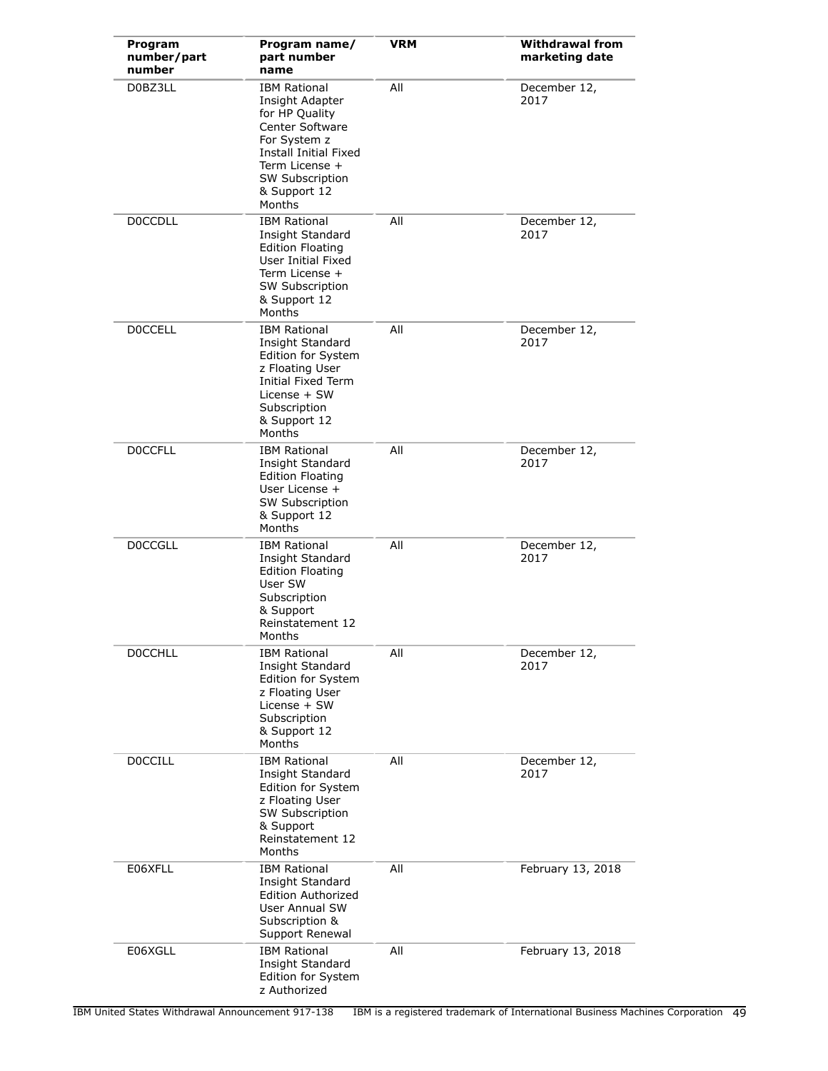| Program<br>number/part<br>number | Program name/<br>part number<br>name                                                                                                                                                | <b>VRM</b> | <b>Withdrawal from</b><br>marketing date |
|----------------------------------|-------------------------------------------------------------------------------------------------------------------------------------------------------------------------------------|------------|------------------------------------------|
| D0BZ3LL                          | <b>IBM Rational</b><br>Insight Adapter<br>for HP Quality<br>Center Software<br>For System z<br>Install Initial Fixed<br>Term License +<br>SW Subscription<br>& Support 12<br>Months | All        | December 12,<br>2017                     |
| <b>DOCCDLL</b>                   | <b>IBM Rational</b><br>Insight Standard<br><b>Edition Floating</b><br>User Initial Fixed<br>Term License +<br>SW Subscription<br>& Support 12<br>Months                             | All        | December 12,<br>2017                     |
| <b>DOCCELL</b>                   | <b>IBM Rational</b><br>Insight Standard<br>Edition for System<br>z Floating User<br>Initial Fixed Term<br>License + SW<br>Subscription<br>& Support 12<br>Months                    | All        | December 12,<br>2017                     |
| <b>DOCCFLL</b>                   | <b>IBM Rational</b><br>Insight Standard<br><b>Edition Floating</b><br>User License +<br>SW Subscription<br>& Support 12<br>Months                                                   | All        | December 12,<br>2017                     |
| <b>DOCCGLL</b>                   | <b>IBM Rational</b><br>Insight Standard<br><b>Edition Floating</b><br>User SW<br>Subscription<br>& Support<br>Reinstatement 12<br>Months                                            | All        | December 12,<br>2017                     |
| <b>DOCCHLL</b>                   | <b>IBM Rational</b><br>Insight Standard<br>Edition for System<br>z Floating User<br>License + SW<br>Subscription<br>& Support 12<br>Months                                          | All        | December 12,<br>2017                     |
| <b>DOCCILL</b>                   | <b>IBM Rational</b><br>Insight Standard<br>Edition for System<br>z Floating User<br>SW Subscription<br>& Support<br>Reinstatement 12<br>Months                                      | All        | December 12,<br>2017                     |
| E06XFLL                          | <b>IBM Rational</b><br>Insight Standard<br><b>Edition Authorized</b><br><b>User Annual SW</b><br>Subscription &<br>Support Renewal                                                  | All        | February 13, 2018                        |
| E06XGLL                          | <b>IBM Rational</b><br>Insight Standard<br>Edition for System<br>z Authorized                                                                                                       | All        | February 13, 2018                        |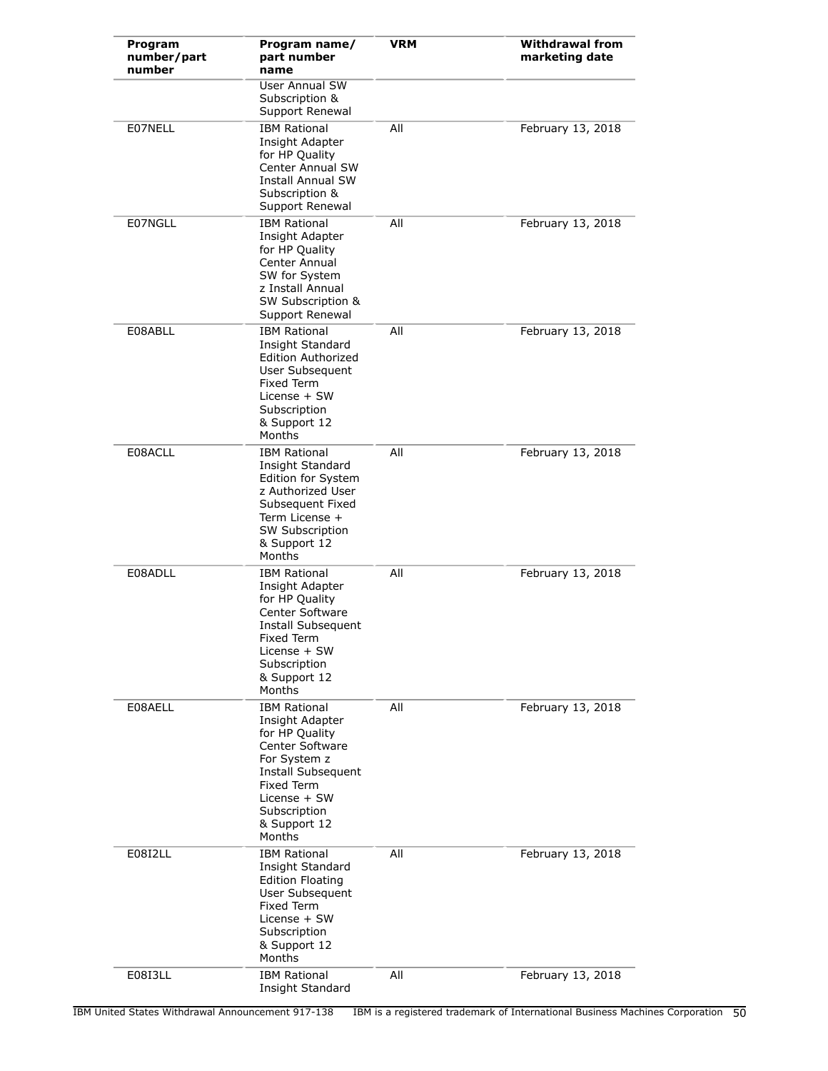| Program<br>number/part<br>number | Program name/<br>part number<br>name                                                                                                                                                      | <b>VRM</b> | <b>Withdrawal from</b><br>marketing date |
|----------------------------------|-------------------------------------------------------------------------------------------------------------------------------------------------------------------------------------------|------------|------------------------------------------|
|                                  | User Annual SW<br>Subscription &<br>Support Renewal                                                                                                                                       |            |                                          |
| E07NELL                          | <b>IBM Rational</b><br>Insight Adapter<br>for HP Quality<br><b>Center Annual SW</b><br><b>Install Annual SW</b><br>Subscription &<br>Support Renewal                                      | All        | February 13, 2018                        |
| E07NGLL                          | <b>IBM Rational</b><br>Insight Adapter<br>for HP Quality<br>Center Annual<br>SW for System<br>z Install Annual<br>SW Subscription &<br>Support Renewal                                    | All        | February 13, 2018                        |
| E08ABLL                          | <b>IBM Rational</b><br>Insight Standard<br><b>Edition Authorized</b><br>User Subsequent<br><b>Fixed Term</b><br>License + SW<br>Subscription<br>& Support 12<br>Months                    | All        | February 13, 2018                        |
| E08ACLL                          | <b>IBM Rational</b><br>Insight Standard<br>Edition for System<br>z Authorized User<br>Subsequent Fixed<br>Term License +<br>SW Subscription<br>& Support 12<br>Months                     | All        | February 13, 2018                        |
| E08ADLL                          | <b>IBM Rational</b><br>Insight Adapter<br>for HP Quality<br>Center Software<br>Install Subsequent<br>Fixed Term<br>License + SW<br>Subscription<br>& Support 12<br>Months                 | All        | February 13, 2018                        |
| E08AELL                          | <b>IBM Rational</b><br>Insight Adapter<br>for HP Quality<br>Center Software<br>For System z<br>Install Subsequent<br>Fixed Term<br>License + SW<br>Subscription<br>& Support 12<br>Months | All        | February 13, 2018                        |
| E08I2LL                          | <b>IBM Rational</b><br>Insight Standard<br><b>Edition Floating</b><br>User Subsequent<br>Fixed Term<br>License + SW<br>Subscription<br>& Support 12<br>Months                             | All        | February 13, 2018                        |
| E08I3LL                          | <b>IBM Rational</b><br>Insight Standard                                                                                                                                                   | All        | February 13, 2018                        |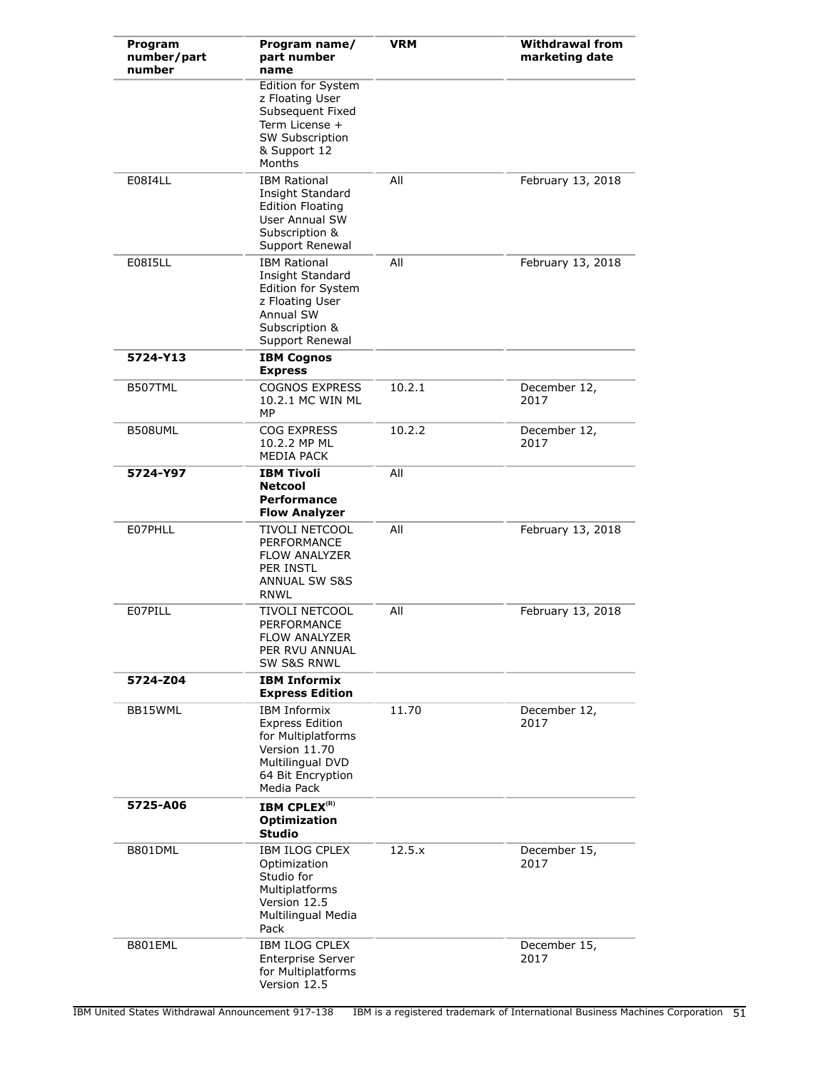| Program<br>number/part<br>number | Program name/<br>part number<br>name                                                                                                        | VRM    | <b>Withdrawal from</b><br>marketing date |
|----------------------------------|---------------------------------------------------------------------------------------------------------------------------------------------|--------|------------------------------------------|
|                                  | Edition for System<br>z Floating User<br>Subsequent Fixed<br>Term License +<br><b>SW Subscription</b><br>& Support 12<br>Months             |        |                                          |
| E0814LL                          | <b>IBM Rational</b><br>Insight Standard<br><b>Edition Floating</b><br><b>User Annual SW</b><br>Subscription &<br>Support Renewal            | All    | February 13, 2018                        |
| E0815LL                          | <b>IBM Rational</b><br>Insight Standard<br>Edition for System<br>z Floating User<br>Annual SW<br>Subscription &<br>Support Renewal          | All    | February 13, 2018                        |
| 5724-Y13                         | <b>IBM Cognos</b><br><b>Express</b>                                                                                                         |        |                                          |
| B507TML                          | <b>COGNOS EXPRESS</b><br>10.2.1 MC WIN ML<br>МP                                                                                             | 10.2.1 | December 12,<br>2017                     |
| B508UML                          | COG EXPRESS<br>10.2.2 MP ML<br>MEDIA PACK                                                                                                   | 10.2.2 | December 12,<br>2017                     |
| 5724-Y97                         | <b>IBM Tivoli</b><br><b>Netcool</b><br><b>Performance</b><br><b>Flow Analyzer</b>                                                           | All    |                                          |
| E07PHLL                          | TIVOLI NETCOOL<br><b>PERFORMANCE</b><br><b>FLOW ANALYZER</b><br><b>PER INSTL</b><br><b>ANNUAL SW S&amp;S</b><br>RNWL                        | All    | February 13, 2018                        |
| E07PILL                          | TIVOLI NETCOOL<br>PERFORMANCE<br>FLOW ANALYZER<br>PER RVU ANNUAL<br><b>SW S&amp;S RNWL</b>                                                  | All    | February 13, 2018                        |
| 5724-Z04                         | <b>IBM Informix</b><br><b>Express Edition</b>                                                                                               |        |                                          |
| BB15WML                          | <b>IBM Informix</b><br><b>Express Edition</b><br>for Multiplatforms<br>Version 11.70<br>Multilingual DVD<br>64 Bit Encryption<br>Media Pack | 11.70  | December 12,<br>2017                     |
| 5725-A06                         | <b>IBM CPLEX<sup>(R)</sup></b><br><b>Optimization</b><br><b>Studio</b>                                                                      |        |                                          |
| B801DML                          | <b>IBM ILOG CPLEX</b><br>Optimization<br>Studio for<br>Multiplatforms<br>Version 12.5<br>Multilingual Media<br>Pack                         | 12.5.x | December 15,<br>2017                     |
| B801EML                          | <b>IBM ILOG CPLEX</b><br><b>Enterprise Server</b><br>for Multiplatforms<br>Version 12.5                                                     |        | December 15,<br>2017                     |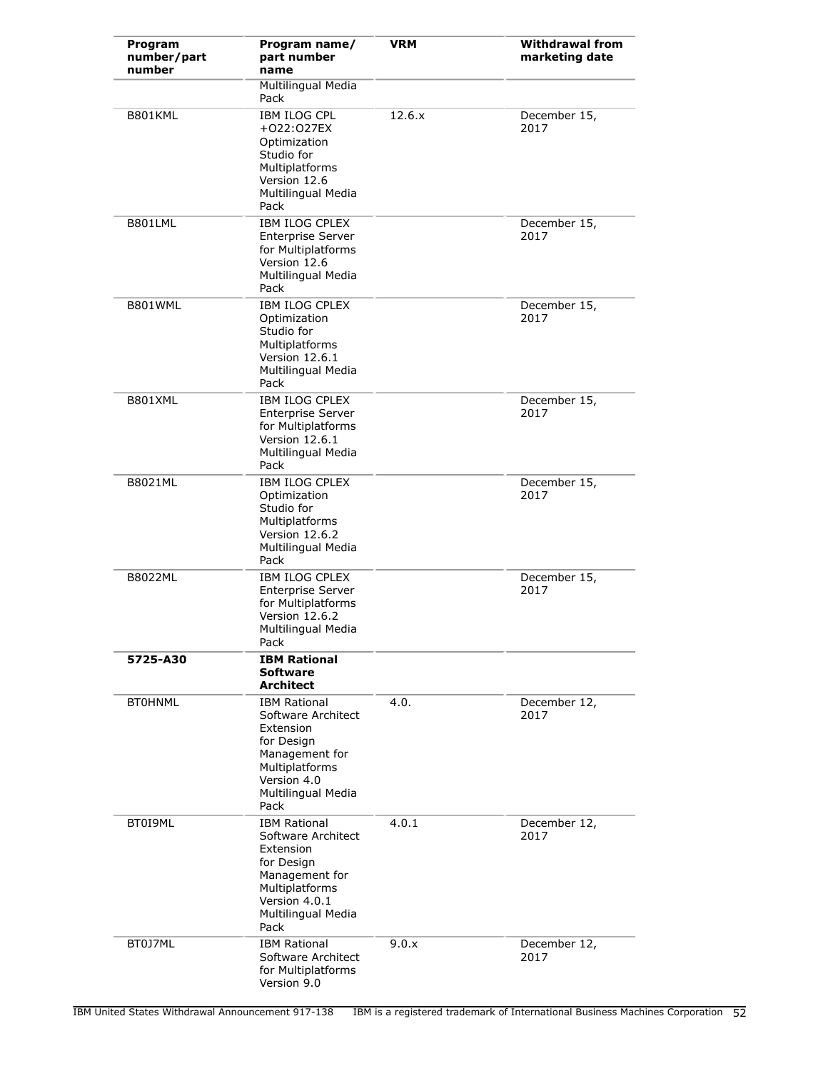| Program<br>number/part<br>number | Program name/<br>part number<br>name                                                                                                                    | <b>VRM</b> | <b>Withdrawal from</b><br>marketing date |
|----------------------------------|---------------------------------------------------------------------------------------------------------------------------------------------------------|------------|------------------------------------------|
|                                  | <b>Multilingual Media</b><br>Pack                                                                                                                       |            |                                          |
| B801KML                          | <b>IBM ILOG CPL</b><br>+022:027EX<br>Optimization<br>Studio for<br>Multiplatforms<br>Version 12.6<br>Multilingual Media<br>Pack                         | 12.6.x     | December 15,<br>2017                     |
| B801LML                          | <b>IBM ILOG CPLEX</b><br><b>Enterprise Server</b><br>for Multiplatforms<br>Version 12.6<br>Multilingual Media<br>Pack                                   |            | December 15,<br>2017                     |
| B801WML                          | IBM ILOG CPLEX<br>Optimization<br>Studio for<br>Multiplatforms<br>Version 12.6.1<br>Multilingual Media<br>Pack                                          |            | December 15,<br>2017                     |
| B801XML                          | <b>IBM ILOG CPLEX</b><br><b>Enterprise Server</b><br>for Multiplatforms<br>Version 12.6.1<br>Multilingual Media<br>Pack                                 |            | December 15,<br>2017                     |
| B8021ML                          | <b>IBM ILOG CPLEX</b><br>Optimization<br>Studio for<br>Multiplatforms<br>Version 12.6.2<br>Multilingual Media<br>Pack                                   |            | December 15,<br>2017                     |
| B8022ML                          | IBM ILOG CPLEX<br><b>Enterprise Server</b><br>for Multiplatforms<br>Version 12.6.2<br>Multilingual Media<br>Pack                                        |            | December 15,<br>2017                     |
| 5725-A30                         | <b>IBM Rational</b><br><b>Software</b><br><b>Architect</b>                                                                                              |            |                                          |
| <b>BT0HNML</b>                   | <b>IBM Rational</b><br>Software Architect<br>Extension<br>for Design<br>Management for<br>Multiplatforms<br>Version 4.0<br>Multilingual Media<br>Pack   | 4.0.       | December 12,<br>2017                     |
| BT0I9ML                          | <b>IBM Rational</b><br>Software Architect<br>Extension<br>for Design<br>Management for<br>Multiplatforms<br>Version 4.0.1<br>Multilingual Media<br>Pack | 4.0.1      | December 12,<br>2017                     |
| BT0J7ML                          | <b>IBM Rational</b><br>Software Architect<br>for Multiplatforms<br>Version 9.0                                                                          | 9.0.x      | December 12,<br>2017                     |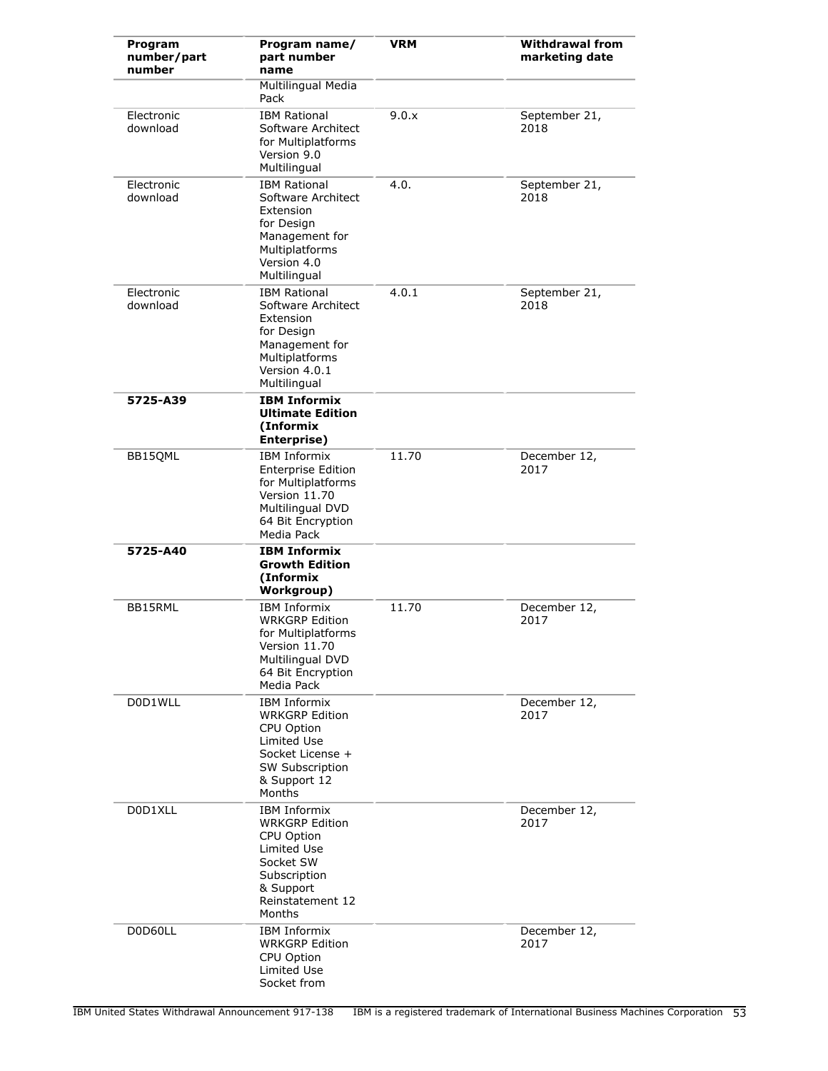| Program<br>number/part<br>number | Program name/<br>part number<br>name                                                                                                              | <b>VRM</b> | <b>Withdrawal from</b><br>marketing date |
|----------------------------------|---------------------------------------------------------------------------------------------------------------------------------------------------|------------|------------------------------------------|
|                                  | Multilingual Media<br>Pack                                                                                                                        |            |                                          |
| Electronic<br>download           | <b>IBM Rational</b><br>Software Architect<br>for Multiplatforms<br>Version 9.0<br>Multilingual                                                    | 9.0.x      | September 21,<br>2018                    |
| Electronic<br>download           | <b>IBM Rational</b><br>Software Architect<br>Extension<br>for Design<br>Management for<br>Multiplatforms<br>Version 4.0<br>Multilingual           | 4.0.       | September 21,<br>2018                    |
| Electronic<br>download           | <b>IBM Rational</b><br>Software Architect<br>Extension<br>for Design<br>Management for<br>Multiplatforms<br>Version 4.0.1<br>Multilingual         | 4.0.1      | September 21,<br>2018                    |
| 5725-A39                         | <b>IBM Informix</b><br><b>Ultimate Edition</b><br>(Informix<br>Enterprise)                                                                        |            |                                          |
| BB15QML                          | <b>IBM Informix</b><br><b>Enterprise Edition</b><br>for Multiplatforms<br>Version 11.70<br>Multilingual DVD<br>64 Bit Encryption<br>Media Pack    | 11.70      | December 12,<br>2017                     |
| 5725-A40                         | <b>IBM Informix</b><br><b>Growth Edition</b><br>(Informix<br>Workgroup)                                                                           |            |                                          |
| BB15RML                          | <b>IBM Informix</b><br><b>WRKGRP Edition</b><br>for Multiplatforms<br>Version 11.70<br>Multilingual DVD<br>64 Bit Encryption<br>Media Pack        | 11.70      | December 12,<br>2017                     |
| D0D1WLL                          | <b>IBM Informix</b><br><b>WRKGRP Edition</b><br>CPU Option<br>Limited Use<br>Socket License +<br>SW Subscription<br>& Support 12<br>Months        |            | December 12,<br>2017                     |
| D0D1XLL                          | <b>IBM Informix</b><br><b>WRKGRP Edition</b><br>CPU Option<br>Limited Use<br>Socket SW<br>Subscription<br>& Support<br>Reinstatement 12<br>Months |            | December 12,<br>2017                     |
| D0D60LL                          | <b>IBM Informix</b><br><b>WRKGRP Edition</b><br>CPU Option<br>Limited Use<br>Socket from                                                          |            | December 12,<br>2017                     |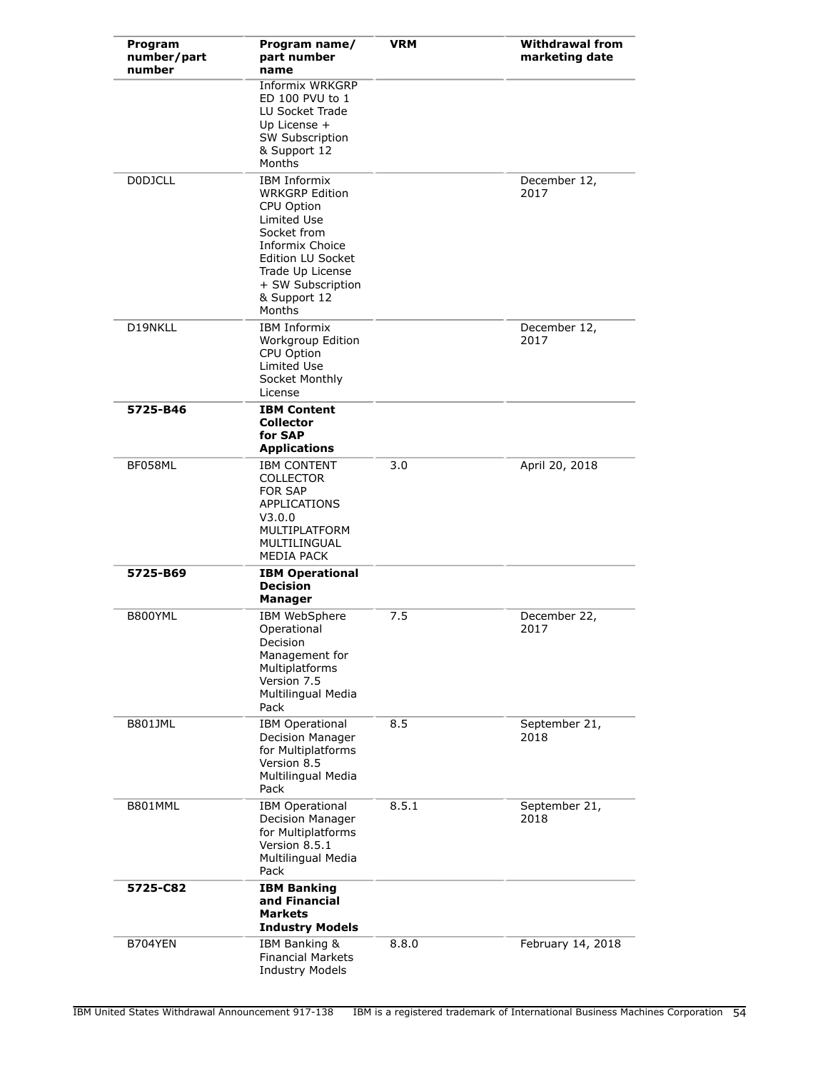| Program<br>number/part<br>number | Program name/<br>part number<br>name                                                                                                                                                                       | <b>VRM</b> | <b>Withdrawal from</b><br>marketing date |
|----------------------------------|------------------------------------------------------------------------------------------------------------------------------------------------------------------------------------------------------------|------------|------------------------------------------|
|                                  | Informix WRKGRP<br>ED 100 PVU to 1<br>LU Socket Trade<br>Up License $+$<br>SW Subscription<br>& Support 12<br>Months                                                                                       |            |                                          |
| <b>DODJCLL</b>                   | <b>IBM Informix</b><br><b>WRKGRP Edition</b><br>CPU Option<br>Limited Use<br>Socket from<br>Informix Choice<br><b>Edition LU Socket</b><br>Trade Up License<br>+ SW Subscription<br>& Support 12<br>Months |            | December 12,<br>2017                     |
| D19NKLL                          | <b>IBM Informix</b><br>Workgroup Edition<br>CPU Option<br><b>Limited Use</b><br>Socket Monthly<br>License                                                                                                  |            | December 12,<br>2017                     |
| 5725-B46                         | <b>IBM Content</b><br><b>Collector</b><br>for SAP<br><b>Applications</b>                                                                                                                                   |            |                                          |
| BF058ML                          | <b>IBM CONTENT</b><br><b>COLLECTOR</b><br><b>FOR SAP</b><br>APPLICATIONS<br>V3.0.0<br>MULTIPLATFORM<br>MULTILINGUAL<br><b>MEDIA PACK</b>                                                                   | 3.0        | April 20, 2018                           |
| 5725-B69                         | <b>IBM Operational</b><br><b>Decision</b><br>Manager                                                                                                                                                       |            |                                          |
| B800YML                          | IBM WebSphere<br>Operational<br>Decision<br>Management for<br>Multiplatforms<br>Version 7.5<br>Multilingual Media<br>Pack                                                                                  | 7.5        | December 22,<br>2017                     |
| <b>B801JML</b>                   | <b>IBM Operational</b><br>Decision Manager<br>for Multiplatforms<br>Version 8.5<br>Multilingual Media<br>Pack                                                                                              | 8.5        | September 21,<br>2018                    |
| B801MML                          | <b>IBM Operational</b><br>Decision Manager<br>for Multiplatforms<br>Version 8.5.1<br>Multilingual Media<br>Pack                                                                                            | 8.5.1      | September 21,<br>2018                    |
| 5725-C82                         | <b>IBM Banking</b><br>and Financial<br><b>Markets</b><br><b>Industry Models</b>                                                                                                                            |            |                                          |
| B704YEN                          | IBM Banking &<br><b>Financial Markets</b><br><b>Industry Models</b>                                                                                                                                        | 8.8.0      | February 14, 2018                        |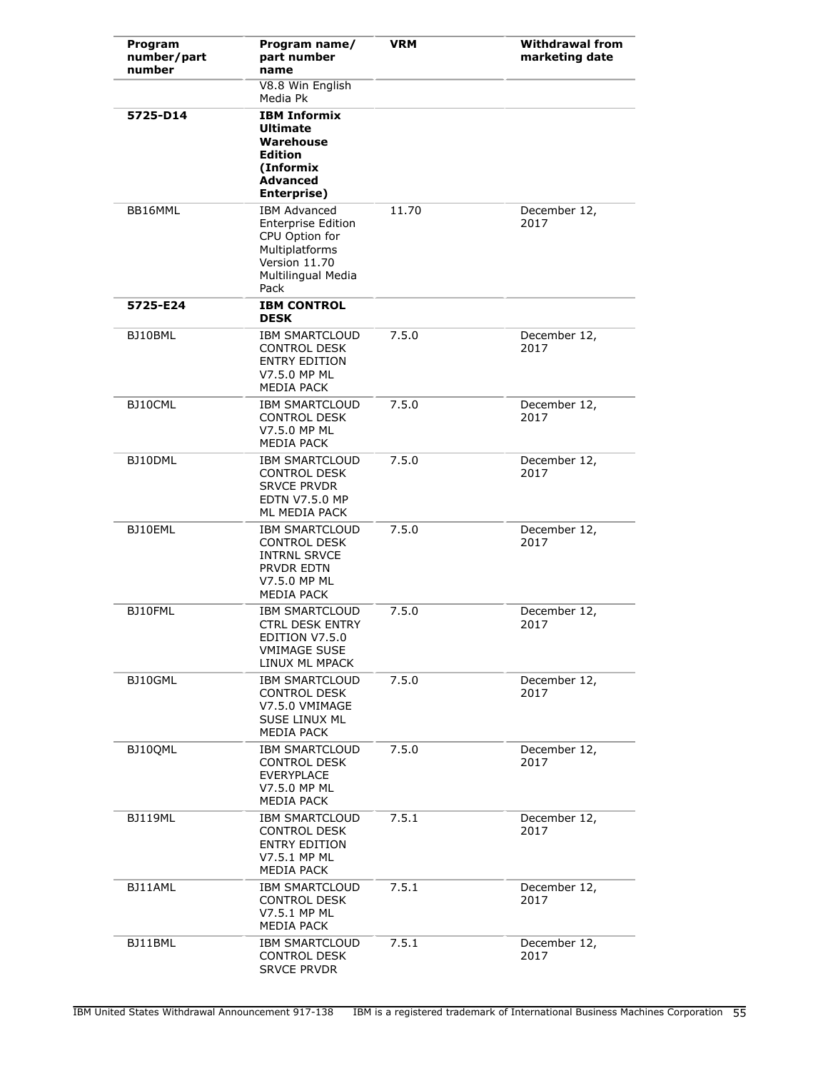| Program<br>number/part<br>number | Program name/<br>part number<br>name                                                                                                | <b>VRM</b> | <b>Withdrawal from</b><br>marketing date |
|----------------------------------|-------------------------------------------------------------------------------------------------------------------------------------|------------|------------------------------------------|
|                                  | V8.8 Win English<br>Media Pk                                                                                                        |            |                                          |
| 5725-D14                         | <b>IBM Informix</b><br><b>Ultimate</b><br>Warehouse<br><b>Edition</b><br>(Informix<br><b>Advanced</b><br>Enterprise)                |            |                                          |
| BB16MML                          | <b>IBM Advanced</b><br><b>Enterprise Edition</b><br>CPU Option for<br>Multiplatforms<br>Version 11.70<br>Multilingual Media<br>Pack | 11.70      | December 12,<br>2017                     |
| 5725-E24                         | <b>IBM CONTROL</b><br><b>DESK</b>                                                                                                   |            |                                          |
| BJ10BML                          | <b>IBM SMARTCLOUD</b><br><b>CONTROL DESK</b><br><b>ENTRY EDITION</b><br>V7.5.0 MP ML<br>MEDIA PACK                                  | 7.5.0      | December 12,<br>2017                     |
| BJ10CML                          | <b>IBM SMARTCLOUD</b><br><b>CONTROL DESK</b><br>V7.5.0 MP ML<br><b>MEDIA PACK</b>                                                   | 7.5.0      | December 12,<br>2017                     |
| BJ10DML                          | <b>IBM SMARTCLOUD</b><br><b>CONTROL DESK</b><br><b>SRVCE PRVDR</b><br><b>EDTN V7.5.0 MP</b><br>ML MEDIA PACK                        | 7.5.0      | December 12,<br>2017                     |
| BJ10EML                          | <b>IBM SMARTCLOUD</b><br><b>CONTROL DESK</b><br><b>INTRNL SRVCE</b><br>PRVDR EDTN<br>V7.5.0 MP ML<br>MEDIA PACK                     | 7.5.0      | December 12,<br>2017                     |
| BJ10FML                          | <b>IBM SMARTCLOUD</b><br><b>CTRL DESK ENTRY</b><br><b>FDITION V7.5.0</b><br><b>VMIMAGE SUSE</b><br>LINUX ML MPACK                   | 7.5.0      | December 12,<br>2017                     |
| BJ10GML                          | <b>IBM SMARTCLOUD</b><br><b>CONTROL DESK</b><br>V7.5.0 VMIMAGE<br>SUSE LINUX ML<br>MEDIA PACK                                       | 7.5.0      | December 12,<br>2017                     |
| BJ10QML                          | <b>IBM SMARTCLOUD</b><br><b>CONTROL DESK</b><br><b>EVERYPLACE</b><br>V7.5.0 MP ML<br><b>MEDIA PACK</b>                              | 7.5.0      | December 12,<br>2017                     |
| <b>BJ119ML</b>                   | <b>IBM SMARTCLOUD</b><br><b>CONTROL DESK</b><br><b>ENTRY EDITION</b><br>V7.5.1 MP ML<br>MEDIA PACK                                  | 7.5.1      | December 12,<br>2017                     |
| BJ11AML                          | <b>IBM SMARTCLOUD</b><br><b>CONTROL DESK</b><br>V7.5.1 MP ML<br>MEDIA PACK                                                          | 7.5.1      | December 12,<br>2017                     |
| BJ11BML                          | <b>IBM SMARTCLOUD</b><br><b>CONTROL DESK</b><br><b>SRVCE PRVDR</b>                                                                  | 7.5.1      | December 12,<br>2017                     |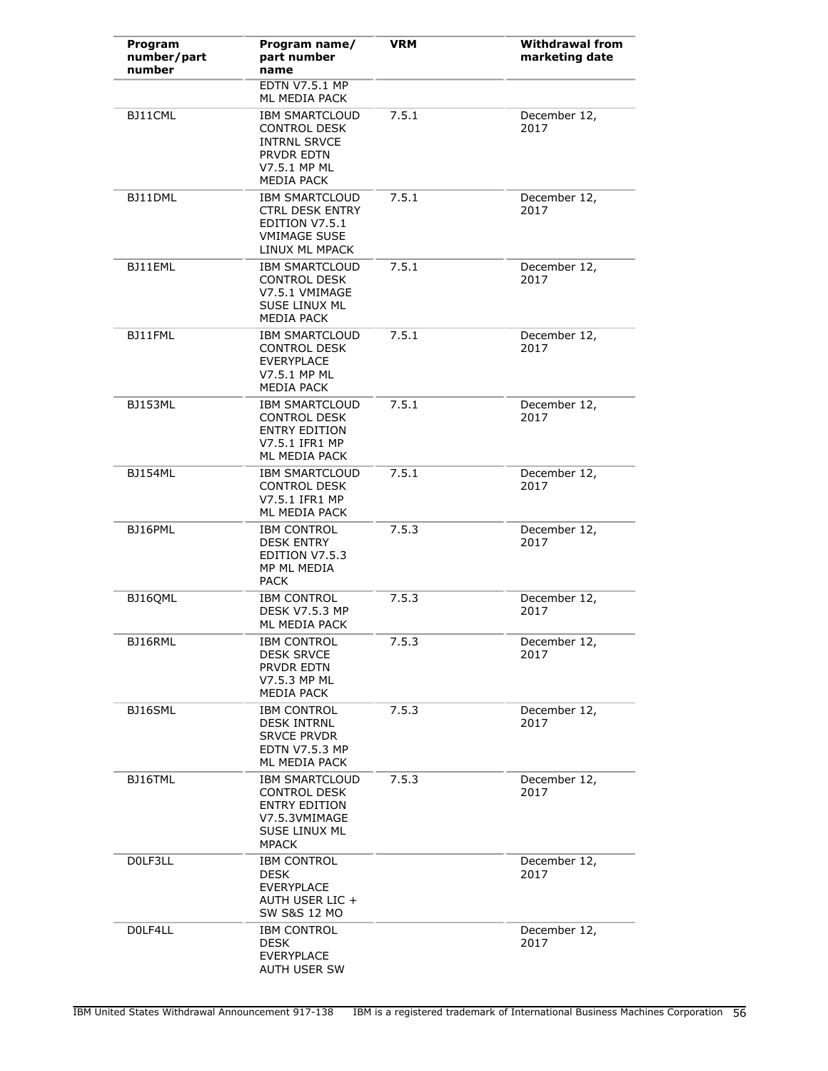| Program<br>number/part<br>number | Program name/<br>part number<br>name                                                                                   | <b>VRM</b> | <b>Withdrawal from</b><br>marketing date |
|----------------------------------|------------------------------------------------------------------------------------------------------------------------|------------|------------------------------------------|
|                                  | <b>EDTN V7.5.1 MP</b><br>ML MEDIA PACK                                                                                 |            |                                          |
| BJ11CML                          | <b>IBM SMARTCLOUD</b><br><b>CONTROL DESK</b><br><b>INTRNL SRVCE</b><br>PRVDR EDTN<br>V7.5.1 MP ML<br>MEDIA PACK        | 7.5.1      | December 12,<br>2017                     |
| BJ11DML                          | <b>IBM SMARTCLOUD</b><br><b>CTRL DESK ENTRY</b><br>EDITION V7.5.1<br><b>VMIMAGE SUSE</b><br>LINUX ML MPACK             | 7.5.1      | December 12,<br>2017                     |
| BJ11EML                          | <b>IBM SMARTCLOUD</b><br><b>CONTROL DESK</b><br>V7.5.1 VMIMAGE<br>SUSE LINUX ML<br>MEDIA PACK                          | 7.5.1      | December 12,<br>2017                     |
| BJ11FML                          | <b>IBM SMARTCLOUD</b><br><b>CONTROL DESK</b><br><b>EVERYPLACE</b><br>V7.5.1 MP ML<br>MEDIA PACK                        | 7.5.1      | December 12,<br>2017                     |
| BJ153ML                          | <b>IBM SMARTCLOUD</b><br><b>CONTROL DESK</b><br><b>ENTRY EDITION</b><br>V7.5.1 IFR1 MP<br>ML MEDIA PACK                | 7.5.1      | December 12,<br>2017                     |
| <b>BJ154ML</b>                   | <b>IBM SMARTCLOUD</b><br><b>CONTROL DESK</b><br>V7.5.1 IFR1 MP<br>ML MEDIA PACK                                        | 7.5.1      | December 12,<br>2017                     |
| BJ16PML                          | <b>IBM CONTROL</b><br><b>DESK ENTRY</b><br>EDITION V7.5.3<br>MP ML MEDIA<br><b>PACK</b>                                | 7.5.3      | December 12,<br>2017                     |
| BJ16QML                          | <b>IBM CONTROL</b><br><b>DESK V7.5.3 MP</b><br>ML MEDIA PACK                                                           | 7.5.3      | December 12,<br>2017                     |
| BJ16RML                          | <b>IBM CONTROL</b><br><b>DESK SRVCE</b><br>PRVDR EDTN<br>V7.5.3 MP ML<br>MEDIA PACK                                    | 7.5.3      | December 12,<br>2017                     |
| BJ16SML                          | <b>IBM CONTROL</b><br><b>DESK INTRNL</b><br><b>SRVCE PRVDR</b><br><b>EDTN V7.5.3 MP</b><br>ML MEDIA PACK               | 7.5.3      | December 12,<br>2017                     |
| BJ16TML                          | <b>IBM SMARTCLOUD</b><br><b>CONTROL DESK</b><br><b>ENTRY EDITION</b><br>V7.5.3VMIMAGE<br>SUSE LINUX ML<br><b>MPACK</b> | 7.5.3      | December 12,<br>2017                     |
| DOLF3LL                          | <b>IBM CONTROL</b><br><b>DESK</b><br><b>EVERYPLACE</b><br>AUTH USER LIC +<br><b>SW S&amp;S 12 MO</b>                   |            | December 12,<br>2017                     |
| DOLF4LL                          | <b>IBM CONTROL</b><br>DESK<br><b>EVERYPLACE</b><br><b>AUTH USER SW</b>                                                 |            | December 12,<br>2017                     |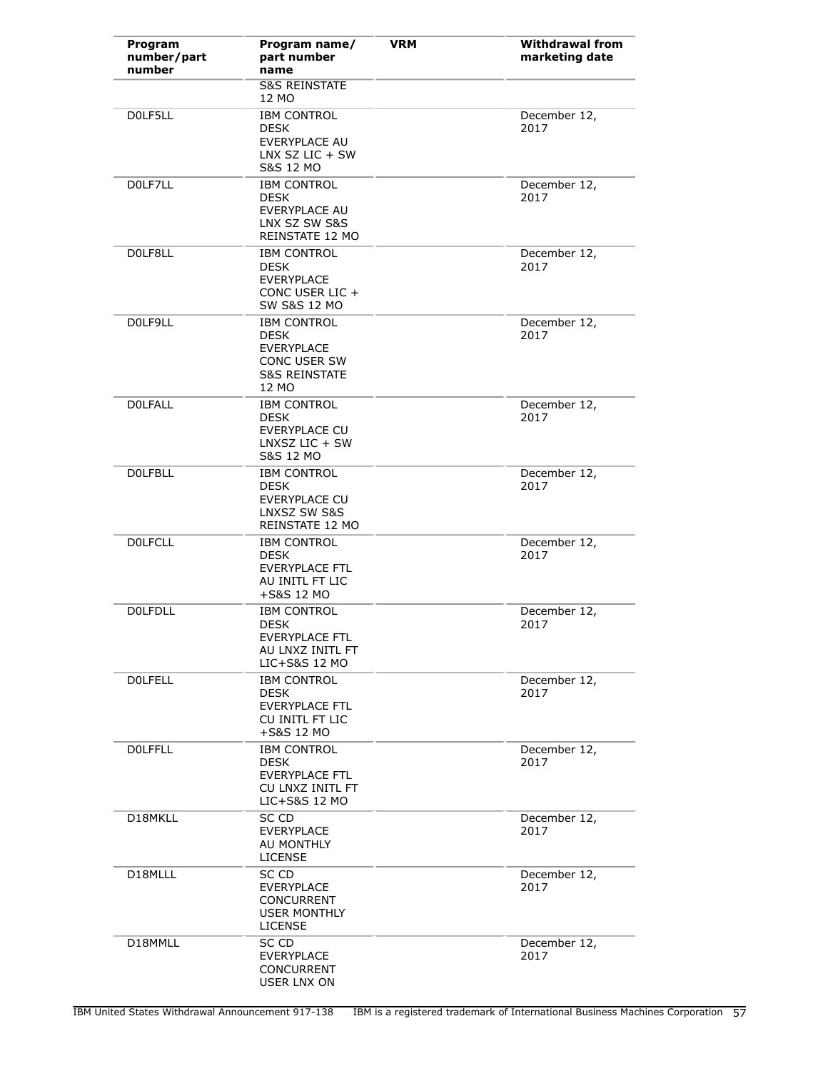| Program<br>number/part<br>number | Program name/<br>part number<br>name                                                                        | <b>VRM</b> | <b>Withdrawal from</b><br>marketing date |
|----------------------------------|-------------------------------------------------------------------------------------------------------------|------------|------------------------------------------|
|                                  | <b>S&amp;S REINSTATE</b><br>12 MO                                                                           |            |                                          |
| DOLF5LL                          | <b>IBM CONTROL</b><br><b>DESK</b><br>EVERYPLACE AU<br>LNX SZ LIC $+$ SW<br><b>S&amp;S 12 MO</b>             |            | December 12,<br>2017                     |
| DOLF7LL                          | <b>IBM CONTROL</b><br><b>DESK</b><br>EVERYPLACE AU<br>LNX SZ SW S&S<br>REINSTATE 12 MO                      |            | December 12,<br>2017                     |
| DOLF8LL                          | <b>IBM CONTROL</b><br><b>DESK</b><br><b>EVERYPLACE</b><br>CONC USER LIC +<br><b>SW S&amp;S 12 MO</b>        |            | December 12,<br>2017                     |
| DOLF9LL                          | <b>IBM CONTROL</b><br><b>DESK</b><br><b>EVERYPLACE</b><br>CONC USER SW<br><b>S&amp;S REINSTATE</b><br>12 MO |            | December 12,<br>2017                     |
| <b>DOLFALL</b>                   | <b>IBM CONTROL</b><br><b>DESK</b><br><b>EVERYPLACE CU</b><br>$LNXSZ LIC + SW$<br><b>S&amp;S 12 MO</b>       |            | December 12,<br>2017                     |
| <b>DOLFBLL</b>                   | <b>IBM CONTROL</b><br><b>DESK</b><br><b>EVERYPLACE CU</b><br>LNXSZ SW S&S<br>REINSTATE 12 MO                |            | December 12,<br>2017                     |
| <b>DOLFCLL</b>                   | <b>IBM CONTROL</b><br><b>DESK</b><br><b>EVERYPLACE FTL</b><br>AU INITL FT LIC<br>+S&S 12 MO                 |            | December 12,<br>2017                     |
| <b>DOLFDLL</b>                   | <b>IBM CONTROL</b><br>DESK<br>EVERYPLACE FTL<br>AU LNXZ INITL FT<br>LIC+S&S 12 MO                           |            | December 12,<br>2017                     |
| <b>DOLFELL</b>                   | <b>IBM CONTROL</b><br><b>DESK</b><br><b>EVERYPLACE FTL</b><br>CU INITL FT LIC<br>+S&S 12 MO                 |            | December 12,<br>2017                     |
| <b>DOLFFLL</b>                   | <b>IBM CONTROL</b><br>DESK<br><b>EVERYPLACE FTL</b><br>CU LNXZ INITL FT<br>LIC+S&S 12 MO                    |            | December 12,<br>2017                     |
| D18MKLL                          | SC CD<br><b>EVERYPLACE</b><br>AU MONTHLY<br><b>LICENSE</b>                                                  |            | December 12,<br>2017                     |
| D18MLLL                          | SC CD<br><b>EVERYPLACE</b><br><b>CONCURRENT</b><br><b>USER MONTHLY</b><br><b>LICENSE</b>                    |            | December 12,<br>2017                     |
| D18MMLL                          | SC CD<br><b>EVERYPLACE</b><br><b>CONCURRENT</b><br>USER LNX ON                                              |            | December 12,<br>2017                     |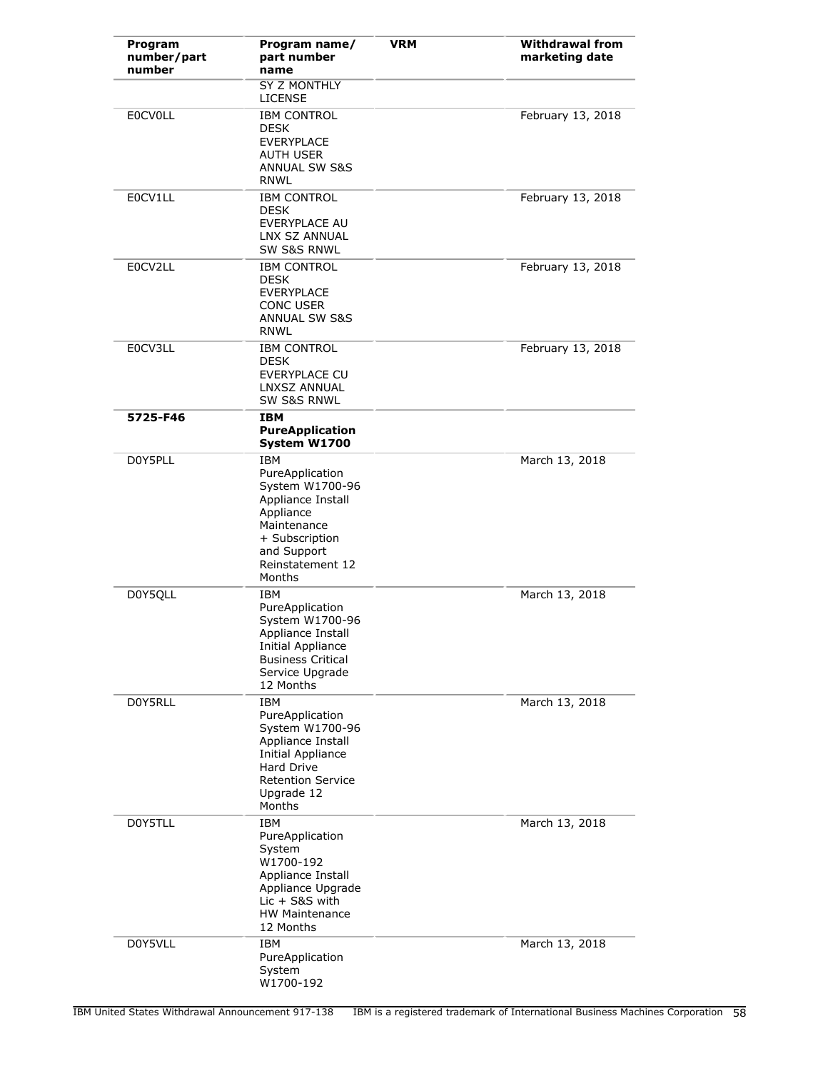| Program<br>number/part<br>number | Program name/<br>part number<br>name                                                                                                                                | <b>VRM</b> | <b>Withdrawal from</b><br>marketing date |
|----------------------------------|---------------------------------------------------------------------------------------------------------------------------------------------------------------------|------------|------------------------------------------|
|                                  | <b>SY Z MONTHLY</b><br><b>LICENSE</b>                                                                                                                               |            |                                          |
| <b>EOCVOLL</b>                   | <b>IBM CONTROL</b><br><b>DESK</b><br><b>EVERYPLACE</b><br><b>AUTH USER</b><br><b>ANNUAL SW S&amp;S</b><br><b>RNWL</b>                                               |            | February 13, 2018                        |
| E0CV1LL                          | <b>IBM CONTROL</b><br><b>DESK</b><br><b>EVERYPLACE AU</b><br>LNX SZ ANNUAL<br><b>SW S&amp;S RNWL</b>                                                                |            | February 13, 2018                        |
| E0CV2LL                          | <b>IBM CONTROL</b><br><b>DESK</b><br><b>EVERYPLACE</b><br>CONC USER<br><b>ANNUAL SW S&amp;S</b><br><b>RNWL</b>                                                      |            | February 13, 2018                        |
| E0CV3LL                          | <b>IBM CONTROL</b><br><b>DESK</b><br>EVERYPLACE CU<br>LNXSZ ANNUAL<br>SW S&S RNWL                                                                                   |            | February 13, 2018                        |
| 5725-F46                         | <b>IBM</b><br><b>PureApplication</b><br>System W1700                                                                                                                |            |                                          |
| D0Y5PLL                          | <b>IBM</b><br>PureApplication<br>System W1700-96<br>Appliance Install<br>Appliance<br>Maintenance<br>+ Subscription<br>and Support<br>Reinstatement 12<br>Months    |            | March 13, 2018                           |
| D0Y5QLL                          | IBM<br>PureApplication<br>System W1700-96<br>Appliance Install<br><b>Initial Appliance</b><br><b>Business Critical</b><br>Service Upgrade<br>12 Months              |            | March 13, 2018                           |
| D0Y5RLL                          | <b>IBM</b><br>PureApplication<br>System W1700-96<br>Appliance Install<br><b>Initial Appliance</b><br>Hard Drive<br><b>Retention Service</b><br>Upgrade 12<br>Months |            | March 13, 2018                           |
| D0Y5TLL                          | IBM<br>PureApplication<br>System<br>W1700-192<br>Appliance Install<br>Appliance Upgrade<br>$Lic + S&S$ with<br><b>HW Maintenance</b><br>12 Months                   |            | March 13, 2018                           |
| D0Y5VLL                          | IBM<br>PureApplication<br>System<br>W1700-192                                                                                                                       |            | March 13, 2018                           |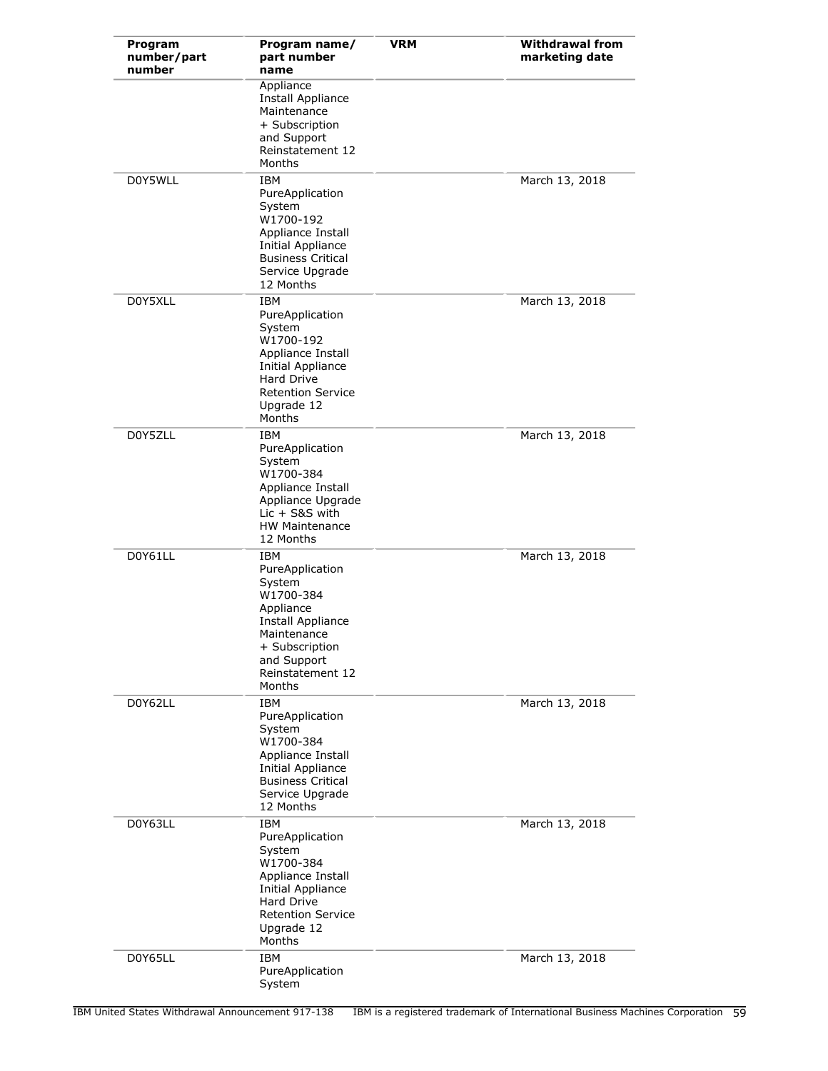| Program<br>number/part<br>number | Program name/<br>part number<br>name                                                                                                                                    | <b>VRM</b> | <b>Withdrawal from</b><br>marketing date |
|----------------------------------|-------------------------------------------------------------------------------------------------------------------------------------------------------------------------|------------|------------------------------------------|
|                                  | Appliance<br>Install Appliance<br>Maintenance<br>+ Subscription<br>and Support<br>Reinstatement 12<br>Months                                                            |            |                                          |
| D0Y5WLL                          | <b>IBM</b><br>PureApplication<br>System<br>W1700-192<br>Appliance Install<br>Initial Appliance<br><b>Business Critical</b><br>Service Upgrade<br>12 Months              |            | March 13, 2018                           |
| D0Y5XLL                          | <b>IBM</b><br>PureApplication<br>System<br>W1700-192<br>Appliance Install<br>Initial Appliance<br><b>Hard Drive</b><br><b>Retention Service</b><br>Upgrade 12<br>Months |            | March 13, 2018                           |
| D0Y5ZLL                          | <b>IBM</b><br>PureApplication<br>System<br>W1700-384<br>Appliance Install<br>Appliance Upgrade<br>Lic + S&S with<br><b>HW Maintenance</b><br>12 Months                  |            | March 13, 2018                           |
| D0Y61LL                          | IBM<br>PureApplication<br>System<br>W1700-384<br>Appliance<br>Install Appliance<br>Maintenance<br>+ Subscription<br>and Support<br>Reinstatement 12<br>Months           |            | March 13, 2018                           |
| D0Y62LL                          | <b>IBM</b><br>PureApplication<br>System<br>W1700-384<br>Appliance Install<br>Initial Appliance<br><b>Business Critical</b><br>Service Upgrade<br>12 Months              |            | March 13, 2018                           |
| D0Y63LL                          | <b>IBM</b><br>PureApplication<br>System<br>W1700-384<br>Appliance Install<br>Initial Appliance<br>Hard Drive<br><b>Retention Service</b><br>Upgrade 12<br>Months        |            | March 13, 2018                           |
| D0Y65LL                          | <b>IBM</b><br>PureApplication<br>System                                                                                                                                 |            | March 13, 2018                           |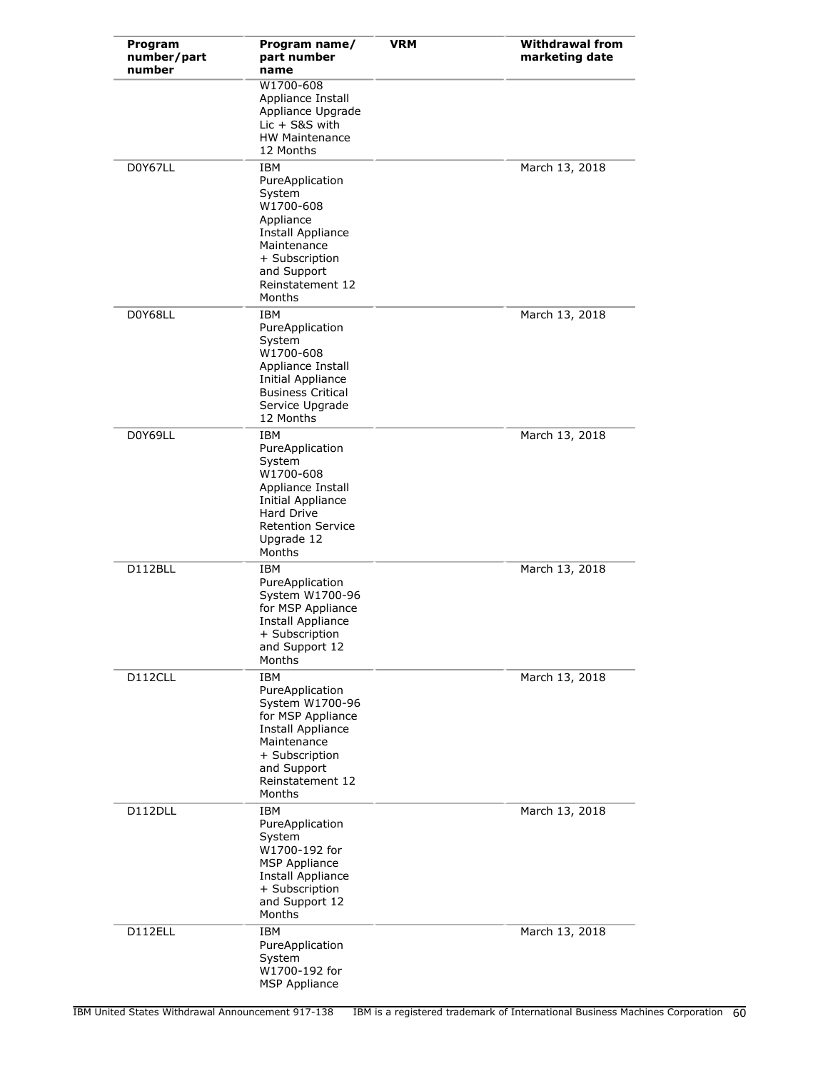| Program<br>number/part<br>number | Program name/<br>part number<br>name                                                                                                                                            | <b>VRM</b> | <b>Withdrawal from</b><br>marketing date |
|----------------------------------|---------------------------------------------------------------------------------------------------------------------------------------------------------------------------------|------------|------------------------------------------|
|                                  | W1700-608<br>Appliance Install<br>Appliance Upgrade<br>$Lie + S&S$ with<br><b>HW Maintenance</b><br>12 Months                                                                   |            |                                          |
| D0Y67LL                          | IBM<br>PureApplication<br>System<br>W1700-608<br>Appliance<br>Install Appliance<br>Maintenance<br>+ Subscription<br>and Support<br>Reinstatement 12<br>Months                   |            | March 13, 2018                           |
| D0Y68LL                          | IBM<br>PureApplication<br>System<br>W1700-608<br>Appliance Install<br>Initial Appliance<br><b>Business Critical</b><br>Service Upgrade<br>12 Months                             |            | March 13, 2018                           |
| D0Y69LL                          | <b>IBM</b><br>PureApplication<br>System<br>W1700-608<br>Appliance Install<br><b>Initial Appliance</b><br><b>Hard Drive</b><br><b>Retention Service</b><br>Upgrade 12<br>Months  |            | March 13, 2018                           |
| D112BLL                          | IBM<br>PureApplication<br>System W1700-96<br>for MSP Appliance<br>Install Appliance<br>+ Subscription<br>and Support 12<br>Months                                               |            | March 13, 2018                           |
| D112CLL                          | <b>IBM</b><br>PureApplication<br>System W1700-96<br>for MSP Appliance<br><b>Install Appliance</b><br>Maintenance<br>+ Subscription<br>and Support<br>Reinstatement 12<br>Months |            | March 13, 2018                           |
| D112DLL                          | IBM<br>PureApplication<br>System<br>W1700-192 for<br><b>MSP Appliance</b><br>Install Appliance<br>+ Subscription<br>and Support 12<br>Months                                    |            | March 13, 2018                           |
| D112ELL                          | IBM<br>PureApplication<br>System<br>W1700-192 for<br><b>MSP Appliance</b>                                                                                                       |            | March 13, 2018                           |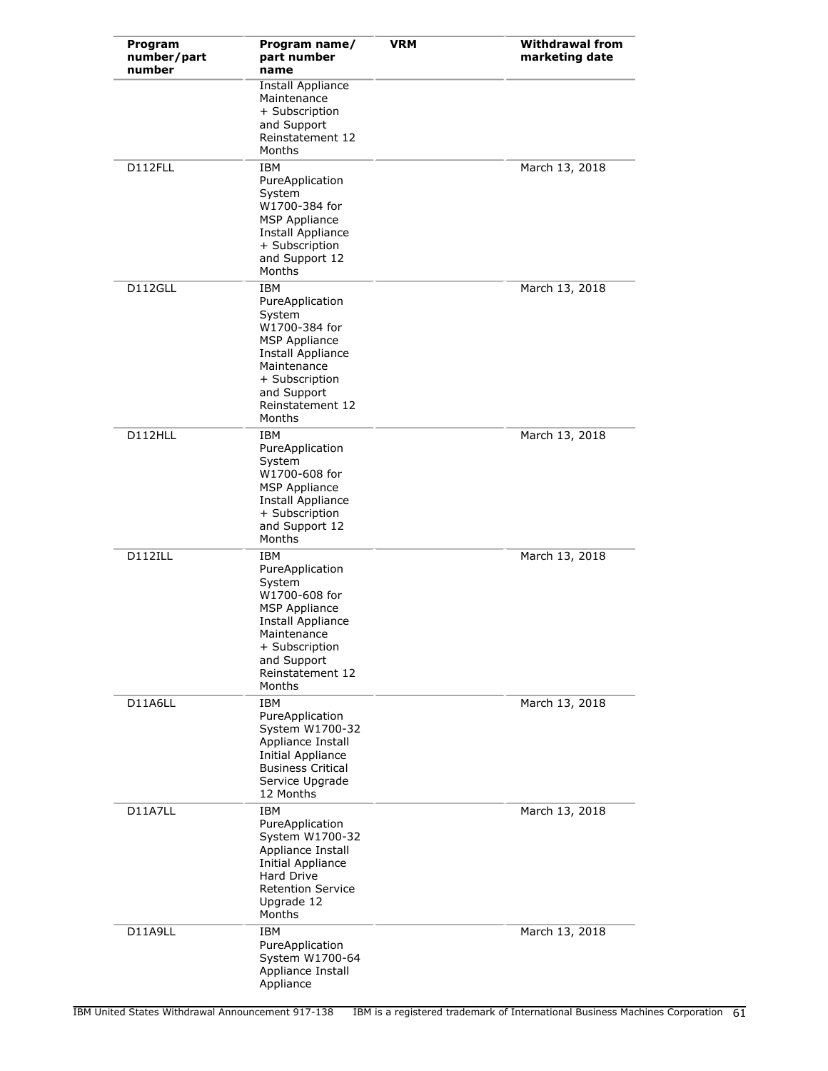| Program<br>number/part<br>number | Program name/<br>part number<br>name                                                                                                                                                | <b>VRM</b> | <b>Withdrawal from</b><br>marketing date |
|----------------------------------|-------------------------------------------------------------------------------------------------------------------------------------------------------------------------------------|------------|------------------------------------------|
|                                  | Install Appliance<br>Maintenance<br>+ Subscription<br>and Support<br>Reinstatement 12<br>Months                                                                                     |            |                                          |
| D112FLL                          | IBM<br>PureApplication<br>System<br>W1700-384 for<br><b>MSP Appliance</b><br>Install Appliance<br>+ Subscription<br>and Support 12<br>Months                                        |            | March 13, 2018                           |
| D112GLL                          | <b>IBM</b><br>PureApplication<br>System<br>W1700-384 for<br><b>MSP Appliance</b><br>Install Appliance<br>Maintenance<br>+ Subscription<br>and Support<br>Reinstatement 12<br>Months |            | March 13, 2018                           |
| D112HLL                          | IBM<br>PureApplication<br>System<br>W1700-608 for<br><b>MSP Appliance</b><br>Install Appliance<br>+ Subscription<br>and Support 12<br>Months                                        |            | March 13, 2018                           |
| D112ILL                          | IBM<br>PureApplication<br>System<br>W1700-608 for<br><b>MSP Appliance</b><br>Install Appliance<br>Maintenance<br>+ Subscription<br>and Support<br>Reinstatement 12<br>Months        |            | March 13, 2018                           |
| D11A6LL                          | IBM<br>PureApplication<br>System W1700-32<br>Appliance Install<br>Initial Appliance<br><b>Business Critical</b><br>Service Upgrade<br>12 Months                                     |            | March 13, 2018                           |
| D11A7LL                          | <b>IBM</b><br>PureApplication<br>System W1700-32<br>Appliance Install<br>Initial Appliance<br><b>Hard Drive</b><br><b>Retention Service</b><br>Upgrade 12<br>Months                 |            | March 13, 2018                           |
| D11A9LL                          | IBM<br>PureApplication<br>System W1700-64<br>Appliance Install<br>Appliance                                                                                                         |            | March 13, 2018                           |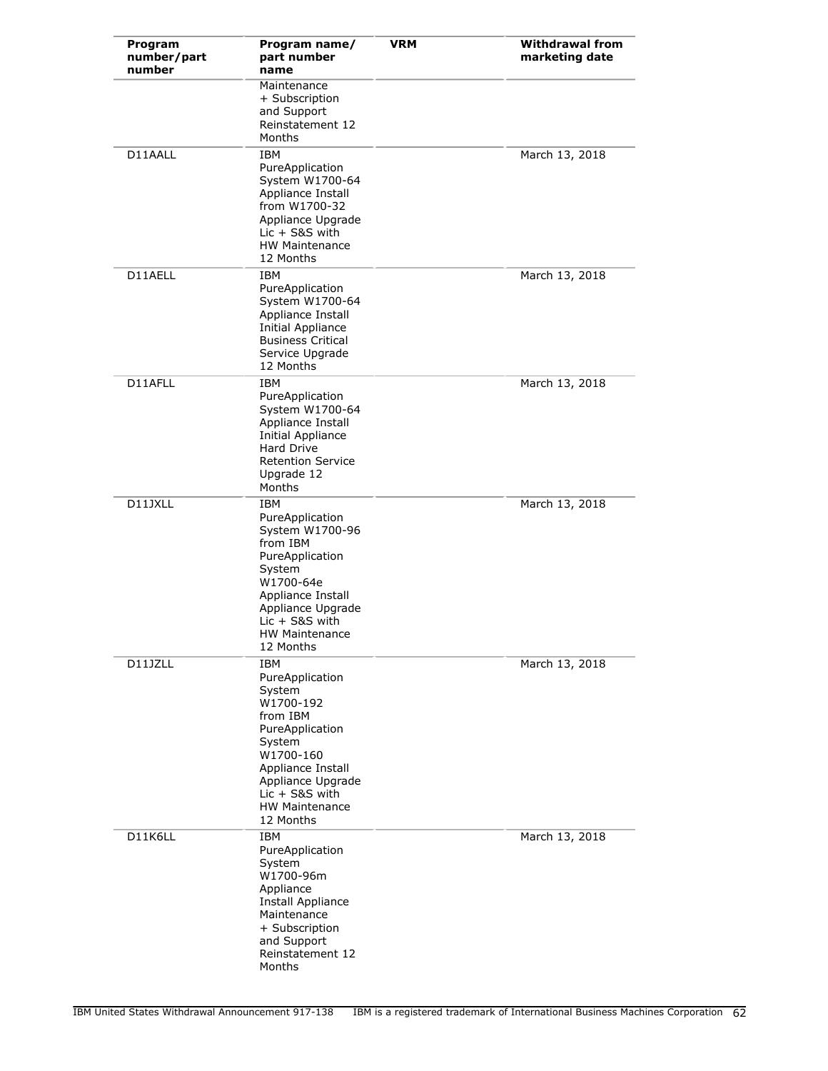| Program<br>number/part<br>number | Program name/<br>part number<br>name                                                                                                                                                                    | <b>VRM</b> | <b>Withdrawal from</b><br>marketing date |
|----------------------------------|---------------------------------------------------------------------------------------------------------------------------------------------------------------------------------------------------------|------------|------------------------------------------|
|                                  | Maintenance<br>+ Subscription<br>and Support<br>Reinstatement 12<br>Months                                                                                                                              |            |                                          |
| D11AALL                          | IBM<br>PureApplication<br>System W1700-64<br>Appliance Install<br>from W1700-32<br>Appliance Upgrade<br>$Lie + S&S$ with<br><b>HW Maintenance</b><br>12 Months                                          |            | March 13, 2018                           |
| D11AELL                          | IBM<br>PureApplication<br>System W1700-64<br>Appliance Install<br>Initial Appliance<br><b>Business Critical</b><br>Service Upgrade<br>12 Months                                                         |            | March 13, 2018                           |
| D11AFLL                          | <b>IBM</b><br>PureApplication<br>System W1700-64<br>Appliance Install<br>Initial Appliance<br>Hard Drive<br><b>Retention Service</b><br>Upgrade 12<br>Months                                            |            | March 13, 2018                           |
| D11JXLL                          | IBM<br>PureApplication<br>System W1700-96<br>from IBM<br>PureApplication<br>System<br>W1700-64e<br>Appliance Install<br>Appliance Upgrade<br>$Lie + S&S$ with<br><b>HW Maintenance</b><br>12 Months     |            | March 13, 2018                           |
| D11JZLL                          | IBM<br>PureApplication<br>System<br>W1700-192<br>from IBM<br>PureApplication<br>System<br>W1700-160<br>Appliance Install<br>Appliance Upgrade<br>$Lie + S&S$ with<br><b>HW Maintenance</b><br>12 Months |            | March 13, 2018                           |
| D11K6LL                          | IBM<br>PureApplication<br>System<br>W1700-96m<br>Appliance<br>Install Appliance<br>Maintenance<br>+ Subscription<br>and Support<br>Reinstatement 12<br>Months                                           |            | March 13, 2018                           |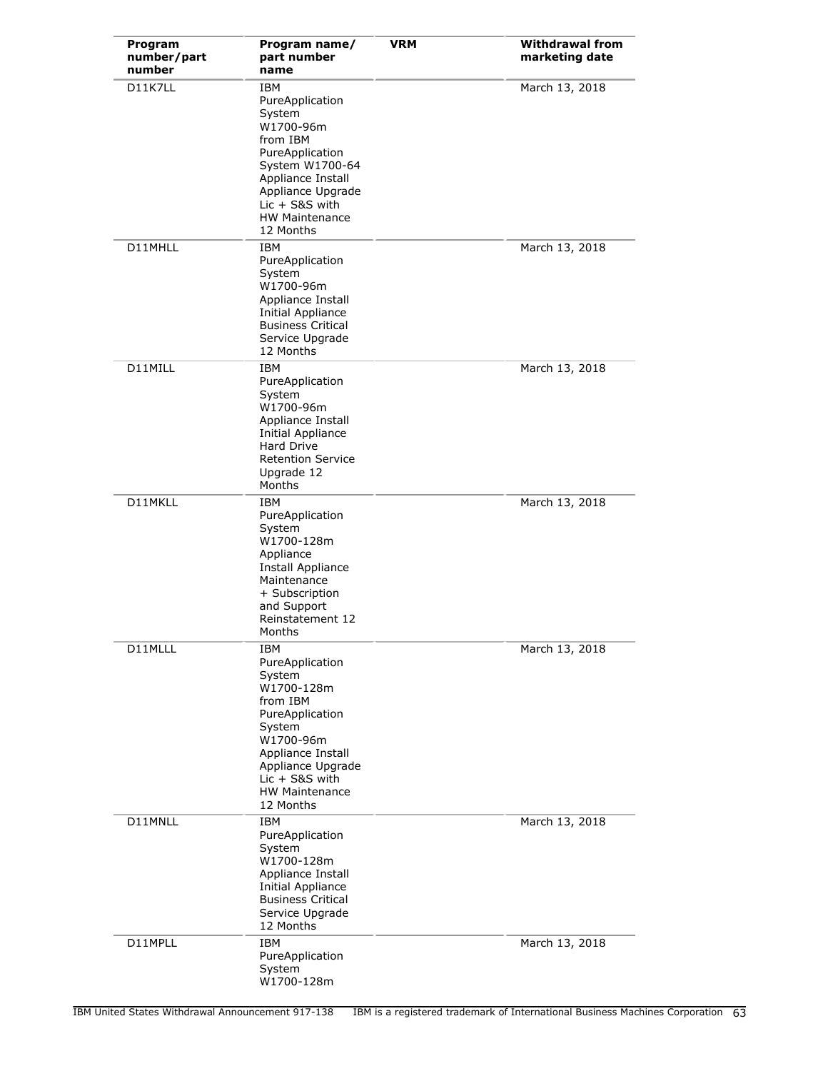| Program<br>number/part<br>number | Program name/<br>part number<br>name                                                                                                                                                                     | VRM | <b>Withdrawal from</b><br>marketing date |
|----------------------------------|----------------------------------------------------------------------------------------------------------------------------------------------------------------------------------------------------------|-----|------------------------------------------|
| D11K7LL                          | IBM<br>PureApplication<br>System<br>W1700-96m<br>from IBM<br>PureApplication<br>System W1700-64<br>Appliance Install<br>Appliance Upgrade<br>$Lie + S8S$ with<br><b>HW Maintenance</b><br>12 Months      |     | March 13, 2018                           |
| D11MHLL                          | IBM<br>PureApplication<br>System<br>W1700-96m<br>Appliance Install<br><b>Initial Appliance</b><br><b>Business Critical</b><br>Service Upgrade<br>12 Months                                               |     | March 13, 2018                           |
| D11MILL                          | <b>IBM</b><br>PureApplication<br>System<br>W1700-96m<br>Appliance Install<br>Initial Appliance<br>Hard Drive<br><b>Retention Service</b><br>Upgrade 12<br>Months                                         |     | March 13, 2018                           |
| D11MKLL                          | IBM<br>PureApplication<br>System<br>W1700-128m<br>Appliance<br>Install Appliance<br>Maintenance<br>+ Subscription<br>and Support<br>Reinstatement 12<br>Months                                           |     | March 13, 2018                           |
| D11MLLL                          | IBM<br>PureApplication<br>System<br>W1700-128m<br>from IBM<br>PureApplication<br>System<br>W1700-96m<br>Appliance Install<br>Appliance Upgrade<br>$Lie + S&S$ with<br><b>HW Maintenance</b><br>12 Months |     | March 13, 2018                           |
| D11MNLL                          | IBM<br>PureApplication<br>System<br>W1700-128m<br>Appliance Install<br>Initial Appliance<br><b>Business Critical</b><br>Service Upgrade<br>12 Months                                                     |     | March 13, 2018                           |
| D11MPLL                          | IBM<br>PureApplication<br>System<br>W1700-128m                                                                                                                                                           |     | March 13, 2018                           |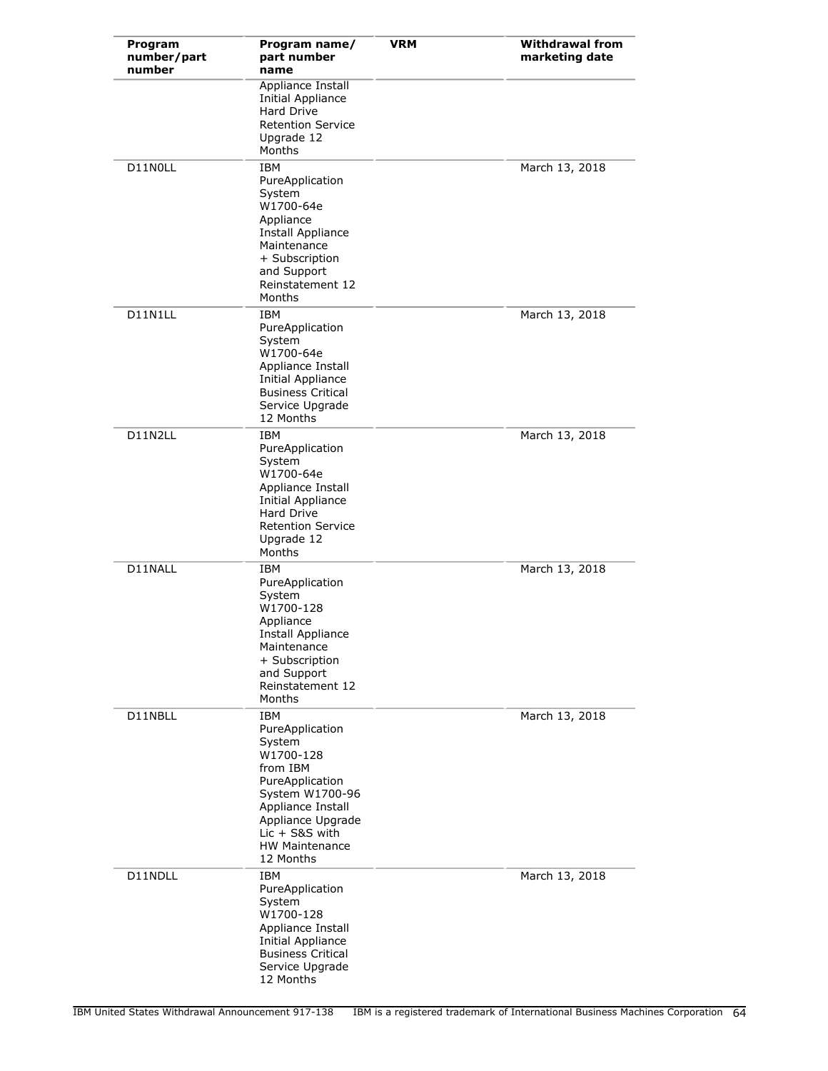| Program<br>number/part<br>number | Program name/<br>part number<br>name                                                                                                                                                                       | <b>VRM</b> | <b>Withdrawal from</b><br>marketing date |
|----------------------------------|------------------------------------------------------------------------------------------------------------------------------------------------------------------------------------------------------------|------------|------------------------------------------|
|                                  | Appliance Install<br><b>Initial Appliance</b><br><b>Hard Drive</b><br><b>Retention Service</b><br>Upgrade 12<br>Months                                                                                     |            |                                          |
| D11N0LL                          | <b>IBM</b><br>PureApplication<br>System<br>W1700-64e<br>Appliance<br>Install Appliance<br>Maintenance<br>+ Subscription<br>and Support<br>Reinstatement 12<br>Months                                       |            | March 13, 2018                           |
| D11N1LL                          | IBM<br>PureApplication<br>System<br>W1700-64e<br>Appliance Install<br>Initial Appliance<br><b>Business Critical</b><br>Service Upgrade<br>12 Months                                                        |            | March 13, 2018                           |
| D11N2LL                          | <b>IBM</b><br>PureApplication<br>System<br>W1700-64e<br>Appliance Install<br>Initial Appliance<br><b>Hard Drive</b><br><b>Retention Service</b><br>Upgrade 12<br>Months                                    |            | March 13, 2018                           |
| D11NALL                          | IBM<br>PureApplication<br>System<br>W1700-128<br>Appliance<br>Install Appliance<br>Maintenance<br>+ Subscription<br>and Support<br>Reinstatement 12<br>Months                                              |            | March 13, 2018                           |
| D11NBLL                          | <b>IBM</b><br>PureApplication<br>System<br>W1700-128<br>from IBM<br>PureApplication<br>System W1700-96<br>Appliance Install<br>Appliance Upgrade<br>$Lic + S&S$ with<br><b>HW Maintenance</b><br>12 Months |            | March 13, 2018                           |
| D11NDLL                          | IBM<br>PureApplication<br>System<br>W1700-128<br>Appliance Install<br><b>Initial Appliance</b><br><b>Business Critical</b><br>Service Upgrade<br>12 Months                                                 |            | March 13, 2018                           |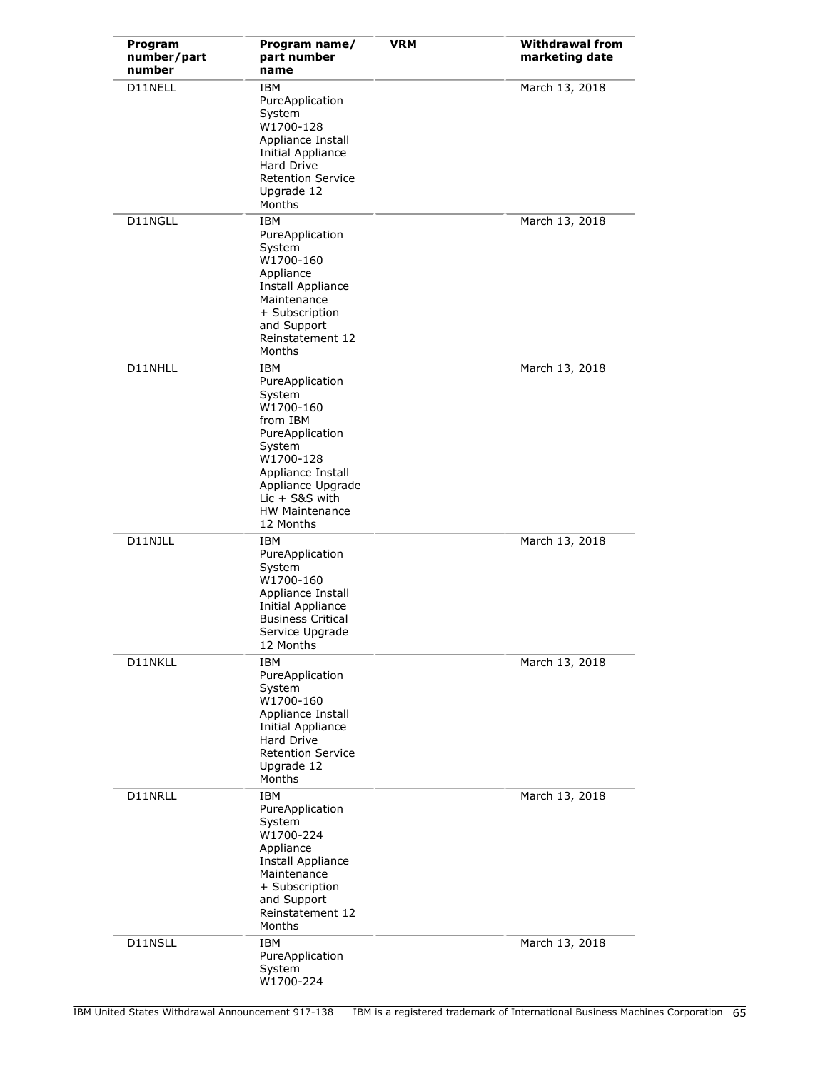| Program<br>number/part<br>number | Program name/<br>part number<br>name                                                                                                                                                                    | <b>VRM</b> | <b>Withdrawal from</b><br>marketing date |
|----------------------------------|---------------------------------------------------------------------------------------------------------------------------------------------------------------------------------------------------------|------------|------------------------------------------|
| D11NELL                          | IBM<br>PureApplication<br>System<br>W1700-128<br>Appliance Install<br>Initial Appliance<br>Hard Drive<br><b>Retention Service</b><br>Upgrade 12<br>Months                                               |            | March 13, 2018                           |
| D11NGLL                          | <b>IBM</b><br>PureApplication<br>System<br>W1700-160<br>Appliance<br>Install Appliance<br>Maintenance<br>+ Subscription<br>and Support<br>Reinstatement 12<br>Months                                    |            | March 13, 2018                           |
| D11NHLL                          | IBM<br>PureApplication<br>System<br>W1700-160<br>from IBM<br>PureApplication<br>System<br>W1700-128<br>Appliance Install<br>Appliance Upgrade<br>$Lic + S&S$ with<br><b>HW Maintenance</b><br>12 Months |            | March 13, 2018                           |
| D11NJLL                          | <b>IBM</b><br>PureApplication<br>System<br>W1700-160<br>Appliance Install<br>Initial Appliance<br><b>Business Critical</b><br>Service Upgrade<br>12 Months                                              |            | March 13, 2018                           |
| D11NKLL                          | <b>IBM</b><br>PureApplication<br>System<br>W1700-160<br>Appliance Install<br><b>Initial Appliance</b><br>Hard Drive<br><b>Retention Service</b><br>Upgrade 12<br>Months                                 |            | March 13, 2018                           |
| D11NRLL                          | IBM<br>PureApplication<br>System<br>W1700-224<br>Appliance<br>Install Appliance<br>Maintenance<br>+ Subscription<br>and Support<br>Reinstatement 12<br>Months                                           |            | March 13, 2018                           |
| D11NSLL                          | IBM<br>PureApplication<br>System<br>W1700-224                                                                                                                                                           |            | March 13, 2018                           |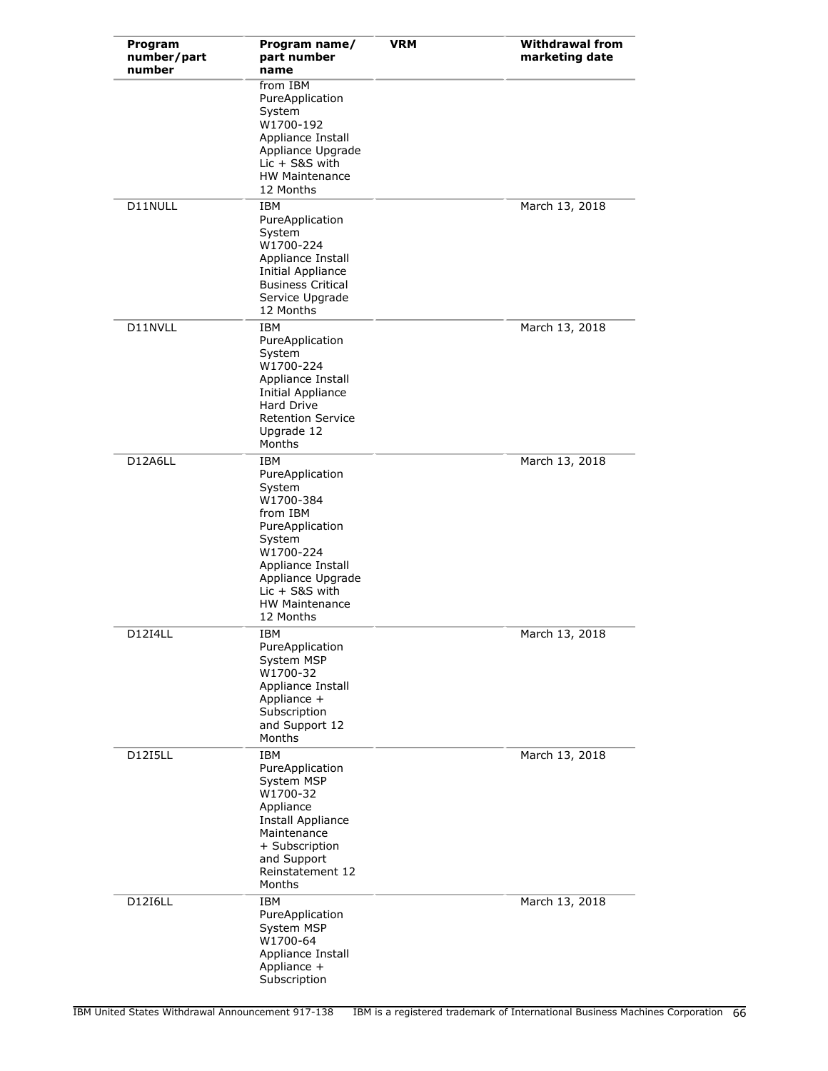| Program<br>number/part<br>number | Program name/<br>part number<br>name                                                                                                                                                                           | <b>VRM</b> | <b>Withdrawal from</b><br>marketing date |
|----------------------------------|----------------------------------------------------------------------------------------------------------------------------------------------------------------------------------------------------------------|------------|------------------------------------------|
|                                  | from IBM<br>PureApplication<br>System<br>W1700-192<br>Appliance Install<br>Appliance Upgrade<br>$Lie + S8S$ with<br><b>HW Maintenance</b><br>12 Months                                                         |            |                                          |
| D11NULL                          | <b>TRM</b><br>PureApplication<br>System<br>W1700-224<br>Appliance Install<br><b>Initial Appliance</b><br><b>Business Critical</b><br>Service Upgrade<br>12 Months                                              |            | March 13, 2018                           |
| D11NVLL                          | <b>IBM</b><br>PureApplication<br>System<br>W1700-224<br>Appliance Install<br><b>Initial Appliance</b><br><b>Hard Drive</b><br><b>Retention Service</b><br>Upgrade 12<br>Months                                 |            | March 13, 2018                           |
| D12A6LL                          | <b>IBM</b><br>PureApplication<br>System<br>W1700-384<br>from IBM<br>PureApplication<br>System<br>W1700-224<br>Appliance Install<br>Appliance Upgrade<br>$Lie + S8S$ with<br><b>HW Maintenance</b><br>12 Months |            | March 13, 2018                           |
| D12I4LL                          | <b>IBM</b><br>PureApplication<br>System MSP<br>W1700-32<br>Appliance Install<br>Appliance +<br>Subscription<br>and Support 12<br>Months                                                                        |            | March 13, 2018                           |
| <b>D12I5LL</b>                   | IBM<br>PureApplication<br>System MSP<br>W1700-32<br>Appliance<br>Install Appliance<br>Maintenance<br>+ Subscription<br>and Support<br>Reinstatement 12<br>Months                                               |            | March 13, 2018                           |
| <b>D12I6LL</b>                   | <b>IBM</b><br>PureApplication<br>System MSP<br>W1700-64<br>Appliance Install<br>Appliance +<br>Subscription                                                                                                    |            | March 13, 2018                           |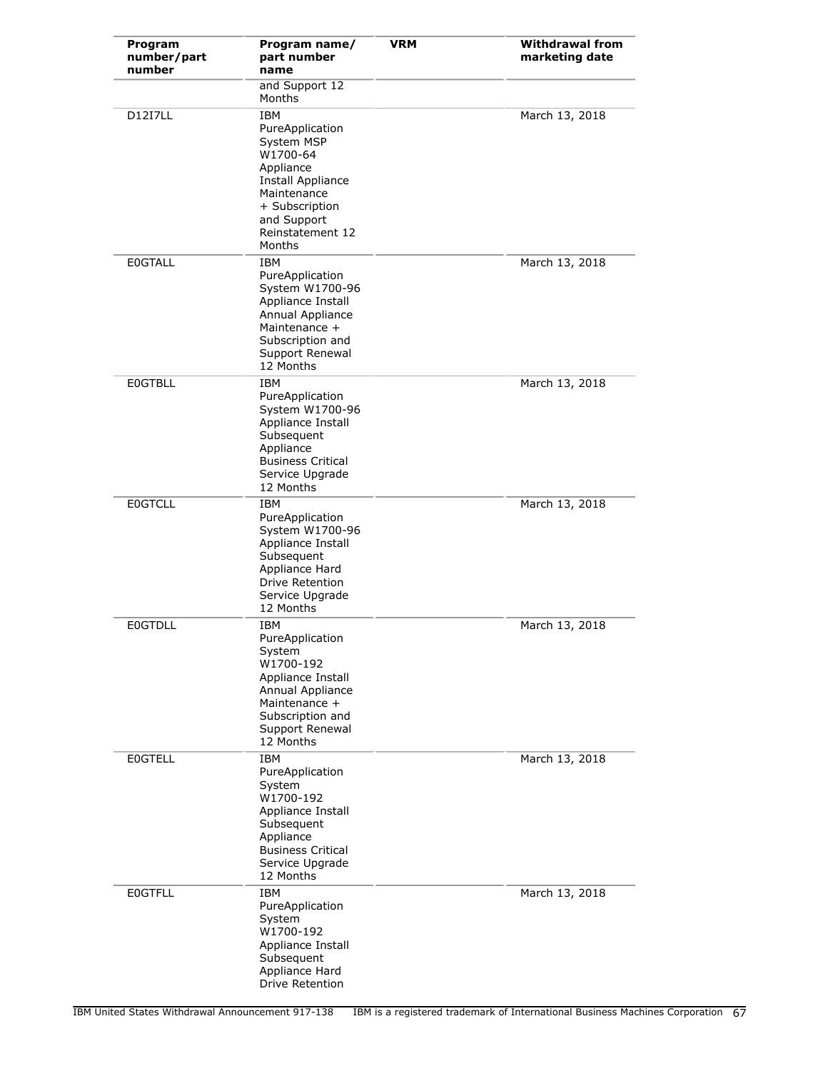| Program<br>number/part<br>number | Program name/<br>part number<br>name                                                                                                                                    | <b>VRM</b> | <b>Withdrawal from</b><br>marketing date |
|----------------------------------|-------------------------------------------------------------------------------------------------------------------------------------------------------------------------|------------|------------------------------------------|
|                                  | and Support 12<br>Months                                                                                                                                                |            |                                          |
| <b>D12I7LL</b>                   | <b>IBM</b><br>PureApplication<br>System MSP<br>W1700-64<br>Appliance<br>Install Appliance<br>Maintenance<br>+ Subscription<br>and Support<br>Reinstatement 12<br>Months |            | March 13, 2018                           |
| <b>E0GTALL</b>                   | <b>IBM</b><br>PureApplication<br>System W1700-96<br>Appliance Install<br>Annual Appliance<br>Maintenance +<br>Subscription and<br>Support Renewal<br>12 Months          |            | March 13, 2018                           |
| <b>EOGTBLL</b>                   | <b>IBM</b><br>PureApplication<br>System W1700-96<br>Appliance Install<br>Subsequent<br>Appliance<br><b>Business Critical</b><br>Service Upgrade<br>12 Months            |            | March 13, 2018                           |
| <b>EOGTCLL</b>                   | <b>IBM</b><br>PureApplication<br>System W1700-96<br>Appliance Install<br>Subsequent<br>Appliance Hard<br><b>Drive Retention</b><br>Service Upgrade<br>12 Months         |            | March 13, 2018                           |
| <b>E0GTDLL</b>                   | IBM<br>PureApplication<br>System<br>W1700-192<br>Appliance Install<br>Annual Appliance<br>Maintenance +<br>Subscription and<br>Support Renewal<br>12 Months             |            | March 13, 2018                           |
| <b>EOGTELL</b>                   | <b>IBM</b><br>PureApplication<br>System<br>W1700-192<br>Appliance Install<br>Subsequent<br>Appliance<br><b>Business Critical</b><br>Service Upgrade<br>12 Months        |            | March 13, 2018                           |
| <b>EOGTFLL</b>                   | <b>IBM</b><br>PureApplication<br>System<br>W1700-192<br>Appliance Install<br>Subsequent<br>Appliance Hard<br>Drive Retention                                            |            | March 13, 2018                           |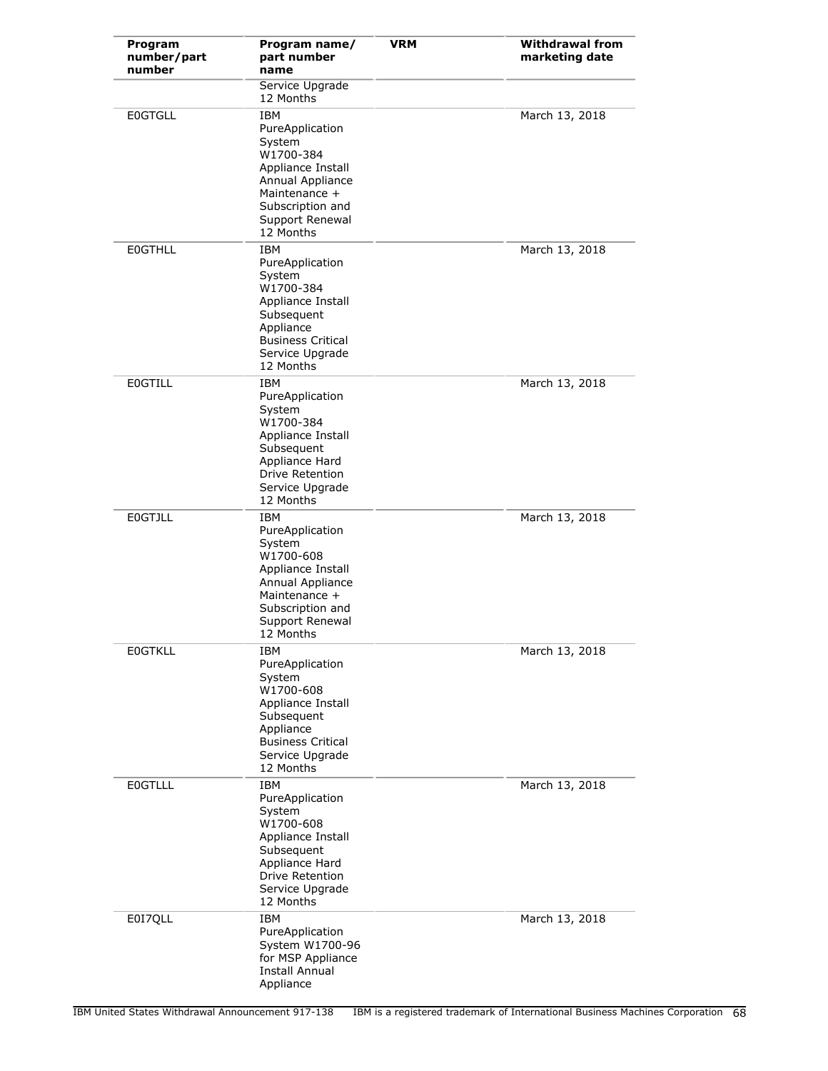| Program<br>number/part<br>number | Program name/<br>part number<br>name                                                                                                                               | <b>VRM</b> | <b>Withdrawal from</b><br>marketing date |
|----------------------------------|--------------------------------------------------------------------------------------------------------------------------------------------------------------------|------------|------------------------------------------|
|                                  | Service Upgrade<br>12 Months                                                                                                                                       |            |                                          |
| <b>E0GTGLL</b>                   | <b>IBM</b><br>PureApplication<br>System<br>W1700-384<br>Appliance Install<br>Annual Appliance<br>Maintenance +<br>Subscription and<br>Support Renewal<br>12 Months |            | March 13, 2018                           |
| <b>EOGTHLL</b>                   | IBM<br>PureApplication<br>System<br>W1700-384<br>Appliance Install<br>Subsequent<br>Appliance<br><b>Business Critical</b><br>Service Upgrade<br>12 Months          |            | March 13, 2018                           |
| <b>EOGTILL</b>                   | <b>IBM</b><br>PureApplication<br>System<br>W1700-384<br>Appliance Install<br>Subsequent<br>Appliance Hard<br>Drive Retention<br>Service Upgrade<br>12 Months       |            | March 13, 2018                           |
| <b>EOGTJLL</b>                   | IBM<br>PureApplication<br>System<br>W1700-608<br>Appliance Install<br>Annual Appliance<br>Maintenance +<br>Subscription and<br>Support Renewal<br>12 Months        |            | March 13, 2018                           |
| <b>EOGTKLL</b>                   | IBM<br>PureApplication<br>System<br>W1700-608<br>Appliance Install<br>Subsequent<br>Appliance<br><b>Business Critical</b><br>Service Upgrade<br>12 Months          |            | March 13, 2018                           |
| <b>EOGTLLL</b>                   | IBM<br>PureApplication<br>System<br>W1700-608<br>Appliance Install<br>Subsequent<br>Appliance Hard<br>Drive Retention<br>Service Upgrade<br>12 Months              |            | March 13, 2018                           |
| E0I7QLL                          | IBM<br>PureApplication<br>System W1700-96<br>for MSP Appliance<br><b>Install Annual</b><br>Appliance                                                               |            | March 13, 2018                           |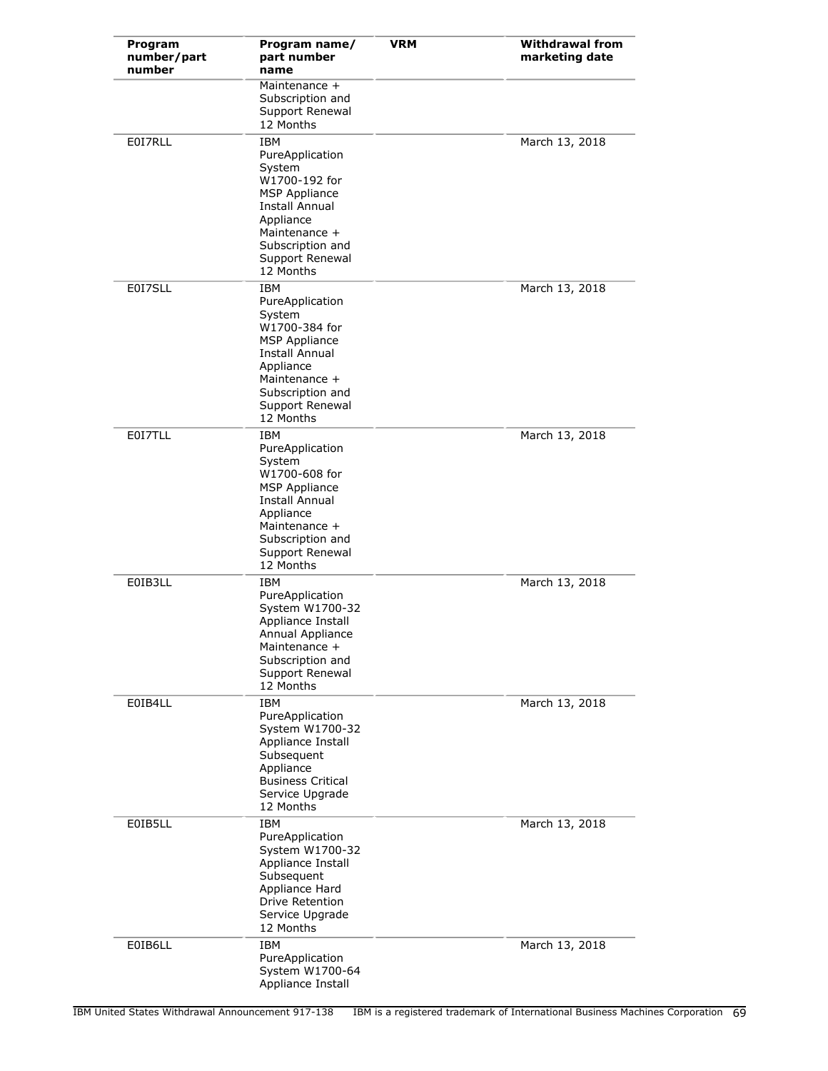| Program<br>number/part<br>number | Program name/<br>part number<br>name                                                                                                                                          | <b>VRM</b> | <b>Withdrawal from</b><br>marketing date |
|----------------------------------|-------------------------------------------------------------------------------------------------------------------------------------------------------------------------------|------------|------------------------------------------|
|                                  | Maintenance +<br>Subscription and<br>Support Renewal<br>12 Months                                                                                                             |            |                                          |
| E0I7RLL                          | IBM<br>PureApplication<br>System<br>W1700-192 for<br><b>MSP Appliance</b><br>Install Annual<br>Appliance<br>Maintenance +<br>Subscription and<br>Support Renewal<br>12 Months |            | March 13, 2018                           |
| E0I7SLL                          | IBM<br>PureApplication<br>System<br>W1700-384 for<br><b>MSP Appliance</b><br>Install Annual<br>Appliance<br>Maintenance +<br>Subscription and<br>Support Renewal<br>12 Months |            | March 13, 2018                           |
| E0I7TLL                          | IBM<br>PureApplication<br>System<br>W1700-608 for<br><b>MSP Appliance</b><br>Install Annual<br>Appliance<br>Maintenance +<br>Subscription and<br>Support Renewal<br>12 Months |            | March 13, 2018                           |
| E0IB3LL                          | IBM<br>PureApplication<br>System W1700-32<br>Appliance Install<br>Annual Appliance<br>Maintenance +<br>Subscription and<br>Support Renewal<br>12 Months                       |            | March 13, 2018                           |
| E0IB4LL                          | IBM<br>PureApplication<br>System W1700-32<br>Appliance Install<br>Subsequent<br>Appliance<br><b>Business Critical</b><br>Service Upgrade<br>12 Months                         |            | March 13, 2018                           |
| E0IB5LL                          | <b>IBM</b><br>PureApplication<br>System W1700-32<br>Appliance Install<br>Subsequent<br>Appliance Hard<br>Drive Retention<br>Service Upgrade<br>12 Months                      |            | March 13, 2018                           |
| E0IB6LL                          | IBM<br>PureApplication<br>System W1700-64<br>Appliance Install                                                                                                                |            | March 13, 2018                           |

IBM United States Withdrawal Announcement 917-138 IBM is a registered trademark of International Business Machines Corporation 69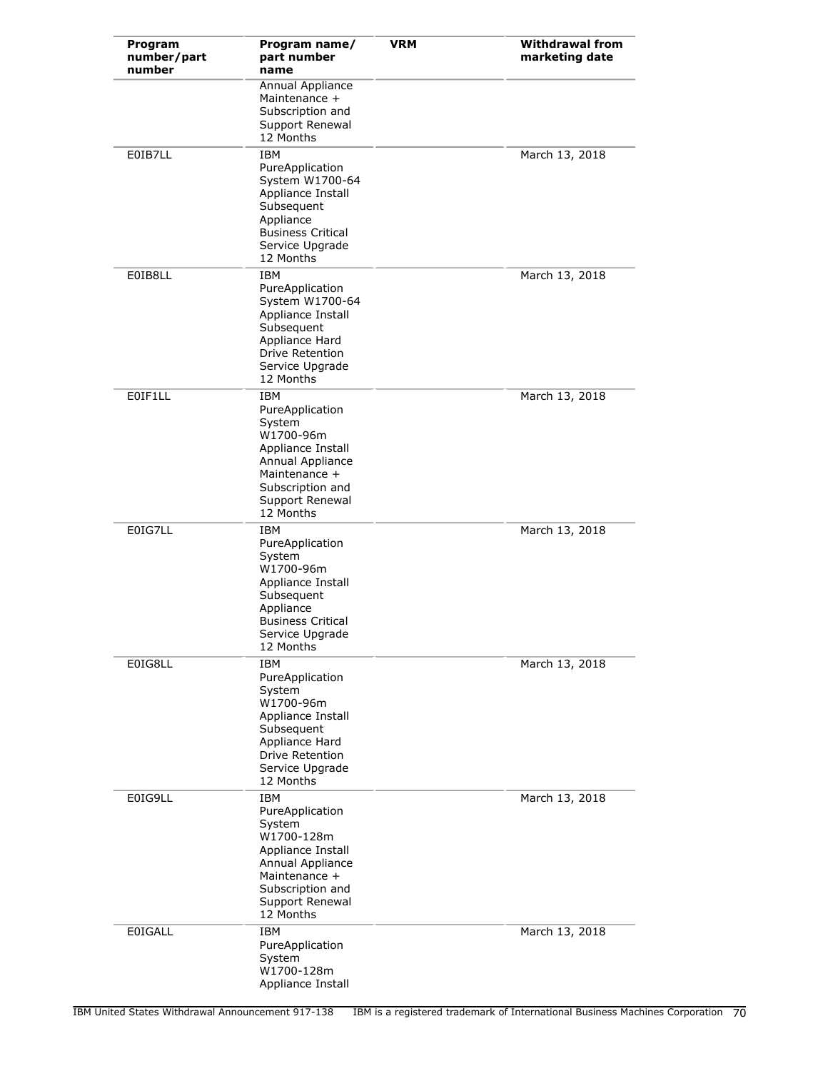| Program<br>number/part<br>number | Program name/<br>part number<br>name                                                                                                                                | <b>VRM</b> | <b>Withdrawal from</b><br>marketing date |
|----------------------------------|---------------------------------------------------------------------------------------------------------------------------------------------------------------------|------------|------------------------------------------|
|                                  | <b>Annual Appliance</b><br>Maintenance +<br>Subscription and<br>Support Renewal<br>12 Months                                                                        |            |                                          |
| E0IB7LL                          | <b>IBM</b><br>PureApplication<br>System W1700-64<br>Appliance Install<br>Subsequent<br>Appliance<br><b>Business Critical</b><br>Service Upgrade<br>12 Months        |            | March 13, 2018                           |
| E0IB8LL                          | <b>IBM</b><br>PureApplication<br>System W1700-64<br>Appliance Install<br>Subsequent<br>Appliance Hard<br>Drive Retention<br>Service Upgrade<br>12 Months            |            | March 13, 2018                           |
| E0IF1LL                          | IBM<br>PureApplication<br>System<br>W1700-96m<br>Appliance Install<br>Annual Appliance<br>Maintenance +<br>Subscription and<br>Support Renewal<br>12 Months         |            | March 13, 2018                           |
| E0IG7LL                          | <b>IBM</b><br>PureApplication<br>System<br>W1700-96m<br>Appliance Install<br>Subsequent<br>Appliance<br><b>Business Critical</b><br>Service Upgrade<br>12 Months    |            | March 13, 2018                           |
| E0IG8LL                          | <b>IBM</b><br>PureApplication<br>System<br>W1700-96m<br>Appliance Install<br>Subsequent<br>Appliance Hard<br><b>Drive Retention</b><br>Service Upgrade<br>12 Months |            | March 13, 2018                           |
| E0IG9LL                          | <b>IBM</b><br>PureApplication<br>System<br>W1700-128m<br>Appliance Install<br>Annual Appliance<br>Maintenance +<br>Subscription and<br>Support Renewal<br>12 Months |            | March 13, 2018                           |
| <b>E0IGALL</b>                   | IBM<br>PureApplication<br>System<br>W1700-128m<br>Appliance Install                                                                                                 |            | March 13, 2018                           |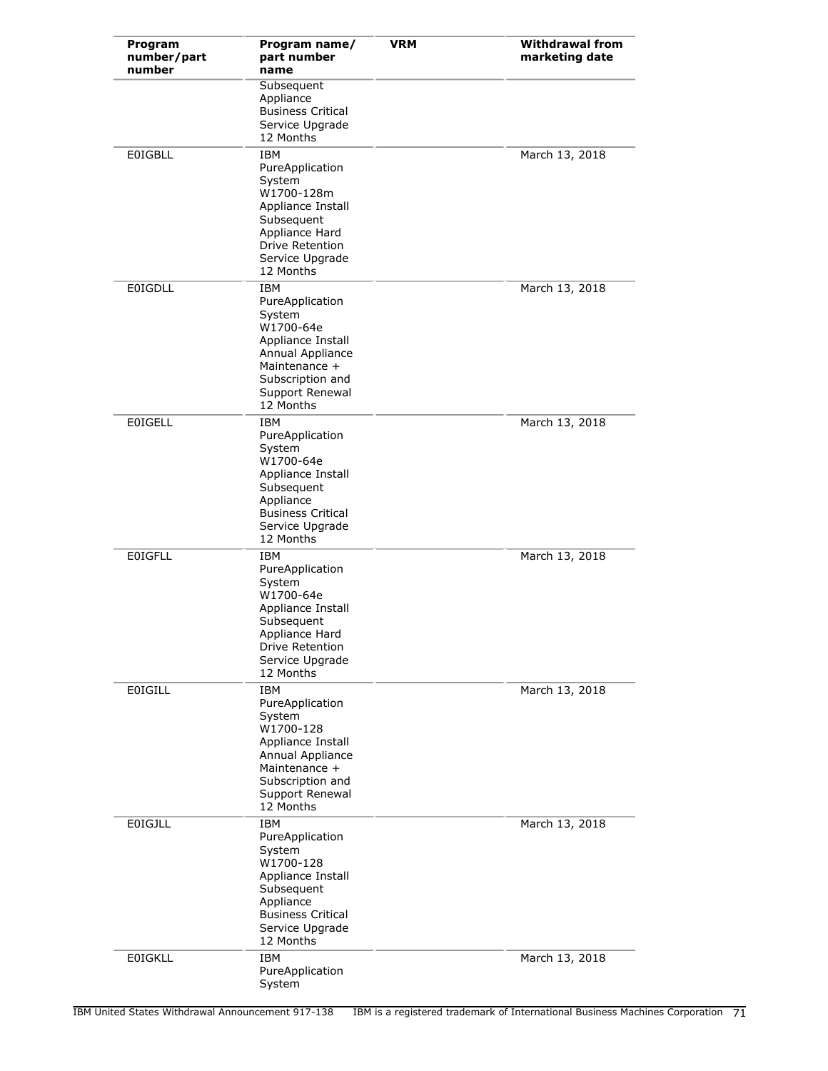| Program<br>number/part<br>number | Program name/<br>part number<br>name                                                                                                                               | <b>VRM</b> | <b>Withdrawal from</b><br>marketing date |
|----------------------------------|--------------------------------------------------------------------------------------------------------------------------------------------------------------------|------------|------------------------------------------|
|                                  | Subsequent<br>Appliance<br><b>Business Critical</b><br>Service Upgrade<br>12 Months                                                                                |            |                                          |
| <b>EOIGBLL</b>                   | <b>IBM</b><br>PureApplication<br>System<br>W1700-128m<br>Appliance Install<br>Subsequent<br>Appliance Hard<br>Drive Retention<br>Service Upgrade<br>12 Months      |            | March 13, 2018                           |
| <b>E0IGDLL</b>                   | IBM<br>PureApplication<br>System<br>W1700-64e<br>Appliance Install<br>Annual Appliance<br>Maintenance +<br>Subscription and<br>Support Renewal<br>12 Months        |            | March 13, 2018                           |
| <b>E0IGELL</b>                   | IBM<br>PureApplication<br>System<br>W1700-64e<br>Appliance Install<br>Subsequent<br>Appliance<br><b>Business Critical</b><br>Service Upgrade<br>12 Months          |            | March 13, 2018                           |
| <b>EOIGFLL</b>                   | IBM<br>PureApplication<br>System<br>W1700-64e<br>Appliance Install<br>Subsequent<br>Appliance Hard<br>Drive Retention<br>Service Upgrade<br>12 Months              |            | March 13, 2018                           |
| <b>EOIGILL</b>                   | <b>IBM</b><br>PureApplication<br>System<br>W1700-128<br>Appliance Install<br>Annual Appliance<br>Maintenance +<br>Subscription and<br>Support Renewal<br>12 Months |            | March 13, 2018                           |
| <b>EOIGJLL</b>                   | <b>IBM</b><br>PureApplication<br>System<br>W1700-128<br>Appliance Install<br>Subsequent<br>Appliance<br><b>Business Critical</b><br>Service Upgrade<br>12 Months   |            | March 13, 2018                           |
| <b>E0IGKLL</b>                   | <b>IBM</b><br>PureApplication<br>System                                                                                                                            |            | March 13, 2018                           |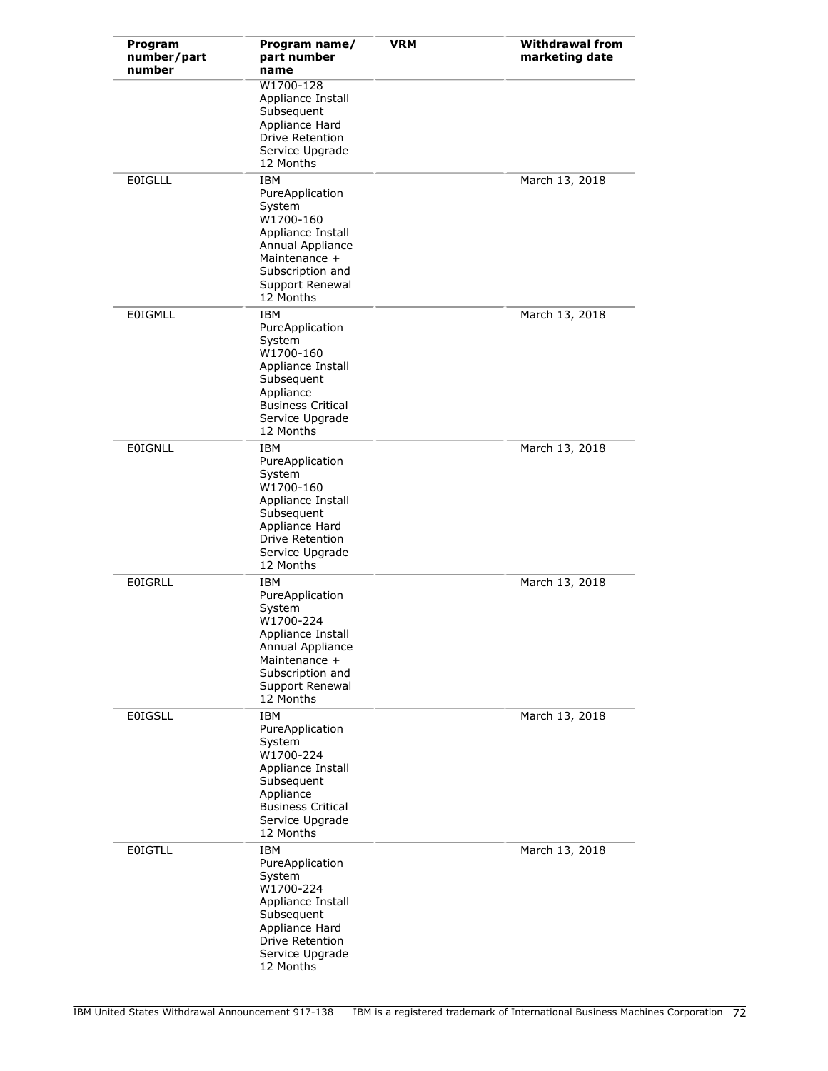| Program<br>number/part<br>number | Program name/<br>part number<br>name                                                                                                                               | <b>VRM</b> | <b>Withdrawal from</b><br>marketing date |
|----------------------------------|--------------------------------------------------------------------------------------------------------------------------------------------------------------------|------------|------------------------------------------|
|                                  | W1700-128<br>Appliance Install<br>Subsequent<br>Appliance Hard<br><b>Drive Retention</b><br>Service Upgrade<br>12 Months                                           |            |                                          |
| <b>EOIGLLL</b>                   | <b>IBM</b><br>PureApplication<br>System<br>W1700-160<br>Appliance Install<br>Annual Appliance<br>Maintenance +<br>Subscription and<br>Support Renewal<br>12 Months |            | March 13, 2018                           |
| <b>EOIGMLL</b>                   | <b>IBM</b><br>PureApplication<br>System<br>W1700-160<br>Appliance Install<br>Subsequent<br>Appliance<br><b>Business Critical</b><br>Service Upgrade<br>12 Months   |            | March 13, 2018                           |
| <b>EOIGNLL</b>                   | <b>IBM</b><br>PureApplication<br>System<br>W1700-160<br>Appliance Install<br>Subsequent<br>Appliance Hard<br>Drive Retention<br>Service Upgrade<br>12 Months       |            | March 13, 2018                           |
| <b>EOIGRLL</b>                   | IBM<br>PureApplication<br>System<br>W1700-224<br>Appliance Install<br>Annual Appliance<br>Maintenance +<br>Subscription and<br>Support Renewal<br>12 Months        |            | March 13, 2018                           |
| <b>E0IGSLL</b>                   | <b>IBM</b><br>PureApplication<br>System<br>W1700-224<br>Appliance Install<br>Subsequent<br>Appliance<br><b>Business Critical</b><br>Service Upgrade<br>12 Months   |            | March 13, 2018                           |
| <b>EOIGTLL</b>                   | <b>IBM</b><br>PureApplication<br>System<br>W1700-224<br>Appliance Install<br>Subsequent<br>Appliance Hard<br>Drive Retention<br>Service Upgrade<br>12 Months       |            | March 13, 2018                           |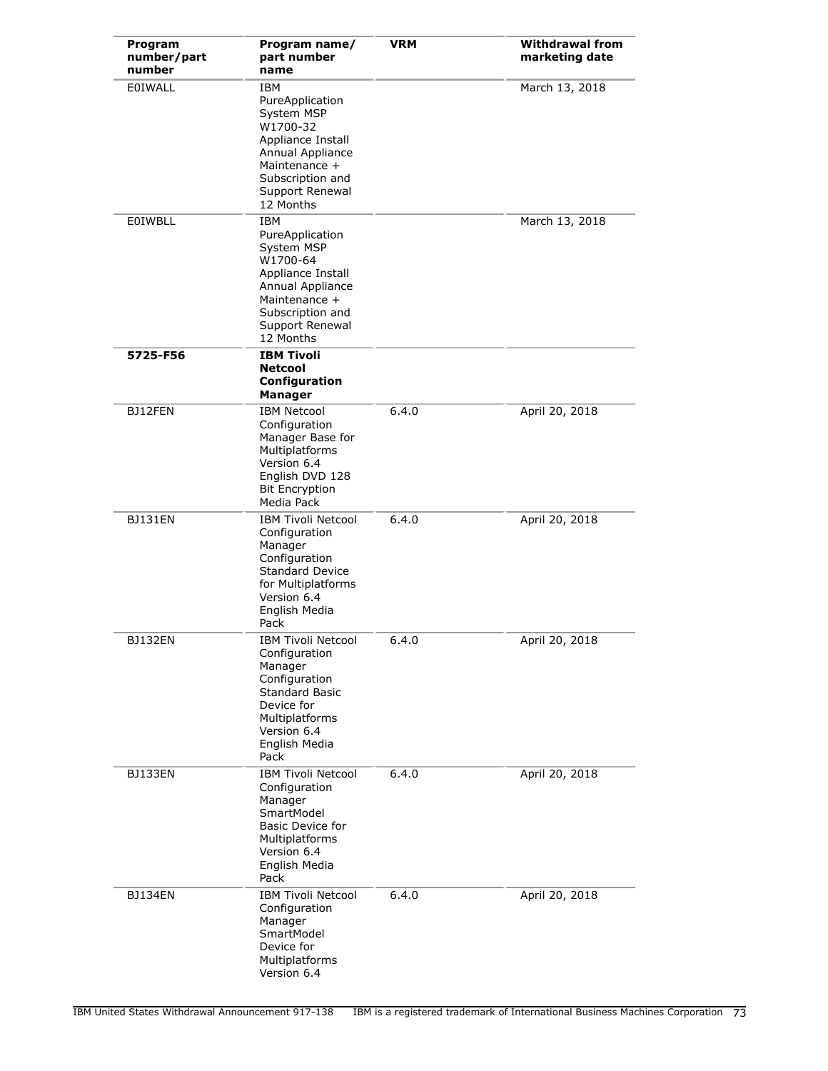| Program<br>number/part<br>number | Program name/<br>part number<br>name                                                                                                                                    | <b>VRM</b> | <b>Withdrawal from</b><br>marketing date |
|----------------------------------|-------------------------------------------------------------------------------------------------------------------------------------------------------------------------|------------|------------------------------------------|
| EOIWALL                          | IBM<br>PureApplication<br>System MSP<br>W1700-32<br>Appliance Install<br>Annual Appliance<br>Maintenance +<br>Subscription and<br>Support Renewal<br>12 Months          |            | March 13, 2018                           |
| <b>E0IWBLL</b>                   | <b>IBM</b><br>PureApplication<br>System MSP<br>W1700-64<br>Appliance Install<br>Annual Appliance<br>Maintenance +<br>Subscription and<br>Support Renewal<br>12 Months   |            | March 13, 2018                           |
| 5725-F56                         | <b>IBM Tivoli</b><br><b>Netcool</b><br>Configuration<br><b>Manager</b>                                                                                                  |            |                                          |
| BJ12FEN                          | <b>IBM Netcool</b><br>Configuration<br>Manager Base for<br>Multiplatforms<br>Version 6.4<br>English DVD 128<br><b>Bit Encryption</b><br>Media Pack                      | 6.4.0      | April 20, 2018                           |
| <b>BJ131EN</b>                   | <b>IBM Tivoli Netcool</b><br>Configuration<br>Manager<br>Configuration<br><b>Standard Device</b><br>for Multiplatforms<br>Version 6.4<br>English Media<br>Pack          | 6.4.0      | April 20, 2018                           |
| BJ132EN                          | <b>IBM Tivoli Netcool</b><br>Configuration<br>Manager<br>Configuration<br><b>Standard Basic</b><br>Device for<br>Multiplatforms<br>Version 6.4<br>English Media<br>Pack | 6.4.0      | April 20, 2018                           |
| BJ133EN                          | <b>IBM Tivoli Netcool</b><br>Configuration<br>Manager<br>SmartModel<br>Basic Device for<br>Multiplatforms<br>Version 6.4<br>English Media<br>Pack                       | 6.4.0      | April 20, 2018                           |
| <b>BJ134EN</b>                   | <b>IBM Tivoli Netcool</b><br>Configuration<br>Manager<br>SmartModel<br>Device for<br>Multiplatforms<br>Version 6.4                                                      | 6.4.0      | April 20, 2018                           |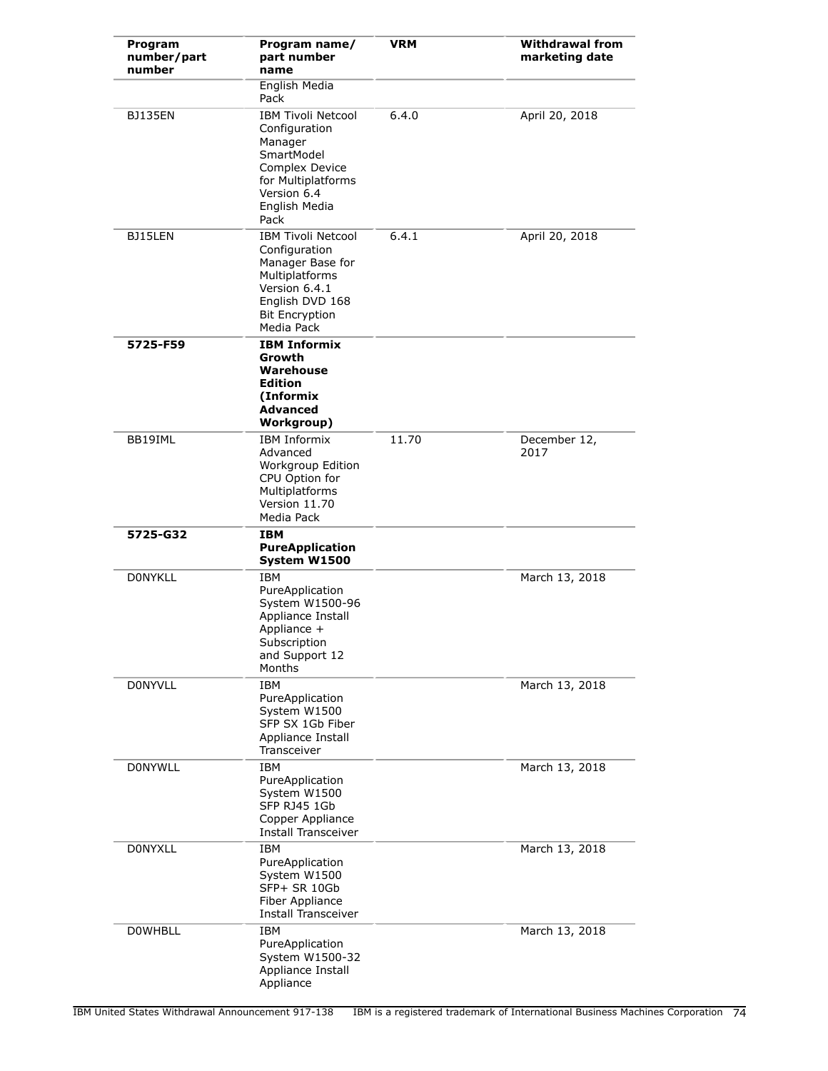| Program<br>number/part<br>number | Program name/<br>part number<br>name                                                                                                                        | <b>VRM</b> | <b>Withdrawal from</b><br>marketing date |
|----------------------------------|-------------------------------------------------------------------------------------------------------------------------------------------------------------|------------|------------------------------------------|
|                                  | English Media<br>Pack                                                                                                                                       |            |                                          |
| <b>BJ135EN</b>                   | <b>IBM Tivoli Netcool</b><br>Configuration<br>Manager<br>SmartModel<br>Complex Device<br>for Multiplatforms<br>Version 6.4<br>English Media<br>Pack         | 6.4.0      | April 20, 2018                           |
| BJ15LEN                          | <b>IBM Tivoli Netcool</b><br>Configuration<br>Manager Base for<br>Multiplatforms<br>Version 6.4.1<br>English DVD 168<br><b>Bit Encryption</b><br>Media Pack | 6.4.1      | April 20, 2018                           |
| 5725-F59                         | <b>IBM Informix</b><br>Growth<br>Warehouse<br><b>Edition</b><br>(Informix<br><b>Advanced</b><br>Workgroup)                                                  |            |                                          |
| BB19IML                          | <b>IBM Informix</b><br>Advanced<br>Workgroup Edition<br>CPU Option for<br>Multiplatforms<br>Version 11.70<br>Media Pack                                     | 11.70      | December 12,<br>2017                     |
| 5725-G32                         | IBM<br><b>PureApplication</b><br>System W1500                                                                                                               |            |                                          |
| <b>DONYKLL</b>                   | <b>IBM</b><br>PureApplication<br>System W1500-96<br>Appliance Install<br>Appliance +<br>Subscription<br>and Support 12<br>Months                            |            | March 13, 2018                           |
| <b>DONYVLL</b>                   | <b>IBM</b><br>PureApplication<br>System W1500<br>SFP SX 1Gb Fiber<br>Appliance Install<br>Transceiver                                                       |            | March 13, 2018                           |
| <b>DONYWLL</b>                   | <b>IBM</b><br>PureApplication<br>System W1500<br>SFP RJ45 1Gb<br>Copper Appliance<br><b>Install Transceiver</b>                                             |            | March 13, 2018                           |
| <b>DONYXLL</b>                   | <b>IBM</b><br>PureApplication<br>System W1500<br>SFP+ SR 10Gb<br>Fiber Appliance<br><b>Install Transceiver</b>                                              |            | March 13, 2018                           |
| <b>DOWHBLL</b>                   | IBM<br>PureApplication<br>System W1500-32<br>Appliance Install<br>Appliance                                                                                 |            | March 13, 2018                           |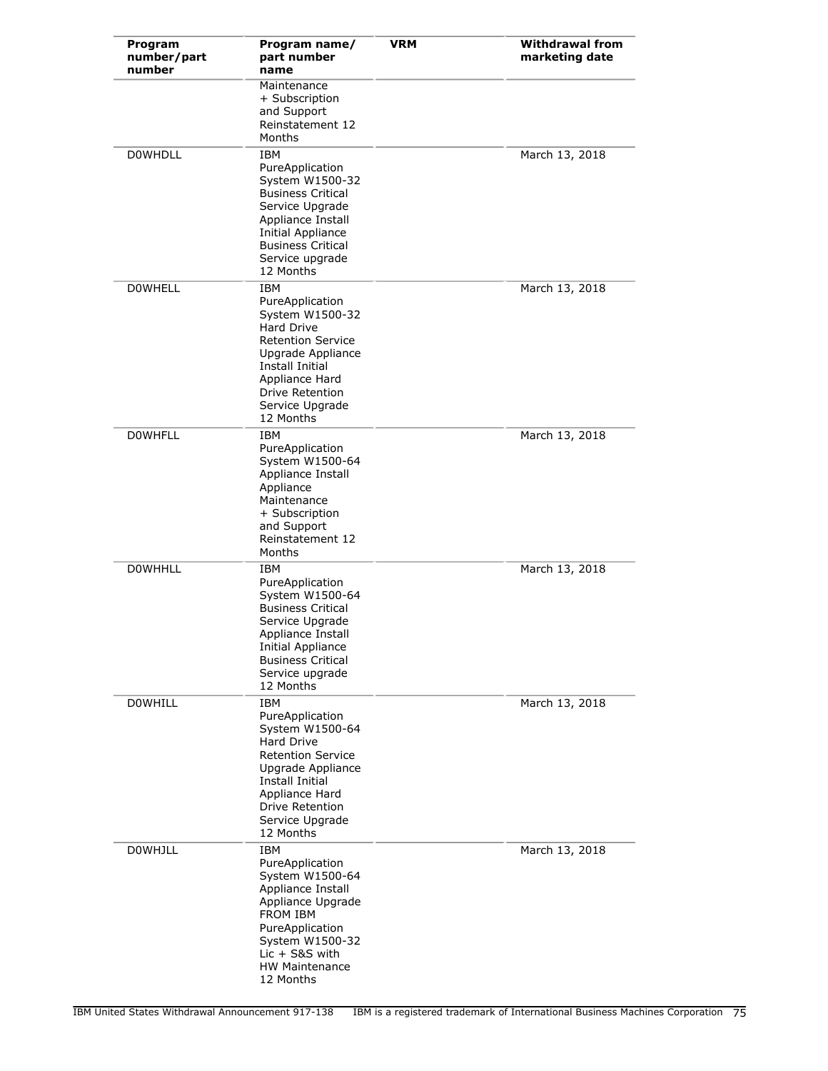| Program<br>number/part<br>number | Program name/<br>part number<br>name                                                                                                                                                                           | <b>VRM</b> | <b>Withdrawal from</b><br>marketing date |
|----------------------------------|----------------------------------------------------------------------------------------------------------------------------------------------------------------------------------------------------------------|------------|------------------------------------------|
|                                  | Maintenance<br>+ Subscription<br>and Support<br>Reinstatement 12<br>Months                                                                                                                                     |            |                                          |
| <b>DOWHDLL</b>                   | IBM<br>PureApplication<br>System W1500-32<br><b>Business Critical</b><br>Service Upgrade<br>Appliance Install<br>Initial Appliance<br><b>Business Critical</b><br>Service upgrade<br>12 Months                 |            | March 13, 2018                           |
| <b>DOWHELL</b>                   | <b>IBM</b><br>PureApplication<br>System W1500-32<br>Hard Drive<br><b>Retention Service</b><br>Upgrade Appliance<br><b>Install Initial</b><br>Appliance Hard<br>Drive Retention<br>Service Upgrade<br>12 Months |            | March 13, 2018                           |
| <b>DOWHFLL</b>                   | IBM<br>PureApplication<br>System W1500-64<br>Appliance Install<br>Appliance<br>Maintenance<br>+ Subscription<br>and Support<br>Reinstatement 12<br>Months                                                      |            | March 13, 2018                           |
| <b>DOWHHLL</b>                   | <b>IBM</b><br>PureApplication<br>System W1500-64<br><b>Business Critical</b><br>Service Upgrade<br>Appliance Install<br><b>Initial Appliance</b><br><b>Business Critical</b><br>Service upgrade<br>12 Months   |            | March 13, 2018                           |
| <b>DOWHILL</b>                   | IBM<br>PureApplication<br>System W1500-64<br><b>Hard Drive</b><br><b>Retention Service</b><br>Upgrade Appliance<br><b>Install Initial</b><br>Appliance Hard<br>Drive Retention<br>Service Upgrade<br>12 Months |            | March 13, 2018                           |
| <b>DOWHJLL</b>                   | IBM<br>PureApplication<br>System W1500-64<br>Appliance Install<br>Appliance Upgrade<br><b>FROM IBM</b><br>PureApplication<br>System W1500-32<br>Lic + S&S with<br><b>HW Maintenance</b><br>12 Months           |            | March 13, 2018                           |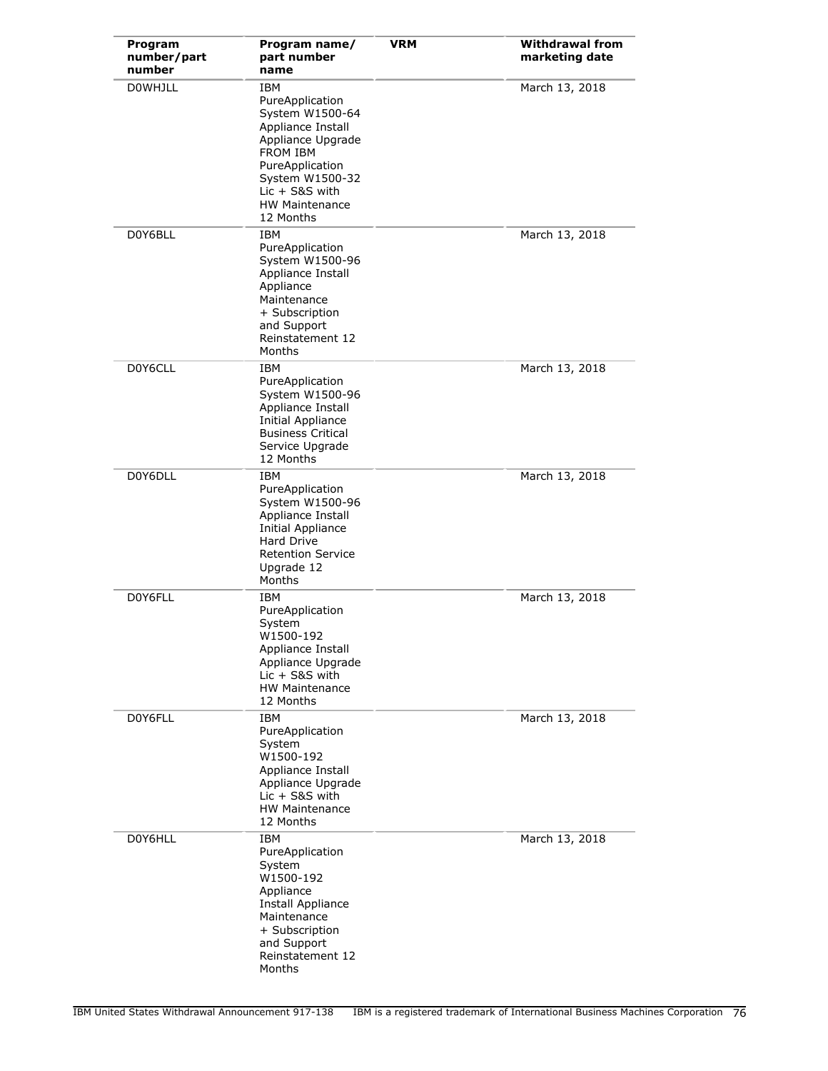| Program<br>number/part<br>number | Program name/<br>part number<br>name                                                                                                                                                                          | <b>VRM</b> | <b>Withdrawal from</b><br>marketing date |
|----------------------------------|---------------------------------------------------------------------------------------------------------------------------------------------------------------------------------------------------------------|------------|------------------------------------------|
| <b>DOWHJLL</b>                   | <b>IBM</b><br>PureApplication<br>System W1500-64<br>Appliance Install<br>Appliance Upgrade<br><b>FROM IBM</b><br>PureApplication<br>System W1500-32<br>$Lic + SRS$ with<br><b>HW Maintenance</b><br>12 Months |            | March 13, 2018                           |
| D0Y6BLL                          | <b>IBM</b><br>PureApplication<br>System W1500-96<br>Appliance Install<br>Appliance<br>Maintenance<br>+ Subscription<br>and Support<br>Reinstatement 12<br>Months                                              |            | March 13, 2018                           |
| D0Y6CLL                          | <b>IBM</b><br>PureApplication<br>System W1500-96<br>Appliance Install<br><b>Initial Appliance</b><br><b>Business Critical</b><br>Service Upgrade<br>12 Months                                                 |            | March 13, 2018                           |
| D0Y6DLL                          | IBM<br>PureApplication<br>System W1500-96<br>Appliance Install<br>Initial Appliance<br>Hard Drive<br><b>Retention Service</b><br>Upgrade 12<br>Months                                                         |            | March 13, 2018                           |
| D0Y6FLL                          | <b>IBM</b><br>PureApplication<br>System<br>W1500-192<br>Appliance Install<br>Appliance Upgrade<br>$Lie + S\&S$ with<br><b>HW Maintenance</b><br>12 Months                                                     |            | March 13, 2018                           |
| D0Y6FLL                          | IBM<br>PureApplication<br>System<br>W1500-192<br>Appliance Install<br>Appliance Upgrade<br>$Lic + S&S$ with<br><b>HW Maintenance</b><br>12 Months                                                             |            | March 13, 2018                           |
| D0Y6HLL                          | <b>IBM</b><br>PureApplication<br>System<br>W1500-192<br>Appliance<br>Install Appliance<br>Maintenance<br>+ Subscription<br>and Support<br>Reinstatement 12<br>Months                                          |            | March 13, 2018                           |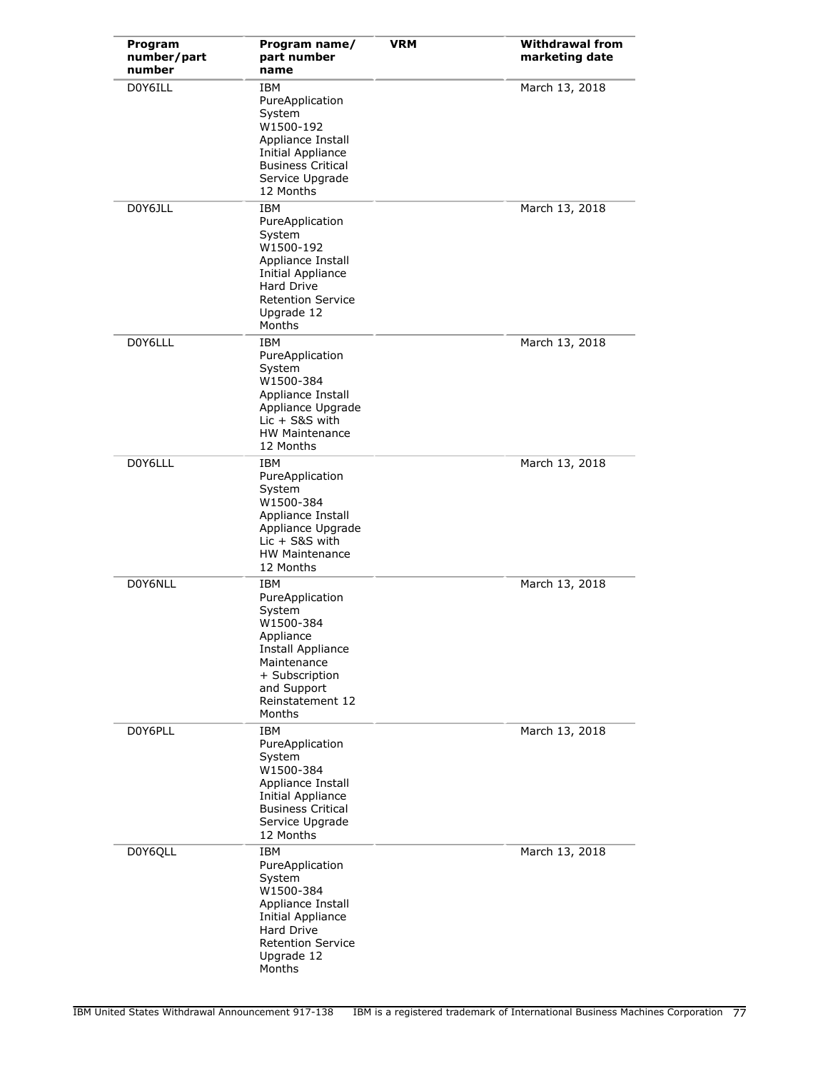| Program<br>number/part<br>number | Program name/<br>part number<br>name                                                                                                                                 | <b>VRM</b> | <b>Withdrawal from</b><br>marketing date |
|----------------------------------|----------------------------------------------------------------------------------------------------------------------------------------------------------------------|------------|------------------------------------------|
| D0Y6ILL                          | IBM<br>PureApplication<br>System<br>W1500-192<br>Appliance Install<br>Initial Appliance<br><b>Business Critical</b><br>Service Upgrade<br>12 Months                  |            | March 13, 2018                           |
| D0Y6JLL                          | <b>IBM</b><br>PureApplication<br>System<br>W1500-192<br>Appliance Install<br>Initial Appliance<br>Hard Drive<br><b>Retention Service</b><br>Upgrade 12<br>Months     |            | March 13, 2018                           |
| D0Y6LLL                          | <b>IBM</b><br>PureApplication<br>System<br>W1500-384<br>Appliance Install<br>Appliance Upgrade<br>$Lie + S8S$ with<br><b>HW Maintenance</b><br>12 Months             |            | March 13, 2018                           |
| D0Y6LLL                          | IBM<br>PureApplication<br>System<br>W1500-384<br>Appliance Install<br>Appliance Upgrade<br>$Lic + S&S$ with<br><b>HW Maintenance</b><br>12 Months                    |            | March 13, 2018                           |
| D0Y6NLL                          | IBM<br>PureApplication<br>System<br>W1500-384<br>Appliance<br><b>Install Appliance</b><br>Maintenance<br>+ Subscription<br>and Support<br>Reinstatement 12<br>Months |            | March 13, 2018                           |
| D0Y6PLL                          | <b>IBM</b><br>PureApplication<br>System<br>W1500-384<br>Appliance Install<br><b>Initial Appliance</b><br><b>Business Critical</b><br>Service Upgrade<br>12 Months    |            | March 13, 2018                           |
| D0Y6QLL                          | IBM<br>PureApplication<br>System<br>W1500-384<br>Appliance Install<br><b>Initial Appliance</b><br>Hard Drive<br><b>Retention Service</b><br>Upgrade 12<br>Months     |            | March 13, 2018                           |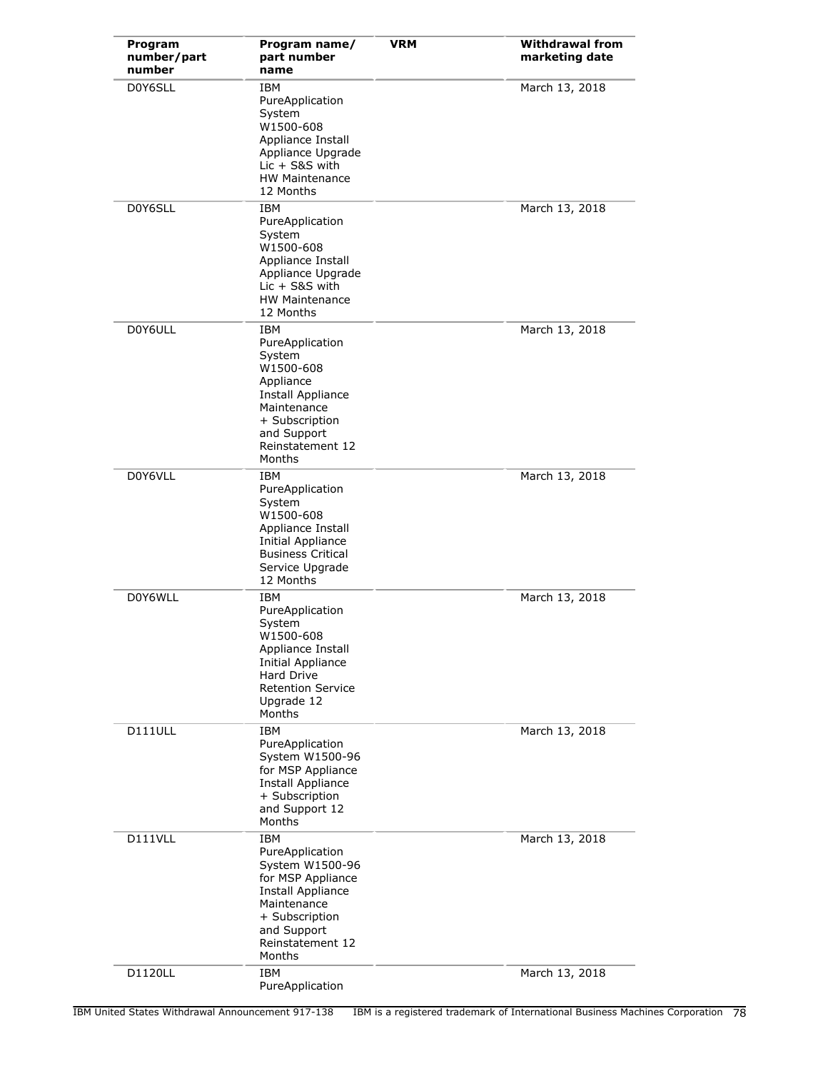| Program<br>number/part<br>number | Program name/<br>part number<br>name                                                                                                                                           | <b>VRM</b> | <b>Withdrawal from</b><br>marketing date |
|----------------------------------|--------------------------------------------------------------------------------------------------------------------------------------------------------------------------------|------------|------------------------------------------|
| D0Y6SLL                          | IBM<br>PureApplication<br>System<br>W1500-608<br>Appliance Install<br>Appliance Upgrade<br>$Lie + S8S$ with<br><b>HW Maintenance</b><br>12 Months                              |            | March 13, 2018                           |
| D0Y6SLL                          | <b>IBM</b><br>PureApplication<br>System<br>W1500-608<br>Appliance Install<br>Appliance Upgrade<br>$Lic + S&S$ with<br><b>HW Maintenance</b><br>12 Months                       |            | March 13, 2018                           |
| D0Y6ULL                          | <b>IBM</b><br>PureApplication<br>System<br>W1500-608<br>Appliance<br><b>Install Appliance</b><br>Maintenance<br>+ Subscription<br>and Support<br>Reinstatement 12<br>Months    |            | March 13, 2018                           |
| D0Y6VLL                          | IBM<br>PureApplication<br>System<br>W1500-608<br>Appliance Install<br>Initial Appliance<br><b>Business Critical</b><br>Service Upgrade<br>12 Months                            |            | March 13, 2018                           |
| D0Y6WLL                          | <b>IBM</b><br>PureApplication<br>System<br>W1500-608<br>Appliance Install<br><b>Initial Appliance</b><br><b>Hard Drive</b><br><b>Retention Service</b><br>Upgrade 12<br>Months |            | March 13, 2018                           |
| D111ULL                          | <b>IBM</b><br>PureApplication<br>System W1500-96<br>for MSP Appliance<br><b>Install Appliance</b><br>+ Subscription<br>and Support 12<br>Months                                |            | March 13, 2018                           |
| D111VLL                          | <b>IBM</b><br>PureApplication<br>System W1500-96<br>for MSP Appliance<br>Install Appliance<br>Maintenance<br>+ Subscription<br>and Support<br>Reinstatement 12<br>Months       |            | March 13, 2018                           |
| D1120LL                          | IBM<br>PureApplication                                                                                                                                                         |            | March 13, 2018                           |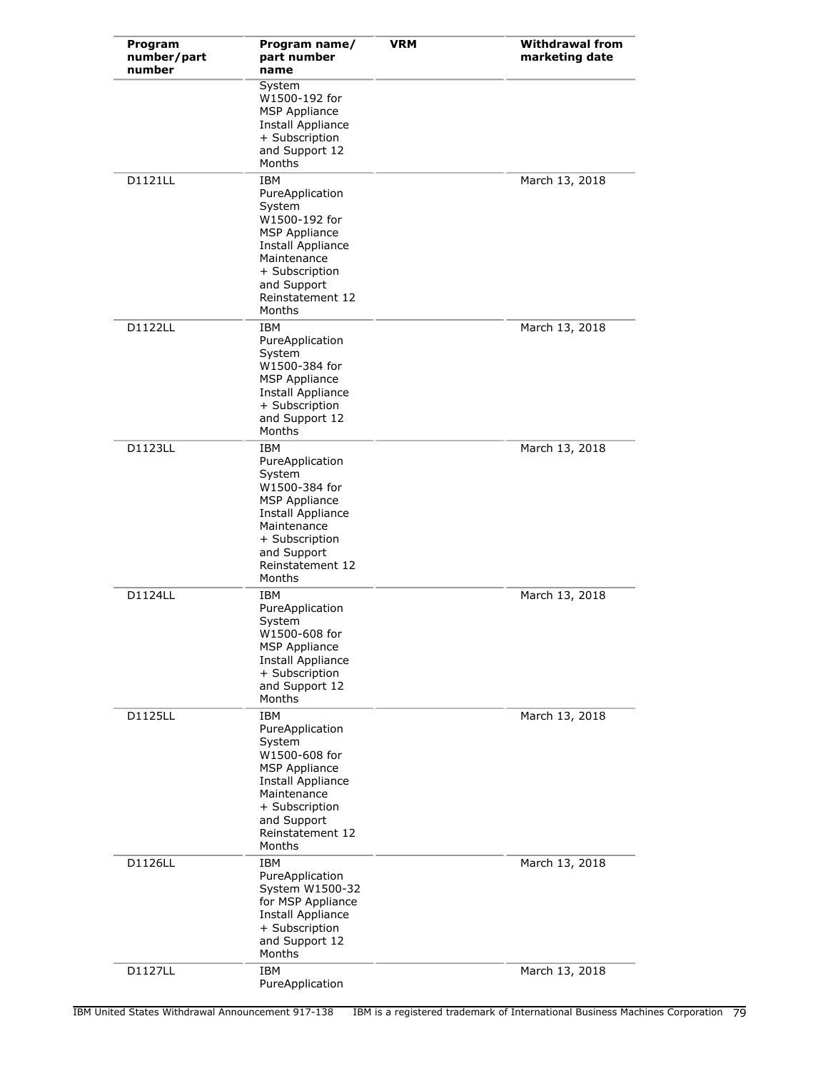| Program<br>number/part<br>number | Program name/<br>part number<br>name                                                                                                                                                       | <b>VRM</b> | <b>Withdrawal from</b><br>marketing date |
|----------------------------------|--------------------------------------------------------------------------------------------------------------------------------------------------------------------------------------------|------------|------------------------------------------|
|                                  | System<br>W1500-192 for<br><b>MSP Appliance</b><br><b>Install Appliance</b><br>+ Subscription<br>and Support 12<br>Months                                                                  |            |                                          |
| <b>D1121LL</b>                   | IBM<br>PureApplication<br>System<br>W1500-192 for<br><b>MSP Appliance</b><br>Install Appliance<br>Maintenance<br>+ Subscription<br>and Support<br>Reinstatement 12<br>Months               |            | March 13, 2018                           |
| D1122LL                          | IBM<br>PureApplication<br>System<br>W1500-384 for<br><b>MSP Appliance</b><br><b>Install Appliance</b><br>+ Subscription<br>and Support 12<br>Months                                        |            | March 13, 2018                           |
| D1123LL                          | <b>IBM</b><br>PureApplication<br>System<br>W1500-384 for<br><b>MSP Appliance</b><br>Install Appliance<br>Maintenance<br>+ Subscription<br>and Support<br>Reinstatement 12<br>Months        |            | March 13, 2018                           |
| D1124LL                          | IBM<br>PureApplication<br>System<br>W1500-608 for<br><b>MSP Appliance</b><br><b>Install Appliance</b><br>+ Subscription<br>and Support 12<br>Months                                        |            | March 13, 2018                           |
| <b>D1125LL</b>                   | <b>IBM</b><br>PureApplication<br>System<br>W1500-608 for<br><b>MSP Appliance</b><br><b>Install Appliance</b><br>Maintenance<br>+ Subscription<br>and Support<br>Reinstatement 12<br>Months |            | March 13, 2018                           |
| D1126LL                          | <b>IBM</b><br>PureApplication<br>System W1500-32<br>for MSP Appliance<br><b>Install Appliance</b><br>+ Subscription<br>and Support 12<br>Months                                            |            | March 13, 2018                           |
| D1127LL                          | <b>IBM</b><br>PureApplication                                                                                                                                                              |            | March 13, 2018                           |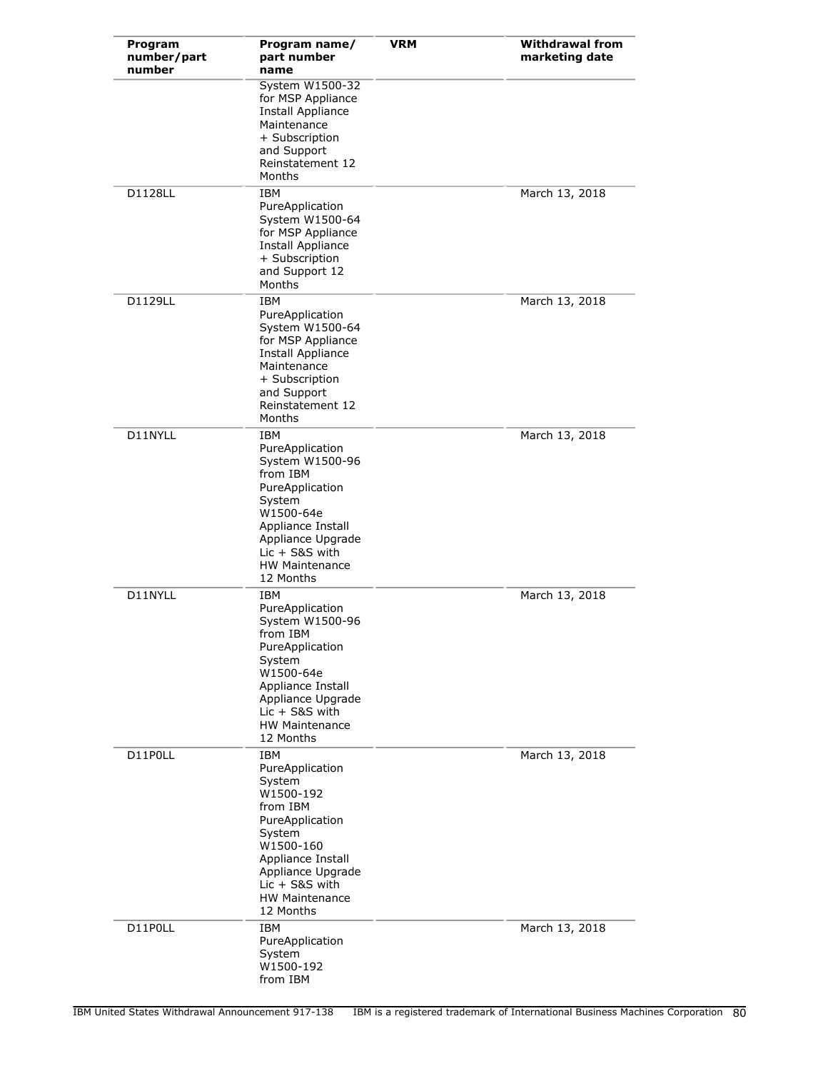| Program<br>number/part<br>number | Program name/<br>part number<br>name                                                                                                                                                                    | <b>VRM</b> | <b>Withdrawal from</b><br>marketing date |
|----------------------------------|---------------------------------------------------------------------------------------------------------------------------------------------------------------------------------------------------------|------------|------------------------------------------|
|                                  | System W1500-32<br>for MSP Appliance<br><b>Install Appliance</b><br>Maintenance<br>+ Subscription<br>and Support<br>Reinstatement 12<br>Months                                                          |            |                                          |
| D1128LL                          | IBM<br>PureApplication<br>System W1500-64<br>for MSP Appliance<br><b>Install Appliance</b><br>+ Subscription<br>and Support 12<br>Months                                                                |            | March 13, 2018                           |
| D1129LL                          | <b>IBM</b><br>PureApplication<br>System W1500-64<br>for MSP Appliance<br><b>Install Appliance</b><br>Maintenance<br>+ Subscription<br>and Support<br>Reinstatement 12<br>Months                         |            | March 13, 2018                           |
| D11NYLL                          | IBM<br>PureApplication<br>System W1500-96<br>from IBM<br>PureApplication<br>System<br>W1500-64e<br>Appliance Install<br>Appliance Upgrade<br>$Lie + S&S$ with<br><b>HW Maintenance</b><br>12 Months     |            | March 13, 2018                           |
| D11NYLL                          | IBM<br>PureApplication<br>System W1500-96<br>from IBM<br>PureApplication<br>System<br>W1500-64e<br>Appliance Install<br>Appliance Upgrade<br>$Lie + S&S$ with<br><b>HW Maintenance</b><br>12 Months     |            | March 13, 2018                           |
| D11P0LL                          | IBM<br>PureApplication<br>System<br>W1500-192<br>from IBM<br>PureApplication<br>System<br>W1500-160<br>Appliance Install<br>Appliance Upgrade<br>$Lie + S&S$ with<br><b>HW Maintenance</b><br>12 Months |            | March 13, 2018                           |
| D11P0LL                          | IBM<br>PureApplication<br>System<br>W1500-192<br>from IBM                                                                                                                                               |            | March 13, 2018                           |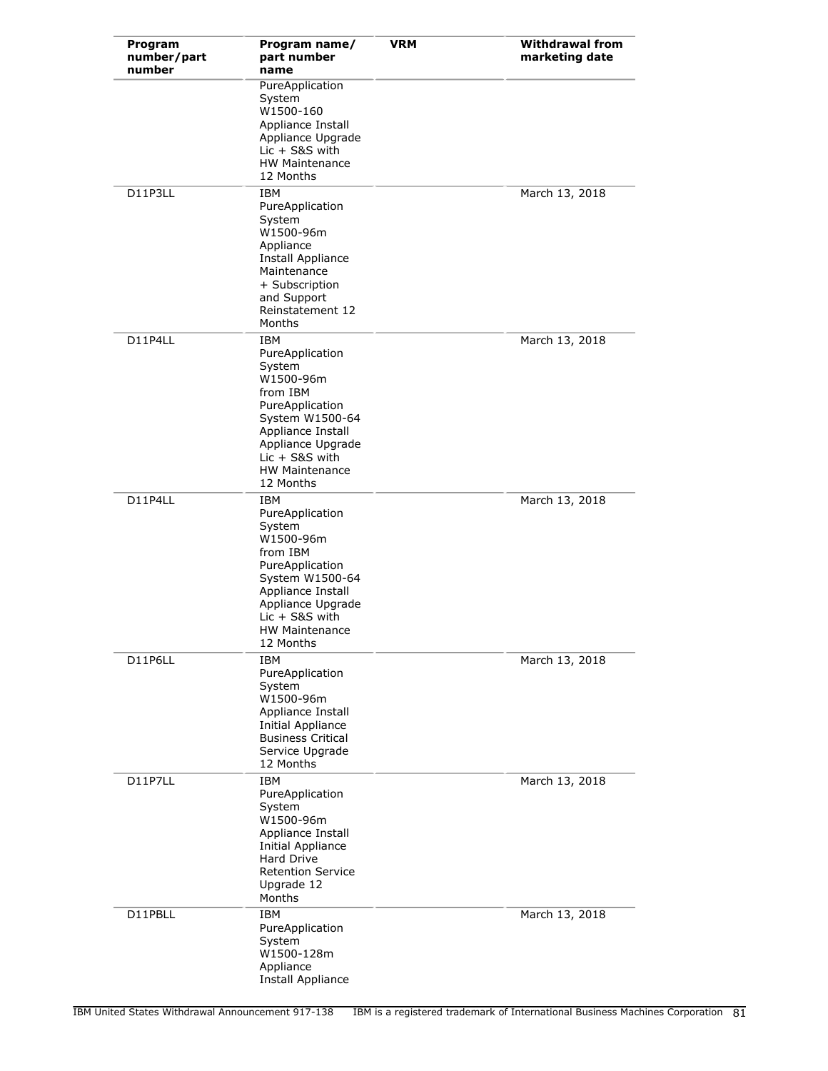| Program<br>number/part<br>number | Program name/<br>part number<br>name                                                                                                                                                                | <b>VRM</b> | <b>Withdrawal from</b><br>marketing date |
|----------------------------------|-----------------------------------------------------------------------------------------------------------------------------------------------------------------------------------------------------|------------|------------------------------------------|
|                                  | PureApplication<br>System<br>W1500-160<br>Appliance Install<br>Appliance Upgrade<br>$Lie + S&S$ with<br><b>HW Maintenance</b><br>12 Months                                                          |            |                                          |
| D11P3LL                          | IBM<br>PureApplication<br>System<br>W1500-96m<br>Appliance<br>Install Appliance<br>Maintenance<br>+ Subscription<br>and Support<br>Reinstatement 12<br>Months                                       |            | March 13, 2018                           |
| D11P4LL                          | IBM<br>PureApplication<br>System<br>W1500-96m<br>from IBM<br>PureApplication<br>System W1500-64<br>Appliance Install<br>Appliance Upgrade<br>$Lie + S&S$ with<br><b>HW Maintenance</b><br>12 Months |            | March 13, 2018                           |
| D11P4LL                          | IBM<br>PureApplication<br>System<br>W1500-96m<br>from IBM<br>PureApplication<br>System W1500-64<br>Appliance Install<br>Appliance Upgrade<br>$Lie + S&S$ with<br><b>HW Maintenance</b><br>12 Months |            | March 13, 2018                           |
| D11P6LL                          | <b>IBM</b><br>PureApplication<br>System<br>W1500-96m<br>Appliance Install<br><b>Initial Appliance</b><br><b>Business Critical</b><br>Service Upgrade<br>12 Months                                   |            | March 13, 2018                           |
| D11P7LL                          | <b>IBM</b><br>PureApplication<br>System<br>W1500-96m<br>Appliance Install<br>Initial Appliance<br><b>Hard Drive</b><br><b>Retention Service</b><br>Upgrade 12<br>Months                             |            | March 13, 2018                           |
| D11PBLL                          | IBM<br>PureApplication<br>System<br>W1500-128m<br>Appliance<br>Install Appliance                                                                                                                    |            | March 13, 2018                           |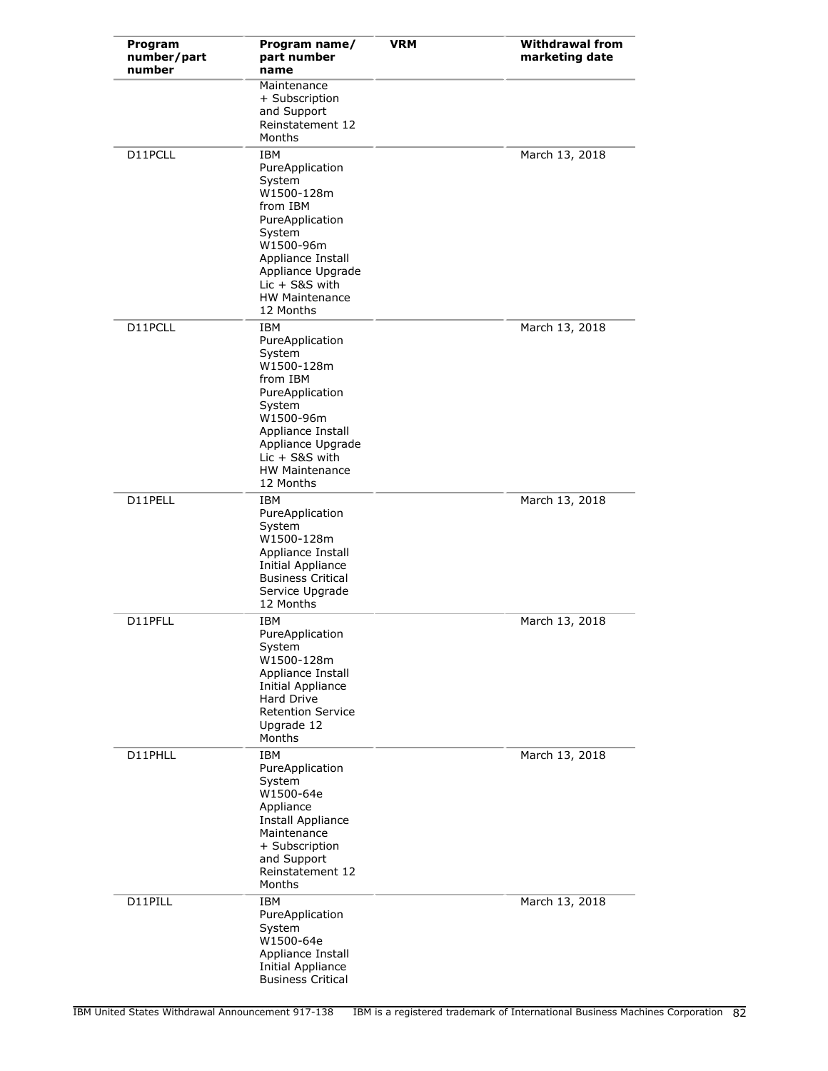| Program<br>number/part<br>number | Program name/<br>part number<br>name                                                                                                                                                                            | <b>VRM</b> | <b>Withdrawal from</b><br>marketing date |
|----------------------------------|-----------------------------------------------------------------------------------------------------------------------------------------------------------------------------------------------------------------|------------|------------------------------------------|
|                                  | Maintenance<br>+ Subscription<br>and Support<br>Reinstatement 12<br>Months                                                                                                                                      |            |                                          |
| D11PCLL                          | <b>IBM</b><br>PureApplication<br>System<br>W1500-128m<br>from IBM<br>PureApplication<br>System<br>W1500-96m<br>Appliance Install<br>Appliance Upgrade<br>$Lie + S8S$ with<br><b>HW Maintenance</b><br>12 Months |            | March 13, 2018                           |
| D11PCLL                          | <b>IBM</b><br>PureApplication<br>System<br>W1500-128m<br>from IBM<br>PureApplication<br>System<br>W1500-96m<br>Appliance Install<br>Appliance Upgrade<br>$Lie + S&S$ with<br>HW Maintenance<br>12 Months        |            | March 13, 2018                           |
| D11PELL                          | IBM<br>PureApplication<br>System<br>W1500-128m<br>Appliance Install<br>Initial Appliance<br><b>Business Critical</b><br>Service Upgrade<br>12 Months                                                            |            | March 13, 2018                           |
| D11PFLL                          | IBM<br>PureApplication<br>System<br>W1500-128m<br>Appliance Install<br>Initial Appliance<br>Hard Drive<br><b>Retention Service</b><br>Upgrade 12<br>Months                                                      |            | March 13, 2018                           |
| D11PHLL                          | <b>IBM</b><br>PureApplication<br>System<br>W1500-64e<br>Appliance<br><b>Install Appliance</b><br>Maintenance<br>+ Subscription<br>and Support<br>Reinstatement 12<br>Months                                     |            | March 13, 2018                           |
| D11PILL                          | <b>IBM</b><br>PureApplication<br>System<br>W1500-64e<br>Appliance Install<br><b>Initial Appliance</b><br><b>Business Critical</b>                                                                               |            | March 13, 2018                           |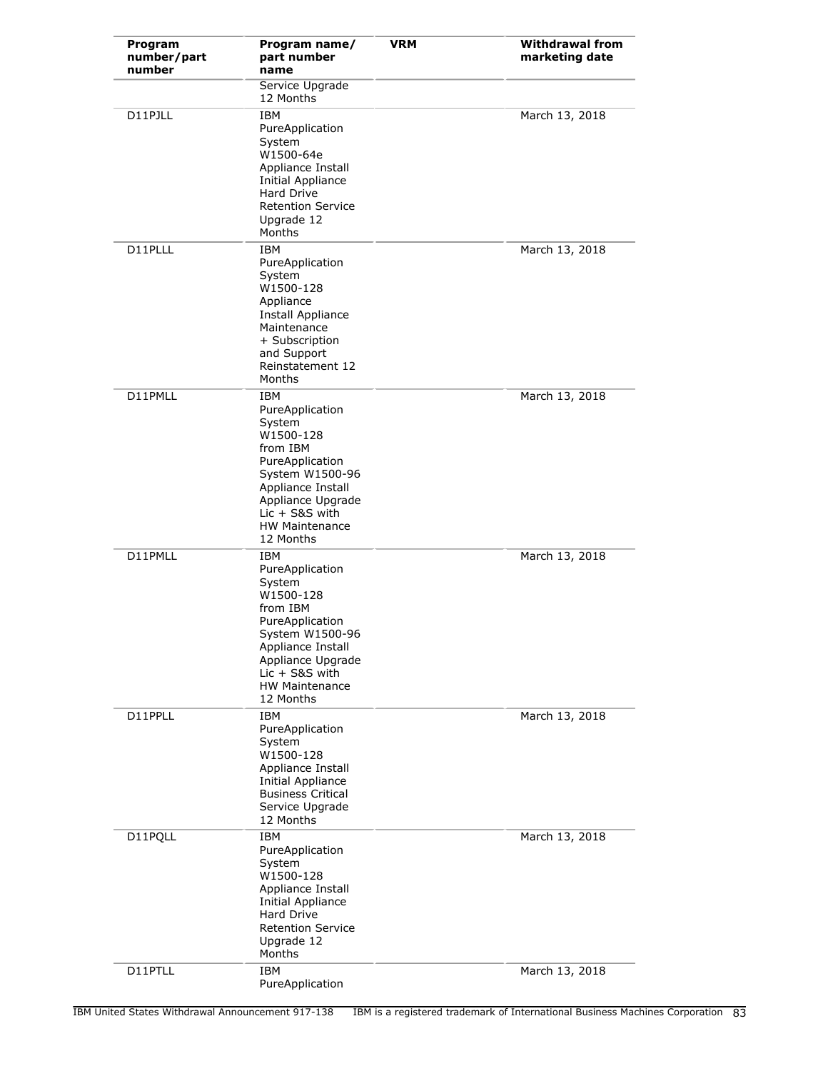| Program<br>number/part<br>number | Program name/<br>part number<br>name                                                                                                                                                                | <b>VRM</b> | <b>Withdrawal from</b><br>marketing date |
|----------------------------------|-----------------------------------------------------------------------------------------------------------------------------------------------------------------------------------------------------|------------|------------------------------------------|
|                                  | Service Upgrade<br>12 Months                                                                                                                                                                        |            |                                          |
| D11PJLL                          | <b>IBM</b><br>PureApplication<br>System<br>W1500-64e<br>Appliance Install<br>Initial Appliance<br><b>Hard Drive</b><br><b>Retention Service</b><br>Upgrade 12<br>Months                             |            | March 13, 2018                           |
| D11PLLL                          | <b>IBM</b><br>PureApplication<br>System<br>W1500-128<br>Appliance<br><b>Install Appliance</b><br>Maintenance<br>+ Subscription<br>and Support<br>Reinstatement 12<br>Months                         |            | March 13, 2018                           |
| D11PMLL                          | IBM<br>PureApplication<br>System<br>W1500-128<br>from IBM<br>PureApplication<br>System W1500-96<br>Appliance Install<br>Appliance Upgrade<br>$Lie + S8S$ with<br><b>HW Maintenance</b><br>12 Months |            | March 13, 2018                           |
| D11PMLL                          | IBM<br>PureApplication<br>System<br>W1500-128<br>from IBM<br>PureApplication<br>System W1500-96<br>Appliance Install<br>Appliance Upgrade<br>$Lic + S&S$ with<br><b>HW Maintenance</b><br>12 Months |            | March 13, 2018                           |
| D11PPLL                          | <b>IBM</b><br>PureApplication<br>System<br>W1500-128<br>Appliance Install<br>Initial Appliance<br><b>Business Critical</b><br>Service Upgrade<br>12 Months                                          |            | March 13, 2018                           |
| D11PQLL                          | <b>IBM</b><br>PureApplication<br>System<br>W1500-128<br>Appliance Install<br>Initial Appliance<br><b>Hard Drive</b><br><b>Retention Service</b><br>Upgrade 12<br>Months                             |            | March 13, 2018                           |
| D11PTLL                          | IBM<br>PureApplication                                                                                                                                                                              |            | March 13, 2018                           |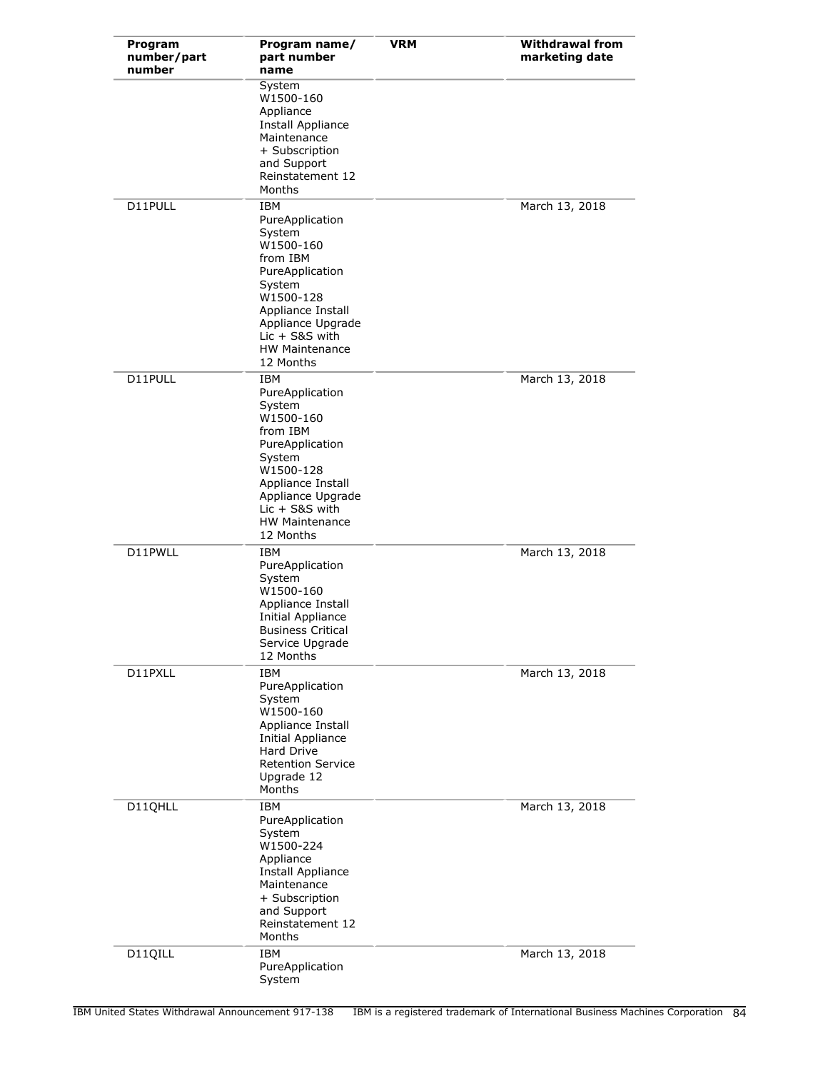| Program<br>number/part<br>number | Program name/<br>part number<br>name                                                                                                                                                                    | <b>VRM</b> | <b>Withdrawal from</b><br>marketing date |
|----------------------------------|---------------------------------------------------------------------------------------------------------------------------------------------------------------------------------------------------------|------------|------------------------------------------|
|                                  | System<br>W1500-160<br>Appliance<br>Install Appliance<br>Maintenance<br>+ Subscription<br>and Support<br>Reinstatement 12<br>Months                                                                     |            |                                          |
| D11PULL                          | IBM<br>PureApplication<br>System<br>W1500-160<br>from IBM<br>PureApplication<br>System<br>W1500-128<br>Appliance Install<br>Appliance Upgrade<br>$Lie + S8S$ with<br><b>HW Maintenance</b><br>12 Months |            | March 13, 2018                           |
| D11PULL                          | IBM<br>PureApplication<br>System<br>W1500-160<br>from IBM<br>PureApplication<br>System<br>W1500-128<br>Appliance Install<br>Appliance Upgrade<br>$Lic + S&S$ with<br><b>HW Maintenance</b><br>12 Months |            | March 13, 2018                           |
| D11PWLL                          | IBM<br>PureApplication<br>System<br>W1500-160<br>Appliance Install<br><b>Initial Appliance</b><br><b>Business Critical</b><br>Service Upgrade<br>12 Months                                              |            | March 13, 2018                           |
| D11PXLL                          | <b>IBM</b><br>PureApplication<br>System<br>W1500-160<br>Appliance Install<br><b>Initial Appliance</b><br>Hard Drive<br><b>Retention Service</b><br>Upgrade 12<br>Months                                 |            | March 13, 2018                           |
| D11QHLL                          | <b>IBM</b><br>PureApplication<br>System<br>W1500-224<br>Appliance<br>Install Appliance<br>Maintenance<br>+ Subscription<br>and Support<br>Reinstatement 12<br>Months                                    |            | March 13, 2018                           |
| D11QILL                          | IBM<br>PureApplication<br>System                                                                                                                                                                        |            | March 13, 2018                           |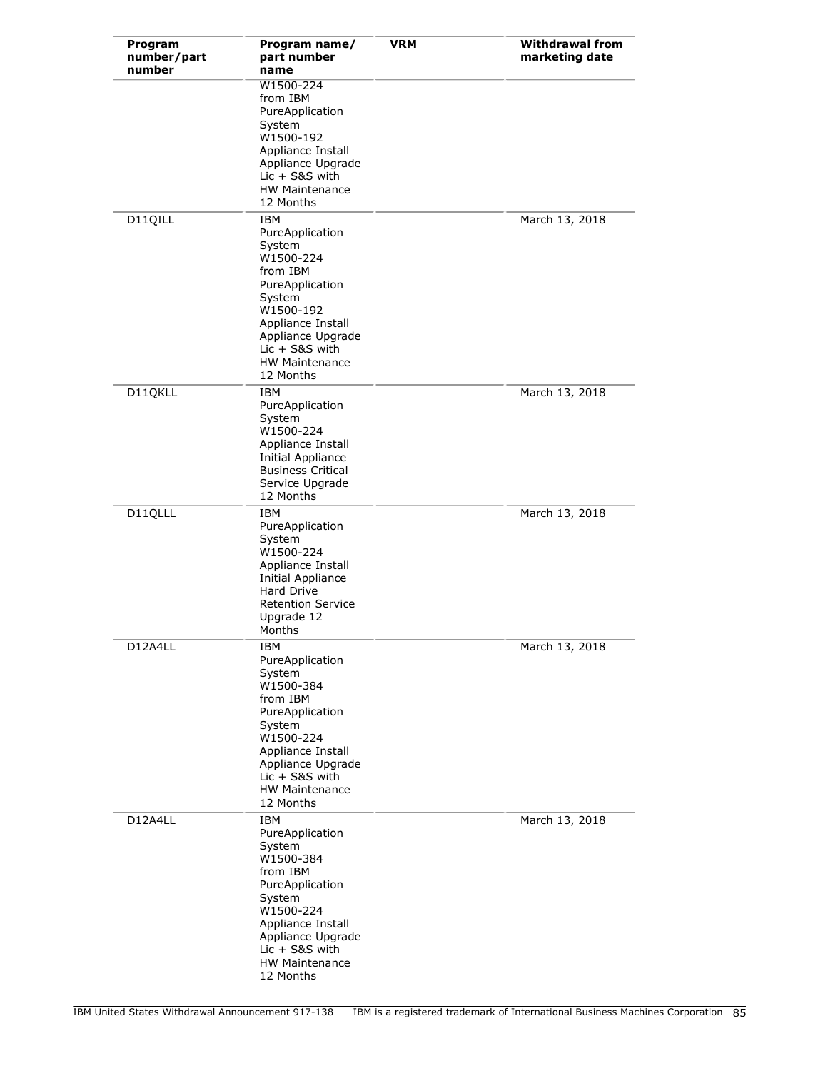| Program<br>number/part<br>number | Program name/<br>part number<br>name                                                                                                                                                                           | <b>VRM</b> | <b>Withdrawal from</b><br>marketing date |
|----------------------------------|----------------------------------------------------------------------------------------------------------------------------------------------------------------------------------------------------------------|------------|------------------------------------------|
|                                  | W1500-224<br>from IBM<br>PureApplication<br>System<br>W1500-192<br>Appliance Install<br>Appliance Upgrade<br>$Lie + S&S$ with<br>HW Maintenance<br>12 Months                                                   |            |                                          |
| D11QILL                          | <b>IBM</b><br>PureApplication<br>System<br>W1500-224<br>from IBM<br>PureApplication<br>System<br>W1500-192<br>Appliance Install<br>Appliance Upgrade<br>$Lie + S8S$ with<br><b>HW Maintenance</b><br>12 Months |            | March 13, 2018                           |
| D11QKLL                          | IBM<br>PureApplication<br>System<br>W1500-224<br>Appliance Install<br>Initial Appliance<br><b>Business Critical</b><br>Service Upgrade<br>12 Months                                                            |            | March 13, 2018                           |
| D11QLLL                          | IBM<br>PureApplication<br>System<br>W1500-224<br>Appliance Install<br>Initial Appliance<br>Hard Drive<br><b>Retention Service</b><br>Upgrade 12<br>Months                                                      |            | March 13, 2018                           |
| D12A4LL                          | IBM<br>PureApplication<br>System<br>W1500-384<br>from IBM<br>PureApplication<br>System<br>W1500-224<br>Appliance Install<br>Appliance Upgrade<br>$Lie + S&S$ with<br><b>HW Maintenance</b><br>12 Months        |            | March 13, 2018                           |
| D12A4LL                          | IBM<br>PureApplication<br>System<br>W1500-384<br>from IBM<br>PureApplication<br>System<br>W1500-224<br>Appliance Install<br>Appliance Upgrade<br>$Lie + S&S$ with<br><b>HW Maintenance</b><br>12 Months        |            | March 13, 2018                           |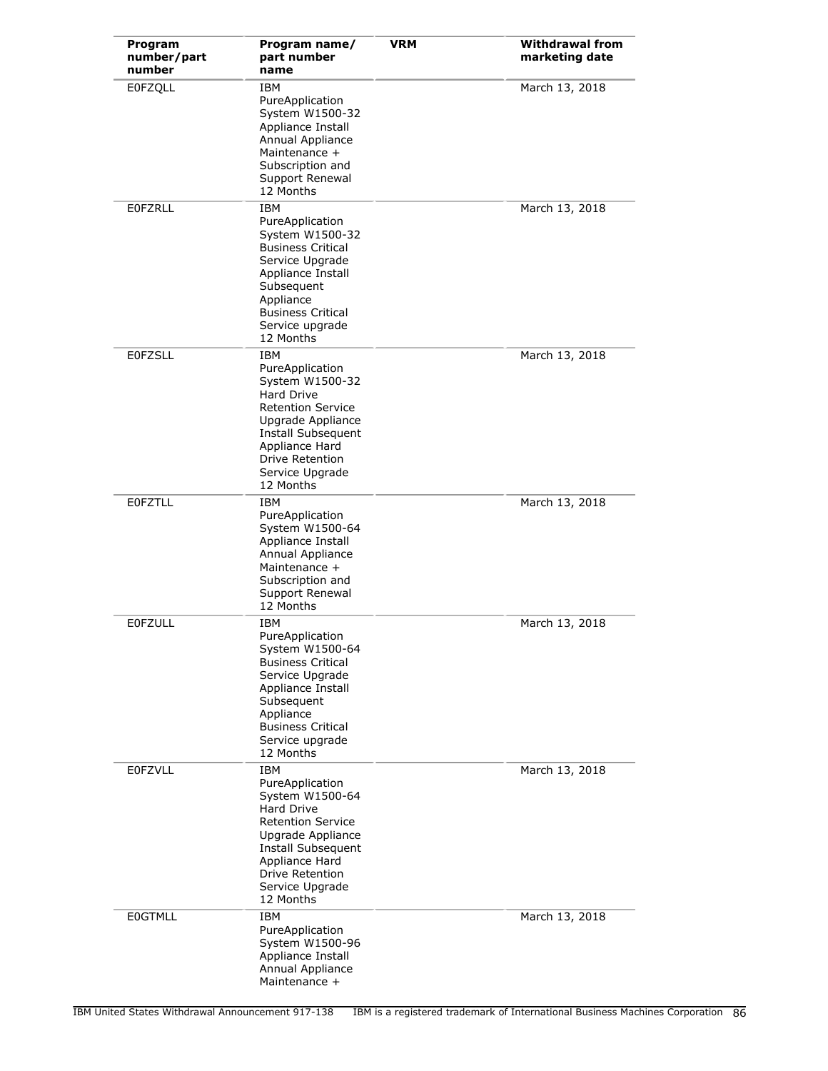| Program<br>number/part<br>number | Program name/<br>part number<br>name                                                                                                                                                                        | <b>VRM</b> | <b>Withdrawal from</b><br>marketing date |
|----------------------------------|-------------------------------------------------------------------------------------------------------------------------------------------------------------------------------------------------------------|------------|------------------------------------------|
| E0FZQLL                          | <b>IBM</b><br>PureApplication<br>System W1500-32<br>Appliance Install<br>Annual Appliance<br>Maintenance +<br>Subscription and<br>Support Renewal<br>12 Months                                              |            | March 13, 2018                           |
| <b>EOFZRLL</b>                   | <b>IBM</b><br>PureApplication<br>System W1500-32<br><b>Business Critical</b><br>Service Upgrade<br>Appliance Install<br>Subsequent<br>Appliance<br><b>Business Critical</b><br>Service upgrade<br>12 Months |            | March 13, 2018                           |
| <b>EOFZSLL</b>                   | IBM<br>PureApplication<br>System W1500-32<br>Hard Drive<br><b>Retention Service</b><br>Upgrade Appliance<br>Install Subsequent<br>Appliance Hard<br>Drive Retention<br>Service Upgrade<br>12 Months         |            | March 13, 2018                           |
| <b>EOFZTLL</b>                   | IBM<br>PureApplication<br>System W1500-64<br>Appliance Install<br>Annual Appliance<br>Maintenance +<br>Subscription and<br>Support Renewal<br>12 Months                                                     |            | March 13, 2018                           |
| <b>EOFZULL</b>                   | IBM<br>PureApplication<br>System W1500-64<br><b>Business Critical</b><br>Service Upgrade<br>Appliance Install<br>Subsequent<br>Appliance<br><b>Business Critical</b><br>Service upgrade<br>12 Months        |            | March 13, 2018                           |
| <b>EOFZVLL</b>                   | <b>IBM</b><br>PureApplication<br>System W1500-64<br>Hard Drive<br><b>Retention Service</b><br>Upgrade Appliance<br>Install Subsequent<br>Appliance Hard<br>Drive Retention<br>Service Upgrade<br>12 Months  |            | March 13, 2018                           |
| <b>EOGTMLL</b>                   | IBM<br>PureApplication<br>System W1500-96<br>Appliance Install<br>Annual Appliance<br>Maintenance +                                                                                                         |            | March 13, 2018                           |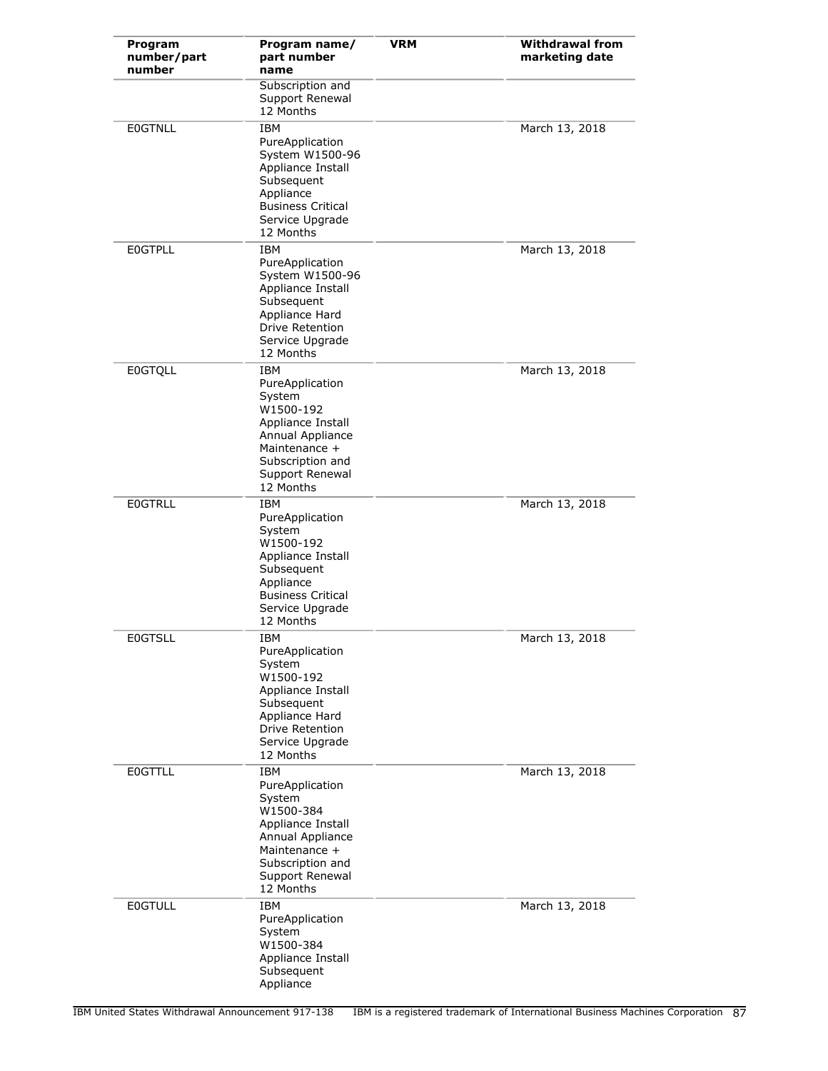| Program<br>number/part<br>number | Program name/<br>part number<br>name                                                                                                                        | <b>VRM</b> | <b>Withdrawal from</b><br>marketing date |
|----------------------------------|-------------------------------------------------------------------------------------------------------------------------------------------------------------|------------|------------------------------------------|
|                                  | Subscription and<br>Support Renewal<br>12 Months                                                                                                            |            |                                          |
| <b>EOGTNLL</b>                   | IBM<br>PureApplication<br>System W1500-96<br>Appliance Install<br>Subsequent<br>Appliance<br><b>Business Critical</b><br>Service Upgrade<br>12 Months       |            | March 13, 2018                           |
| <b>EOGTPLL</b>                   | <b>IBM</b><br>PureApplication<br>System W1500-96<br>Appliance Install<br>Subsequent<br>Appliance Hard<br>Drive Retention<br>Service Upgrade<br>12 Months    |            | March 13, 2018                           |
| <b>E0GTQLL</b>                   | IBM<br>PureApplication<br>System<br>W1500-192<br>Appliance Install<br>Annual Appliance<br>Maintenance +<br>Subscription and<br>Support Renewal<br>12 Months |            | March 13, 2018                           |
| <b>EOGTRLL</b>                   | IBM<br>PureApplication<br>System<br>W1500-192<br>Appliance Install<br>Subsequent<br>Appliance<br><b>Business Critical</b><br>Service Upgrade<br>12 Months   |            | March 13, 2018                           |
| <b>EOGTSLL</b>                   | IBM<br>PureApplication<br>System<br>W1500-192<br>Appliance Install<br>Subsequent<br>Appliance Hard<br>Drive Retention<br>Service Upgrade<br>12 Months       |            | March 13, 2018                           |
| <b>E0GTTLL</b>                   | IBM<br>PureApplication<br>System<br>W1500-384<br>Appliance Install<br>Annual Appliance<br>Maintenance +<br>Subscription and<br>Support Renewal<br>12 Months |            | March 13, 2018                           |
| <b>EOGTULL</b>                   | IBM<br>PureApplication<br>System<br>W1500-384<br>Appliance Install<br>Subsequent<br>Appliance                                                               |            | March 13, 2018                           |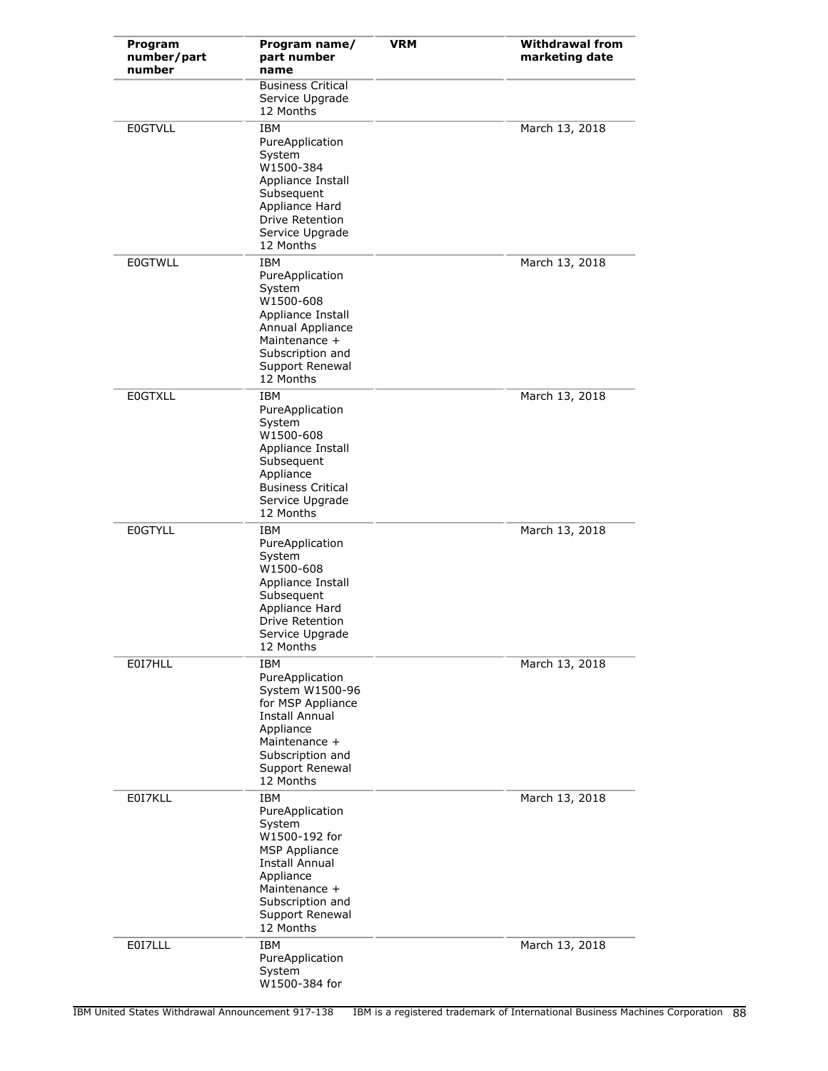| Program<br>number/part<br>number | Program name/<br>part number<br>name                                                                                                                                                 | <b>VRM</b> | <b>Withdrawal from</b><br>marketing date |
|----------------------------------|--------------------------------------------------------------------------------------------------------------------------------------------------------------------------------------|------------|------------------------------------------|
|                                  | <b>Business Critical</b><br>Service Upgrade<br>12 Months                                                                                                                             |            |                                          |
| <b>E0GTVLL</b>                   | IBM<br>PureApplication<br>System<br>W1500-384<br>Appliance Install<br>Subsequent<br>Appliance Hard<br><b>Drive Retention</b><br>Service Upgrade<br>12 Months                         |            | March 13, 2018                           |
| <b>E0GTWLL</b>                   | <b>IBM</b><br>PureApplication<br>System<br>W1500-608<br>Appliance Install<br>Annual Appliance<br>Maintenance +<br>Subscription and<br>Support Renewal<br>12 Months                   |            | March 13, 2018                           |
| <b>E0GTXLL</b>                   | IBM<br>PureApplication<br>System<br>W1500-608<br>Appliance Install<br>Subsequent<br>Appliance<br><b>Business Critical</b><br>Service Upgrade<br>12 Months                            |            | March 13, 2018                           |
| <b>E0GTYLL</b>                   | <b>IBM</b><br>PureApplication<br>System<br>W1500-608<br>Appliance Install<br>Subsequent<br>Appliance Hard<br><b>Drive Retention</b><br>Service Upgrade<br>12 Months                  |            | March 13, 2018                           |
| E0I7HLL                          | <b>IBM</b><br>PureApplication<br>System W1500-96<br>for MSP Appliance<br><b>Install Annual</b><br>Appliance<br>Maintenance +<br>Subscription and<br>Support Renewal<br>12 Months     |            | March 13, 2018                           |
| E0I7KLL                          | <b>IBM</b><br>PureApplication<br>System<br>W1500-192 for<br><b>MSP Appliance</b><br>Install Annual<br>Appliance<br>Maintenance +<br>Subscription and<br>Support Renewal<br>12 Months |            | March 13, 2018                           |
| E0I7LLL                          | <b>IBM</b><br>PureApplication<br>System<br>W1500-384 for                                                                                                                             |            | March 13, 2018                           |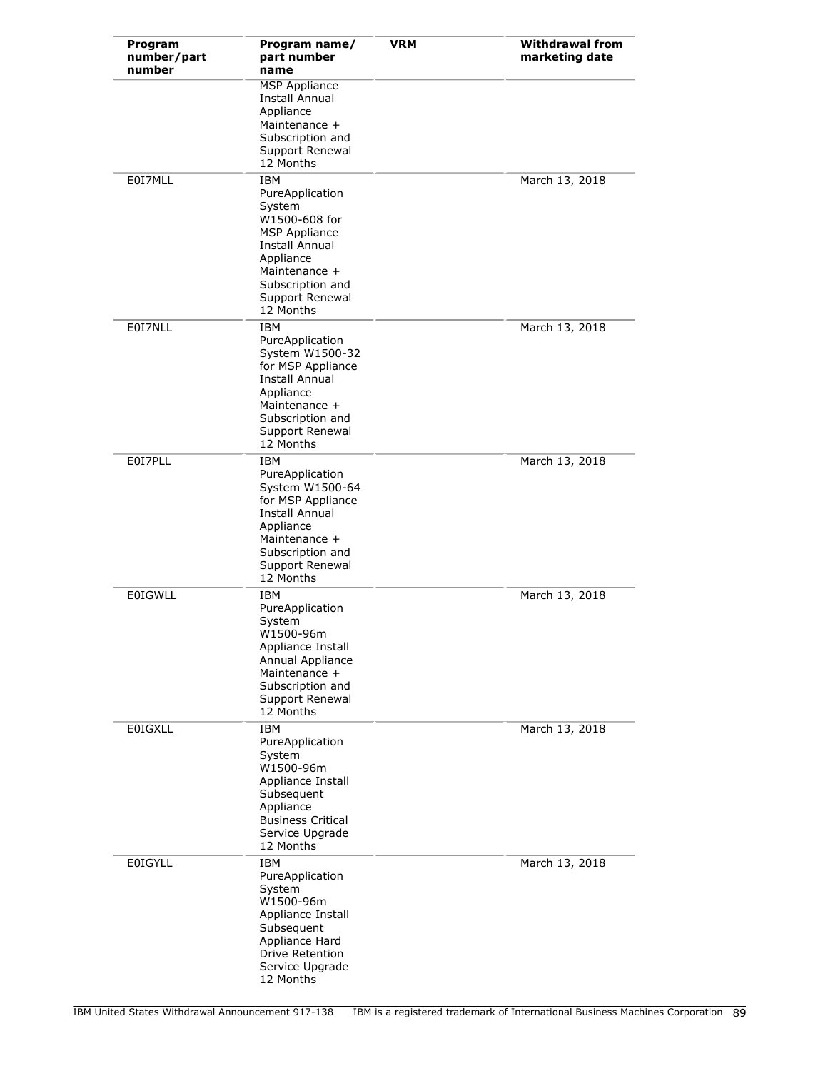| Program<br>number/part<br>number | Program name/<br>part number<br>name                                                                                                                                                        | <b>VRM</b> | <b>Withdrawal from</b><br>marketing date |
|----------------------------------|---------------------------------------------------------------------------------------------------------------------------------------------------------------------------------------------|------------|------------------------------------------|
|                                  | <b>MSP Appliance</b><br>Install Annual<br>Appliance<br>Maintenance +<br>Subscription and<br>Support Renewal<br>12 Months                                                                    |            |                                          |
| E0I7MLL                          | <b>IBM</b><br>PureApplication<br>System<br>W1500-608 for<br><b>MSP Appliance</b><br><b>Install Annual</b><br>Appliance<br>Maintenance +<br>Subscription and<br>Support Renewal<br>12 Months |            | March 13, 2018                           |
| E0I7NLL                          | IBM<br>PureApplication<br>System W1500-32<br>for MSP Appliance<br><b>Install Annual</b><br>Appliance<br>Maintenance +<br>Subscription and<br>Support Renewal<br>12 Months                   |            | March 13, 2018                           |
| E0I7PLL                          | IBM<br>PureApplication<br>System W1500-64<br>for MSP Appliance<br>Install Annual<br>Appliance<br>Maintenance +<br>Subscription and<br>Support Renewal<br>12 Months                          |            | March 13, 2018                           |
| <b>E0IGWLL</b>                   | IBM<br>PureApplication<br>System<br>W1500-96m<br>Appliance Install<br>Annual Appliance<br>Maintenance +<br>Subscription and<br>Support Renewal<br>12 Months                                 |            | March 13, 2018                           |
| <b>E0IGXLL</b>                   | IBM<br>PureApplication<br>System<br>W1500-96m<br>Appliance Install<br>Subsequent<br>Appliance<br><b>Business Critical</b><br>Service Upgrade<br>12 Months                                   |            | March 13, 2018                           |
| <b>EOIGYLL</b>                   | <b>IBM</b><br>PureApplication<br>System<br>W1500-96m<br>Appliance Install<br>Subsequent<br>Appliance Hard<br>Drive Retention<br>Service Upgrade<br>12 Months                                |            | March 13, 2018                           |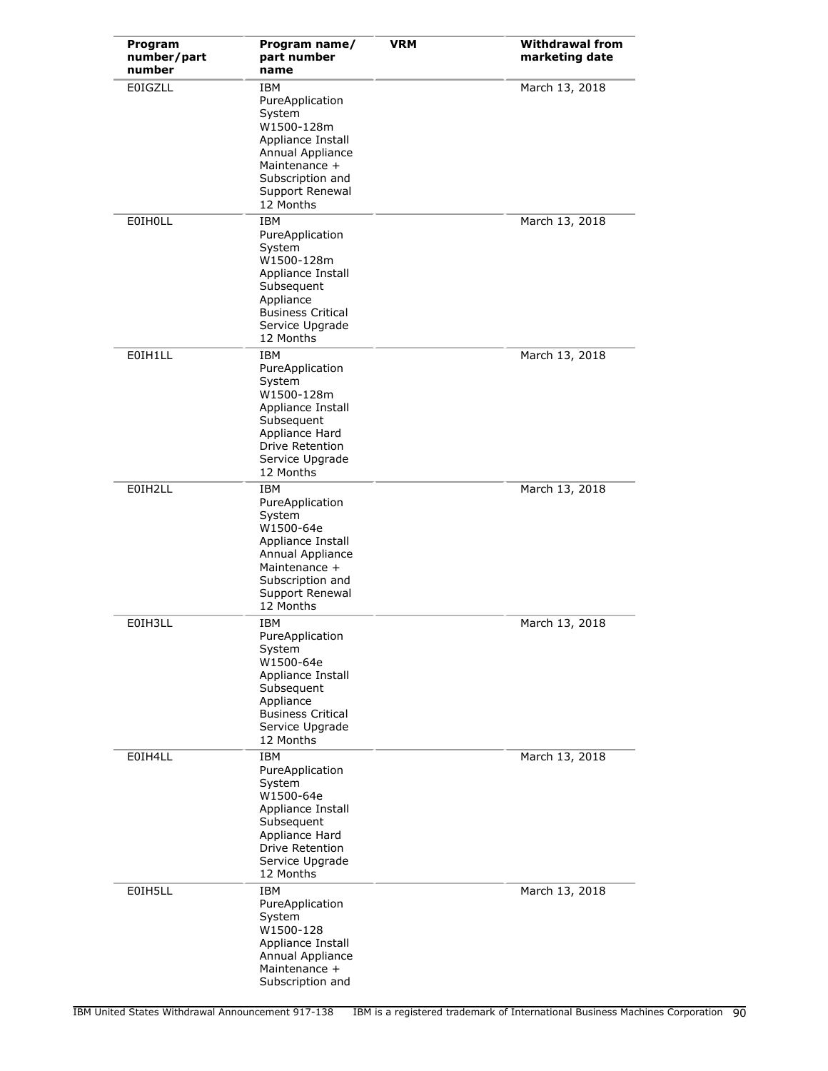| Program<br>number/part<br>number | Program name/<br>part number<br>name                                                                                                                              | <b>VRM</b> | <b>Withdrawal from</b><br>marketing date |
|----------------------------------|-------------------------------------------------------------------------------------------------------------------------------------------------------------------|------------|------------------------------------------|
| <b>E0IGZLL</b>                   | IBM<br>PureApplication<br>System<br>W1500-128m<br>Appliance Install<br>Annual Appliance<br>Maintenance +<br>Subscription and<br>Support Renewal<br>12 Months      |            | March 13, 2018                           |
| <b>EOIHOLL</b>                   | <b>IBM</b><br>PureApplication<br>System<br>W1500-128m<br>Appliance Install<br>Subsequent<br>Appliance<br><b>Business Critical</b><br>Service Upgrade<br>12 Months |            | March 13, 2018                           |
| E0IH1LL                          | IBM<br>PureApplication<br>System<br>W1500-128m<br>Appliance Install<br>Subsequent<br>Appliance Hard<br><b>Drive Retention</b><br>Service Upgrade<br>12 Months     |            | March 13, 2018                           |
| E0IH2LL                          | IBM<br>PureApplication<br>System<br>W1500-64e<br>Appliance Install<br>Annual Appliance<br>Maintenance +<br>Subscription and<br>Support Renewal<br>12 Months       |            | March 13, 2018                           |
| E0IH3LL                          | IBM<br>PureApplication<br>System<br>W1500-64e<br>Appliance Install<br>Subsequent<br>Appliance<br><b>Business Critical</b><br>Service Upgrade<br>12 Months         |            | March 13, 2018                           |
| E0IH4LL                          | <b>IBM</b><br>PureApplication<br>System<br>W1500-64e<br>Appliance Install<br>Subsequent<br>Appliance Hard<br>Drive Retention<br>Service Upgrade<br>12 Months      |            | March 13, 2018                           |
| E0IH5LL                          | IBM<br>PureApplication<br>System<br>W1500-128<br>Appliance Install<br>Annual Appliance<br>Maintenance +<br>Subscription and                                       |            | March 13, 2018                           |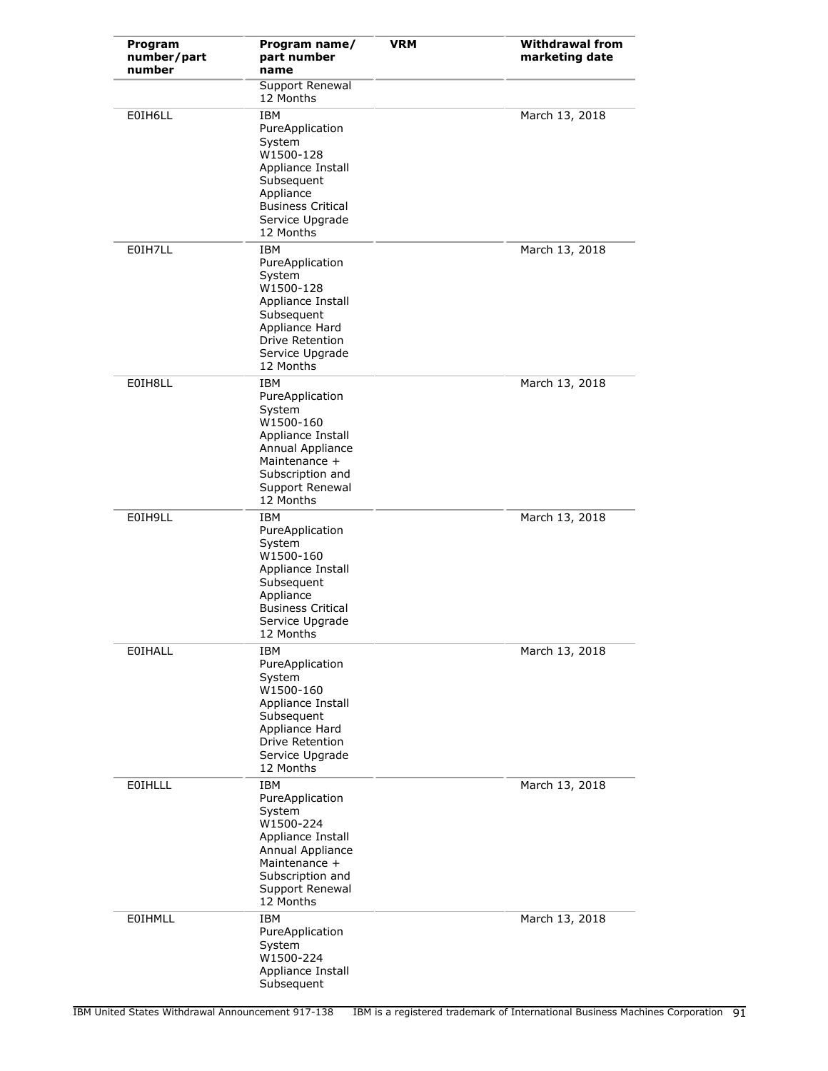| Program<br>number/part<br>number | Program name/<br>part number<br>name                                                                                                                               | <b>VRM</b> | <b>Withdrawal from</b><br>marketing date |
|----------------------------------|--------------------------------------------------------------------------------------------------------------------------------------------------------------------|------------|------------------------------------------|
|                                  | Support Renewal<br>12 Months                                                                                                                                       |            |                                          |
| E0IH6LL                          | <b>IBM</b><br>PureApplication<br>System<br>W1500-128<br>Appliance Install<br>Subsequent<br>Appliance<br><b>Business Critical</b><br>Service Upgrade<br>12 Months   |            | March 13, 2018                           |
| E0IH7LL                          | <b>IBM</b><br>PureApplication<br>System<br>W1500-128<br>Appliance Install<br>Subsequent<br>Appliance Hard<br>Drive Retention<br>Service Upgrade<br>12 Months       |            | March 13, 2018                           |
| E0IH8LL                          | <b>IBM</b><br>PureApplication<br>System<br>W1500-160<br>Appliance Install<br>Annual Appliance<br>Maintenance +<br>Subscription and<br>Support Renewal<br>12 Months |            | March 13, 2018                           |
| E0IH9LL                          | IBM<br>PureApplication<br>System<br>W1500-160<br>Appliance Install<br>Subsequent<br>Appliance<br><b>Business Critical</b><br>Service Upgrade<br>12 Months          |            | March 13, 2018                           |
| EOIHALL                          | IBM<br>PureApplication<br>System<br>W1500-160<br>Appliance Install<br>Subsequent<br>Appliance Hard<br>Drive Retention<br>Service Upgrade<br>12 Months              |            | March 13, 2018                           |
| EOIHLLL                          | IBM<br>PureApplication<br>System<br>W1500-224<br>Appliance Install<br>Annual Appliance<br>Maintenance +<br>Subscription and<br>Support Renewal<br>12 Months        |            | March 13, 2018                           |
| EOIHMLL                          | <b>IBM</b><br>PureApplication<br>System<br>W1500-224<br>Appliance Install<br>Subsequent                                                                            |            | March 13, 2018                           |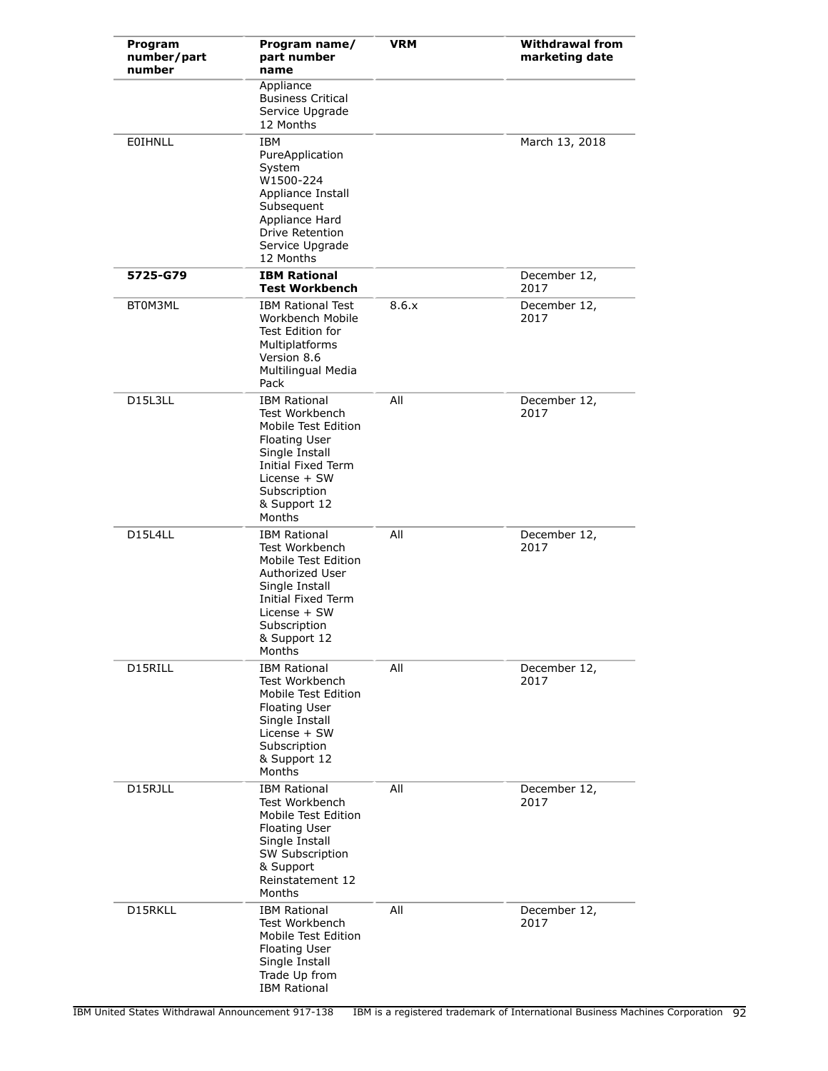| Program<br>number/part<br>number | Program name/<br>part number<br>name                                                                                                                                                     | <b>VRM</b> | <b>Withdrawal from</b><br>marketing date |
|----------------------------------|------------------------------------------------------------------------------------------------------------------------------------------------------------------------------------------|------------|------------------------------------------|
|                                  | Appliance<br><b>Business Critical</b><br>Service Upgrade<br>12 Months                                                                                                                    |            |                                          |
| EOIHNLL                          | <b>IBM</b><br>PureApplication<br>System<br>W1500-224<br>Appliance Install<br>Subsequent<br>Appliance Hard<br>Drive Retention<br>Service Upgrade<br>12 Months                             |            | March 13, 2018                           |
| 5725-G79                         | <b>IBM Rational</b><br><b>Test Workbench</b>                                                                                                                                             |            | December 12,<br>2017                     |
| BT0M3ML                          | <b>IBM Rational Test</b><br>Workbench Mobile<br>Test Edition for<br>Multiplatforms<br>Version 8.6<br>Multilingual Media<br>Pack                                                          | 8.6.x      | December 12,<br>2017                     |
| D15L3LL                          | <b>IBM Rational</b><br>Test Workbench<br>Mobile Test Edition<br><b>Floating User</b><br>Single Install<br>Initial Fixed Term<br>License + SW<br>Subscription<br>& Support 12<br>Months   | All        | December 12,<br>2017                     |
| D15L4LL                          | <b>IBM Rational</b><br>Test Workbench<br>Mobile Test Edition<br>Authorized User<br>Single Install<br><b>Initial Fixed Term</b><br>License + SW<br>Subscription<br>& Support 12<br>Months | All        | December 12,<br>2017                     |
| D15RILL                          | <b>IBM Rational</b><br>Test Workbench<br>Mobile Test Edition<br><b>Floating User</b><br>Single Install<br>License + SW<br>Subscription<br>& Support 12<br>Months                         | All        | December 12,<br>2017                     |
| D15RJLL                          | <b>IBM Rational</b><br>Test Workbench<br>Mobile Test Edition<br><b>Floating User</b><br>Single Install<br><b>SW Subscription</b><br>& Support<br>Reinstatement 12<br>Months              | All        | December 12,<br>2017                     |
| D15RKLL                          | <b>IBM Rational</b><br>Test Workbench<br>Mobile Test Edition<br><b>Floating User</b><br>Single Install<br>Trade Up from<br><b>IBM Rational</b>                                           | All        | December 12,<br>2017                     |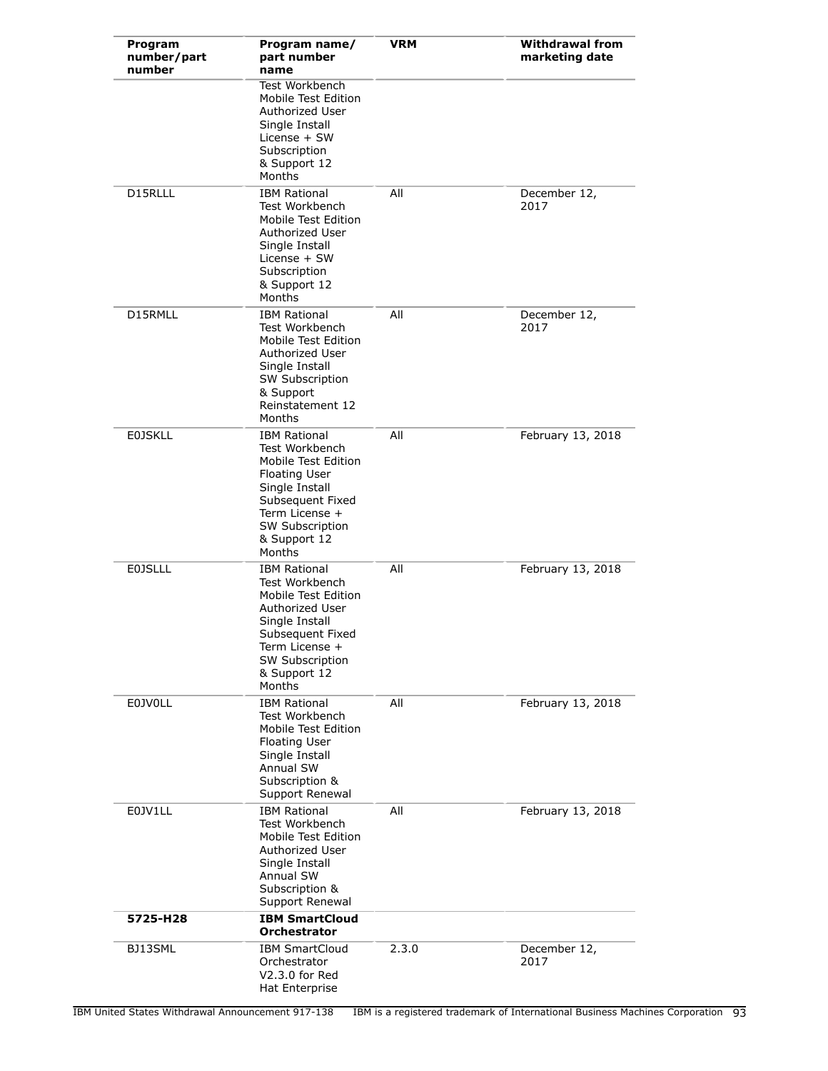| Program<br>number/part<br>number | Program name/<br>part number<br>name                                                                                                                                                      | <b>VRM</b> | <b>Withdrawal from</b><br>marketing date |
|----------------------------------|-------------------------------------------------------------------------------------------------------------------------------------------------------------------------------------------|------------|------------------------------------------|
|                                  | <b>Test Workbench</b><br>Mobile Test Edition<br>Authorized User<br>Single Install<br>License + SW<br>Subscription<br>& Support 12<br>Months                                               |            |                                          |
| D15RLLL                          | <b>IBM Rational</b><br>Test Workbench<br>Mobile Test Edition<br>Authorized User<br>Single Install<br>License + SW<br>Subscription<br>& Support 12<br>Months                               | All        | December 12,<br>2017                     |
| D15RMLL                          | <b>IBM Rational</b><br>Test Workbench<br>Mobile Test Edition<br>Authorized User<br>Single Install<br>SW Subscription<br>& Support<br>Reinstatement 12<br>Months                           | All        | December 12,<br>2017                     |
| <b>E0JSKLL</b>                   | <b>IBM Rational</b><br>Test Workbench<br>Mobile Test Edition<br><b>Floating User</b><br>Single Install<br>Subsequent Fixed<br>Term License +<br>SW Subscription<br>& Support 12<br>Months | All        | February 13, 2018                        |
| <b>E0JSLLL</b>                   | <b>IBM Rational</b><br>Test Workbench<br>Mobile Test Edition<br>Authorized User<br>Single Install<br>Subsequent Fixed<br>Term License +<br>SW Subscription<br>& Support 12<br>Months      | All        | February 13, 2018                        |
| <b>E0JV0LL</b>                   | <b>IBM Rational</b><br>Test Workbench<br>Mobile Test Edition<br><b>Floating User</b><br>Single Install<br><b>Annual SW</b><br>Subscription &<br>Support Renewal                           | All        | February 13, 2018                        |
| E0JV1LL                          | <b>IBM Rational</b><br>Test Workbench<br>Mobile Test Edition<br>Authorized User<br>Single Install<br>Annual SW<br>Subscription &<br>Support Renewal                                       | All        | February 13, 2018                        |
| 5725-H28                         | <b>IBM SmartCloud</b><br><b>Orchestrator</b>                                                                                                                                              |            |                                          |
| BJ13SML                          | <b>IBM SmartCloud</b><br>Orchestrator<br>V2.3.0 for Red<br>Hat Enterprise                                                                                                                 | 2.3.0      | December 12,<br>2017                     |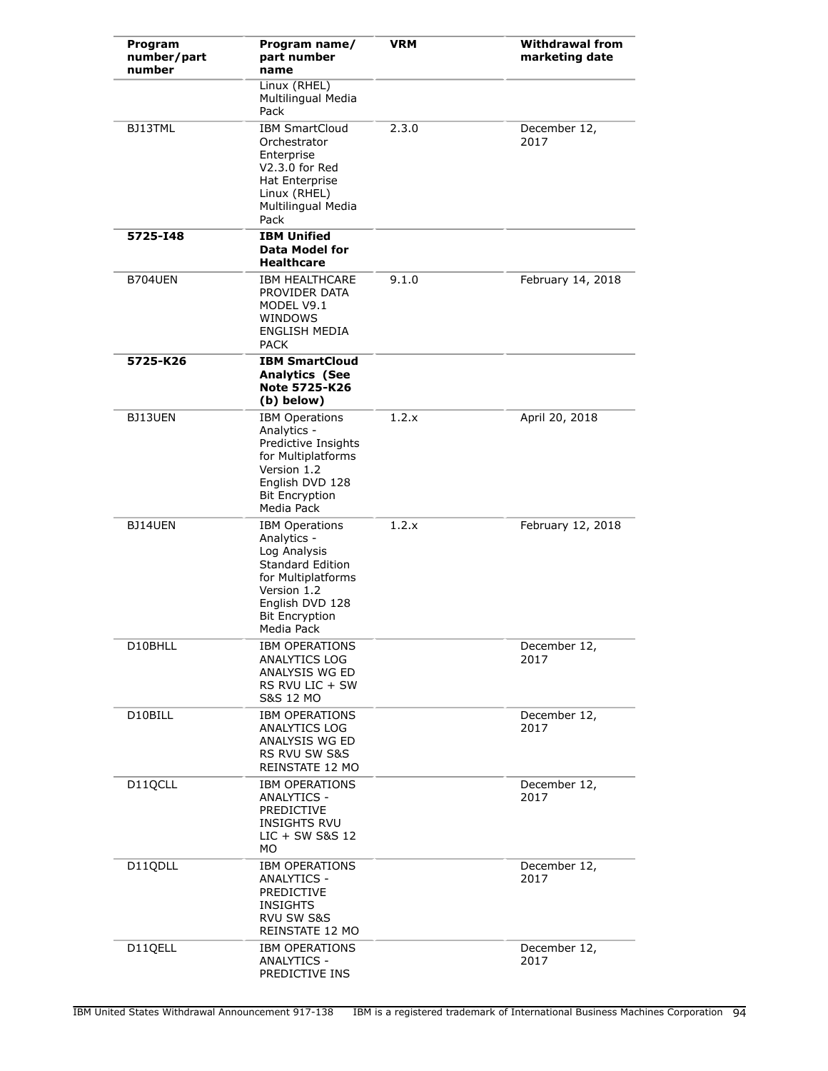| Program<br>number/part<br>number | Program name/<br>part number<br>name                                                                                                                                           | <b>VRM</b> | <b>Withdrawal from</b><br>marketing date |
|----------------------------------|--------------------------------------------------------------------------------------------------------------------------------------------------------------------------------|------------|------------------------------------------|
|                                  | Linux (RHEL)<br>Multilingual Media<br>Pack                                                                                                                                     |            |                                          |
| BJ13TML                          | <b>IBM SmartCloud</b><br>Orchestrator<br>Enterprise<br>V2.3.0 for Red<br>Hat Enterprise<br>Linux (RHEL)<br>Multilingual Media<br>Pack                                          | 2.3.0      | December 12,<br>2017                     |
| 5725-148                         | <b>IBM Unified</b><br><b>Data Model for</b><br><b>Healthcare</b>                                                                                                               |            |                                          |
| <b>B704UEN</b>                   | <b>IBM HEALTHCARE</b><br>PROVIDER DATA<br>MODEL V9.1<br><b>WINDOWS</b><br><b>ENGLISH MEDIA</b><br><b>PACK</b>                                                                  | 9.1.0      | February 14, 2018                        |
| 5725-K26                         | <b>IBM SmartCloud</b><br><b>Analytics (See</b><br>Note 5725-K26<br>(b) below)                                                                                                  |            |                                          |
| BJ13UEN                          | <b>IBM Operations</b><br>Analytics -<br>Predictive Insights<br>for Multiplatforms<br>Version 1.2<br>English DVD 128<br><b>Bit Encryption</b><br>Media Pack                     | 1.2.x      | April 20, 2018                           |
| BJ14UEN                          | <b>IBM Operations</b><br>Analytics -<br>Log Analysis<br><b>Standard Edition</b><br>for Multiplatforms<br>Version 1.2<br>English DVD 128<br><b>Bit Encryption</b><br>Media Pack | 1.2.x      | February 12, 2018                        |
| D10BHLL                          | <b>IBM OPERATIONS</b><br>ANALYTICS LOG<br>ANALYSIS WG ED<br>RS RVU LIC + SW<br>S&S 12 MO                                                                                       |            | December 12,<br>2017                     |
| D10BILL                          | <b>IBM OPERATIONS</b><br><b>ANALYTICS LOG</b><br>ANALYSIS WG ED<br>RS RVU SW S&S<br>REINSTATE 12 MO                                                                            |            | December 12,<br>2017                     |
| D11QCLL                          | <b>IBM OPERATIONS</b><br>ANALYTICS -<br>PREDICTIVE<br><b>INSIGHTS RVU</b><br>$LIC + SW S & S 12$<br>MO.                                                                        |            | December 12,<br>2017                     |
| D11QDLL                          | <b>IBM OPERATIONS</b><br>ANALYTICS -<br>PREDICTIVE<br><b>INSIGHTS</b><br>RVU SW S&S<br>REINSTATE 12 MO                                                                         |            | December 12,<br>2017                     |
| D11QELL                          | <b>IBM OPERATIONS</b><br><b>ANALYTICS -</b><br>PREDICTIVE INS                                                                                                                  |            | December 12,<br>2017                     |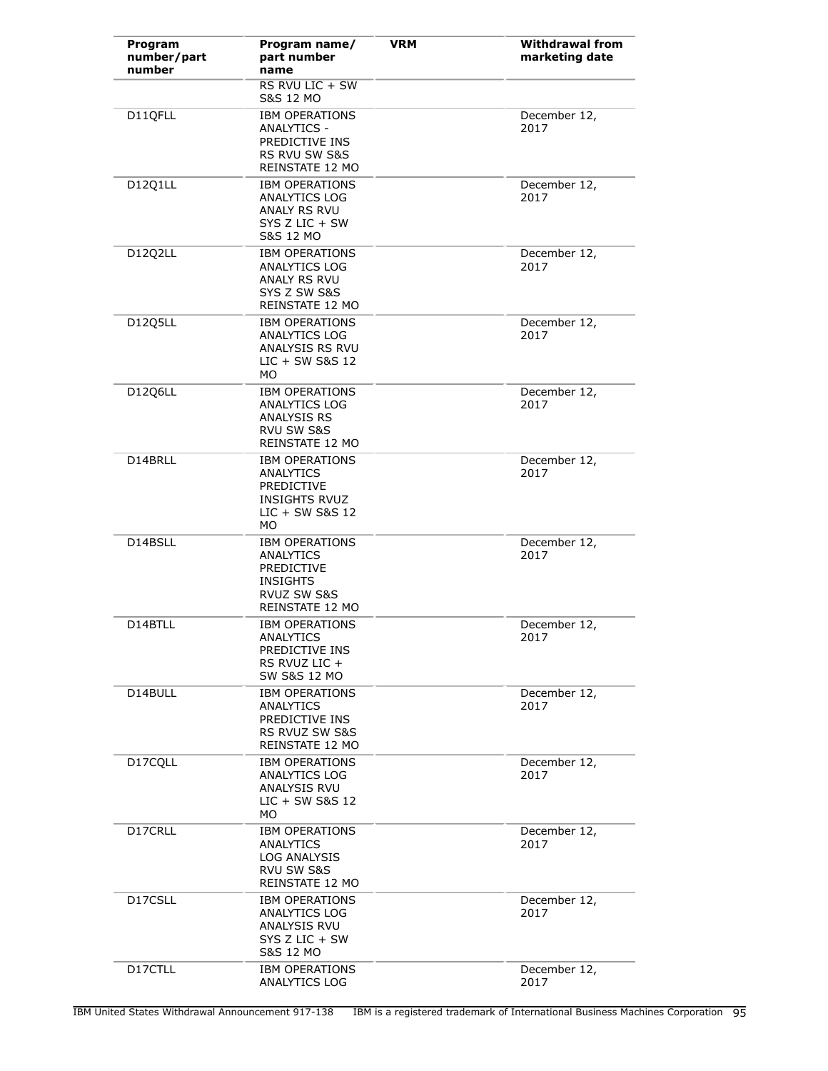| Program<br>number/part<br>number | Program name/<br>part number<br>name                                                                          | <b>VRM</b> | <b>Withdrawal from</b><br>marketing date |
|----------------------------------|---------------------------------------------------------------------------------------------------------------|------------|------------------------------------------|
|                                  | RS RVU LIC + SW<br>S&S 12 MO                                                                                  |            |                                          |
| D11QFLL                          | <b>IBM OPERATIONS</b><br><b>ANALYTICS -</b><br>PREDICTIVE INS<br>RS RVU SW S&S<br>REINSTATE 12 MO             |            | December 12,<br>2017                     |
| D12Q1LL                          | <b>IBM OPERATIONS</b><br>ANALYTICS LOG<br><b>ANALY RS RVU</b><br>$SYS Z LIC + SW$<br>S&S 12 MO                |            | December 12,<br>2017                     |
| D12Q2LL                          | <b>IBM OPERATIONS</b><br><b>ANALYTICS LOG</b><br>ANALY RS RVU<br>SYS Z SW S&S<br>REINSTATE 12 MO              |            | December 12,<br>2017                     |
| D12Q5LL                          | <b>IBM OPERATIONS</b><br>ANALYTICS LOG<br>ANALYSIS RS RVU<br>LIC + SW S&S 12<br>MO.                           |            | December 12,<br>2017                     |
| D12Q6LL                          | <b>IBM OPERATIONS</b><br><b>ANALYTICS LOG</b><br>ANALYSIS RS<br>RVU SW S&S<br>REINSTATE 12 MO                 |            | December 12,<br>2017                     |
| D14BRLL                          | <b>IBM OPERATIONS</b><br>ANALYTICS<br><b>PREDICTIVE</b><br><b>INSIGHTS RVUZ</b><br>$LIC + SW S & S 12$<br>MO. |            | December 12,<br>2017                     |
| D14BSLL                          | <b>IBM OPERATIONS</b><br>ANALYTICS<br><b>PREDICTIVE</b><br><b>INSIGHTS</b><br>RVUZ SW S&S<br>REINSTATE 12 MO  |            | December 12,<br>2017                     |
| D14BTLL                          | <b>IBM OPERATIONS</b><br>ANALYTICS<br>PREDICTIVE INS<br>RS RVUZ LIC +<br>SW S&S 12 MO                         |            | December 12,<br>2017                     |
| D14BULL                          | <b>IBM OPERATIONS</b><br>ANALYTICS<br>PREDICTIVE INS<br>RS RVUZ SW S&S<br>REINSTATE 12 MO                     |            | December 12,<br>2017                     |
| D17CQLL                          | <b>IBM OPERATIONS</b><br>ANALYTICS LOG<br>ANALYSIS RVU<br>$LIC + SW S & S 12$<br>МO                           |            | December 12,<br>2017                     |
| D17CRLL                          | <b>IBM OPERATIONS</b><br>ANALYTICS<br>LOG ANALYSIS<br>RVU SW S&S<br>REINSTATE 12 MO                           |            | December 12,<br>2017                     |
| D17CSLL                          | <b>IBM OPERATIONS</b><br>ANALYTICS LOG<br>ANALYSIS RVU<br>SYS Z LIC + SW<br>S&S 12 MO                         |            | December 12,<br>2017                     |
| D17CTLL                          | <b>IBM OPERATIONS</b><br>ANALYTICS LOG                                                                        |            | December 12,<br>2017                     |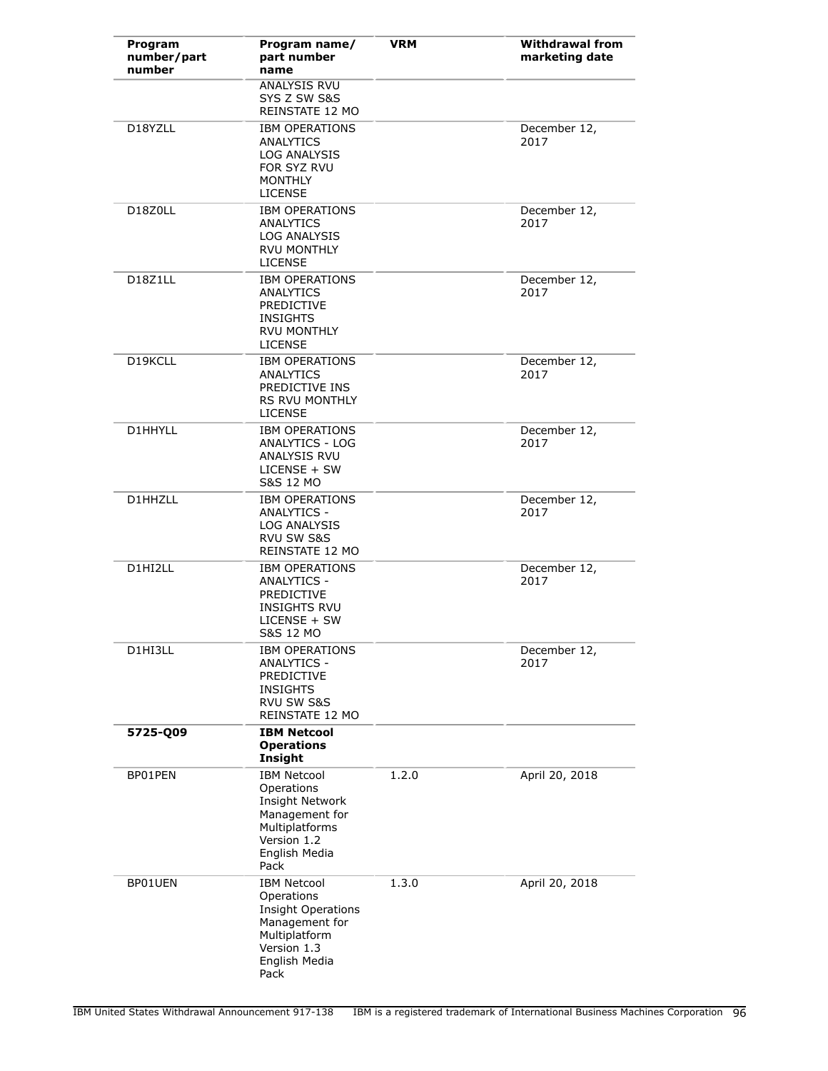| Program<br>number/part<br>number | Program name/<br>part number<br>name                                                                                                     | <b>VRM</b> | <b>Withdrawal from</b><br>marketing date |
|----------------------------------|------------------------------------------------------------------------------------------------------------------------------------------|------------|------------------------------------------|
|                                  | ANALYSIS RVU<br>SYS Z SW S&S<br>REINSTATE 12 MO                                                                                          |            |                                          |
| D18YZLL                          | <b>IBM OPERATIONS</b><br>ANALYTICS<br>LOG ANALYSIS<br>FOR SYZ RVU<br><b>MONTHLY</b><br><b>LICENSE</b>                                    |            | December 12,<br>2017                     |
| D18Z0LL                          | <b>IBM OPERATIONS</b><br><b>ANALYTICS</b><br>LOG ANALYSIS<br><b>RVU MONTHLY</b><br><b>LICENSE</b>                                        |            | December 12,<br>2017                     |
| D18Z1LL                          | <b>IBM OPERATIONS</b><br>ANALYTICS<br><b>PREDICTIVE</b><br><b>INSIGHTS</b><br><b>RVU MONTHLY</b><br><b>LICENSE</b>                       |            | December 12,<br>2017                     |
| D19KCLL                          | <b>IBM OPERATIONS</b><br>ANALYTICS<br>PREDICTIVE INS<br><b>RS RVU MONTHLY</b><br><b>LICENSE</b>                                          |            | December 12,<br>2017                     |
| D1HHYLL                          | <b>IBM OPERATIONS</b><br><b>ANALYTICS - LOG</b><br>ANALYSIS RVU<br>LICENSE + SW<br>S&S 12 MO                                             |            | December 12,<br>2017                     |
| D1HHZLL                          | <b>IBM OPERATIONS</b><br>ANALYTICS -<br><b>LOG ANALYSIS</b><br><b>RVU SW S&amp;S</b><br>REINSTATE 12 MO                                  |            | December 12,<br>2017                     |
| D1HI2LL                          | <b>IBM OPERATIONS</b><br>ANALYTICS -<br><b>PREDICTIVE</b><br><b>INSIGHTS RVU</b><br>$LICENSE + SW$<br>S&S 12 MO                          |            | December 12,<br>2017                     |
| D1HI3LL                          | <b>IBM OPERATIONS</b><br><b>ANALYTICS -</b><br><b>PREDICTIVE</b><br><b>INSIGHTS</b><br>RVU SW S&S<br>REINSTATE 12 MO                     |            | December 12,<br>2017                     |
| 5725-Q09                         | <b>IBM Netcool</b><br><b>Operations</b><br>Insight                                                                                       |            |                                          |
| BP01PEN                          | <b>IBM Netcool</b><br>Operations<br>Insight Network<br>Management for<br>Multiplatforms<br>Version 1.2<br>English Media<br>Pack          | 1.2.0      | April 20, 2018                           |
| BP01UEN                          | <b>IBM Netcool</b><br>Operations<br><b>Insight Operations</b><br>Management for<br>Multiplatform<br>Version 1.3<br>English Media<br>Pack | 1.3.0      | April 20, 2018                           |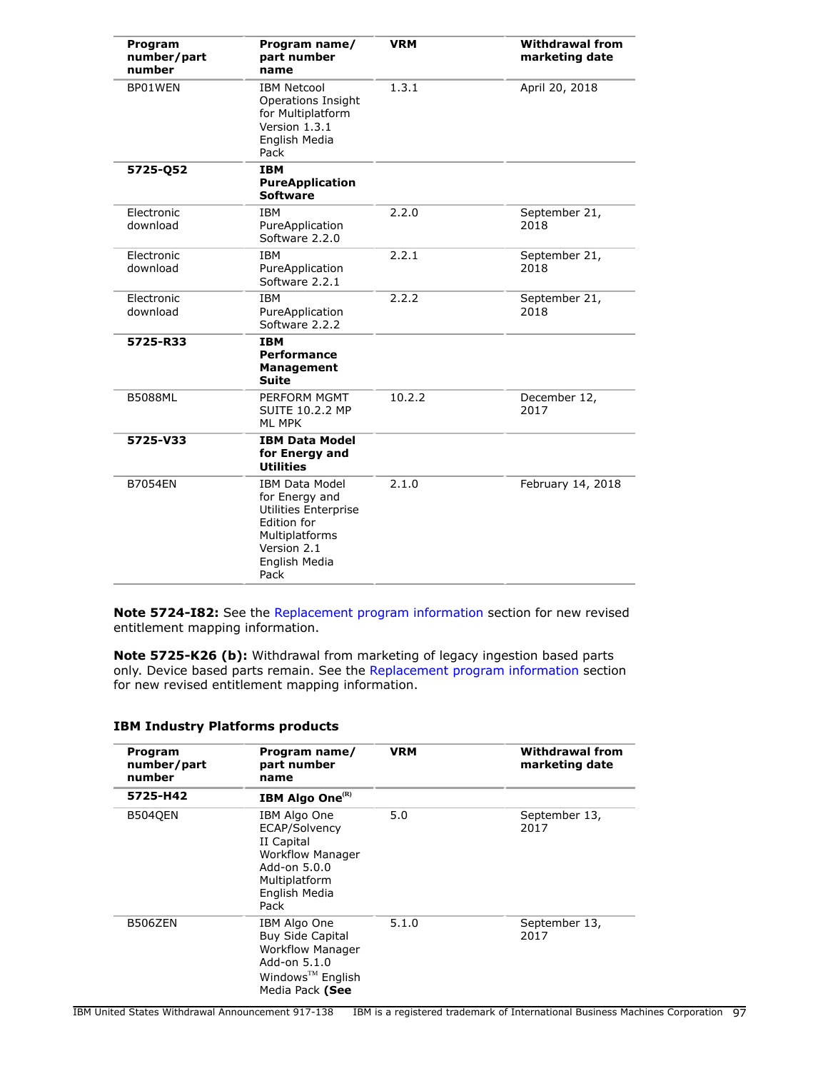| Program<br>number/part<br>number | Program name/<br>part number<br>name                                                                                                     | <b>VRM</b> | <b>Withdrawal from</b><br>marketing date |
|----------------------------------|------------------------------------------------------------------------------------------------------------------------------------------|------------|------------------------------------------|
| BP01WEN                          | <b>IBM Netcool</b><br>Operations Insight<br>for Multiplatform<br>Version 1.3.1<br>English Media<br>Pack                                  | 1.3.1      | April 20, 2018                           |
| 5725-Q52                         | <b>IBM</b><br><b>PureApplication</b><br><b>Software</b>                                                                                  |            |                                          |
| Electronic<br>download           | <b>IBM</b><br>PureApplication<br>Software 2.2.0                                                                                          | 2.2.0      | September 21,<br>2018                    |
| Electronic<br>download           | <b>IBM</b><br>PureApplication<br>Software 2.2.1                                                                                          | 2.2.1      | September 21,<br>2018                    |
| Electronic<br>download           | <b>IBM</b><br>PureApplication<br>Software 2.2.2                                                                                          | 2.2.2      | September 21,<br>2018                    |
| 5725-R33                         | <b>IBM</b><br><b>Performance</b><br><b>Management</b><br>Suite                                                                           |            |                                          |
| <b>B5088ML</b>                   | PERFORM MGMT<br><b>SUITE 10.2.2 MP</b><br><b>ML MPK</b>                                                                                  | 10.2.2     | December 12,<br>2017                     |
| 5725-V33                         | <b>IBM Data Model</b><br>for Energy and<br><b>Utilities</b>                                                                              |            |                                          |
| <b>B7054EN</b>                   | <b>IBM Data Model</b><br>for Energy and<br>Utilities Enterprise<br>Edition for<br>Multiplatforms<br>Version 2.1<br>English Media<br>Pack | 2.1.0      | February 14, 2018                        |

**Note 5724-I82:** See the [Replacement program information](#page-110-0) section for new revised entitlement mapping information.

**Note 5725-K26 (b):** Withdrawal from marketing of legacy ingestion based parts only. Device based parts remain. See the [Replacement program information](#page-110-0) section for new revised entitlement mapping information.

| Program<br>number/part<br>number | Program name/<br>part number<br>name                                                                                                  | <b>VRM</b> | <b>Withdrawal from</b><br>marketing date |
|----------------------------------|---------------------------------------------------------------------------------------------------------------------------------------|------------|------------------------------------------|
| 5725-H42                         | <b>IBM Algo One<sup>(R)</sup></b>                                                                                                     |            |                                          |
| <b>B5040EN</b>                   | IBM Algo One<br>ECAP/Solvency<br>II Capital<br><b>Workflow Manager</b><br>Add-on 5.0.0<br>Multiplatform<br>English Media<br>Pack      | 5.0        | September 13,<br>2017                    |
| B506ZEN                          | IBM Algo One<br><b>Buy Side Capital</b><br><b>Workflow Manager</b><br>Add-on 5.1.0<br>Windows <sup>™</sup> English<br>Media Pack (See | 5.1.0      | September 13,<br>2017                    |

# **IBM Industry Platforms products**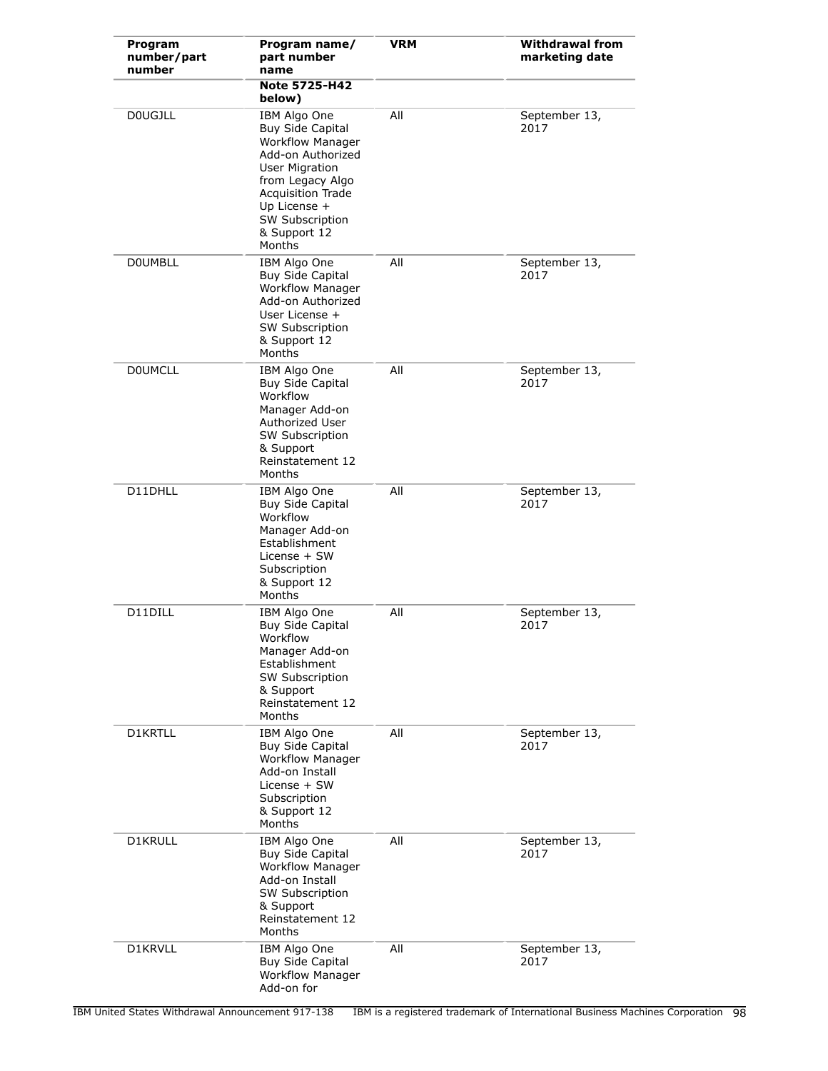| Program<br>number/part<br>number | Program name/<br>part number<br>name                                                                                                                                                                                   | <b>VRM</b> | <b>Withdrawal from</b><br>marketing date |
|----------------------------------|------------------------------------------------------------------------------------------------------------------------------------------------------------------------------------------------------------------------|------------|------------------------------------------|
|                                  | <b>Note 5725-H42</b><br>below)                                                                                                                                                                                         |            |                                          |
| <b>DOUGJLL</b>                   | IBM Algo One<br><b>Buy Side Capital</b><br><b>Workflow Manager</b><br>Add-on Authorized<br>User Migration<br>from Legacy Algo<br>Acquisition Trade<br>Up License +<br><b>SW Subscription</b><br>& Support 12<br>Months | All        | September 13,<br>2017                    |
| <b>DOUMBLL</b>                   | IBM Algo One<br><b>Buy Side Capital</b><br><b>Workflow Manager</b><br>Add-on Authorized<br>User License +<br><b>SW Subscription</b><br>& Support 12<br>Months                                                          | All        | September 13,<br>2017                    |
| <b>DOUMCLL</b>                   | IBM Algo One<br><b>Buy Side Capital</b><br>Workflow<br>Manager Add-on<br>Authorized User<br><b>SW Subscription</b><br>& Support<br>Reinstatement 12<br>Months                                                          | All        | September 13,<br>2017                    |
| D11DHLL                          | IBM Algo One<br><b>Buy Side Capital</b><br>Workflow<br>Manager Add-on<br>Establishment<br>License + SW<br>Subscription<br>& Support 12<br>Months                                                                       | All        | September 13,<br>2017                    |
| D11DILL                          | IBM Algo One<br><b>Buy Side Capital</b><br>Workflow<br>Manager Add-on<br>Establishment<br><b>SW Subscription</b><br>& Support<br>Reinstatement 12<br>Months                                                            | All        | September 13,<br>2017                    |
| D1KRTLL                          | IBM Algo One<br><b>Buy Side Capital</b><br><b>Workflow Manager</b><br>Add-on Install<br>License + SW<br>Subscription<br>& Support 12<br>Months                                                                         | All        | September 13,<br>2017                    |
| D1KRULL                          | IBM Algo One<br><b>Buy Side Capital</b><br><b>Workflow Manager</b><br>Add-on Install<br><b>SW Subscription</b><br>& Support<br>Reinstatement 12<br>Months                                                              | All        | September 13,<br>2017                    |
| D1KRVLL                          | IBM Algo One<br><b>Buy Side Capital</b><br><b>Workflow Manager</b><br>Add-on for                                                                                                                                       | All        | September 13,<br>2017                    |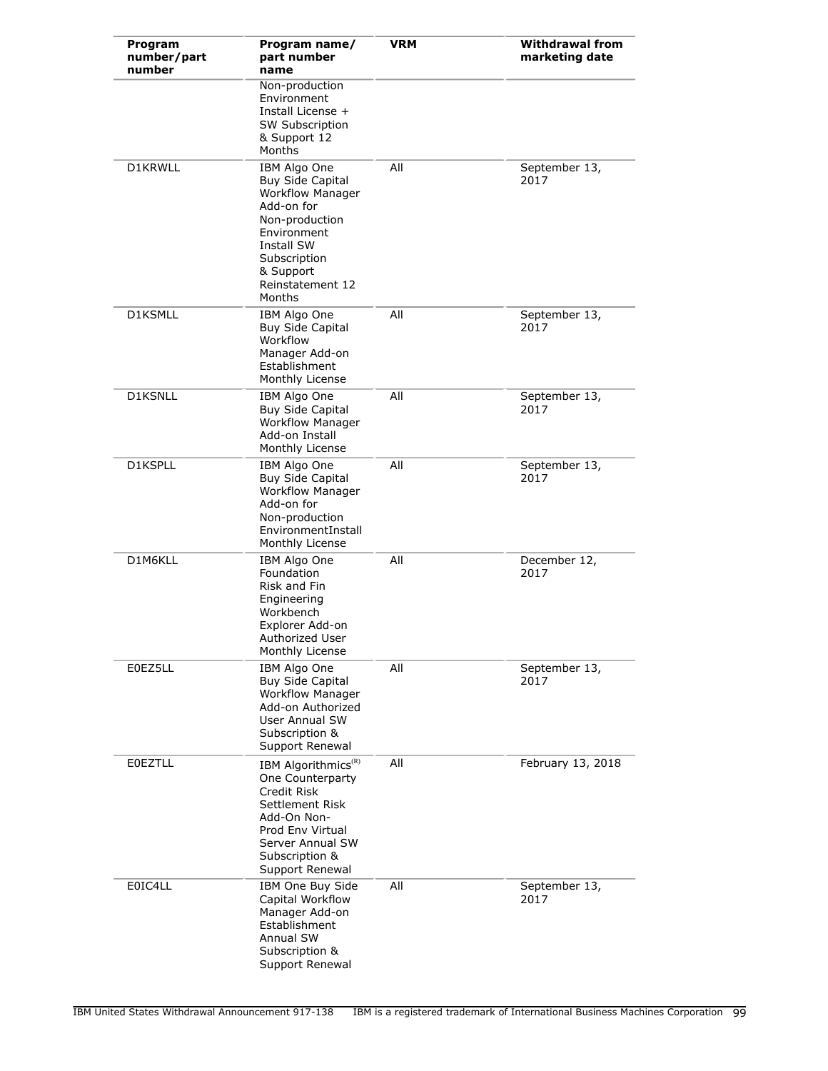| Program<br>number/part<br>number | Program name/<br>part number<br>name                                                                                                                                                              | <b>VRM</b> | <b>Withdrawal from</b><br>marketing date |
|----------------------------------|---------------------------------------------------------------------------------------------------------------------------------------------------------------------------------------------------|------------|------------------------------------------|
|                                  | Non-production<br>Environment<br>Install License +<br><b>SW Subscription</b><br>& Support 12<br>Months                                                                                            |            |                                          |
| D1KRWLL                          | IBM Algo One<br><b>Buy Side Capital</b><br><b>Workflow Manager</b><br>Add-on for<br>Non-production<br>Environment<br><b>Install SW</b><br>Subscription<br>& Support<br>Reinstatement 12<br>Months | All        | September 13,<br>2017                    |
| D1KSMLL                          | IBM Algo One<br><b>Buy Side Capital</b><br>Workflow<br>Manager Add-on<br>Establishment<br>Monthly License                                                                                         | All        | September 13,<br>2017                    |
| D1KSNLL                          | IBM Algo One<br><b>Buy Side Capital</b><br><b>Workflow Manager</b><br>Add-on Install<br>Monthly License                                                                                           | All        | September 13,<br>2017                    |
| D1KSPLL                          | IBM Algo One<br><b>Buy Side Capital</b><br><b>Workflow Manager</b><br>Add-on for<br>Non-production<br>EnvironmentInstall<br>Monthly License                                                       | All        | September 13,<br>2017                    |
| D1M6KLL                          | IBM Algo One<br>Foundation<br>Risk and Fin<br>Engineering<br>Workbench<br>Explorer Add-on<br>Authorized User<br>Monthly License                                                                   | All        | December 12,<br>2017                     |
| E0EZ5LL                          | IBM Algo One<br><b>Buy Side Capital</b><br><b>Workflow Manager</b><br>Add-on Authorized<br><b>User Annual SW</b><br>Subscription &<br>Support Renewal                                             | All        | September 13,<br>2017                    |
| <b>EOEZTLL</b>                   | IBM Algorithmics <sup>(R)</sup><br>One Counterparty<br>Credit Risk<br>Settlement Risk<br>Add-On Non-<br>Prod Env Virtual<br>Server Annual SW<br>Subscription &<br>Support Renewal                 | All        | February 13, 2018                        |
| E0IC4LL                          | IBM One Buy Side<br>Capital Workflow<br>Manager Add-on<br>Establishment<br>Annual SW<br>Subscription &<br>Support Renewal                                                                         | All        | September 13,<br>2017                    |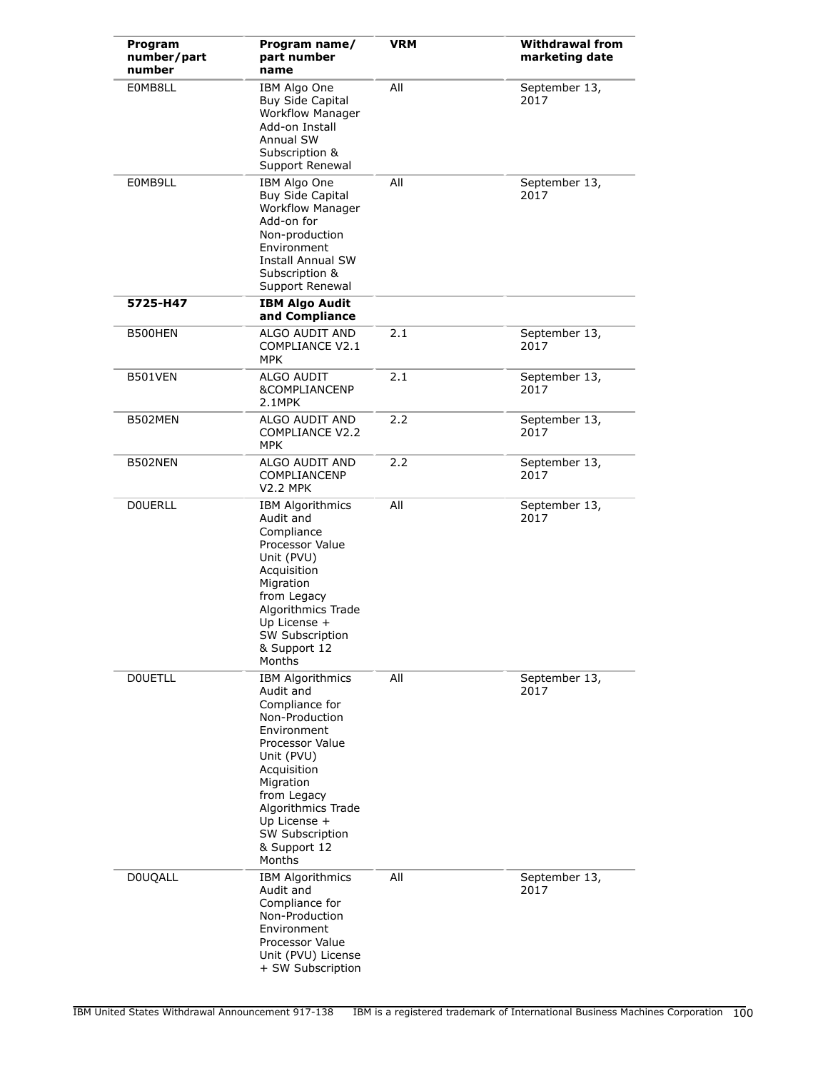| Program<br>number/part<br>number | Program name/<br>part number<br>name                                                                                                                                                                                                                   | <b>VRM</b> | <b>Withdrawal from</b><br>marketing date |
|----------------------------------|--------------------------------------------------------------------------------------------------------------------------------------------------------------------------------------------------------------------------------------------------------|------------|------------------------------------------|
| E0MB8LL                          | IBM Algo One<br>Buy Side Capital<br><b>Workflow Manager</b><br>Add-on Install<br>Annual SW<br>Subscription &<br>Support Renewal                                                                                                                        | All        | September 13,<br>2017                    |
| E0MB9LL                          | IBM Algo One<br><b>Buy Side Capital</b><br><b>Workflow Manager</b><br>Add-on for<br>Non-production<br>Environment<br><b>Install Annual SW</b><br>Subscription &<br>Support Renewal                                                                     | All        | September 13,<br>2017                    |
| 5725-H47                         | <b>IBM Algo Audit</b><br>and Compliance                                                                                                                                                                                                                |            |                                          |
| B500HEN                          | ALGO AUDIT AND<br>COMPLIANCE V2.1<br><b>MPK</b>                                                                                                                                                                                                        | 2.1        | September 13,<br>2017                    |
| B501VEN                          | ALGO AUDIT<br><b>&amp;COMPLIANCENP</b><br>2.1MPK                                                                                                                                                                                                       | 2.1        | September 13,<br>2017                    |
| B502MEN                          | ALGO AUDIT AND<br><b>COMPLIANCE V2.2</b><br><b>MPK</b>                                                                                                                                                                                                 | 2.2        | September 13,<br>2017                    |
| B502NEN                          | ALGO AUDIT AND<br><b>COMPLIANCENP</b><br><b>V2.2 MPK</b>                                                                                                                                                                                               | 2.2        | September 13,<br>2017                    |
| <b>DOUERLL</b>                   | <b>IBM Algorithmics</b><br>Audit and<br>Compliance<br>Processor Value<br>Unit (PVU)<br>Acquisition<br>Migration<br>from Legacy<br>Algorithmics Trade<br>Up License +<br><b>SW Subscription</b><br>& Support 12<br>Months                               | All        | September 13,<br>2017                    |
| <b>DOUETLL</b>                   | <b>IBM Algorithmics</b><br>Audit and<br>Compliance for<br>Non-Production<br>Environment<br>Processor Value<br>Unit (PVU)<br>Acquisition<br>Migration<br>from Legacy<br>Algorithmics Trade<br>Up License +<br>SW Subscription<br>& Support 12<br>Months | All        | September 13,<br>2017                    |
| <b>DOUQALL</b>                   | <b>IBM Algorithmics</b><br>Audit and<br>Compliance for<br>Non-Production<br>Environment<br>Processor Value<br>Unit (PVU) License<br>+ SW Subscription                                                                                                  | All        | September 13,<br>2017                    |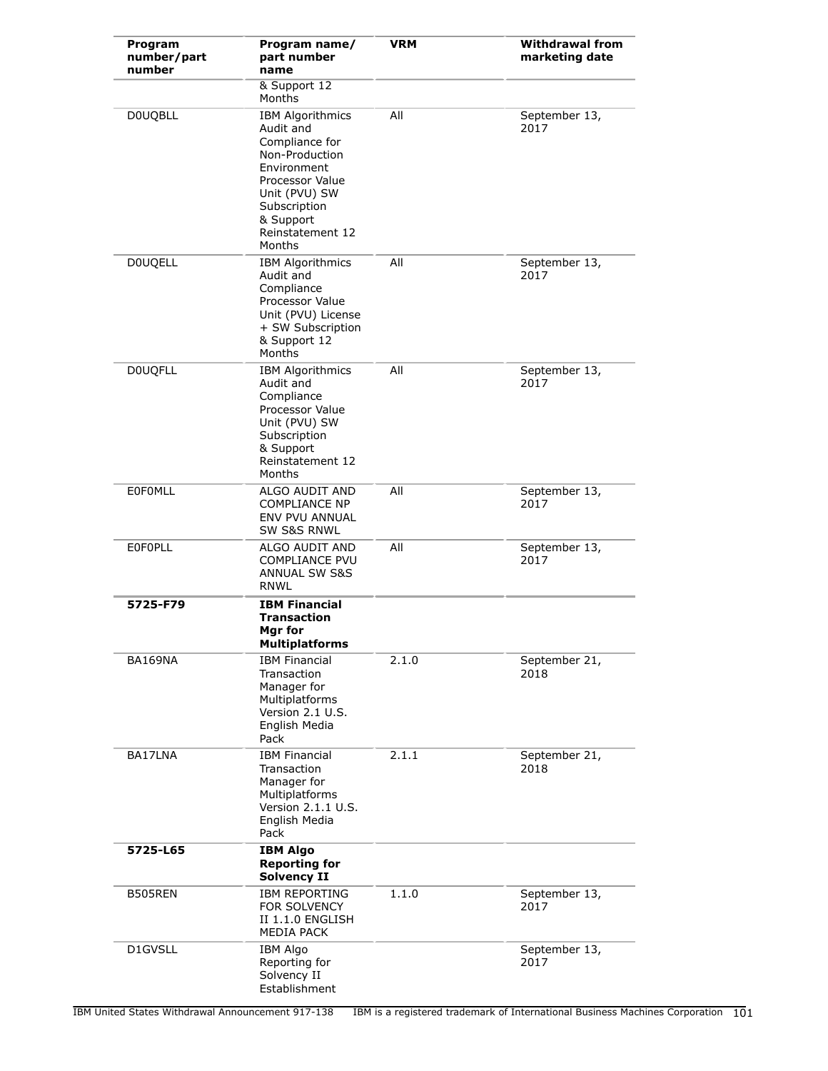| Program<br>number/part<br>number | Program name/<br>part number<br>name                                                                                                                                                   | <b>VRM</b> | <b>Withdrawal from</b><br>marketing date |
|----------------------------------|----------------------------------------------------------------------------------------------------------------------------------------------------------------------------------------|------------|------------------------------------------|
|                                  | & Support 12<br>Months                                                                                                                                                                 |            |                                          |
| <b>DOUQBLL</b>                   | <b>IBM Algorithmics</b><br>Audit and<br>Compliance for<br>Non-Production<br>Environment<br>Processor Value<br>Unit (PVU) SW<br>Subscription<br>& Support<br>Reinstatement 12<br>Months | All        | September 13,<br>2017                    |
| <b>DOUQELL</b>                   | <b>IBM Algorithmics</b><br>Audit and<br>Compliance<br>Processor Value<br>Unit (PVU) License<br>+ SW Subscription<br>& Support 12<br>Months                                             | All        | September 13,<br>2017                    |
| <b>DOUQFLL</b>                   | <b>IBM Algorithmics</b><br>Audit and<br>Compliance<br>Processor Value<br>Unit (PVU) SW<br>Subscription<br>& Support<br>Reinstatement 12<br>Months                                      | All        | September 13,<br>2017                    |
| <b>EOFOMLL</b>                   | ALGO AUDIT AND<br><b>COMPLIANCE NP</b><br>ENV PVU ANNUAL<br><b>SW S&amp;S RNWL</b>                                                                                                     | All        | September 13,<br>2017                    |
| <b>EOFOPLL</b>                   | ALGO AUDIT AND<br>COMPLIANCE PVU<br>ANNUAL SW S&S<br><b>RNWL</b>                                                                                                                       | All        | September 13,<br>2017                    |
| 5725-F79                         | <b>IBM Financial</b><br><b>Transaction</b><br>Mgr for<br><b>Multiplatforms</b>                                                                                                         |            |                                          |
| BA169NA                          | <b>IBM Financial</b><br>Transaction<br>Manager for<br>Multiplatforms<br>Version 2.1 U.S.<br>English Media<br>Pack                                                                      | 2.1.0      | September 21,<br>2018                    |
| BA17LNA                          | <b>IBM Financial</b><br>Transaction<br>Manager for<br>Multiplatforms<br>Version 2.1.1 U.S.<br>English Media<br>Pack                                                                    | 2.1.1      | September 21,<br>2018                    |
| 5725-L65                         | <b>IBM Algo</b><br><b>Reporting for</b><br><b>Solvency II</b>                                                                                                                          |            |                                          |
| B505REN                          | <b>IBM REPORTING</b><br><b>FOR SOLVENCY</b><br>II 1.1.0 ENGLISH<br><b>MEDIA PACK</b>                                                                                                   | 1.1.0      | September 13,<br>2017                    |
| D1GVSLL                          | <b>IBM Algo</b><br>Reporting for<br>Solvency II<br>Establishment                                                                                                                       |            | September 13,<br>2017                    |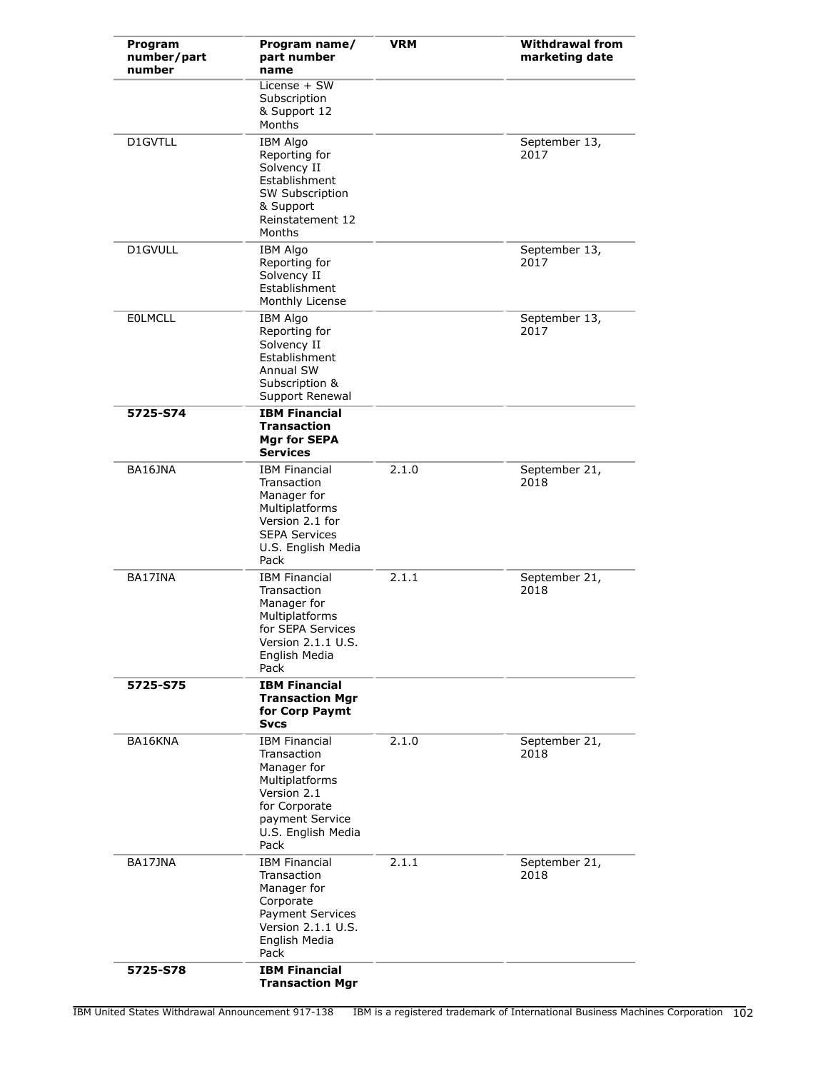| Program<br>number/part<br>number | Program name/<br>part number<br>name                                                                                                                  | <b>VRM</b> | <b>Withdrawal from</b><br>marketing date |
|----------------------------------|-------------------------------------------------------------------------------------------------------------------------------------------------------|------------|------------------------------------------|
|                                  | License $+$ SW<br>Subscription<br>& Support 12<br>Months                                                                                              |            |                                          |
| D1GVTLL                          | <b>IBM Algo</b><br>Reporting for<br>Solvency II<br>Establishment<br>SW Subscription<br>& Support<br>Reinstatement 12<br>Months                        |            | September 13,<br>2017                    |
| D1GVULL                          | <b>IBM Algo</b><br>Reporting for<br>Solvency II<br>Establishment<br>Monthly License                                                                   |            | September 13,<br>2017                    |
| <b>EOLMCLL</b>                   | <b>IBM Algo</b><br>Reporting for<br>Solvency II<br>Establishment<br>Annual SW<br>Subscription &<br>Support Renewal                                    |            | September 13,<br>2017                    |
| 5725-S74                         | <b>IBM Financial</b><br><b>Transaction</b><br>Mgr for SEPA<br><b>Services</b>                                                                         |            |                                          |
| BA16JNA                          | <b>IBM Financial</b><br>Transaction<br>Manager for<br>Multiplatforms<br>Version 2.1 for<br><b>SEPA Services</b><br>U.S. English Media<br>Pack         | 2.1.0      | September 21,<br>2018                    |
| BA17INA                          | <b>IBM Financial</b><br>Transaction<br>Manager for<br>Multiplatforms<br>for SEPA Services<br>Version 2.1.1 U.S.<br>English Media<br>Pack              | 2.1.1      | September 21,<br>2018                    |
| 5725-S75                         | <b>IBM Financial</b><br><b>Transaction Mgr</b><br>for Corp Paymt<br><b>Svcs</b>                                                                       |            |                                          |
| BA16KNA                          | <b>IBM Financial</b><br>Transaction<br>Manager for<br>Multiplatforms<br>Version 2.1<br>for Corporate<br>payment Service<br>U.S. English Media<br>Pack | 2.1.0      | September 21,<br>2018                    |
| BA17JNA                          | <b>IBM Financial</b><br>Transaction<br>Manager for<br>Corporate<br>Payment Services<br>Version 2.1.1 U.S.<br>English Media<br>Pack                    | 2.1.1      | September 21,<br>2018                    |
| 5725-S78                         | <b>IBM Financial</b><br><b>Transaction Mgr</b>                                                                                                        |            |                                          |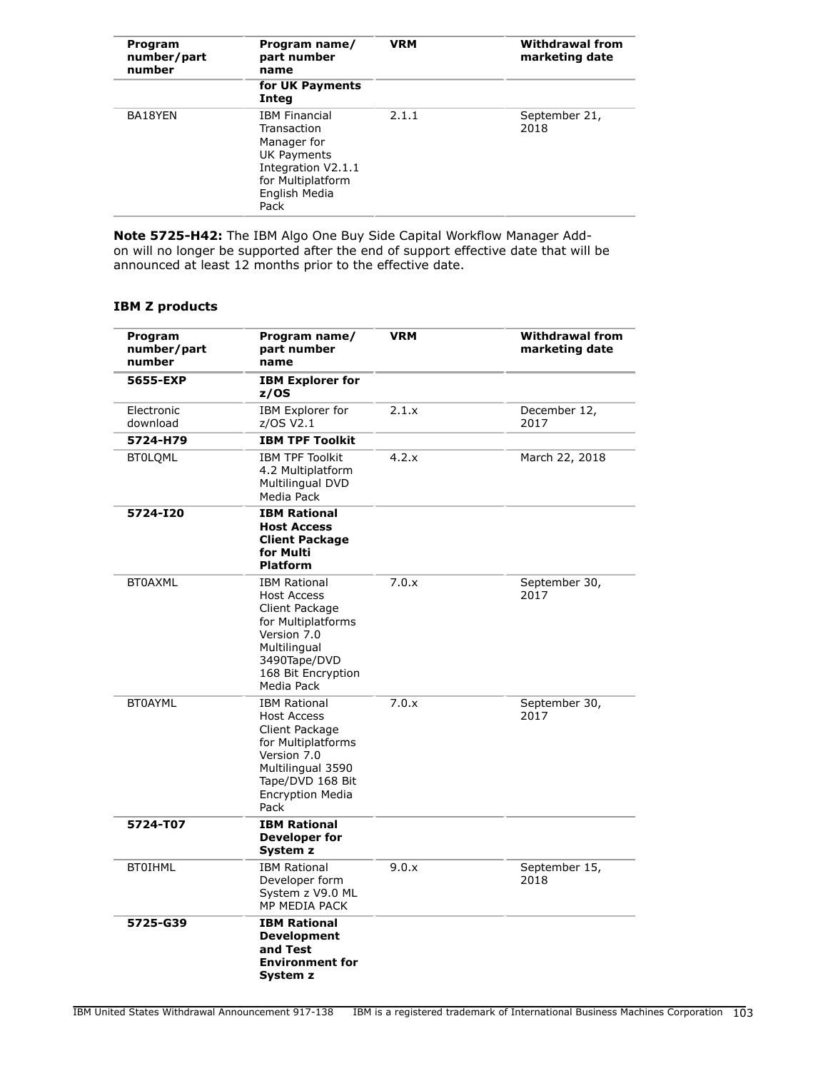| Program<br>number/part<br>number | Program name/<br>part number<br>name                                                                                                  | <b>VRM</b> | <b>Withdrawal from</b><br>marketing date |
|----------------------------------|---------------------------------------------------------------------------------------------------------------------------------------|------------|------------------------------------------|
|                                  | for UK Payments<br>Integ                                                                                                              |            |                                          |
| BA18YEN                          | <b>IBM Financial</b><br>Transaction<br>Manager for<br>UK Payments<br>Integration V2.1.1<br>for Multiplatform<br>English Media<br>Pack | 2.1.1      | September 21,<br>2018                    |

**Note 5725-H42:** The IBM Algo One Buy Side Capital Workflow Manager Addon will no longer be supported after the end of support effective date that will be announced at least 12 months prior to the effective date.

# **IBM Z products**

| Program<br>number/part<br>number | Program name/<br>part number<br>name                                                                                                                                         | <b>VRM</b> | <b>Withdrawal from</b><br>marketing date |
|----------------------------------|------------------------------------------------------------------------------------------------------------------------------------------------------------------------------|------------|------------------------------------------|
| 5655-EXP                         | <b>IBM Explorer for</b><br>z/OS                                                                                                                                              |            |                                          |
| Electronic<br>download           | <b>IBM Explorer for</b><br>z/OS V2.1                                                                                                                                         | 2.1.x      | December 12,<br>2017                     |
| 5724-H79                         | <b>IBM TPF Toolkit</b>                                                                                                                                                       |            |                                          |
| <b>BT0LQML</b>                   | <b>IBM TPF Toolkit</b><br>4.2 Multiplatform<br>Multilingual DVD<br>Media Pack                                                                                                | 4.2.x      | March 22, 2018                           |
| 5724-I20                         | <b>IBM Rational</b><br><b>Host Access</b><br><b>Client Package</b><br>for Multi<br><b>Platform</b>                                                                           |            |                                          |
| <b>BT0AXML</b>                   | <b>IBM Rational</b><br><b>Host Access</b><br>Client Package<br>for Multiplatforms<br>Version 7.0<br>Multilingual<br>3490Tape/DVD<br>168 Bit Encryption<br>Media Pack         | 7.0.x      | September 30,<br>2017                    |
| <b>BT0AYML</b>                   | <b>IBM Rational</b><br><b>Host Access</b><br>Client Package<br>for Multiplatforms<br>Version 7.0<br>Multilingual 3590<br>Tape/DVD 168 Bit<br><b>Encryption Media</b><br>Pack | 7.0.x      | September 30,<br>2017                    |
| 5724-T07                         | <b>IBM Rational</b><br>Developer for<br>System z                                                                                                                             |            |                                          |
| <b>BTOIHML</b>                   | <b>IBM Rational</b><br>Developer form<br>System z V9.0 ML<br>MP MEDIA PACK                                                                                                   | 9.0.x      | September 15,<br>2018                    |
| 5725-G39                         | <b>IBM Rational</b><br><b>Development</b><br>and Test<br><b>Environment for</b><br>System z                                                                                  |            |                                          |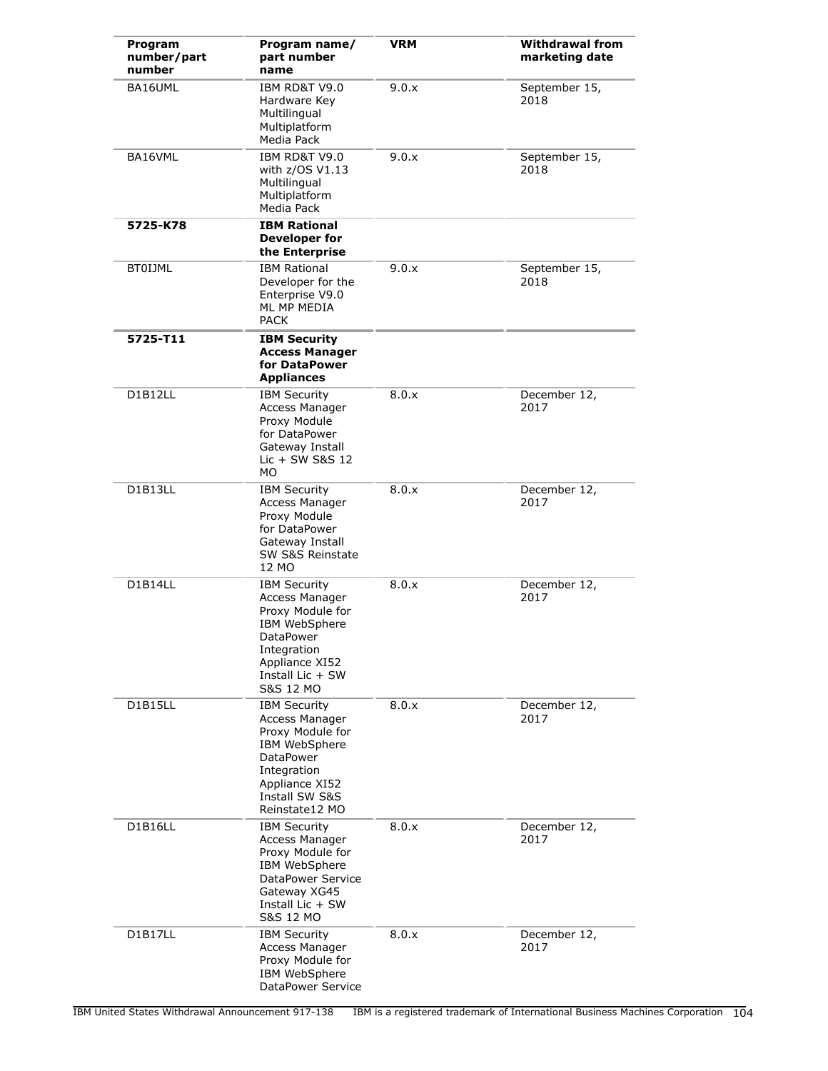| Program<br>number/part<br>number | Program name/<br>part number<br>name                                                                                                                                 | <b>VRM</b> | <b>Withdrawal from</b><br>marketing date |
|----------------------------------|----------------------------------------------------------------------------------------------------------------------------------------------------------------------|------------|------------------------------------------|
| BA16UML                          | IBM RD&T V9.0<br>Hardware Key<br>Multilingual<br>Multiplatform<br>Media Pack                                                                                         | 9.0.x      | September 15,<br>2018                    |
| BA16VML                          | IBM RD&T V9.0<br>with z/OS V1.13<br>Multilingual<br>Multiplatform<br>Media Pack                                                                                      | 9.0.x      | September 15,<br>2018                    |
| 5725-K78                         | <b>IBM Rational</b><br>Developer for<br>the Enterprise                                                                                                               |            |                                          |
| <b>BT0IJML</b>                   | <b>IBM Rational</b><br>Developer for the<br>Enterprise V9.0<br>ML MP MEDIA<br><b>PACK</b>                                                                            | 9.0.x      | September 15,<br>2018                    |
| 5725-T11                         | <b>IBM Security</b><br><b>Access Manager</b><br>for DataPower<br><b>Appliances</b>                                                                                   |            |                                          |
| D1B12LL                          | <b>IBM Security</b><br>Access Manager<br>Proxy Module<br>for DataPower<br>Gateway Install<br>Lic + SW S&S 12<br>MO.                                                  | 8.0.x      | December 12,<br>2017                     |
| D1B13LL                          | <b>IBM Security</b><br>Access Manager<br>Proxy Module<br>for DataPower<br>Gateway Install<br>SW S&S Reinstate<br>12 MO                                               | 8.0.x      | December 12,<br>2017                     |
| D1B14LL                          | <b>IBM Security</b><br>Access Manager<br>Proxy Module for<br>IBM WebSphere<br>DataPower<br>Integration<br>Appliance XI52<br>Install Lic + SW<br><b>S&amp;S 12 MO</b> | 8.0.x      | December 12,<br>2017                     |
| D1B15LL                          | <b>IBM Security</b><br>Access Manager<br>Proxy Module for<br>IBM WebSphere<br><b>DataPower</b><br>Integration<br>Appliance XI52<br>Install SW S&S<br>Reinstate12 MO  | 8.0.x      | December 12,<br>2017                     |
| D1B16LL                          | <b>IBM Security</b><br><b>Access Manager</b><br>Proxy Module for<br>IBM WebSphere<br>DataPower Service<br>Gateway XG45<br>Install Lic + SW<br>S&S 12 MO              | 8.0.x      | December 12,<br>2017                     |
| D1B17LL                          | <b>IBM Security</b><br>Access Manager<br>Proxy Module for<br>IBM WebSphere<br>DataPower Service                                                                      | 8.0.x      | December 12,<br>2017                     |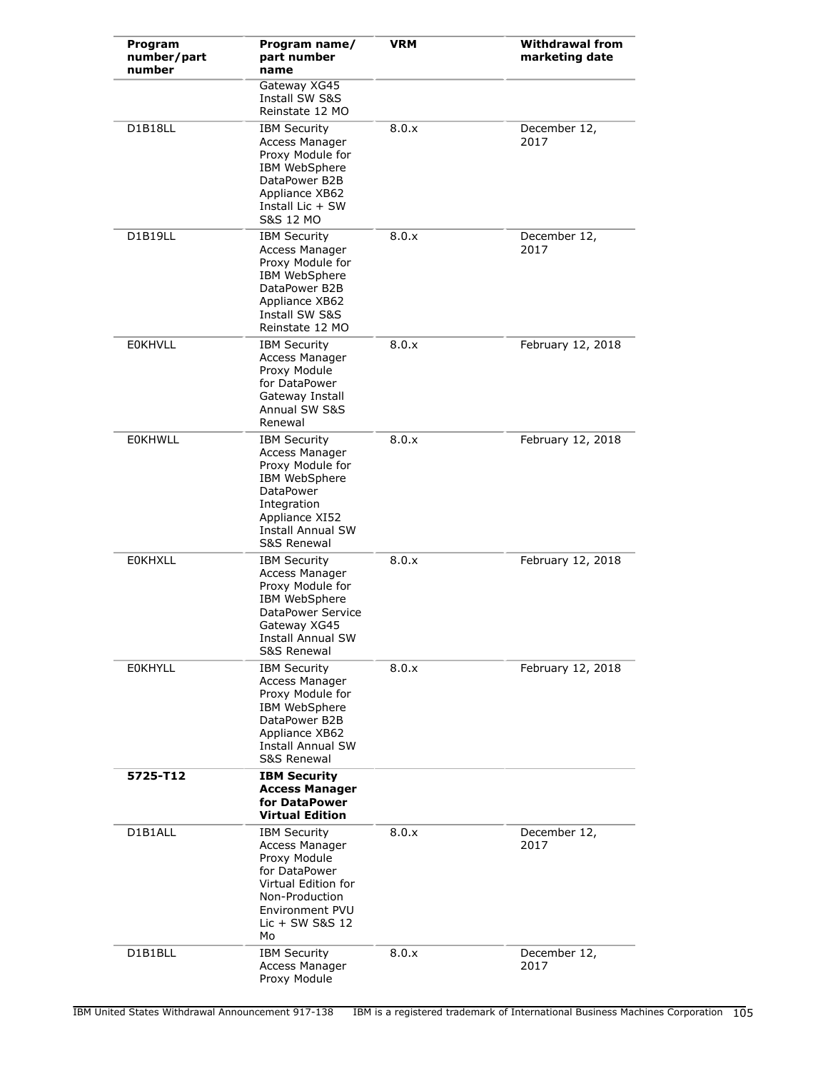| Program<br>number/part<br>number | Program name/<br>part number<br>name                                                                                                                                                  | <b>VRM</b> | <b>Withdrawal from</b><br>marketing date |
|----------------------------------|---------------------------------------------------------------------------------------------------------------------------------------------------------------------------------------|------------|------------------------------------------|
|                                  | Gateway XG45<br>Install SW S&S<br>Reinstate 12 MO                                                                                                                                     |            |                                          |
| D1B18LL                          | <b>IBM Security</b><br>Access Manager<br>Proxy Module for<br>IBM WebSphere<br>DataPower B2B<br>Appliance XB62<br>Install Lic $+$ SW<br>S&S 12 MO                                      | 8.0.x      | December 12,<br>2017                     |
| D1B19LL                          | <b>IBM Security</b><br>Access Manager<br>Proxy Module for<br>IBM WebSphere<br>DataPower B2B<br>Appliance XB62<br>Install SW S&S<br>Reinstate 12 MO                                    | 8.0.x      | December 12,<br>2017                     |
| <b>EOKHVLL</b>                   | <b>IBM Security</b><br>Access Manager<br>Proxy Module<br>for DataPower<br>Gateway Install<br>Annual SW S&S<br>Renewal                                                                 | 8.0.x      | February 12, 2018                        |
| <b>EOKHWLL</b>                   | <b>IBM Security</b><br>Access Manager<br>Proxy Module for<br>IBM WebSphere<br><b>DataPower</b><br>Integration<br>Appliance XI52<br><b>Install Annual SW</b><br><b>S&amp;S Renewal</b> | 8.0.x      | February 12, 2018                        |
| <b>EOKHXLL</b>                   | <b>IBM Security</b><br>Access Manager<br>Proxy Module for<br>IBM WebSphere<br>DataPower Service<br>Gateway XG45<br>Install Annual SW<br><b>S&amp;S Renewal</b>                        | 8.0.x      | February 12, 2018                        |
| <b>EOKHYLL</b>                   | <b>IBM Security</b><br>Access Manager<br>Proxy Module for<br>IBM WebSphere<br>DataPower B2B<br>Appliance XB62<br><b>Install Annual SW</b><br>S&S Renewal                              | 8.0.x      | February 12, 2018                        |
| 5725-T12                         | <b>IBM Security</b><br><b>Access Manager</b><br>for DataPower<br><b>Virtual Edition</b>                                                                                               |            |                                          |
| D1B1ALL                          | <b>IBM Security</b><br>Access Manager<br>Proxy Module<br>for DataPower<br>Virtual Edition for<br>Non-Production<br>Environment PVU<br>$Lie + SW$ S&S 12<br>Mo                         | 8.0.x      | December 12,<br>2017                     |
| D1B1BLL                          | <b>IBM Security</b><br>Access Manager<br>Proxy Module                                                                                                                                 | 8.0.x      | December 12,<br>2017                     |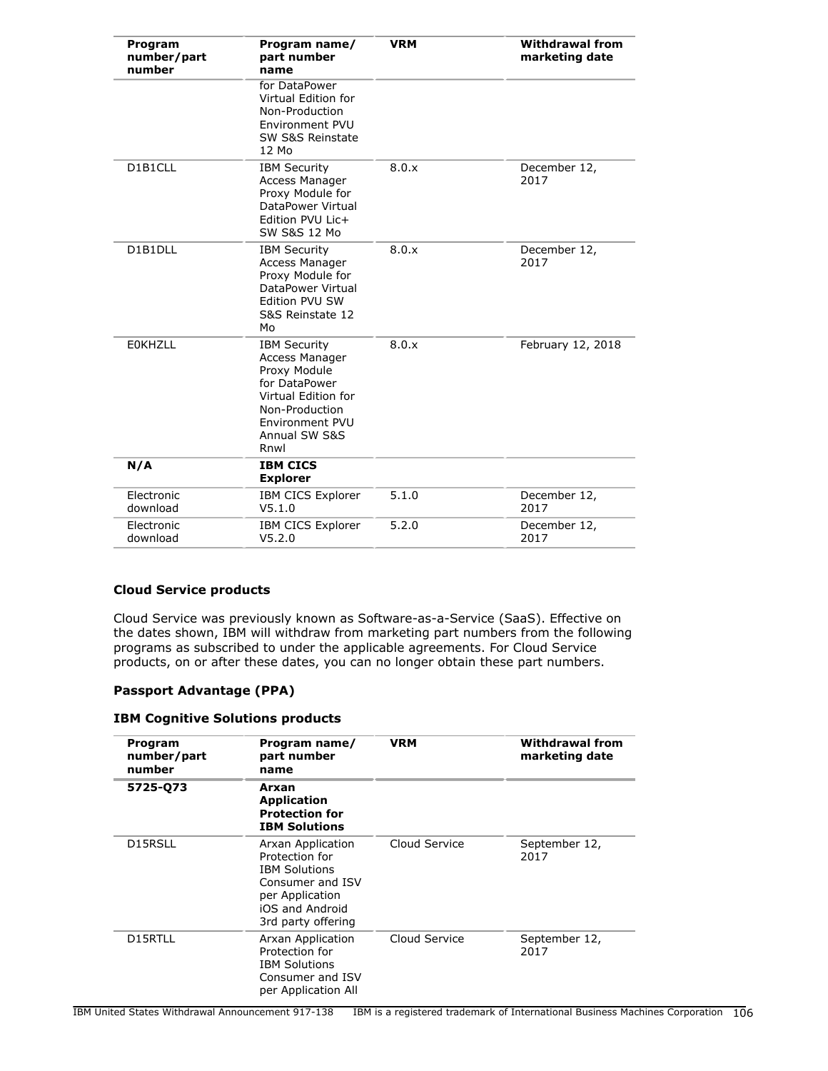| Program<br>number/part<br>number | Program name/<br>part number<br>name                                                                                                                        | <b>VRM</b> | <b>Withdrawal from</b><br>marketing date |
|----------------------------------|-------------------------------------------------------------------------------------------------------------------------------------------------------------|------------|------------------------------------------|
|                                  | for DataPower<br>Virtual Edition for<br>Non-Production<br>Environment PVU<br>SW S&S Reinstate<br>12 Mo                                                      |            |                                          |
| D1B1CLL                          | <b>IBM Security</b><br>Access Manager<br>Proxy Module for<br>DataPower Virtual<br>Edition PVU Lic+<br><b>SW S&amp;S 12 Mo</b>                               | 8.0.x      | December 12,<br>2017                     |
| D1B1DLL                          | <b>IBM Security</b><br>Access Manager<br>Proxy Module for<br>DataPower Virtual<br>Edition PVU SW<br>S&S Reinstate 12<br>Mo                                  | 8.0.x      | December 12,<br>2017                     |
| <b>EOKHZLL</b>                   | <b>IBM Security</b><br>Access Manager<br>Proxy Module<br>for DataPower<br>Virtual Edition for<br>Non-Production<br>Environment PVU<br>Annual SW S&S<br>Rnwl | 8.0.x      | February 12, 2018                        |
| N/A                              | <b>IBM CICS</b><br><b>Explorer</b>                                                                                                                          |            |                                          |
| Electronic<br>download           | <b>IBM CICS Explorer</b><br>V5.1.0                                                                                                                          | 5.1.0      | December 12,<br>2017                     |
| Electronic<br>download           | <b>IBM CICS Explorer</b><br>V5.2.0                                                                                                                          | 5.2.0      | December 12,<br>2017                     |

# **Cloud Service products**

Cloud Service was previously known as Software-as-a-Service (SaaS). Effective on the dates shown, IBM will withdraw from marketing part numbers from the following programs as subscribed to under the applicable agreements. For Cloud Service products, on or after these dates, you can no longer obtain these part numbers.

### **Passport Advantage (PPA)**

#### **IBM Cognitive Solutions products**

| Program<br>number/part<br>number | Program name/<br>part number<br>name                                                                                                        | <b>VRM</b>    | <b>Withdrawal from</b><br>marketing date |
|----------------------------------|---------------------------------------------------------------------------------------------------------------------------------------------|---------------|------------------------------------------|
| 5725-Q73                         | Arxan<br><b>Application</b><br><b>Protection for</b><br><b>IBM Solutions</b>                                                                |               |                                          |
| D15RSLL                          | Arxan Application<br>Protection for<br><b>IBM Solutions</b><br>Consumer and ISV<br>per Application<br>iOS and Android<br>3rd party offering | Cloud Service | September 12,<br>2017                    |
| D15RTLL                          | Arxan Application<br>Protection for<br><b>IBM Solutions</b><br>Consumer and ISV<br>per Application All                                      | Cloud Service | September 12,<br>2017                    |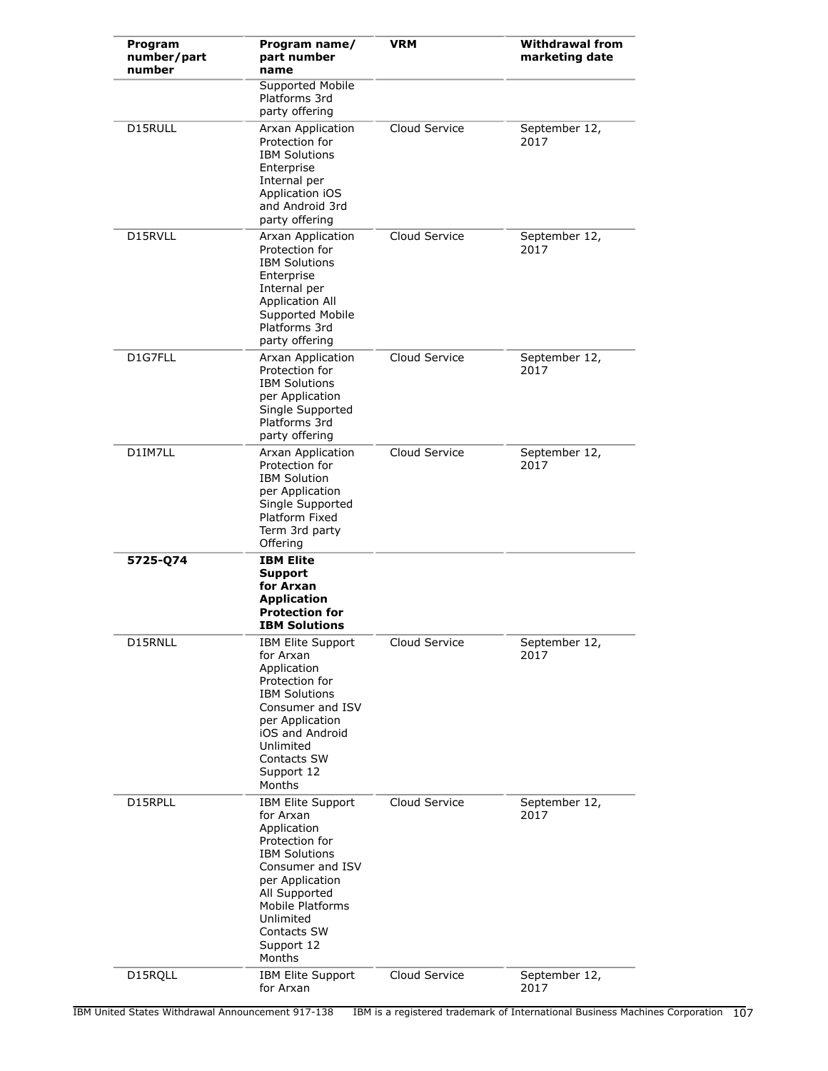| Program<br>number/part<br>number | Program name/<br>part number<br>name                                                                                                                                                                                           | <b>VRM</b>    | <b>Withdrawal from</b><br>marketing date |
|----------------------------------|--------------------------------------------------------------------------------------------------------------------------------------------------------------------------------------------------------------------------------|---------------|------------------------------------------|
|                                  | Supported Mobile<br>Platforms 3rd<br>party offering                                                                                                                                                                            |               |                                          |
| D15RULL                          | Arxan Application<br>Protection for<br><b>IBM Solutions</b><br>Enterprise<br>Internal per<br>Application iOS<br>and Android 3rd<br>party offering                                                                              | Cloud Service | September 12,<br>2017                    |
| D15RVLL                          | Arxan Application<br>Protection for<br><b>IBM Solutions</b><br>Enterprise<br>Internal per<br>Application All<br>Supported Mobile<br>Platforms 3rd<br>party offering                                                            | Cloud Service | September 12,<br>2017                    |
| D1G7FLL                          | Arxan Application<br>Protection for<br><b>IBM Solutions</b><br>per Application<br>Single Supported<br>Platforms 3rd<br>party offering                                                                                          | Cloud Service | September 12,<br>2017                    |
| D1IM7LL                          | Arxan Application<br>Protection for<br><b>IBM Solution</b><br>per Application<br>Single Supported<br>Platform Fixed<br>Term 3rd party<br>Offering                                                                              | Cloud Service | September 12,<br>2017                    |
| 5725-Q74                         | <b>IBM Elite</b><br><b>Support</b><br>for Arxan<br><b>Application</b><br><b>Protection for</b><br><b>IBM Solutions</b>                                                                                                         |               |                                          |
| D15RNLL                          | IBM Elite Support<br>for Arxan<br>Application<br>Protection for<br><b>IBM Solutions</b><br>Consumer and ISV<br>per Application<br>iOS and Android<br>Unlimited<br>Contacts SW<br>Support 12<br>Months                          | Cloud Service | September 12,<br>2017                    |
| D15RPLL                          | <b>IBM Elite Support</b><br>for Arxan<br>Application<br>Protection for<br><b>IBM Solutions</b><br>Consumer and ISV<br>per Application<br>All Supported<br>Mobile Platforms<br>Unlimited<br>Contacts SW<br>Support 12<br>Months | Cloud Service | September 12,<br>2017                    |
| D15RQLL                          | <b>IBM Elite Support</b><br>for Arxan                                                                                                                                                                                          | Cloud Service | September 12,<br>2017                    |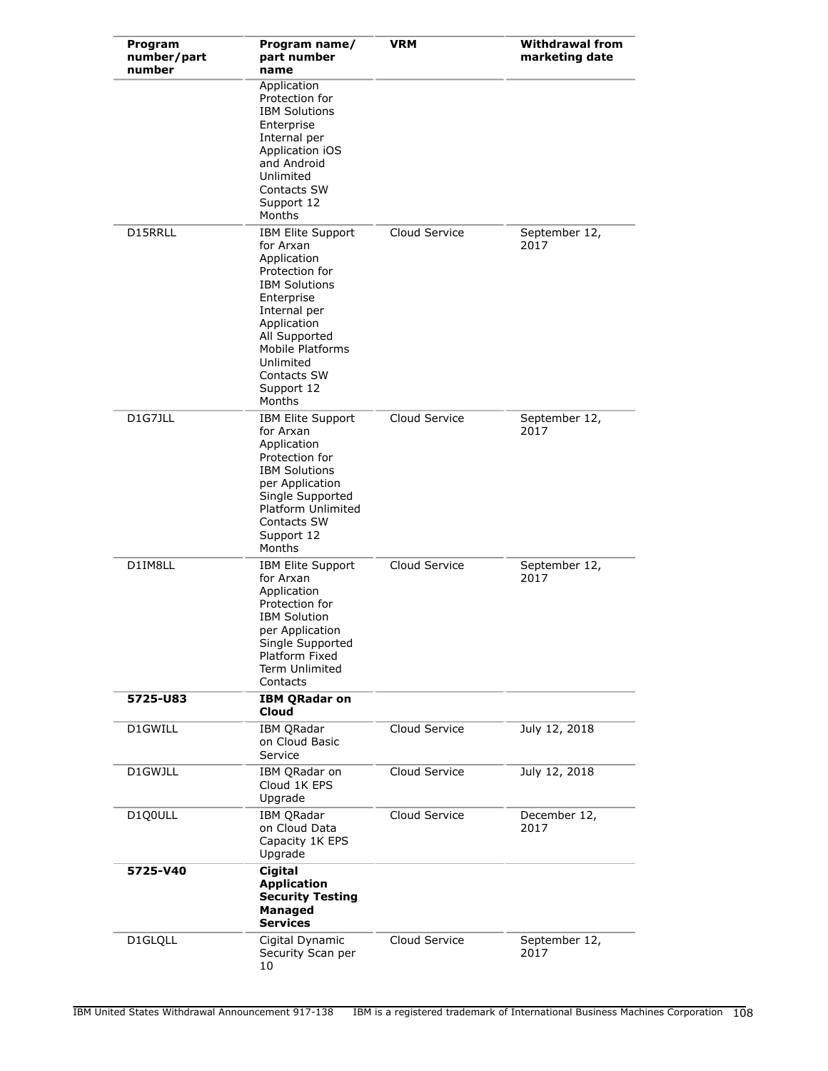| Program<br>number/part<br>number | Program name/<br>part number<br>name                                                                                                                                                                                                        | <b>VRM</b>    | <b>Withdrawal from</b><br>marketing date |
|----------------------------------|---------------------------------------------------------------------------------------------------------------------------------------------------------------------------------------------------------------------------------------------|---------------|------------------------------------------|
|                                  | Application<br>Protection for<br><b>IBM Solutions</b><br>Enterprise<br>Internal per<br>Application iOS<br>and Android<br>Unlimited<br>Contacts SW<br>Support 12<br>Months                                                                   |               |                                          |
| D15RRLL                          | <b>IBM Elite Support</b><br>for Arxan<br>Application<br>Protection for<br><b>IBM Solutions</b><br>Enterprise<br>Internal per<br>Application<br>All Supported<br><b>Mobile Platforms</b><br>Unlimited<br>Contacts SW<br>Support 12<br>Months | Cloud Service | September 12,<br>2017                    |
| D1G7JLL                          | IBM Elite Support<br>for Arxan<br>Application<br>Protection for<br><b>IBM Solutions</b><br>per Application<br>Single Supported<br>Platform Unlimited<br>Contacts SW<br>Support 12<br>Months                                                 | Cloud Service | September 12,<br>2017                    |
| D1IM8LL                          | <b>IBM Elite Support</b><br>for Arxan<br>Application<br>Protection for<br><b>IBM Solution</b><br>per Application<br>Single Supported<br>Platform Fixed<br>Term Unlimited<br>Contacts                                                        | Cloud Service | September 12,<br>2017                    |
| 5725-U83                         | <b>IBM QRadar on</b><br>Cloud                                                                                                                                                                                                               |               |                                          |
| D1GWILL                          | <b>IBM QRadar</b><br>on Cloud Basic<br>Service                                                                                                                                                                                              | Cloud Service | July 12, 2018                            |
| D1GWJLL                          | IBM QRadar on<br>Cloud 1K EPS<br>Upgrade                                                                                                                                                                                                    | Cloud Service | July 12, 2018                            |
| D100ULL                          | <b>IBM QRadar</b><br>on Cloud Data<br>Capacity 1K EPS<br>Upgrade                                                                                                                                                                            | Cloud Service | December 12,<br>2017                     |
| 5725-V40                         | <b>Cigital</b><br><b>Application</b><br><b>Security Testing</b><br>Managed<br><b>Services</b>                                                                                                                                               |               |                                          |
| D1GLQLL                          | Cigital Dynamic<br>Security Scan per<br>10                                                                                                                                                                                                  | Cloud Service | September 12,<br>2017                    |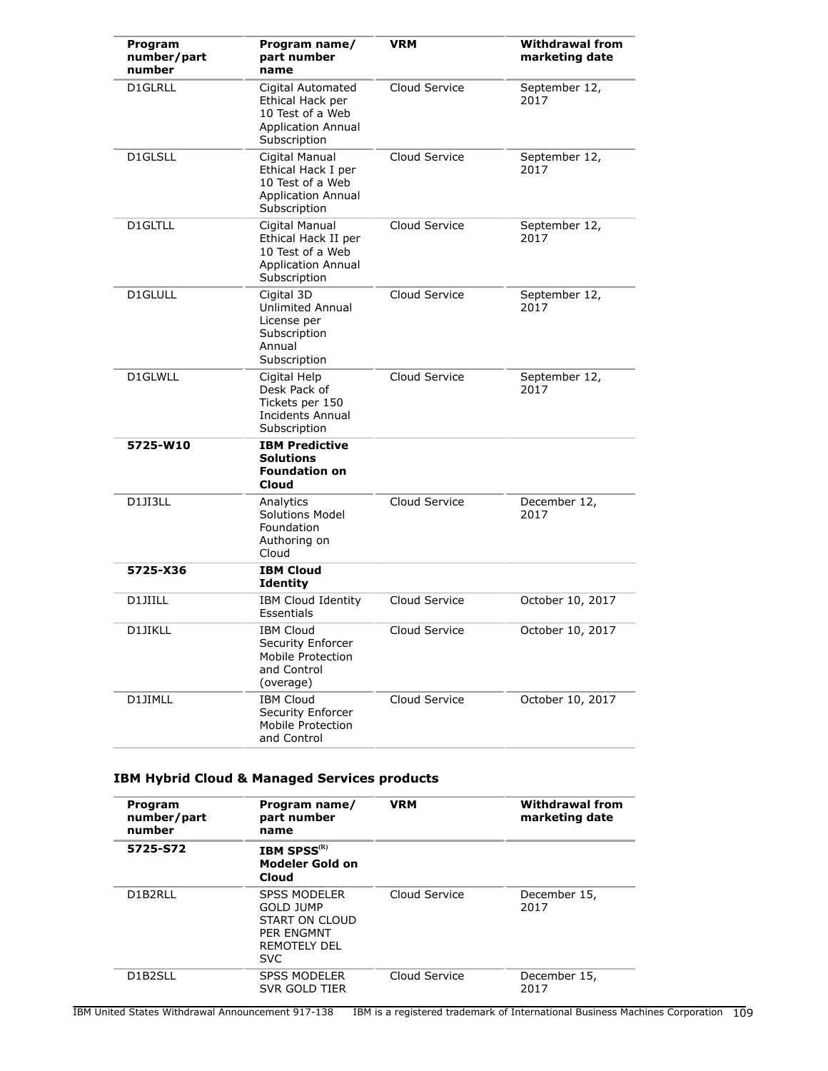| Program<br>number/part<br>number | Program name/<br>part number<br>name                                                                   | <b>VRM</b>    | <b>Withdrawal from</b><br>marketing date |
|----------------------------------|--------------------------------------------------------------------------------------------------------|---------------|------------------------------------------|
| D1GLRLL                          | Cigital Automated<br>Ethical Hack per<br>10 Test of a Web<br><b>Application Annual</b><br>Subscription | Cloud Service | September 12,<br>2017                    |
| D1GLSLL                          | Cigital Manual<br>Ethical Hack I per<br>10 Test of a Web<br><b>Application Annual</b><br>Subscription  | Cloud Service | September 12,<br>2017                    |
| D1GLTLL                          | Cigital Manual<br>Ethical Hack II per<br>10 Test of a Web<br><b>Application Annual</b><br>Subscription | Cloud Service | September 12,<br>2017                    |
| D1GLULL                          | Cigital 3D<br>Unlimited Annual<br>License per<br>Subscription<br>Annual<br>Subscription                | Cloud Service | September 12,<br>2017                    |
| D1GLWLL                          | Cigital Help<br>Desk Pack of<br>Tickets per 150<br>Incidents Annual<br>Subscription                    | Cloud Service | September 12,<br>2017                    |
| 5725-W10                         | <b>IBM Predictive</b><br><b>Solutions</b><br><b>Foundation on</b><br>Cloud                             |               |                                          |
| D1JI3LL                          | Cloud Service<br>Analytics<br>Solutions Model<br>Foundation<br>Authoring on<br>Cloud                   |               | December 12,<br>2017                     |
| 5725-X36                         | <b>IBM Cloud</b><br>Identity                                                                           |               |                                          |
| D1JIILL                          | <b>IBM Cloud Identity</b><br>Essentials                                                                | Cloud Service | October 10, 2017                         |
| D1JIKLL                          | <b>IBM Cloud</b><br>Security Enforcer<br>Mobile Protection<br>and Control<br>(overage)                 | Cloud Service | October 10, 2017                         |
| D1JIMLL                          | <b>IBM Cloud</b><br>Security Enforcer<br>Mobile Protection<br>and Control                              | Cloud Service | October 10, 2017                         |

# **IBM Hybrid Cloud & Managed Services products**

| Program<br>number/part<br>number | Program name/<br>part number<br>name                                                                                | <b>VRM</b>    | <b>Withdrawal from</b><br>marketing date |  |
|----------------------------------|---------------------------------------------------------------------------------------------------------------------|---------------|------------------------------------------|--|
| 5725-S72                         | <b>IBM SPSS</b> <sup>(R)</sup><br>Modeler Gold on<br>Cloud                                                          |               |                                          |  |
| D1B2RLL                          | <b>SPSS MODELER</b><br><b>GOLD JUMP</b><br>START ON CLOUD<br><b>PER ENGMNT</b><br><b>REMOTELY DEL</b><br><b>SVC</b> | Cloud Service | December 15,<br>2017                     |  |
| D1B2SLL                          | <b>SPSS MODELER</b><br>SVR GOLD TIER                                                                                | Cloud Service | December 15,<br>2017                     |  |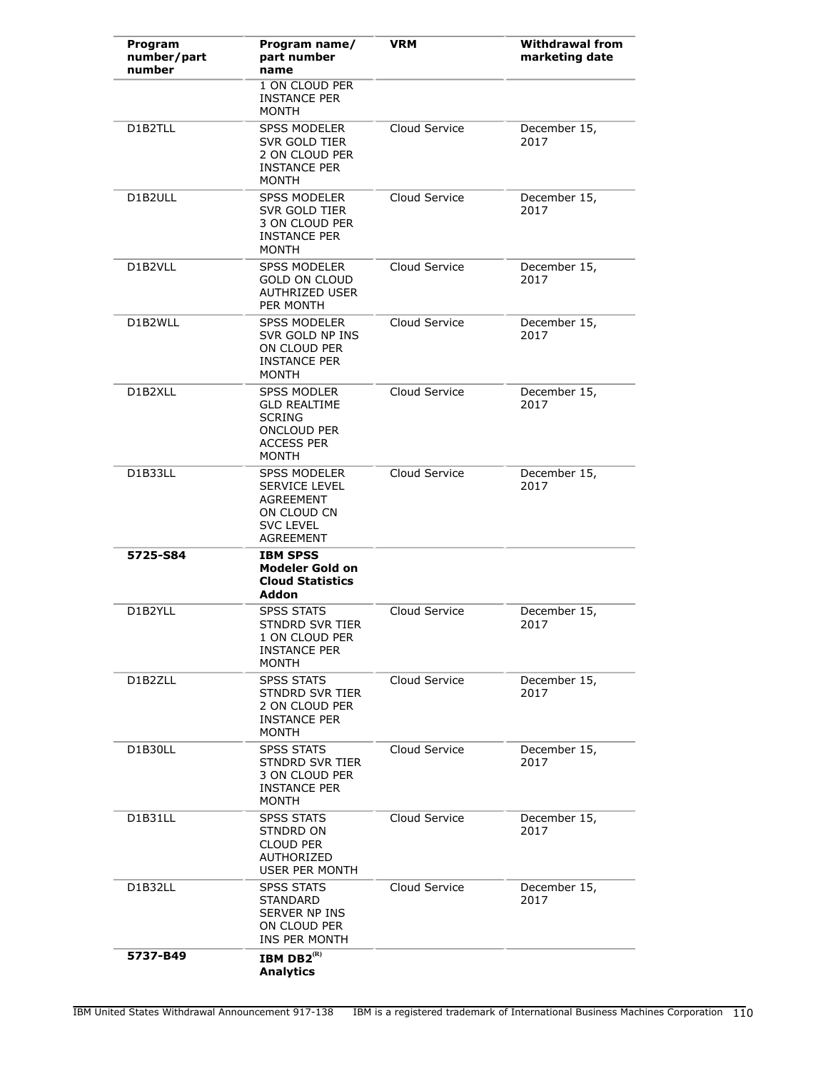| Program<br>number/part<br>number | Program name/<br>part number<br>name                                                                                  | <b>VRM</b>    | <b>Withdrawal from</b><br>marketing date |
|----------------------------------|-----------------------------------------------------------------------------------------------------------------------|---------------|------------------------------------------|
|                                  | 1 ON CLOUD PER<br><b>INSTANCE PER</b><br><b>MONTH</b>                                                                 |               |                                          |
| D1B2TLL                          | <b>SPSS MODELER</b><br>SVR GOLD TIER<br>2 ON CLOUD PER<br><b>INSTANCE PER</b><br><b>MONTH</b>                         | Cloud Service | December 15,<br>2017                     |
| D1B2ULL                          | <b>SPSS MODELER</b><br>SVR GOLD TIER<br>3 ON CLOUD PER<br><b>INSTANCE PER</b><br><b>MONTH</b>                         | Cloud Service | December 15,<br>2017                     |
| D1B2VLL                          | <b>SPSS MODELER</b><br><b>GOLD ON CLOUD</b><br><b>AUTHRIZED USER</b><br>PER MONTH                                     | Cloud Service | December 15,<br>2017                     |
| D1B2WLL                          | <b>SPSS MODELER</b><br>SVR GOLD NP INS<br>ON CLOUD PER<br><b>INSTANCE PER</b><br><b>MONTH</b>                         | Cloud Service | December 15,<br>2017                     |
| D1B2XLL                          | <b>SPSS MODLER</b><br><b>GLD REALTIME</b><br><b>SCRING</b><br><b>ONCLOUD PER</b><br><b>ACCESS PER</b><br><b>MONTH</b> | Cloud Service | December 15,<br>2017                     |
| D1B33LL                          | <b>SPSS MODELER</b><br><b>SERVICE LEVEL</b><br><b>AGREEMENT</b><br>ON CLOUD CN<br><b>SVC LEVEL</b><br>AGREEMENT       | Cloud Service | December 15,<br>2017                     |
| 5725-S84                         | <b>IBM SPSS</b><br><b>Modeler Gold on</b><br><b>Cloud Statistics</b><br>Addon                                         |               |                                          |
| D1B2YLL                          | <b>SPSS STATS</b><br>STNDRD SVR TIER<br>1 ON CLOUD PER<br><b>INSTANCE PER</b><br><b>MONTH</b>                         | Cloud Service | December 15,<br>2017                     |
| D1B2ZLL                          | <b>SPSS STATS</b><br><b>STNDRD SVR TIER</b><br>2 ON CLOUD PER<br><b>INSTANCE PER</b><br><b>MONTH</b>                  | Cloud Service | December 15,<br>2017                     |
| D1B30LL                          | <b>SPSS STATS</b><br><b>STNDRD SVR TIER</b><br>3 ON CLOUD PER<br><b>INSTANCE PER</b><br><b>MONTH</b>                  | Cloud Service | December 15,<br>2017                     |
| D1B31LL                          | <b>SPSS STATS</b><br>STNDRD ON<br>CLOUD PER<br>AUTHORIZED<br>USER PER MONTH                                           | Cloud Service | December 15,<br>2017                     |
| D1B32LL                          | <b>SPSS STATS</b><br>STANDARD<br><b>SERVER NP INS</b><br>ON CLOUD PER<br>INS PER MONTH                                | Cloud Service | December 15,<br>2017                     |
| 5737-B49                         | IBM DB $2^{(R)}$<br><b>Analytics</b>                                                                                  |               |                                          |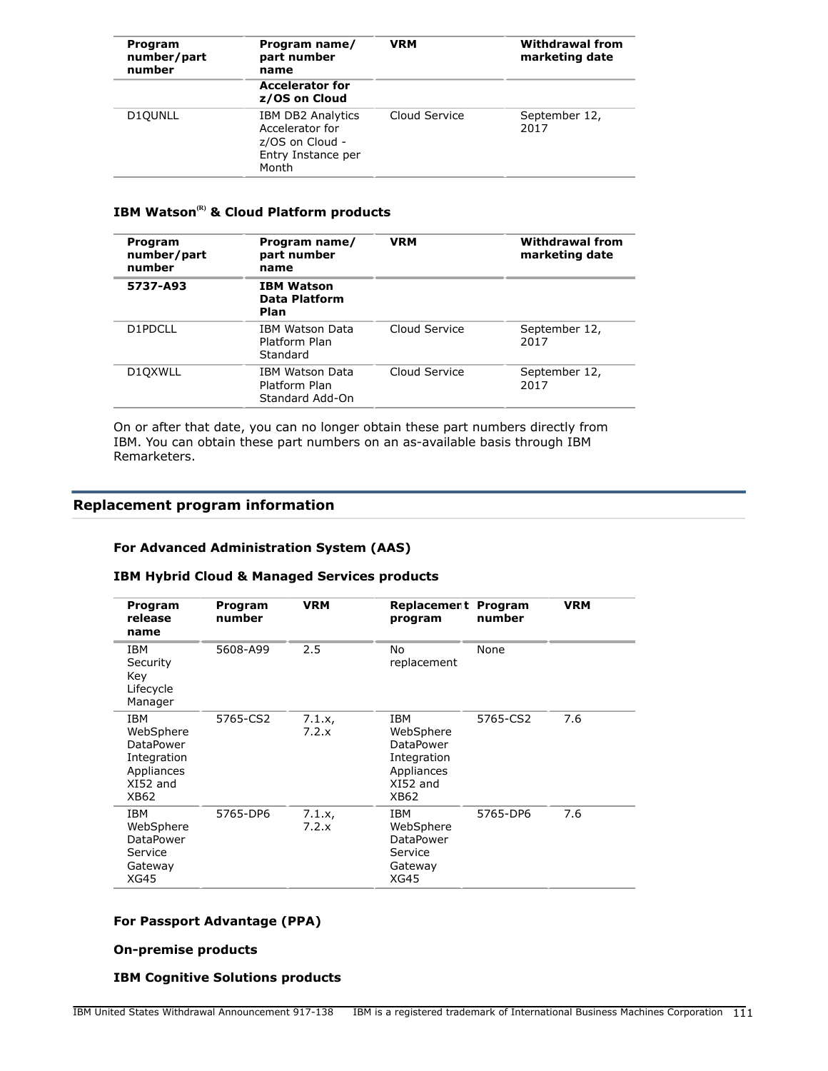| Program<br>number/part<br>number | Program name/<br>part number<br>name                                                          | <b>VRM</b>    | <b>Withdrawal from</b><br>marketing date |  |
|----------------------------------|-----------------------------------------------------------------------------------------------|---------------|------------------------------------------|--|
|                                  | <b>Accelerator for</b><br>z/OS on Cloud                                                       |               |                                          |  |
| D <sub>10</sub> UNLL             | <b>IBM DB2 Analytics</b><br>Accelerator for<br>z/OS on Cloud -<br>Entry Instance per<br>Month | Cloud Service | September 12,<br>2017                    |  |

# **IBM Watson(R) & Cloud Platform products**

| Program<br>number/part<br>number | Program name/<br>part number<br>name                | <b>VRM</b>    | <b>Withdrawal from</b><br>marketing date |  |
|----------------------------------|-----------------------------------------------------|---------------|------------------------------------------|--|
| 5737-A93                         | <b>IBM Watson</b><br>Data Platform<br>Plan          |               |                                          |  |
| D1PDCLL                          | IBM Watson Data<br>Platform Plan<br>Standard        | Cloud Service | September 12,<br>2017                    |  |
| D10XWLL                          | IBM Watson Data<br>Platform Plan<br>Standard Add-On |               | September 12,<br>2017                    |  |

On or after that date, you can no longer obtain these part numbers directly from IBM. You can obtain these part numbers on an as-available basis through IBM Remarketers.

#### **Replacement program information**

#### **For Advanced Administration System (AAS)**

#### **IBM Hybrid Cloud & Managed Services products**

| Program<br>release<br>name                                                     | Program<br>number | <b>VRM</b>      | Replacement<br>program                                                         | Program<br>number | <b>VRM</b> |
|--------------------------------------------------------------------------------|-------------------|-----------------|--------------------------------------------------------------------------------|-------------------|------------|
| IBM<br>Security<br>Key<br>Lifecycle<br>Manager                                 | 5608-A99          | 2.5             | No<br>replacement                                                              | None              |            |
| IBM<br>WebSphere<br>DataPower<br>Integration<br>Appliances<br>XI52 and<br>XB62 | 5765-CS2          | 7.1.x,<br>7.2.x | IBM<br>WebSphere<br>DataPower<br>Integration<br>Appliances<br>XI52 and<br>XB62 | 5765-CS2          | 7.6        |
| IBM<br>WebSphere<br><b>DataPower</b><br>Service<br>Gateway<br><b>XG45</b>      | 5765-DP6          | 7.1.x,<br>7.2.x | IBM<br>WebSphere<br>DataPower<br>Service<br>Gateway<br>XG45                    | 5765-DP6          | 7.6        |

### **For Passport Advantage (PPA)**

#### **On-premise products**

#### **IBM Cognitive Solutions products**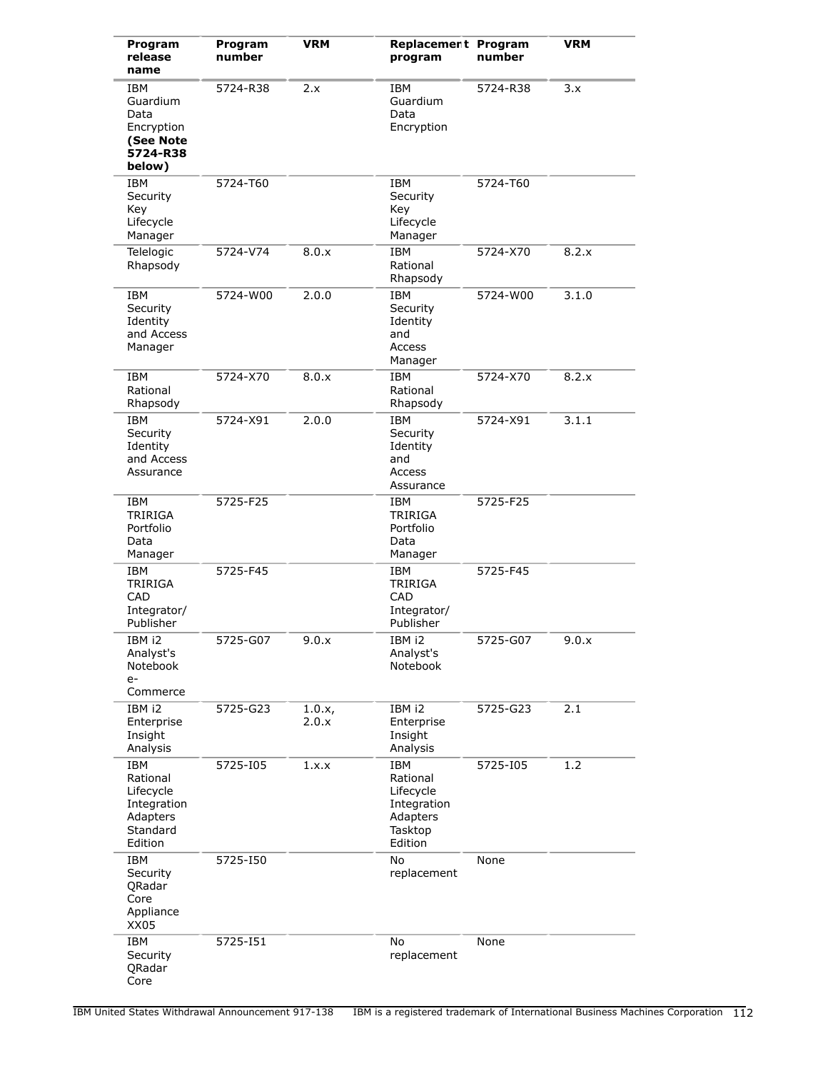| Program<br>release<br>name                                                            | Program<br>number | <b>VRM</b>      | Replacement Program<br>program                                                | number   | <b>VRM</b> |
|---------------------------------------------------------------------------------------|-------------------|-----------------|-------------------------------------------------------------------------------|----------|------------|
| <b>IBM</b><br>Guardium<br>Data<br>Encryption<br>(See Note<br>5724-R38<br>below)       | 5724-R38          | 2.x             | <b>IBM</b><br>Guardium<br>Data<br>Encryption                                  | 5724-R38 | 3.x        |
| <b>IBM</b><br>Security<br>Key<br>Lifecycle<br>Manager                                 | 5724-T60          |                 | <b>IBM</b><br>Security<br>Key<br>Lifecycle<br>Manager                         | 5724-T60 |            |
| Telelogic<br>Rhapsody                                                                 | 5724-V74          | 8.0.x           | <b>IBM</b><br>Rational<br>Rhapsody                                            | 5724-X70 | 8.2.x      |
| IBM<br>Security<br>Identity<br>and Access<br>Manager                                  | 5724-W00          | 2.0.0           | <b>IBM</b><br>Security<br>Identity<br>and<br>Access<br>Manager                | 5724-W00 | 3.1.0      |
| IBM<br>Rational<br>Rhapsody                                                           | 5724-X70          | 8.0.x           | IBM<br>Rational<br>Rhapsody                                                   | 5724-X70 | 8.2.x      |
| <b>IBM</b><br>Security<br>Identity<br>and Access<br>Assurance                         | 5724-X91          | 2.0.0           | <b>IBM</b><br>Security<br>Identity<br>and<br>Access<br>Assurance              | 5724-X91 | 3.1.1      |
| <b>IBM</b><br><b>TRIRIGA</b><br>Portfolio<br>Data<br>Manager                          | 5725-F25          |                 | <b>IBM</b><br><b>TRIRIGA</b><br>Portfolio<br>Data<br>Manager                  | 5725-F25 |            |
| <b>IBM</b><br>TRIRIGA<br>CAD<br>Integrator/<br>Publisher                              | 5725-F45          |                 | IBM<br><b>TRIRIGA</b><br>CAD<br>Integrator/<br>Publisher                      | 5725-F45 |            |
| IBM i2<br>Analyst's<br>Notebook<br>$e-$<br>Commerce                                   | 5725-G07          | 9.0.x           | IBM i2<br>Analyst's<br>Notebook                                               | 5725-G07 | 9.0.x      |
| IBM i2<br>Enterprise<br>Insight<br>Analysis                                           | 5725-G23          | 1.0.x,<br>2.0.x | IBM i2<br>Enterprise<br>Insight<br>Analysis                                   | 5725-G23 | 2.1        |
| <b>IBM</b><br>Rational<br>Lifecycle<br>Integration<br>Adapters<br>Standard<br>Edition | 5725-105          | 1.x.x           | IBM<br>Rational<br>Lifecycle<br>Integration<br>Adapters<br>Tasktop<br>Edition | 5725-105 | 1.2        |
| <b>IBM</b><br>Security<br>QRadar<br>Core<br>Appliance<br>XX05                         | 5725-150          |                 | No<br>replacement                                                             | None     |            |
| <b>IBM</b><br>Security<br>QRadar<br>Core                                              | 5725-151          |                 | No<br>replacement                                                             | None     |            |

IBM United States Withdrawal Announcement 917-138 IBM is a registered trademark of International Business Machines Corporation  $112$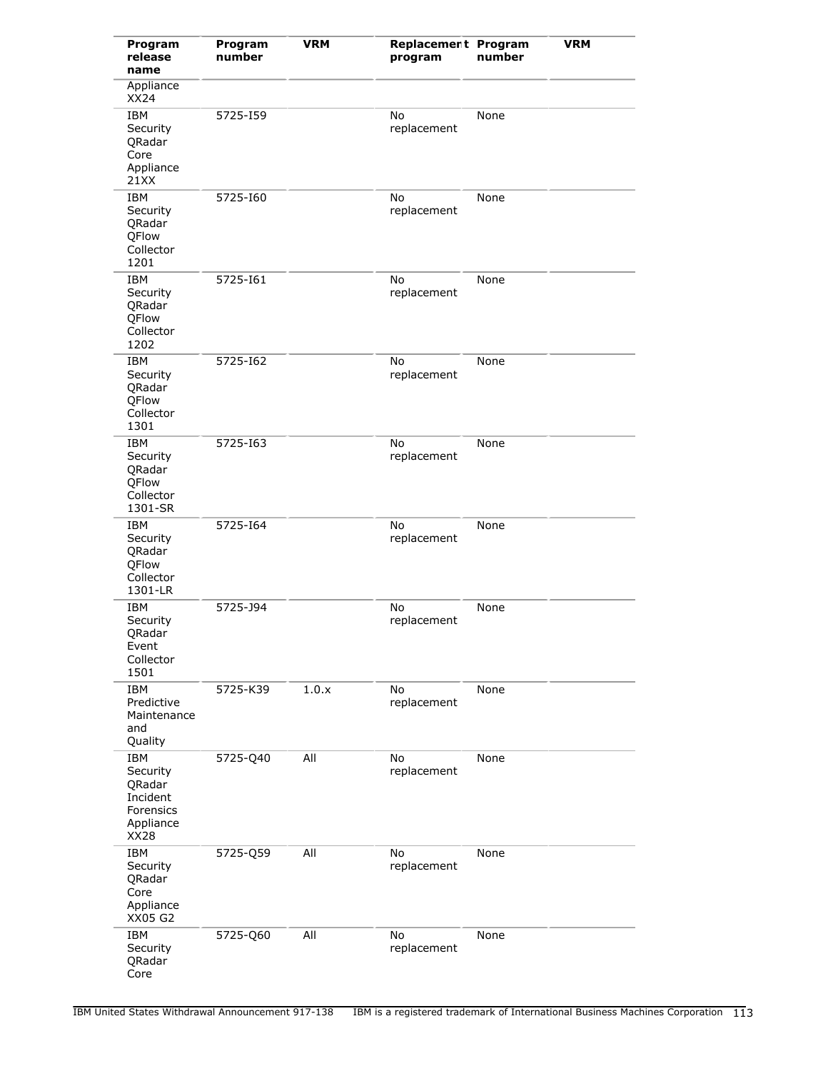| Program<br>release<br>name                                                            | Program<br>number | <b>VRM</b> | Replacement Program<br>program | number | <b>VRM</b> |
|---------------------------------------------------------------------------------------|-------------------|------------|--------------------------------|--------|------------|
| Appliance<br><b>XX24</b>                                                              |                   |            |                                |        |            |
| <b>IBM</b><br>Security<br>QRadar<br>Core<br>Appliance<br>21XX                         | 5725-159          |            | No<br>replacement              | None   |            |
| <b>IBM</b><br>Security<br>QRadar<br>QFlow<br>Collector<br>1201                        | 5725-160          |            | No<br>replacement              | None   |            |
| <b>IBM</b><br>Security<br>QRadar<br>QFlow<br>Collector<br>1202                        | 5725-161          |            | No<br>replacement              | None   |            |
| <b>IBM</b><br>Security<br>QRadar<br>QFlow<br>Collector<br>1301                        | 5725-162          |            | No<br>replacement              | None   |            |
| <b>IBM</b><br>Security<br>QRadar<br>QFlow<br>Collector<br>1301-SR                     | 5725-163          |            | No<br>replacement              | None   |            |
| <b>IBM</b><br>Security<br>QRadar<br>QFlow<br>Collector<br>1301-LR                     | 5725-164          |            | No<br>replacement              | None   |            |
| <b>IBM</b><br>Security<br>QRadar<br>Event<br>Collector<br>1501                        | 5725-J94          |            | No<br>replacement              | None   |            |
| <b>IBM</b><br>Predictive<br>Maintenance<br>and<br>Quality                             | 5725-K39          | 1.0.x      | No<br>replacement              | None   |            |
| <b>IBM</b><br>Security<br>QRadar<br>Incident<br>Forensics<br>Appliance<br><b>XX28</b> | 5725-Q40          | All        | No<br>replacement              | None   |            |
| <b>IBM</b><br>Security<br>QRadar<br>Core<br>Appliance<br>XX05 G2                      | 5725-Q59          | All        | No<br>replacement              | None   |            |
| IBM<br>Security<br>QRadar<br>Core                                                     | 5725-Q60          | All        | No<br>replacement              | None   |            |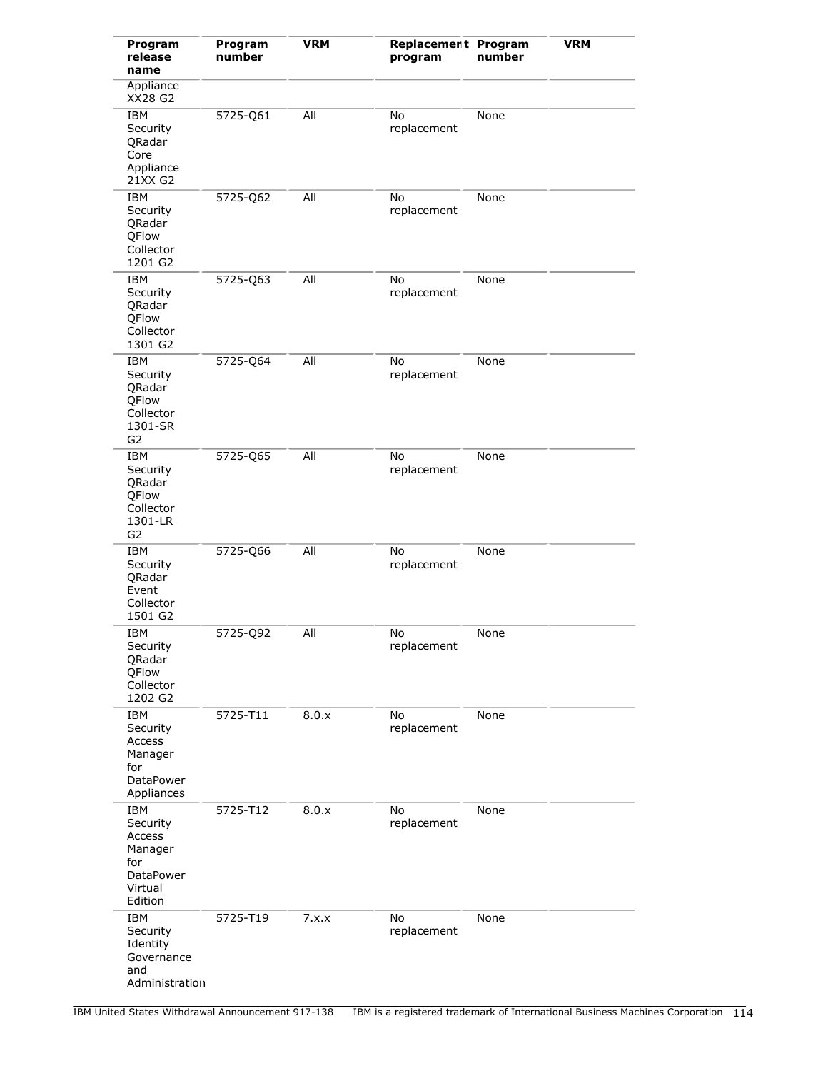| Program<br>release<br>name                                                                  | Program<br>number | <b>VRM</b> | Replacement Program<br>program | number | <b>VRM</b> |
|---------------------------------------------------------------------------------------------|-------------------|------------|--------------------------------|--------|------------|
| Appliance<br>XX28 G2                                                                        |                   |            |                                |        |            |
| IBM<br>Security<br>QRadar<br>Core<br>Appliance<br>21XX G2                                   | 5725-Q61          | All        | No<br>replacement              | None   |            |
| <b>IBM</b><br>Security<br>QRadar<br>QFlow<br>Collector<br>1201 G2                           | 5725-Q62          | All        | No<br>replacement              | None   |            |
| <b>IBM</b><br>Security<br>QRadar<br>QFlow<br>Collector<br>1301 G2                           | 5725-Q63          | All        | No<br>replacement              | None   |            |
| <b>IBM</b><br>Security<br>QRadar<br><b>OFlow</b><br>Collector<br>1301-SR<br>G2              | 5725-Q64          | All        | No<br>replacement              | None   |            |
| <b>IBM</b><br>Security<br>QRadar<br>QFlow<br>Collector<br>1301-LR<br>G <sub>2</sub>         | 5725-Q65          | All        | No<br>replacement              | None   |            |
| <b>IBM</b><br>Security<br>QRadar<br>Event<br>Collector<br>1501 G2                           | 5725-Q66          | All        | No<br>replacement              | None   |            |
| <b>IBM</b><br>Security<br>QRadar<br>QFlow<br>Collector<br>1202 G2                           | 5725-Q92          | All        | No<br>replacement              | None   |            |
| <b>IBM</b><br>Security<br><b>Access</b><br>Manager<br>for<br><b>DataPower</b><br>Appliances | 5725-T11          | 8.0.x      | No<br>replacement              | None   |            |
| <b>IBM</b><br>Security<br>Access<br>Manager<br>for<br>DataPower<br>Virtual<br>Edition       | 5725-T12          | 8.0.x      | No<br>replacement              | None   |            |
| <b>IBM</b><br>Security<br>Identity<br>Governance<br>and<br>Administration                   | 5725-T19          | 7.x.x      | No<br>replacement              | None   |            |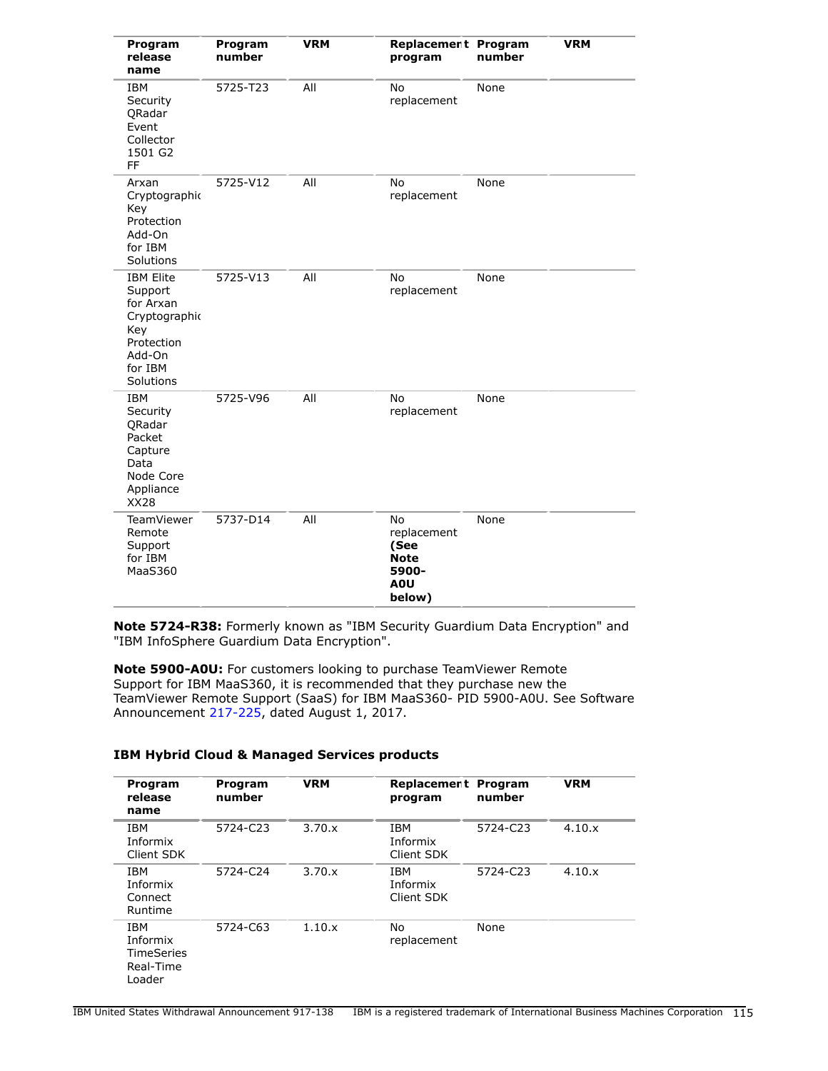| Program<br>release<br>name                                                                                       | Program<br>number | <b>VRM</b> | Replacement Program<br>program                                                  | number | <b>VRM</b> |
|------------------------------------------------------------------------------------------------------------------|-------------------|------------|---------------------------------------------------------------------------------|--------|------------|
| <b>IBM</b><br>Security<br>QRadar<br>Event<br>Collector<br>1501 G2<br>FF                                          | 5725-T23          | All        | <b>No</b><br>replacement                                                        | None   |            |
| Arxan<br>Cryptographic<br>Key<br>Protection<br>Add-On<br>for IBM<br>Solutions                                    | 5725-V12          | All        | No<br>replacement                                                               | None   |            |
| <b>IBM Elite</b><br>Support<br>for Arxan<br>Cryptographic<br>Key<br>Protection<br>Add-On<br>for IBM<br>Solutions | 5725-V13          | All        | No<br>replacement                                                               | None   |            |
| <b>IBM</b><br>Security<br>ORadar<br>Packet<br>Capture<br>Data<br>Node Core<br>Appliance<br><b>XX28</b>           | 5725-V96          | All        | No<br>replacement                                                               | None   |            |
| <b>TeamViewer</b><br>Remote<br>Support<br>for IBM<br>MaaS360                                                     | 5737-D14          | All        | No<br>replacement<br>(See<br><b>Note</b><br>5900-<br>A <sub>0</sub> U<br>below) | None   |            |

**Note 5724-R38:** Formerly known as "IBM Security Guardium Data Encryption" and "IBM InfoSphere Guardium Data Encryption".

**Note 5900-A0U:** For customers looking to purchase TeamViewer Remote Support for IBM MaaS360, it is recommended that they purchase new the TeamViewer Remote Support (SaaS) for IBM MaaS360- PID 5900-A0U. See Software Announcement [217-225](http://www.ibm.com/common/ssi/cgi-bin/ssialias?infotype=an&subtype=ca&appname=gpateam&supplier=897&letternum=ENUS217-225), dated August 1, 2017.

| Program<br>release<br>name                                  | Program<br>number | <b>VRM</b> | Replacement Program<br>program       | number   | <b>VRM</b> |
|-------------------------------------------------------------|-------------------|------------|--------------------------------------|----------|------------|
| IBM<br>Informix<br>Client SDK                               | 5724-C23          | 3.70.x     | <b>IBM</b><br>Informix<br>Client SDK | 5724-C23 | 4.10.x     |
| <b>IBM</b><br>Informix<br>Connect<br>Runtime                | 5724-C24          | 3.70.x     | <b>TRM</b><br>Informix<br>Client SDK | 5724-C23 | 4.10.x     |
| IBM<br>Informix<br><b>TimeSeries</b><br>Real-Time<br>Loader | 5724-C63          | 1.10.x     | No<br>replacement                    | None     |            |

# **IBM Hybrid Cloud & Managed Services products**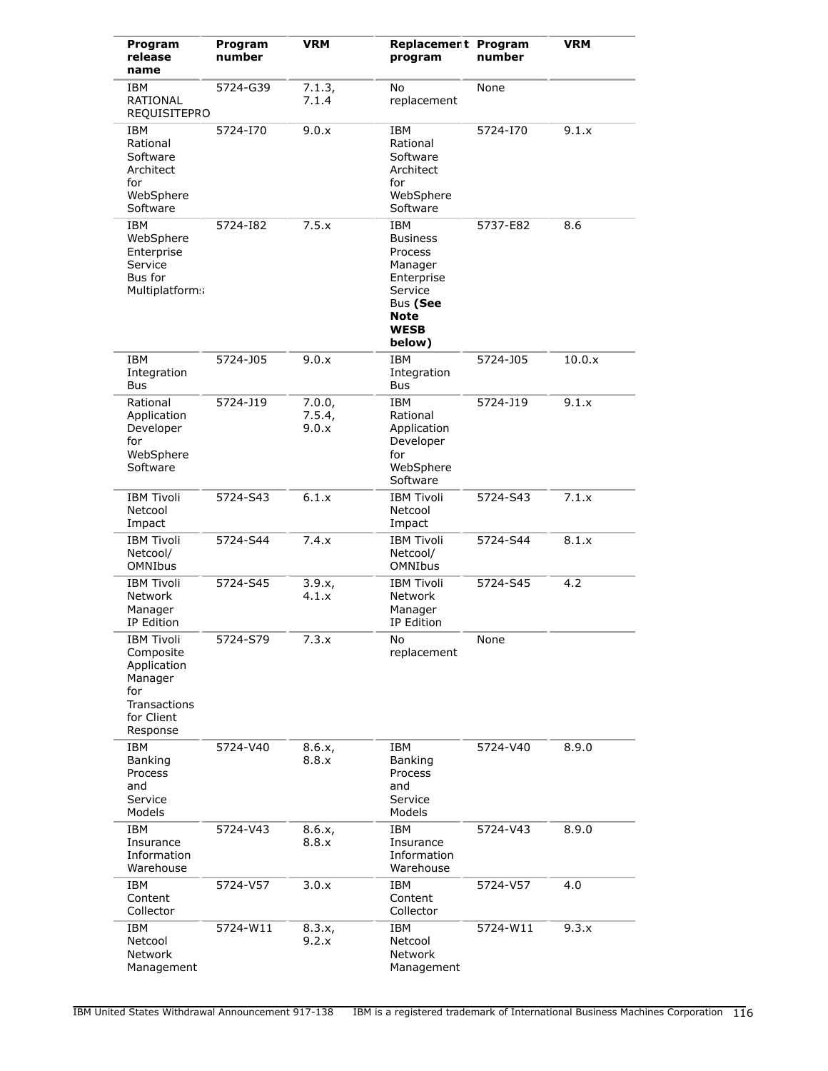| Program<br>release<br>name                                                                                | Program<br>number | <b>VRM</b>                | Replacement Program<br>program                                                                                                   | number   | <b>VRM</b> |
|-----------------------------------------------------------------------------------------------------------|-------------------|---------------------------|----------------------------------------------------------------------------------------------------------------------------------|----------|------------|
| IBM<br>RATIONAL<br>REQUISITEPRO                                                                           | 5724-G39          | 7.1.3,<br>7.1.4           | No<br>replacement                                                                                                                | None     |            |
| IBM<br>Rational<br>Software<br>Architect<br>for<br>WebSphere<br>Software                                  | 5724-170          | 9.0.x                     | IBM<br>Rational<br>Software<br>Architect<br>for<br>WebSphere<br>Software                                                         | 5724-170 | 9.1.x      |
| <b>IBM</b><br>WebSphere<br>Enterprise<br>Service<br>Bus for<br>Multiplatforms                             | 5724-182          | 7.5.x                     | <b>IBM</b><br><b>Business</b><br>Process<br>Manager<br>Enterprise<br>Service<br>Bus (See<br><b>Note</b><br><b>WESB</b><br>below) | 5737-E82 | 8.6        |
| IBM<br>Integration<br>Bus                                                                                 | 5724-J05          | 9.0.x                     | <b>IBM</b><br>Integration<br>Bus                                                                                                 | 5724-J05 | 10.0.x     |
| Rational<br>Application<br>Developer<br>for<br>WebSphere<br>Software                                      | 5724-J19          | 7.0.0,<br>7.5.4,<br>9.0.x | <b>IBM</b><br>Rational<br>Application<br>Developer<br>for<br>WebSphere<br>Software                                               | 5724-J19 | 9.1.x      |
| <b>IBM Tivoli</b><br>Netcool<br>Impact                                                                    | 5724-S43          | 6.1.x                     | <b>IBM Tivoli</b><br>Netcool<br>Impact                                                                                           | 5724-S43 | 7.1.x      |
| <b>IBM Tivoli</b><br>Netcool/<br><b>OMNIbus</b>                                                           | 5724-S44          | 7.4.x                     | <b>IBM Tivoli</b><br>Netcool/<br><b>OMNIbus</b>                                                                                  | 5724-S44 | 8.1.x      |
| <b>IBM Tivoli</b><br>Network<br>Manager<br>IP Edition                                                     | 5724-S45          | 3.9.x,<br>4.1.x           | <b>IBM Tivoli</b><br>Network<br>Manager<br>IP Edition                                                                            | 5724-S45 | 4.2        |
| <b>IBM Tivoli</b><br>Composite<br>Application<br>Manager<br>for<br>Transactions<br>for Client<br>Response | 5724-S79          | 7.3.x                     | No<br>replacement                                                                                                                | None     |            |
| <b>IBM</b><br>Banking<br>Process<br>and<br>Service<br>Models                                              | 5724-V40          | 8.6.x,<br>8.8.x           | <b>IBM</b><br>Banking<br>Process<br>and<br>Service<br>Models                                                                     | 5724-V40 | 8.9.0      |
| <b>IBM</b><br>Insurance<br>Information<br>Warehouse                                                       | 5724-V43          | 8.6.x,<br>8.8.x           | <b>IBM</b><br>Insurance<br>Information<br>Warehouse                                                                              | 5724-V43 | 8.9.0      |
| <b>IBM</b><br>Content<br>Collector                                                                        | 5724-V57          | 3.0.x                     | <b>IBM</b><br>Content<br>Collector                                                                                               | 5724-V57 | 4.0        |
| <b>IBM</b><br>Netcool<br>Network<br>Management                                                            | 5724-W11          | 8.3.x,<br>9.2.x           | <b>IBM</b><br>Netcool<br>Network<br>Management                                                                                   | 5724-W11 | 9.3.x      |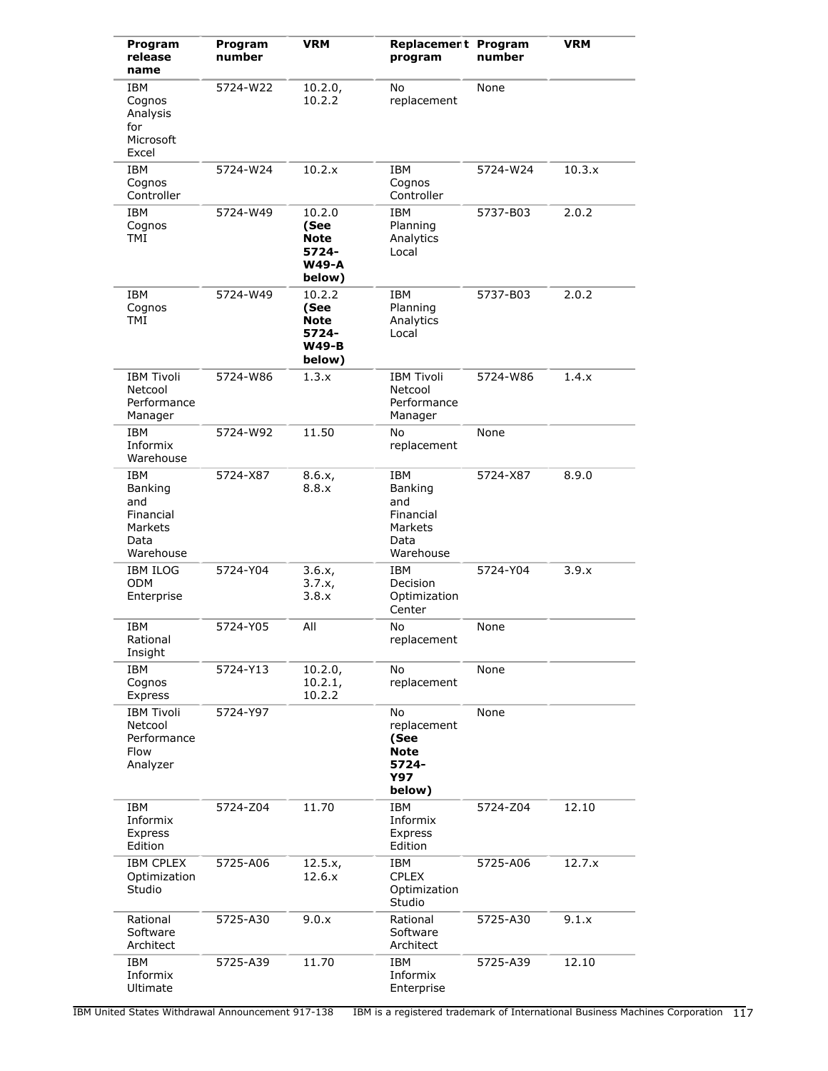| Program<br>release<br>name                                                | Program<br>number | <b>VRM</b>                                                | Replacement Program<br>program                                            | number   | <b>VRM</b> |
|---------------------------------------------------------------------------|-------------------|-----------------------------------------------------------|---------------------------------------------------------------------------|----------|------------|
| <b>IBM</b><br>Cognos<br>Analysis<br>for<br>Microsoft<br>Excel             | 5724-W22          | 10.2.0,<br>10.2.2                                         | No<br>replacement                                                         | None     |            |
| <b>IBM</b><br>Cognos<br>Controller                                        | 5724-W24          | 10.2.x                                                    | <b>IBM</b><br>Cognos<br>Controller                                        | 5724-W24 | 10.3.x     |
| <b>IBM</b><br>Cognos<br><b>TMI</b>                                        | 5724-W49          | 10.2.0<br>(See<br>Note<br>5724-<br><b>W49-A</b><br>below) | <b>IBM</b><br>Planning<br>Analytics<br>Local                              | 5737-B03 | 2.0.2      |
| IBM<br>Cognos<br><b>TMI</b>                                               | 5724-W49          | 10.2.2<br>(See<br>Note<br>5724-<br><b>W49-B</b><br>below) | IBM<br>Planning<br>Analytics<br>Local                                     | 5737-B03 | 2.0.2      |
| <b>IBM Tivoli</b><br>Netcool<br>Performance<br>Manager                    | 5724-W86          | 1.3.x                                                     | <b>IBM Tivoli</b><br>Netcool<br>Performance<br>Manager                    | 5724-W86 | 1.4.x      |
| <b>IBM</b><br>Informix<br>Warehouse                                       | 5724-W92          | 11.50                                                     | No<br>replacement                                                         | None     |            |
| <b>IBM</b><br>Banking<br>and<br>Financial<br>Markets<br>Data<br>Warehouse | 5724-X87          | 8.6.x,<br>8.8.x                                           | IBM<br>Banking<br>and<br>Financial<br>Markets<br>Data<br>Warehouse        | 5724-X87 | 8.9.0      |
| <b>IBM ILOG</b><br><b>ODM</b><br>Enterprise                               | 5724-Y04          | 3.6.x,<br>3.7.x,<br>3.8.x                                 | IBM<br>Decision<br>Optimization<br>Center                                 | 5724-Y04 | 3.9.x      |
| <b>IBM</b><br>Rational<br>Insight                                         | 5724-Y05          | All                                                       | No<br>replacement                                                         | None     |            |
| IBM<br>Cognos<br>Express                                                  | 5724-Y13          | 10.2.0,<br>10.2.1,<br>10.2.2                              | No<br>replacement                                                         | None     |            |
| <b>IBM Tivoli</b><br>Netcool<br>Performance<br>Flow<br>Analyzer           | 5724-Y97          |                                                           | No<br>replacement<br>(See<br><b>Note</b><br>5724-<br><b>Y97</b><br>below) | None     |            |
| IBM<br>Informix<br>Express<br>Edition                                     | 5724-Z04          | 11.70                                                     | <b>IBM</b><br>Informix<br>Express<br>Edition                              | 5724-Z04 | 12.10      |
| <b>IBM CPLEX</b><br>Optimization<br>Studio                                | 5725-A06          | 12.5.x,<br>12.6.x                                         | IBM<br><b>CPLEX</b><br>Optimization<br>Studio                             | 5725-A06 | 12.7.x     |
| Rational<br>Software<br>Architect                                         | 5725-A30          | 9.0.x                                                     | Rational<br>Software<br>Architect                                         | 5725-A30 | 9.1.x      |
| <b>IBM</b><br>Informix<br>Ultimate                                        | 5725-A39          | 11.70                                                     | IBM<br>Informix<br>Enterprise                                             | 5725-A39 | 12.10      |

IBM United States Withdrawal Announcement 917-138 IBM is a registered trademark of International Business Machines Corporation 117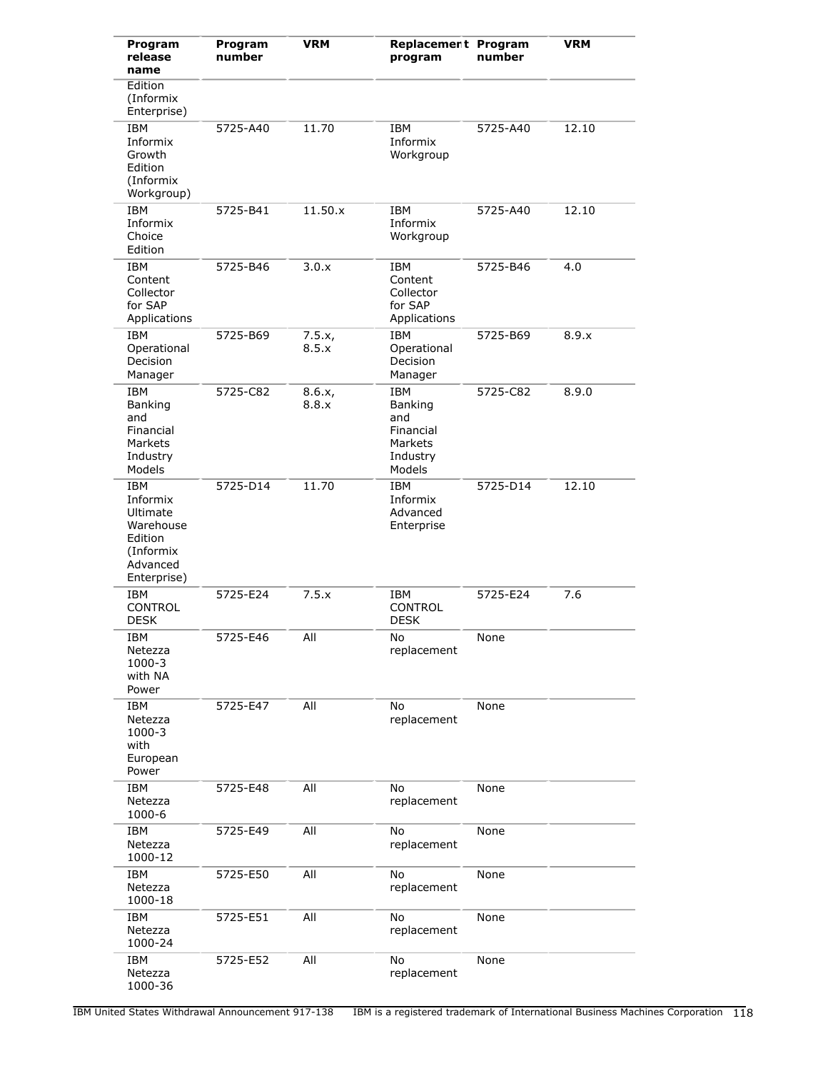| Program<br>release<br>name                                                                         | Program<br>number | <b>VRM</b>      | Replacement Program<br>program                                                    | number   | <b>VRM</b> |
|----------------------------------------------------------------------------------------------------|-------------------|-----------------|-----------------------------------------------------------------------------------|----------|------------|
| Edition<br>(Informix<br>Enterprise)                                                                |                   |                 |                                                                                   |          |            |
| <b>IBM</b><br>Informix<br>Growth<br>Edition<br>(Informix<br>Workgroup)                             | 5725-A40          | 11.70           | IBM<br>Informix<br>Workgroup                                                      | 5725-A40 | 12.10      |
| <b>IBM</b><br>Informix<br>Choice<br>Edition                                                        | 5725-B41          | 11.50.x         | <b>IBM</b><br>Informix<br>Workgroup                                               | 5725-A40 | 12.10      |
| IBM<br>Content<br>Collector<br>for SAP<br>Applications                                             | 5725-B46          | 3.0.x           | <b>IBM</b><br>Content<br>Collector<br>for SAP<br>Applications                     | 5725-B46 | 4.0        |
| <b>IBM</b><br>Operational<br>Decision<br>Manager                                                   | 5725-B69          | 7.5.x,<br>8.5.x | <b>IBM</b><br>Operational<br>Decision<br>Manager                                  | 5725-B69 | 8.9.x      |
| <b>IBM</b><br>Banking<br>and<br>Financial<br>Markets<br>Industry<br>Models                         | 5725-C82          | 8.6.x,<br>8.8.x | <b>IBM</b><br><b>Banking</b><br>and<br>Financial<br>Markets<br>Industry<br>Models | 5725-C82 | 8.9.0      |
| <b>IBM</b><br>Informix<br>Ultimate<br>Warehouse<br>Edition<br>(Informix<br>Advanced<br>Enterprise) | 5725-D14          | 11.70           | <b>IBM</b><br>Informix<br>Advanced<br>Enterprise                                  | 5725-D14 | 12.10      |
| IBM<br><b>CONTROL</b><br><b>DESK</b>                                                               | 5725-E24          | 7.5.x           | IBM<br><b>CONTROL</b><br><b>DESK</b>                                              | 5725-E24 | 7.6        |
| <b>IBM</b><br>Netezza<br>1000-3<br>with NA<br>Power                                                | 5725-E46          | All             | No<br>replacement                                                                 | None     |            |
| <b>IBM</b><br>Netezza<br>1000-3<br>with<br>European<br>Power                                       | 5725-E47          | All             | No<br>replacement                                                                 | None     |            |
| IBM<br>Netezza<br>1000-6                                                                           | 5725-E48          | All             | No<br>replacement                                                                 | None     |            |
| <b>IBM</b><br>Netezza<br>1000-12                                                                   | 5725-E49          | All             | No<br>replacement                                                                 | None     |            |
| <b>IBM</b><br>Netezza<br>$1000 - 18$                                                               | 5725-E50          | All             | No<br>replacement                                                                 | None     |            |
| <b>IBM</b><br>Netezza<br>1000-24                                                                   | 5725-E51          | All             | No<br>replacement                                                                 | None     |            |
| IBM<br>Netezza<br>1000-36                                                                          | 5725-E52          | All             | No<br>replacement                                                                 | None     |            |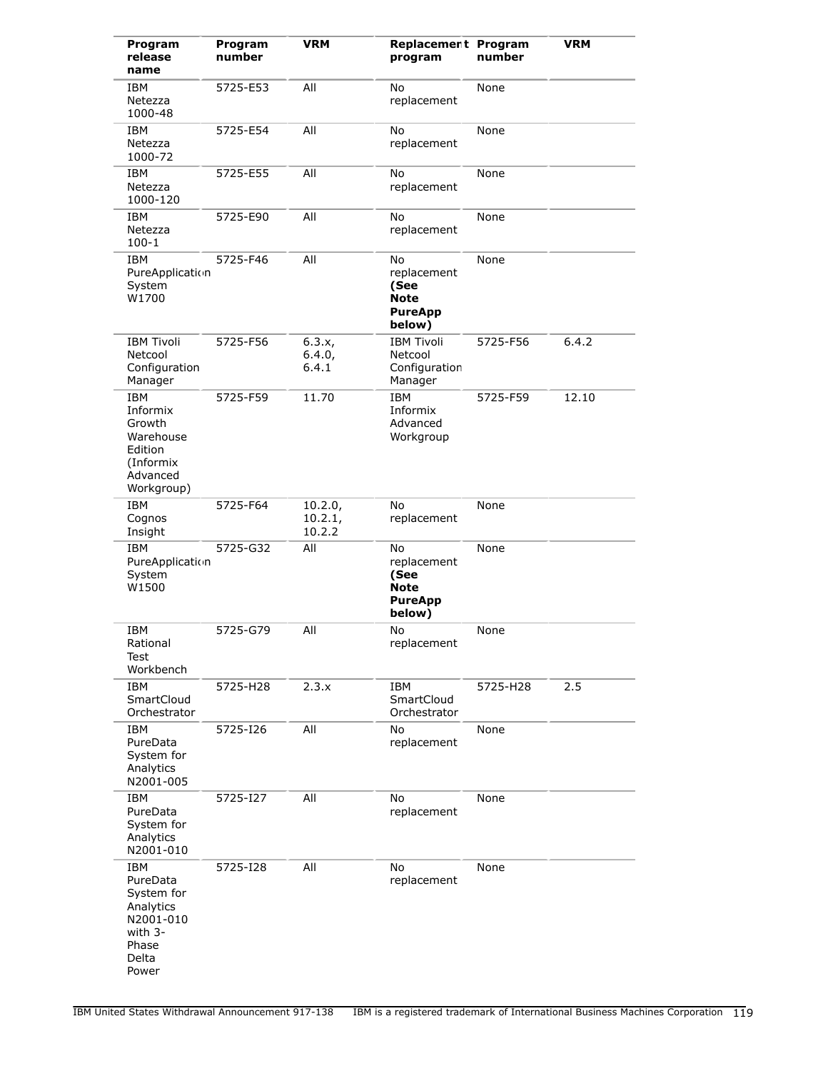| Program<br>release<br>name                                                                           | Program<br>number | <b>VRM</b>                   | Replacement Program<br>program                                       | number   | <b>VRM</b> |
|------------------------------------------------------------------------------------------------------|-------------------|------------------------------|----------------------------------------------------------------------|----------|------------|
| IBM<br>Netezza<br>1000-48                                                                            | 5725-E53          | All                          | No<br>replacement                                                    | None     |            |
| IBM<br>Netezza<br>1000-72                                                                            | 5725-E54          | All                          | No<br>replacement                                                    | None     |            |
| IBM<br>Netezza<br>1000-120                                                                           | 5725-E55          | All                          | No<br>replacement                                                    | None     |            |
| <b>IBM</b><br>Netezza<br>$100 - 1$                                                                   | 5725-E90          | All                          | No<br>replacement                                                    | None     |            |
| <b>IBM</b><br>PureApplication<br>System<br>W1700                                                     | 5725-F46          | All                          | No<br>replacement<br>(See<br><b>Note</b><br><b>PureApp</b><br>below) | None     |            |
| <b>IBM Tivoli</b><br>Netcool<br>Configuration<br>Manager                                             | 5725-F56          | 6.3.x,<br>6.4.0,<br>6.4.1    | <b>IBM Tivoli</b><br>Netcool<br>Configuration<br>Manager             | 5725-F56 | 6.4.2      |
| <b>IBM</b><br>Informix<br>Growth<br>Warehouse<br>Edition<br>(Informix<br>Advanced<br>Workgroup)      | 5725-F59          | 11.70                        | <b>IBM</b><br>Informix<br>Advanced<br>Workgroup                      | 5725-F59 | 12.10      |
| <b>IBM</b><br>Cognos<br>Insight                                                                      | 5725-F64          | 10.2.0,<br>10.2.1,<br>10.2.2 | No<br>replacement                                                    | None     |            |
| IBM<br>PureApplication<br>System<br>W1500                                                            | 5725-G32          | All                          | No<br>replacement<br>(See<br><b>Note</b><br><b>PureApp</b><br>below) | None     |            |
| IBM<br>Rational<br>Test<br>Workbench                                                                 | 5725-G79          | All                          | No<br>replacement                                                    | None     |            |
| IBM<br>SmartCloud<br>Orchestrator                                                                    | 5725-H28          | 2.3.x                        | IBM<br>SmartCloud<br>Orchestrator                                    | 5725-H28 | 2.5        |
| <b>IBM</b><br>PureData<br>System for<br>Analytics<br>N2001-005                                       | 5725-126          | All                          | No<br>replacement                                                    | None     |            |
| <b>IBM</b><br>PureData<br>System for<br>Analytics<br>N2001-010                                       | 5725-127          | All                          | No<br>replacement                                                    | None     |            |
| <b>IBM</b><br>PureData<br>System for<br>Analytics<br>N2001-010<br>with 3-<br>Phase<br>Delta<br>Power | 5725-I28          | All                          | No<br>replacement                                                    | None     |            |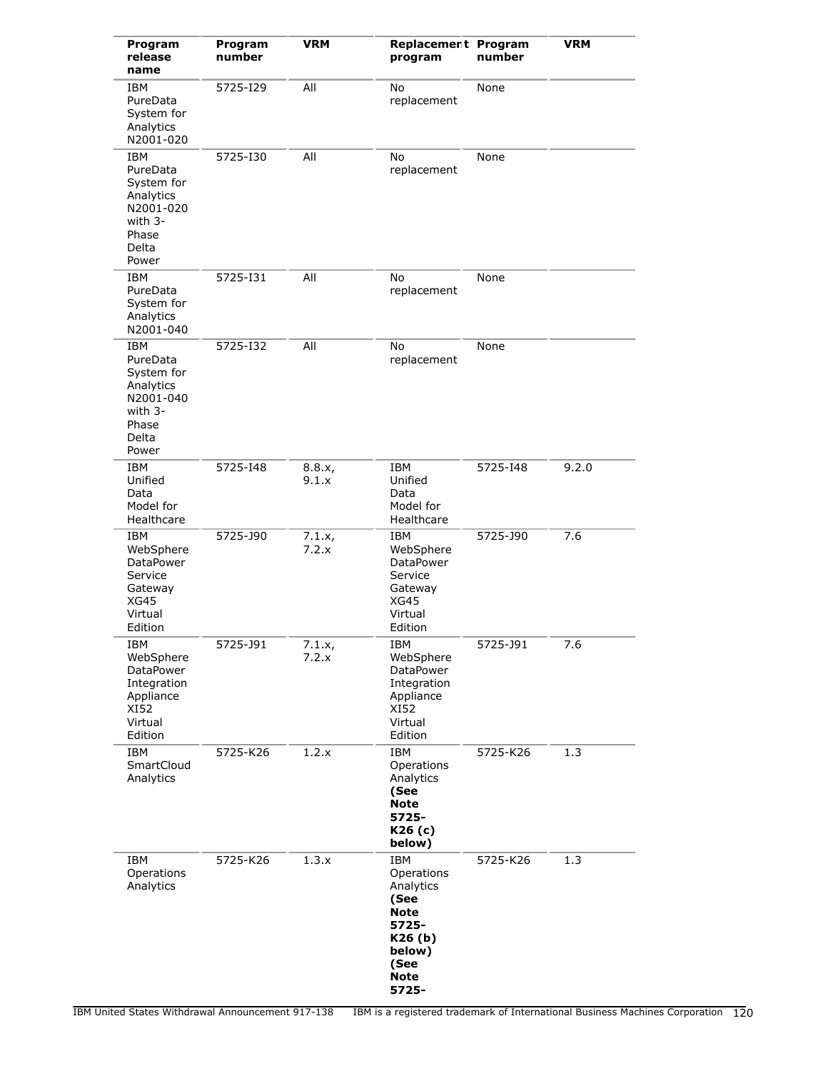| Program<br>release<br>name                                                                           | Program<br>number | <b>VRM</b>      | Replacement Program<br>program                                                                                     | number   | <b>VRM</b> |
|------------------------------------------------------------------------------------------------------|-------------------|-----------------|--------------------------------------------------------------------------------------------------------------------|----------|------------|
| <b>IBM</b><br>PureData<br>System for<br>Analytics<br>N2001-020                                       | 5725-129          | All             | No<br>replacement                                                                                                  | None     |            |
| <b>IBM</b><br>PureData<br>System for<br>Analytics<br>N2001-020<br>with 3-<br>Phase<br>Delta<br>Power | 5725-130          | All             | No<br>replacement                                                                                                  | None     |            |
| <b>IBM</b><br>PureData<br>System for<br>Analytics<br>N2001-040                                       | 5725-131          | All             | No<br>replacement                                                                                                  | None     |            |
| <b>IBM</b><br>PureData<br>System for<br>Analytics<br>N2001-040<br>with 3-<br>Phase<br>Delta<br>Power | 5725-132          | All             | No<br>replacement                                                                                                  | None     |            |
| <b>IBM</b><br>Unified<br>Data<br>Model for<br>Healthcare                                             | 5725-148          | 8.8.x,<br>9.1.x | IBM<br>Unified<br>Data<br>Model for<br>Healthcare                                                                  | 5725-148 | 9.2.0      |
| <b>IBM</b><br>WebSphere<br>DataPower<br>Service<br>Gateway<br><b>XG45</b><br>Virtual<br>Edition      | 5725-J90          | 7.1.x,<br>7.2.x | IBM<br>WebSphere<br>DataPower<br>Service<br>Gateway<br><b>XG45</b><br>Virtual<br>Edition                           | 5725-J90 | 7.6        |
| IBM<br>WebSphere<br>DataPower<br>Integration<br>Appliance<br>XI52<br>Virtual<br>Edition              | 5725-J91          | 7.1.x,<br>7.2.x | IBM<br>WebSphere<br>DataPower<br>Integration<br>Appliance<br>XI52<br>Virtual<br>Edition                            | 5725-J91 | 7.6        |
| <b>IBM</b><br>SmartCloud<br>Analytics                                                                | 5725-K26          | 1.2.x           | <b>IBM</b><br>Operations<br>Analytics<br>(See<br>Note<br>5725-<br>K26 (c)<br>below)                                | 5725-K26 | 1.3        |
| <b>IBM</b><br>Operations<br>Analytics                                                                | 5725-K26          | 1.3.x           | <b>IBM</b><br>Operations<br>Analytics<br>(See<br>Note<br>5725-<br>K26(b)<br>below)<br>(See<br><b>Note</b><br>5725- | 5725-K26 | 1.3        |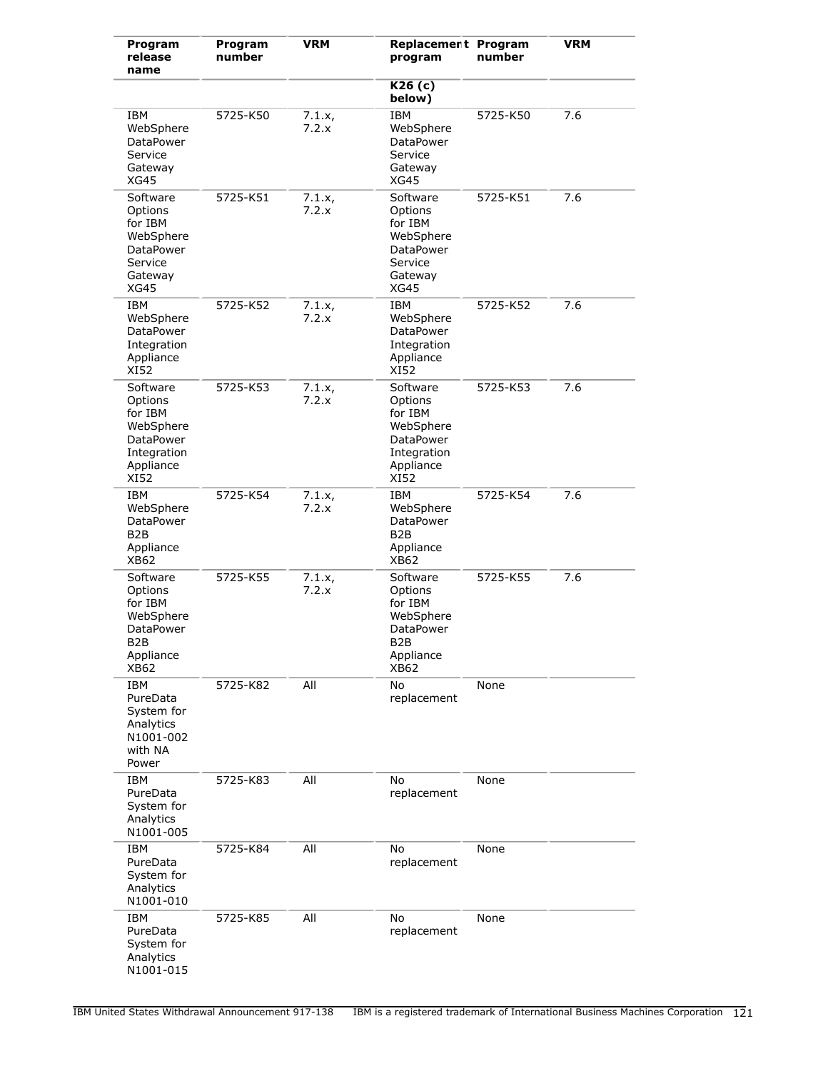| Program<br>release<br>name                                                                               | Program<br>number | <b>VRM</b>      | Replacement Program<br>program                                                               | number   | <b>VRM</b> |
|----------------------------------------------------------------------------------------------------------|-------------------|-----------------|----------------------------------------------------------------------------------------------|----------|------------|
|                                                                                                          |                   |                 | K26(c)<br>below)                                                                             |          |            |
| IBM<br>WebSphere<br>DataPower<br>Service<br>Gateway<br>XG45                                              | 5725-K50          | 7.1.x,<br>7.2.x | <b>IBM</b><br>WebSphere<br>DataPower<br>Service<br>Gateway<br><b>XG45</b>                    | 5725-K50 | 7.6        |
| Software<br>Options<br>for IBM<br>WebSphere<br><b>DataPower</b><br>Service<br>Gateway<br>XG45            | 5725-K51          | 7.1.x,<br>7.2.x | Software<br>Options<br>for IBM<br>WebSphere<br>DataPower<br>Service<br>Gateway<br>XG45       | 5725-K51 | 7.6        |
| <b>IBM</b><br>WebSphere<br>DataPower<br>Integration<br>Appliance<br>XI52                                 | 5725-K52          | 7.1.x,<br>7.2.x | <b>IBM</b><br>WebSphere<br><b>DataPower</b><br>Integration<br>Appliance<br>XI52              | 5725-K52 | 7.6        |
| Software<br>Options<br>for IBM<br>WebSphere<br><b>DataPower</b><br>Integration<br>Appliance<br>XI52      | 5725-K53          | 7.1.x,<br>7.2.x | Software<br>Options<br>for IBM<br>WebSphere<br>DataPower<br>Integration<br>Appliance<br>XI52 | 5725-K53 | 7.6        |
| IBM<br>WebSphere<br><b>DataPower</b><br>B <sub>2</sub> B<br>Appliance<br>XB62                            | 5725-K54          | 7.1.x,<br>7.2.x | <b>IBM</b><br>WebSphere<br>DataPower<br>B <sub>2</sub> B<br>Appliance<br>XB62                | 5725-K54 | 7.6        |
| Software<br>Options<br>for IBM<br>WebSphere<br><b>DataPower</b><br>B <sub>2</sub> B<br>Appliance<br>XB62 | 5725-K55          | 7.1.x,<br>7.2.x | Software<br>Options<br>for IBM<br>WebSphere<br><b>DataPower</b><br>B2B<br>Appliance<br>XB62  | 5725-K55 | 7.6        |
| <b>IBM</b><br>PureData<br>System for<br>Analytics<br>N1001-002<br>with NA<br>Power                       | 5725-K82          | All             | No<br>replacement                                                                            | None     |            |
| <b>IBM</b><br>PureData<br>System for<br>Analytics<br>N1001-005                                           | 5725-K83          | All             | No<br>replacement                                                                            | None     |            |
| <b>IBM</b><br>PureData<br>System for<br>Analytics<br>N1001-010                                           | 5725-K84          | All             | No<br>replacement                                                                            | None     |            |
| <b>IBM</b><br>PureData<br>System for<br>Analytics<br>N1001-015                                           | 5725-K85          | All             | No<br>replacement                                                                            | None     |            |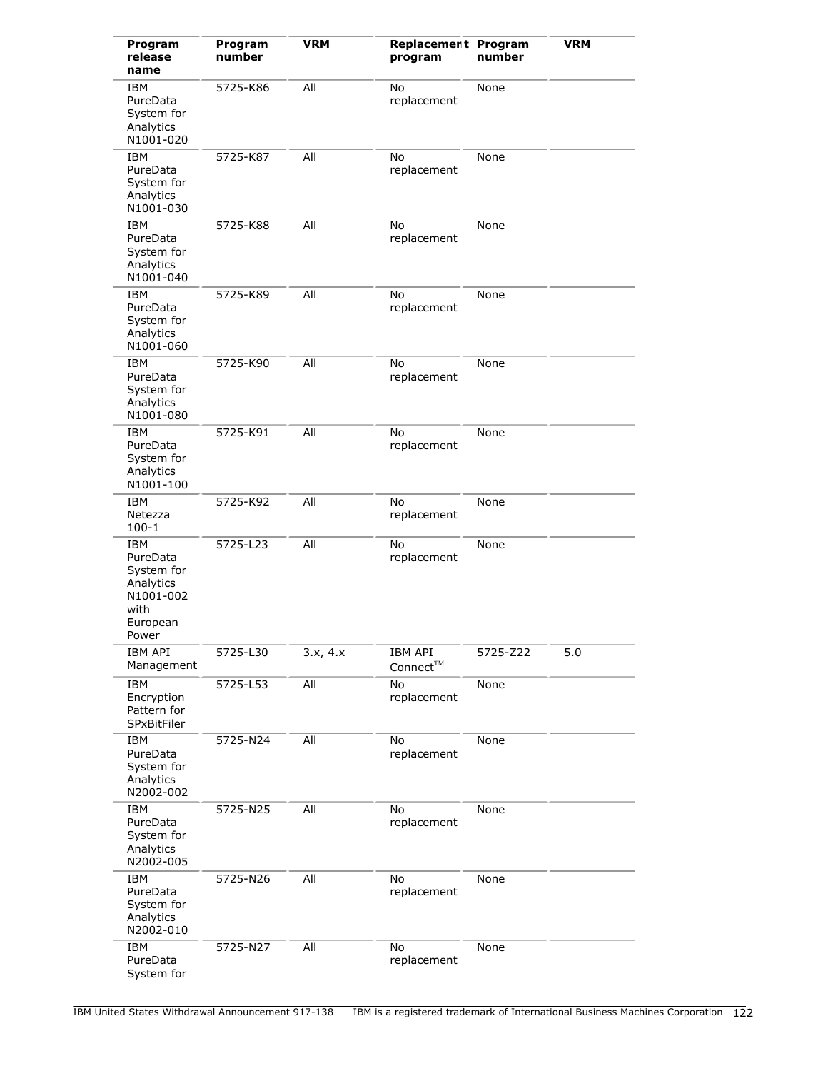| Program<br>release<br>name                                                           | Program<br>number | <b>VRM</b> | Replacement Program<br>program     | number   | <b>VRM</b> |
|--------------------------------------------------------------------------------------|-------------------|------------|------------------------------------|----------|------------|
| IBM<br>PureData<br>System for<br>Analytics<br>N1001-020                              | 5725-K86          | All        | No<br>replacement                  | None     |            |
| IBM<br>PureData<br>System for<br>Analytics<br>N1001-030                              | 5725-K87          | All        | No<br>replacement                  | None     |            |
| <b>IBM</b><br>PureData<br>System for<br>Analytics<br>N1001-040                       | 5725-K88          | All        | No<br>replacement                  | None     |            |
| IBM<br>PureData<br>System for<br>Analytics<br>N1001-060                              | 5725-K89          | All        | No<br>replacement                  | None     |            |
| <b>IBM</b><br>PureData<br>System for<br>Analytics<br>N1001-080                       | 5725-K90          | All        | No<br>replacement                  | None     |            |
| IBM<br>PureData<br>System for<br>Analytics<br>N1001-100                              | 5725-K91          | All        | No<br>replacement                  | None     |            |
| <b>IBM</b><br>Netezza<br>$100 - 1$                                                   | 5725-K92          | All        | No<br>replacement                  | None     |            |
| IBM<br>PureData<br>System for<br>Analytics<br>N1001-002<br>with<br>European<br>Power | 5725-L23          | All        | No<br>replacement                  | None     |            |
| IBM API<br>Management                                                                | 5725-L30          | 3.x, 4.x   | IBM API<br>$Connect^{\textsc{TM}}$ | 5725-Z22 | 5.0        |
| <b>IBM</b><br>Encryption<br>Pattern for<br>SPxBitFiler                               | 5725-L53          | All        | No<br>replacement                  | None     |            |
| <b>IBM</b><br>PureData<br>System for<br>Analytics<br>N2002-002                       | 5725-N24          | All        | No<br>replacement                  | None     |            |
| <b>IBM</b><br>PureData<br>System for<br>Analytics<br>N2002-005                       | 5725-N25          | All        | No<br>replacement                  | None     |            |
| <b>IBM</b><br>PureData<br>System for<br>Analytics<br>N2002-010                       | 5725-N26          | All        | No<br>replacement                  | None     |            |
| <b>IBM</b><br>PureData<br>System for                                                 | 5725-N27          | All        | No<br>replacement                  | None     |            |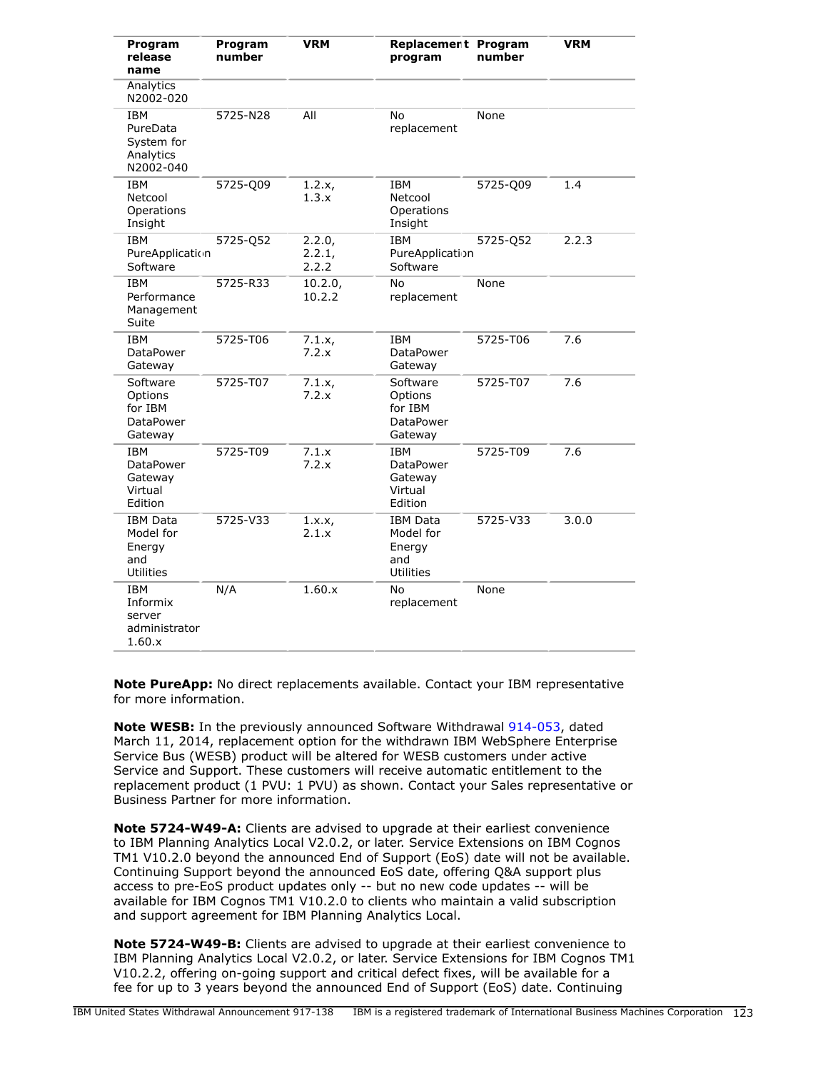| Program<br>release<br>name                                      | Program<br>number | <b>VRM</b>                | Replacement Program<br>program                                    | number   | <b>VRM</b> |
|-----------------------------------------------------------------|-------------------|---------------------------|-------------------------------------------------------------------|----------|------------|
| Analytics<br>N2002-020                                          |                   |                           |                                                                   |          |            |
| <b>IBM</b><br>PureData<br>System for<br>Analytics<br>N2002-040  | 5725-N28          | All                       | No<br>replacement                                                 | None     |            |
| <b>IBM</b><br>Netcool<br>Operations<br>Insight                  | 5725-Q09          | 1.2.x,<br>1.3.x           | <b>IBM</b><br>Netcool<br>Operations<br>Insight                    | 5725-Q09 | 1.4        |
| <b>IBM</b><br>PureApplication<br>Software                       | 5725-Q52          | 2.2.0,<br>2.2.1,<br>2.2.2 | <b>IBM</b><br>PureApplication<br>Software                         | 5725-Q52 | 2.2.3      |
| <b>IBM</b><br>Performance<br>Management<br>Suite                | 5725-R33          | 10.2.0,<br>10.2.2         | No<br>replacement                                                 | None     |            |
| <b>IBM</b><br><b>DataPower</b><br>Gateway                       | 5725-T06          | 7.1.x,<br>7.2.x           | <b>IBM</b><br><b>DataPower</b><br>Gateway                         | 5725-T06 | 7.6        |
| Software<br>Options<br>for IBM<br><b>DataPower</b><br>Gateway   | 5725-T07          | 7.1.x<br>7.2.x            | Software<br>Options<br>for IBM<br><b>DataPower</b><br>Gateway     | 5725-T07 | 7.6        |
| <b>IBM</b><br><b>DataPower</b><br>Gateway<br>Virtual<br>Edition | 5725-T09          | 7.1.x<br>7.2.x            | <b>IBM</b><br><b>DataPower</b><br>Gateway<br>Virtual<br>Edition   | 5725-T09 | 7.6        |
| <b>IBM Data</b><br>Model for<br>Energy<br>and<br>Utilities      | 5725-V33          | 1.x.x,<br>2.1.x           | <b>IBM Data</b><br>Model for<br>Energy<br>and<br><b>Utilities</b> | 5725-V33 | 3.0.0      |
| <b>IBM</b><br>Informix<br>server<br>administrator<br>1.60.x     | N/A               | 1.60.x                    | No<br>replacement                                                 | None     |            |

**Note PureApp:** No direct replacements available. Contact your IBM representative for more information.

**Note WESB:** In the previously announced Software Withdrawal [914-053,](http://www.ibm.com/common/ssi/cgi-bin/ssialias?infotype=an&subtype=ca&appname=gpateam&supplier=897&letternum=ENUS914-053) dated March 11, 2014, replacement option for the withdrawn IBM WebSphere Enterprise Service Bus (WESB) product will be altered for WESB customers under active Service and Support. These customers will receive automatic entitlement to the replacement product (1 PVU: 1 PVU) as shown. Contact your Sales representative or Business Partner for more information.

**Note 5724-W49-A:** Clients are advised to upgrade at their earliest convenience to IBM Planning Analytics Local V2.0.2, or later. Service Extensions on IBM Cognos TM1 V10.2.0 beyond the announced End of Support (EoS) date will not be available. Continuing Support beyond the announced EoS date, offering Q&A support plus access to pre-EoS product updates only -- but no new code updates -- will be available for IBM Cognos TM1 V10.2.0 to clients who maintain a valid subscription and support agreement for IBM Planning Analytics Local.

**Note 5724-W49-B:** Clients are advised to upgrade at their earliest convenience to IBM Planning Analytics Local V2.0.2, or later. Service Extensions for IBM Cognos TM1 V10.2.2, offering on-going support and critical defect fixes, will be available for a fee for up to 3 years beyond the announced End of Support (EoS) date. Continuing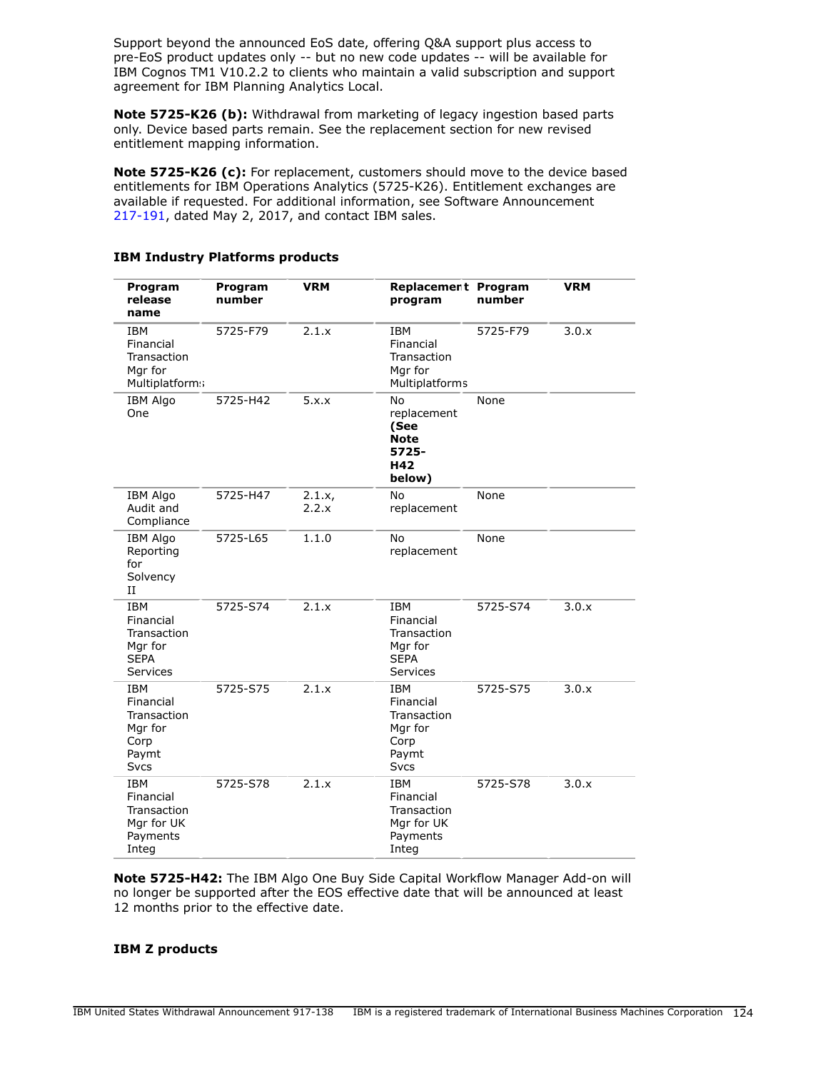Support beyond the announced EoS date, offering Q&A support plus access to pre-EoS product updates only -- but no new code updates -- will be available for IBM Cognos TM1 V10.2.2 to clients who maintain a valid subscription and support agreement for IBM Planning Analytics Local.

**Note 5725-K26 (b):** Withdrawal from marketing of legacy ingestion based parts only. Device based parts remain. See the replacement section for new revised entitlement mapping information.

**Note 5725-K26 (c):** For replacement, customers should move to the device based entitlements for IBM Operations Analytics (5725-K26). Entitlement exchanges are available if requested. For additional information, see Software Announcement [217-191](http://www.ibm.com/common/ssi/cgi-bin/ssialias?infotype=an&subtype=ca&appname=gpateam&supplier=897&letternum=ENUS217-191), dated May 2, 2017, and contact IBM sales.

| Program<br>release<br>name                                                        | Program<br>number | <b>VRM</b>      | <b>Replacement Program</b><br>program                                             | number   | <b>VRM</b> |
|-----------------------------------------------------------------------------------|-------------------|-----------------|-----------------------------------------------------------------------------------|----------|------------|
| <b>IBM</b><br>Financial<br>Transaction<br>Mgr for<br>Multiplatform:               | 5725-F79          | 2.1.x           | <b>IBM</b><br>Financial<br>Transaction<br>Mgr for<br>Multiplatforms               | 5725-F79 | 3.0.x      |
| <b>IBM Algo</b><br>One                                                            | 5725-H42          | 5.x.x           | No<br>replacement<br>(See<br><b>Note</b><br>5725-<br>H42<br>below)                | None     |            |
| <b>IBM Algo</b><br>Audit and<br>Compliance                                        | 5725-H47          | 2.1.x,<br>2.2.x | No<br>replacement                                                                 | None     |            |
| <b>IBM Algo</b><br>Reporting<br>for<br>Solvency<br>$_{II}$                        | 5725-L65          | 1.1.0           | No<br>replacement                                                                 | None     |            |
| <b>IBM</b><br>Financial<br>Transaction<br>Mgr for<br><b>SEPA</b><br>Services      | 5725-S74          | 2.1.x           | <b>IBM</b><br>Financial<br>Transaction<br>Mgr for<br><b>SEPA</b><br>Services      | 5725-S74 | 3.0.x      |
| <b>IBM</b><br>Financial<br>Transaction<br>Mgr for<br>Corp<br>Paymt<br><b>Svcs</b> | 5725-S75          | 2.1.x           | <b>IBM</b><br>Financial<br>Transaction<br>Mgr for<br>Corp<br>Paymt<br><b>Svcs</b> | 5725-S75 | 3.0.x      |
| <b>IBM</b><br>Financial<br>Transaction<br>Mgr for UK<br>Payments<br>Integ         | 5725-S78          | 2.1.x           | <b>IBM</b><br>Financial<br>Transaction<br>Mgr for UK<br>Payments<br>Integ         | 5725-S78 | 3.0.x      |

### **IBM Industry Platforms products**

**Note 5725-H42:** The IBM Algo One Buy Side Capital Workflow Manager Add-on will no longer be supported after the EOS effective date that will be announced at least 12 months prior to the effective date.

#### **IBM Z products**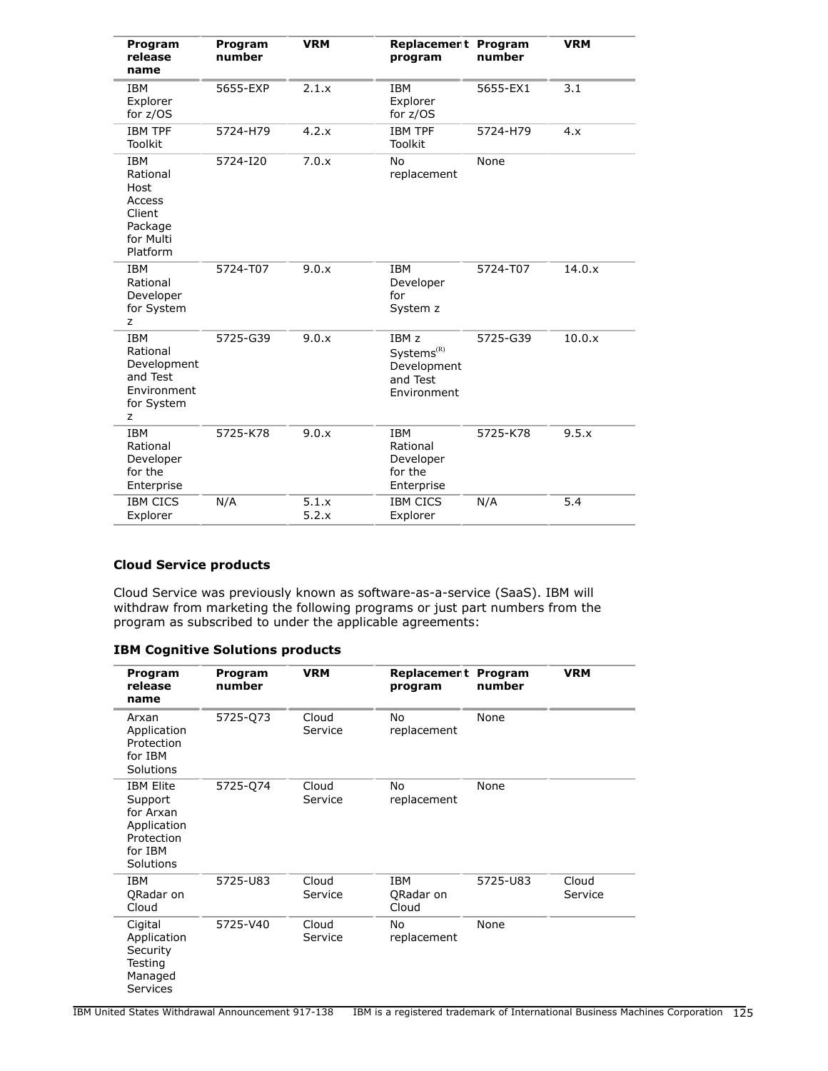| Program<br>release<br>name                                                             | Program<br>number | <b>VRM</b>     | Replacement Program<br>program                                                       | number   | <b>VRM</b> |
|----------------------------------------------------------------------------------------|-------------------|----------------|--------------------------------------------------------------------------------------|----------|------------|
| <b>IBM</b><br>Explorer<br>for $z/OS$                                                   | 5655-EXP          | 2.1.x          | <b>IBM</b><br>Explorer<br>for $z/OS$                                                 | 5655-EX1 | 3.1        |
| <b>IBM TPF</b><br>Toolkit                                                              | 5724-H79          | 4.2.x          | <b>IBM TPF</b><br>Toolkit                                                            | 5724-H79 | 4.x        |
| <b>IBM</b><br>Rational<br>Host<br>Access<br>Client<br>Package<br>for Multi<br>Platform | 5724-I20          | 7.0.x          | <b>No</b><br>replacement                                                             | None     |            |
| <b>IBM</b><br>Rational<br>Developer<br>for System<br>z                                 | 5724-T07          | 9.0.x          | <b>IBM</b><br>Developer<br>for<br>System z                                           | 5724-T07 | 14.0.x     |
| <b>IBM</b><br>Rational<br>Development<br>and Test<br>Environment<br>for System<br>z    | 5725-G39          | 9.0.x          | IBM <sub>z</sub><br>Systems <sup>(R)</sup><br>Development<br>and Test<br>Environment | 5725-G39 | 10.0.x     |
| <b>IBM</b><br>Rational<br>Developer<br>for the<br>Enterprise                           | 5725-K78          | 9.0.x          | <b>IBM</b><br>Rational<br>Developer<br>for the<br>Enterprise                         | 5725-K78 | 9.5.x      |
| <b>IBM CICS</b><br>Explorer                                                            | N/A               | 5.1.x<br>5.2.x | <b>IBM CICS</b><br>Explorer                                                          | N/A      | 5.4        |

# **Cloud Service products**

Cloud Service was previously known as software-as-a-service (SaaS). IBM will withdraw from marketing the following programs or just part numbers from the program as subscribed to under the applicable agreements:

# **IBM Cognitive Solutions products**

| Program<br>release<br>name                                                                    | Program<br>number | <b>VRM</b>       | Replacement Program<br>program | number   | <b>VRM</b>       |
|-----------------------------------------------------------------------------------------------|-------------------|------------------|--------------------------------|----------|------------------|
| Arxan<br>Application<br>Protection<br>for IBM<br>Solutions                                    | 5725-Q73          | Cloud<br>Service | No<br>replacement              | None     |                  |
| <b>IBM Elite</b><br>Support<br>for Arxan<br>Application<br>Protection<br>for IBM<br>Solutions | 5725-Q74          | Cloud<br>Service | No<br>replacement              | None     |                  |
| <b>IBM</b><br>QRadar on<br>Cloud                                                              | 5725-U83          | Cloud<br>Service | IBM<br>QRadar on<br>Cloud      | 5725-U83 | Cloud<br>Service |
| Cigital<br>Application<br>Security<br>Testing<br>Managed<br>Services                          | 5725-V40          | Cloud<br>Service | No<br>replacement              | None     |                  |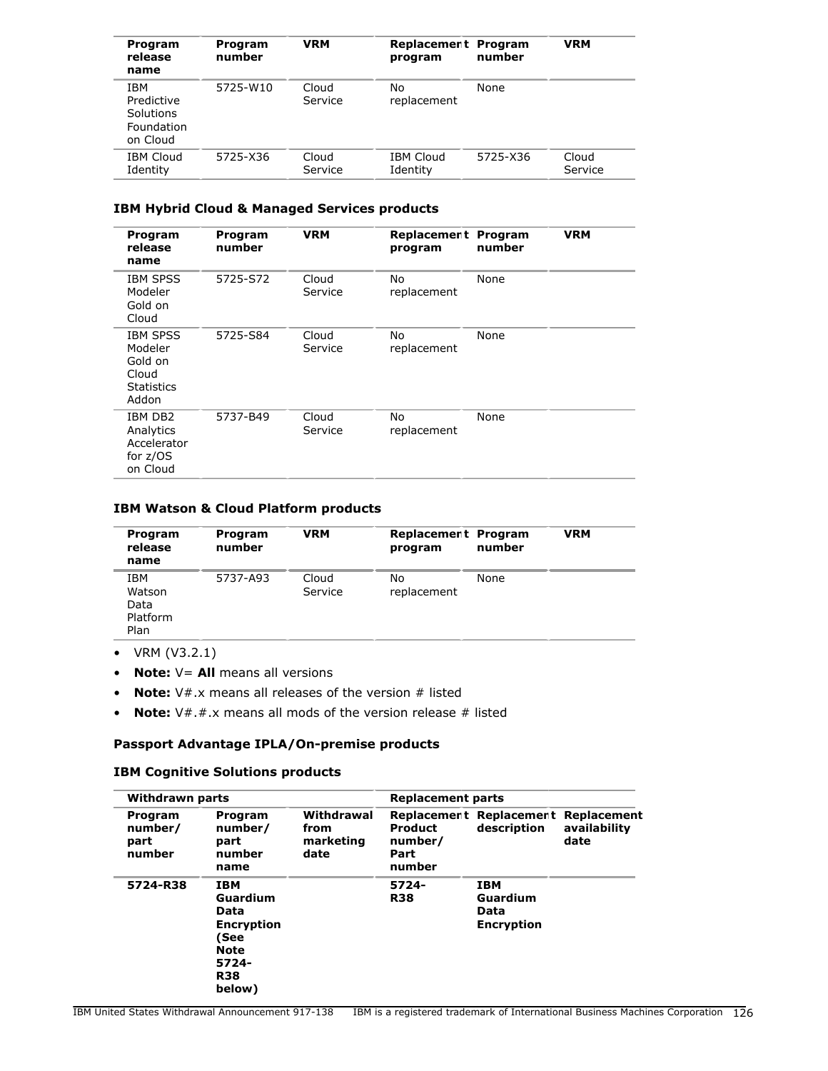| Program<br>release<br>name                                      | Program<br>number | <b>VRM</b>       | Replacement Program<br>program | number   | <b>VRM</b>       |
|-----------------------------------------------------------------|-------------------|------------------|--------------------------------|----------|------------------|
| <b>IBM</b><br>Predictive<br>Solutions<br>Foundation<br>on Cloud | 5725-W10          | Cloud<br>Service | No<br>replacement              | None     |                  |
| <b>IBM Cloud</b><br>Identity                                    | 5725-X36          | Cloud<br>Service | <b>IBM Cloud</b><br>Identity   | 5725-X36 | Cloud<br>Service |

# **IBM Hybrid Cloud & Managed Services products**

| Program<br>release<br>name                                                   | Program<br>number | <b>VRM</b>       | Replacement<br>program | Program<br>number | <b>VRM</b> |
|------------------------------------------------------------------------------|-------------------|------------------|------------------------|-------------------|------------|
| <b>IBM SPSS</b><br>Modeler<br>Gold on<br>Cloud                               | 5725-S72          | Cloud<br>Service | No<br>replacement      | None              |            |
| <b>IBM SPSS</b><br>Modeler<br>Gold on<br>Cloud<br><b>Statistics</b><br>Addon | 5725-S84          | Cloud<br>Service | No<br>replacement      | None              |            |
| IBM DB2<br>Analytics<br>Accelerator<br>for $z/OS$<br>on Cloud                | 5737-B49          | Cloud<br>Service | No<br>replacement      | None              |            |

#### **IBM Watson & Cloud Platform products**

| Program<br>release<br>name                | Program<br>number | <b>VRM</b>       | Replacement Program<br>program | number | <b>VRM</b> |
|-------------------------------------------|-------------------|------------------|--------------------------------|--------|------------|
| IBM<br>Watson<br>Data<br>Platform<br>Plan | 5737-A93          | Cloud<br>Service | No<br>replacement              | None   |            |

- VRM (V3.2.1)
- **Note:** V= **All** means all versions
- **Note:** V#.x means all releases of the version # listed
- **Note:** V#.#.x means all mods of the version release # listed

# **Passport Advantage IPLA/On-premise products**

#### **IBM Cognitive Solutions products**

| Withdrawn parts                      |                                                                                                             |                                         | <b>Replacement parts</b>                    |                                                     |                      |
|--------------------------------------|-------------------------------------------------------------------------------------------------------------|-----------------------------------------|---------------------------------------------|-----------------------------------------------------|----------------------|
| Program<br>number/<br>part<br>number | Program<br>number/<br>part<br>number<br>name                                                                | Withdrawal<br>from<br>marketing<br>date | <b>Product</b><br>number/<br>Part<br>number | Replacement Replacement Replacement<br>description  | availability<br>date |
| 5724-R38                             | <b>IBM</b><br>Guardium<br>Data<br><b>Encryption</b><br>(See<br><b>Note</b><br>5724-<br><b>R38</b><br>below) |                                         | 5724-<br><b>R38</b>                         | <b>IBM</b><br>Guardium<br>Data<br><b>Encryption</b> |                      |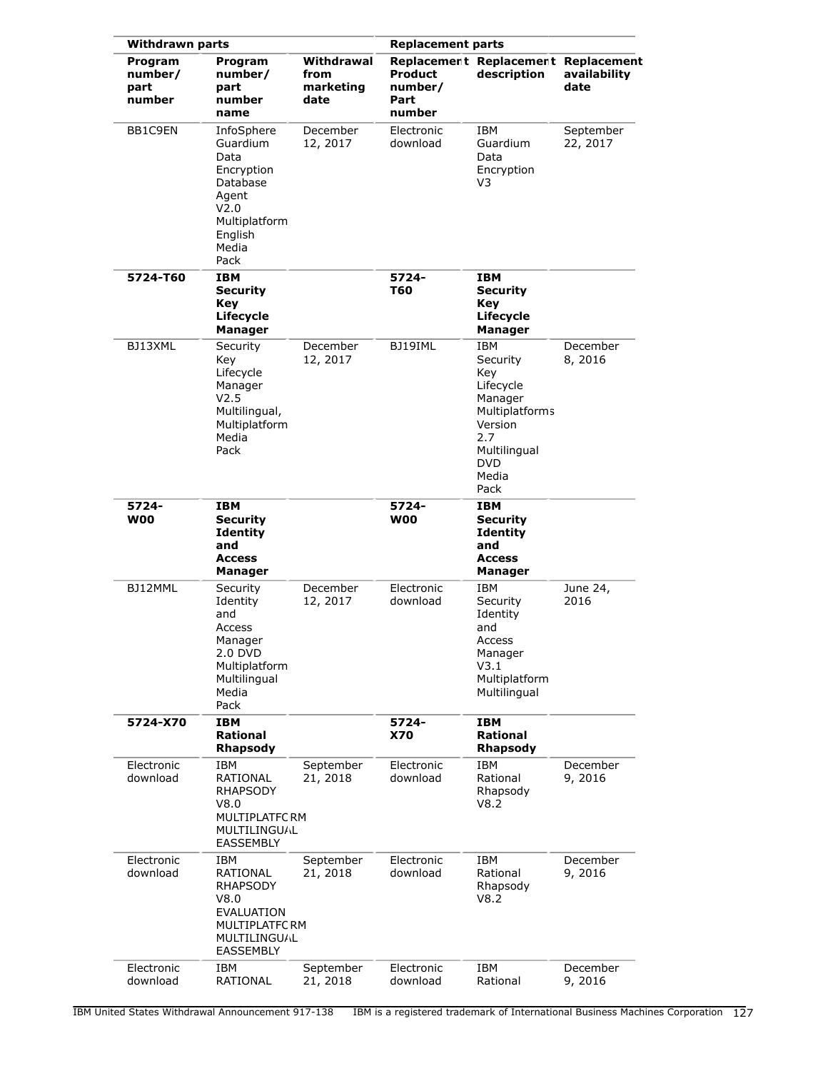| <b>Withdrawn parts</b>               |                                                                                                                        |                                         | <b>Replacement parts</b>                    |                                                                                                                                          |                       |
|--------------------------------------|------------------------------------------------------------------------------------------------------------------------|-----------------------------------------|---------------------------------------------|------------------------------------------------------------------------------------------------------------------------------------------|-----------------------|
| Program<br>number/<br>part<br>number | Program<br>number/<br>part<br>number<br>name                                                                           | Withdrawal<br>from<br>marketing<br>date | <b>Product</b><br>number/<br>Part<br>number | Replacement Replacement Replacement<br>description                                                                                       | availability<br>date  |
| BB1C9EN                              | InfoSphere<br>Guardium<br>Data<br>Encryption<br>Database<br>Agent<br>V2.0<br>Multiplatform<br>English<br>Media<br>Pack | December<br>12, 2017                    | Electronic<br>download                      | IBM<br>Guardium<br>Data<br>Encryption<br>V3                                                                                              | September<br>22, 2017 |
| 5724-T60                             | <b>IBM</b><br><b>Security</b><br>Key<br>Lifecycle<br><b>Manager</b>                                                    |                                         | 5724-<br><b>T60</b>                         | IBM<br><b>Security</b><br>Key<br>Lifecycle<br>Manager                                                                                    |                       |
| BJ13XML                              | Security<br>Key<br>Lifecycle<br>Manager<br>V2.5<br>Multilingual,<br>Multiplatform<br>Media<br>Pack                     | December<br>12, 2017                    | BJ19IML                                     | IBM<br>Security<br>Key<br>Lifecycle<br>Manager<br><b>Multiplatforms</b><br>Version<br>2.7<br>Multilingual<br><b>DVD</b><br>Media<br>Pack | December<br>8,2016    |
| 5724-<br><b>W00</b>                  | IBM<br><b>Security</b><br><b>Identity</b><br>and<br><b>Access</b><br>Manager                                           |                                         | 5724-<br><b>W00</b>                         | IBM<br><b>Security</b><br><b>Identity</b><br>and<br><b>Access</b><br>Manager                                                             |                       |
| BJ12MML                              | Security<br>Identity<br>and<br>Access<br>Manager<br>2.0 DVD<br>Multiplatform<br>Multilingual<br>Media<br>Pack          | December<br>12, 2017                    | Electronic<br>download                      | IBM<br>Security<br>Identity<br>and<br>Access<br>Manager<br>V3.1<br>Multiplatform<br>Multilingual                                         | June 24,<br>2016      |
| 5724-X70                             | <b>IBM</b><br>Rational<br><b>Rhapsody</b>                                                                              |                                         | 5724-<br>X70                                | <b>IBM</b><br>Rational<br><b>Rhapsody</b>                                                                                                |                       |
| Electronic<br>download               | IBM<br>RATIONAL<br><b>RHAPSODY</b><br>V8.0<br>MULTIPLATFC RM<br><b>MULTILINGU/L</b><br><b>EASSEMBLY</b>                | September<br>21, 2018                   | Electronic<br>download                      | <b>IBM</b><br>Rational<br>Rhapsody<br>V8.2                                                                                               | December<br>9, 2016   |
| Electronic<br>download               | IBM<br>RATIONAL<br><b>RHAPSODY</b><br>V8.0<br><b>EVALUATION</b><br>MULTIPLATFC RM<br><b>MULTILINGUAL</b><br>EASSEMBLY  | September<br>21, 2018                   | Electronic<br>download                      | <b>IBM</b><br>Rational<br>Rhapsody<br>V8.2                                                                                               | December<br>9, 2016   |
| Electronic<br>download               | IBM<br>RATIONAL                                                                                                        | September<br>21, 2018                   | Electronic<br>download                      | IBM<br>Rational                                                                                                                          | December<br>9, 2016   |

IBM United States Withdrawal Announcement 917-138 IBM is a registered trademark of International Business Machines Corporation 127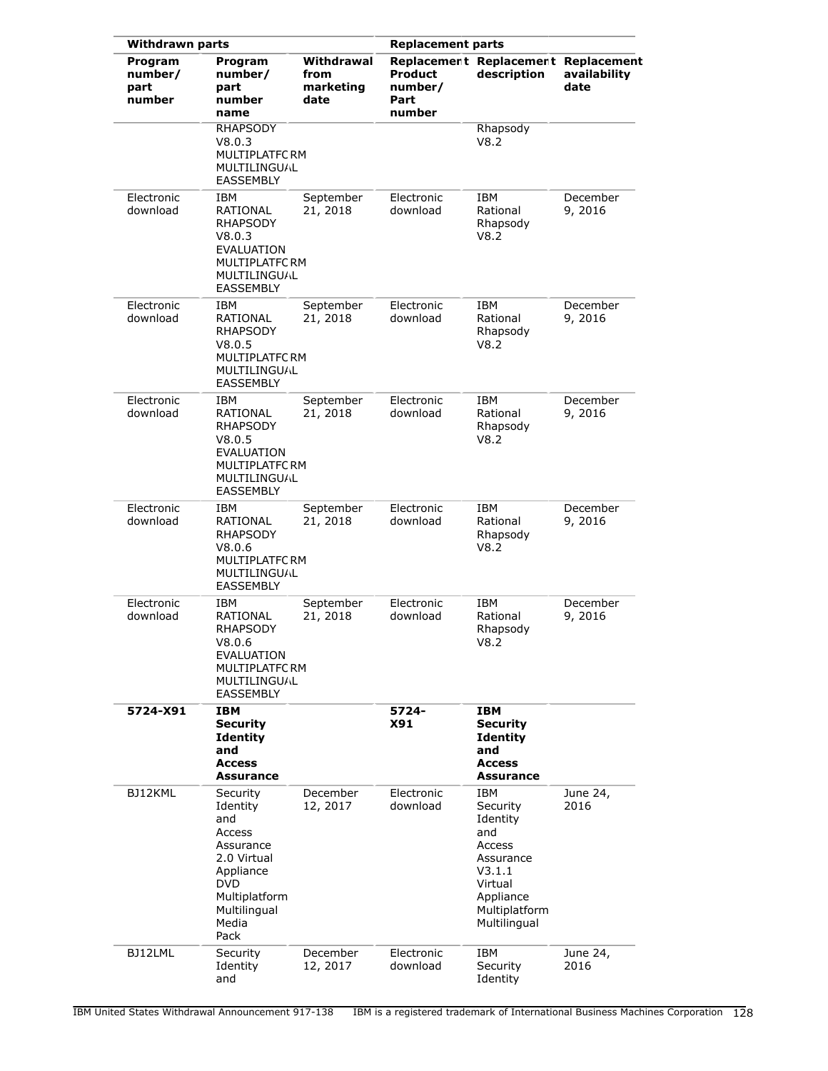| <b>Withdrawn parts</b>               |                                                                                                                                                | <b>Replacement parts</b>                |                                      |                                                                                                                              |                      |
|--------------------------------------|------------------------------------------------------------------------------------------------------------------------------------------------|-----------------------------------------|--------------------------------------|------------------------------------------------------------------------------------------------------------------------------|----------------------|
| Program<br>number/<br>part<br>number | Program<br>number/<br>part<br>number<br>name                                                                                                   | Withdrawal<br>from<br>marketing<br>date | Product<br>number/<br>Part<br>number | Replacement Replacement Replacement<br>description                                                                           | availability<br>date |
|                                      | <b>RHAPSODY</b><br>V8.0.3<br>MULTIPLATFC RM<br>MULTILINGUAL<br>EASSEMBLY                                                                       |                                         |                                      | Rhapsody<br>V8.2                                                                                                             |                      |
| Electronic<br>download               | IBM<br>RATIONAL<br><b>RHAPSODY</b><br>V8.0.3<br>EVALUATION<br>MULTIPLATFC RM<br>MULTILINGUAL<br><b>EASSEMBLY</b>                               | September<br>21, 2018                   | Electronic<br>download               | <b>IBM</b><br>Rational<br>Rhapsody<br>V8.2                                                                                   | December<br>9, 2016  |
| Electronic<br>download               | IBM<br>RATIONAL<br><b>RHAPSODY</b><br>V8.0.5<br>MULTIPLATFC RM<br><b>MULTILINGUAL</b><br><b>EASSEMBLY</b>                                      | September<br>21, 2018                   | Electronic<br>download               | IBM<br>Rational<br>Rhapsody<br>V8.2                                                                                          | December<br>9,2016   |
| Electronic<br>download               | IBM<br>RATIONAL<br><b>RHAPSODY</b><br>V8.0.5<br>EVALUATION<br>MULTIPLATFC RM<br><b>MULTILINGUAL</b><br><b>EASSEMBLY</b>                        | September<br>21, 2018                   | Electronic<br>download               | <b>IBM</b><br>Rational<br>Rhapsody<br>V8.2                                                                                   | December<br>9,2016   |
| Electronic<br>download               | IBM<br>RATIONAL<br>RHAPSODY<br>V8.0.6<br>MULTIPLATFC RM<br>MULTILINGUAL<br>EASSEMBLY                                                           | September<br>21, 2018                   | Electronic<br>download               | <b>IBM</b><br>Rational<br>Rhapsody<br>V8.2                                                                                   | December<br>9,2016   |
| Electronic<br>download               | IBM<br>RATIONAL<br>RHAPSODY<br>V8.0.6<br>EVALUATION<br>MULTIPLATFC RM<br>MULTILINGUAL<br><b>EASSEMBLY</b>                                      | September<br>21, 2018                   | Electronic<br>download               | <b>IBM</b><br>Rational<br>Rhapsody<br>V8.2                                                                                   | December<br>9, 2016  |
| 5724-X91                             | <b>IBM</b><br><b>Security</b><br><b>Identity</b><br>and<br><b>Access</b><br>Assurance                                                          |                                         | 5724-<br>X91                         | IBM<br><b>Security</b><br><b>Identity</b><br>and<br><b>Access</b><br><b>Assurance</b>                                        |                      |
| BJ12KML                              | Security<br>Identity<br>and<br>Access<br>Assurance<br>2.0 Virtual<br>Appliance<br><b>DVD</b><br>Multiplatform<br>Multilingual<br>Media<br>Pack | December<br>12, 2017                    | Electronic<br>download               | IBM<br>Security<br>Identity<br>and<br>Access<br>Assurance<br>V3.1.1<br>Virtual<br>Appliance<br>Multiplatform<br>Multilingual | June 24,<br>2016     |
| BJ12LML                              | Security<br>Identity<br>and                                                                                                                    | December<br>12, 2017                    | Electronic<br>download               | IBM<br>Security<br>Identity                                                                                                  | June 24,<br>2016     |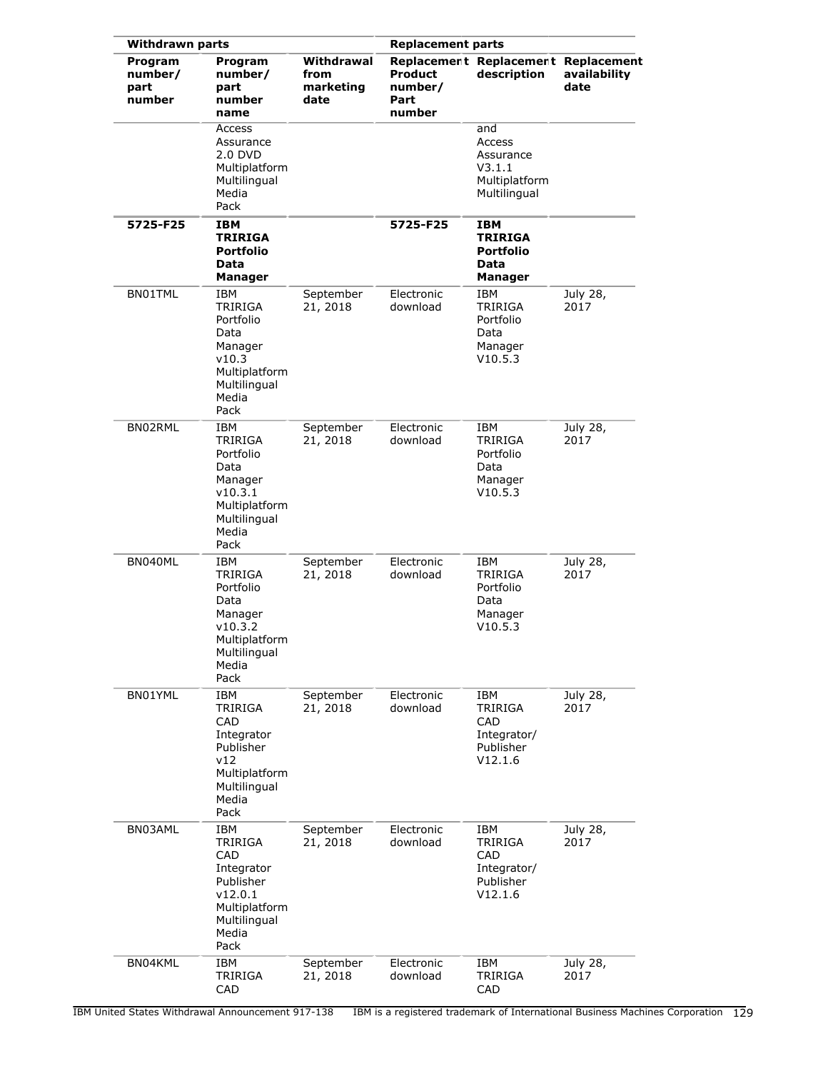| <b>Withdrawn parts</b>               |                                                                                                                           |                                         | <b>Replacement parts</b>                    |                                                                            |                      |
|--------------------------------------|---------------------------------------------------------------------------------------------------------------------------|-----------------------------------------|---------------------------------------------|----------------------------------------------------------------------------|----------------------|
| Program<br>number/<br>part<br>number | Program<br>number/<br>part<br>number<br>name                                                                              | Withdrawal<br>from<br>marketing<br>date | <b>Product</b><br>number/<br>Part<br>number | Replacement Replacement Replacement<br>description                         | availability<br>date |
|                                      | Access<br>Assurance<br>2.0 DVD<br>Multiplatform<br>Multilingual<br>Media<br>Pack                                          |                                         |                                             | and<br>Access<br>Assurance<br>V3.1.1<br>Multiplatform<br>Multilingual      |                      |
| 5725-F25                             | IBM<br><b>TRIRIGA</b><br><b>Portfolio</b><br>Data<br>Manager                                                              |                                         | 5725-F25                                    | IBM<br><b>TRIRIGA</b><br><b>Portfolio</b><br>Data<br><b>Manager</b>        |                      |
| BN01TML                              | IBM<br><b>TRIRIGA</b><br>Portfolio<br>Data<br>Manager<br>v10.3<br>Multiplatform<br>Multilingual<br>Media<br>Pack          | September<br>21, 2018                   | Electronic<br>download                      | <b>IBM</b><br><b>TRIRIGA</b><br>Portfolio<br>Data<br>Manager<br>V10.5.3    | July 28,<br>2017     |
| BN02RML                              | <b>IBM</b><br><b>TRIRIGA</b><br>Portfolio<br>Data<br>Manager<br>v10.3.1<br>Multiplatform<br>Multilingual<br>Media<br>Pack | September<br>21, 2018                   | Electronic<br>download                      | IBM<br>TRIRIGA<br>Portfolio<br>Data<br>Manager<br>V10.5.3                  | July 28,<br>2017     |
| BN040ML                              | IBM<br><b>TRIRIGA</b><br>Portfolio<br>Data<br>Manager<br>v10.3.2<br>Multiplatform<br>Multilingual<br>Media<br>Pack        | September<br>21, 2018                   | Electronic<br>download                      | <b>IBM</b><br><b>TRIRIGA</b><br>Portfolio<br>Data<br>Manager<br>V10.5.3    | July 28,<br>2017     |
| BN01YML                              | IBM<br><b>TRIRIGA</b><br>CAD<br>Integrator<br>Publisher<br>v12<br>Multiplatform<br>Multilingual<br>Media<br>Pack          | September<br>21, 2018                   | Electronic<br>download                      | IBM<br><b>TRIRIGA</b><br><b>CAD</b><br>Integrator/<br>Publisher<br>V12.1.6 | July 28,<br>2017     |
| BN03AML                              | IBM<br><b>TRIRIGA</b><br>CAD<br>Integrator<br>Publisher<br>v12.0.1<br>Multiplatform<br>Multilingual<br>Media<br>Pack      | September<br>21, 2018                   | Electronic<br>download                      | IBM<br><b>TRIRIGA</b><br>CAD.<br>Integrator/<br>Publisher<br>V12.1.6       | July 28,<br>2017     |
| BN04KML                              | IBM<br>TRIRIGA<br>CAD                                                                                                     | September<br>21, 2018                   | Electronic<br>download                      | IBM<br><b>TRIRIGA</b><br>CAD                                               | July 28,<br>2017     |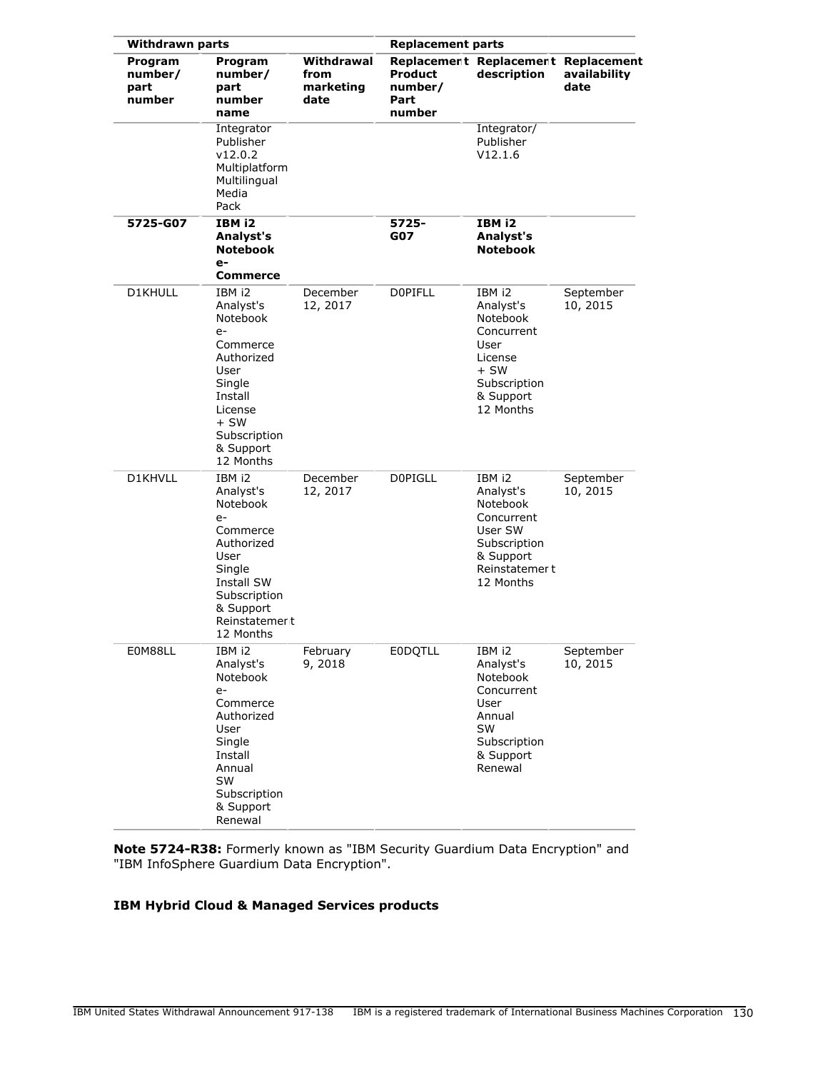| <b>Withdrawn parts</b>               |                                                                                                                                                                      |                                         | <b>Replacement parts</b>             |                                                                                                                      |                                     |
|--------------------------------------|----------------------------------------------------------------------------------------------------------------------------------------------------------------------|-----------------------------------------|--------------------------------------|----------------------------------------------------------------------------------------------------------------------|-------------------------------------|
| Program<br>number/<br>part<br>number | Program<br>number/<br>part<br>number<br>name                                                                                                                         | Withdrawal<br>from<br>marketing<br>date | Product<br>number/<br>Part<br>number | Replacement Replacement<br>description                                                                               | Replacement<br>availability<br>date |
|                                      | Integrator<br>Publisher<br>v12.0.2<br>Multiplatform<br>Multilingual<br>Media<br>Pack                                                                                 |                                         |                                      | Integrator/<br>Publisher<br>V12.1.6                                                                                  |                                     |
| 5725-G07                             | IBM i2<br>Analyst's<br><b>Notebook</b><br>e-<br>Commerce                                                                                                             |                                         | 5725-<br>G07                         | IBM i2<br>Analyst's<br><b>Notebook</b>                                                                               |                                     |
| D1KHULL                              | IBM i2<br>Analyst's<br>Notebook<br>$e-$                                                                                                                              | December<br>12, 2017                    | <b>DOPIFLL</b>                       | IBM i2<br>Analyst's<br>Notebook                                                                                      | September<br>10, 2015               |
|                                      | Commerce<br>Authorized<br>User<br>Single<br>Install<br>License<br>$+SW$<br>Subscription<br>& Support<br>12 Months                                                    |                                         |                                      | Concurrent<br>User<br>License<br>$+SW$<br>Subscription<br>& Support<br>12 Months                                     |                                     |
| D1KHVLL                              | IBM i2<br>Analyst's<br>Notebook<br>$e-$<br>Commerce<br>Authorized<br>User<br>Single<br><b>Install SW</b><br>Subscription<br>& Support<br>Reinstatemer t<br>12 Months | December<br>12, 2017                    | <b>DOPIGLL</b>                       | IBM i2<br>Analyst's<br>Notebook<br>Concurrent<br>User SW<br>Subscription<br>& Support<br>Reinstatemert<br>12 Months  | September<br>10, 2015               |
| E0M88LL                              | IBM i2<br>Analyst's<br>Notebook<br>$e-$<br>Commerce<br>Authorized<br>User<br>Single<br>Install<br>Annual<br><b>SW</b><br>Subscription<br>& Support<br>Renewal        | February<br>9,2018                      | <b>EODQTLL</b>                       | IBM i2<br>Analyst's<br>Notebook<br>Concurrent<br>User<br>Annual<br><b>SW</b><br>Subscription<br>& Support<br>Renewal | September<br>10, 2015               |

**Note 5724-R38:** Formerly known as "IBM Security Guardium Data Encryption" and "IBM InfoSphere Guardium Data Encryption".

# **IBM Hybrid Cloud & Managed Services products**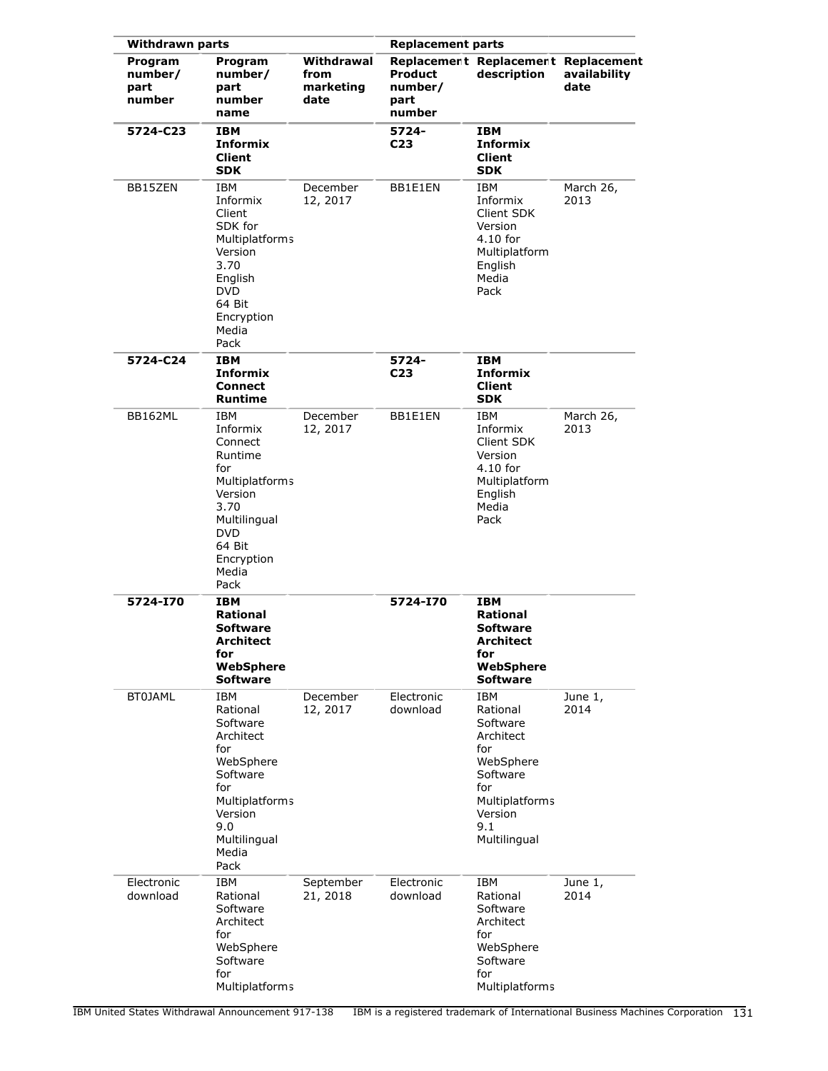| <b>Withdrawn parts</b>               |                                                                                                                                                             |                                         | <b>Replacement parts</b>                    |                                                                                                                                            |                      |
|--------------------------------------|-------------------------------------------------------------------------------------------------------------------------------------------------------------|-----------------------------------------|---------------------------------------------|--------------------------------------------------------------------------------------------------------------------------------------------|----------------------|
| Program<br>number/<br>part<br>number | Program<br>number/<br>part<br>number<br>name                                                                                                                | Withdrawal<br>from<br>marketing<br>date | <b>Product</b><br>number/<br>part<br>number | Replacement Replacement Replacement<br>description                                                                                         | availability<br>date |
| 5724-C23                             | <b>IBM</b><br><b>Informix</b><br><b>Client</b><br><b>SDK</b>                                                                                                |                                         | 5724-<br>C <sub>23</sub>                    | <b>IBM</b><br><b>Informix</b><br><b>Client</b><br><b>SDK</b>                                                                               |                      |
| BB15ZEN                              | IBM<br>Informix<br>Client<br>SDK for<br>Multiplatforms<br>Version<br>3.70<br>English<br><b>DVD</b><br>64 Bit<br>Encryption<br>Media<br>Pack                 | December<br>12, 2017                    | BB1E1EN                                     | IBM<br>Informix<br>Client SDK<br>Version<br>$4.10$ for<br>Multiplatform<br>English<br>Media<br>Pack                                        | March 26,<br>2013    |
| 5724-C24                             | <b>IBM</b><br><b>Informix</b><br><b>Connect</b><br><b>Runtime</b>                                                                                           |                                         | 5724-<br>C <sub>23</sub>                    | IBM<br><b>Informix</b><br><b>Client</b><br><b>SDK</b>                                                                                      |                      |
| BB162ML                              | IBM<br>Informix<br>Connect<br>Runtime<br>for<br>Multiplatforms<br>Version<br>3.70<br>Multilingual<br><b>DVD</b><br>64 Bit<br>Encryption<br>Media<br>Pack    | December<br>12, 2017                    | BB1E1EN                                     | IBM<br>Informix<br>Client SDK<br>Version<br>$4.10$ for<br>Multiplatform<br>English<br>Media<br>Pack                                        | March 26,<br>2013    |
| 5724-I70                             | <b>IBM</b><br>Rational<br><b>Software</b><br>Architect<br>for<br>WebSphere<br><b>Software</b>                                                               |                                         | 5724-170                                    | <b>IBM</b><br><b>Rational</b><br><b>Software</b><br>Architect<br>for<br>WebSphere<br><b>Software</b>                                       |                      |
| <b>BT0JAML</b>                       | <b>IBM</b><br>Rational<br>Software<br>Architect<br>for<br>WebSphere<br>Software<br>for<br>Multiplatforms<br>Version<br>9.0<br>Multilingual<br>Media<br>Pack | December<br>12, 2017                    | Electronic<br>download                      | <b>IBM</b><br>Rational<br>Software<br>Architect<br>for<br>WebSphere<br>Software<br>for<br>Multiplatforms<br>Version<br>9.1<br>Multilingual | June 1,<br>2014      |
| Electronic<br>download               | <b>IBM</b><br>Rational<br>Software<br>Architect<br>for<br>WebSphere<br>Software<br>for<br>Multiplatforms                                                    | September<br>21, 2018                   | Electronic<br>download                      | <b>IBM</b><br>Rational<br>Software<br>Architect<br>for<br>WebSphere<br>Software<br>for<br>Multiplatforms                                   | June 1,<br>2014      |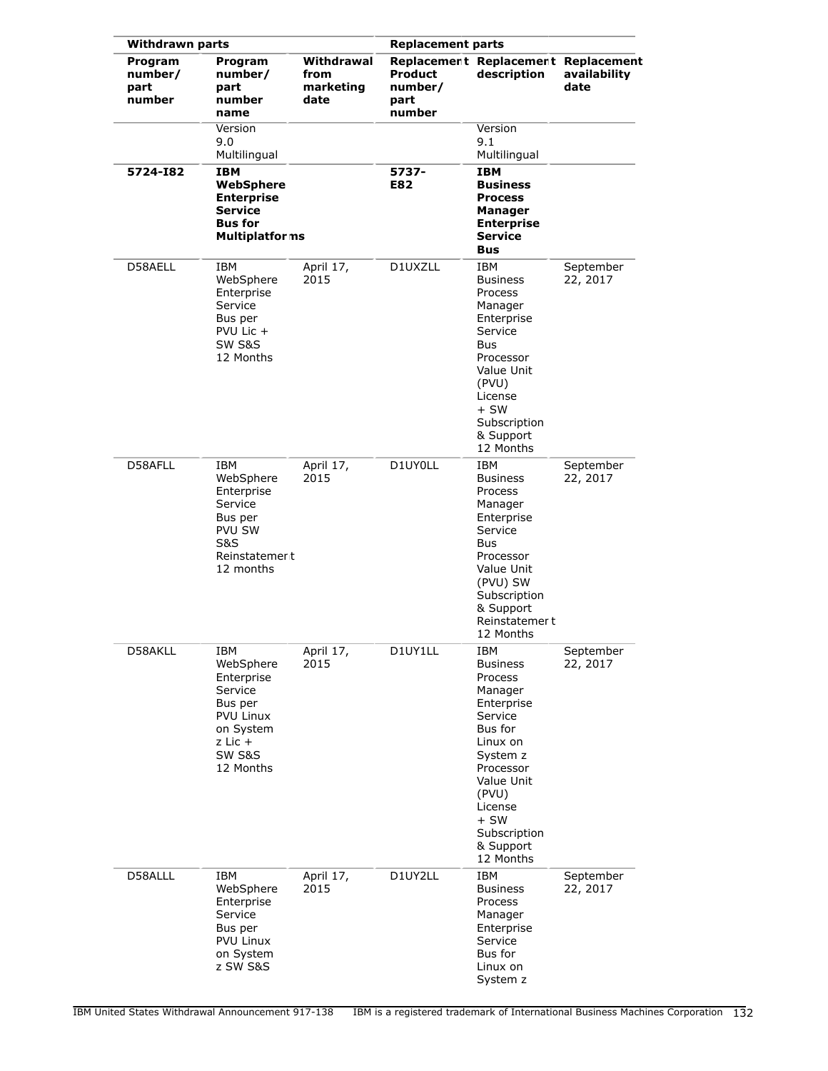| <b>Withdrawn parts</b>               |                                                                                                                                 |                                         | <b>Replacement parts</b>                    |                                                                                                                                                                                                             |                       |
|--------------------------------------|---------------------------------------------------------------------------------------------------------------------------------|-----------------------------------------|---------------------------------------------|-------------------------------------------------------------------------------------------------------------------------------------------------------------------------------------------------------------|-----------------------|
| Program<br>number/<br>part<br>number | Program<br>number/<br>part<br>number<br>name                                                                                    | Withdrawal<br>from<br>marketing<br>date | <b>Product</b><br>number/<br>part<br>number | Replacement Replacement Replacement<br>description                                                                                                                                                          | availability<br>date  |
|                                      | Version<br>9.0<br>Multilingual                                                                                                  |                                         |                                             | Version<br>9.1<br>Multilingual                                                                                                                                                                              |                       |
| 5724-182                             | <b>IBM</b><br>WebSphere<br><b>Enterprise</b><br><b>Service</b><br><b>Bus for</b><br><b>Multiplatforms</b>                       |                                         | 5737-<br>E82                                | <b>IBM</b><br><b>Business</b><br><b>Process</b><br>Manager<br><b>Enterprise</b><br><b>Service</b><br><b>Bus</b>                                                                                             |                       |
| D58AELL                              | IBM<br>WebSphere<br>Enterprise<br>Service<br>Bus per<br>PVU Lic +<br>SW S&S<br>12 Months                                        | April 17,<br>2015                       | D1UXZLL                                     | IBM<br><b>Business</b><br>Process<br>Manager<br>Enterprise<br>Service<br>Bus<br>Processor<br>Value Unit<br>(PVU)<br>License<br>$+$ SW<br>Subscription<br>& Support<br>12 Months                             | September<br>22, 2017 |
| D58AFLL                              | IBM<br>WebSphere<br>Enterprise<br>Service<br>Bus per<br><b>PVU SW</b><br>S&S<br>Reinstatemer t<br>12 months                     | April 17,<br>2015                       | D1UY0LL                                     | IBM<br><b>Business</b><br>Process<br>Manager<br>Enterprise<br>Service<br>Bus<br>Processor<br>Value Unit<br>(PVU) SW<br>Subscription<br>& Support<br>Reinstatemer t<br>12 Months                             | September<br>22, 2017 |
| D58AKLL                              | IBM<br>WebSphere<br>Enterprise<br>Service<br>Bus per<br>PVU Linux<br>on System<br>$z$ Lic $+$<br><b>SW S&amp;S</b><br>12 Months | April 17,<br>2015                       | D1UY1LL                                     | IBM<br><b>Business</b><br>Process<br>Manager<br>Enterprise<br>Service<br>Bus for<br>Linux on<br>System z<br>Processor<br>Value Unit<br>(PVU)<br>License<br>$+$ SW<br>Subscription<br>& Support<br>12 Months | September<br>22, 2017 |
| D58ALLL                              | IBM<br>WebSphere<br>Enterprise<br>Service<br>Bus per<br><b>PVU Linux</b><br>on System<br>z SW S&S                               | April 17,<br>2015                       | D1UY2LL                                     | IBM<br><b>Business</b><br>Process<br>Manager<br>Enterprise<br>Service<br>Bus for<br>Linux on<br>System z                                                                                                    | September<br>22, 2017 |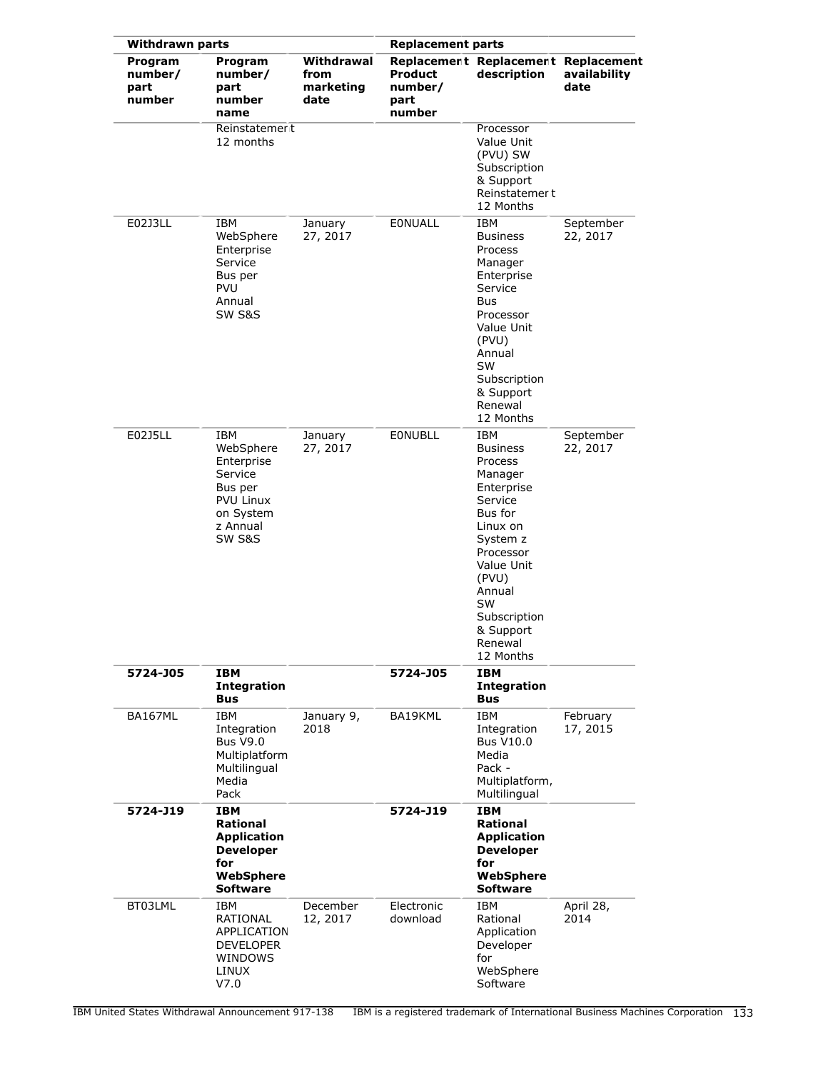| <b>Withdrawn parts</b>               |                                                                                                             |                                         | <b>Replacement parts</b>                    |                                                                                                                                                                                                                          |                       |
|--------------------------------------|-------------------------------------------------------------------------------------------------------------|-----------------------------------------|---------------------------------------------|--------------------------------------------------------------------------------------------------------------------------------------------------------------------------------------------------------------------------|-----------------------|
| Program<br>number/<br>part<br>number | Program<br>number/<br>part<br>number<br>name                                                                | Withdrawal<br>from<br>marketing<br>date | <b>Product</b><br>number/<br>part<br>number | Replacement Replacement Replacement<br>description                                                                                                                                                                       | availability<br>date  |
|                                      | Reinstatemer t<br>12 months                                                                                 |                                         |                                             | Processor<br>Value Unit<br>(PVU) SW<br>Subscription<br>& Support<br>Reinstatemer t<br>12 Months                                                                                                                          |                       |
| E02J3LL                              | <b>IBM</b><br>WebSphere<br>Enterprise<br>Service<br>Bus per<br><b>PVU</b><br>Annual<br><b>SW S&amp;S</b>    | January<br>27, 2017                     | <b>EONUALL</b>                              | IBM<br><b>Business</b><br>Process<br>Manager<br>Enterprise<br>Service<br><b>Bus</b><br>Processor<br>Value Unit<br>(PVU)<br>Annual<br><b>SW</b><br>Subscription<br>& Support<br>Renewal<br>12 Months                      | September<br>22, 2017 |
| E02J5LL                              | IBM<br>WebSphere<br>Enterprise<br>Service<br>Bus per<br><b>PVU Linux</b><br>on System<br>z Annual<br>SW S&S | January<br>27, 2017                     | <b>EONUBLL</b>                              | IBM<br><b>Business</b><br>Process<br>Manager<br>Enterprise<br>Service<br>Bus for<br>Linux on<br>System z<br>Processor<br>Value Unit<br>(PVU)<br>Annual<br><b>SW</b><br>Subscription<br>& Support<br>Renewal<br>12 Months | September<br>22, 2017 |
| 5724-J05                             | <b>IBM</b><br><b>Integration</b><br><b>Bus</b>                                                              |                                         | 5724-J05                                    | <b>IBM</b><br><b>Integration</b><br><b>Bus</b>                                                                                                                                                                           |                       |
| BA167ML                              | IBM<br>Integration<br><b>Bus V9.0</b><br>Multiplatform<br>Multilingual<br>Media<br>Pack                     | January 9,<br>2018                      | BA19KML                                     | IBM<br>Integration<br><b>Bus V10.0</b><br>Media<br>Pack -<br>Multiplatform,<br>Multilingual                                                                                                                              | February<br>17, 2015  |
| 5724-J19                             | <b>IBM</b><br>Rational<br><b>Application</b><br><b>Developer</b><br>for<br>WebSphere<br><b>Software</b>     |                                         | 5724-J19                                    | <b>IBM</b><br><b>Rational</b><br><b>Application</b><br><b>Developer</b><br>for<br>WebSphere<br><b>Software</b>                                                                                                           |                       |
| BT03LML                              | IBM<br>RATIONAL<br>APPLICATION<br><b>DEVELOPER</b><br>WINDOWS<br>LINUX<br>V7.0                              | December<br>12, 2017                    | Electronic<br>download                      | IBM<br>Rational<br>Application<br>Developer<br>for<br>WebSphere<br>Software                                                                                                                                              | April 28,<br>2014     |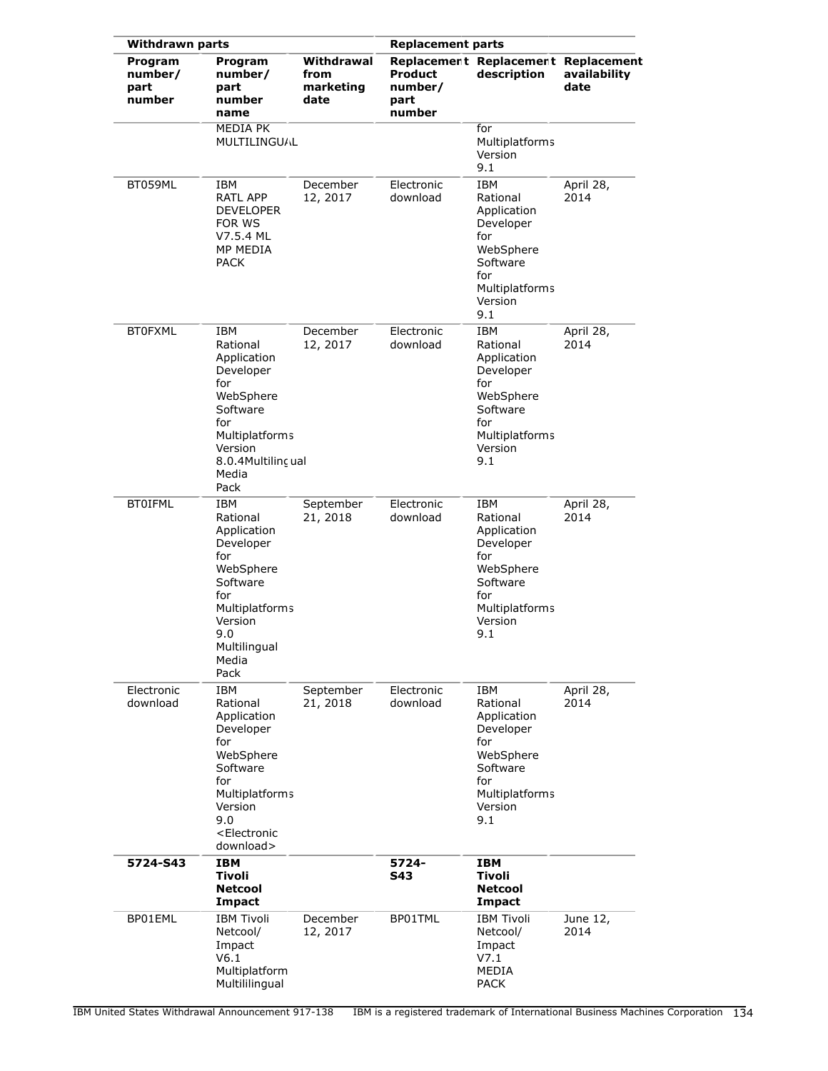| <b>Withdrawn parts</b>               |                                                                                                                                                                              |                                         | <b>Replacement parts</b>             |                                                                                                                               |                      |
|--------------------------------------|------------------------------------------------------------------------------------------------------------------------------------------------------------------------------|-----------------------------------------|--------------------------------------|-------------------------------------------------------------------------------------------------------------------------------|----------------------|
| Program<br>number/<br>part<br>number | Program<br>number/<br>part<br>number<br>name                                                                                                                                 | Withdrawal<br>from<br>marketing<br>date | Product<br>number/<br>part<br>number | Replacement Replacement Replacement<br>description                                                                            | availability<br>date |
|                                      | MEDIA PK<br>MULTILINGUAL                                                                                                                                                     |                                         |                                      | for<br>Multiplatforms<br>Version<br>9.1                                                                                       |                      |
| BT059ML                              | IBM<br>RATL APP<br><b>DEVELOPER</b><br>FOR WS<br>V7.5.4 ML<br>MP MEDIA<br><b>PACK</b>                                                                                        | December<br>12, 2017                    | Electronic<br>download               | IBM<br>Rational<br>Application<br>Developer<br>for<br>WebSphere<br>Software<br>for<br>Multiplatforms<br>Version<br>9.1        | April 28,<br>2014    |
| <b>BT0FXML</b>                       | IBM<br>Rational<br>Application<br>Developer<br>for<br>WebSphere<br>Software<br>for<br><b>Multiplatforms</b><br>Version<br>8.0.4Multilinc ual<br>Media<br>Pack                | December<br>12, 2017                    | Electronic<br>download               | IBM<br>Rational<br>Application<br>Developer<br>for<br>WebSphere<br>Software<br>for<br>Multiplatforms<br>Version<br>9.1        | April 28,<br>2014    |
| <b>BT0IFML</b>                       | IBM<br>Rational<br>Application<br>Developer<br>for<br>WebSphere<br>Software<br>for<br>Multiplatforms<br>Version<br>9.0<br>Multilingual<br>Media<br>Pack                      | September<br>21, 2018                   | Electronic<br>download               | <b>IBM</b><br>Rational<br>Application<br>Developer<br>for<br>WebSphere<br>Software<br>for<br>Multiplatforms<br>Version<br>9.1 | April 28,<br>2014    |
| Electronic<br>download               | IBM<br>Rational<br>Application<br>Developer<br>for<br>WebSphere<br>Software<br>for<br><b>Multiplatforms</b><br>Version<br>9.0<br><electronic<br>download&gt;</electronic<br> | September<br>21, 2018                   | Electronic<br>download               | IBM<br>Rational<br>Application<br>Developer<br>for<br>WebSphere<br>Software<br>for<br>Multiplatforms<br>Version<br>9.1        | April 28,<br>2014    |
| 5724-S43                             | IBM<br>Tivoli<br><b>Netcool</b><br>Impact                                                                                                                                    |                                         | 5724-<br><b>S43</b>                  | <b>IBM</b><br>Tivoli<br><b>Netcool</b><br><b>Impact</b>                                                                       |                      |
| BP01EML                              | <b>IBM Tivoli</b><br>Netcool/<br>Impact<br>V6.1<br>Multiplatform<br>Multililingual                                                                                           | December<br>12, 2017                    | BP01TML                              | <b>IBM Tivoli</b><br>Netcool/<br>Impact<br>V7.1<br><b>MEDIA</b><br><b>PACK</b>                                                | June 12,<br>2014     |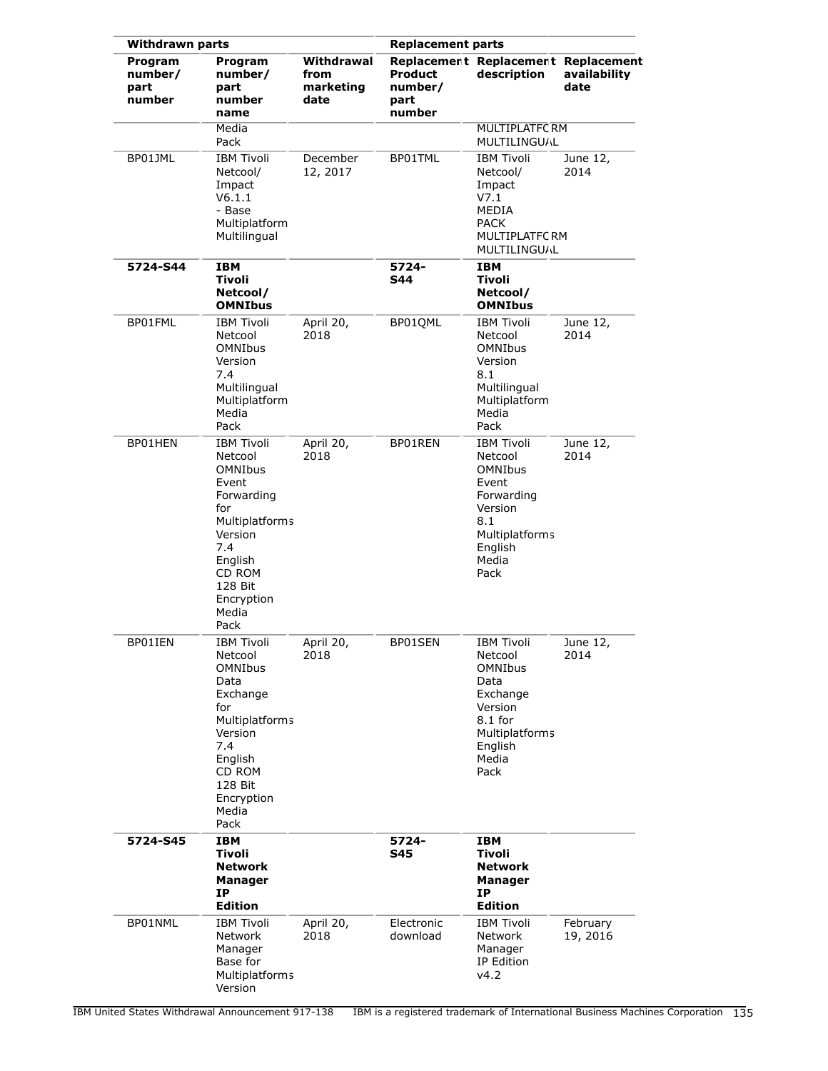| <b>Withdrawn parts</b>               |                                                                                                                                                                                 |                                         | <b>Replacement parts</b>             |                                                                                                                                          |                      |  |
|--------------------------------------|---------------------------------------------------------------------------------------------------------------------------------------------------------------------------------|-----------------------------------------|--------------------------------------|------------------------------------------------------------------------------------------------------------------------------------------|----------------------|--|
| Program<br>number/<br>part<br>number | Program<br>number/<br>part<br>number<br>name                                                                                                                                    | Withdrawal<br>from<br>marketing<br>date | Product<br>number/<br>part<br>number | Replacement Replacement Replacement<br>description                                                                                       | availability<br>date |  |
|                                      | Media<br>Pack                                                                                                                                                                   |                                         |                                      | <b>MULTIPLATFC RM</b><br>MULTILINGUAL                                                                                                    |                      |  |
| BP01JML                              | <b>IBM Tivoli</b><br>Netcool/<br>Impact<br>V6.1.1<br>- Base<br>Multiplatform<br>Multilingual                                                                                    | December<br>12, 2017                    | BP01TML                              | <b>IBM Tivoli</b><br>Netcool/<br>Impact<br>V7.1<br>MEDIA<br><b>PACK</b><br><b>MULTIPLATFCRM</b><br>MULTILINGUAL                          | June 12,<br>2014     |  |
| 5724-S44                             | <b>IBM</b><br><b>Tivoli</b><br>Netcool/<br><b>OMNIbus</b>                                                                                                                       |                                         | 5724-<br><b>S44</b>                  | <b>IBM</b><br>Tivoli<br>Netcool/<br><b>OMNIbus</b>                                                                                       |                      |  |
| BP01FML                              | <b>IBM Tivoli</b><br>Netcool<br><b>OMNIbus</b><br>Version<br>7.4<br>Multilingual<br>Multiplatform<br>Media<br>Pack                                                              | April 20,<br>2018                       | BP01QML                              | <b>IBM Tivoli</b><br>Netcool<br><b>OMNIbus</b><br>Version<br>8.1<br>Multilingual<br>Multiplatform<br>Media<br>Pack                       | June 12,<br>2014     |  |
| BP01HEN                              | <b>IBM Tivoli</b><br>Netcool<br><b>OMNIbus</b><br>Event<br>Forwarding<br>for<br>Multiplatforms<br>Version<br>7.4<br>English<br>CD ROM<br>128 Bit<br>Encryption<br>Media<br>Pack | April 20,<br>2018                       | BP01REN                              | <b>IBM Tivoli</b><br>Netcool<br><b>OMNIbus</b><br>Event<br>Forwarding<br>Version<br>8.1<br>Multiplatforms<br>English<br>Media<br>Pack    | June 12,<br>2014     |  |
| BP01IEN                              | <b>IBM Tivoli</b><br>Netcool<br><b>OMNIbus</b><br>Data<br>Exchange<br>for<br>Multiplatforms<br>Version<br>7.4<br>English<br>CD ROM<br>128 Bit<br>Encryption<br>Media<br>Pack    | April 20,<br>2018                       | BP01SEN                              | <b>IBM Tivoli</b><br>Netcool<br><b>OMNIbus</b><br>Data<br>Exchange<br>Version<br>$8.1$ for<br>Multiplatforms<br>English<br>Media<br>Pack | June 12,<br>2014     |  |
| 5724-S45                             | <b>IBM</b><br>Tivoli<br><b>Network</b><br><b>Manager</b><br>ΙP<br><b>Edition</b>                                                                                                |                                         | 5724-<br><b>S45</b>                  | <b>IBM</b><br>Tivoli<br>Network<br><b>Manager</b><br>ΙP<br><b>Edition</b>                                                                |                      |  |
| BP01NML                              | <b>IBM Tivoli</b><br>Network<br>Manager<br>Base for<br>Multiplatforms<br>Version                                                                                                | April 20,<br>2018                       | Electronic<br>download               | <b>IBM Tivoli</b><br>Network<br>Manager<br>IP Edition<br>v4.2                                                                            | February<br>19, 2016 |  |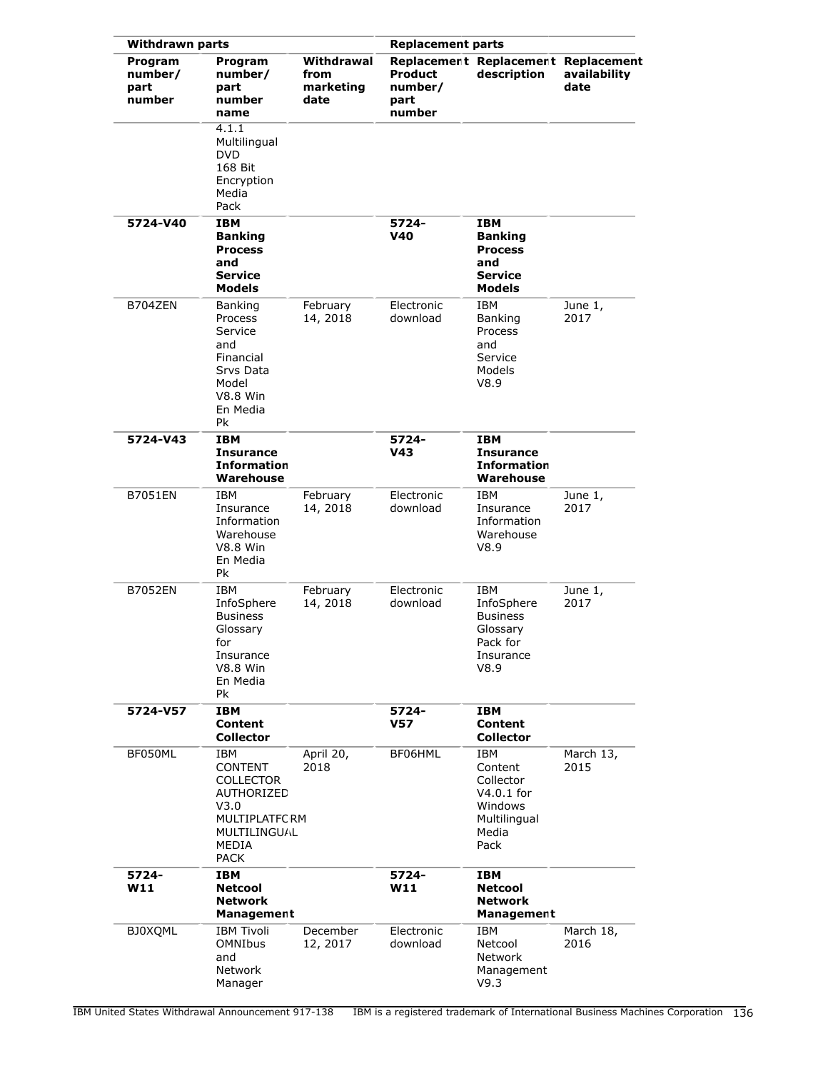| <b>Withdrawn parts</b>               |                                                                                                                                  |                                         | <b>Replacement parts</b>             |                                                                                                |                      |
|--------------------------------------|----------------------------------------------------------------------------------------------------------------------------------|-----------------------------------------|--------------------------------------|------------------------------------------------------------------------------------------------|----------------------|
| Program<br>number/<br>part<br>number | Program<br>number/<br>part<br>number<br>name                                                                                     | Withdrawal<br>from<br>marketing<br>date | Product<br>number/<br>part<br>number | Replacement Replacement Replacement<br>description                                             | availability<br>date |
|                                      | 4.1.1<br>Multilingual<br><b>DVD</b><br>168 Bit<br>Encryption<br>Media<br>Pack                                                    |                                         |                                      |                                                                                                |                      |
| 5724-V40                             | <b>IBM</b><br><b>Banking</b><br><b>Process</b><br>and<br><b>Service</b><br><b>Models</b>                                         |                                         | 5724-<br>V40                         | IBM<br><b>Banking</b><br><b>Process</b><br>and<br>Service<br><b>Models</b>                     |                      |
| B704ZEN                              | <b>Banking</b><br>Process<br>Service<br>and<br>Financial<br>Srvs Data<br>Model<br><b>V8.8 Win</b><br>En Media<br>Pk              | February<br>14, 2018                    | Electronic<br>download               | IBM<br>Banking<br>Process<br>and<br>Service<br>Models<br>V8.9                                  | June 1,<br>2017      |
| 5724-V43                             | <b>IBM</b><br><b>Insurance</b><br><b>Information</b><br>Warehouse                                                                |                                         | 5724-<br>V <sub>43</sub>             | <b>IBM</b><br><b>Insurance</b><br><b>Information</b><br>Warehouse                              |                      |
| <b>B7051EN</b>                       | <b>IBM</b><br>Insurance<br>Information<br>Warehouse<br><b>V8.8 Win</b><br>En Media<br>Рk                                         | February<br>14, 2018                    | Electronic<br>download               | <b>IBM</b><br>Insurance<br>Information<br>Warehouse<br>V8.9                                    | June 1,<br>2017      |
| <b>B7052EN</b>                       | IBM<br>InfoSphere<br><b>Business</b><br>Glossary<br>for<br>Insurance<br><b>V8.8 Win</b><br>En Media<br>Pk                        | February<br>14, 2018                    | Electronic<br>download               | <b>IBM</b><br>InfoSphere<br><b>Business</b><br>Glossary<br>Pack for<br>Insurance<br>V8.9       | June 1,<br>2017      |
| 5724-V57                             | <b>IBM</b><br><b>Content</b><br><b>Collector</b>                                                                                 |                                         | 5724-<br><b>V57</b>                  | IBM<br><b>Content</b><br><b>Collector</b>                                                      |                      |
| BF050ML                              | <b>IBM</b><br><b>CONTENT</b><br><b>COLLECTOR</b><br>AUTHORIZED<br>V3.0<br>MULTIPLATFC RM<br>MULTILINGUAL<br>MEDIA<br><b>PACK</b> | April 20,<br>2018                       | BF06HML                              | <b>IBM</b><br>Content<br>Collector<br>$V4.0.1$ for<br>Windows<br>Multilingual<br>Media<br>Pack | March 13,<br>2015    |
| 5724-<br>W11                         | IBM<br><b>Netcool</b><br><b>Network</b><br>Management                                                                            |                                         | 5724-<br>W11                         | IBM<br><b>Netcool</b><br><b>Network</b><br>Management                                          |                      |
| <b>BJ0XQML</b>                       | <b>IBM Tivoli</b><br><b>OMNIbus</b><br>and<br>Network<br>Manager                                                                 | December<br>12, 2017                    | Electronic<br>download               | <b>IBM</b><br>Netcool<br>Network<br>Management<br>V9.3                                         | March 18,<br>2016    |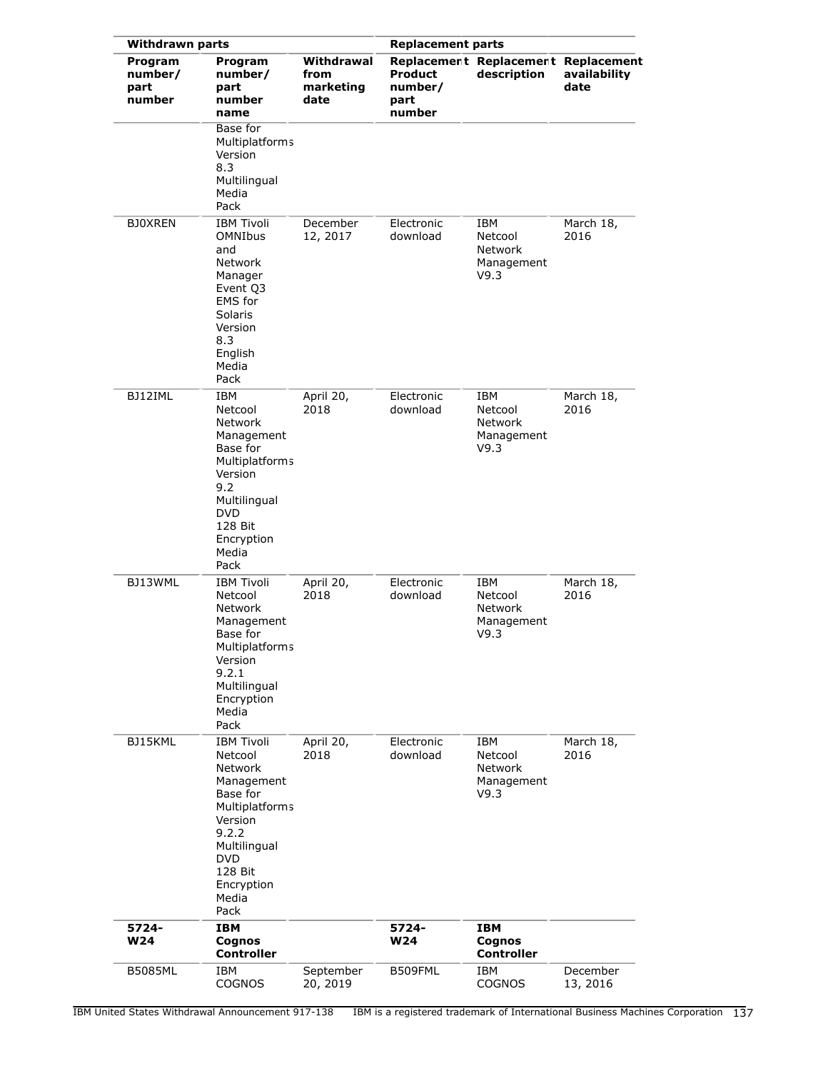| <b>Withdrawn parts</b>               |                                                                                                                                                                                        | <b>Replacement parts</b>                |                                      |                                                        |                      |
|--------------------------------------|----------------------------------------------------------------------------------------------------------------------------------------------------------------------------------------|-----------------------------------------|--------------------------------------|--------------------------------------------------------|----------------------|
| Program<br>number/<br>part<br>number | Program<br>number/<br>part<br>number<br>name                                                                                                                                           | Withdrawal<br>from<br>marketing<br>date | Product<br>number/<br>part<br>number | Replacement Replacement Replacement<br>description     | availability<br>date |
|                                      | Base for<br>Multiplatforms<br>Version<br>8.3<br>Multilingual<br>Media<br>Pack                                                                                                          |                                         |                                      |                                                        |                      |
| <b>BJOXREN</b>                       | <b>IBM Tivoli</b><br><b>OMNIbus</b><br>and<br><b>Network</b><br>Manager<br>Event Q3<br><b>EMS</b> for<br>Solaris<br>Version<br>8.3<br>English<br>Media<br>Pack                         | December<br>12, 2017                    | Electronic<br>download               | IBM<br>Netcool<br>Network<br>Management<br>V9.3        | March 18,<br>2016    |
| BJ12IML                              | <b>IBM</b><br>Netcool<br><b>Network</b><br>Management<br>Base for<br><b>Multiplatforms</b><br>Version<br>9.2<br>Multilingual<br><b>DVD</b><br>128 Bit<br>Encryption<br>Media<br>Pack   | April 20,<br>2018                       | Electronic<br>download               | <b>IBM</b><br>Netcool<br>Network<br>Management<br>V9.3 | March 18,<br>2016    |
| BJ13WML                              | <b>IBM Tivoli</b><br>Netcool<br>Network<br>Management<br>Base for<br>Multiplatforms<br>Version<br>9.2.1<br>Multilingual<br>Encryption<br>Media<br>Pack                                 | April 20,<br>2018                       | Electronic<br>download               | IBM<br>Netcool<br>Network<br>Management<br>V9.3        | March 18,<br>2016    |
| BJ15KML                              | <b>IBM Tivoli</b><br>Netcool<br>Network<br>Management<br>Base for<br><b>Multiplatforms</b><br>Version<br>9.2.2<br>Multilingual<br><b>DVD</b><br>128 Bit<br>Encryption<br>Media<br>Pack | April 20,<br>2018                       | Electronic<br>download               | IBM<br>Netcool<br>Network<br>Management<br>V9.3        | March 18,<br>2016    |
| 5724-<br><b>W24</b>                  | <b>IBM</b><br>Cognos<br><b>Controller</b>                                                                                                                                              |                                         | 5724-<br><b>W24</b>                  | <b>IBM</b><br>Cognos<br><b>Controller</b>              |                      |
| <b>B5085ML</b>                       | IBM<br><b>COGNOS</b>                                                                                                                                                                   | September<br>20, 2019                   | B509FML                              | IBM<br><b>COGNOS</b>                                   | December<br>13, 2016 |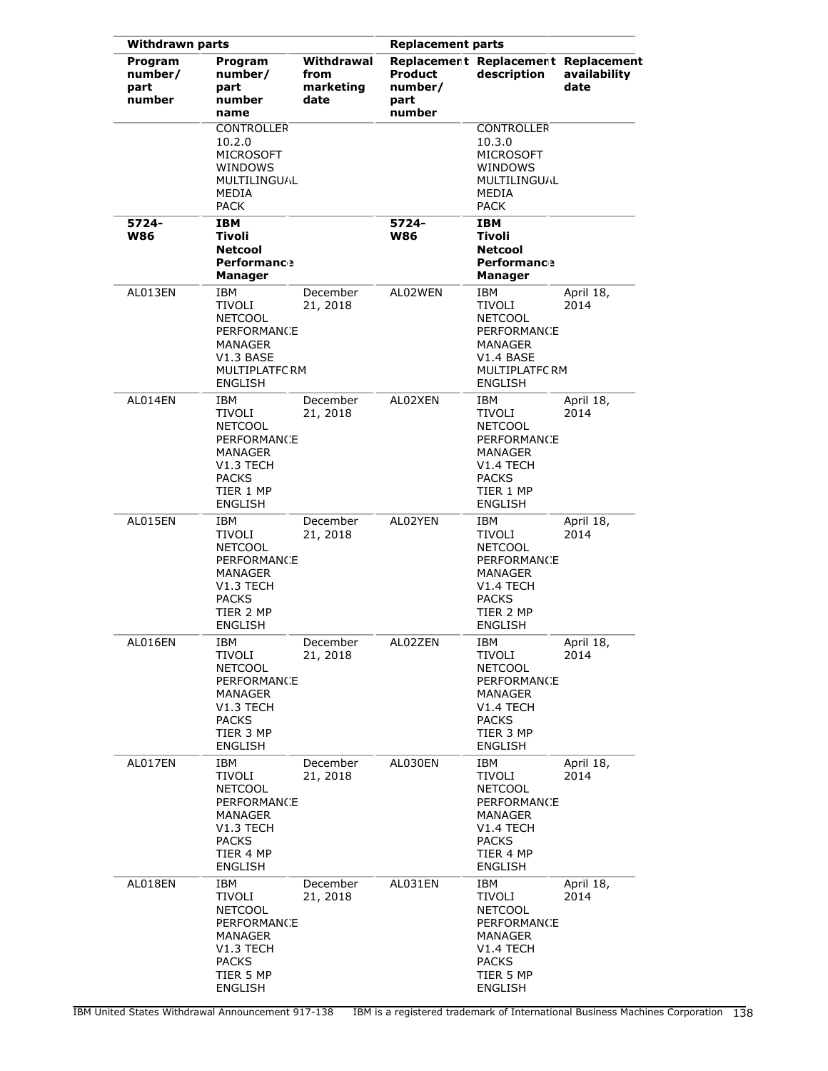|                                      | <b>Withdrawn parts</b>                                                                                                |                                         |                                             | <b>Replacement parts</b>                                                                                                                 |                      |  |  |
|--------------------------------------|-----------------------------------------------------------------------------------------------------------------------|-----------------------------------------|---------------------------------------------|------------------------------------------------------------------------------------------------------------------------------------------|----------------------|--|--|
| Program<br>number/<br>part<br>number | Program<br>number/<br>part<br>number<br>name                                                                          | Withdrawal<br>from<br>marketing<br>date | <b>Product</b><br>number/<br>part<br>number | Replacement Replacement Replacement<br>description                                                                                       | availability<br>date |  |  |
|                                      | <b>CONTROLLER</b><br>10.2.0<br><b>MICROSOFT</b><br>WINDOWS<br><b>MULTILINGUAL</b><br>MEDIA<br><b>PACK</b>             |                                         |                                             | <b>CONTROLLER</b><br>10.3.0<br><b>MICROSOFT</b><br>WINDOWS<br><b>MULTILINGUAL</b><br>MEDIA<br><b>PACK</b>                                |                      |  |  |
| 5724-<br>W86                         | IBM<br>Tivoli<br><b>Netcool</b><br><b>Performance</b><br>Manager                                                      |                                         | 5724-<br><b>W86</b>                         | IBM<br>Tivoli<br><b>Netcool</b><br><b>Performance</b><br><b>Manager</b>                                                                  |                      |  |  |
| AL013EN                              | IBM<br>TIVOLI<br><b>NETCOOL</b><br>PERFORMANCE<br>MANAGER<br>V1.3 BASE<br>MULTIPLATFC RM<br><b>ENGLISH</b>            | December<br>21, 2018                    | AL02WEN                                     | IBM<br>TIVOLI<br><b>NETCOOL</b><br><b>PERFORMANCE</b><br>MANAGER<br>V1.4 BASE<br><b>MULTIPLATFCRM</b><br><b>ENGLISH</b>                  | April 18,<br>2014    |  |  |
| AL014EN                              | IBM<br>TIVOLI<br><b>NETCOOL</b><br>PERFORMANCE<br>MANAGER<br>V1.3 TECH<br><b>PACKS</b><br>TIER 1 MP<br>ENGLISH        | December<br>21, 2018                    | AL02XEN                                     | IBM<br><b>TIVOLI</b><br><b>NETCOOL</b><br>PERFORMANCE<br>MANAGER<br>V <sub>1.4</sub> TECH<br><b>PACKS</b><br>TIER 1 MP<br>ENGLISH        | April 18,<br>2014    |  |  |
| AL015EN                              | IBM<br>TIVOLI<br><b>NETCOOL</b><br>PERFORMANCE<br>MANAGER<br>V1.3 TECH<br><b>PACKS</b><br>TIER 2 MP<br><b>ENGLISH</b> | December<br>21, 2018                    | AL02YEN                                     | IBM<br>TIVOLI<br><b>NETCOOL</b><br><b>PERFORMANCE</b><br>MANAGER<br>V <sub>1.4</sub> TECH<br><b>PACKS</b><br>TIER 2 MP<br><b>ENGLISH</b> | April 18,<br>2014    |  |  |
| AL016EN                              | IBM<br>TIVOLI<br><b>NETCOOL</b><br>PERFORMANCE<br>MANAGER<br>V1.3 TECH<br><b>PACKS</b><br>TIER 3 MP<br><b>ENGLISH</b> | December<br>21, 2018                    | AL02ZEN                                     | IBM<br>TIVOLI<br><b>NETCOOL</b><br>PERFORMANCE<br>MANAGER<br>V1.4 TECH<br><b>PACKS</b><br>TIER 3 MP<br><b>ENGLISH</b>                    | April 18,<br>2014    |  |  |
| AL017EN                              | IBM<br>TIVOLI<br><b>NETCOOL</b><br>PERFORMANCE<br>MANAGER<br>V1.3 TECH<br><b>PACKS</b><br>TIER 4 MP<br><b>ENGLISH</b> | December<br>21, 2018                    | AL030EN                                     | IBM<br>TIVOLI<br><b>NETCOOL</b><br>PERFORMANCE<br>MANAGER<br>V <sub>1.4</sub> TECH<br><b>PACKS</b><br>TIER 4 MP<br><b>ENGLISH</b>        | April 18,<br>2014    |  |  |
| AL018EN                              | IBM<br>TIVOLI<br><b>NETCOOL</b><br>PERFORMANCE<br>MANAGER<br>V1.3 TECH<br><b>PACKS</b><br>TIER 5 MP<br><b>ENGLISH</b> | December<br>21, 2018                    | AL031EN                                     | IBM<br><b>TIVOLI</b><br><b>NETCOOL</b><br>PERFORMANCE<br>MANAGER<br>V <sub>1.4</sub> TECH<br><b>PACKS</b><br>TIER 5 MP<br><b>ENGLISH</b> | April 18,<br>2014    |  |  |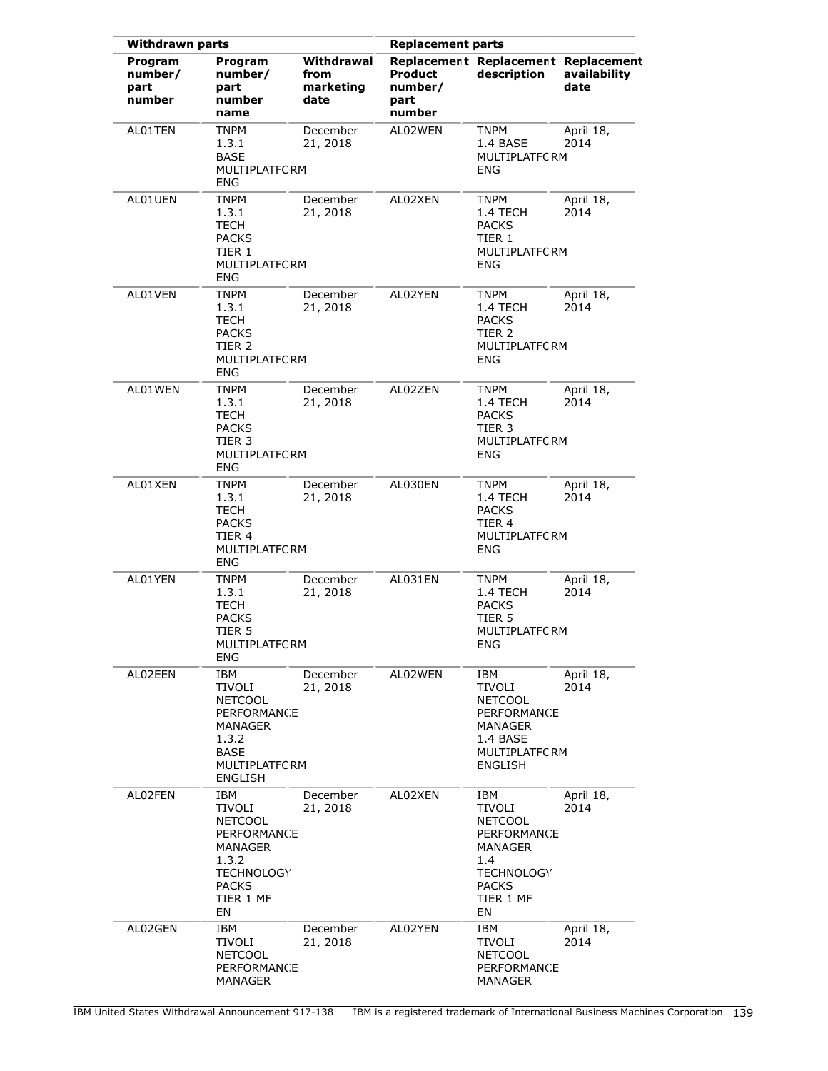| <b>Withdrawn parts</b>               |                                                                                                                     |                                         | <b>Replacement parts</b>                    |                                                                                                                   |                      |
|--------------------------------------|---------------------------------------------------------------------------------------------------------------------|-----------------------------------------|---------------------------------------------|-------------------------------------------------------------------------------------------------------------------|----------------------|
| Program<br>number/<br>part<br>number | Program<br>number/<br>part<br>number<br>name                                                                        | Withdrawal<br>from<br>marketing<br>date | <b>Product</b><br>number/<br>part<br>number | Replacement Replacement Replacement<br>description                                                                | availability<br>date |
| AL01TEN                              | <b>TNPM</b><br>1.3.1<br><b>BASE</b><br>MULTIPLATFC RM<br><b>ENG</b>                                                 | December<br>21, 2018                    | AL02WEN                                     | <b>TNPM</b><br>1.4 BASE<br>MULTIPLATFC RM<br>ENG                                                                  | April 18,<br>2014    |
| AL01UEN                              | <b>TNPM</b><br>1.3.1<br>TECH<br><b>PACKS</b><br>TIER 1<br>MULTIPLATFC RM<br>ENG                                     | December<br>21, 2018                    | AL02XEN                                     | TNPM<br>1.4 TECH<br><b>PACKS</b><br>TIER 1<br>MULTIPLATFC RM<br>ENG                                               | April 18,<br>2014    |
| AL01VEN                              | TNPM<br>1.3.1<br><b>TECH</b><br><b>PACKS</b><br>TIER <sub>2</sub><br>MULTIPLATFC RM<br>ENG                          | December<br>21, 2018                    | AL02YEN                                     | TNPM<br>1.4 TECH<br><b>PACKS</b><br>TIER 2<br><b>MULTIPLATFC RM</b><br><b>ENG</b>                                 | April 18,<br>2014    |
| AL01WEN                              | <b>TNPM</b><br>1.3.1<br>TECH<br><b>PACKS</b><br>TIER 3<br>MULTIPLATFC RM<br><b>ENG</b>                              | December<br>21, 2018                    | AL02ZEN                                     | <b>TNPM</b><br>1.4 TECH<br><b>PACKS</b><br>TIER 3<br><b>MULTIPLATFCRM</b><br>ENG                                  | April 18,<br>2014    |
| AL01XEN                              | <b>TNPM</b><br>1.3.1<br>TECH<br><b>PACKS</b><br>TIER 4<br>MULTIPLATFC RM<br><b>ENG</b>                              | December<br>21, 2018                    | AL030EN                                     | TNPM<br>1.4 TECH<br><b>PACKS</b><br>TIER 4<br><b>MULTIPLATFCRM</b><br>ENG                                         | April 18,<br>2014    |
| AL01YEN                              | TNPM<br>1.3.1<br>TECH<br><b>PACKS</b><br>TIER 5<br>MULTIPLATFC RM<br><b>ENG</b>                                     | December<br>21, 2018                    | AL031EN                                     | TNPM<br>1.4 TECH<br><b>PACKS</b><br>TIER 5<br><b>MULTIPLATFC RM</b><br><b>ENG</b>                                 | April 18,<br>2014    |
| AL02EEN                              | IBM<br>TIVOLI<br><b>NETCOOL</b><br>PERFORMANCE<br>MANAGER<br>1.3.2<br>BASE<br>MULTIPLATFC RM<br><b>ENGLISH</b>      | December<br>21, 2018                    | AL02WEN                                     | IBM<br>TIVOLI<br><b>NETCOOL</b><br>PERFORMANCE<br>MANAGER<br>1.4 BASE<br><b>MULTIPLATFCRM</b><br><b>ENGLISH</b>   | April 18,<br>2014    |
| AL02FEN                              | IBM<br>TIVOLI<br><b>NETCOOL</b><br>PERFORMANCE<br>MANAGER<br>1.3.2<br>TECHNOLOGY<br><b>PACKS</b><br>TIER 1 MF<br>EN | December<br>21, 2018                    | AL02XEN                                     | IBM<br>TIVOLI<br><b>NETCOOL</b><br>PERFORMANCE<br>MANAGER<br>1.4<br>TECHNOLOGY<br><b>PACKS</b><br>TIER 1 MF<br>EN | April 18,<br>2014    |
| AL02GEN                              | IBM<br>TIVOLI<br><b>NETCOOL</b><br>PERFORMANCE<br>MANAGER                                                           | December<br>21, 2018                    | AL02YEN                                     | IBM<br>TIVOLI<br><b>NETCOOL</b><br>PERFORMANCE<br>MANAGER                                                         | April 18,<br>2014    |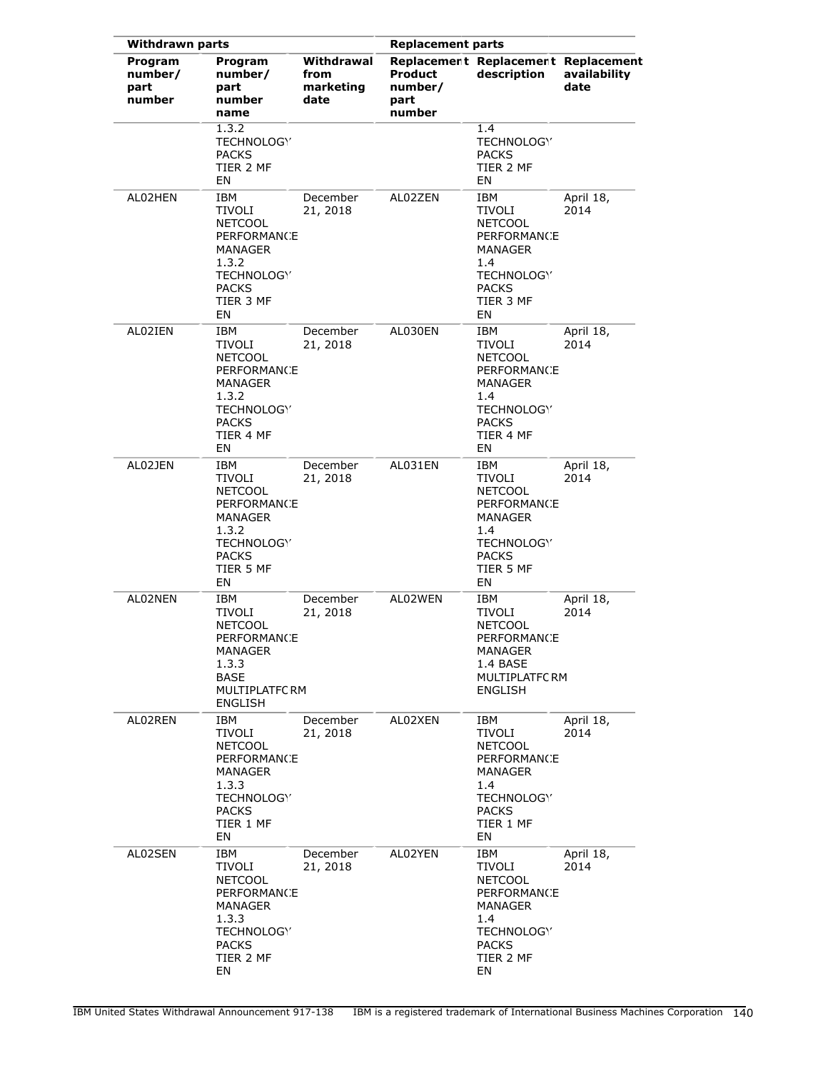| <b>Withdrawn parts</b>                      |                                                                                                                                   | <b>Replacement parts</b>                |                                             |                                                                                                                                    |                      |
|---------------------------------------------|-----------------------------------------------------------------------------------------------------------------------------------|-----------------------------------------|---------------------------------------------|------------------------------------------------------------------------------------------------------------------------------------|----------------------|
| <b>Program</b><br>number/<br>part<br>number | Program<br>number/<br>part<br>number<br>name                                                                                      | Withdrawal<br>from<br>marketing<br>date | <b>Product</b><br>number/<br>part<br>number | Replacement Replacement Replacement<br>description                                                                                 | availability<br>date |
|                                             | 1.3.2<br>TECHNOLOGY<br><b>PACKS</b><br>TIER 2 MF<br>EN                                                                            |                                         |                                             | 1.4<br>TECHNOLOGY<br><b>PACKS</b><br>TIER 2 MF<br>EN                                                                               |                      |
| AL02HEN                                     | IBM<br>TIVOLI<br><b>NETCOOL</b><br><b>PERFORMANCE</b><br>MANAGER<br>1.3.2<br>TECHNOLOGY<br><b>PACKS</b><br>TIER 3 MF<br>EN        | December<br>21, 2018                    | AL02ZEN                                     | IBM<br>TIVOLI<br><b>NETCOOL</b><br>PERFORMANCE<br>MANAGER<br>1.4<br>TECHNOLOGY<br><b>PACKS</b><br>TIER 3 MF<br>EN                  | April 18,<br>2014    |
| AL02IEN                                     | IBM<br>TIVOLI<br><b>NETCOOL</b><br>PERFORMANCE<br>MANAGER<br>1.3.2<br>TECHNOLOGY<br><b>PACKS</b><br>TIER 4 MF<br>EN               | December<br>21, 2018                    | AL030EN                                     | IBM<br>TIVOLI<br><b>NETCOOL</b><br>PERFORMANCE<br><b>MANAGER</b><br>1.4<br><b>TECHNOLOGY</b><br><b>PACKS</b><br>TIER 4 MF<br>EN    | April 18,<br>2014    |
| AL02JEN                                     | IBM<br>TIVOLI<br><b>NETCOOL</b><br><b>PERFORMANCE</b><br>MANAGER<br>1.3.2<br>TECHNOLOGY<br><b>PACKS</b><br>TIER 5 MF<br>EN        | December<br>21, 2018                    | AL031EN                                     | IBM<br>TIVOLI<br><b>NETCOOL</b><br>PERFORMANCE<br><b>MANAGER</b><br>1.4<br>TECHNOLOGY<br><b>PACKS</b><br>TIER 5 MF<br>EN           | April 18,<br>2014    |
| AL02NEN                                     | IBM<br>TIVOLI<br><b>NETCOOL</b><br>PERFORMANCE<br>MANAGER<br>1.3.3<br><b>BASE</b><br>MULTIPLATFC RM<br>ENGLISH                    | December<br>21, 2018                    | AL02WEN                                     | IBM<br>TIVOLI<br><b>NETCOOL</b><br>PERFORMANCE<br>MANAGER<br>1.4 BASE<br>MULTIPLATFC RM<br><b>ENGLISH</b>                          | April 18,<br>2014    |
| AL02REN                                     | IBM<br>TIVOLI<br><b>NETCOOL</b><br><b>PERFORMANCE</b><br><b>MANAGER</b><br>1.3.3<br>TECHNOLOGY<br><b>PACKS</b><br>TIER 1 MF<br>EN | December<br>21, 2018                    | AL02XEN                                     | IBM<br>TIVOLI<br><b>NETCOOL</b><br><b>PERFORMANCE</b><br>MANAGER<br>$1.4^{\circ}$<br>TECHNOLOGY<br><b>PACKS</b><br>TIER 1 MF<br>EN | April 18,<br>2014    |
| AL02SEN                                     | IBM<br>TIVOLI<br><b>NETCOOL</b><br><b>PERFORMANCE</b><br>MANAGER<br>1.3.3<br>TECHNOLOGY<br><b>PACKS</b><br>TIER 2 MF<br>EN        | December<br>21, 2018                    | AL02YEN                                     | IBM<br>TIVOLI<br><b>NETCOOL</b><br><b>PERFORMANCE</b><br>MANAGER<br>1.4<br>TECHNOLOGY<br><b>PACKS</b><br>TIER 2 MF<br>EN           | April 18,<br>2014    |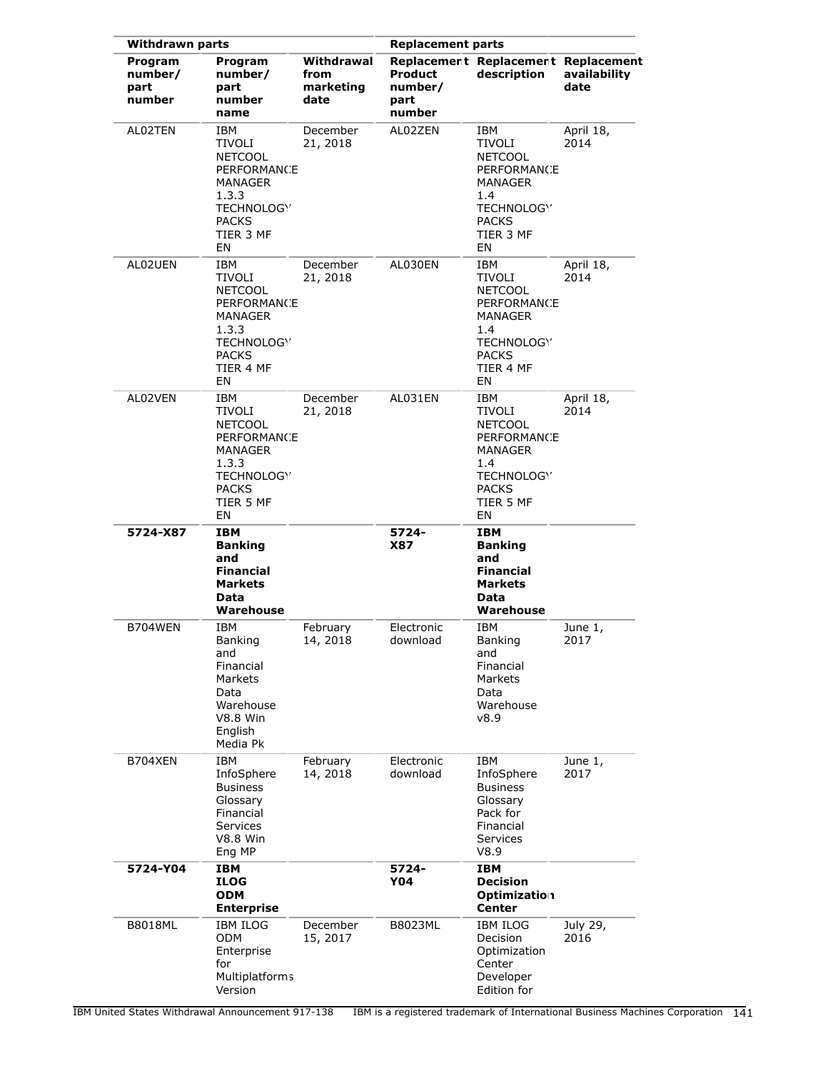| <b>Withdrawn parts</b>               |                                                                                                                                   |                                         | <b>Replacement parts</b>                    |                                                                                                                          |                      |
|--------------------------------------|-----------------------------------------------------------------------------------------------------------------------------------|-----------------------------------------|---------------------------------------------|--------------------------------------------------------------------------------------------------------------------------|----------------------|
| Program<br>number/<br>part<br>number | Program<br>number/<br>part<br>number<br>name                                                                                      | Withdrawal<br>from<br>marketing<br>date | <b>Product</b><br>number/<br>part<br>number | Replacement Replacement Replacement<br>description                                                                       | availability<br>date |
| AL02TEN                              | IBM<br>TIVOLI<br><b>NETCOOL</b><br><b>PERFORMANCE</b><br>MANAGER<br>1.3.3<br>TECHNOLOGY<br><b>PACKS</b><br>TIER 3 MF<br>EN        | December<br>21, 2018                    | AL02ZEN                                     | IBM<br>TIVOLI<br><b>NETCOOL</b><br><b>PERFORMANCE</b><br>MANAGER<br>1.4<br>TECHNOLOGY<br><b>PACKS</b><br>TIER 3 MF<br>EN | April 18,<br>2014    |
| AL02UEN                              | IBM<br>TIVOLI<br><b>NETCOOL</b><br><b>PERFORMANCE</b><br>MANAGER<br>1.3.3<br>TECHNOLOGY<br><b>PACKS</b><br>TIER 4 MF<br>EN        | December<br>21, 2018                    | AL030EN                                     | IBM<br>TIVOLI<br><b>NETCOOL</b><br>PERFORMANCE<br>MANAGER<br>1.4<br>TECHNOLOGY<br><b>PACKS</b><br>TIER 4 MF<br>EN        | April 18,<br>2014    |
| AL02VEN                              | IBM<br><b>TIVOLI</b><br><b>NETCOOL</b><br><b>PERFORMANCE</b><br>MANAGER<br>1.3.3<br>TECHNOLOGY<br><b>PACKS</b><br>TIER 5 MF<br>EN | December<br>21, 2018                    | AL031EN                                     | IBM<br>TIVOLI<br><b>NETCOOL</b><br>PERFORMANCE<br>MANAGER<br>1.4<br>TECHNOLOGY<br><b>PACKS</b><br>TIER 5 MF<br>EN        | April 18,<br>2014    |
| 5724-X87                             | IBM<br><b>Banking</b><br>and<br><b>Financial</b><br><b>Markets</b><br>Data<br>Warehouse                                           |                                         | 5724-<br>X87                                | IBM<br><b>Banking</b><br>and<br><b>Financial</b><br><b>Markets</b><br>Data<br>Warehouse                                  |                      |
| B704WEN                              | <b>IBM</b><br>Banking<br>and<br>Financial<br>Markets<br>Data<br>Warehouse<br><b>V8.8 Win</b><br>English<br>Media Pk               | February<br>14, 2018                    | Electronic<br>download                      | IBM<br><b>Banking</b><br>and<br>Financial<br>Markets<br>Data<br>Warehouse<br>v8.9                                        | June 1,<br>2017      |
| B704XEN                              | <b>IBM</b><br>InfoSphere<br><b>Business</b><br>Glossary<br>Financial<br>Services<br><b>V8.8 Win</b><br>Eng MP                     | February<br>14, 2018                    | Electronic<br>download                      | IBM<br>InfoSphere<br><b>Business</b><br>Glossary<br>Pack for<br>Financial<br>Services<br>V8.9                            | June 1,<br>2017      |
| 5724-Y04                             | IBM<br><b>ILOG</b><br><b>ODM</b><br><b>Enterprise</b>                                                                             |                                         | 5724-<br><b>Y04</b>                         | <b>IBM</b><br><b>Decision</b><br>Optimization<br><b>Center</b>                                                           |                      |
| <b>B8018ML</b>                       | <b>IBM ILOG</b><br>ODM<br>Enterprise<br>for<br>Multiplatforms<br>Version                                                          | December<br>15, 2017                    | B8023ML                                     | <b>IBM ILOG</b><br>Decision<br>Optimization<br>Center<br>Developer<br>Edition for                                        | July 29,<br>2016     |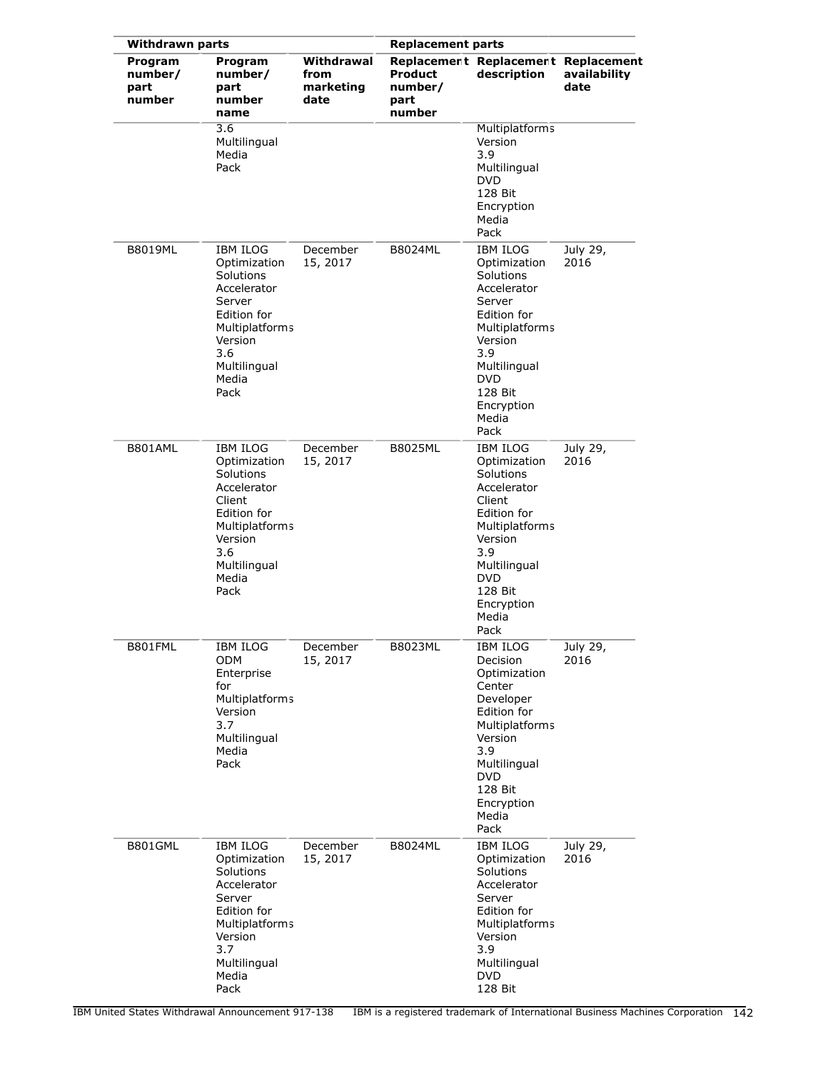|                                      | <b>Withdrawn parts</b>                                                                                                                                           |                                         |                                             | <b>Replacement parts</b>                                                                                                                                                                         |                      |
|--------------------------------------|------------------------------------------------------------------------------------------------------------------------------------------------------------------|-----------------------------------------|---------------------------------------------|--------------------------------------------------------------------------------------------------------------------------------------------------------------------------------------------------|----------------------|
| Program<br>number/<br>part<br>number | Program<br>number/<br>part<br>number<br>name                                                                                                                     | Withdrawal<br>from<br>marketing<br>date | <b>Product</b><br>number/<br>part<br>number | Replacement Replacement Replacement<br>description                                                                                                                                               | availability<br>date |
|                                      | 3.6<br>Multilingual<br>Media<br>Pack                                                                                                                             |                                         |                                             | Multiplatforms<br>Version<br>3.9<br>Multilingual<br><b>DVD</b><br>128 Bit<br>Encryption<br>Media<br>Pack                                                                                         |                      |
| <b>B8019ML</b>                       | <b>IBM ILOG</b><br>Optimization<br>Solutions<br>Accelerator<br>Server<br>Edition for<br>Multiplatforms<br>Version<br>3.6<br>Multilingual<br>Media<br>Pack        | December<br>15, 2017                    | <b>B8024ML</b>                              | <b>IBM ILOG</b><br>Optimization<br>Solutions<br>Accelerator<br>Server<br>Edition for<br>Multiplatforms<br>Version<br>3.9<br>Multilingual<br><b>DVD</b><br>128 Bit<br>Encryption<br>Media<br>Pack | July 29,<br>2016     |
| B801AML                              | <b>IBM ILOG</b><br>Optimization<br>Solutions<br>Accelerator<br>Client<br>Edition for<br><b>Multiplatforms</b><br>Version<br>3.6<br>Multilingual<br>Media<br>Pack | December<br>15, 2017                    | B8025ML                                     | <b>IBM ILOG</b><br>Optimization<br>Solutions<br>Accelerator<br>Client<br>Edition for<br>Multiplatforms<br>Version<br>3.9<br>Multilingual<br><b>DVD</b><br>128 Bit<br>Encryption<br>Media<br>Pack | July 29,<br>2016     |
| B801FML                              | IBM ILOG<br><b>ODM</b><br>Enterprise<br>for<br><b>Multiplatforms</b><br>Version<br>3.7<br>Multilingual<br>Media<br>Pack                                          | December<br>15, 2017                    | B8023ML                                     | IBM ILOG<br><b>Decision</b><br>Optimization<br>Center<br>Developer<br>Edition for<br>Multiplatforms<br>Version<br>3.9<br>Multilingual<br>DVD<br>128 Bit<br>Encryption<br>Media<br>Pack           | July 29,<br>2016     |
| B801GML                              | <b>IBM ILOG</b><br>Optimization<br>Solutions<br>Accelerator<br>Server<br>Edition for<br><b>Multiplatforms</b><br>Version<br>3.7<br>Multilingual<br>Media<br>Pack | December<br>15, 2017                    | B8024ML                                     | <b>IBM ILOG</b><br>Optimization<br>Solutions<br>Accelerator<br>Server<br>Edition for<br>Multiplatforms<br>Version<br>3.9<br>Multilingual<br><b>DVD</b><br>128 Bit                                | July 29,<br>2016     |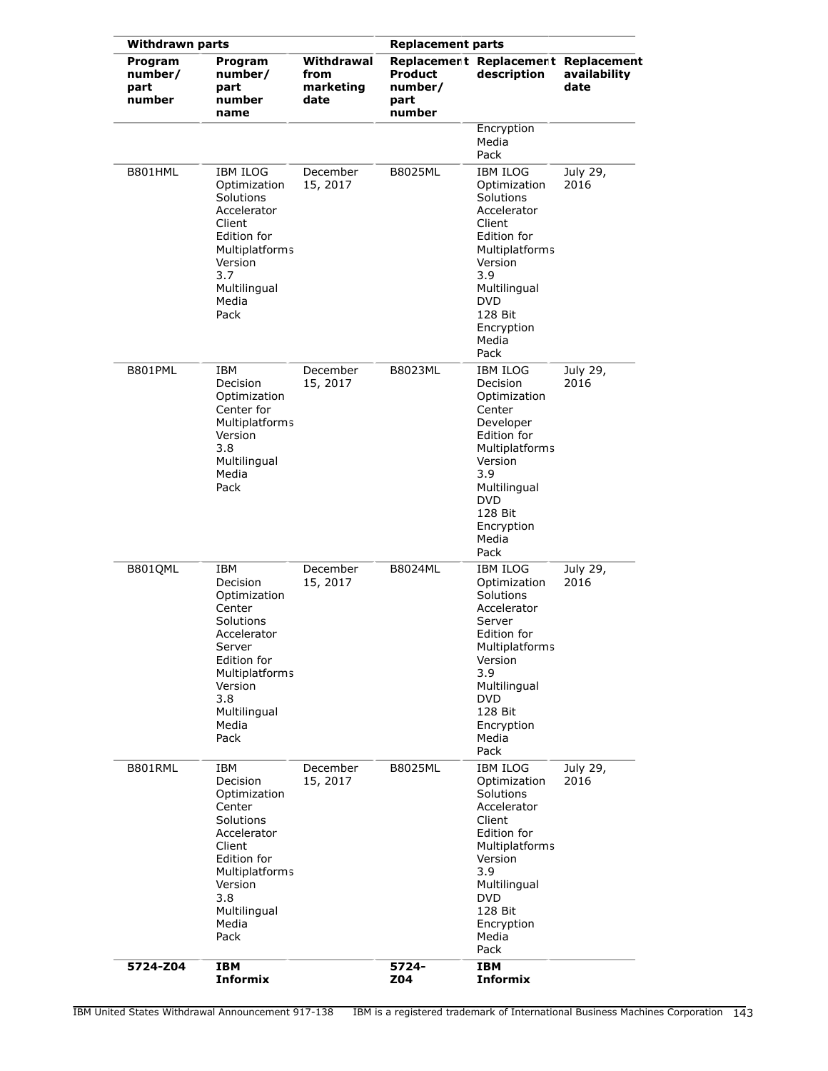| <b>Withdrawn parts</b>               |                                                                                                                                                                            |                                         | <b>Replacement parts</b>                    |                                                                                                                                                                                                         |                      |  |  |  |
|--------------------------------------|----------------------------------------------------------------------------------------------------------------------------------------------------------------------------|-----------------------------------------|---------------------------------------------|---------------------------------------------------------------------------------------------------------------------------------------------------------------------------------------------------------|----------------------|--|--|--|
| Program<br>number/<br>part<br>number | Program<br>number/<br>part<br>number<br>name                                                                                                                               | Withdrawal<br>from<br>marketing<br>date | <b>Product</b><br>number/<br>part<br>number | Replacement Replacement Replacement<br>description                                                                                                                                                      | availability<br>date |  |  |  |
|                                      |                                                                                                                                                                            |                                         |                                             | Encryption<br>Media<br>Pack                                                                                                                                                                             |                      |  |  |  |
| B801HML                              | <b>IBM ILOG</b><br>Optimization<br>Solutions<br>Accelerator<br>Client<br>Edition for<br>Multiplatforms<br>Version<br>3.7<br>Multilingual<br>Media<br>Pack                  | December<br>15, 2017                    | <b>B8025ML</b>                              | <b>IBM ILOG</b><br>Optimization<br>Solutions<br>Accelerator<br>Client<br>Edition for<br><b>Multiplatforms</b><br>Version<br>3.9<br>Multilingual<br><b>DVD</b><br>128 Bit<br>Encryption<br>Media<br>Pack | July 29,<br>2016     |  |  |  |
| B801PML                              | IBM<br>Decision<br>Optimization<br>Center for<br>Multiplatforms<br>Version<br>3.8<br>Multilingual<br>Media<br>Pack                                                         | December<br>15, 2017                    | <b>B8023ML</b>                              | <b>IBM ILOG</b><br>Decision<br>Optimization<br>Center<br>Developer<br>Edition for<br>Multiplatforms<br>Version<br>3.9<br>Multilingual<br><b>DVD</b><br>128 Bit<br>Encryption<br>Media<br>Pack           | July 29,<br>2016     |  |  |  |
| B801QML                              | <b>IBM</b><br>Decision<br>Optimization<br>Center<br>Solutions<br>Accelerator<br>Server<br>Edition for<br>Multiplatforms<br>Version<br>3.8<br>Multilingual<br>Media<br>Pack | December<br>15, 2017                    | <b>B8024ML</b>                              | IBM ILOG<br>Optimization<br>Solutions<br>Accelerator<br>Server<br>Edition for<br>Multiplatforms<br>Version<br>3.9<br>Multilingual<br><b>DVD</b><br>128 Bit<br>Encryption<br>Media<br>Pack               | July 29,<br>2016     |  |  |  |
| B801RML                              | IBM<br>Decision<br>Optimization<br>Center<br>Solutions<br>Accelerator<br>Client<br>Edition for<br>Multiplatforms<br>Version<br>3.8<br>Multilingual<br>Media<br>Pack        | December<br>15, 2017                    | B8025ML                                     | <b>IBM ILOG</b><br>Optimization<br>Solutions<br>Accelerator<br>Client<br>Edition for<br>Multiplatforms<br>Version<br>3.9<br>Multilingual<br><b>DVD</b><br>128 Bit<br>Encryption<br>Media<br>Pack        | July 29,<br>2016     |  |  |  |
| 5724-Z04                             | <b>IBM</b><br><b>Informix</b>                                                                                                                                              |                                         | 5724-<br>Z04                                | <b>IBM</b><br><b>Informix</b>                                                                                                                                                                           |                      |  |  |  |

IBM United States Withdrawal Announcement 917-138 IBM is a registered trademark of International Business Machines Corporation 143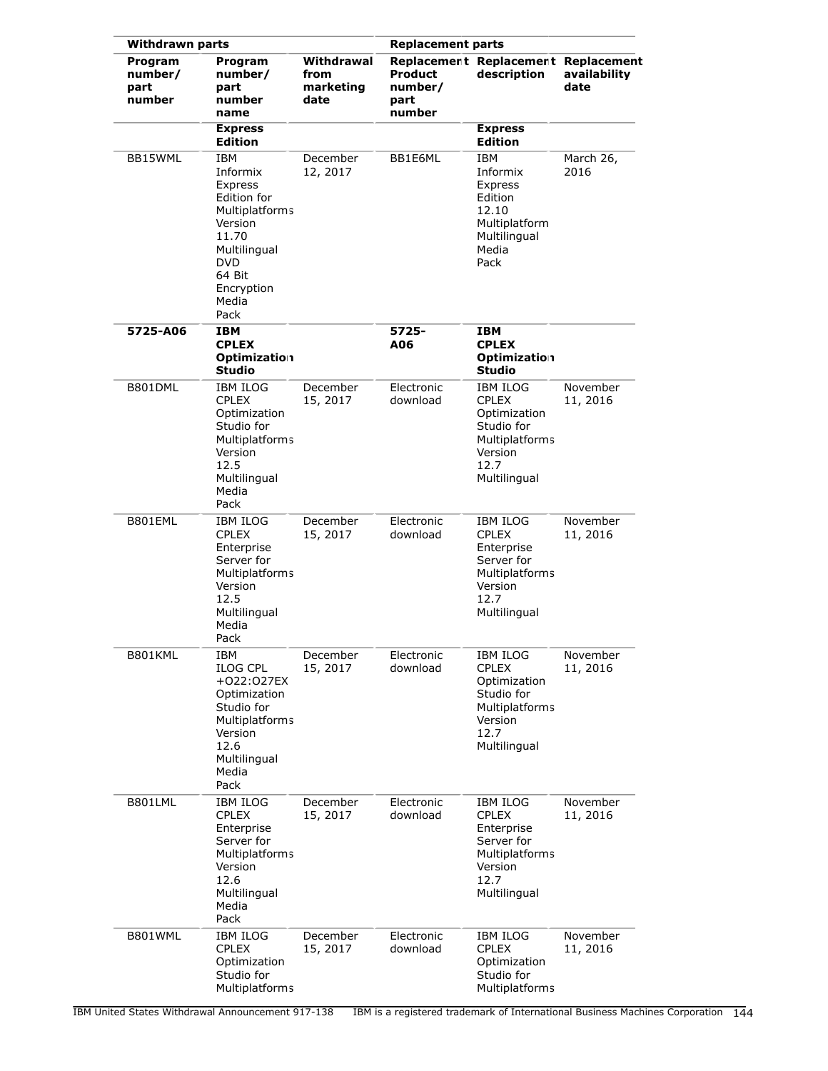|                                      | <b>Withdrawn parts</b>                                                                                                                                 |                                         | <b>Replacement parts</b>                    |                                                                                                                  |                      |  |
|--------------------------------------|--------------------------------------------------------------------------------------------------------------------------------------------------------|-----------------------------------------|---------------------------------------------|------------------------------------------------------------------------------------------------------------------|----------------------|--|
| Program<br>number/<br>part<br>number | Program<br>number/<br>part<br>number<br>name                                                                                                           | Withdrawal<br>from<br>marketing<br>date | <b>Product</b><br>number/<br>part<br>number | Replacement Replacement Replacement<br>description                                                               | availability<br>date |  |
|                                      | <b>Express</b><br><b>Edition</b>                                                                                                                       |                                         |                                             | <b>Express</b><br><b>Edition</b>                                                                                 |                      |  |
| BB15WML                              | IBM<br>Informix<br>Express<br>Edition for<br>Multiplatforms<br>Version<br>11.70<br>Multilingual<br><b>DVD</b><br>64 Bit<br>Encryption<br>Media<br>Pack | December<br>12, 2017                    | BB1E6ML                                     | IBM<br>Informix<br>Express<br>Edition<br>12.10<br>Multiplatform<br>Multilingual<br>Media<br>Pack                 | March 26,<br>2016    |  |
| 5725-A06                             | IBM<br><b>CPLEX</b><br><b>Optimization</b><br><b>Studio</b>                                                                                            |                                         | 5725-<br>A06                                | IBM<br><b>CPLEX</b><br>Optimization<br>Studio                                                                    |                      |  |
| B801DML                              | <b>IBM ILOG</b><br><b>CPLEX</b><br>Optimization<br>Studio for<br>Multiplatforms<br>Version<br>12.5<br>Multilingual<br>Media<br>Pack                    | December<br>15, 2017                    | Electronic<br>download                      | IBM ILOG<br><b>CPLEX</b><br>Optimization<br>Studio for<br>Multiplatforms<br>Version<br>12.7<br>Multilingual      | November<br>11, 2016 |  |
| B801EML                              | IBM ILOG<br><b>CPLEX</b><br>Enterprise<br>Server for<br>Multiplatforms<br>Version<br>12.5<br>Multilingual<br>Media<br>Pack                             | December<br>15, 2017                    | Electronic<br>download                      | IBM ILOG<br><b>CPLEX</b><br>Enterprise<br>Server for<br><b>Multiplatforms</b><br>Version<br>12.7<br>Multilingual | November<br>11, 2016 |  |
| B801KML                              | IBM<br><b>ILOG CPL</b><br>+022:027EX<br>Optimization<br>Studio for<br>Multiplatforms<br>Version<br>12.6<br>Multilingual<br>Media<br>Pack               | December<br>15, 2017                    | Electronic<br>download                      | IBM ILOG<br><b>CPLEX</b><br>Optimization<br>Studio for<br>Multiplatforms<br>Version<br>12.7<br>Multilingual      | November<br>11, 2016 |  |
| B801LML                              | <b>IBM ILOG</b><br><b>CPLEX</b><br>Enterprise<br>Server for<br>Multiplatforms<br>Version<br>12.6<br>Multilingual<br>Media<br>Pack                      | December<br>15, 2017                    | Electronic<br>download                      | IBM ILOG<br><b>CPLEX</b><br>Enterprise<br>Server for<br>Multiplatforms<br>Version<br>12.7<br>Multilingual        | November<br>11, 2016 |  |
| B801WML                              | <b>IBM ILOG</b><br><b>CPLEX</b><br>Optimization<br>Studio for<br>Multiplatforms                                                                        | December<br>15, 2017                    | Electronic<br>download                      | IBM ILOG<br><b>CPLEX</b><br>Optimization<br>Studio for<br>Multiplatforms                                         | November<br>11, 2016 |  |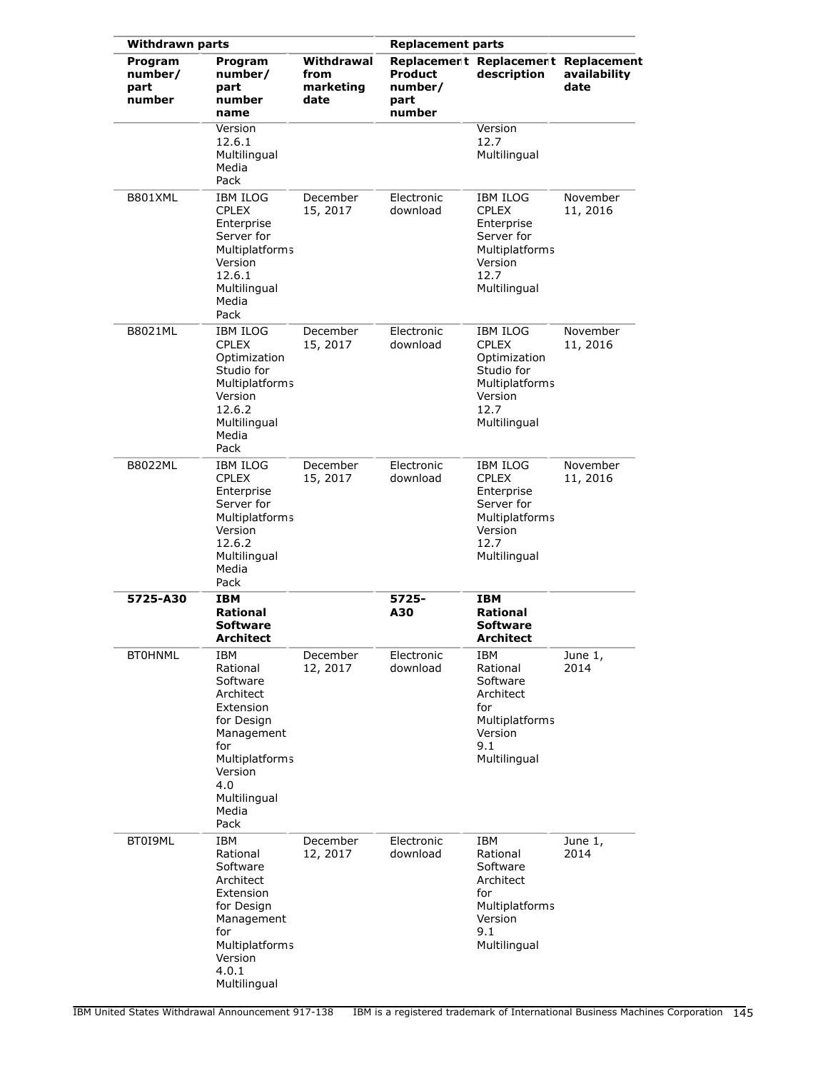| <b>Withdrawn parts</b>               |                                                                                                                                                               |                                         | <b>Replacement parts</b>                    |                                                                                                                           |                      |
|--------------------------------------|---------------------------------------------------------------------------------------------------------------------------------------------------------------|-----------------------------------------|---------------------------------------------|---------------------------------------------------------------------------------------------------------------------------|----------------------|
| Program<br>number/<br>part<br>number | Program<br>number/<br>part<br>number<br>name                                                                                                                  | Withdrawal<br>from<br>marketing<br>date | <b>Product</b><br>number/<br>part<br>number | Replacement Replacement Replacement<br>description                                                                        | availability<br>date |
|                                      | Version<br>12.6.1<br>Multilingual<br>Media<br>Pack                                                                                                            |                                         |                                             | Version<br>12.7<br>Multilingual                                                                                           |                      |
| B801XML                              | <b>IBM ILOG</b><br><b>CPLEX</b><br>Enterprise<br>Server for<br><b>Multiplatforms</b><br>Version<br>12.6.1<br>Multilingual<br>Media<br>Pack                    | December<br>15, 2017                    | Electronic<br>download                      | IBM ILOG<br><b>CPLEX</b><br>Enterprise<br>Server for<br>Multiplatforms<br>Version<br>12.7<br>Multilingual                 | November<br>11, 2016 |
| <b>B8021ML</b>                       | <b>IBM ILOG</b><br><b>CPLEX</b><br>Optimization<br>Studio for<br><b>Multiplatforms</b><br>Version<br>12.6.2<br>Multilingual<br>Media<br>Pack                  | December<br>15, 2017                    | Electronic<br>download                      | <b>IBM ILOG</b><br><b>CPLEX</b><br>Optimization<br>Studio for<br><b>Multiplatforms</b><br>Version<br>12.7<br>Multilingual | November<br>11, 2016 |
| B8022ML                              | <b>IBM ILOG</b><br><b>CPLEX</b><br>Enterprise<br>Server for<br>Multiplatforms<br>Version<br>12.6.2<br>Multilingual<br>Media<br>Pack                           | December<br>15, 2017                    | Electronic<br>download                      | <b>IBM ILOG</b><br><b>CPLEX</b><br>Enterprise<br>Server for<br>Multiplatforms<br>Version<br>12.7<br>Multilingual          | November<br>11, 2016 |
| 5725-A30                             | <b>IBM</b><br>Rational<br><b>Software</b><br>Architect                                                                                                        |                                         | 5725-<br>A30                                | IBM<br>Rational<br>Software<br>Architect                                                                                  |                      |
| <b>BT0HNML</b>                       | IBM<br>Rational<br>Software<br>Architect<br>Extension<br>for Design<br>Management<br>for<br>Multiplatforms<br>Version<br>4.0<br>Multilingual<br>Media<br>Pack | December<br>12, 2017                    | Electronic<br>download                      | IBM<br>Rational<br>Software<br>Architect<br>for<br>Multiplatforms<br>Version<br>9.1<br>Multilingual                       | June 1,<br>2014      |
| BT0I9ML                              | IBM<br>Rational<br>Software<br>Architect<br>Extension<br>for Design<br>Management<br>for<br>Multiplatforms<br>Version<br>4.0.1<br>Multilingual                | December<br>12, 2017                    | Electronic<br>download                      | IBM<br>Rational<br>Software<br>Architect<br>for<br>Multiplatforms<br>Version<br>9.1<br>Multilingual                       | June 1,<br>2014      |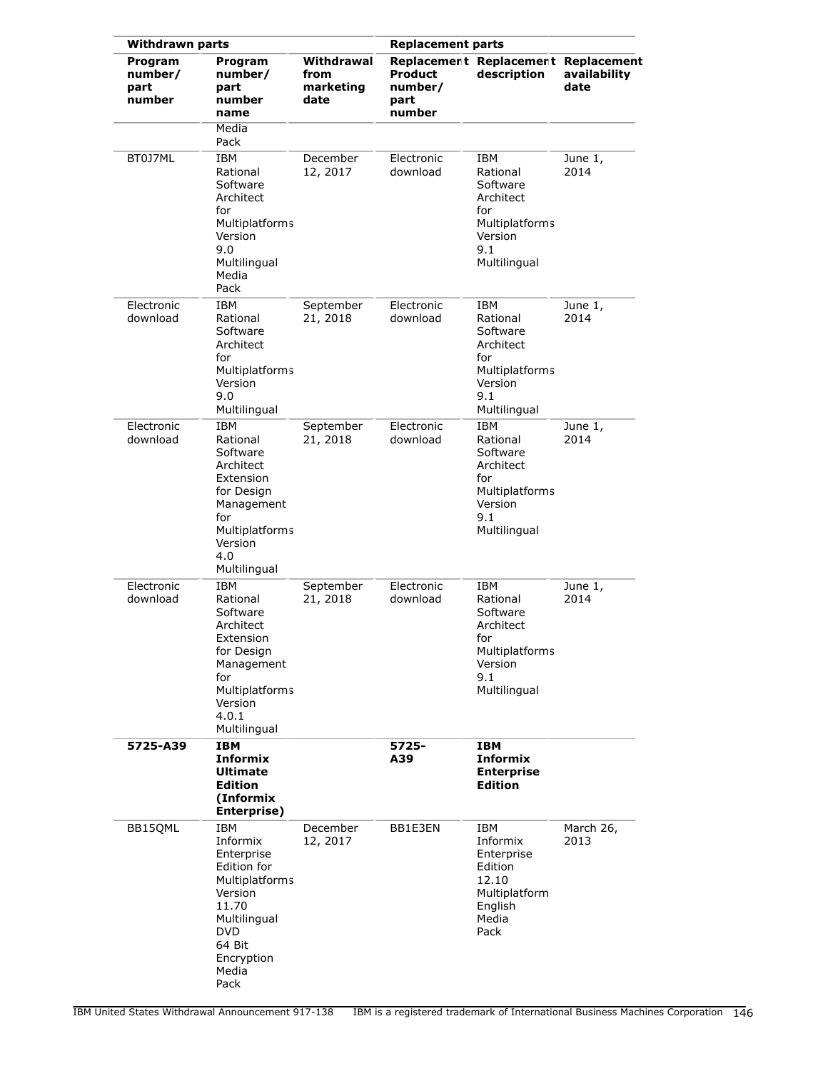| <b>Withdrawn parts</b>               |                                                                                                                                                                  |                                         | <b>Replacement parts</b>             |                                                                                                            |                      |  |
|--------------------------------------|------------------------------------------------------------------------------------------------------------------------------------------------------------------|-----------------------------------------|--------------------------------------|------------------------------------------------------------------------------------------------------------|----------------------|--|
| Program<br>number/<br>part<br>number | Program<br>number/<br>part<br>number<br>name                                                                                                                     | Withdrawal<br>from<br>marketing<br>date | Product<br>number/<br>part<br>number | Replacement Replacement Replacement<br>description                                                         | availability<br>date |  |
|                                      | Media<br>Pack                                                                                                                                                    |                                         |                                      |                                                                                                            |                      |  |
| BT0J7ML                              | <b>IBM</b><br>Rational<br>Software<br>Architect<br>for<br><b>Multiplatforms</b><br>Version<br>9.0<br>Multilingual<br>Media<br>Pack                               | December<br>12, 2017                    | Electronic<br>download               | <b>IBM</b><br>Rational<br>Software<br>Architect<br>for<br>Multiplatforms<br>Version<br>9.1<br>Multilingual | June 1,<br>2014      |  |
| Electronic<br>download               | <b>IBM</b><br>Rational<br>Software<br>Architect<br>for<br>Multiplatforms<br>Version<br>9.0<br>Multilingual                                                       | September<br>21, 2018                   | Electronic<br>download               | <b>IBM</b><br>Rational<br>Software<br>Architect<br>for<br>Multiplatforms<br>Version<br>9.1<br>Multilingual | June 1,<br>2014      |  |
| Electronic<br>download               | <b>IBM</b><br>Rational<br>Software<br>Architect<br>Extension<br>for Design<br>Management<br>for<br>Multiplatforms<br>Version<br>4.0<br>Multilingual              | September<br>21, 2018                   | Electronic<br>download               | <b>IBM</b><br>Rational<br>Software<br>Architect<br>for<br>Multiplatforms<br>Version<br>9.1<br>Multilingual | June 1,<br>2014      |  |
| Electronic<br>download               | IBM<br>Rational<br>Software<br>Architect<br>Extension<br>for Design<br>Management<br>for<br>Multiplatforms<br>Version<br>4.0.1<br>Multilingual                   | September<br>21, 2018                   | Electronic<br>download               | IBM<br>Rational<br>Software<br>Architect<br>for<br>Multiplatforms<br>Version<br>9.1<br>Multilingual        | June 1,<br>2014      |  |
| 5725-A39                             | <b>IBM</b><br><b>Informix</b><br><b>Ultimate</b><br><b>Edition</b><br>(Informix<br>Enterprise)                                                                   |                                         | 5725-<br>A39                         | IBM<br><b>Informix</b><br><b>Enterprise</b><br><b>Edition</b>                                              |                      |  |
| BB15QML                              | IBM<br>Informix<br>Enterprise<br>Edition for<br><b>Multiplatforms</b><br>Version<br>11.70<br>Multilingual<br><b>DVD</b><br>64 Bit<br>Encryption<br>Media<br>Pack | December<br>12, 2017                    | BB1E3EN                              | IBM<br>Informix<br>Enterprise<br>Edition<br>12.10<br>Multiplatform<br>English<br>Media<br>Pack             | March 26,<br>2013    |  |

IBM United States Withdrawal Announcement 917-138 IBM is a registered trademark of International Business Machines Corporation 146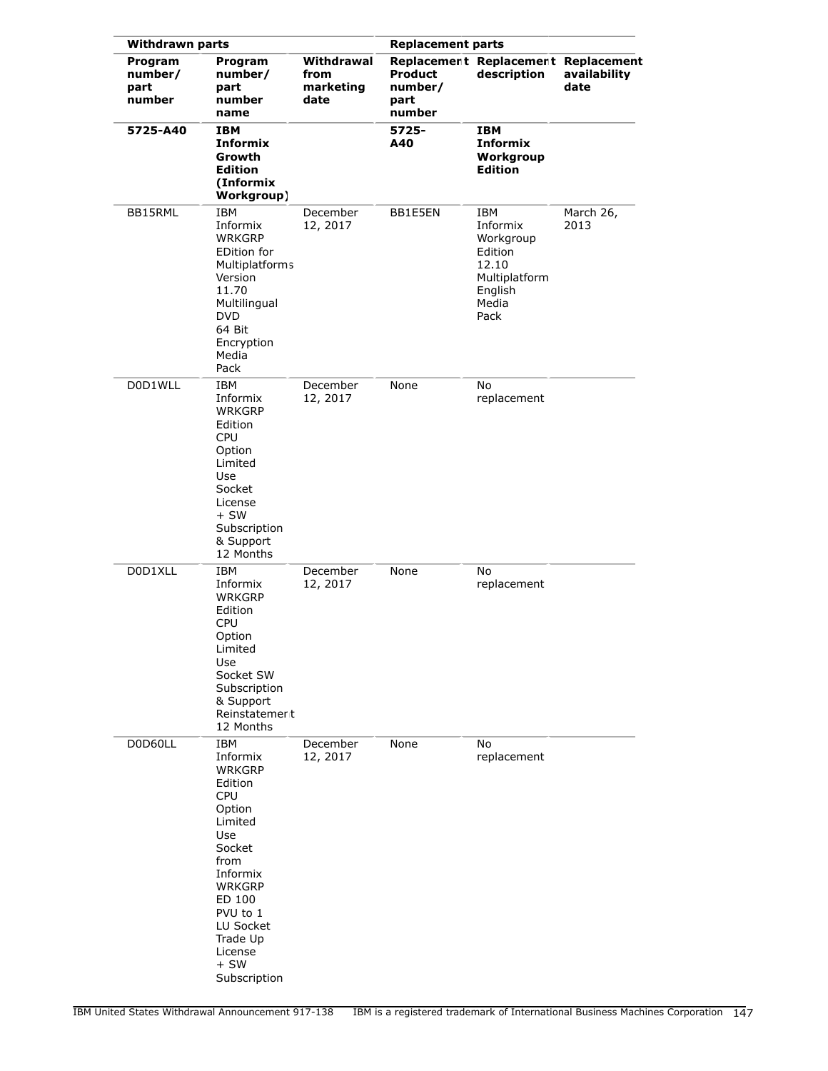| <b>Withdrawn parts</b>               |                                                                                                                                                                                                                          |                                         | <b>Replacement parts</b>                    |                                                                                                      |                      |
|--------------------------------------|--------------------------------------------------------------------------------------------------------------------------------------------------------------------------------------------------------------------------|-----------------------------------------|---------------------------------------------|------------------------------------------------------------------------------------------------------|----------------------|
| Program<br>number/<br>part<br>number | Program<br>number/<br>part<br>number<br>name                                                                                                                                                                             | Withdrawal<br>from<br>marketing<br>date | <b>Product</b><br>number/<br>part<br>number | Replacement Replacement Replacement<br>description                                                   | availability<br>date |
| 5725-A40                             | <b>IBM</b><br>Informix<br>Growth<br><b>Edition</b><br>(Informix<br>Workgroup)                                                                                                                                            |                                         | 5725-<br>A40                                | IBM<br><b>Informix</b><br>Workgroup<br><b>Edition</b>                                                |                      |
| BB15RML                              | <b>IBM</b><br>Informix<br><b>WRKGRP</b><br><b>EDition for</b><br><b>Multiplatforms</b><br>Version<br>11.70<br>Multilingual<br><b>DVD</b><br>64 Bit<br>Encryption<br>Media<br>Pack                                        | December<br>12, 2017                    | BB1E5EN                                     | <b>IBM</b><br>Informix<br>Workgroup<br>Edition<br>12.10<br>Multiplatform<br>English<br>Media<br>Pack | March 26,<br>2013    |
| D0D1WLL                              | <b>IBM</b><br>Informix<br><b>WRKGRP</b><br>Edition<br><b>CPU</b><br>Option<br>Limited<br>Use<br>Socket<br>License<br>$+SW$<br>Subscription<br>& Support<br>12 Months                                                     | December<br>12, 2017                    | None                                        | No<br>replacement                                                                                    |                      |
| D0D1XLL                              | IBM<br>Informix<br><b>WRKGRP</b><br>Edition<br><b>CPU</b><br>Option<br>Limited<br>Use<br>Socket SW<br>Subscription<br>& Support<br>Reinstatemer t<br>12 Months                                                           | December<br>12, 2017                    | None                                        | No<br>replacement                                                                                    |                      |
| D0D60LL                              | IBM<br>Informix<br><b>WRKGRP</b><br>Edition<br><b>CPU</b><br>Option<br>Limited<br>Use<br>Socket<br>from<br>Informix<br><b>WRKGRP</b><br>ED 100<br>PVU to 1<br>LU Socket<br>Trade Up<br>License<br>$+$ SW<br>Subscription | December<br>12, 2017                    | None                                        | No<br>replacement                                                                                    |                      |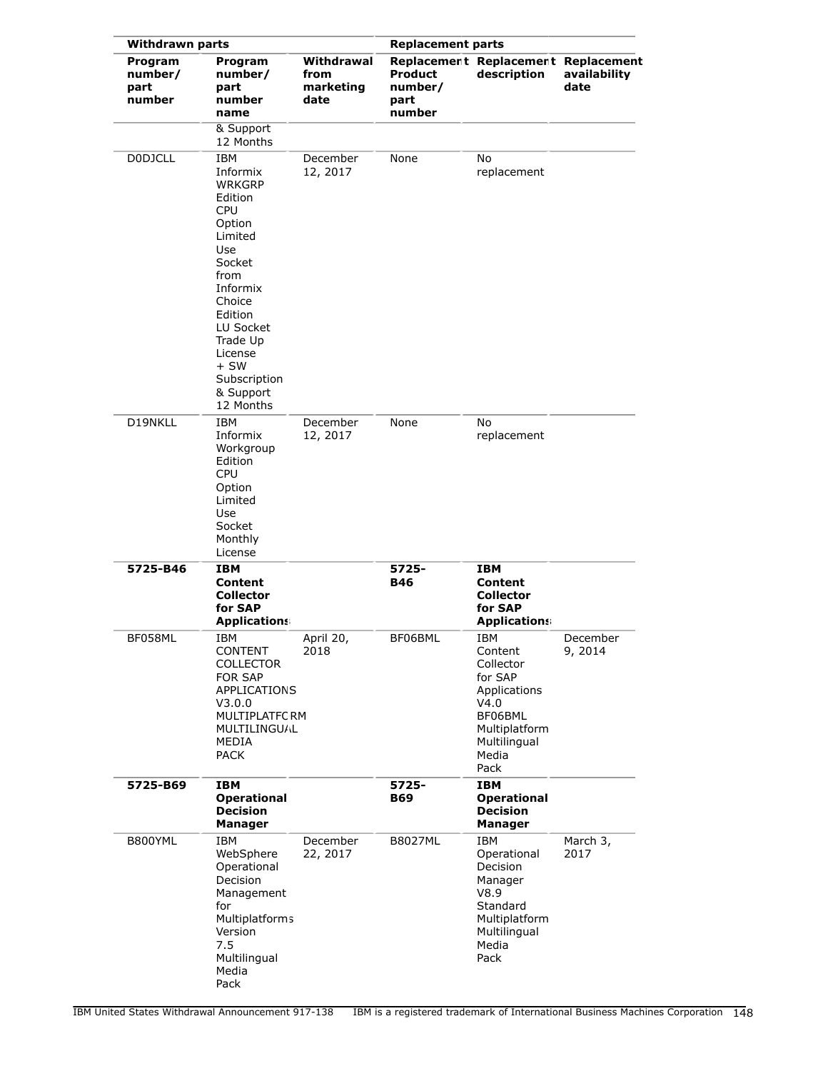| <b>Withdrawn parts</b>               |                                                                                                                                                                                                                                         |                                         | <b>Replacement parts</b>             |                                                                                                                                    |                      |
|--------------------------------------|-----------------------------------------------------------------------------------------------------------------------------------------------------------------------------------------------------------------------------------------|-----------------------------------------|--------------------------------------|------------------------------------------------------------------------------------------------------------------------------------|----------------------|
| Program<br>number/<br>part<br>number | Program<br>number/<br>part<br>number<br>name                                                                                                                                                                                            | Withdrawal<br>from<br>marketing<br>date | Product<br>number/<br>part<br>number | Replacement Replacement Replacement<br>description                                                                                 | availability<br>date |
|                                      | & Support<br>12 Months                                                                                                                                                                                                                  |                                         |                                      |                                                                                                                                    |                      |
| <b>DODJCLL</b>                       | <b>IBM</b><br>Informix<br><b>WRKGRP</b><br>Edition<br><b>CPU</b><br>Option<br>Limited<br>Use<br>Socket<br>from<br>Informix<br>Choice<br>Edition<br>LU Socket<br>Trade Up<br>License<br>$+$ SW<br>Subscription<br>& Support<br>12 Months | December<br>12, 2017                    | None                                 | No<br>replacement                                                                                                                  |                      |
| D19NKLL                              | <b>IBM</b><br>Informix<br>Workgroup<br>Edition<br><b>CPU</b><br>Option<br>Limited<br>Use<br>Socket<br>Monthly<br>License                                                                                                                | December<br>12, 2017                    | None                                 | No<br>replacement                                                                                                                  |                      |
| 5725-B46                             | <b>IBM</b><br><b>Content</b><br><b>Collector</b><br>for SAP<br><b>Applications</b>                                                                                                                                                      |                                         | 5725-<br><b>B46</b>                  | <b>IBM</b><br>Content<br><b>Collector</b><br>for SAP<br><b>Applications</b>                                                        |                      |
| BF058ML                              | IBM<br><b>CONTENT</b><br><b>COLLECTOR</b><br><b>FOR SAP</b><br><b>APPLICATIONS</b><br>V3.0.0<br>MULTIPLATFC RM<br><b>MULTILINGU/JL</b><br>MEDIA<br><b>PACK</b>                                                                          | April 20,<br>2018                       | BF06BML                              | <b>IBM</b><br>Content<br>Collector<br>for SAP<br>Applications<br>V4.0<br>BF06BML<br>Multiplatform<br>Multilingual<br>Media<br>Pack | December<br>9, 2014  |
| 5725-B69                             | IBM<br><b>Operational</b><br><b>Decision</b><br><b>Manager</b>                                                                                                                                                                          |                                         | 5725-<br><b>B69</b>                  | <b>IBM</b><br><b>Operational</b><br><b>Decision</b><br><b>Manager</b>                                                              |                      |
| B800YML                              | IBM<br>WebSphere<br>Operational<br>Decision<br>Management<br>for<br>Multiplatforms<br>Version<br>7.5<br>Multilingual<br>Media<br>Pack                                                                                                   | December<br>22, 2017                    | <b>B8027ML</b>                       | IBM<br>Operational<br>Decision<br>Manager<br>V8.9<br>Standard<br>Multiplatform<br>Multilingual<br>Media<br>Pack                    | March 3,<br>2017     |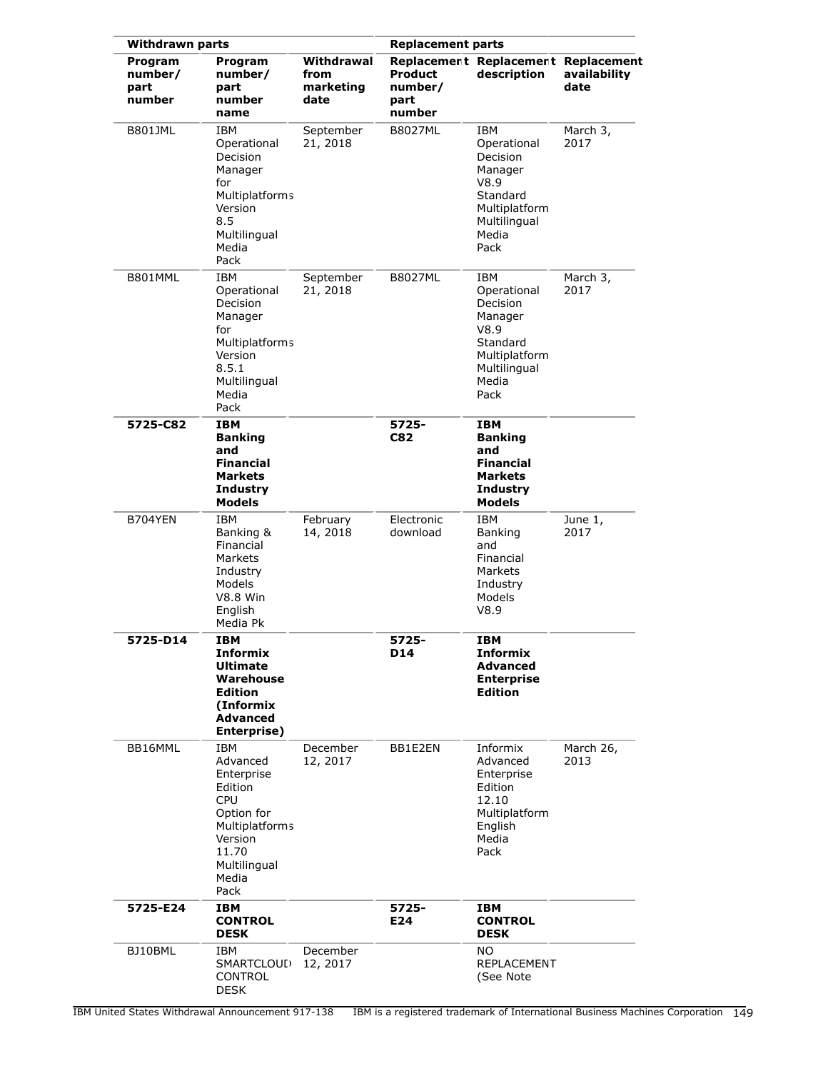| <b>Withdrawn parts</b>               |                                                                                                                                                    |                                         | <b>Replacement parts</b>                    |                                                                                                                        |                      |
|--------------------------------------|----------------------------------------------------------------------------------------------------------------------------------------------------|-----------------------------------------|---------------------------------------------|------------------------------------------------------------------------------------------------------------------------|----------------------|
| Program<br>number/<br>part<br>number | Program<br>number/<br>part<br>number<br>name                                                                                                       | Withdrawal<br>from<br>marketing<br>date | <b>Product</b><br>number/<br>part<br>number | Replacement Replacement Replacement<br>description                                                                     | availability<br>date |
| <b>B801JML</b>                       | <b>IBM</b><br>Operational<br>Decision<br>Manager<br>for<br>Multiplatforms<br>Version<br>8.5<br>Multilingual<br>Media<br>Pack                       | September<br>21, 2018                   | <b>B8027ML</b>                              | <b>IBM</b><br>Operational<br>Decision<br>Manager<br>V8.9<br>Standard<br>Multiplatform<br>Multilingual<br>Media<br>Pack | March 3,<br>2017     |
| B801MML                              | IBM<br>Operational<br>Decision<br>Manager<br>for<br><b>Multiplatforms</b><br>Version<br>8.5.1<br>Multilingual<br>Media<br>Pack                     | September<br>21, 2018                   | <b>B8027ML</b>                              | <b>IBM</b><br>Operational<br>Decision<br>Manager<br>V8.9<br>Standard<br>Multiplatform<br>Multilingual<br>Media<br>Pack | March 3,<br>2017     |
| 5725-C82                             | <b>IBM</b><br><b>Banking</b><br>and<br><b>Financial</b><br><b>Markets</b><br><b>Industry</b><br>Models                                             |                                         | 5725-<br><b>C82</b>                         | IBM<br><b>Banking</b><br>and<br><b>Financial</b><br>Markets<br><b>Industry</b><br><b>Models</b>                        |                      |
| B704YEN                              | <b>IBM</b><br>Banking &<br>Financial<br>Markets<br>Industry<br>Models<br><b>V8.8 Win</b><br>English<br>Media Pk                                    | February<br>14, 2018                    | Electronic<br>download                      | <b>IBM</b><br>Banking<br>and<br>Financial<br>Markets<br>Industry<br>Models<br>V8.9                                     | June 1,<br>2017      |
| 5725-D14                             | IBM<br><b>Informix</b><br>Ultimate<br>Warehouse<br><b>Edition</b><br>(Informix<br><b>Advanced</b><br>Enterprise)                                   |                                         | 5725-<br><b>D14</b>                         | IBM<br><b>Informix</b><br><b>Advanced</b><br><b>Enterprise</b><br><b>Edition</b>                                       |                      |
| BB16MML                              | IBM<br>Advanced<br>Enterprise<br>Edition<br><b>CPU</b><br>Option for<br><b>Multiplatforms</b><br>Version<br>11.70<br>Multilingual<br>Media<br>Pack | December<br>12, 2017                    | BB1E2EN                                     | Informix<br>Advanced<br>Enterprise<br>Edition<br>12.10<br>Multiplatform<br>English<br>Media<br>Pack                    | March 26,<br>2013    |
| 5725-E24                             | IBM<br><b>CONTROL</b><br><b>DESK</b>                                                                                                               |                                         | 5725-<br>E24                                | IBM<br><b>CONTROL</b><br><b>DESK</b>                                                                                   |                      |
| BJ10BML                              | IBM<br>SMARTCLOUI)<br><b>CONTROL</b><br><b>DESK</b>                                                                                                | December<br>12, 2017                    |                                             | NO.<br>REPLACEMENT<br>(See Note                                                                                        |                      |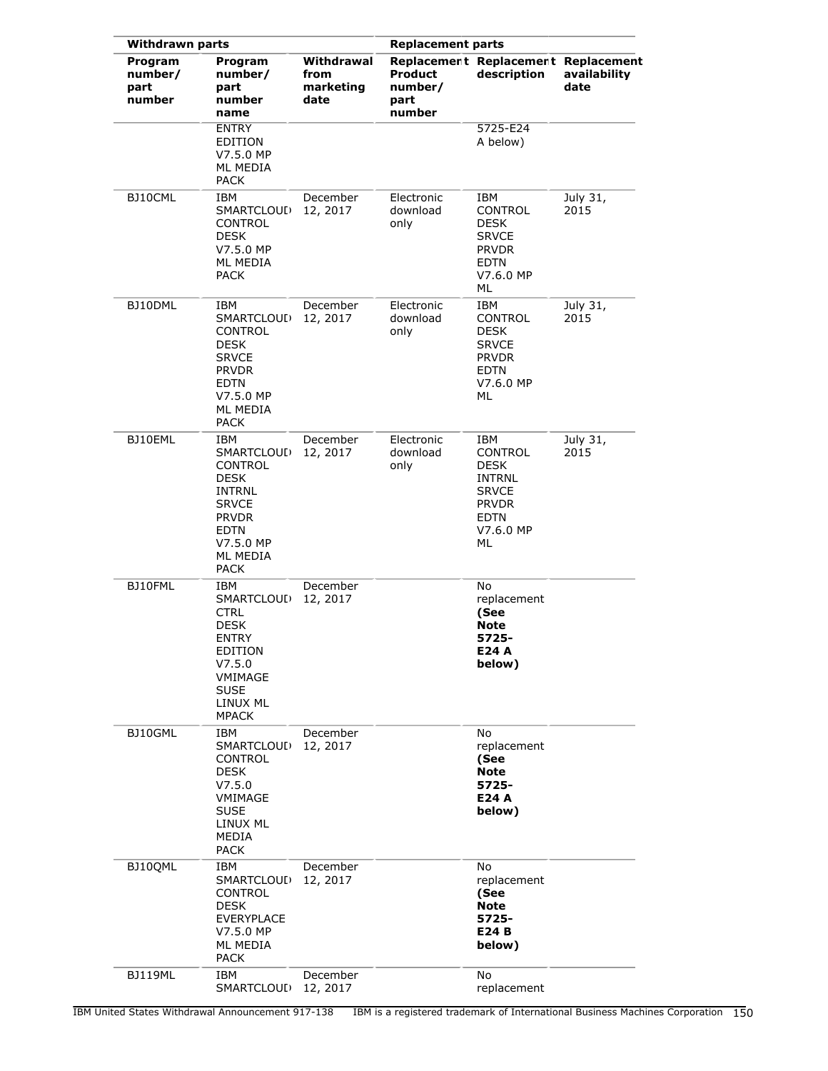| <b>Withdrawn parts</b>               |                                                                                                                                                                  |                                         | <b>Replacement parts</b>                    |                                                                                                           |                      |
|--------------------------------------|------------------------------------------------------------------------------------------------------------------------------------------------------------------|-----------------------------------------|---------------------------------------------|-----------------------------------------------------------------------------------------------------------|----------------------|
| Program<br>number/<br>part<br>number | Program<br>number/<br>part<br>number<br>name                                                                                                                     | Withdrawal<br>from<br>marketing<br>date | <b>Product</b><br>number/<br>part<br>number | Replacement Replacement Replacement<br>description                                                        | availability<br>date |
|                                      | <b>ENTRY</b><br><b>EDITION</b><br>V7.5.0 MP<br>ML MEDIA<br><b>PACK</b>                                                                                           |                                         |                                             | 5725-E24<br>A below)                                                                                      |                      |
| BJ10CML                              | IBM<br>SMARTCLOUL <sub>1</sub><br>CONTROL<br><b>DESK</b><br>V7.5.0 MP<br>ML MEDIA<br><b>PACK</b>                                                                 | December<br>12, 2017                    | Electronic<br>download<br>only              | IBM<br>CONTROL<br>DESK<br><b>SRVCE</b><br><b>PRVDR</b><br><b>EDTN</b><br>V7.6.0 MP<br>ML                  | July 31,<br>2015     |
| BJ10DML                              | IBM<br>SMARTCLOUI)<br><b>CONTROL</b><br><b>DESK</b><br><b>SRVCE</b><br><b>PRVDR</b><br><b>EDTN</b><br>V7.5.0 MP<br>ML MEDIA<br><b>PACK</b>                       | December<br>12, 2017                    | Electronic<br>download<br>only              | IBM<br>CONTROL<br><b>DESK</b><br><b>SRVCE</b><br><b>PRVDR</b><br>EDTN<br>V7.6.0 MP<br>ML                  | July 31,<br>2015     |
| BJ10EML                              | IBM<br>SMARTCLOUL <sub>1</sub><br><b>CONTROL</b><br><b>DESK</b><br>INTRNL<br><b>SRVCE</b><br><b>PRVDR</b><br><b>EDTN</b><br>V7.5.0 MP<br>ML MEDIA<br><b>PACK</b> | December<br>12, 2017                    | Electronic<br>download<br>only              | IBM<br>CONTROL<br><b>DESK</b><br>INTRNL<br><b>SRVCE</b><br><b>PRVDR</b><br><b>EDTN</b><br>V7.6.0 MP<br>ML | July 31,<br>2015     |
| BJ10FML                              | IBM<br>SMARTCLOUI)<br><b>CTRL</b><br><b>DESK</b><br>ENTRY<br>EDITION<br>V7.5.0<br>VMIMAGE<br><b>SUSE</b><br>LINUX ML<br><b>MPACK</b>                             | December<br>12, 2017                    |                                             | No<br>replacement<br>(See<br><b>Note</b><br>5725-<br>E24 A<br>below)                                      |                      |
| BJ10GML                              | IBM<br><b>SMARTCLOUL</b><br>CONTROL<br><b>DESK</b><br>V7.5.0<br>VMIMAGE<br><b>SUSE</b><br>LINUX ML<br>MEDIA<br><b>PACK</b>                                       | December<br>12, 2017                    |                                             | No<br>replacement<br>(See<br><b>Note</b><br>5725-<br>E24 A<br>below)                                      |                      |
| BJ10QML                              | IBM<br>SMARTCLOUI)<br>CONTROL<br><b>DESK</b><br><b>EVERYPLACE</b><br>V7.5.0 MP<br>ML MEDIA<br><b>PACK</b>                                                        | December<br>12, 2017                    |                                             | No<br>replacement<br>(See<br><b>Note</b><br>5725-<br>E24 B<br>below)                                      |                      |
| <b>BJ119ML</b>                       | IBM<br>SMARTCLOUL <sup>)</sup>                                                                                                                                   | December<br>12, 2017                    |                                             | No<br>replacement                                                                                         |                      |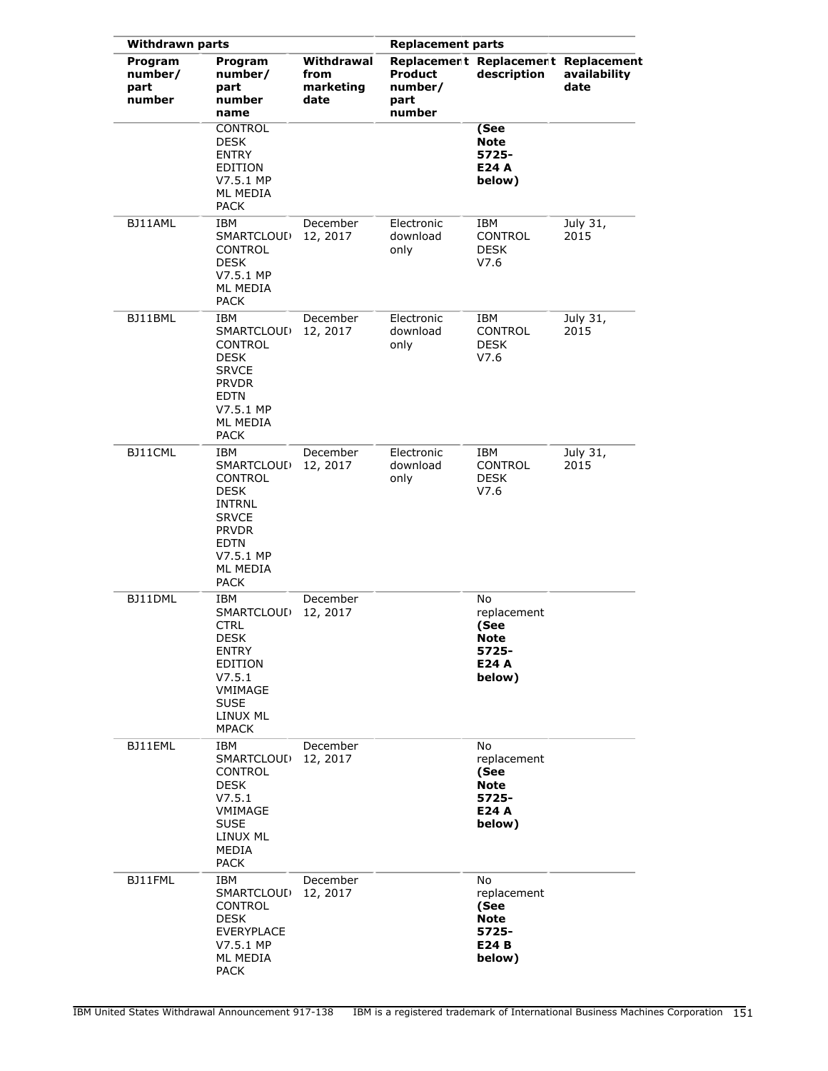| <b>Withdrawn parts</b>               |                                                                                                                                                                  |                                         | <b>Replacement parts</b>                    |                                                                      |                      |
|--------------------------------------|------------------------------------------------------------------------------------------------------------------------------------------------------------------|-----------------------------------------|---------------------------------------------|----------------------------------------------------------------------|----------------------|
| Program<br>number/<br>part<br>number | Program<br>number/<br>part<br>number<br>name                                                                                                                     | Withdrawal<br>from<br>marketing<br>date | <b>Product</b><br>number/<br>part<br>number | Replacement Replacement Replacement<br>description                   | availability<br>date |
|                                      | <b>CONTROL</b><br><b>DESK</b><br><b>ENTRY</b><br>EDITION<br>V7.5.1 MP<br><b>ML MEDIA</b><br><b>PACK</b>                                                          |                                         |                                             | (See<br>Note<br>5725-<br>E24 A<br>below)                             |                      |
| BJ11AML                              | IBM<br>SMARTCLOUL <sub>1</sub><br>CONTROL<br>DESK<br>V7.5.1 MP<br>ML MEDIA<br><b>PACK</b>                                                                        | December<br>12, 2017                    | Electronic<br>download<br>only              | IBM<br>CONTROL<br><b>DESK</b><br>V7.6                                | July 31,<br>2015     |
| BJ11BML                              | IBM<br>SMARTCLOUI)<br><b>CONTROL</b><br><b>DESK</b><br><b>SRVCE</b><br><b>PRVDR</b><br><b>EDTN</b><br>V7.5.1 MP<br>ML MEDIA<br><b>PACK</b>                       | December<br>12, 2017                    | Electronic<br>download<br>only              | IBM<br>CONTROL<br>DESK<br>V7.6                                       | July 31,<br>2015     |
| BJ11CML                              | IBM<br>SMARTCLOUL <sub>1</sub><br><b>CONTROL</b><br><b>DESK</b><br>INTRNL<br><b>SRVCE</b><br><b>PRVDR</b><br><b>EDTN</b><br>V7.5.1 MP<br>ML MEDIA<br><b>PACK</b> | December<br>12, 2017                    | Electronic<br>download<br>only              | IBM<br>CONTROL<br>DESK<br>V7.6                                       | July 31,<br>2015     |
| BJ11DML                              | <b>IBM</b><br>SMARTCLOUI)<br><b>CTRL</b><br><b>DESK</b><br><b>ENTRY</b><br><b>EDITION</b><br>V7.5.1<br>VMIMAGE<br><b>SUSE</b><br>LINUX ML<br><b>MPACK</b>        | December<br>12, 2017                    |                                             | No<br>replacement<br>(See<br>Note<br>5725-<br>E24 A<br>below)        |                      |
| BJ11EML                              | IBM<br>SMARTCLOUI)<br><b>CONTROL</b><br><b>DESK</b><br>V7.5.1<br>VMIMAGE<br><b>SUSE</b><br>LINUX ML<br>MEDIA<br><b>PACK</b>                                      | December<br>12, 2017                    |                                             | No<br>replacement<br>(See<br>Note<br>5725-<br>E24 A<br>below)        |                      |
| BJ11FML                              | IBM<br>SMARTCLOUL)<br><b>CONTROL</b><br><b>DESK</b><br>EVERYPLACE<br>V7.5.1 MP<br>ML MEDIA<br>PACK                                                               | December<br>12, 2017                    |                                             | No<br>replacement<br>(See<br><b>Note</b><br>5725-<br>E24 B<br>below) |                      |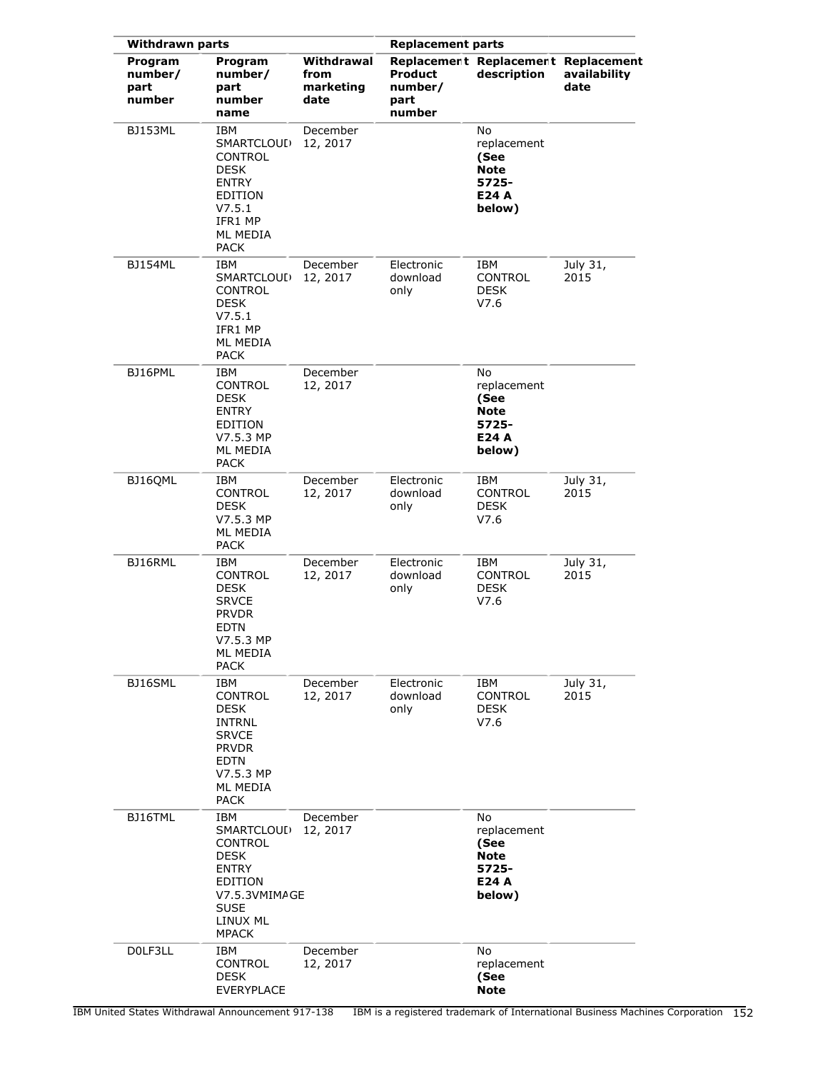| <b>Withdrawn parts</b>               |                                                                                                                                            |                                         | <b>Replacement parts</b>                    |                                                                      |                      |
|--------------------------------------|--------------------------------------------------------------------------------------------------------------------------------------------|-----------------------------------------|---------------------------------------------|----------------------------------------------------------------------|----------------------|
| Program<br>number/<br>part<br>number | Program<br>number/<br>part<br>number<br>name                                                                                               | Withdrawal<br>from<br>marketing<br>date | <b>Product</b><br>number/<br>part<br>number | Replacement Replacement Replacement<br>description                   | availability<br>date |
| <b>BJ153ML</b>                       | <b>IBM</b><br>SMARTCLOUI)<br>CONTROL<br>DESK<br><b>ENTRY</b><br><b>EDITION</b><br>V7.5.1<br>IFR1 MP<br>ML MEDIA<br><b>PACK</b>             | December<br>12, 2017                    |                                             | No<br>replacement<br>(See<br><b>Note</b><br>5725-<br>E24 A<br>below) |                      |
| BJ154ML                              | IBM<br>SMARTCLOUI)<br>CONTROL<br><b>DESK</b><br>V7.5.1<br>IFR1 MP<br>ML MEDIA<br><b>PACK</b>                                               | December<br>12, 2017                    | Electronic<br>download<br>only              | IBM<br>CONTROL<br><b>DESK</b><br>V7.6                                | July 31,<br>2015     |
| BJ16PML                              | <b>IBM</b><br>CONTROL<br><b>DESK</b><br><b>ENTRY</b><br>EDITION<br>V7.5.3 MP<br>ML MEDIA<br>PACK                                           | December<br>12, 2017                    |                                             | No<br>replacement<br>(See<br><b>Note</b><br>5725-<br>E24 A<br>below) |                      |
| BJ16QML                              | <b>IBM</b><br>CONTROL<br>DESK<br>V7.5.3 MP<br>ML MEDIA<br><b>PACK</b>                                                                      | December<br>12, 2017                    | Electronic<br>download<br>only              | IBM<br><b>CONTROL</b><br>DESK<br>V7.6                                | July 31,<br>2015     |
| BJ16RML                              | IBM<br>CONTROL<br><b>DESK</b><br><b>SRVCE</b><br><b>PRVDR</b><br>EDTN<br>V7.5.3 MP<br>ML MEDIA<br>PACK                                     | December<br>12, 2017                    | Electronic<br>download<br>only              | IBM<br>CONTROL<br><b>DESK</b><br>V7.6                                | July 31,<br>2015     |
| BJ16SML                              | IBM<br><b>CONTROL</b><br>DESK<br>INTRNL<br><b>SRVCE</b><br><b>PRVDR</b><br><b>EDTN</b><br>V7.5.3 MP<br>ML MEDIA<br><b>PACK</b>             | December<br>12, 2017                    | Electronic<br>download<br>only              | IBM<br><b>CONTROL</b><br><b>DESK</b><br>V7.6                         | July 31,<br>2015     |
| BJ16TML                              | IBM<br>SMARTCLOUI)<br>CONTROL<br><b>DESK</b><br><b>ENTRY</b><br><b>EDITION</b><br>V7.5.3VMIMAGE<br><b>SUSE</b><br>LINUX ML<br><b>MPACK</b> | December<br>12, 2017                    |                                             | No<br>replacement<br>(See<br><b>Note</b><br>5725-<br>E24 A<br>below) |                      |
| DOLF3LL                              | IBM<br>CONTROL<br><b>DESK</b><br><b>EVERYPLACE</b>                                                                                         | December<br>12, 2017                    |                                             | No<br>replacement<br>(See<br><b>Note</b>                             |                      |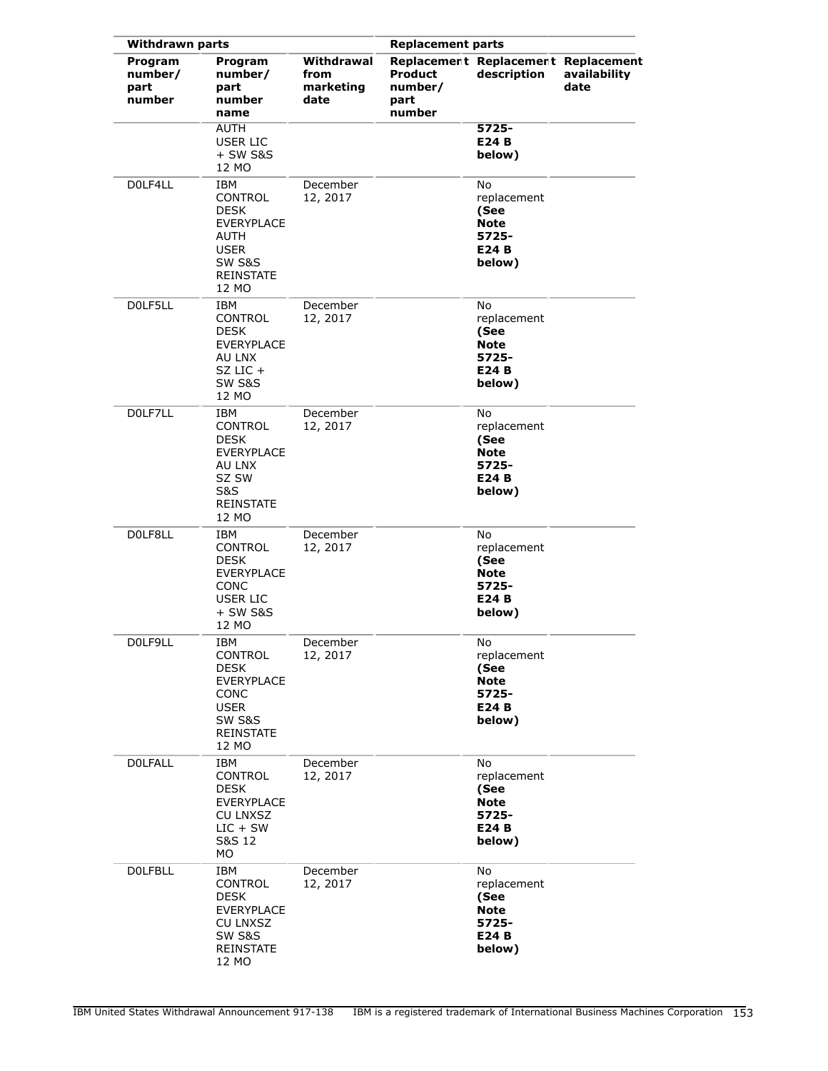| <b>Withdrawn parts</b>               |                                                                                                                         |                                         | <b>Replacement parts</b>             |                                                                      |                      |  |
|--------------------------------------|-------------------------------------------------------------------------------------------------------------------------|-----------------------------------------|--------------------------------------|----------------------------------------------------------------------|----------------------|--|
| Program<br>number/<br>part<br>number | Program<br>number/<br>part<br>number<br>name                                                                            | Withdrawal<br>from<br>marketing<br>date | Product<br>number/<br>part<br>number | Replacement Replacement Replacement<br>description                   | availability<br>date |  |
|                                      | <b>AUTH</b><br><b>USER LIC</b><br>$+$ SW S&S<br>12 MO                                                                   |                                         |                                      | 5725-<br>E24 B<br>below)                                             |                      |  |
| DOLF4LL                              | IBM<br>CONTROL<br><b>DESK</b><br><b>EVERYPLACE</b><br>AUTH<br><b>USER</b><br><b>SW S&amp;S</b><br>REINSTATE<br>12 MO    | December<br>12, 2017                    |                                      | No<br>replacement<br>(See<br><b>Note</b><br>5725-<br>E24 B<br>below) |                      |  |
| DOLF5LL                              | IBM<br>CONTROL<br><b>DESK</b><br><b>EVERYPLACE</b><br>AU LNX<br>$SZ$ LIC $+$<br><b>SW S&amp;S</b><br>12 MO              | December<br>12, 2017                    |                                      | No<br>replacement<br>(See<br><b>Note</b><br>5725-<br>E24 B<br>below) |                      |  |
| DOLF7LL                              | <b>IBM</b><br>CONTROL<br><b>DESK</b><br><b>EVERYPLACE</b><br>AU LNX<br>SZ SW<br>S&S<br><b>REINSTATE</b><br>12 MO        | December<br>12, 2017                    |                                      | No<br>replacement<br>(See<br><b>Note</b><br>5725-<br>E24 B<br>below) |                      |  |
| DOLF8LL                              | <b>IBM</b><br>CONTROL<br><b>DESK</b><br><b>EVERYPLACE</b><br>CONC<br><b>USER LIC</b><br>+ SW S&S<br>12 MO               | December<br>12, 2017                    |                                      | No<br>replacement<br>(See<br><b>Note</b><br>5725-<br>E24 B<br>below) |                      |  |
| D0LF9LL                              | IBM<br>CONTROL<br><b>DESK</b><br><b>EVERYPLACE</b><br><b>CONC</b><br><b>USER</b><br>SW S&S<br><b>REINSTATE</b><br>12 MO | December<br>12, 2017                    |                                      | No<br>replacement<br>(See<br><b>Note</b><br>5725-<br>E24 B<br>below) |                      |  |
| <b>DOLFALL</b>                       | IBM<br>CONTROL<br>DESK<br><b>EVERYPLACE</b><br><b>CU LNXSZ</b><br>$LIC + SW$<br>S&S 12<br>МO                            | December<br>12, 2017                    |                                      | No<br>replacement<br>(See<br><b>Note</b><br>5725-<br>E24 B<br>below) |                      |  |
| <b>DOLFBLL</b>                       | IBM<br>CONTROL<br><b>DESK</b><br><b>EVERYPLACE</b><br>CU LNXSZ<br><b>SW S&amp;S</b><br><b>REINSTATE</b><br>12 MO        | December<br>12, 2017                    |                                      | No<br>replacement<br>(See<br><b>Note</b><br>5725-<br>E24 B<br>below) |                      |  |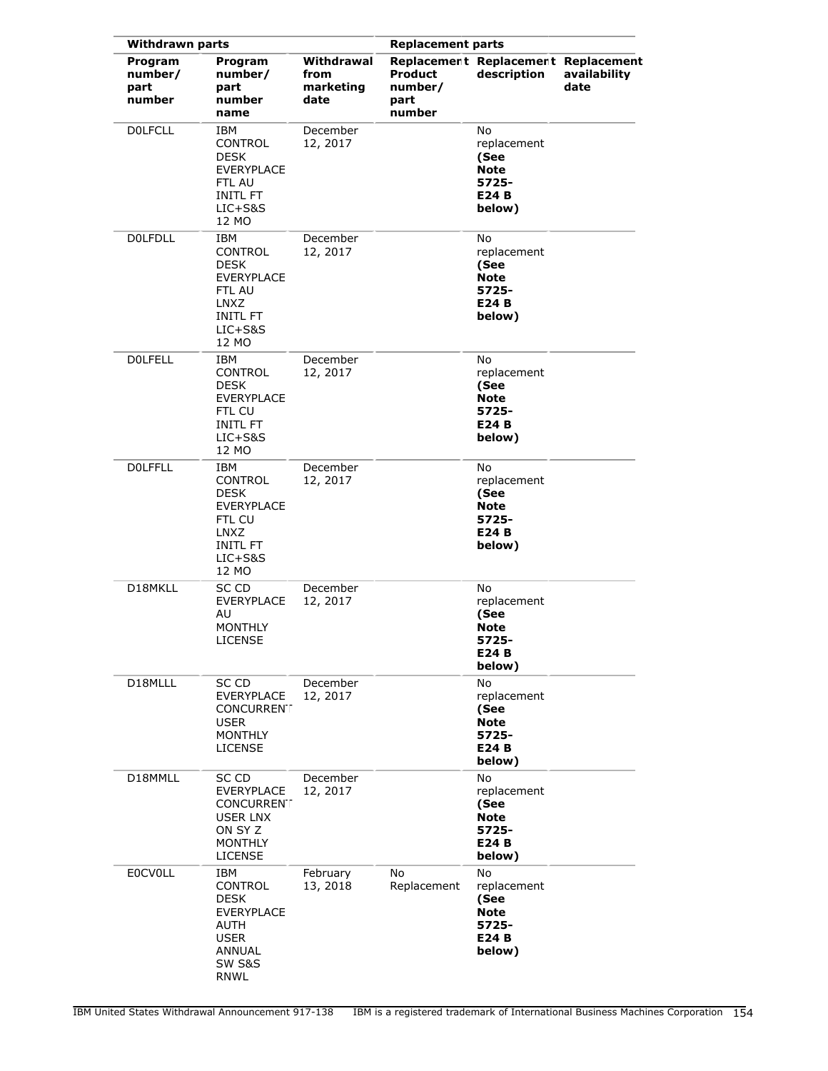| <b>Withdrawn parts</b>               |                                                                                                                  |                                         | <b>Replacement parts</b>             |                                                                             |                      |
|--------------------------------------|------------------------------------------------------------------------------------------------------------------|-----------------------------------------|--------------------------------------|-----------------------------------------------------------------------------|----------------------|
| Program<br>number/<br>part<br>number | Program<br>number/<br>part<br>number<br>name                                                                     | Withdrawal<br>from<br>marketing<br>date | Product<br>number/<br>part<br>number | Replacement Replacement Replacement<br>description                          | availability<br>date |
| <b>DOLFCLL</b>                       | <b>TBM</b><br>CONTROL<br><b>DESK</b><br><b>EVERYPLACE</b><br>FTL AU<br><b>INITL FT</b><br>LIC+S&S<br>12 MO       | December<br>12, 2017                    |                                      | No<br>replacement<br>(See<br><b>Note</b><br>5725-<br>E24 B<br>below)        |                      |
| <b>DOLFDLL</b>                       | IBM<br>CONTROL<br><b>DESK</b><br>EVERYPLACE<br>FTL AU<br>LNXZ<br><b>INITL FT</b><br>$LIC+S&S$<br>12 MO           | December<br>12, 2017                    |                                      | No<br>replacement<br>(See<br><b>Note</b><br>5725-<br>E24 B<br>below)        |                      |
| <b>DOLFELL</b>                       | IBM<br>CONTROL<br>DESK<br><b>EVERYPLACE</b><br>FTL CU<br><b>INITL FT</b><br>LIC+S&S<br>12 MO                     | December<br>12, 2017                    |                                      | No<br>replacement<br>(See<br><b>Note</b><br>5725-<br>E24 B<br>below)        |                      |
| <b>DOLFFLL</b>                       | IBM<br><b>CONTROL</b><br><b>DESK</b><br>EVERYPLACE<br>FTL CU<br>LNXZ<br><b>INITL FT</b><br>LIC+S&S<br>12 MO      | December<br>12, 2017                    |                                      | No<br>replacement<br>(See<br><b>Note</b><br>5725-<br>E24 B<br>below)        |                      |
| D18MKLL                              | SC CD<br>EVERYPLACE<br>AU<br><b>MONTHLY</b><br><b>LICENSE</b>                                                    | December<br>12, 2017                    |                                      | No<br>replacement<br>(See<br><b>Note</b><br>5725-<br>E24 B<br>below)        |                      |
| D18MLLL                              | SC CD<br><b>EVERYPLACE</b><br><b>CONCURRENT</b><br><b>USER</b><br><b>MONTHLY</b><br>LICENSE                      | December<br>12, 2017                    |                                      | <b>No</b><br>replacement<br>(See<br><b>Note</b><br>5725-<br>E24 B<br>below) |                      |
| D18MMLL                              | SC CD<br>EVERYPLACE<br><b>CONCURRENT</b><br>USER LNX<br>ON SY Z<br>MONTHLY<br><b>LICENSE</b>                     | December<br>12, 2017                    |                                      | No<br>replacement<br>(See<br><b>Note</b><br>5725-<br>E24 B<br>below)        |                      |
| <b>EOCVOLL</b>                       | IBM<br>CONTROL<br>DESK<br><b>EVERYPLACE</b><br>AUTH<br><b>USER</b><br>ANNUAL<br><b>SW S&amp;S</b><br><b>RNWL</b> | February<br>13, 2018                    | No<br>Replacement                    | No<br>replacement<br>(See<br><b>Note</b><br>5725-<br>E24 B<br>below)        |                      |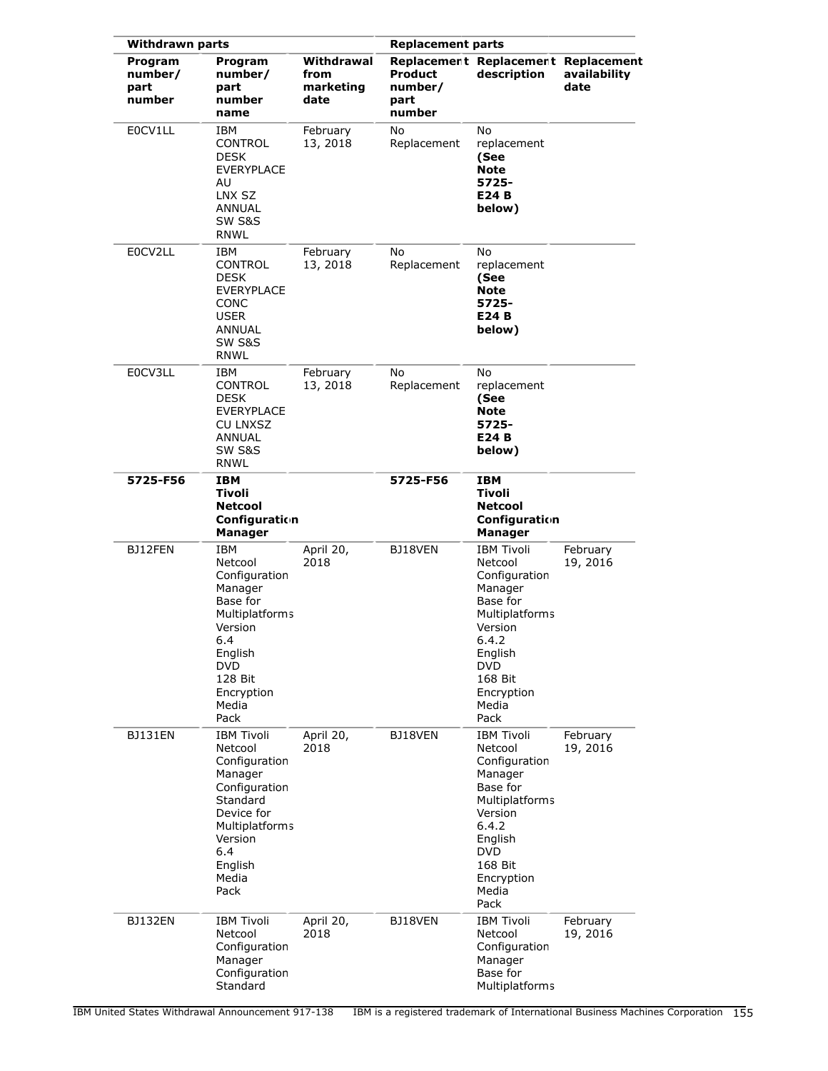| <b>Withdrawn parts</b>               |                                                                                                                                                                      |                                         | <b>Replacement parts</b>                    |                                                                                                                                                                               |                      |
|--------------------------------------|----------------------------------------------------------------------------------------------------------------------------------------------------------------------|-----------------------------------------|---------------------------------------------|-------------------------------------------------------------------------------------------------------------------------------------------------------------------------------|----------------------|
| Program<br>number/<br>part<br>number | Program<br>number/<br>part<br>number<br>name                                                                                                                         | Withdrawal<br>from<br>marketing<br>date | <b>Product</b><br>number/<br>part<br>number | Replacement Replacement Replacement<br>description                                                                                                                            | availability<br>date |
| E0CV1LL                              | IBM<br>CONTROL<br><b>DESK</b><br><b>EVERYPLACE</b><br>AU<br>LNX SZ<br>ANNUAL<br>SW S&S<br><b>RNWL</b>                                                                | February<br>13, 2018                    | No<br>Replacement                           | No<br>replacement<br>(See<br><b>Note</b><br>5725-<br>E24 B<br>below)                                                                                                          |                      |
| E0CV2LL                              | IBM<br><b>CONTROL</b><br><b>DESK</b><br><b>EVERYPLACE</b><br>CONC<br><b>USER</b><br><b>ANNUAL</b><br><b>SW S&amp;S</b><br>RNWL                                       | February<br>13, 2018                    | No<br>Replacement                           | No<br>replacement<br>(See<br><b>Note</b><br>5725-<br>E24 B<br>below)                                                                                                          |                      |
| E0CV3LL                              | IBM<br><b>CONTROL</b><br><b>DESK</b><br><b>EVERYPLACE</b><br><b>CU LNXSZ</b><br>ANNUAL<br>SW S&S<br><b>RNWL</b>                                                      | February<br>13, 2018                    | No<br>Replacement                           | No<br>replacement<br>(See<br><b>Note</b><br>5725-<br>E24 B<br>below)                                                                                                          |                      |
| 5725-F56                             | <b>IBM</b><br>Tivoli<br><b>Netcool</b><br>Configuration<br><b>Manager</b>                                                                                            |                                         | 5725-F56                                    | <b>IBM</b><br>Tivoli<br><b>Netcool</b><br>Configuration<br><b>Manager</b>                                                                                                     |                      |
| BJ12FEN                              | <b>IBM</b><br>Netcool<br>Configuration<br>Manager<br>Base for<br>Multiplatforms<br>Version<br>6.4<br>English<br><b>DVD</b><br>128 Bit<br>Encryption<br>Media<br>Pack | April 20,<br>2018                       | BJ18VEN                                     | <b>IBM Tivoli</b><br>Netcool<br>Configuration<br>Manager<br>Base for<br>Multiplatforms<br>Version<br>6.4.2<br>English<br><b>DVD</b><br>168 Bit<br>Encryption<br>Media<br>Pack | February<br>19, 2016 |
| BJ131EN                              | <b>IBM Tivoli</b><br>Netcool<br>Configuration<br>Manager<br>Configuration<br>Standard<br>Device for<br>Multiplatforms<br>Version<br>6.4<br>English<br>Media<br>Pack  | April 20,<br>2018                       | BJ18VEN                                     | <b>IBM Tivoli</b><br>Netcool<br>Configuration<br>Manager<br>Base for<br>Multiplatforms<br>Version<br>6.4.2<br>English<br><b>DVD</b><br>168 Bit<br>Encryption<br>Media<br>Pack | February<br>19, 2016 |
| <b>BJ132EN</b>                       | <b>IBM Tivoli</b><br>Netcool<br>Configuration<br>Manager<br>Configuration<br>Standard                                                                                | April 20,<br>2018                       | BJ18VEN                                     | <b>IBM Tivoli</b><br>Netcool<br>Configuration<br>Manager<br>Base for<br>Multiplatforms                                                                                        | February<br>19, 2016 |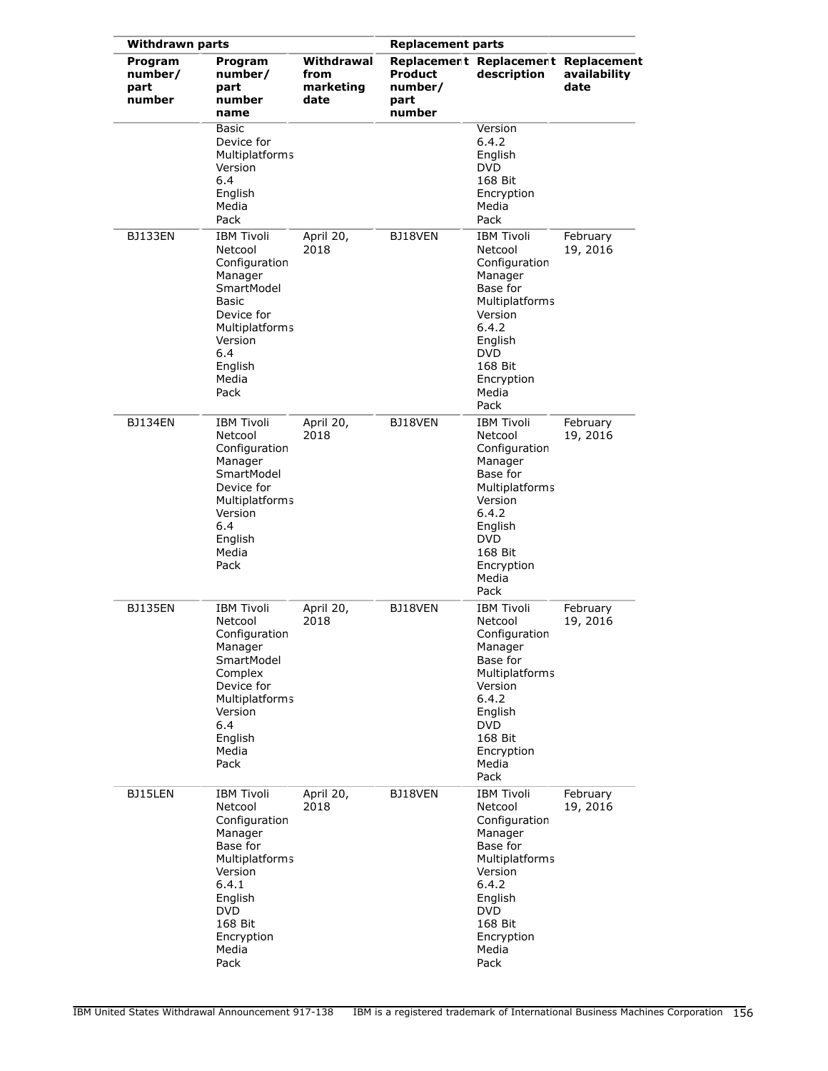| <b>Withdrawn parts</b>               |                                                                                                                                                                               |                                         | <b>Replacement parts</b>                    |                                                                                                                                                                               |                      |
|--------------------------------------|-------------------------------------------------------------------------------------------------------------------------------------------------------------------------------|-----------------------------------------|---------------------------------------------|-------------------------------------------------------------------------------------------------------------------------------------------------------------------------------|----------------------|
| Program<br>number/<br>part<br>number | Program<br>number/<br>part<br>number<br>name                                                                                                                                  | Withdrawal<br>from<br>marketing<br>date | <b>Product</b><br>number/<br>part<br>number | Replacement Replacement Replacement<br>description                                                                                                                            | availability<br>date |
|                                      | <b>Basic</b><br>Device for<br><b>Multiplatforms</b><br>Version<br>6.4<br>English<br>Media<br>Pack                                                                             |                                         |                                             | Version<br>6.4.2<br>English<br><b>DVD</b><br>168 Bit<br>Encryption<br>Media<br>Pack                                                                                           |                      |
| <b>BJ133EN</b>                       | <b>IBM Tivoli</b><br>Netcool<br>Configuration<br>Manager<br>SmartModel<br>Basic<br>Device for<br><b>Multiplatforms</b><br>Version<br>6.4<br>English<br>Media<br>Pack          | April 20,<br>2018                       | BJ18VEN                                     | <b>IBM Tivoli</b><br>Netcool<br>Configuration<br>Manager<br>Base for<br>Multiplatforms<br>Version<br>6.4.2<br>English<br><b>DVD</b><br>168 Bit<br>Encryption<br>Media<br>Pack | February<br>19, 2016 |
| <b>BJ134EN</b>                       | <b>IBM Tivoli</b><br>Netcool<br>Configuration<br>Manager<br>SmartModel<br>Device for<br><b>Multiplatforms</b><br>Version<br>6.4<br>English<br>Media<br>Pack                   | April 20,<br>2018                       | BJ18VEN                                     | <b>IBM Tivoli</b><br>Netcool<br>Configuration<br>Manager<br>Base for<br>Multiplatforms<br>Version<br>6.4.2<br>English<br><b>DVD</b><br>168 Bit<br>Encryption<br>Media<br>Pack | February<br>19, 2016 |
| <b>BJ135EN</b>                       | <b>IBM Tivoli</b><br>Netcool<br>Configuration<br>Manager<br>SmartModel<br>Complex<br>Device for<br><b>Multiplatforms</b><br>Version<br>6.4<br>English<br>Media<br>Pack        | April 20,<br>2018                       | BJ18VEN                                     | <b>IBM Tivoli</b><br>Netcool<br>Configuration<br>Manager<br>Base for<br>Multiplatforms<br>Version<br>6.4.2<br>English<br><b>DVD</b><br>168 Bit<br>Encryption<br>Media<br>Pack | February<br>19, 2016 |
| BJ15LEN                              | <b>IBM Tivoli</b><br>Netcool<br>Configuration<br>Manager<br>Base for<br>Multiplatforms<br>Version<br>6.4.1<br>English<br><b>DVD</b><br>168 Bit<br>Encryption<br>Media<br>Pack | April 20,<br>2018                       | BJ18VEN                                     | <b>IBM Tivoli</b><br>Netcool<br>Configuration<br>Manager<br>Base for<br>Multiplatforms<br>Version<br>6.4.2<br>English<br><b>DVD</b><br>168 Bit<br>Encryption<br>Media<br>Pack | February<br>19, 2016 |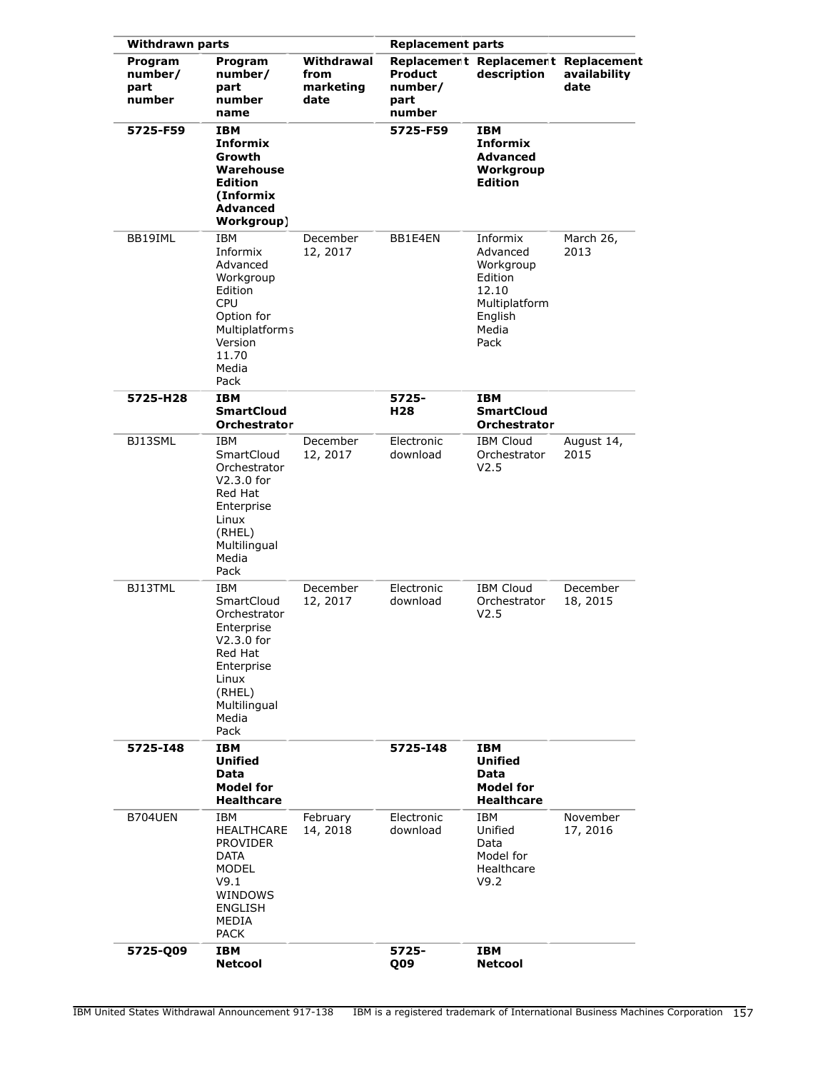| <b>Withdrawn parts</b>               |                                                                                                                                                | <b>Replacement parts</b>                |                                             |                                                                                                    |                      |
|--------------------------------------|------------------------------------------------------------------------------------------------------------------------------------------------|-----------------------------------------|---------------------------------------------|----------------------------------------------------------------------------------------------------|----------------------|
| Program<br>number/<br>part<br>number | Program<br>number/<br>part<br>number<br>name                                                                                                   | Withdrawal<br>from<br>marketing<br>date | <b>Product</b><br>number/<br>part<br>number | Replacement Replacement Replacement<br>description                                                 | availability<br>date |
| 5725-F59                             | <b>IBM</b><br><b>Informix</b><br>Growth<br>Warehouse<br><b>Edition</b><br>(Informix)<br><b>Advanced</b><br>Workgroup)                          |                                         | 5725-F59                                    | <b>IBM</b><br><b>Informix</b><br><b>Advanced</b><br>Workgroup<br><b>Edition</b>                    |                      |
| BB19IML                              | <b>IBM</b><br>Informix<br>Advanced<br>Workgroup<br>Edition<br>CPU<br>Option for<br>Multiplatforms<br>Version<br>11.70<br>Media<br>Pack         | December<br>12, 2017                    | BB1E4EN                                     | Informix<br>Advanced<br>Workgroup<br>Edition<br>12.10<br>Multiplatform<br>English<br>Media<br>Pack | March 26,<br>2013    |
| 5725-H28                             | <b>IBM</b><br><b>SmartCloud</b><br><b>Orchestrator</b>                                                                                         |                                         | 5725-<br>H28                                | <b>IBM</b><br><b>SmartCloud</b><br><b>Orchestrator</b>                                             |                      |
| BJ13SML                              | IBM<br>SmartCloud<br>Orchestrator<br>$V2.3.0$ for<br>Red Hat<br>Enterprise<br>Linux<br>(RHEL)<br>Multilingual<br>Media<br>Pack                 | December<br>12, 2017                    | Electronic<br>download                      | <b>IBM Cloud</b><br>Orchestrator<br>V <sub>2.5</sub>                                               | August 14,<br>2015   |
| BJ13TML                              | IBM<br>SmartCloud<br>Orchestrator<br>Enterprise<br>$V2.3.0$ for<br>Red Hat<br>Enterprise<br>Linux<br>(RHEL)<br>Multilingual<br>Media<br>Pack   | December<br>12, 2017                    | Electronic<br>download                      | <b>IBM Cloud</b><br>Orchestrator<br>V2.5                                                           | December<br>18, 2015 |
| 5725-148                             | <b>IBM</b><br><b>Unified</b><br>Data<br><b>Model for</b><br><b>Healthcare</b>                                                                  |                                         | 5725-148                                    | IBM<br><b>Unified</b><br>Data<br>Model for<br><b>Healthcare</b>                                    |                      |
| B704UEN                              | <b>IBM</b><br><b>HEALTHCARE</b><br><b>PROVIDER</b><br><b>DATA</b><br><b>MODEL</b><br>V9.1<br>WINDOWS<br><b>ENGLISH</b><br>MEDIA<br><b>PACK</b> | February<br>14, 2018                    | Electronic<br>download                      | IBM<br>Unified<br>Data<br>Model for<br>Healthcare<br>V9.2                                          | November<br>17, 2016 |
| 5725-Q09                             | <b>IBM</b><br><b>Netcool</b>                                                                                                                   |                                         | 5725-<br>Q09                                | IBM<br><b>Netcool</b>                                                                              |                      |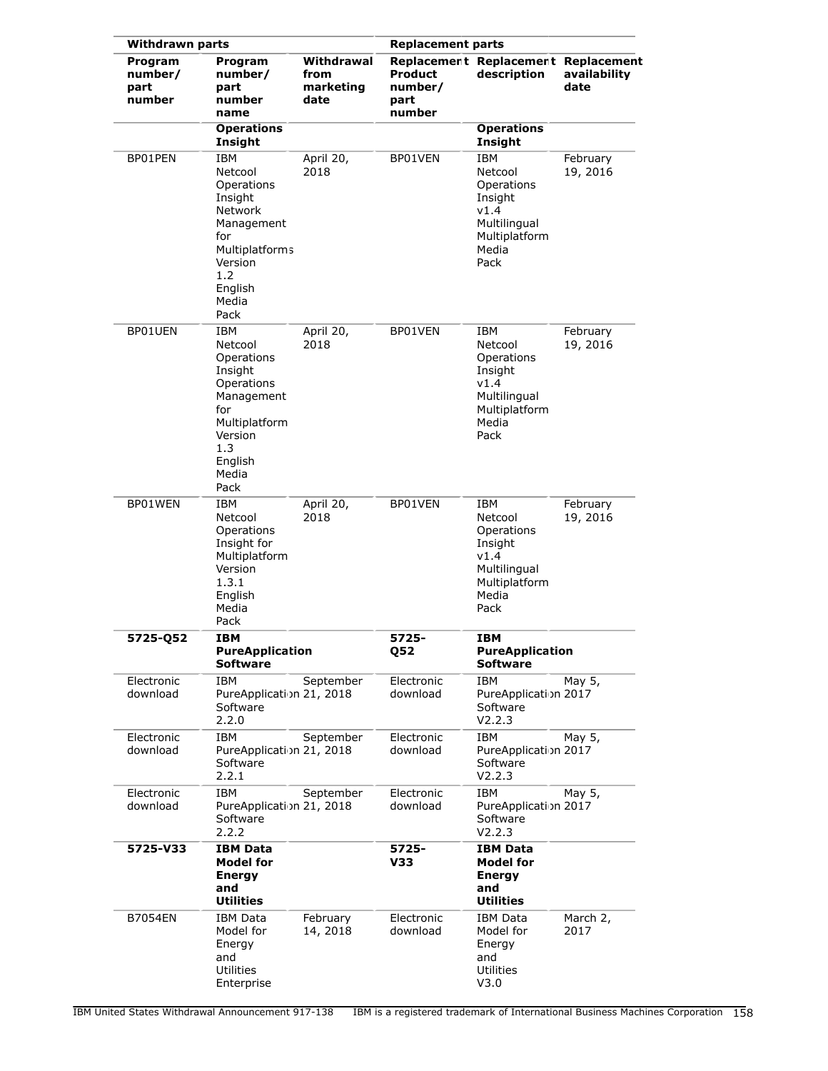| <b>Withdrawn parts</b>               |                                                                                                                                                              |                                         | <b>Replacement parts</b>                    |                                                                                                          |                      |
|--------------------------------------|--------------------------------------------------------------------------------------------------------------------------------------------------------------|-----------------------------------------|---------------------------------------------|----------------------------------------------------------------------------------------------------------|----------------------|
| Program<br>number/<br>part<br>number | Program<br>number/<br>part<br>number<br>name                                                                                                                 | Withdrawal<br>from<br>marketing<br>date | <b>Product</b><br>number/<br>part<br>number | Replacement Replacement Replacement<br>description                                                       | availability<br>date |
|                                      | <b>Operations</b><br>Insight                                                                                                                                 |                                         |                                             | <b>Operations</b><br>Insight                                                                             |                      |
| BP01PEN                              | <b>IBM</b><br>Netcool<br>Operations<br>Insight<br><b>Network</b><br>Management<br>for<br><b>Multiplatforms</b><br>Version<br>1.2<br>English<br>Media<br>Pack | April 20,<br>2018                       | BP01VEN                                     | <b>IBM</b><br>Netcool<br>Operations<br>Insight<br>v1.4<br>Multilingual<br>Multiplatform<br>Media<br>Pack | February<br>19, 2016 |
| BP01UEN                              | <b>IBM</b><br>Netcool<br>Operations<br>Insight<br>Operations<br>Management<br>for<br>Multiplatform<br>Version<br>1.3<br>English<br>Media<br>Pack             | April 20,<br>2018                       | BP01VEN                                     | IBM<br>Netcool<br>Operations<br>Insight<br>v1.4<br>Multilingual<br>Multiplatform<br>Media<br>Pack        | February<br>19, 2016 |
| BP01WEN                              | IBM<br>Netcool<br>Operations<br>Insight for<br>Multiplatform<br>Version<br>1.3.1<br>English<br>Media<br>Pack                                                 | April 20,<br>2018                       | BP01VEN                                     | <b>IBM</b><br>Netcool<br>Operations<br>Insight<br>v1.4<br>Multilingual<br>Multiplatform<br>Media<br>Pack | February<br>19, 2016 |
| 5725-Q52                             | <b>IBM</b><br><b>PureApplication</b><br><b>Software</b>                                                                                                      |                                         | 5725-<br><b>Q52</b>                         | <b>IBM</b><br><b>PureApplication</b><br><b>Software</b>                                                  |                      |
| Electronic<br>download               | IBM<br>PureApplication 21, 2018<br>Software<br>2.2.0                                                                                                         | September                               | Electronic<br>download                      | IBM<br>PureApplication 2017<br>Software<br>V2.2.3                                                        | May 5,               |
| Electronic<br>download               | <b>IBM</b><br>PureApplication 21, 2018<br>Software<br>2.2.1                                                                                                  | September                               | Electronic<br>download                      | <b>IBM</b><br>PureApplication 2017<br>Software<br>V2.2.3                                                 | May 5,               |
| Electronic<br>download               | IBM<br>PureApplication 21, 2018<br>Software<br>2.2.2                                                                                                         | September                               | Electronic<br>download                      | IBM<br>PureApplication 2017<br>Software<br>V2.2.3                                                        | May 5,               |
| 5725-V33                             | <b>IBM Data</b><br><b>Model for</b><br><b>Energy</b><br>and<br><b>Utilities</b>                                                                              |                                         | 5725-<br>V33                                | IBM Data<br><b>Model for</b><br><b>Energy</b><br>and<br><b>Utilities</b>                                 |                      |
| <b>B7054EN</b>                       | <b>IBM Data</b><br>Model for<br>Energy<br>and<br><b>Utilities</b><br>Enterprise                                                                              | February<br>14, 2018                    | Electronic<br>download                      | IBM Data<br>Model for<br>Energy<br>and<br>Utilities<br>V3.0                                              | March 2,<br>2017     |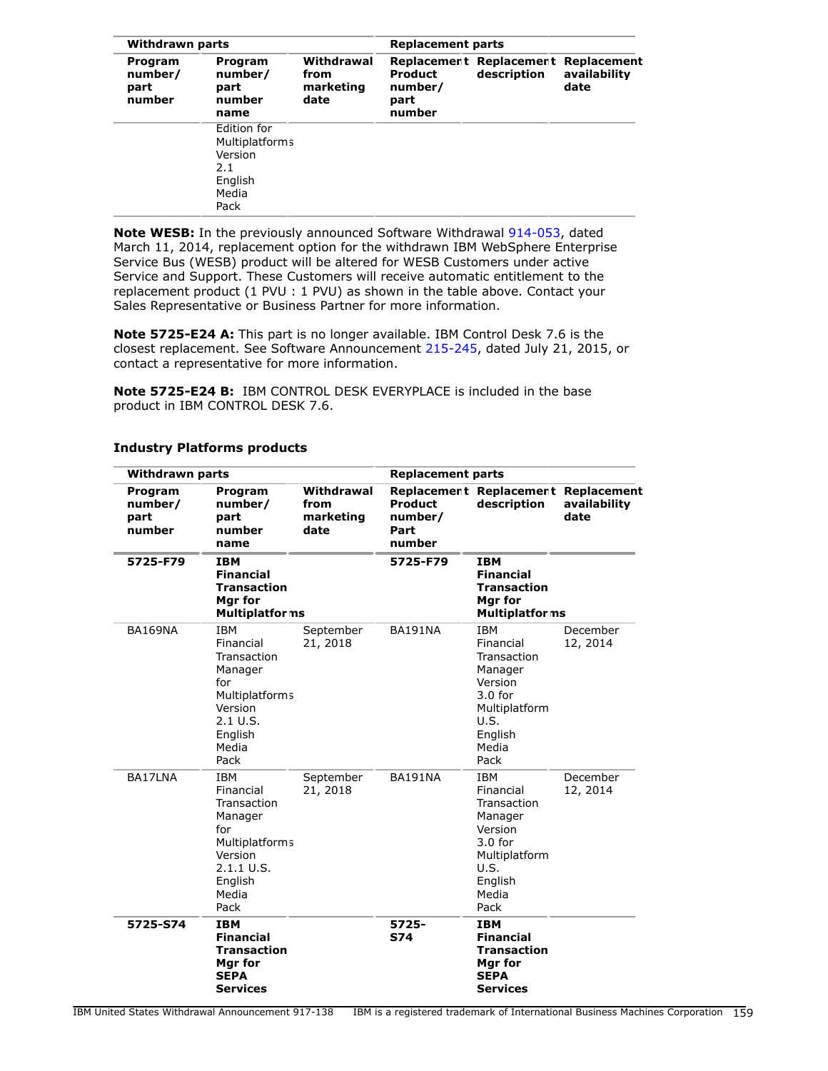|                                      | <b>Withdrawn parts</b>                                                             |                                         |                                             | <b>Replacement parts</b>                           |                      |  |  |
|--------------------------------------|------------------------------------------------------------------------------------|-----------------------------------------|---------------------------------------------|----------------------------------------------------|----------------------|--|--|
| Program<br>number/<br>part<br>number | Program<br>number/<br>part<br>number<br>name                                       | Withdrawal<br>from<br>marketing<br>date | <b>Product</b><br>number/<br>part<br>number | Replacement Replacement Replacement<br>description | availability<br>date |  |  |
|                                      | Edition for<br><b>Multiplatforms</b><br>Version<br>2.1<br>English<br>Media<br>Pack |                                         |                                             |                                                    |                      |  |  |

**Note WESB:** In the previously announced Software Withdrawal [914-053,](http://www.ibm.com/common/ssi/cgi-bin/ssialias?infotype=an&subtype=ca&appname=gpateam&supplier=897&letternum=ENUS914-053) dated March 11, 2014, replacement option for the withdrawn IBM WebSphere Enterprise Service Bus (WESB) product will be altered for WESB Customers under active Service and Support. These Customers will receive automatic entitlement to the replacement product (1 PVU : 1 PVU) as shown in the table above. Contact your Sales Representative or Business Partner for more information.

**Note 5725-E24 A:** This part is no longer available. IBM Control Desk 7.6 is the closest replacement. See Software Announcement [215-245](http://www.ibm.com/common/ssi/cgi-bin/ssialias?infotype=an&subtype=ca&appname=gpateam&supplier=897&letternum=ENUS215-245), dated July 21, 2015, or contact a representative for more information.

**Note 5725-E24 B:** IBM CONTROL DESK EVERYPLACE is included in the base product in IBM CONTROL DESK 7.6.

| <b>Withdrawn parts</b>               |                                                                                                                                 | <b>Replacement parts</b>                |                                      |                                                                                                                                |                      |
|--------------------------------------|---------------------------------------------------------------------------------------------------------------------------------|-----------------------------------------|--------------------------------------|--------------------------------------------------------------------------------------------------------------------------------|----------------------|
| Program<br>number/<br>part<br>number | Program<br>number/<br>part<br>number<br>name                                                                                    | Withdrawal<br>from<br>marketing<br>date | Product<br>number/<br>Part<br>number | Replacement Replacement Replacement<br>description                                                                             | availability<br>date |
| 5725-F79                             | <b>IBM</b><br><b>Financial</b><br>Transaction<br>Mgr for<br><b>Multiplatforms</b>                                               |                                         | 5725-F79                             | <b>IBM</b><br><b>Financial</b><br>Transaction<br>Mgr for<br><b>Multiplatforms</b>                                              |                      |
| BA169NA                              | IBM<br>Financial<br>Transaction<br>Manager<br>for<br>Multiplatforms<br>Version<br>2.1 U.S.<br>English<br>Media<br>Pack          | September<br>21, 2018                   | BA191NA                              | IBM<br>Financial<br>Transaction<br>Manager<br>Version<br>$3.0$ for<br>Multiplatform<br>U.S.<br>English<br>Media<br>Pack        | December<br>12, 2014 |
| BA17LNA                              | <b>IBM</b><br>Financial<br>Transaction<br>Manager<br>for<br>Multiplatforms<br>Version<br>2.1.1 U.S.<br>English<br>Media<br>Pack | September<br>21, 2018                   | <b>BA191NA</b>                       | <b>IBM</b><br>Financial<br>Transaction<br>Manager<br>Version<br>$3.0$ for<br>Multiplatform<br>U.S.<br>English<br>Media<br>Pack | December<br>12, 2014 |
| 5725-S74                             | <b>IBM</b><br><b>Financial</b><br><b>Transaction</b><br>Mgr for<br><b>SEPA</b><br>Services                                      |                                         | 5725-<br><b>S74</b>                  | <b>IBM</b><br><b>Financial</b><br><b>Transaction</b><br>Mgr for<br><b>SEPA</b><br>Services                                     |                      |

#### **Industry Platforms products**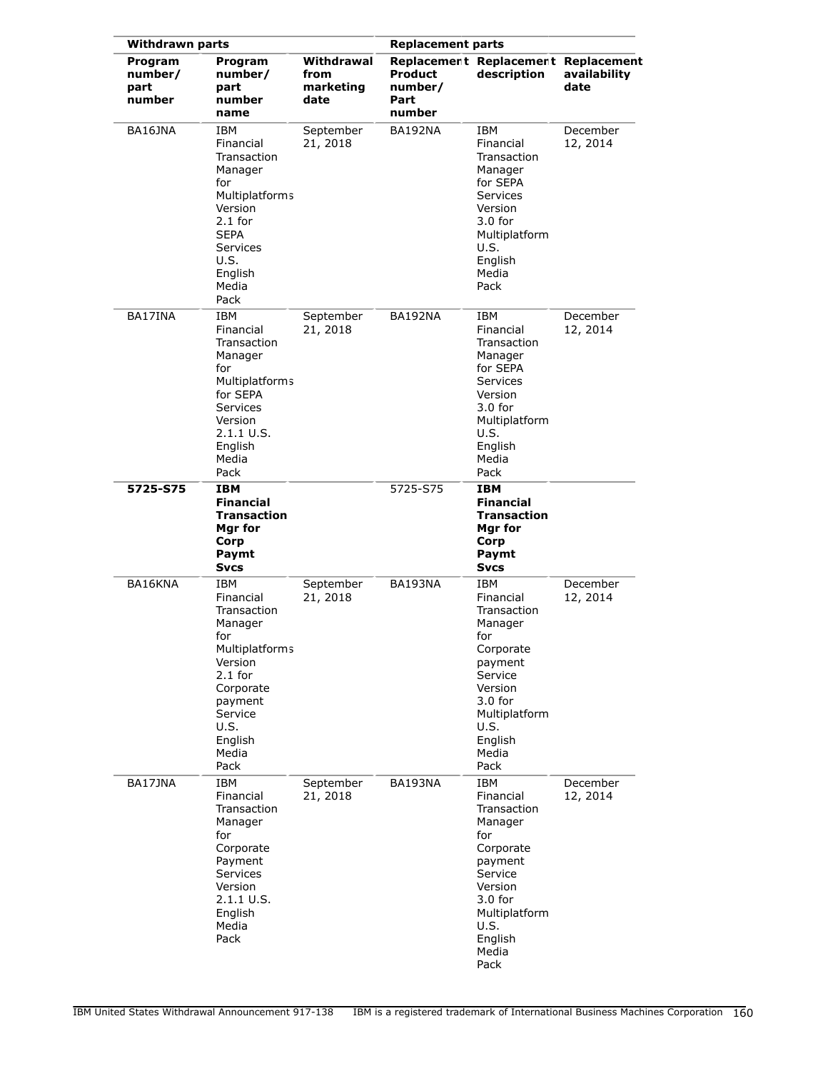| <b>Withdrawn parts</b>               |                                                                                                                                                                           |                                         | <b>Replacement parts</b>             |                                                                                                                                                                   |                      |
|--------------------------------------|---------------------------------------------------------------------------------------------------------------------------------------------------------------------------|-----------------------------------------|--------------------------------------|-------------------------------------------------------------------------------------------------------------------------------------------------------------------|----------------------|
| Program<br>number/<br>part<br>number | Program<br>number/<br>part<br>number<br>name                                                                                                                              | Withdrawal<br>from<br>marketing<br>date | Product<br>number/<br>Part<br>number | Replacement Replacement Replacement<br>description                                                                                                                | availability<br>date |
| BA16JNA                              | IBM<br>Financial<br>Transaction<br>Manager<br>for<br><b>Multiplatforms</b><br>Version<br>$2.1$ for<br><b>SEPA</b><br><b>Services</b><br>U.S.<br>English<br>Media<br>Pack  | September<br>21, 2018                   | <b>BA192NA</b>                       | IBM<br>Financial<br>Transaction<br>Manager<br>for SEPA<br>Services<br>Version<br>$3.0$ for<br>Multiplatform<br>U.S.<br>English<br>Media<br>Pack                   | December<br>12, 2014 |
| BA17INA                              | <b>IBM</b><br>Financial<br>Transaction<br>Manager<br>for<br><b>Multiplatforms</b><br>for SEPA<br><b>Services</b><br>Version<br>2.1.1 U.S.<br>English<br>Media<br>Pack     | September<br>21, 2018                   | BA192NA                              | IBM<br>Financial<br>Transaction<br>Manager<br>for SEPA<br><b>Services</b><br>Version<br>$3.0$ for<br>Multiplatform<br>U.S.<br>English<br>Media<br>Pack            | December<br>12, 2014 |
| 5725-S75                             | <b>IBM</b><br><b>Financial</b><br><b>Transaction</b><br>Mgr for<br>Corp<br>Paymt<br><b>Svcs</b>                                                                           |                                         | 5725-S75                             | <b>IBM</b><br><b>Financial</b><br><b>Transaction</b><br>Mgr for<br>Corp<br>Paymt<br>Svcs                                                                          |                      |
| BA16KNA                              | IBM<br>Financial<br>Transaction<br>Manager<br>for<br><b>Multiplatforms</b><br>Version<br>$2.1$ for<br>Corporate<br>payment<br>Service<br>U.S.<br>English<br>Media<br>Pack | September<br>21, 2018                   | BA193NA                              | IBM<br>Financial<br>Transaction<br>Manager<br>for<br>Corporate<br>payment<br>Service<br>Version<br>$3.0$ for<br>Multiplatform<br>U.S.<br>English<br>Media<br>Pack | December<br>12, 2014 |
| BA17JNA                              | IBM<br>Financial<br>Transaction<br>Manager<br>for<br>Corporate<br>Payment<br><b>Services</b><br>Version<br>$2.1.1 \cup S.$<br>English<br>Media<br>Pack                    | September<br>21, 2018                   | BA193NA                              | IBM<br>Financial<br>Transaction<br>Manager<br>for<br>Corporate<br>payment<br>Service<br>Version<br>$3.0$ for<br>Multiplatform<br>U.S.<br>English<br>Media<br>Pack | December<br>12, 2014 |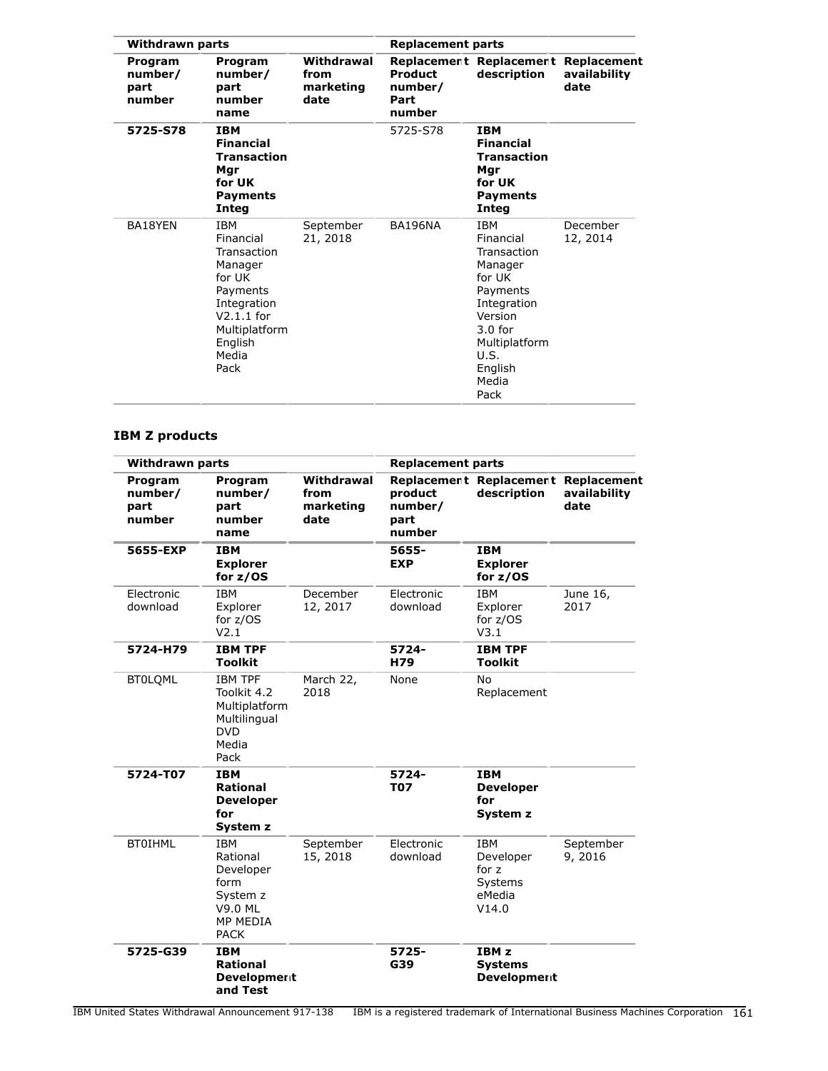| <b>Withdrawn parts</b>               |                                                                                                                                                     | <b>Replacement parts</b>                |                                             |                                                                                                                                                                     |                      |
|--------------------------------------|-----------------------------------------------------------------------------------------------------------------------------------------------------|-----------------------------------------|---------------------------------------------|---------------------------------------------------------------------------------------------------------------------------------------------------------------------|----------------------|
| Program<br>number/<br>part<br>number | Program<br>number/<br>part<br>number<br>name                                                                                                        | Withdrawal<br>from<br>marketing<br>date | <b>Product</b><br>number/<br>Part<br>number | Replacement Replacement Replacement<br>description                                                                                                                  | availability<br>date |
| 5725-S78                             | <b>IBM</b><br><b>Financial</b><br><b>Transaction</b><br>Mgr<br>for UK<br>Payments<br>Integ                                                          |                                         | 5725-S78                                    | <b>IBM</b><br><b>Financial</b><br><b>Transaction</b><br>Mgr<br>for UK<br><b>Payments</b><br>Integ                                                                   |                      |
| BA18YEN                              | <b>IBM</b><br>Financial<br>Transaction<br>Manager<br>for UK<br>Payments<br>Integration<br>$V2.1.1$ for<br>Multiplatform<br>English<br>Media<br>Pack | September<br>21, 2018                   | BA196NA                                     | <b>IBM</b><br>Financial<br>Transaction<br>Manager<br>for UK<br>Payments<br>Integration<br>Version<br>$3.0$ for<br>Multiplatform<br>U.S.<br>English<br>Media<br>Pack | December<br>12, 2014 |

# **IBM Z products**

| <b>Withdrawn parts</b>               |                                                                                                             |                                         | <b>Replacement parts</b>             |                                                                |                                     |
|--------------------------------------|-------------------------------------------------------------------------------------------------------------|-----------------------------------------|--------------------------------------|----------------------------------------------------------------|-------------------------------------|
| Program<br>number/<br>part<br>number | Program<br>number/<br>part<br>number<br>name                                                                | Withdrawal<br>from<br>marketing<br>date | product<br>number/<br>part<br>number | Replacement Replacement<br>description                         | Replacement<br>availability<br>date |
| 5655-EXP                             | <b>IBM</b><br><b>Explorer</b><br>for $z/OS$                                                                 |                                         | 5655-<br><b>EXP</b>                  | <b>IBM</b><br><b>Explorer</b><br>for $z/OS$                    |                                     |
| Electronic<br>download               | <b>IBM</b><br>Explorer<br>for $z/OS$<br>V2.1                                                                | December<br>12, 2017                    | Electronic<br>download               | <b>IBM</b><br>Explorer<br>for z/OS<br>V3.1                     | June 16,<br>2017                    |
| 5724-H79                             | <b>IBM TPF</b><br><b>Toolkit</b>                                                                            |                                         | 5724-<br>H79                         | <b>IBM TPF</b><br><b>Toolkit</b>                               |                                     |
| <b>BT0LQML</b>                       | <b>IBM TPF</b><br>Toolkit 4.2<br>Multiplatform<br>Multilingual<br><b>DVD</b><br>Media<br>Pack               | March 22,<br>2018                       | None                                 | No<br>Replacement                                              |                                     |
| 5724-T07                             | <b>IBM</b><br><b>Rational</b><br><b>Developer</b><br>for<br>System z                                        |                                         | 5724-<br><b>T07</b>                  | <b>IBM</b><br><b>Developer</b><br>for<br>System z              |                                     |
| <b>BT0IHML</b>                       | <b>IBM</b><br>Rational<br>Developer<br>form<br>System z<br><b>V9.0 ML</b><br><b>MP MEDIA</b><br><b>PACK</b> | September<br>15, 2018                   | Electronic<br>download               | <b>IBM</b><br>Developer<br>for z<br>Systems<br>eMedia<br>V14.0 | September<br>9,2016                 |
| 5725-G39                             | <b>IBM</b><br><b>Rational</b><br><b>Development</b><br>and Test                                             |                                         | 5725-<br>G39                         | IBM <sub>z</sub><br><b>Systems</b><br><b>Development</b>       |                                     |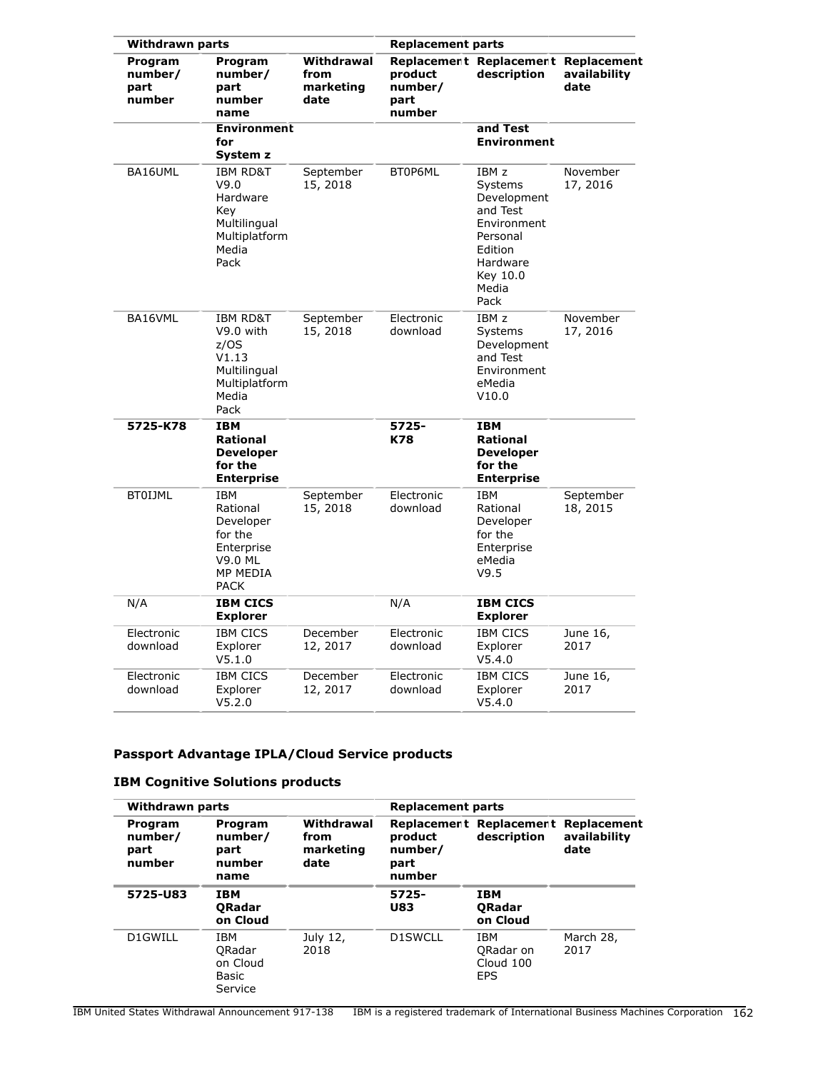| <b>Withdrawn parts</b>                      |                                                                                                           |                                         | <b>Replacement parts</b>             |                                                                                                                            |                       |
|---------------------------------------------|-----------------------------------------------------------------------------------------------------------|-----------------------------------------|--------------------------------------|----------------------------------------------------------------------------------------------------------------------------|-----------------------|
| <b>Program</b><br>number/<br>part<br>number | Program<br>number/<br>part<br>number<br>name                                                              | Withdrawal<br>from<br>marketing<br>date | product<br>number/<br>part<br>number | Replacement Replacement Replacement<br>description                                                                         | availability<br>date  |
|                                             | <b>Environment</b><br>for<br>System z                                                                     |                                         |                                      | and Test<br><b>Environment</b>                                                                                             |                       |
| BA16UML                                     | <b>IBM RD&amp;T</b><br>V9.0<br>Hardware<br>Key<br>Multilingual<br>Multiplatform<br>Media<br>Pack          | September<br>15, 2018                   | BT0P6ML                              | IBM z<br>Systems<br>Development<br>and Test<br>Environment<br>Personal<br>Edition<br>Hardware<br>Key 10.0<br>Media<br>Pack | November<br>17, 2016  |
| BA16VML                                     | <b>IBM RD&amp;T</b><br>V9.0 with<br>z/OS<br>V1.13<br>Multilingual<br>Multiplatform<br>Media<br>Pack       | September<br>15, 2018                   | Electronic<br>download               | IBM <sub>z</sub><br>Systems<br>Development<br>and Test<br>Environment<br>eMedia<br>V10.0                                   | November<br>17, 2016  |
| 5725-K78                                    | <b>IBM</b><br><b>Rational</b><br><b>Developer</b><br>for the<br><b>Enterprise</b>                         |                                         | 5725-<br>K78                         | <b>IBM</b><br><b>Rational</b><br><b>Developer</b><br>for the<br><b>Enterprise</b>                                          |                       |
| <b>BTOIJML</b>                              | <b>IBM</b><br>Rational<br>Developer<br>for the<br>Enterprise<br>V9.0 ML<br><b>MP MEDIA</b><br><b>PACK</b> | September<br>15, 2018                   | Electronic<br>download               | IBM<br>Rational<br>Developer<br>for the<br>Enterprise<br>eMedia<br>V9.5                                                    | September<br>18, 2015 |
| N/A                                         | <b>IBM CICS</b><br><b>Explorer</b>                                                                        |                                         | N/A                                  | <b>IBM CICS</b><br><b>Explorer</b>                                                                                         |                       |
| Electronic<br>download                      | <b>IBM CICS</b><br>Explorer<br>V5.1.0                                                                     | December<br>12, 2017                    | Electronic<br>download               | <b>IBM CICS</b><br>Explorer<br>V5.4.0                                                                                      | June 16,<br>2017      |
| Electronic<br>download                      | <b>IBM CICS</b><br>Explorer<br>V5.2.0                                                                     | December<br>12, 2017                    | Electronic<br>download               | <b>IBM CICS</b><br>Explorer<br>V5.4.0                                                                                      | June 16,<br>2017      |

# **Passport Advantage IPLA/Cloud Service products**

|                                      | <b>Withdrawn parts</b>                        |                                         |                                      | <b>Replacement parts</b>                           |                                     |  |
|--------------------------------------|-----------------------------------------------|-----------------------------------------|--------------------------------------|----------------------------------------------------|-------------------------------------|--|
| Program<br>number/<br>part<br>number | Program<br>number/<br>part<br>number<br>name  | Withdrawal<br>from<br>marketing<br>date | product<br>number/<br>part<br>number | Replacement Replacement<br>description             | Replacement<br>availability<br>date |  |
| 5725-U83                             | <b>IBM</b><br><b>ORadar</b><br>on Cloud       |                                         | 5725-<br><b>U83</b>                  | IBM<br><b>ORadar</b><br>on Cloud                   |                                     |  |
| D1GWILL                              | IBM<br>ORadar<br>on Cloud<br>Basic<br>Service | July 12,<br>2018                        | D1SWCLL                              | IBM<br><b>ORadar on</b><br>Cloud 100<br><b>EPS</b> | March 28,<br>2017                   |  |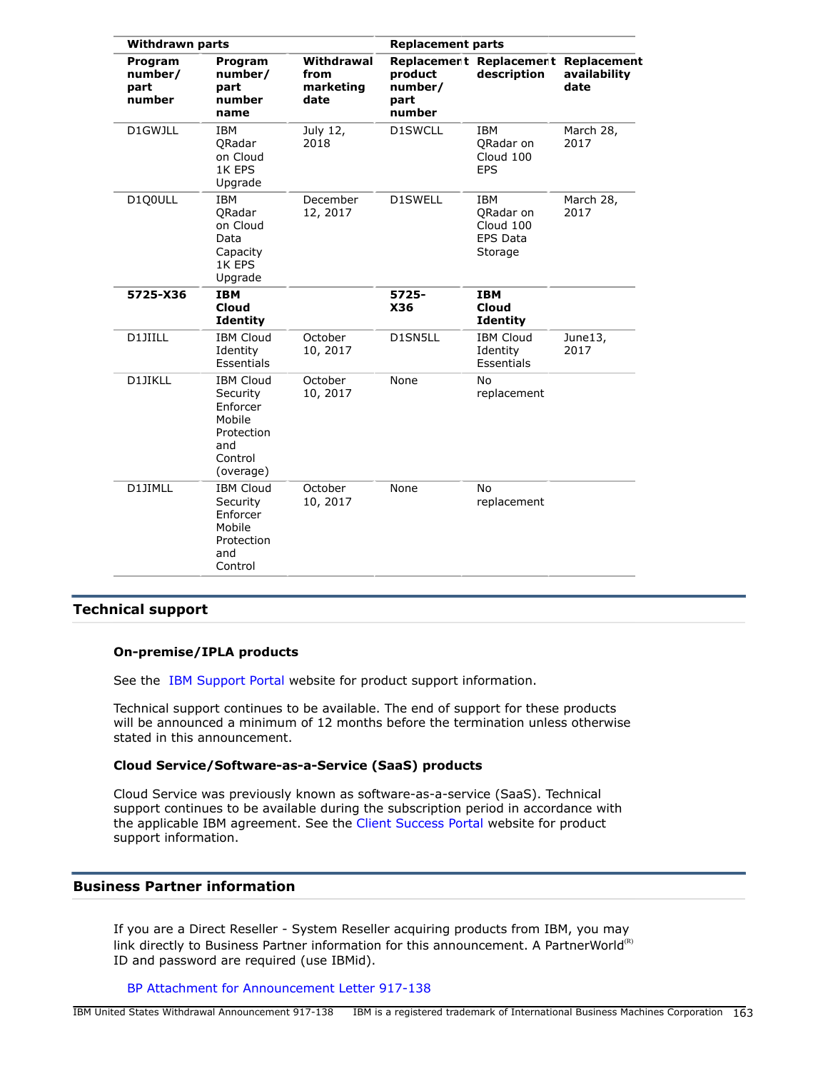| <b>Withdrawn parts</b>               |                                                                                                 |                                         | <b>Replacement parts</b>             |                                                                    |                                     |
|--------------------------------------|-------------------------------------------------------------------------------------------------|-----------------------------------------|--------------------------------------|--------------------------------------------------------------------|-------------------------------------|
| Program<br>number/<br>part<br>number | Program<br>number/<br>part<br>number<br>name                                                    | Withdrawal<br>from<br>marketing<br>date | product<br>number/<br>part<br>number | Replacement Replacement<br>description                             | Replacement<br>availability<br>date |
| D1GWJLL                              | <b>IBM</b><br>ORadar<br>on Cloud<br>1K EPS<br>Upgrade                                           | July 12,<br>2018                        | <b>D1SWCLL</b>                       | <b>IBM</b><br>ORadar on<br>Cloud 100<br><b>EPS</b>                 | March 28,<br>2017                   |
| D1Q0ULL                              | <b>IBM</b><br>QRadar<br>on Cloud<br>Data<br>Capacity<br>1K EPS<br>Upgrade                       | December<br>12, 2017                    | <b>D1SWELL</b>                       | <b>IBM</b><br>ORadar on<br>Cloud 100<br><b>EPS Data</b><br>Storage | March 28,<br>2017                   |
| 5725-X36                             | <b>IBM</b><br><b>Cloud</b><br><b>Identity</b>                                                   |                                         | 5725-<br>X36                         | <b>IBM</b><br>Cloud<br><b>Identity</b>                             |                                     |
| D1JIILL                              | <b>IBM Cloud</b><br>Identity<br>Essentials                                                      | October<br>10, 2017                     | D1SN5LL                              | <b>IBM Cloud</b><br>Identity<br>Essentials                         | June13,<br>2017                     |
| D1JIKLL                              | <b>IBM Cloud</b><br>Security<br>Enforcer<br>Mobile<br>Protection<br>and<br>Control<br>(overage) | October<br>10, 2017                     | None                                 | <b>No</b><br>replacement                                           |                                     |
| D1JIMLL                              | <b>IBM Cloud</b><br>Security<br>Enforcer<br>Mobile<br>Protection<br>and<br>Control              | October<br>10, 2017                     | None                                 | No<br>replacement                                                  |                                     |

# **Technical support**

## **On-premise/IPLA products**

See the [IBM Support Portal](http://www.ibm.com/software/support/) website for product support information.

Technical support continues to be available. The end of support for these products will be announced a minimum of 12 months before the termination unless otherwise stated in this announcement.

## **Cloud Service/Software-as-a-Service (SaaS) products**

Cloud Service was previously known as software-as-a-service (SaaS). Technical support continues to be available during the subscription period in accordance with the applicable IBM agreement. See the [Client Success Portal](http://support.ibmcloud.com) website for product support information.

# **Business Partner information**

If you are a Direct Reseller - System Reseller acquiring products from IBM, you may link directly to Business Partner information for this announcement. A PartnerWorld $<sup>(R)</sup>$ </sup> ID and password are required (use IBMid).

[BP Attachment for Announcement Letter 917-138](https://www.ibm.com/partnerworld/mem/sla.jsp?num=917-138)